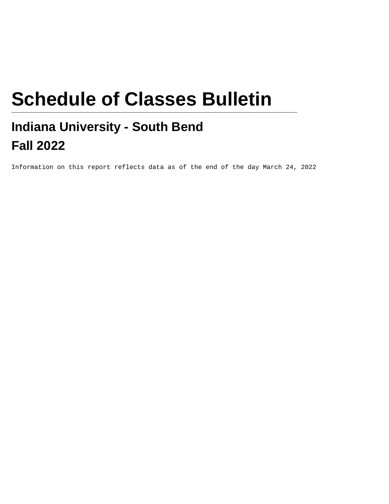# **Schedule of Classes Bulletin**

# **Indiana University - South Bend Fall 2022**

Information on this report reflects data as of the end of the day March 24, 2022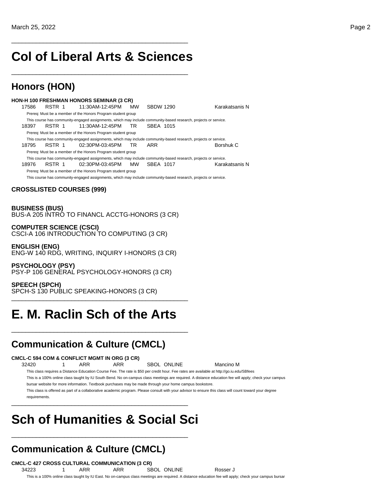## **Col of Liberal Arts & Sciences**

\_\_\_\_\_\_\_\_\_\_\_\_\_\_\_\_\_\_\_\_\_\_\_\_\_\_\_\_\_\_\_\_\_\_\_\_\_\_\_\_\_\_\_\_\_\_\_\_\_\_

\_\_\_\_\_\_\_\_\_\_\_\_\_\_\_\_\_\_\_\_\_\_\_\_\_\_\_\_\_\_\_\_\_\_\_\_\_\_\_\_\_\_\_\_\_\_\_\_\_\_

## **Honors (HON)**

**HON-H 100 FRESHMAN HONORS SEMINAR (3 CR)** 17586 RSTR 1 11:30AM-12:45PM MW SBDW 1290 Karakatsanis N Prereq: Must be a member of the Honors Program student group This course has community-engaged assignments, which may include community-based research, projects or service. 18397 RSTR 1 11:30AM-12:45PM TR SBEA 1015 Prereq: Must be a member of the Honors Program student group This course has community-engaged assignments, which may include community-based research, projects or service. 18795 RSTR 1 02:30PM-03:45PM TR ARR Borshuk C Prereq: Must be a member of the Honors Program student group This course has community-engaged assignments, which may include community-based research, projects or service. 18976 RSTR 1 02:30PM-03:45PM MW SBEA 1017 Karakatsanis N Prereq: Must be a member of the Honors Program student group This course has community-engaged assignments, which may include community-based research, projects or service.

### **CROSSLISTED COURSES (999)**

**BUSINESS (BUS)** BUS-A 205 INTRO TO FINANCL ACCTG-HONORS (3 CR)

**COMPUTER SCIENCE (CSCI)** CSCI-A 106 INTRODUCTION TO COMPUTING (3 CR)

**ENGLISH (ENG)** ENG-W 140 RDG, WRITING, INQUIRY I-HONORS (3 CR)

**PSYCHOLOGY (PSY)** PSY-P 106 GENERAL PSYCHOLOGY-HONORS (3 CR)

### **SPEECH (SPCH)**

SPCH-S 130 PUBLIC SPEAKING-HONORS (3 CR) \_\_\_\_\_\_\_\_\_\_\_\_\_\_\_\_\_\_\_\_\_\_\_\_\_\_\_\_\_\_\_\_\_\_\_\_\_\_\_\_\_\_\_\_\_\_\_\_\_\_

# **E. M. Raclin Sch of the Arts**

\_\_\_\_\_\_\_\_\_\_\_\_\_\_\_\_\_\_\_\_\_\_\_\_\_\_\_\_\_\_\_\_\_\_\_\_\_\_\_\_\_\_\_\_\_\_\_\_\_\_

## **Communication & Culture (CMCL)**

### **CMCL-C 594 COM & CONFLICT MGMT IN ORG (3 CR)**

32420 1 ARR ARR SBOL ONLINE Mancino M

This class requires a Distance Education Course Fee. The rate is \$50 per credit hour. Fee rates are available at http://go.iu.edu/SBfees

This is a 100% online class taught by IU South Bend. No on-campus class meetings are required. A distance education fee will apply; check your campus bursar website for more information. Textbook purchases may be made through your home campus bookstore.

This class is offered as part of a collaborative academic program. Please consult with your advisor to ensure this class will count toward your degree requirements.

# **Sch of Humanities & Social Sci**

\_\_\_\_\_\_\_\_\_\_\_\_\_\_\_\_\_\_\_\_\_\_\_\_\_\_\_\_\_\_\_\_\_\_\_\_\_\_\_\_\_\_\_\_\_\_\_\_\_\_

\_\_\_\_\_\_\_\_\_\_\_\_\_\_\_\_\_\_\_\_\_\_\_\_\_\_\_\_\_\_\_\_\_\_\_\_\_\_\_\_\_\_\_\_\_\_\_\_\_\_

## **Communication & Culture (CMCL)**

#### **CMCL-C 427 CROSS CULTURAL COMMUNICATION (3 CR)** 34223 1 ARR ARR SBOL ONLINE Rosser J

This is a 100% online class taught by IU East. No on-campus class meetings are required. A distance education fee will apply; check your campus bursar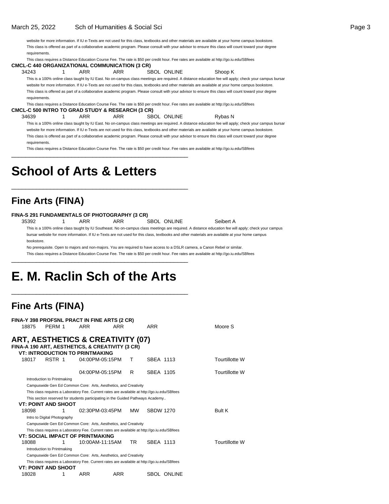website for more information. If IU e-Texts are not used for this class, textbooks and other materials are available at your home campus bookstore. This class is offered as part of a collaborative academic program. Please consult with your advisor to ensure this class will count toward your degree requirements.

This class requires a Distance Education Course Fee. The rate is \$50 per credit hour. Fee rates are available at http://go.iu.edu/SBfees

**CMCL-C 440 ORGANIZATIONAL COMMUNICATION (3 CR)**

34243 1 ARR ARR SBOL ONLINE Shoop K This is a 100% online class taught by IU East. No on-campus class meetings are required. A distance education fee will apply; check your campus bursar website for more information. If IU e-Texts are not used for this class, textbooks and other materials are available at your home campus bookstore. This class is offered as part of a collaborative academic program. Please consult with your advisor to ensure this class will count toward your degree requirements.

This class requires a Distance Education Course Fee. The rate is \$50 per credit hour. Fee rates are available at http://go.iu.edu/SBfees **CMCL-C 500 INTRO TO GRAD STUDY & RESEARCH (3 CR)**

34639 1 ARR ARR SBOL ONLINE Rybas N

This is a 100% online class taught by IU East. No on-campus class meetings are required. A distance education fee will apply; check your campus bursar website for more information. If IU e-Texts are not used for this class, textbooks and other materials are available at your home campus bookstore. This class is offered as part of a collaborative academic program. Please consult with your advisor to ensure this class will count toward your degree requirements.

This class requires a Distance Education Course Fee. The rate is \$50 per credit hour. Fee rates are available at http://go.iu.edu/SBfees

# **School of Arts & Letters**

## **Fine Arts (FINA)**

### **FINA-S 291 FUNDAMENTALS OF PHOTOGRAPHY (3 CR)**

35392 1 ARR ARR SBOL ONLINE Seibert A

\_\_\_\_\_\_\_\_\_\_\_\_\_\_\_\_\_\_\_\_\_\_\_\_\_\_\_\_\_\_\_\_\_\_\_\_\_\_\_\_\_\_\_\_\_\_\_\_\_\_

\_\_\_\_\_\_\_\_\_\_\_\_\_\_\_\_\_\_\_\_\_\_\_\_\_\_\_\_\_\_\_\_\_\_\_\_\_\_\_\_\_\_\_\_\_\_\_\_\_\_

This is a 100% online class taught by IU Southeast. No on-campus class meetings are required. A distance education fee will apply; check your campus bursar website for more information. If IU e-Texts are not used for this class, textbooks and other materials are available at your home campus bookstore.

No prerequisite. Open to majors and non-majors. You are required to have access to a DSLR camera, a Canon Rebel or similar.

This class requires a Distance Education Course Fee. The rate is \$50 per credit hour. Fee rates are available at http://go.iu.edu/SBfees \_\_\_\_\_\_\_\_\_\_\_\_\_\_\_\_\_\_\_\_\_\_\_\_\_\_\_\_\_\_\_\_\_\_\_\_\_\_\_\_\_\_\_\_\_\_\_\_\_\_

# **E. M. Raclin Sch of the Arts**

\_\_\_\_\_\_\_\_\_\_\_\_\_\_\_\_\_\_\_\_\_\_\_\_\_\_\_\_\_\_\_\_\_\_\_\_\_\_\_\_\_\_\_\_\_\_\_\_\_\_

## **Fine Arts (FINA)**

|       | FINA-Y 398 PROFSNL PRACT IN FINE ARTS (2 CR)                                                 |                 |     |     |                  |                    |                       |
|-------|----------------------------------------------------------------------------------------------|-----------------|-----|-----|------------------|--------------------|-----------------------|
| 18875 | PERM 1                                                                                       | ARR             | ARR |     | ARR              |                    | Moore S               |
|       |                                                                                              |                 |     |     |                  |                    |                       |
|       | ART, AESTHETICS & CREATIVITY (07)                                                            |                 |     |     |                  |                    |                       |
|       | FINA-A 190 ART, AESTHETICS, & CREATIVITY (3 CR)                                              |                 |     |     |                  |                    |                       |
|       | <b>VT: INTRODUCTION TO PRINTMAKING</b>                                                       |                 |     |     |                  |                    |                       |
| 18017 | RSTR 1                                                                                       | 04:00PM-05:15PM |     | т   | SBEA 1113        |                    | Tourtillotte W        |
|       |                                                                                              | 04:00PM-05:15PM |     | R   | SBEA 1105        |                    | Tourtillotte W        |
|       | Introduction to Printmaking                                                                  |                 |     |     |                  |                    |                       |
|       | Campuswide Gen Ed Common Core: Arts, Aesthetics, and Creativity                              |                 |     |     |                  |                    |                       |
|       | This class requires a Laboratory Fee. Current rates are available at http://go.iu.edu/SBfees |                 |     |     |                  |                    |                       |
|       | This section reserved for students participating in the Guided Pathways Academy              |                 |     |     |                  |                    |                       |
|       | <b>VT: POINT AND SHOOT</b>                                                                   |                 |     |     |                  |                    |                       |
| 18098 | 1                                                                                            | 02:30PM-03:45PM |     | MW. | <b>SBDW 1270</b> |                    | Bult K                |
|       | Intro to Digital Photography                                                                 |                 |     |     |                  |                    |                       |
|       | Campuswide Gen Ed Common Core: Arts, Aesthetics, and Creativity                              |                 |     |     |                  |                    |                       |
|       | This class requires a Laboratory Fee. Current rates are available at http://go.iu.edu/SBfees |                 |     |     |                  |                    |                       |
|       | <b>VT: SOCIAL IMPACT OF PRINTMAKING</b>                                                      |                 |     |     |                  |                    |                       |
| 18088 | 1                                                                                            | 10:00AM-11:15AM |     | TR. | SBEA 1113        |                    | <b>Tourtillotte W</b> |
|       | Introduction to Printmaking                                                                  |                 |     |     |                  |                    |                       |
|       | Campuswide Gen Ed Common Core: Arts, Aesthetics, and Creativity                              |                 |     |     |                  |                    |                       |
|       | This class requires a Laboratory Fee. Current rates are available at http://go.iu.edu/SBfees |                 |     |     |                  |                    |                       |
|       | <b>VT: POINT AND SHOOT</b>                                                                   |                 |     |     |                  |                    |                       |
| 18028 | 1                                                                                            | ARR             | ARR |     |                  | <b>SBOL ONLINE</b> |                       |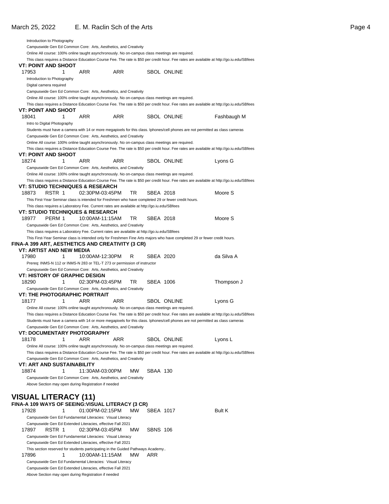| March 25, 2022                                                                                      |                    | E. M. Raclin Sch of the Arts |                    |                                                                                                                                           | Page 4 |
|-----------------------------------------------------------------------------------------------------|--------------------|------------------------------|--------------------|-------------------------------------------------------------------------------------------------------------------------------------------|--------|
| Introduction to Photography                                                                         |                    |                              |                    |                                                                                                                                           |        |
| Campuswide Gen Ed Common Core: Arts, Aesthetics, and Creativity                                     |                    |                              |                    |                                                                                                                                           |        |
| Online All course: 100% online taught asynchronously. No on-campus class meetings are required.     |                    |                              |                    |                                                                                                                                           |        |
|                                                                                                     |                    |                              |                    | This class requires a Distance Education Course Fee. The rate is \$50 per credit hour. Fee rates are available at http://go.iu.edu/SBfees |        |
| VT: POINT AND SHOOT                                                                                 |                    |                              |                    |                                                                                                                                           |        |
| 17953                                                                                               | <b>ARR</b><br>1    | <b>ARR</b>                   | SBOL ONLINE        |                                                                                                                                           |        |
| Introduction to Photography                                                                         |                    |                              |                    |                                                                                                                                           |        |
| Digital camera required                                                                             |                    |                              |                    |                                                                                                                                           |        |
| Campuswide Gen Ed Common Core: Arts, Aesthetics, and Creativity                                     |                    |                              |                    |                                                                                                                                           |        |
| Online All course: 100% online taught asynchronously. No on-campus class meetings are required.     |                    |                              |                    |                                                                                                                                           |        |
| <b>VT: POINT AND SHOOT</b>                                                                          |                    |                              |                    | This class requires a Distance Education Course Fee. The rate is \$50 per credit hour. Fee rates are available at http://go.iu.edu/SBfees |        |
| 18041                                                                                               | 1<br>ARR           | ARR                          | <b>SBOL ONLINE</b> | Fashbaugh M                                                                                                                               |        |
| Intro to Digital Photography                                                                        |                    |                              |                    |                                                                                                                                           |        |
|                                                                                                     |                    |                              |                    | Students must have a camera with 14 or more megapixels for this class. Iphones/cell phones are not permitted as class cameras             |        |
| Campuswide Gen Ed Common Core: Arts, Aesthetics, and Creativity                                     |                    |                              |                    |                                                                                                                                           |        |
| Online All course: 100% online taught asynchronously. No on-campus class meetings are required.     |                    |                              |                    |                                                                                                                                           |        |
|                                                                                                     |                    |                              |                    | This class requires a Distance Education Course Fee. The rate is \$50 per credit hour. Fee rates are available at http://go.iu.edu/SBfees |        |
| VT: POINT AND SHOOT                                                                                 |                    |                              |                    |                                                                                                                                           |        |
| 18274                                                                                               | $\mathbf 1$<br>ARR | ARR                          | SBOL ONLINE        | Lyons G                                                                                                                                   |        |
| Campuswide Gen Ed Common Core: Arts, Aesthetics, and Creativity                                     |                    |                              |                    |                                                                                                                                           |        |
| Online All course: 100% online taught asynchronously. No on-campus class meetings are required.     |                    |                              |                    |                                                                                                                                           |        |
|                                                                                                     |                    |                              |                    | This class requires a Distance Education Course Fee. The rate is \$50 per credit hour. Fee rates are available at http://go.iu.edu/SBfees |        |
| VT: STUDIO TECHNIQUES & RESEARCH                                                                    |                    |                              |                    |                                                                                                                                           |        |
| 18873<br>RSTR 1                                                                                     |                    | 02:30PM-03:45PM<br>TR        | SBEA 2018          | Moore S                                                                                                                                   |        |
| This First-Year Seminar class is intended for Freshmen who have completed 29 or fewer credit hours. |                    |                              |                    |                                                                                                                                           |        |
| This class requires a Laboratory Fee. Current rates are available at http://go.iu.edu/SBfees        |                    |                              |                    |                                                                                                                                           |        |
| <b>VT: STUDIO TECHNIQUES &amp; RESEARCH</b>                                                         |                    |                              |                    |                                                                                                                                           |        |
| PERM 1<br>18977                                                                                     |                    | TR<br>10:00AM-11:15AM        | SBEA 2018          | Moore S                                                                                                                                   |        |
| Campuswide Gen Ed Common Core: Arts, Aesthetics, and Creativity                                     |                    |                              |                    |                                                                                                                                           |        |
| This class requires a Laboratory Fee. Current rates are available at http://go.iu.edu/SBfees        |                    |                              |                    |                                                                                                                                           |        |
|                                                                                                     |                    |                              |                    | This First-Year Seminar class is intended only for Freshmen Fine Arts majors who have completed 29 or fewer credit hours.                 |        |
| FINA-A 399 ART, AESTHETICS AND CREATIVITY (3 CR)                                                    |                    |                              |                    |                                                                                                                                           |        |
| <b>VT: ARTIST AND NEW MEDIA</b>                                                                     |                    |                              |                    |                                                                                                                                           |        |
| 17980                                                                                               | 1                  | 10:00AM-12:30PM<br>R         | SBEA 2020          | da Silva A                                                                                                                                |        |
| Prereq: INMS-N 112 or INMS-N 283 or TEL-T 273 or permission of instructor                           |                    |                              |                    |                                                                                                                                           |        |
| Campuswide Gen Ed Common Core: Arts, Aesthetics, and Creativity                                     |                    |                              |                    |                                                                                                                                           |        |
| <b>VT: HISTORY OF GRAPHIC DESIGN</b>                                                                |                    |                              |                    |                                                                                                                                           |        |
| 18290                                                                                               | $\mathbf{1}$       | 02:30PM-03:45PM<br>TR.       | SBEA 1006          | Thompson J                                                                                                                                |        |
| Campuswide Gen Ed Common Core: Arts, Aesthetics, and Creativity                                     |                    |                              |                    |                                                                                                                                           |        |
| <b>VT: THE PHOTOGRAPHIC PORTRAIT</b>                                                                |                    |                              |                    |                                                                                                                                           |        |
| 18177                                                                                               | ARR<br>1           | ARR                          | <b>SBOL ONLINE</b> | Lyons G                                                                                                                                   |        |
| Online All course: 100% online taught asynchronously. No on-campus class meetings are required.     |                    |                              |                    |                                                                                                                                           |        |
|                                                                                                     |                    |                              |                    | This class requires a Distance Education Course Fee. The rate is \$50 per credit hour. Fee rates are available at http://go.iu.edu/SBfees |        |
|                                                                                                     |                    |                              |                    | Students must have a camera with 14 or more megapixels for this class. Iphones/cell phones are not permitted as class cameras             |        |

Campuswide Gen Ed Common Core: Arts, Aesthetics, and Creativity

### **VT: DOCUMENTARY PHOTOGRAPHY**

18178 1 ARR ARR SBOL ONLINE Lyons L Online All course: 100% online taught asynchronously. No on-campus class meetings are required. This class requires a Distance Education Course Fee. The rate is \$50 per credit hour. Fee rates are available at http://go.iu.edu/SBfees Campuswide Gen Ed Common Core: Arts, Aesthetics, and Creativity **VT: ART AND SUSTAINABILITY** 18874 1 11:30AM-03:00PM MW SBAA 130 Campuswide Gen Ed Common Core: Arts, Aesthetics, and Creativity

Above Section may open during Registration if needed

# **VISUAL LITERACY (11)**

|       |        | FINA-A 109 WAYS OF SEEING:VISUAL LITERACY (3 CR)                                |           |                 |        |
|-------|--------|---------------------------------------------------------------------------------|-----------|-----------------|--------|
| 17928 |        | 01:00PM-02:15PM                                                                 | <b>MW</b> | SBEA 1017       | Bult K |
|       |        | Campuswide Gen Ed Fundamental Literacies: Visual Literacy                       |           |                 |        |
|       |        | Campuswide Gen Ed Extended Literacies, effective Fall 2021                      |           |                 |        |
| 17897 | RSTR 1 | 02:30PM-03:45PM                                                                 | <b>MW</b> | <b>SBNS 106</b> |        |
|       |        | Campuswide Gen Ed Fundamental Literacies: Visual Literacy                       |           |                 |        |
|       |        | Campuswide Gen Ed Extended Literacies, effective Fall 2021                      |           |                 |        |
|       |        | This section reserved for students participating in the Guided Pathways Academy |           |                 |        |
| 17896 |        | 10:00AM-11:15AM                                                                 | <b>MW</b> | ARR             |        |
|       |        | Campuswide Gen Ed Fundamental Literacies: Visual Literacy                       |           |                 |        |
|       |        | Campuswide Gen Ed Extended Literacies, effective Fall 2021                      |           |                 |        |
|       |        | Above Section may open during Registration if needed                            |           |                 |        |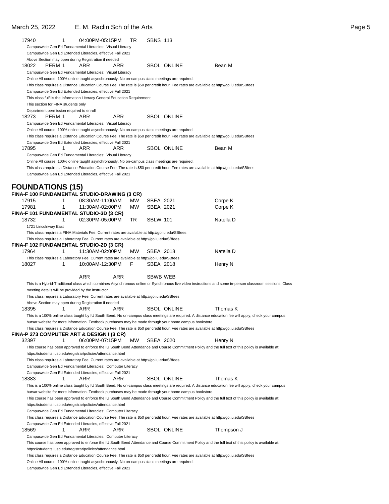| 17940                                        | 1 | 04:00PM-05:15PM                                                                                  |            | TR        | <b>SBNS 113</b> |                                                                                                                                           |                                                                                                                                                           |
|----------------------------------------------|---|--------------------------------------------------------------------------------------------------|------------|-----------|-----------------|-------------------------------------------------------------------------------------------------------------------------------------------|-----------------------------------------------------------------------------------------------------------------------------------------------------------|
|                                              |   | Campuswide Gen Ed Fundamental Literacies: Visual Literacy                                        |            |           |                 |                                                                                                                                           |                                                                                                                                                           |
|                                              |   | Campuswide Gen Ed Extended Literacies, effective Fall 2021                                       |            |           |                 |                                                                                                                                           |                                                                                                                                                           |
|                                              |   | Above Section may open during Registration if needed                                             |            |           |                 |                                                                                                                                           |                                                                                                                                                           |
| PERM 1<br>18022                              |   | ARR                                                                                              | ARR        |           |                 | <b>SBOL ONLINE</b>                                                                                                                        | Bean M                                                                                                                                                    |
|                                              |   | Campuswide Gen Ed Fundamental Literacies: Visual Literacy                                        |            |           |                 |                                                                                                                                           |                                                                                                                                                           |
|                                              |   | Online All course: 100% online taught asynchronously. No on-campus class meetings are required.  |            |           |                 |                                                                                                                                           |                                                                                                                                                           |
|                                              |   |                                                                                                  |            |           |                 |                                                                                                                                           |                                                                                                                                                           |
|                                              |   |                                                                                                  |            |           |                 | This class requires a Distance Education Course Fee. The rate is \$50 per credit hour. Fee rates are available at http://go.iu.edu/SBfees |                                                                                                                                                           |
|                                              |   | Campuswide Gen Ed Extended Literacies, effective Fall 2021                                       |            |           |                 |                                                                                                                                           |                                                                                                                                                           |
|                                              |   | This class fulfills the Information Literacy General Education Requirement                       |            |           |                 |                                                                                                                                           |                                                                                                                                                           |
| This section for FINA students only          |   |                                                                                                  |            |           |                 |                                                                                                                                           |                                                                                                                                                           |
| Department permission required to enroll     |   |                                                                                                  |            |           |                 |                                                                                                                                           |                                                                                                                                                           |
| 18273<br>PERM 1                              |   | ARR                                                                                              | ARR        |           |                 | <b>SBOL ONLINE</b>                                                                                                                        |                                                                                                                                                           |
|                                              |   | Campuswide Gen Ed Fundamental Literacies: Visual Literacy                                        |            |           |                 |                                                                                                                                           |                                                                                                                                                           |
|                                              |   | Online All course: 100% online taught asynchronously. No on-campus class meetings are required.  |            |           |                 |                                                                                                                                           |                                                                                                                                                           |
|                                              |   |                                                                                                  |            |           |                 | This class requires a Distance Education Course Fee. The rate is \$50 per credit hour. Fee rates are available at http://go.iu.edu/SBfees |                                                                                                                                                           |
|                                              |   | Campuswide Gen Ed Extended Literacies, effective Fall 2021                                       |            |           |                 |                                                                                                                                           |                                                                                                                                                           |
| 17895                                        | 1 | ARR                                                                                              | ARR        |           |                 | <b>SBOL ONLINE</b>                                                                                                                        | Bean M                                                                                                                                                    |
|                                              |   | Campuswide Gen Ed Fundamental Literacies: Visual Literacy                                        |            |           |                 |                                                                                                                                           |                                                                                                                                                           |
|                                              |   | Online All course: 100% online taught asynchronously. No on-campus class meetings are required.  |            |           |                 |                                                                                                                                           |                                                                                                                                                           |
|                                              |   |                                                                                                  |            |           |                 | This class requires a Distance Education Course Fee. The rate is \$50 per credit hour. Fee rates are available at http://go.iu.edu/SBfees |                                                                                                                                                           |
|                                              |   |                                                                                                  |            |           |                 |                                                                                                                                           |                                                                                                                                                           |
|                                              |   | Campuswide Gen Ed Extended Literacies, effective Fall 2021                                       |            |           |                 |                                                                                                                                           |                                                                                                                                                           |
|                                              |   |                                                                                                  |            |           |                 |                                                                                                                                           |                                                                                                                                                           |
| <b>FOUNDATIONS (15)</b>                      |   |                                                                                                  |            |           |                 |                                                                                                                                           |                                                                                                                                                           |
| FINA-F 100 FUNDAMENTAL STUDIO-DRAWING (3 CR) |   |                                                                                                  |            |           |                 |                                                                                                                                           |                                                                                                                                                           |
| 17915                                        | 1 | 08:30AM-11:00AM                                                                                  |            | MW.       | SBEA 2021       |                                                                                                                                           | Corpe K                                                                                                                                                   |
| 17981                                        | 1 | 11:30AM-02:00PM                                                                                  |            | MW        | SBEA 2021       |                                                                                                                                           | Corpe K                                                                                                                                                   |
| FINA-F 101 FUNDAMENTAL STUDIO-3D (3 CR)      |   |                                                                                                  |            |           |                 |                                                                                                                                           |                                                                                                                                                           |
| 18732                                        | 1 | 02:30PM-05:00PM                                                                                  |            | TR        | <b>SBLW 101</b> |                                                                                                                                           | Natella D                                                                                                                                                 |
| 1721 Lincolnway East                         |   |                                                                                                  |            |           |                 |                                                                                                                                           |                                                                                                                                                           |
|                                              |   |                                                                                                  |            |           |                 |                                                                                                                                           |                                                                                                                                                           |
|                                              |   | This class requires a FINA Materials Fee. Current rates are available at http://go.iu.edu/SBfees |            |           |                 |                                                                                                                                           |                                                                                                                                                           |
|                                              |   | This class requires a Laboratory Fee. Current rates are available at http://go.iu.edu/SBfees     |            |           |                 |                                                                                                                                           |                                                                                                                                                           |
| FINA-F 102 FUNDAMENTAL STUDIO-2D (3 CR)      |   |                                                                                                  |            |           |                 |                                                                                                                                           |                                                                                                                                                           |
| 17964                                        | 1 | 11:30AM-02:00PM                                                                                  |            | <b>MW</b> | SBEA 2018       |                                                                                                                                           | Natella D                                                                                                                                                 |
|                                              |   | This class requires a Laboratory Fee. Current rates are available at http://go.iu.edu/SBfees     |            |           |                 |                                                                                                                                           |                                                                                                                                                           |
| 18027                                        | 1 | 10:00AM-12:30PM                                                                                  |            | F         | SBEA 2018       |                                                                                                                                           | Henry N                                                                                                                                                   |
|                                              |   |                                                                                                  |            |           |                 |                                                                                                                                           |                                                                                                                                                           |
|                                              |   | <b>ARR</b>                                                                                       | <b>ARR</b> |           | SBWB WEB        |                                                                                                                                           |                                                                                                                                                           |
|                                              |   |                                                                                                  |            |           |                 |                                                                                                                                           | This is a Hybrid-Traditional class which combines Asynchronous online or Synchronous live video instructions and some in-person classroom sessions. Class |
|                                              |   | meeting details will be provided by the instructor.                                              |            |           |                 |                                                                                                                                           |                                                                                                                                                           |
|                                              |   | This class requires a Laboratory Fee. Current rates are available at http://go.iu.edu/SBfees     |            |           |                 |                                                                                                                                           |                                                                                                                                                           |
|                                              |   | Above Section may open during Registration if needed                                             |            |           |                 |                                                                                                                                           |                                                                                                                                                           |
| 18395                                        | 1 | ARR                                                                                              | ARR        |           |                 | <b>SBOL ONLINE</b>                                                                                                                        | Thomas K                                                                                                                                                  |
|                                              |   |                                                                                                  |            |           |                 |                                                                                                                                           |                                                                                                                                                           |
|                                              |   |                                                                                                  |            |           |                 |                                                                                                                                           | This is a 100% online class taught by IU South Bend. No on-campus class meetings are required. A distance education fee will apply; check your campus     |
|                                              |   |                                                                                                  |            |           |                 | bursar website for more information. Textbook purchases may be made through your home campus bookstore.                                   |                                                                                                                                                           |
|                                              |   |                                                                                                  |            |           |                 | This class requires a Distance Education Course Fee. The rate is \$50 per credit hour. Fee rates are available at http://go.iu.edu/SBfees |                                                                                                                                                           |
| FINA-P 273 COMPUTER ART & DESIGN I (3 CR)    |   |                                                                                                  |            |           |                 |                                                                                                                                           |                                                                                                                                                           |
| 32397                                        | 1 | 06:00PM-07:15PM                                                                                  |            | MW        | SBEA 2020       |                                                                                                                                           | Henry N                                                                                                                                                   |
|                                              |   |                                                                                                  |            |           |                 |                                                                                                                                           | This course has been approved to enforce the IU South Bend Attendance and Course Commitment Policy and the full text of this policy is available at:      |
|                                              |   | https://students.iusb.edu/registrar/policies/attendance.html                                     |            |           |                 |                                                                                                                                           |                                                                                                                                                           |
|                                              |   | This class requires a Laboratory Fee. Current rates are available at http://go.iu.edu/SBfees     |            |           |                 |                                                                                                                                           |                                                                                                                                                           |
|                                              |   | Campuswide Gen Ed Fundamental Literacies: Computer Literacy                                      |            |           |                 |                                                                                                                                           |                                                                                                                                                           |
|                                              |   | Campuswide Gen Ed Extended Literacies, effective Fall 2021                                       |            |           |                 |                                                                                                                                           |                                                                                                                                                           |
| 18383                                        | 1 | ARR                                                                                              | ARR        |           |                 | <b>SBOL ONLINE</b>                                                                                                                        | Thomas K                                                                                                                                                  |
|                                              |   |                                                                                                  |            |           |                 |                                                                                                                                           |                                                                                                                                                           |
|                                              |   |                                                                                                  |            |           |                 |                                                                                                                                           | This is a 100% online class taught by IU South Bend. No on-campus class meetings are required. A distance education fee will apply; check your campus     |
|                                              |   |                                                                                                  |            |           |                 | bursar website for more information. Textbook purchases may be made through your home campus bookstore.                                   |                                                                                                                                                           |
|                                              |   |                                                                                                  |            |           |                 |                                                                                                                                           | This course has been approved to enforce the IU South Bend Attendance and Course Commitment Policy and the full text of this policy is available at:      |
|                                              |   | https://students.iusb.edu/registrar/policies/attendance.html                                     |            |           |                 |                                                                                                                                           |                                                                                                                                                           |
|                                              |   | Campuswide Gen Ed Fundamental Literacies: Computer Literacy                                      |            |           |                 |                                                                                                                                           |                                                                                                                                                           |
|                                              |   |                                                                                                  |            |           |                 | This class requires a Distance Education Course Fee. The rate is \$50 per credit hour. Fee rates are available at http://go.iu.edu/SBfees |                                                                                                                                                           |
|                                              |   | Campuswide Gen Ed Extended Literacies, effective Fall 2021                                       |            |           |                 |                                                                                                                                           |                                                                                                                                                           |
| 18569                                        | 1 | ARR                                                                                              | ARR        |           |                 | SBOL ONLINE                                                                                                                               | Thompson J                                                                                                                                                |
|                                              |   | Campuswide Gen Ed Fundamental Literacies: Computer Literacy                                      |            |           |                 |                                                                                                                                           |                                                                                                                                                           |
|                                              |   |                                                                                                  |            |           |                 |                                                                                                                                           | This course has been approved to enforce the IU South Bend Attendance and Course Commitment Policy and the full text of this policy is available at:      |
|                                              |   |                                                                                                  |            |           |                 |                                                                                                                                           |                                                                                                                                                           |
|                                              |   | https://students.iusb.edu/registrar/policies/attendance.html                                     |            |           |                 |                                                                                                                                           |                                                                                                                                                           |
|                                              |   |                                                                                                  |            |           |                 | This class requires a Distance Education Course Fee. The rate is \$50 per credit hour. Fee rates are available at http://go.iu.edu/SBfees |                                                                                                                                                           |
|                                              |   | Online All course: 100% online taught asynchronously. No on-campus class meetings are required.  |            |           |                 |                                                                                                                                           |                                                                                                                                                           |
|                                              |   | Campuswide Gen Ed Extended Literacies, effective Fall 2021                                       |            |           |                 |                                                                                                                                           |                                                                                                                                                           |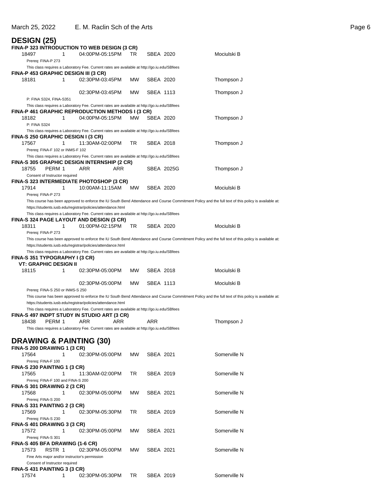| <b>DESIGN (25)</b>                                                                                                                 |                 |           |            |            |                                                                                                                                                      |
|------------------------------------------------------------------------------------------------------------------------------------|-----------------|-----------|------------|------------|------------------------------------------------------------------------------------------------------------------------------------------------------|
| FINA-P 323 INTRODUCTION TO WEB DESIGN (3 CR)<br>1<br>18497                                                                         | 04:00PM-05:15PM | TR        | SBEA 2020  |            | Mociulski B                                                                                                                                          |
| Prereq: FINA-P 273                                                                                                                 |                 |           |            |            |                                                                                                                                                      |
| This class requires a Laboratory Fee. Current rates are available at http://go.iu.edu/SBfees                                       |                 |           |            |            |                                                                                                                                                      |
| FINA-P 453 GRAPHIC DESIGN III (3 CR)<br>1<br>18181                                                                                 | 02:30PM-03:45PM | MW        | SBEA 2020  |            | Thompson J                                                                                                                                           |
|                                                                                                                                    | 02:30PM-03:45PM | <b>MW</b> | SBEA 1113  |            | Thompson J                                                                                                                                           |
| P: FINA S324, FINA-S351                                                                                                            |                 |           |            |            |                                                                                                                                                      |
| This class requires a Laboratory Fee. Current rates are available at http://go.iu.edu/SBfees                                       |                 |           |            |            |                                                                                                                                                      |
| FINA-P 461 GRAPHIC REPRODUCTION METHODS I (3 CR)                                                                                   |                 |           |            |            |                                                                                                                                                      |
| 1<br>18182<br>P: FINA S324                                                                                                         | 04:00PM-05:15PM | MW.       | SBEA 2020  |            | Thompson J                                                                                                                                           |
| This class requires a Laboratory Fee. Current rates are available at http://go.iu.edu/SBfees<br>FINA-S 250 GRAPHIC DESIGN I (3 CR) |                 |           |            |            |                                                                                                                                                      |
| 17567<br>1                                                                                                                         | 11:30AM-02:00PM | TR        | SBEA 2018  |            | Thompson J                                                                                                                                           |
| Prereq: FINA-F 102 or INMS-F 102                                                                                                   |                 |           |            |            |                                                                                                                                                      |
| This class requires a Laboratory Fee. Current rates are available at http://go.iu.edu/SBfees                                       |                 |           |            |            |                                                                                                                                                      |
| FINA-S 305 GRAPHIC DESIGN INTERNSHIP (2 CR)                                                                                        |                 |           |            |            |                                                                                                                                                      |
| 18755<br>PERM 1<br>Consent of Instructor required                                                                                  | ARR<br>ARR      |           |            | SBEA 2025G | Thompson J                                                                                                                                           |
| FINA-S 323 INTERMEDIATE PHOTOSHOP (3 CR)                                                                                           |                 |           |            |            |                                                                                                                                                      |
| 17914<br>1                                                                                                                         | 10:00AM-11:15AM | <b>MW</b> | SBEA 2020  |            | Mociulski B                                                                                                                                          |
| Prereq: FINA-P 273                                                                                                                 |                 |           |            |            | This course has been approved to enforce the IU South Bend Attendance and Course Commitment Policy and the full text of this policy is available at: |
| https://students.iusb.edu/registrar/policies/attendance.html                                                                       |                 |           |            |            |                                                                                                                                                      |
| This class requires a Laboratory Fee. Current rates are available at http://go.iu.edu/SBfees                                       |                 |           |            |            |                                                                                                                                                      |
| FINA-S 324 PAGE LAYOUT AND DESIGN (3 CR)                                                                                           |                 |           |            |            |                                                                                                                                                      |
| 18311<br>1                                                                                                                         | 01:00PM-02:15PM | TR        | SBEA 2020  |            | Mociulski B                                                                                                                                          |
| Prereq: FINA-P 273                                                                                                                 |                 |           |            |            |                                                                                                                                                      |
|                                                                                                                                    |                 |           |            |            | This course has been approved to enforce the IU South Bend Attendance and Course Commitment Policy and the full text of this policy is available at: |
| https://students.iusb.edu/registrar/policies/attendance.html                                                                       |                 |           |            |            |                                                                                                                                                      |
| This class requires a Laboratory Fee. Current rates are available at http://go.iu.edu/SBfees                                       |                 |           |            |            |                                                                                                                                                      |
| FINA-S 351 TYPOGRAPHY I (3 CR)                                                                                                     |                 |           |            |            |                                                                                                                                                      |
|                                                                                                                                    |                 |           |            |            |                                                                                                                                                      |
| <b>VT: GRAPHIC DESIGN II</b>                                                                                                       |                 |           |            |            |                                                                                                                                                      |
| 18115<br>1                                                                                                                         | 02:30PM-05:00PM | MW        | SBEA 2018  |            | Mociulski B                                                                                                                                          |
|                                                                                                                                    | 02:30PM-05:00PM | MW        | SBEA 1113  |            | Mociulski B                                                                                                                                          |
| Prereq: FINA-S 250 or INMS-S 250                                                                                                   |                 |           |            |            |                                                                                                                                                      |
|                                                                                                                                    |                 |           |            |            | This course has been approved to enforce the IU South Bend Attendance and Course Commitment Policy and the full text of this policy is available at: |
| https://students.iusb.edu/registrar/policies/attendance.html                                                                       |                 |           |            |            |                                                                                                                                                      |
| This class requires a Laboratory Fee. Current rates are available at http://go.iu.edu/SBfees                                       |                 |           |            |            |                                                                                                                                                      |
| FINA-S 497 INDPT STUDY IN STUDIO ART (3 CR)<br>PERM 1<br>18438                                                                     | ARR<br>ARR      |           | <b>ARR</b> |            | Thompson J                                                                                                                                           |
| This class requires a Laboratory Fee. Current rates are available at http://go.iu.edu/SBfees                                       |                 |           |            |            |                                                                                                                                                      |
|                                                                                                                                    |                 |           |            |            |                                                                                                                                                      |
|                                                                                                                                    |                 |           |            |            |                                                                                                                                                      |
| <b>DRAWING &amp; PAINTING (30)</b><br>FINA-S 200 DRAWING 1 (3 CR)                                                                  |                 |           |            |            |                                                                                                                                                      |
| 17564<br>1                                                                                                                         | 02:30PM-05:00PM | МW        | SBEA 2021  |            | Somerville N                                                                                                                                         |
| Prereq: FINA-F 100                                                                                                                 |                 |           |            |            |                                                                                                                                                      |
| FINA-S 230 PAINTING 1 (3 CR)                                                                                                       |                 |           |            |            |                                                                                                                                                      |
| 17565<br>1                                                                                                                         | 11:30AM-02:00PM | TR        | SBEA 2019  |            | Somerville N                                                                                                                                         |
| Prereq: FINA-F 100 and FINA-S 200                                                                                                  |                 |           |            |            |                                                                                                                                                      |
| <b>FINA-S 301 DRAWING 2 (3 CR)</b>                                                                                                 |                 |           |            |            |                                                                                                                                                      |
| 17568<br>1                                                                                                                         | 02:30PM-05:00PM | MW        | SBEA 2021  |            | Somerville N                                                                                                                                         |
| Prereq: FINA-S 200                                                                                                                 |                 |           |            |            |                                                                                                                                                      |
| FINA-S 331 PAINTING 2 (3 CR)                                                                                                       |                 |           |            |            |                                                                                                                                                      |
| 1<br>17569                                                                                                                         | 02:30PM-05:30PM | TR        | SBEA 2019  |            | Somerville N                                                                                                                                         |
| Prereq: FINA-S 230                                                                                                                 |                 |           |            |            |                                                                                                                                                      |
| FINA-S 401 DRAWING 3 (3 CR)                                                                                                        |                 |           |            |            |                                                                                                                                                      |
| 17572<br>1                                                                                                                         | 02:30PM-05:00PM | MW.       | SBEA 2021  |            | Somerville N                                                                                                                                         |
| Prereq: FINA-S 301                                                                                                                 |                 |           |            |            |                                                                                                                                                      |
| FINA-S 405 BFA DRAWING (1-6 CR)<br>RSTR 1<br>17573                                                                                 | 02:30PM-05:00PM | MW.       | SBEA 2021  |            | Somerville N                                                                                                                                         |
|                                                                                                                                    |                 |           |            |            |                                                                                                                                                      |
| Fine Arts major and/or instructor's permission<br>Consent of Instructor required                                                   |                 |           |            |            |                                                                                                                                                      |

17574 1 02:30PM-05:30PM TR SBEA 2019 Somerville N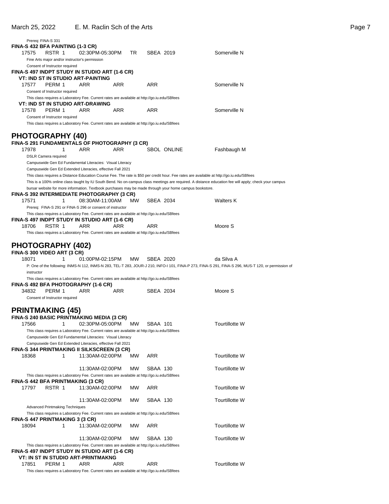| Prereg: FINA-S 331                                                                                                                                        |   |                 |            |           |                 |                    |                                                                                                                                                       |
|-----------------------------------------------------------------------------------------------------------------------------------------------------------|---|-----------------|------------|-----------|-----------------|--------------------|-------------------------------------------------------------------------------------------------------------------------------------------------------|
| FINA-S 432 BFA PAINTING (1-3 CR)<br>17575<br>RSTR 1                                                                                                       |   | 02:30PM-05:30PM |            | TR        | SBEA 2019       |                    | Somerville N                                                                                                                                          |
| Fine Arts major and/or instructor's permission                                                                                                            |   |                 |            |           |                 |                    |                                                                                                                                                       |
| Consent of Instructor required                                                                                                                            |   |                 |            |           |                 |                    |                                                                                                                                                       |
| FINA-S 497 INDPT STUDY IN STUDIO ART (1-6 CR)<br><b>VT: IND ST IN STUDIO ART-PAINTING</b>                                                                 |   |                 |            |           |                 |                    |                                                                                                                                                       |
| 17577<br>PERM 1                                                                                                                                           |   | ARR             | <b>ARR</b> |           | ARR             |                    | Somerville N                                                                                                                                          |
| Consent of Instructor required                                                                                                                            |   |                 |            |           |                 |                    |                                                                                                                                                       |
| This class requires a Laboratory Fee. Current rates are available at http://go.iu.edu/SBfees<br>VT: IND ST IN STUDIO ART-DRAWING                          |   |                 |            |           |                 |                    |                                                                                                                                                       |
| PERM 1<br>17578                                                                                                                                           |   | ARR             | ARR        |           | ARR             |                    | Somerville N                                                                                                                                          |
| Consent of Instructor required                                                                                                                            |   |                 |            |           |                 |                    |                                                                                                                                                       |
| This class requires a Laboratory Fee. Current rates are available at http://go.iu.edu/SBfees                                                              |   |                 |            |           |                 |                    |                                                                                                                                                       |
| <b>PHOTOGRAPHY (40)</b>                                                                                                                                   |   |                 |            |           |                 |                    |                                                                                                                                                       |
| FINA-S 291 FUNDAMENTALS OF PHOTOGRAPHY (3 CR)                                                                                                             |   |                 |            |           |                 |                    |                                                                                                                                                       |
| 17978<br><b>DSLR Camera required</b>                                                                                                                      | 1 | ARR             | ARR        |           |                 | <b>SBOL ONLINE</b> | Fashbaugh M                                                                                                                                           |
| Campuswide Gen Ed Fundamental Literacies: Visual Literacy                                                                                                 |   |                 |            |           |                 |                    |                                                                                                                                                       |
| Campuswide Gen Ed Extended Literacies, effective Fall 2021                                                                                                |   |                 |            |           |                 |                    |                                                                                                                                                       |
|                                                                                                                                                           |   |                 |            |           |                 |                    | This class requires a Distance Education Course Fee. The rate is \$50 per credit hour. Fee rates are available at http://go.iu.edu/SBfees             |
| bursar website for more information. Textbook purchases may be made through your home campus bookstore.                                                   |   |                 |            |           |                 |                    | This is a 100% online class taught by IU South Bend. No on-campus class meetings are required. A distance education fee will apply; check your campus |
| FINA-S 392 INTERMEDIATE PHOTOGRAPHY (3 CR)                                                                                                                |   |                 |            |           |                 |                    |                                                                                                                                                       |
| 17571                                                                                                                                                     | 1 | 08:30AM-11:00AM |            | МW        | SBEA 2034       |                    | Walters K                                                                                                                                             |
| Prereg: FINA-S 291 or FINA-S 296 or consent of instructor<br>This class requires a Laboratory Fee. Current rates are available at http://go.iu.edu/SBfees |   |                 |            |           |                 |                    |                                                                                                                                                       |
| FINA-S 497 INDPT STUDY IN STUDIO ART (1-6 CR)                                                                                                             |   |                 |            |           |                 |                    |                                                                                                                                                       |
| 18706<br>RSTR 1                                                                                                                                           |   | ARR             | ARR        |           | ARR             |                    | Moore S                                                                                                                                               |
| This class requires a Laboratory Fee. Current rates are available at http://go.iu.edu/SBfees                                                              |   |                 |            |           |                 |                    |                                                                                                                                                       |
| <b>PHOTOGRAPHY (402)</b>                                                                                                                                  |   |                 |            |           |                 |                    |                                                                                                                                                       |
| FINA-S 300 VIDEO ART (3 CR)                                                                                                                               |   |                 |            |           |                 |                    |                                                                                                                                                       |
|                                                                                                                                                           |   |                 |            |           |                 |                    |                                                                                                                                                       |
| 18071                                                                                                                                                     | 1 | 01:00PM-02:15PM |            | <b>MW</b> | SBEA 2020       |                    | da Silva A                                                                                                                                            |
|                                                                                                                                                           |   |                 |            |           |                 |                    | P: One of the following: INMS-N 112, INMS-N 283, TEL-T 283, JOUR-J 210, INFO-I 101, FINA-P 273, FINA-S 291, FINA-S 296, MUS-T 120, or permission of   |
| instructor<br>This class requires a Laboratory Fee. Current rates are available at http://go.iu.edu/SBfees                                                |   |                 |            |           |                 |                    |                                                                                                                                                       |
| FINA-S 492 BFA PHOTOGRAPHY (1-6 CR)                                                                                                                       |   |                 |            |           |                 |                    |                                                                                                                                                       |
| 34832<br>PERM 1                                                                                                                                           |   | ARR             | ARR        |           | SBEA 2034       |                    | Moore S                                                                                                                                               |
| Consent of Instructor required                                                                                                                            |   |                 |            |           |                 |                    |                                                                                                                                                       |
| <b>PRINTMAKING (45)</b>                                                                                                                                   |   |                 |            |           |                 |                    |                                                                                                                                                       |
| <b>FINA-S 240 BASIC PRINTMAKING MEDIA (3 CR)</b>                                                                                                          |   |                 |            |           |                 |                    |                                                                                                                                                       |
| 17566                                                                                                                                                     | 1 | 02:30PM-05:00PM |            | МW        | SBAA 101        |                    | Tourtillotte W                                                                                                                                        |
| This class requires a Laboratory Fee. Current rates are available at http://go.iu.edu/SBfees<br>Campuswide Gen Ed Fundamental Literacies: Visual Literacy |   |                 |            |           |                 |                    |                                                                                                                                                       |
| Campuswide Gen Ed Extended Literacies, effective Fall 2021                                                                                                |   |                 |            |           |                 |                    |                                                                                                                                                       |
| FINA-S 344 PRINTMAKING II SILKSCREEN (3 CR)                                                                                                               |   |                 |            |           |                 |                    |                                                                                                                                                       |
| 18368                                                                                                                                                     | 1 | 11:30AM-02:00PM |            | МW        | ARR             |                    | <b>Tourtillotte W</b>                                                                                                                                 |
|                                                                                                                                                           |   | 11:30AM-02:00PM |            | <b>MW</b> | SBAA 130        |                    | Tourtillotte W                                                                                                                                        |
| This class requires a Laboratory Fee. Current rates are available at http://go.iu.edu/SBfees                                                              |   |                 |            |           |                 |                    |                                                                                                                                                       |
| FINA-S 442 BFA PRINTMAKING (3 CR)<br>17797<br>RSTR 1                                                                                                      |   | 11:30AM-02:00PM |            | МW        | ARR             |                    | Tourtillotte W                                                                                                                                        |
|                                                                                                                                                           |   |                 |            |           |                 |                    |                                                                                                                                                       |
|                                                                                                                                                           |   | 11:30AM-02:00PM |            | МW        | SBAA 130        |                    | <b>Tourtillotte W</b>                                                                                                                                 |
| <b>Advanced Printmaking Techniques</b>                                                                                                                    |   |                 |            |           |                 |                    |                                                                                                                                                       |
| This class requires a Laboratory Fee. Current rates are available at http://go.iu.edu/SBfees<br>FINA-S 447 PRINTMAKING 3 (3 CR)                           |   |                 |            |           |                 |                    |                                                                                                                                                       |
| 18094                                                                                                                                                     | 1 | 11:30AM-02:00PM |            | МW        | ARR             |                    | Tourtillotte W                                                                                                                                        |
|                                                                                                                                                           |   |                 |            |           |                 |                    |                                                                                                                                                       |
| This class requires a Laboratory Fee. Current rates are available at http://go.iu.edu/SBfees                                                              |   | 11:30AM-02:00PM |            | МW        | <b>SBAA 130</b> |                    | <b>Tourtillotte W</b>                                                                                                                                 |
| FINA-S 497 INDPT STUDY IN STUDIO ART (1-6 CR)                                                                                                             |   |                 |            |           |                 |                    |                                                                                                                                                       |
| VT: IN ST IN STUDIO ART-PRINTMAKNG<br>PERM 1<br>17851                                                                                                     |   | ARR             | ARR        |           | ARR             |                    | Tourtillotte W                                                                                                                                        |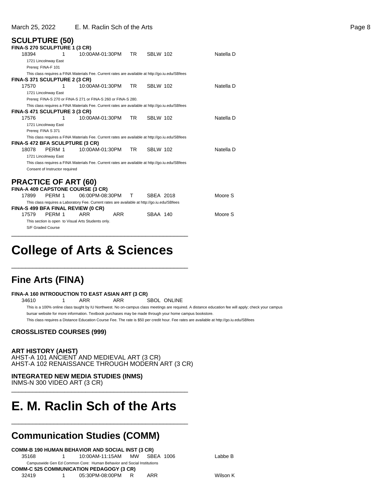### **SCULPTURE (50)**

|       | FINA-S 270 SCULPTURE 1 (3 CR)        |                                                                                                  |     |                 |           |
|-------|--------------------------------------|--------------------------------------------------------------------------------------------------|-----|-----------------|-----------|
| 18394 | 1                                    | 10:00AM-01:30PM                                                                                  | TR. | <b>SBLW 102</b> | Natella D |
|       | 1721 Lincolnway East                 |                                                                                                  |     |                 |           |
|       | Prereq: FINA-F 101                   |                                                                                                  |     |                 |           |
|       |                                      | This class requires a FINA Materials Fee. Current rates are available at http://go.iu.edu/SBfees |     |                 |           |
|       | FINA-S 371 SCULPTURE 2 (3 CR)        |                                                                                                  |     |                 |           |
| 17570 | 1                                    | 10:00AM-01:30PM                                                                                  | TR. | <b>SBLW 102</b> | Natella D |
|       | 1721 Lincolnway East                 |                                                                                                  |     |                 |           |
|       |                                      | Prereq: FINA-S 270 or FINA-S 271 or FINA-S 260 or FINA-S 280.                                    |     |                 |           |
|       |                                      | This class requires a FINA Materials Fee. Current rates are available at http://go.iu.edu/SBfees |     |                 |           |
|       | <b>FINA-S 471 SCULPTURE 3 (3 CR)</b> |                                                                                                  |     |                 |           |
| 17576 | 1                                    | 10:00AM-01:30PM                                                                                  | TR. | <b>SBLW 102</b> | Natella D |
|       | 1721 Lincolnway East                 |                                                                                                  |     |                 |           |
|       | Prereg: FINA S 371                   |                                                                                                  |     |                 |           |
|       |                                      | This class requires a FINA Materials Fee. Current rates are available at http://go.iu.edu/SBfees |     |                 |           |
|       | FINA-S 472 BFA SCULPTURE (3 CR)      |                                                                                                  |     |                 |           |
| 18078 | PERM 1                               | 10:00AM-01:30PM                                                                                  | TR. | <b>SBLW 102</b> | Natella D |
|       | 1721 Lincolnway East                 |                                                                                                  |     |                 |           |
|       |                                      | This class requires a FINA Materials Fee. Current rates are available at http://go.iu.edu/SBfees |     |                 |           |
|       | Consent of Instructor required       |                                                                                                  |     |                 |           |
|       |                                      |                                                                                                  |     |                 |           |
|       | <b>PRACTICE OF ART (60)</b>          |                                                                                                  |     |                 |           |
|       |                                      | FINA-A 409 CAPSTONE COURSE (3 CR)                                                                |     |                 |           |
| 17899 | PFRM 1                               | 06:00PM-08:30PM                                                                                  | т   | SBEA 2018       | Moore S   |
|       |                                      | This class requires a Laboratory Fee. Current rates are available at http://go.iu.edu/SBfees     |     |                 |           |
|       | FINA-S 499 BFA FINAL REVIEW (0 CR)   |                                                                                                  |     |                 |           |
| 17579 | PERM 1                               | ARR<br>ARR                                                                                       |     | SBAA 140        | Moore S   |
|       |                                      | This section is open to Visual Arts Students only.                                               |     |                 |           |
|       | S/F Graded Course                    |                                                                                                  |     |                 |           |

## **College of Arts & Sciences**

\_\_\_\_\_\_\_\_\_\_\_\_\_\_\_\_\_\_\_\_\_\_\_\_\_\_\_\_\_\_\_\_\_\_\_\_\_\_\_\_\_\_\_\_\_\_\_\_\_\_

\_\_\_\_\_\_\_\_\_\_\_\_\_\_\_\_\_\_\_\_\_\_\_\_\_\_\_\_\_\_\_\_\_\_\_\_\_\_\_\_\_\_\_\_\_\_\_\_\_\_

### **Fine Arts (FINA)**

### **FINA-A 160 INTRODUCTION TO EAST ASIAN ART (3 CR)**

34610 1 ARR ARR SBOL ONLINE

This is a 100% online class taught by IU Northwest. No on-campus class meetings are required. A distance education fee will apply; check your campus bursar website for more information. Textbook purchases may be made through your home campus bookstore.

This class requires a Distance Education Course Fee. The rate is \$50 per credit hour. Fee rates are available at http://go.iu.edu/SBfees

### **CROSSLISTED COURSES (999)**

### **ART HISTORY (AHST)**

AHST-A 101 ANCIENT AND MEDIEVAL ART (3 CR) AHST-A 102 RENAISSANCE THROUGH MODERN ART (3 CR)

### **INTEGRATED NEW MEDIA STUDIES (INMS)**

INMS-N 300 VIDEO ART (3 CR) \_\_\_\_\_\_\_\_\_\_\_\_\_\_\_\_\_\_\_\_\_\_\_\_\_\_\_\_\_\_\_\_\_\_\_\_\_\_\_\_\_\_\_\_\_\_\_\_\_\_

# **E. M. Raclin Sch of the Arts**

\_\_\_\_\_\_\_\_\_\_\_\_\_\_\_\_\_\_\_\_\_\_\_\_\_\_\_\_\_\_\_\_\_\_\_\_\_\_\_\_\_\_\_\_\_\_\_\_\_\_

## **Communication Studies (COMM)**

|       | <b>COMM-B 190 HUMAN BEHAVIOR AND SOCIAL INST (3 CR)</b>               |     |          |
|-------|-----------------------------------------------------------------------|-----|----------|
| 35168 |                                                                       |     | Labbe B  |
|       | Campuswide Gen Ed Common Core: Human Behavior and Social Institutions |     |          |
|       | <b>COMM-C 525 COMMUNICATION PEDAGOGY (3 CR)</b>                       |     |          |
| 32419 |                                                                       | ARR | Wilson K |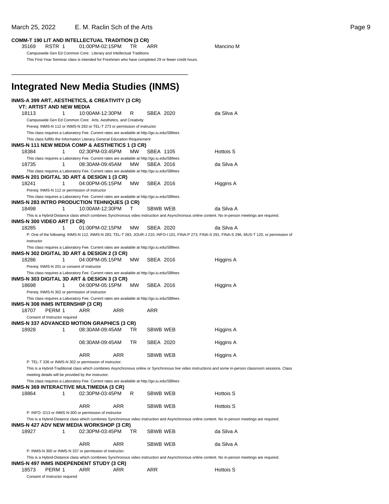### **COMM-T 190 LIT AND INTELLECTUAL TRADITION (3 CR)**

35169 RSTR 1 01:00PM-02:15PM TR ARR Mancino M Campuswide Gen Ed Common Core: Literary and Intellectual Traditions This First-Year Seminar class is intended for Freshmen who have completed 29 or fewer credit hours.

**Integrated New Media Studies (INMS)**

\_\_\_\_\_\_\_\_\_\_\_\_\_\_\_\_\_\_\_\_\_\_\_\_\_\_\_\_\_\_\_\_\_\_\_\_\_\_\_\_\_\_\_\_\_\_\_\_\_\_

#### **INMS-A 399 ART, AESTHETICS, & CREATIVITY (3 CR) VT: ARTIST AND NEW MEDIA** 18113 1 10:00AM-12:30PM R SBEA 2020 da Silva A Campuswide Gen Ed Common Core: Arts, Aesthetics, and Creativity Prereq: INMS-N 112 or INMS-N 283 or TEL-T 273 or permission of instructor This class requires a Laboratory Fee. Current rates are available at http://go.iu.edu/SBfees This class fulfills the Information Literacy General Education Requirement **INMS-N 111 NEW MEDIA COMP & AESTHETICS 1 (3 CR)** 18384 1 02:30PM-03:45PM MW SBEA 1105 Hottois S This class requires a Laboratory Fee. Current rates are available at http://go.iu.edu/SBfees 18735 1 08:30AM-09:45AM MW SBEA 2016 da Silva A This class requires a Laboratory Fee. Current rates are available at http://go.iu.edu/SBfees **INMS-N 201 DIGITAL 3D ART & DESIGN 1 (3 CR)** 18241 1 04:00PM-05:15PM MW SBEA 2016 Higgins A Prereq: INMS-N 112 or permission of instructor This class requires a Laboratory Fee. Current rates are available at http://go.iu.edu/SBfees **INMS-N 283 INTRO PRODUCTION TEHNIQUES (3 CR)** 18498 1 10:00AM-12:30PM T SBWB WEB da Silva A This is a Hybrid-Distance class which combines Synchronous video instruction and Asynchronous online content. No in-person meetings are required. **INMS-N 300 VIDEO ART (3 CR)** 18285 1 01:00PM-02:15PM MW SBEA 2020 da Silva A P: One of the following: INMS-N 112, INMS-N 283, TEL-T 283, JOUR-J 210, INFO-I 101, FINA-P 273, FINA-S 291, FINA-S 296, MUS-T 120, or permission of instructor This class requires a Laboratory Fee. Current rates are available at http://go.iu.edu/SBfees **INMS-N 302 DIGITAL 3D ART & DESIGN 2 (3 CR)** 18286 1 04:00PM-05:15PM MW SBEA 2016 Higgins A Prereq: INMS-N 201 or consent of instructor This class requires a Laboratory Fee. Current rates are available at http://go.iu.edu/SBfees **INMS-N 303 DIGITAL 3D ART & DESIGN 3 (3 CR)** 18698 1 04:00PM-05:15PM MW SBEA 2016 Higgins A Prereq: INMS-N 302 or permission of instructor This class requires a Laboratory Fee. Current rates are available at http://go.iu.edu/SBfees **INMS-N 308 INMS INTERNSHIP (3 CR)** 18707 PERM 1 ARR ARR ARR Consent of Instructor required **INMS-N 337 ADVANCED MOTION GRAPHICS (3 CR)** 18928 1 08:30AM-09:45AM TR SBWB WEB Higgins A 08:30AM-09:45AM TR SBEA 2020 Higgins A ARR ARR SBWB WEB Higgins A P: TEL-T 336 or INMS-N 302 or permission of instructor. This is a Hybrid-Traditional class which combines Asynchronous online or Synchronous live video instructions and some in-person classroom sessions. Class meeting details will be provided by the instructor. This class requires a Laboratory Fee. Current rates are available at http://go.iu.edu/SBfees

| <b>INMS-N 369 INTERACTIVE MULTIMEDIA (3 CR)</b> |        |                                                          |            |     |                 |                                                                                                                                                   |
|-------------------------------------------------|--------|----------------------------------------------------------|------------|-----|-----------------|---------------------------------------------------------------------------------------------------------------------------------------------------|
| 18864                                           |        | 02:30PM-03:45PM                                          |            | R   | <b>SBWB WEB</b> | Hottois S                                                                                                                                         |
|                                                 |        | <b>ARR</b>                                               | ARR        |     | <b>SBWB WEB</b> | Hottois S                                                                                                                                         |
|                                                 |        | P: INFO-1213 or INMS N-300 or permission of instructor   |            |     |                 |                                                                                                                                                   |
|                                                 |        |                                                          |            |     |                 | This is a Hybrid-Distance class which combines Synchronous video instruction and Asynchronous online content. No in-person meetings are required. |
| <b>INMS-N 427 ADV NEW MEDIA WORKSHOP (3 CR)</b> |        |                                                          |            |     |                 |                                                                                                                                                   |
| 18927                                           |        | 02:30PM-03:45PM                                          |            | TR. | <b>SBWB WEB</b> | da Silva A                                                                                                                                        |
|                                                 |        | <b>ARR</b>                                               | <b>ARR</b> |     | <b>SBWB WEB</b> | da Silva A                                                                                                                                        |
|                                                 |        | P: INMS-N 300 or INMS-N 337 or permission of instructor. |            |     |                 |                                                                                                                                                   |
|                                                 |        |                                                          |            |     |                 | This is a Hybrid-Distance class which combines Synchronous video instruction and Asynchronous online content. No in-person meetings are required. |
| <b>INMS-N 497 INMS INDEPENDENT STUDY (3 CR)</b> |        |                                                          |            |     |                 |                                                                                                                                                   |
| 18573                                           | PERM 1 | ARR                                                      | ARR        |     | ARR             | Hottois S                                                                                                                                         |

Consent of Instructor required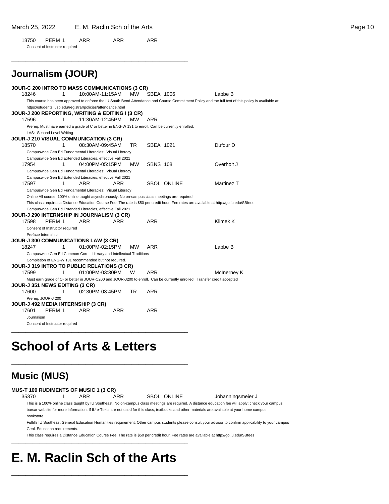18750 PERM 1 ARR ARR ARR Consent of Instructor required

\_\_\_\_\_\_\_\_\_\_\_\_\_\_\_\_\_\_\_\_\_\_\_\_\_\_\_\_\_\_\_\_\_\_\_\_\_\_\_\_\_\_\_\_\_\_\_\_\_\_

|       | Journalism (JOUR)                     |   |                                                                     |            |           |                 |                                                                                                    |                                                                                                                                                      |
|-------|---------------------------------------|---|---------------------------------------------------------------------|------------|-----------|-----------------|----------------------------------------------------------------------------------------------------|------------------------------------------------------------------------------------------------------------------------------------------------------|
|       |                                       |   | JOUR-C 200 INTRO TO MASS COMMUNICATIONS (3 CR)                      |            |           |                 |                                                                                                    |                                                                                                                                                      |
| 18246 |                                       | 1 | 10:00AM-11:15AM                                                     |            | <b>MW</b> | SBEA 1006       |                                                                                                    | Labbe B                                                                                                                                              |
|       |                                       |   |                                                                     |            |           |                 |                                                                                                    | This course has been approved to enforce the IU South Bend Attendance and Course Commitment Policy and the full text of this policy is available at: |
|       |                                       |   | https://students.iusb.edu/registrar/policies/attendance.html        |            |           |                 |                                                                                                    |                                                                                                                                                      |
|       |                                       |   | <b>JOUR-J 200 REPORTING, WRITING &amp; EDITING I (3 CR)</b>         |            |           |                 |                                                                                                    |                                                                                                                                                      |
| 17596 |                                       | 1 | 11:30AM-12:45PM                                                     |            | MW        | ARR             |                                                                                                    |                                                                                                                                                      |
|       |                                       |   |                                                                     |            |           |                 | Prereq: Must have earned a grade of C or better in ENG-W 131 to enroll. Can be currently enrolled. |                                                                                                                                                      |
|       | LAS: Second Level Writing             |   |                                                                     |            |           |                 |                                                                                                    |                                                                                                                                                      |
|       |                                       |   | <b>JOUR-J 210 VISUAL COMMUNICATION (3 CR)</b>                       |            |           |                 |                                                                                                    |                                                                                                                                                      |
| 18570 |                                       | 1 | 08:30AM-09:45AM                                                     |            | TR.       | SBEA 1021       |                                                                                                    | Dufour D                                                                                                                                             |
|       |                                       |   | Campuswide Gen Ed Fundamental Literacies: Visual Literacy           |            |           |                 |                                                                                                    |                                                                                                                                                      |
|       |                                       |   | Campuswide Gen Ed Extended Literacies, effective Fall 2021          |            |           |                 |                                                                                                    |                                                                                                                                                      |
| 17954 |                                       | 1 | 04:00PM-05:15PM                                                     |            | мw        | <b>SBNS 108</b> |                                                                                                    | Overholt J                                                                                                                                           |
|       |                                       |   | Campuswide Gen Ed Fundamental Literacies: Visual Literacy           |            |           |                 |                                                                                                    |                                                                                                                                                      |
|       |                                       |   | Campuswide Gen Ed Extended Literacies, effective Fall 2021          |            |           |                 |                                                                                                    |                                                                                                                                                      |
| 17597 |                                       | 1 | <b>ARR</b>                                                          | ARR        |           |                 | <b>SBOL ONLINE</b>                                                                                 | Martinez T                                                                                                                                           |
|       |                                       |   | Campuswide Gen Ed Fundamental Literacies: Visual Literacy           |            |           |                 |                                                                                                    |                                                                                                                                                      |
|       |                                       |   |                                                                     |            |           |                 | Online All course: 100% online taught asynchronously. No on-campus class meetings are required.    |                                                                                                                                                      |
|       |                                       |   |                                                                     |            |           |                 |                                                                                                    | This class requires a Distance Education Course Fee. The rate is \$50 per credit hour. Fee rates are available at http://go.iu.edu/SBfees            |
|       |                                       |   | Campuswide Gen Ed Extended Literacies, effective Fall 2021          |            |           |                 |                                                                                                    |                                                                                                                                                      |
|       |                                       |   | JOUR-J 290 INTERNSHIP IN JOURNALISM (3 CR)                          |            |           |                 |                                                                                                    |                                                                                                                                                      |
| 17598 | PERM 1                                |   | <b>ARR</b>                                                          | <b>ARR</b> |           | <b>ARR</b>      |                                                                                                    | Klimek K                                                                                                                                             |
|       | Consent of Instructor required        |   |                                                                     |            |           |                 |                                                                                                    |                                                                                                                                                      |
|       | Preface Internship                    |   |                                                                     |            |           |                 |                                                                                                    |                                                                                                                                                      |
|       |                                       |   | <b>JOUR-J 300 COMMUNICATIONS LAW (3 CR)</b>                         |            |           |                 |                                                                                                    |                                                                                                                                                      |
| 18247 |                                       | 1 | 01:00PM-02:15PM                                                     |            | <b>MW</b> | ARR             |                                                                                                    | Labbe B                                                                                                                                              |
|       |                                       |   | Campuswide Gen Ed Common Core: Literary and Intellectual Traditions |            |           |                 |                                                                                                    |                                                                                                                                                      |
|       |                                       |   | Completion of ENG-W 131 recommended but not required.               |            |           |                 |                                                                                                    |                                                                                                                                                      |
| 17599 |                                       | 1 | JOUR-J 319 INTRO TO PUBLIC RELATIONS (3 CR)<br>01:00PM-03:30PM      |            | W         | ARR             |                                                                                                    |                                                                                                                                                      |
|       |                                       |   |                                                                     |            |           |                 |                                                                                                    | McInerney K                                                                                                                                          |
|       | <b>JOUR-J 351 NEWS EDITING (3 CR)</b> |   |                                                                     |            |           |                 |                                                                                                    | Must earn grade of C- or better in JOUR-C200 and JOUR-J200 to enroll. Can be currently enrolled. Transfer credit accepted                            |
| 17600 |                                       | 1 | 02:30PM-03:45PM                                                     |            | TR.       | ARR             |                                                                                                    |                                                                                                                                                      |
|       | Prereq: JOUR-J 200                    |   |                                                                     |            |           |                 |                                                                                                    |                                                                                                                                                      |
|       |                                       |   | JOUR-J 492 MEDIA INTERNSHIP (3 CR)                                  |            |           |                 |                                                                                                    |                                                                                                                                                      |
| 17601 | PERM 1                                |   | <b>ARR</b>                                                          | <b>ARR</b> |           | <b>ARR</b>      |                                                                                                    |                                                                                                                                                      |
|       | Journalism                            |   |                                                                     |            |           |                 |                                                                                                    |                                                                                                                                                      |
|       | Consent of Instructor required        |   |                                                                     |            |           |                 |                                                                                                    |                                                                                                                                                      |

# **School of Arts & Letters**

\_\_\_\_\_\_\_\_\_\_\_\_\_\_\_\_\_\_\_\_\_\_\_\_\_\_\_\_\_\_\_\_\_\_\_\_\_\_\_\_\_\_\_\_\_\_\_\_\_\_

\_\_\_\_\_\_\_\_\_\_\_\_\_\_\_\_\_\_\_\_\_\_\_\_\_\_\_\_\_\_\_\_\_\_\_\_\_\_\_\_\_\_\_\_\_\_\_\_\_\_

## **Music (MUS)**

| <b>MUS-T 109 RUDIMENTS OF MUSIC 1 (3 CR)</b> |  |
|----------------------------------------------|--|
|                                              |  |

35370 1 ARR ARR SBOL ONLINE Johanningsmeier J

This is a 100% online class taught by IU Southeast. No on-campus class meetings are required. A distance education fee will apply; check your campus bursar website for more information. If IU e-Texts are not used for this class, textbooks and other materials are available at your home campus bookstore.

Fulfills IU Southeast General Education Humanities requirement. Other campus students please consult your advisor to confirm applicability to your campus Genl. Education requirements.

This class requires a Distance Education Course Fee. The rate is \$50 per credit hour. Fee rates are available at http://go.iu.edu/SBfees

# **E. M. Raclin Sch of the Arts**

\_\_\_\_\_\_\_\_\_\_\_\_\_\_\_\_\_\_\_\_\_\_\_\_\_\_\_\_\_\_\_\_\_\_\_\_\_\_\_\_\_\_\_\_\_\_\_\_\_\_

\_\_\_\_\_\_\_\_\_\_\_\_\_\_\_\_\_\_\_\_\_\_\_\_\_\_\_\_\_\_\_\_\_\_\_\_\_\_\_\_\_\_\_\_\_\_\_\_\_\_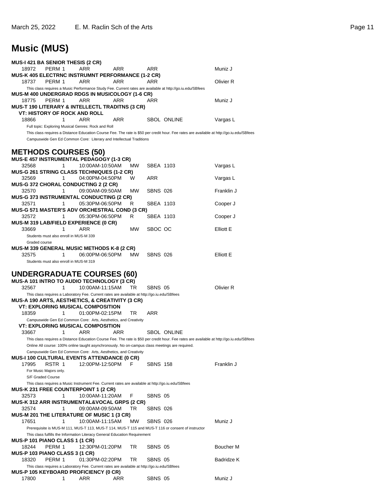# **Music (MUS)**

| <b>MUS-I 421 BA SENIOR THESIS (2 CR)</b>                    |                                             |                                                                                                    |           |                 |                                                                                                           |                                                                                                                                           |
|-------------------------------------------------------------|---------------------------------------------|----------------------------------------------------------------------------------------------------|-----------|-----------------|-----------------------------------------------------------------------------------------------------------|-------------------------------------------------------------------------------------------------------------------------------------------|
| 18972                                                       | PERM 1                                      | ARR                                                                                                | ARR       | ARR             |                                                                                                           | Muniz J                                                                                                                                   |
| MUS-K 405 ELECTRNC INSTRUMNT PERFORMANCE (1-2 CR)<br>18737  | PERM 1                                      | ARR                                                                                                | ARR       | ARR             |                                                                                                           | Olivier R                                                                                                                                 |
|                                                             |                                             |                                                                                                    |           |                 | This class requires a Music Performance Study Fee. Current rates are available at http://go.iu.edu/SBfees |                                                                                                                                           |
| MUS-M 400 UNDERGRAD RDGS IN MUSICOLOGY (1-6 CR)             |                                             |                                                                                                    |           |                 |                                                                                                           |                                                                                                                                           |
| 18775                                                       | PERM 1                                      | ARR                                                                                                | ARR       | ARR             |                                                                                                           | Muniz J                                                                                                                                   |
| <b>MUS-T 190 LITERARY &amp; INTELLECTL TRADITNS (3 CR)</b>  |                                             |                                                                                                    |           |                 |                                                                                                           |                                                                                                                                           |
| <b>VT: HISTORY OF ROCK AND ROLL</b>                         |                                             |                                                                                                    |           |                 |                                                                                                           |                                                                                                                                           |
| 18866                                                       | 1                                           | ARR<br>Full topic: Exploring Musical Genres: Rock and Roll                                         | ARR       |                 | <b>SBOL ONLINE</b>                                                                                        | Vargas L                                                                                                                                  |
|                                                             |                                             |                                                                                                    |           |                 |                                                                                                           | This class requires a Distance Education Course Fee. The rate is \$50 per credit hour. Fee rates are available at http://go.iu.edu/SBfees |
|                                                             |                                             | Campuswide Gen Ed Common Core: Literary and Intellectual Traditions                                |           |                 |                                                                                                           |                                                                                                                                           |
|                                                             |                                             |                                                                                                    |           |                 |                                                                                                           |                                                                                                                                           |
| <b>METHODS COURSES (50)</b>                                 |                                             |                                                                                                    |           |                 |                                                                                                           |                                                                                                                                           |
| MUS-E 457 INSTRUMENTAL PEDAGOGY (1-3 CR)                    |                                             |                                                                                                    |           |                 |                                                                                                           |                                                                                                                                           |
| 32568                                                       | 1                                           | 10:00AM-10:50AM                                                                                    | MW.       | SBEA 1103       |                                                                                                           | Vargas L                                                                                                                                  |
| <b>MUS-G 261 STRING CLASS TECHNIQUES (1-2 CR)</b><br>32569  | 1                                           | 04:00PM-04:50PM                                                                                    | W         | ARR             |                                                                                                           | Vargas L                                                                                                                                  |
| MUS-G 372 CHORAL CONDUCTING 2 (2 CR)                        |                                             |                                                                                                    |           |                 |                                                                                                           |                                                                                                                                           |
| 32570                                                       | 1                                           | 09:00AM-09:50AM                                                                                    | МW        | <b>SBNS 026</b> |                                                                                                           | Franklin J                                                                                                                                |
| <b>MUS-G 373 INSTRUMENTAL CONDUCTING (2 CR)</b>             |                                             |                                                                                                    |           |                 |                                                                                                           |                                                                                                                                           |
| 32571                                                       | 1                                           | 05:30PM-06:50PM                                                                                    | R         | SBEA 1103       |                                                                                                           | Cooper J                                                                                                                                  |
| <b>MUS-G 571 MASTER'S ADV ORCHESTRAL COND (3 CR)</b>        |                                             |                                                                                                    |           |                 |                                                                                                           |                                                                                                                                           |
| 32572                                                       | 1                                           | 05:30PM-06:50PM                                                                                    | R.        | SBEA 1103       |                                                                                                           | Cooper J                                                                                                                                  |
| MUS-M 319 LAB/FIELD EXPERIENCE (0 CR)<br>33669              |                                             |                                                                                                    |           |                 |                                                                                                           |                                                                                                                                           |
|                                                             | 1<br>Students must also enroll in MUS-M 339 | ARR                                                                                                | <b>MW</b> | SBOC OC         |                                                                                                           | Elliott E                                                                                                                                 |
| Graded course                                               |                                             |                                                                                                    |           |                 |                                                                                                           |                                                                                                                                           |
| MUS-M 339 GENERAL MUSIC METHODS K-8 (2 CR)                  |                                             |                                                                                                    |           |                 |                                                                                                           |                                                                                                                                           |
| 32575                                                       | 1                                           | 06:00PM-06:50PM                                                                                    | <b>MW</b> | <b>SBNS 026</b> |                                                                                                           | Elliott E                                                                                                                                 |
|                                                             | Students must also enroll in MUS-M 319      |                                                                                                    |           |                 |                                                                                                           |                                                                                                                                           |
|                                                             |                                             |                                                                                                    |           |                 |                                                                                                           |                                                                                                                                           |
|                                                             |                                             |                                                                                                    |           |                 |                                                                                                           |                                                                                                                                           |
| <b>UNDERGRADUATE COURSES (60)</b>                           |                                             |                                                                                                    |           |                 |                                                                                                           |                                                                                                                                           |
| MUS-A 101 INTRO TO AUDIO TECHNOLOGY (3 CR)                  |                                             |                                                                                                    |           |                 |                                                                                                           |                                                                                                                                           |
| 32567                                                       | 1                                           | 10:00AM-11:15AM                                                                                    | TR        | SBNS 05         |                                                                                                           | Olivier R                                                                                                                                 |
|                                                             |                                             | This class requires a Laboratory Fee. Current rates are available at http://go.iu.edu/SBfees       |           |                 |                                                                                                           |                                                                                                                                           |
| <b>MUS-A 190 ARTS, AESTHETICS, &amp; CREATIVITY (3 CR)</b>  |                                             | <b>VT: EXPLORING MUSICAL COMPOSITION</b>                                                           |           |                 |                                                                                                           |                                                                                                                                           |
| 18359                                                       | 1                                           | 01:00PM-02:15PM                                                                                    | TR        | ARR             |                                                                                                           |                                                                                                                                           |
|                                                             |                                             | Campuswide Gen Ed Common Core: Arts, Aesthetics, and Creativity                                    |           |                 |                                                                                                           |                                                                                                                                           |
|                                                             |                                             | <b>VT: EXPLORING MUSICAL COMPOSITION</b>                                                           |           |                 |                                                                                                           |                                                                                                                                           |
| 33667                                                       | 1                                           | ARR                                                                                                | ARR       |                 | <b>SBOL ONLINE</b>                                                                                        |                                                                                                                                           |
|                                                             |                                             |                                                                                                    |           |                 |                                                                                                           | This class requires a Distance Education Course Fee. The rate is \$50 per credit hour. Fee rates are available at http://go.iu.edu/SBfees |
|                                                             |                                             | Online All course: 100% online taught asynchronously. No on-campus class meetings are required.    |           |                 |                                                                                                           |                                                                                                                                           |
|                                                             |                                             | Campuswide Gen Ed Common Core: Arts, Aesthetics, and Creativity                                    |           |                 |                                                                                                           |                                                                                                                                           |
| <b>MUS-I 100 CULTURAL EVENTS ATTENDANCE (0 CR)</b><br>17995 | RSTR 1                                      | 12:00PM-12:50PM                                                                                    | F         | <b>SBNS 158</b> |                                                                                                           | Franklin J                                                                                                                                |
| For Music Majors only.                                      |                                             |                                                                                                    |           |                 |                                                                                                           |                                                                                                                                           |
| S/F Graded Course                                           |                                             |                                                                                                    |           |                 |                                                                                                           |                                                                                                                                           |
|                                                             |                                             | This class requires a Music Instrument Fee. Current rates are available at http://go.iu.edu/SBfees |           |                 |                                                                                                           |                                                                                                                                           |
| <b>MUS-K 231 FREE COUNTERPOINT 1 (2 CR)</b>                 |                                             |                                                                                                    |           |                 |                                                                                                           |                                                                                                                                           |
| 32573                                                       | 1                                           | 10:00AM-11:20AM                                                                                    | F         | SBNS 05         |                                                                                                           |                                                                                                                                           |
| <b>MUS-K 312 ARR INSTRUMENTAL&amp;VOCAL GRPS (2 CR)</b>     |                                             |                                                                                                    |           |                 |                                                                                                           |                                                                                                                                           |
| 32574                                                       | 1.                                          | 09:00AM-09:50AM                                                                                    | TR        | <b>SBNS 026</b> |                                                                                                           |                                                                                                                                           |
| <b>MUS-M 201 THE LITERATURE OF MUSIC 1 (3 CR)</b><br>17651  | 1                                           | 10:00AM-11:15AM                                                                                    | MW        | <b>SBNS 026</b> |                                                                                                           | Muniz J                                                                                                                                   |
|                                                             |                                             |                                                                                                    |           |                 | Prerequisite is MUS-M 111, MUS-T 113, MUS-T 114, MUS-T 115 and MUS-T 116 or consent of instructor         |                                                                                                                                           |
|                                                             |                                             | This class fulfills the Information Literacy General Education Requirement                         |           |                 |                                                                                                           |                                                                                                                                           |
| MUS-P 101 PIANO CLASS 1 (1 CR)                              |                                             |                                                                                                    |           |                 |                                                                                                           |                                                                                                                                           |
| 18244                                                       | PERM 1                                      | 12:30PM-01:20PM                                                                                    | TR        | SBNS 05         |                                                                                                           | Boucher M                                                                                                                                 |
| <b>MUS-P 103 PIANO CLASS 3 (1 CR)</b>                       |                                             |                                                                                                    |           |                 |                                                                                                           |                                                                                                                                           |
| 18320                                                       | PERM 1                                      | 01:30PM-02:20PM                                                                                    | TR        | SBNS 05         |                                                                                                           | Badridze K                                                                                                                                |
| <b>MUS-P 105 KEYBOARD PROFICIENCY (0 CR)</b>                |                                             | This class requires a Laboratory Fee. Current rates are available at http://go.iu.edu/SBfees       |           |                 |                                                                                                           |                                                                                                                                           |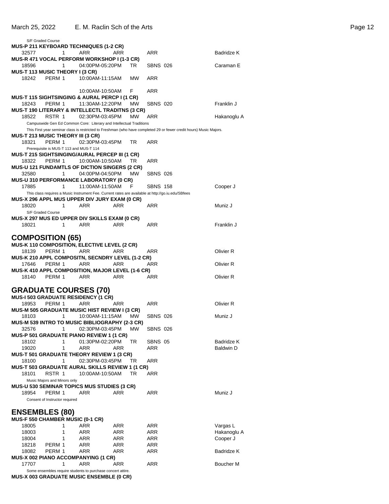| S/F Graded Course                                    |                                                                                                    |           |                 |                                                                                                                     |             |
|------------------------------------------------------|----------------------------------------------------------------------------------------------------|-----------|-----------------|---------------------------------------------------------------------------------------------------------------------|-------------|
| <b>MUS-P 211 KEYBOARD TECHNIQUES (1-2 CR)</b>        |                                                                                                    |           |                 |                                                                                                                     |             |
| 32577<br>1                                           | ARR<br>ARR                                                                                         |           | ARR             |                                                                                                                     | Badridze K  |
| MUS-R 471 VOCAL PERFORM WORKSHOP I (1-3 CR)          |                                                                                                    |           |                 |                                                                                                                     |             |
| 18596<br>1                                           | 04:00PM-05:20PM                                                                                    | TR        | <b>SBNS 026</b> |                                                                                                                     | Caraman E   |
| MUS-T 113 MUSIC THEORY I (3 CR)                      |                                                                                                    |           |                 |                                                                                                                     |             |
| 18242<br>PERM 1                                      | 10:00AM-11:15AM                                                                                    | MW.       | <b>ARR</b>      |                                                                                                                     |             |
|                                                      |                                                                                                    |           |                 |                                                                                                                     |             |
|                                                      | 10:00AM-10:50AM                                                                                    | F         | ARR             |                                                                                                                     |             |
| MUS-T 115 SIGHTSINGING & AURAL PERCP I (1 CR)        |                                                                                                    |           |                 |                                                                                                                     |             |
| PERM 1<br>18243                                      | 11:30AM-12:20PM                                                                                    | <b>MW</b> | <b>SBNS 020</b> |                                                                                                                     | Franklin J  |
| MUS-T 190 LITERARY & INTELLECTL TRADITNS (3 CR)      |                                                                                                    |           |                 |                                                                                                                     |             |
| 18522<br>RSTR 1                                      | 02:30PM-03:45PM                                                                                    | <b>MW</b> | ARR             |                                                                                                                     | Hakanoglu A |
|                                                      | Campuswide Gen Ed Common Core: Literary and Intellectual Traditions                                |           |                 |                                                                                                                     |             |
|                                                      |                                                                                                    |           |                 | This First year seminar class is restricted to Freshman (who have completed 29 or fewer credit hours) Music Majors. |             |
| <b>MUS-T 213 MUSIC THEORY III (3 CR)</b>             |                                                                                                    |           |                 |                                                                                                                     |             |
| PERM 1<br>18321                                      | 02:30PM-03:45PM                                                                                    | TR        | ARR             |                                                                                                                     |             |
| Prerequisite is MUS-T 113 and MUS-T 114              |                                                                                                    |           |                 |                                                                                                                     |             |
| MUS-T 215 SIGHTSINGING/AURAL PERCEP III (1 CR)       |                                                                                                    |           |                 |                                                                                                                     |             |
| PERM 1<br>18322                                      | 10:00AM-10:50AM                                                                                    | TR        | ARR             |                                                                                                                     |             |
| <b>MUS-U 121 FUNDAMTLS OF DICTION SINGERS (2 CR)</b> |                                                                                                    |           |                 |                                                                                                                     |             |
| 32580<br>1                                           | 04:00PM-04:50PM                                                                                    | MW        | <b>SBNS 026</b> |                                                                                                                     |             |
| <b>MUS-U 310 PERFORMANCE LABORATORY (0 CR)</b>       |                                                                                                    |           |                 |                                                                                                                     |             |
| 17885<br>1                                           | 11:00AM-11:50AM                                                                                    | - F       | <b>SBNS 158</b> |                                                                                                                     | Cooper J    |
|                                                      | This class requires a Music Instrument Fee. Current rates are available at http://go.iu.edu/SBfees |           |                 |                                                                                                                     |             |
| MUS-X 296 APPL MUS UPPER DIV JURY EXAM (0 CR)        |                                                                                                    |           |                 |                                                                                                                     |             |
| 1<br>18020                                           | ARR<br>ARR                                                                                         |           | ARR             |                                                                                                                     | Muniz J     |
| S/F Graded Course                                    |                                                                                                    |           |                 |                                                                                                                     |             |
| MUS-X 297 MUS ED UPPER DIV SKILLS EXAM (0 CR)        |                                                                                                    |           |                 |                                                                                                                     |             |
| 18021<br>1                                           | ARR<br>ARR                                                                                         |           | ARR             |                                                                                                                     | Franklin J  |
|                                                      |                                                                                                    |           |                 |                                                                                                                     |             |
| <b>COMPOSITION (65)</b>                              |                                                                                                    |           |                 |                                                                                                                     |             |
| MUS-K 110 COMPOSITION, ELECTIVE LEVEL (2 CR)         |                                                                                                    |           |                 |                                                                                                                     |             |
| PERM 1<br>18139                                      | ARR<br>ARR                                                                                         |           | ARR             |                                                                                                                     | Olivier R   |
| MUS-K 210 APPL COMPOSITN, SECNDRY LEVEL (1-2 CR)     |                                                                                                    |           |                 |                                                                                                                     |             |
|                                                      |                                                                                                    |           |                 |                                                                                                                     |             |
| PERM 1<br>17646                                      | ARR<br>ARR                                                                                         |           | ARR             |                                                                                                                     | Olivier R   |
| MUS-K 410 APPL COMPOSITION, MAJOR LEVEL (1-6 CR)     |                                                                                                    |           |                 |                                                                                                                     |             |
| 18140<br>PERM 1                                      | ARR<br>ARR                                                                                         |           | ARR             |                                                                                                                     | Olivier R   |
|                                                      |                                                                                                    |           |                 |                                                                                                                     |             |
|                                                      |                                                                                                    |           |                 |                                                                                                                     |             |
| <b>GRADUATE COURSES (70)</b>                         |                                                                                                    |           |                 |                                                                                                                     |             |
| <b>MUS-I 503 GRADUATE RESIDENCY (1 CR)</b>           | <b>ARR</b>                                                                                         |           | <b>ARR</b>      |                                                                                                                     |             |
| 18953<br>PERM 1                                      | ARR                                                                                                |           |                 |                                                                                                                     | Olivier R   |
| <b>MUS-M 505 GRADUATE MUSIC HIST REVIEW I (3 CR)</b> |                                                                                                    |           |                 |                                                                                                                     |             |
| $1 \quad$<br>18103                                   | 10:00AM-11:15AM                                                                                    | MW        | SBNS 026        |                                                                                                                     | Muniz J     |
| MUS-M 539 INTRO TO MUSIC BIBLIOGRAPHY (2-3 CR)       |                                                                                                    |           |                 |                                                                                                                     |             |
| 32576<br>$\mathbf{1}$                                | 02:30PM-03:45PM                                                                                    | MW        | <b>SBNS 026</b> |                                                                                                                     |             |
| MUS-P 501 GRADUATE PIANO REVIEW 1 (1 CR)             |                                                                                                    |           |                 |                                                                                                                     |             |
| 18102<br>1                                           | 01:30PM-02:20PM                                                                                    | TR        | SBNS 05         |                                                                                                                     | Badridze K  |
| 19020<br>1                                           | ARR<br>ARR                                                                                         |           | ARR             |                                                                                                                     | Baldwin D   |
| <b>MUS-T 501 GRADUATE THEORY REVIEW 1 (3 CR)</b>     |                                                                                                    |           |                 |                                                                                                                     |             |
| 18100<br>1                                           | 02:30PM-03:45PM                                                                                    | TR        | ARR             |                                                                                                                     |             |
| MUS-T 503 GRADUATE AURAL SKILLS REVIEW 1 (1 CR)      |                                                                                                    |           |                 |                                                                                                                     |             |
| 18101<br>RSTR 1                                      | 10:00AM-10:50AM                                                                                    | TR        | ARR             |                                                                                                                     |             |
| Music Majors and Minors only                         |                                                                                                    |           |                 |                                                                                                                     |             |
| <b>MUS-U 530 SEMINAR TOPICS MUS STUDIES (3 CR)</b>   | ARR                                                                                                |           |                 |                                                                                                                     |             |
| 18954<br>PERM 1                                      | ARR                                                                                                |           | ARR             |                                                                                                                     | Muniz J     |
| Consent of Instructor required                       |                                                                                                    |           |                 |                                                                                                                     |             |
|                                                      |                                                                                                    |           |                 |                                                                                                                     |             |
| <b>ENSEMBLES (80)</b>                                |                                                                                                    |           |                 |                                                                                                                     |             |
| MUS-F 550 CHAMBER MUSIC (0-1 CR)                     |                                                                                                    |           |                 |                                                                                                                     |             |
| 18005<br>1                                           | ARR<br>ARR                                                                                         |           | ARR             |                                                                                                                     | Vargas L    |
| 1<br>18003                                           | ARR<br>ARR                                                                                         |           | ARR             |                                                                                                                     | Hakanoglu A |
| 1<br>18004                                           | ARR<br>ARR                                                                                         |           | ARR             |                                                                                                                     | Cooper J    |
| 18218<br>PERM 1                                      | ARR<br>ARR                                                                                         |           | ARR             |                                                                                                                     |             |
| PERM 1<br>18082                                      | ARR<br>ARR                                                                                         |           | ARR             |                                                                                                                     | Badridze K  |
| <b>MUS-X 002 PIANO ACCOMPANYING (1 CR)</b>           |                                                                                                    |           |                 |                                                                                                                     |             |
| 17707<br>1                                           | <b>ARR</b><br>ARR<br>Some ensembles require students to purchase concert attire.                   |           | ARR             |                                                                                                                     | Boucher M   |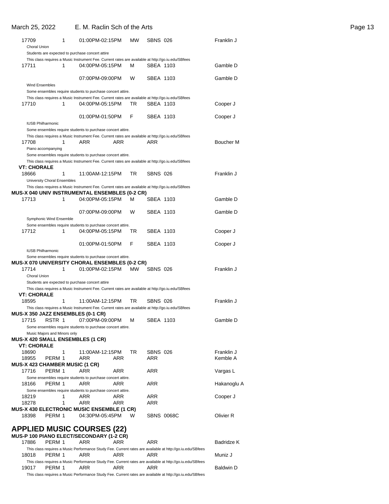### March 25, 2022 E. M. Raclin Sch of the Arts **Page 13**

| 17709<br>Choral Union    |                              | 1 | 01:00PM-02:15PM                                                                                                       |            | <b>MW</b> | <b>SBNS 026</b> |                                                                                                           | Franklin J       |
|--------------------------|------------------------------|---|-----------------------------------------------------------------------------------------------------------------------|------------|-----------|-----------------|-----------------------------------------------------------------------------------------------------------|------------------|
|                          |                              |   | Students are expected to purchase concert attire                                                                      |            |           |                 |                                                                                                           |                  |
| 17711                    |                              | 1 | This class requires a Music Instrument Fee. Current rates are available at http://go.iu.edu/SBfees<br>04:00PM-05:15PM |            | М         | SBEA 1103       |                                                                                                           | Gamble D         |
|                          |                              |   | 07:00PM-09:00PM                                                                                                       |            | W         | SBEA 1103       |                                                                                                           | Gamble D         |
| Wind Ensembles           |                              |   |                                                                                                                       |            |           |                 |                                                                                                           |                  |
|                          |                              |   | Some ensembles require students to purchase concert attire.                                                           |            |           |                 |                                                                                                           |                  |
|                          |                              |   | This class requires a Music Instrument Fee. Current rates are available at http://go.iu.edu/SBfees                    |            |           |                 |                                                                                                           |                  |
| 17710                    |                              | 1 | 04:00PM-05:15PM                                                                                                       |            | TR        | SBEA 1103       |                                                                                                           | Cooper J         |
| <b>IUSB Philharmonic</b> |                              |   | 01:00PM-01:50PM                                                                                                       |            | F         | SBEA 1103       |                                                                                                           | Cooper J         |
|                          |                              |   | Some ensembles require students to purchase concert attire.                                                           |            |           |                 |                                                                                                           |                  |
|                          |                              |   | This class requires a Music Instrument Fee. Current rates are available at http://go.iu.edu/SBfees                    |            |           |                 |                                                                                                           |                  |
| 17708                    |                              | 1 | ARR                                                                                                                   | ARR        |           | ARR             |                                                                                                           | Boucher M        |
|                          | Piano accompanying           |   | Some ensembles require students to purchase concert attire.                                                           |            |           |                 |                                                                                                           |                  |
|                          |                              |   | This class requires a Music Instrument Fee. Current rates are available at http://go.iu.edu/SBfees                    |            |           |                 |                                                                                                           |                  |
| <b>VT: CHORALE</b>       |                              |   |                                                                                                                       |            |           |                 |                                                                                                           |                  |
| 18666                    |                              | 1 | 11:00AM-12:15PM                                                                                                       |            | TR        | <b>SBNS 026</b> |                                                                                                           | Franklin J       |
|                          | University Choral Ensembles  |   | This class requires a Music Instrument Fee. Current rates are available at http://go.iu.edu/SBfees                    |            |           |                 |                                                                                                           |                  |
|                          |                              |   | MUS-X 040 UNIV INSTRUMENTAL ENSEMBLES (0-2 CR)                                                                        |            |           |                 |                                                                                                           |                  |
| 17713                    |                              | 1 | 04:00PM-05:15PM                                                                                                       |            | м         | SBEA 1103       |                                                                                                           | Gamble D         |
|                          |                              |   |                                                                                                                       |            |           |                 |                                                                                                           |                  |
|                          | Symphonic Wind Ensemble      |   | 07:00PM-09:00PM                                                                                                       |            | W         | SBEA 1103       |                                                                                                           | Gamble D         |
|                          |                              |   | Some ensembles require students to purchase concert attire.                                                           |            |           |                 |                                                                                                           |                  |
| 17712                    |                              | 1 | 04:00PM-05:15PM                                                                                                       |            | TR        | SBEA 1103       |                                                                                                           | Cooper J         |
|                          |                              |   |                                                                                                                       |            |           |                 |                                                                                                           |                  |
| <b>IUSB Philharmonic</b> |                              |   | 01:00PM-01:50PM                                                                                                       |            | F         | SBEA 1103       |                                                                                                           | Cooper J         |
|                          |                              |   | Some ensembles require students to purchase concert attire.                                                           |            |           |                 |                                                                                                           |                  |
|                          |                              |   | MUS-X 070 UNIVERSITY CHORAL ENSEMBLES (0-2 CR)                                                                        |            |           |                 |                                                                                                           |                  |
| 17714                    |                              | 1 | 01:00PM-02:15PM                                                                                                       |            | MW.       | <b>SBNS 026</b> |                                                                                                           | Franklin J       |
| Choral Union             |                              |   |                                                                                                                       |            |           |                 |                                                                                                           |                  |
|                          |                              |   | Students are expected to purchase concert attire                                                                      |            |           |                 |                                                                                                           |                  |
| <b>VT: CHORALE</b>       |                              |   | This class requires a Music Instrument Fee. Current rates are available at http://go.iu.edu/SBfees                    |            |           |                 |                                                                                                           |                  |
| 18595                    |                              | 1 | 11:00AM-12:15PM                                                                                                       |            | TR        | SBNS 026        |                                                                                                           | Franklin J       |
|                          |                              |   | This class requires a Music Instrument Fee. Current rates are available at http://go.iu.edu/SBfees                    |            |           |                 |                                                                                                           |                  |
|                          |                              |   | <b>MUS-X 350 JAZZ ENSEMBLES (0-1 CR)</b>                                                                              |            |           |                 |                                                                                                           |                  |
|                          |                              |   | 17715 RSTR 1 07:00PM-09:00PM                                                                                          |            | м         | SBEA 1103       |                                                                                                           | Gamble D         |
|                          |                              |   | Some ensembles require students to purchase concert attire.                                                           |            |           |                 |                                                                                                           |                  |
|                          | Music Majors and Minors only |   | <b>MUS-X 420 SMALL ENSEMBLES (1 CR)</b>                                                                               |            |           |                 |                                                                                                           |                  |
| <b>VT: CHORALE</b>       |                              |   |                                                                                                                       |            |           |                 |                                                                                                           |                  |
| 18690                    |                              | 1 | 11:00AM-12:15PM                                                                                                       |            | TR        | <b>SBNS 026</b> |                                                                                                           | Franklin J       |
| 18955                    | PERM 1                       |   | ARR                                                                                                                   | ARR        |           | ARR             |                                                                                                           | Kemble A         |
|                          |                              |   | <b>MUS-X 423 CHAMBER MUSIC (1 CR)</b>                                                                                 |            |           |                 |                                                                                                           |                  |
| 17716                    | PERM 1                       |   | ARR                                                                                                                   | ARR        |           | ARR             |                                                                                                           | Vargas L         |
|                          |                              |   | Some ensembles require students to purchase concert attire.                                                           |            |           |                 |                                                                                                           |                  |
| 18166                    | PERM 1                       |   | ARR<br>Some ensembles require students to purchase concert attire.                                                    | ARR        |           | ARR             |                                                                                                           | Hakanoglu A      |
| 18219                    |                              | 1 | ARR                                                                                                                   | ARR        |           | ARR             |                                                                                                           | Cooper J         |
| 18278                    |                              | 1 | ARR                                                                                                                   | ARR        |           | ARR             |                                                                                                           |                  |
|                          |                              |   | MUS-X 430 ELECTRONIC MUSIC ENSEMBLE (1 CR)                                                                            |            |           |                 |                                                                                                           |                  |
| 18398                    | PERM 1                       |   | 04:30PM-05:45PM                                                                                                       |            | W         |                 | <b>SBNS 0068C</b>                                                                                         | Olivier R        |
|                          |                              |   | <b>APPLIED MUSIC COURSES (22)</b>                                                                                     |            |           |                 |                                                                                                           |                  |
|                          |                              |   | MUS-P 100 PIANO ELECT/SECONDARY (1-2 CR)                                                                              |            |           |                 |                                                                                                           |                  |
| 17886                    | PERM 1                       |   | <b>ARR</b>                                                                                                            | <b>ARR</b> |           | ARR             |                                                                                                           | Badridze K       |
|                          |                              |   |                                                                                                                       |            |           |                 | This class requires a Music Performance Study Fee. Current rates are available at http://go.iu.edu/SBfees |                  |
| 18018                    | PERM 1                       |   | ARR                                                                                                                   | ARR        |           | ARR             |                                                                                                           | Muniz J          |
| 19017                    | PERM 1                       |   | ARR                                                                                                                   | ARR        |           | ARR             | This class requires a Music Performance Study Fee. Current rates are available at http://go.iu.edu/SBfees | <b>Baldwin D</b> |
|                          |                              |   |                                                                                                                       |            |           |                 |                                                                                                           |                  |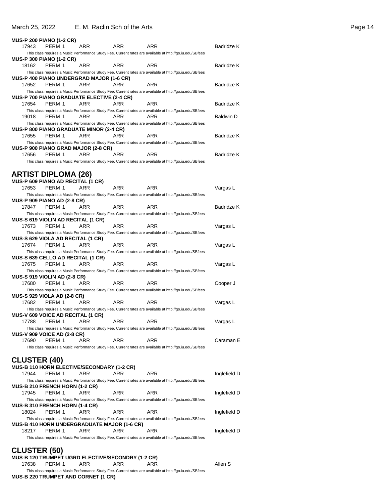### March 25, 2022 E. M. Raclin Sch of the Arts **Page 14** Page 14

|                     | <b>MUS-P 200 PIANO (1-2 CR)</b>                     |                                                   |                                             |                                                                                                           |                   |
|---------------------|-----------------------------------------------------|---------------------------------------------------|---------------------------------------------|-----------------------------------------------------------------------------------------------------------|-------------------|
| 17943               | PERM 1                                              | ARR                                               | ARR                                         | ARR                                                                                                       | Badridze K        |
|                     |                                                     |                                                   |                                             | This class requires a Music Performance Study Fee. Current rates are available at http://go.iu.edu/SBfees |                   |
|                     | <b>MUS-P 300 PIANO (1-2 CR)</b>                     |                                                   |                                             |                                                                                                           |                   |
| 18162               | PERM 1                                              | ARR                                               | ARR                                         | ARR                                                                                                       | <b>Badridze K</b> |
|                     |                                                     |                                                   |                                             | This class requires a Music Performance Study Fee. Current rates are available at http://go.iu.edu/SBfees |                   |
|                     |                                                     | <b>MUS-P 400 PIANO UNDERGRAD MAJOR (1-6 CR)</b>   |                                             |                                                                                                           |                   |
| 17652               | PERM 1                                              | ARR                                               | ARR                                         | ARR                                                                                                       | Badridze K        |
|                     |                                                     | <b>MUS-P 700 PIANO GRADUATE ELECTIVE (2-4 CR)</b> |                                             | This class requires a Music Performance Study Fee. Current rates are available at http://go.iu.edu/SBfees |                   |
| 17654               | PERM 1                                              | ARR                                               | ARR                                         | ARR                                                                                                       | Badridze K        |
|                     |                                                     |                                                   |                                             | This class requires a Music Performance Study Fee. Current rates are available at http://go.iu.edu/SBfees |                   |
| 19018               | PERM 1                                              | ARR                                               | <b>ARR</b>                                  | ARR                                                                                                       | <b>Baldwin D</b>  |
|                     |                                                     |                                                   |                                             | This class requires a Music Performance Study Fee. Current rates are available at http://go.iu.edu/SBfees |                   |
|                     |                                                     | <b>MUS-P 800 PIANO GRADUATE MINOR (2-4 CR)</b>    |                                             |                                                                                                           |                   |
| 17655               | PERM 1                                              | ARR                                               | ARR                                         | ARR                                                                                                       | Badridze K        |
|                     |                                                     |                                                   |                                             | This class requires a Music Performance Study Fee. Current rates are available at http://go.iu.edu/SBfees |                   |
| 17656               | PERM 1                                              | MUS-P 900 PIANO GRAD MAJOR (2-8 CR)<br>ARR        | ARR.                                        | ARR                                                                                                       | Badridze K        |
|                     |                                                     |                                                   |                                             | This class requires a Music Performance Study Fee. Current rates are available at http://go.iu.edu/SBfees |                   |
|                     |                                                     |                                                   |                                             |                                                                                                           |                   |
|                     | <b>ARTIST DIPLOMA (26)</b>                          |                                                   |                                             |                                                                                                           |                   |
|                     | MUS-P 609 PIANO AD RECITAL (1 CR)                   |                                                   |                                             |                                                                                                           |                   |
| 17653               | PERM 1                                              | ARR                                               | ARR                                         | ARR                                                                                                       | Vargas L          |
|                     |                                                     |                                                   |                                             | This class requires a Music Performance Study Fee. Current rates are available at http://go.iu.edu/SBfees |                   |
|                     | <b>MUS-P 909 PIANO AD (2-8 CR)</b>                  |                                                   |                                             |                                                                                                           |                   |
| 17847               | PERM 1                                              | ARR                                               | ARR                                         | ARR                                                                                                       | Badridze K        |
|                     |                                                     |                                                   |                                             | This class requires a Music Performance Study Fee. Current rates are available at http://go.iu.edu/SBfees |                   |
| 17673               | <b>MUS-S 619 VIOLIN AD RECITAL (1 CR)</b><br>PERM 1 | ARR                                               | ARR                                         | ARR                                                                                                       | Vargas L          |
|                     |                                                     |                                                   |                                             | This class requires a Music Performance Study Fee. Current rates are available at http://go.iu.edu/SBfees |                   |
|                     | <b>MUS-S 629 VIOLA AD RECITAL (1 CR)</b>            |                                                   |                                             |                                                                                                           |                   |
| 17674               | PERM 1                                              | ARR                                               |                                             |                                                                                                           |                   |
|                     |                                                     |                                                   | ARR                                         | ARR                                                                                                       | Vargas L          |
|                     |                                                     |                                                   |                                             | This class requires a Music Performance Study Fee. Current rates are available at http://go.iu.edu/SBfees |                   |
|                     | MUS-S 639 CELLO AD RECITAL (1 CR)                   |                                                   |                                             |                                                                                                           |                   |
| 17675               | PERM 1                                              | ARR                                               | ARR                                         | ARR                                                                                                       | Vargas L          |
|                     |                                                     |                                                   |                                             | This class requires a Music Performance Study Fee. Current rates are available at http://go.iu.edu/SBfees |                   |
|                     | MUS-S 919 VIOLIN AD (2-8 CR)                        |                                                   |                                             |                                                                                                           |                   |
| 17680               | PERM 1                                              | ARR                                               | ARR                                         | ARR                                                                                                       | Cooper J          |
|                     |                                                     |                                                   |                                             | This class requires a Music Performance Study Fee. Current rates are available at http://go.iu.edu/SBfees |                   |
| 17682               | <b>MUS-S 929 VIOLA AD (2-8 CR)</b><br>PERM 1        | <b>ARR</b>                                        | ARR                                         | ARR                                                                                                       |                   |
|                     |                                                     |                                                   |                                             | This class requires a Music Performance Study Fee. Current rates are available at http://go.iu.edu/SBfees | Vargas L          |
|                     | <b>MUS-V 609 VOICE AD RECITAL (1 CR)</b>            |                                                   |                                             |                                                                                                           |                   |
| 17788               | PERM 1                                              | ARR                                               | ARR                                         | ARR                                                                                                       | Vargas L          |
|                     |                                                     |                                                   |                                             | This class requires a Music Performance Study Fee. Current rates are available at http://go.iu.edu/SBfees |                   |
|                     | <b>MUS-V 909 VOICE AD (2-8 CR)</b>                  |                                                   |                                             |                                                                                                           |                   |
| 17690               | PERM 1                                              | ARR                                               | ARR                                         | ARR                                                                                                       | Caraman E         |
|                     |                                                     |                                                   |                                             | This class requires a Music Performance Study Fee. Current rates are available at http://go.iu.edu/SBfees |                   |
|                     |                                                     |                                                   |                                             |                                                                                                           |                   |
| <b>CLUSTER (40)</b> |                                                     | MUS-B 110 HORN ELECTIVE/SECONDARY (1-2 CR)        |                                             |                                                                                                           |                   |
| 17944               | PERM 1                                              | ARR                                               | ARR                                         | ARR                                                                                                       | Inglefield D      |
|                     |                                                     |                                                   |                                             | This class requires a Music Performance Study Fee. Current rates are available at http://go.iu.edu/SBfees |                   |
|                     | <b>MUS-B 210 FRENCH HORN (1-2 CR)</b>               |                                                   |                                             |                                                                                                           |                   |
| 17945               | PERM 1                                              | ARR                                               | ARR                                         | ARR                                                                                                       | Inglefield D      |
|                     |                                                     |                                                   |                                             | This class requires a Music Performance Study Fee. Current rates are available at http://go.iu.edu/SBfees |                   |
|                     | MUS-B 310 FRENCH HORN (1-4 CR)                      |                                                   |                                             |                                                                                                           |                   |
| 18024               | PERM 1                                              | ARR                                               | ARR                                         | ARR                                                                                                       | Inglefield D      |
|                     |                                                     |                                                   | MUS-B 410 HORN UNDERGRADUATE MAJOR (1-6 CR) | This class requires a Music Performance Study Fee. Current rates are available at http://go.iu.edu/SBfees |                   |
| 18217               | PERM 1                                              | ARR                                               | ARR                                         | ARR                                                                                                       | Inglefield D      |
|                     |                                                     |                                                   |                                             | This class requires a Music Performance Study Fee. Current rates are available at http://go.iu.edu/SBfees |                   |

### **CLUSTER (50) MUS-B 120 TRUMPET UGRD ELECTIVE/SECONDRY (1-2 CR)** 17638 PERM 1 ARR ARR ARR ARR Allen S

This class requires a Music Performance Study Fee. Current rates are available at http://go.iu.edu/SBfees **MUS-B 220 TRUMPET AND CORNET (1 CR)**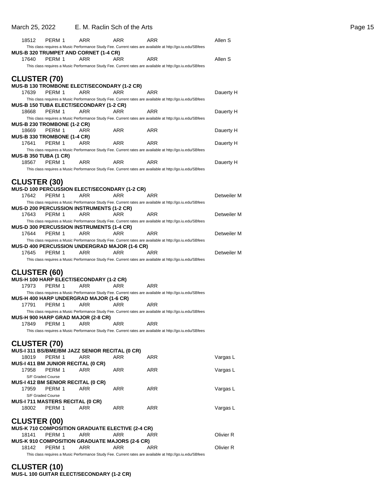### March 25, 2022 E. M. Raclin Sch of the Arts **Page 15** Page 15

| 18512                                                | PERM 1 | ARR                                                         | <b>ARR</b> | ARR                                                                                                              | Allen S     |
|------------------------------------------------------|--------|-------------------------------------------------------------|------------|------------------------------------------------------------------------------------------------------------------|-------------|
|                                                      |        |                                                             |            | This class requires a Music Performance Study Fee. Current rates are available at http://go.iu.edu/SBfees        |             |
|                                                      |        | <b>MUS-B 320 TRUMPET AND CORNET (1-4 CR)</b>                |            |                                                                                                                  |             |
| 17640                                                | PERM 1 | ARR                                                         | ARR        | ARR                                                                                                              | Allen S     |
|                                                      |        |                                                             |            | This class requires a Music Performance Study Fee. Current rates are available at http://go.iu.edu/SBfees        |             |
| <b>CLUSTER (70)</b>                                  |        |                                                             |            |                                                                                                                  |             |
|                                                      |        |                                                             |            |                                                                                                                  |             |
| 17639                                                | PERM 1 | <b>MUS-B 130 TROMBONE ELECT/SECONDARY (1-2 CR)</b><br>ARR   | ARR        | ARR                                                                                                              |             |
|                                                      |        |                                                             |            | This class requires a Music Performance Study Fee. Current rates are available at http://go.iu.edu/SBfees        | Dauerty H   |
|                                                      |        | MUS-B 150 TUBA ELECT/SECONDARY (1-2 CR)                     |            |                                                                                                                  |             |
| 18668                                                | PERM 1 | ARR                                                         | ARR.       | ARR                                                                                                              | Dauerty H   |
|                                                      |        |                                                             |            | This class requires a Music Performance Study Fee. Current rates are available at http://go.iu.edu/SBfees        |             |
| <b>MUS-B 230 TROMBONE (1-2 CR)</b>                   |        |                                                             |            |                                                                                                                  |             |
| 18669                                                | PERM 1 | ARR                                                         | ARR        | ARR                                                                                                              | Dauerty H   |
| <b>MUS-B 330 TROMBONE (1-4 CR)</b>                   |        |                                                             |            |                                                                                                                  |             |
| 17641                                                | PERM 1 | ARR                                                         | <b>ARR</b> | ARR                                                                                                              | Dauerty H   |
|                                                      |        |                                                             |            | This class requires a Music Performance Study Fee. Current rates are available at http://go.iu.edu/SBfees        |             |
| <b>MUS-B 350 TUBA (1 CR)</b>                         |        |                                                             |            |                                                                                                                  |             |
| 18567                                                | PERM 1 | ARR                                                         | ARR        | ARR                                                                                                              | Dauerty H   |
|                                                      |        |                                                             |            | This class requires a Music Performance Study Fee. Current rates are available at http://go.iu.edu/SBfees        |             |
|                                                      |        |                                                             |            |                                                                                                                  |             |
| <b>CLUSTER (30)</b>                                  |        |                                                             |            |                                                                                                                  |             |
| 17642                                                | PERM 1 | <b>MUS-D 100 PERCUSSION ELECT/SECONDARY (1-2 CR)</b><br>ARR | ARR        | ARR                                                                                                              | Detweiler M |
|                                                      |        |                                                             |            | This class requires a Music Performance Study Fee. Current rates are available at http://go.iu.edu/SBfees        |             |
|                                                      |        | <b>MUS-D 200 PERCUSSION INSTRUMENTS (1-2 CR)</b>            |            |                                                                                                                  |             |
| 17643                                                | PERM 1 | ARR                                                         | ARR        | ARR                                                                                                              | Detweiler M |
|                                                      |        |                                                             |            | This class requires a Music Performance Study Fee. Current rates are available at http://go.iu.edu/SBfees        |             |
|                                                      |        | <b>MUS-D 300 PERCUSSION INSTRUMENTS (1-4 CR)</b>            |            |                                                                                                                  |             |
| 17644                                                | PERM 1 | ARR                                                         | ARR        | ARR                                                                                                              | Detweiler M |
|                                                      |        |                                                             |            | This class requires a Music Performance Study Fee. Current rates are available at http://go.iu.edu/SBfees        |             |
| <b>MUS-D 400 PERCUSSION UNDERGRAD MAJOR (1-6 CR)</b> |        |                                                             |            |                                                                                                                  |             |
|                                                      |        |                                                             |            |                                                                                                                  |             |
| 17645                                                | PERM 1 | ARR                                                         | ARR        | ARR                                                                                                              | Detweiler M |
|                                                      |        |                                                             |            | This class requires a Music Performance Study Fee. Current rates are available at http://go.iu.edu/SBfees        |             |
|                                                      |        |                                                             |            |                                                                                                                  |             |
| <b>CLUSTER (60)</b>                                  |        |                                                             |            |                                                                                                                  |             |
|                                                      |        | MUS-H 100 HARP ELECT/SECONDARY (1-2 CR)                     |            |                                                                                                                  |             |
| 17973                                                | PERM 1 | ARR                                                         | ARR        | ARR                                                                                                              |             |
|                                                      |        |                                                             |            | This class requires a Music Performance Study Fee. Current rates are available at http://go.iu.edu/SBfees        |             |
| 17791                                                | PERM 1 | <b>MUS-H 400 HARP UNDERGRAD MAJOR (1-6 CR)</b><br>ARR       | ARR        | ARR                                                                                                              |             |
|                                                      |        |                                                             |            | This class requires a Music Performance Study Fee. Current rates are available at http://go.iu.edu/SBfees        |             |
|                                                      |        | MUS-H 900 HARP GRAD MAJOR (2-8 CR)                          |            |                                                                                                                  |             |
| 17849                                                | PERM 1 | ARR                                                         | ARR        | ARR                                                                                                              |             |
|                                                      |        |                                                             |            | This class requires a Music Performance Study Fee. Current rates are available at http://go.iu.edu/SBfees        |             |
|                                                      |        |                                                             |            |                                                                                                                  |             |
| <b>CLUSTER (70)</b>                                  |        |                                                             |            |                                                                                                                  |             |
|                                                      |        | MUS-I 311 BS/BME/BM JAZZ SENIOR RECITAL (0 CR)              |            |                                                                                                                  |             |
| 18019                                                | PERM 1 | ARR                                                         | ARR.       | ARR                                                                                                              | Vargas L    |
| <b>MUS-I 411 BM JUNIOR RECITAL (0 CR)</b>            |        |                                                             |            |                                                                                                                  |             |
| 17958                                                | PERM 1 | ARR                                                         | ARR        | ARR                                                                                                              | Vargas L    |
| S/F Graded Course                                    |        |                                                             |            |                                                                                                                  |             |
| <b>MUS-I 412 BM SENIOR RECITAL (0 CR)</b>            |        |                                                             |            |                                                                                                                  |             |
| 17959                                                | PERM 1 | ARR                                                         | ARR        | ARR                                                                                                              | Vargas L    |
| S/F Graded Course                                    |        |                                                             |            |                                                                                                                  |             |
| MUS-I 711 MASTERS RECITAL (0 CR)<br>18002            | PERM 1 | ARR                                                         | ARR        | ARR                                                                                                              | Vargas L    |
|                                                      |        |                                                             |            |                                                                                                                  |             |
|                                                      |        |                                                             |            |                                                                                                                  |             |
| <b>CLUSTER (00)</b>                                  |        | MUS-K 710 COMPOSITION GRADUATE ELECTIVE (2-4 CR)            |            |                                                                                                                  |             |
| 18141                                                | PERM 1 | ARR                                                         | ARR        | ARR                                                                                                              | Olivier R   |
|                                                      |        | <b>MUS-K 910 COMPOSITION GRADUATE MAJORS (2-6 CR)</b>       |            |                                                                                                                  |             |
| 18142                                                | PERM 1 | ARR                                                         | ARR        | ARR<br>This class requires a Music Performance Study Fee. Current rates are available at http://go.iu.edu/SBfees | Olivier R   |

**CLUSTER (10) MUS-L 100 GUITAR ELECT/SECONDARY (1-2 CR)**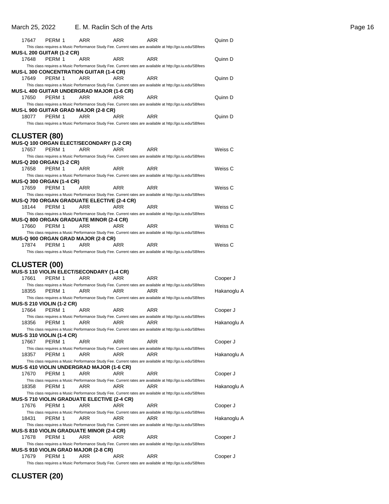| 17647<br>PERM 1<br>ARR<br>ARR<br>ARR                                                                                                                         | Quinn D     |
|--------------------------------------------------------------------------------------------------------------------------------------------------------------|-------------|
| This class requires a Music Performance Study Fee. Current rates are available at http://go.iu.edu/SBfees                                                    |             |
| <b>MUS-L 200 GUITAR (1-2 CR)</b>                                                                                                                             |             |
| 17648<br>PERM 1<br>ARR<br>ARR<br>ARR<br>This class requires a Music Performance Study Fee. Current rates are available at http://go.iu.edu/SBfees            | Quinn D     |
| <b>MUS-L 300 CONCENTRATION GUITAR (1-4 CR)</b>                                                                                                               |             |
| 17649<br>PERM 1<br>ARR<br>ARR<br>ARR                                                                                                                         | Quinn D     |
| This class requires a Music Performance Study Fee. Current rates are available at http://go.iu.edu/SBfees                                                    |             |
| <b>MUS-L 400 GUITAR UNDERGRAD MAJOR (1-6 CR)</b>                                                                                                             |             |
| 17650<br>PERM 1<br>ARR<br>ARR<br>ARR<br>This class requires a Music Performance Study Fee. Current rates are available at http://go.iu.edu/SBfees            | Quinn D     |
| <b>MUS-L 900 GUITAR GRAD MAJOR (2-8 CR)</b>                                                                                                                  |             |
| 18077<br>PERM 1<br>ARR<br>ARR<br>ARR                                                                                                                         | Quinn D     |
| This class requires a Music Performance Study Fee. Current rates are available at http://go.iu.edu/SBfees                                                    |             |
|                                                                                                                                                              |             |
| <b>CLUSTER (80)</b><br>MUS-Q 100 ORGAN ELECT/SECONDARY (1-2 CR)                                                                                              |             |
| 17657<br>PERM 1<br>ARR<br>ARR<br>ARR                                                                                                                         | Weiss C     |
| This class requires a Music Performance Study Fee. Current rates are available at http://go.iu.edu/SBfees                                                    |             |
| MUS-Q 200 ORGAN (1-2 CR)                                                                                                                                     |             |
| 17658<br>PERM 1<br>ARR<br>ARR<br>ARR                                                                                                                         | Weiss C     |
| This class requires a Music Performance Study Fee. Current rates are available at http://go.iu.edu/SBfees                                                    |             |
| <b>MUS-Q 300 ORGAN (1-4 CR)</b><br><b>ARR</b><br>17659<br>PERM 1<br>ARR<br><b>ARR</b>                                                                        | Weiss C     |
| This class requires a Music Performance Study Fee. Current rates are available at http://go.iu.edu/SBfees                                                    |             |
| <b>MUS-Q 700 ORGAN GRADUATE ELECTIVE (2-4 CR)</b>                                                                                                            |             |
| 18144<br>PERM 1<br>ARR<br>ARR<br>ARR                                                                                                                         | Weiss C     |
| This class requires a Music Performance Study Fee. Current rates are available at http://go.iu.edu/SBfees                                                    |             |
| <b>MUS-Q 800 ORGAN GRADUATE MINOR (2-4 CR)</b><br>17660<br>PERM 1<br>ARR<br>ARR<br>ARR                                                                       | Weiss C     |
| This class requires a Music Performance Study Fee. Current rates are available at http://go.iu.edu/SBfees                                                    |             |
| MUS-Q 900 ORGAN GRAD MAJOR (2-8 CR)                                                                                                                          |             |
| 17874<br>PERM 1<br>ARR<br>ARR<br>ARR                                                                                                                         | Weiss C     |
|                                                                                                                                                              |             |
| This class requires a Music Performance Study Fee. Current rates are available at http://go.iu.edu/SBfees                                                    |             |
|                                                                                                                                                              |             |
| <b>CLUSTER (00)</b>                                                                                                                                          |             |
| <b>MUS-S 110 VIOLIN ELECT/SECONDARY (1-4 CR)</b><br>PERM 1<br>ARR<br>ARR<br>ARR<br>17661                                                                     | Cooper J    |
| This class requires a Music Performance Study Fee. Current rates are available at http://go.iu.edu/SBfees                                                    |             |
| 18355<br>ARR<br>PERM 1<br>ARR<br>ARR                                                                                                                         | Hakanoglu A |
| This class requires a Music Performance Study Fee. Current rates are available at http://go.iu.edu/SBfees                                                    |             |
| <b>MUS-S 210 VIOLIN (1-2 CR)</b><br>17664<br>PERM 1<br>ARR<br>ARR<br>ARR                                                                                     | Cooper J    |
| This class requires a Music Performance Study Fee. Current rates are available at http://go.iu.edu/SBfees                                                    |             |
| ARR<br>PERM 1<br>ARR<br>ARR<br>18356                                                                                                                         | Hakanoglu A |
| This class requires a Music Performance Study Fee. Current rates are available at http://go.iu.edu/SBfees                                                    |             |
| <b>MUS-S 310 VIOLIN (1-4 CR)</b>                                                                                                                             |             |
| PERM 1<br>17667<br>ARR<br>ARR<br>ARR                                                                                                                         | Cooper J    |
| This class requires a Music Performance Study Fee. Current rates are available at http://go.iu.edu/SBfees<br>18357<br>PERM 1<br>ARR<br>ARR<br>ARR            | Hakanoglu A |
| This class requires a Music Performance Study Fee. Current rates are available at http://go.iu.edu/SBfees                                                    |             |
| MUS-S 410 VIOLIN UNDERGRAD MAJOR (1-6 CR)                                                                                                                    |             |
| 17670<br>PERM 1<br>ARR<br>ARR<br>ARR                                                                                                                         | Cooper J    |
| This class requires a Music Performance Study Fee. Current rates are available at http://go.iu.edu/SBfees<br>PERM 1<br>ARR<br>ARR<br>ARR                     |             |
| 18358<br>This class requires a Music Performance Study Fee. Current rates are available at http://go.iu.edu/SBfees                                           | Hakanoglu A |
| <b>MUS-S 710 VIOLIN GRADUATE ELECTIVE (2-4 CR)</b>                                                                                                           |             |
| ARR<br>ARR<br>ARR<br>17676<br>PERM 1                                                                                                                         | Cooper J    |
| This class requires a Music Performance Study Fee. Current rates are available at http://go.iu.edu/SBfees                                                    |             |
| PERM 1<br>ARR<br>18431<br>ARR<br>ARR                                                                                                                         | Hakanoglu A |
| This class requires a Music Performance Study Fee. Current rates are available at http://go.iu.edu/SBfees<br><b>MUS-S 810 VIOLIN GRADUATE MINOR (2-4 CR)</b> |             |
| 17678<br>PERM 1<br>ARR<br>ARR<br>ARR                                                                                                                         | Cooper J    |
| This class requires a Music Performance Study Fee. Current rates are available at http://go.iu.edu/SBfees                                                    |             |
| <b>MUS-S 910 VIOLIN GRAD MAJOR (2-8 CR)</b>                                                                                                                  |             |
| 17679<br>PERM 1<br>ARR<br>ARR<br>ARR<br>This class requires a Music Performance Study Fee. Current rates are available at http://go.iu.edu/SBfees            | Cooper J    |

**CLUSTER (20)**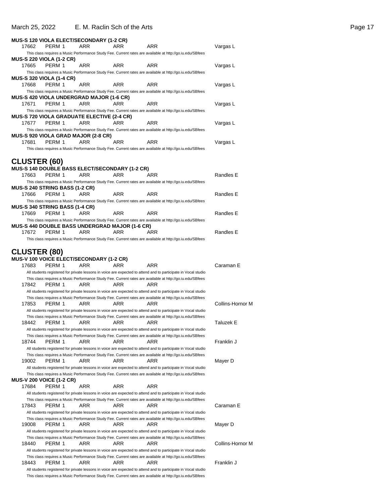### March 25, 2022 E. M. Raclin Sch of the Arts **Page 17** Page 17

|       | MUS-S 120 VIOLA ELECT/SECONDARY (1-2 CR)                        |     |            |                                                                                                                                                                                                                             |                  |
|-------|-----------------------------------------------------------------|-----|------------|-----------------------------------------------------------------------------------------------------------------------------------------------------------------------------------------------------------------------------|------------------|
| 17662 | PERM 1                                                          | ARR | ARR        | ARR                                                                                                                                                                                                                         | Vargas L         |
|       |                                                                 |     |            | This class requires a Music Performance Study Fee. Current rates are available at http://go.iu.edu/SBfees                                                                                                                   |                  |
|       | MUS-S 220 VIOLA (1-2 CR)                                        |     |            |                                                                                                                                                                                                                             |                  |
| 17665 | PERM 1                                                          | ARR | ARR        | ARR                                                                                                                                                                                                                         | Vargas L         |
|       | <b>MUS-S 320 VIOLA (1-4 CR)</b>                                 |     |            | This class requires a Music Performance Study Fee. Current rates are available at http://go.iu.edu/SBfees                                                                                                                   |                  |
| 17668 | PERM 1                                                          | ARR | <b>ARR</b> | <b>ARR</b>                                                                                                                                                                                                                  | Vargas L         |
|       |                                                                 |     |            | This class requires a Music Performance Study Fee. Current rates are available at http://go.iu.edu/SBfees                                                                                                                   |                  |
|       | MUS-S 420 VIOLA UNDERGRAD MAJOR (1-6 CR)                        |     |            |                                                                                                                                                                                                                             |                  |
| 17671 | PERM 1                                                          | ARR | ARR        | ARR                                                                                                                                                                                                                         | Vargas L         |
|       |                                                                 |     |            | This class requires a Music Performance Study Fee. Current rates are available at http://go.iu.edu/SBfees                                                                                                                   |                  |
|       | <b>MUS-S 720 VIOLA GRADUATE ELECTIVE (2-4 CR)</b>               |     |            |                                                                                                                                                                                                                             |                  |
| 17677 | PERM 1                                                          | ARR | ARR        | ARR                                                                                                                                                                                                                         | Vargas L         |
|       |                                                                 |     |            | This class requires a Music Performance Study Fee. Current rates are available at http://go.iu.edu/SBfees                                                                                                                   |                  |
|       | MUS-S 920 VIOLA GRAD MAJOR (2-8 CR)                             |     |            |                                                                                                                                                                                                                             |                  |
| 17681 | PERM 1                                                          | ARR | ARR        | ARR                                                                                                                                                                                                                         | Vargas L         |
|       |                                                                 |     |            | This class requires a Music Performance Study Fee. Current rates are available at http://go.iu.edu/SBfees                                                                                                                   |                  |
|       | <b>CLUSTER (60)</b>                                             |     |            |                                                                                                                                                                                                                             |                  |
|       | MUS-S 140 DOUBLE BASS ELECT/SECONDARY (1-2 CR)                  |     |            |                                                                                                                                                                                                                             |                  |
| 17663 | PERM 1                                                          | ARR | ARR        | ARR                                                                                                                                                                                                                         | Randles E        |
|       |                                                                 |     |            | This class requires a Music Performance Study Fee. Current rates are available at http://go.iu.edu/SBfees                                                                                                                   |                  |
|       | MUS-S 240 STRING BASS (1-2 CR)                                  |     |            |                                                                                                                                                                                                                             |                  |
| 17666 | PERM 1                                                          | ARR | ARR        | ARR                                                                                                                                                                                                                         | Randles E        |
|       |                                                                 |     |            | This class requires a Music Performance Study Fee. Current rates are available at http://go.iu.edu/SBfees                                                                                                                   |                  |
|       | <b>MUS-S 340 STRING BASS (1-4 CR)</b>                           |     |            |                                                                                                                                                                                                                             |                  |
| 17669 | PERM 1                                                          | ARR | ARR        | ARR                                                                                                                                                                                                                         | Randles E        |
|       |                                                                 |     |            | This class requires a Music Performance Study Fee. Current rates are available at http://go.iu.edu/SBfees                                                                                                                   |                  |
|       | MUS-S 440 DOUBLE BASS UNDERGRAD MAJOR (1-6 CR)                  |     |            |                                                                                                                                                                                                                             |                  |
| 17672 | PERM 1                                                          | ARR | ARR        | ARR<br>This class requires a Music Performance Study Fee. Current rates are available at http://go.iu.edu/SBfees                                                                                                            | Randles E        |
|       |                                                                 |     |            |                                                                                                                                                                                                                             |                  |
|       | <b>CLUSTER (80)</b><br>MUS-V 100 VOICE ELECT/SECONDARY (1-2 CR) |     |            |                                                                                                                                                                                                                             |                  |
| 17683 | PERM 1                                                          | ARR | ARR        | ARR                                                                                                                                                                                                                         | Caraman E        |
|       |                                                                 |     |            | All students registered for private lessons in voice are expected to attend and to participate in Vocal studio                                                                                                              |                  |
|       |                                                                 |     |            | This class requires a Music Performance Study Fee. Current rates are available at http://go.iu.edu/SBfees                                                                                                                   |                  |
| 17842 | PERM 1                                                          | ARR | ARR        | ARR                                                                                                                                                                                                                         |                  |
|       |                                                                 |     |            | All students registered for private lessons in voice are expected to attend and to participate in Vocal studio                                                                                                              |                  |
|       |                                                                 |     |            | This class requires a Music Performance Study Fee. Current rates are available at http://go.iu.edu/SBfees                                                                                                                   |                  |
| 17853 | PERM 1                                                          | ARR | ARR        | ARR                                                                                                                                                                                                                         | Collins-Hornor M |
|       |                                                                 |     |            | All students registered for private lessons in voice are expected to attend and to participate in Vocal studio                                                                                                              |                  |
|       |                                                                 |     |            | This class requires a Music Performance Study Fee. Current rates are available at http://go.iu.edu/SBfees                                                                                                                   |                  |
| 18442 | PERM 1                                                          | ARR | ARR        | ARR                                                                                                                                                                                                                         | Taluzek E        |
|       |                                                                 |     |            | All students registered for private lessons in voice are expected to attend and to participate in Vocal studio<br>This class requires a Music Performance Study Fee. Current rates are available at http://go.iu.edu/SBfees |                  |
| 18744 | PERM 1                                                          | ARR | ARR        | ARR                                                                                                                                                                                                                         | Franklin J       |
|       |                                                                 |     |            | All students registered for private lessons in voice are expected to attend and to participate in Vocal studio                                                                                                              |                  |
|       |                                                                 |     |            | This class requires a Music Performance Study Fee. Current rates are available at http://go.iu.edu/SBfees                                                                                                                   |                  |
| 19002 | PERM 1                                                          | ARR | ARR        | ARR                                                                                                                                                                                                                         | Mayer D          |
|       |                                                                 |     |            | All students registered for private lessons in voice are expected to attend and to participate in Vocal studio                                                                                                              |                  |
|       |                                                                 |     |            | This class requires a Music Performance Study Fee. Current rates are available at http://go.iu.edu/SBfees                                                                                                                   |                  |
| 17684 | <b>MUS-V 200 VOICE (1-2 CR)</b><br>PERM 1                       | ARR | ARR        | ARR                                                                                                                                                                                                                         |                  |
|       |                                                                 |     |            | All students registered for private lessons in voice are expected to attend and to participate in Vocal studio                                                                                                              |                  |
|       |                                                                 |     |            | This class requires a Music Performance Study Fee. Current rates are available at http://go.iu.edu/SBfees                                                                                                                   |                  |
| 17843 | PERM 1                                                          | ARR | ARR        | ARR                                                                                                                                                                                                                         | Caraman E        |
|       |                                                                 |     |            | All students registered for private lessons in voice are expected to attend and to participate in Vocal studio                                                                                                              |                  |
|       |                                                                 |     |            | This class requires a Music Performance Study Fee. Current rates are available at http://go.iu.edu/SBfees                                                                                                                   |                  |
| 19008 | PERM 1                                                          | ARR | ARR        | ARR                                                                                                                                                                                                                         | Mayer D          |
|       |                                                                 |     |            | All students registered for private lessons in voice are expected to attend and to participate in Vocal studio                                                                                                              |                  |
|       |                                                                 |     |            | This class requires a Music Performance Study Fee. Current rates are available at http://go.iu.edu/SBfees                                                                                                                   |                  |
| 18440 | PERM 1                                                          | ARR | ARR        | ARR                                                                                                                                                                                                                         | Collins-Hornor M |
|       |                                                                 |     |            | All students registered for private lessons in voice are expected to attend and to participate in Vocal studio                                                                                                              |                  |
| 18443 | PERM 1                                                          | ARR | ARR        | This class requires a Music Performance Study Fee. Current rates are available at http://go.iu.edu/SBfees<br>ARR                                                                                                            | Franklin J       |
|       |                                                                 |     |            | All students registered for private lessons in voice are expected to attend and to participate in Vocal studio                                                                                                              |                  |
|       |                                                                 |     |            |                                                                                                                                                                                                                             |                  |

This class requires a Music Performance Study Fee. Current rates are available at http://go.iu.edu/SBfees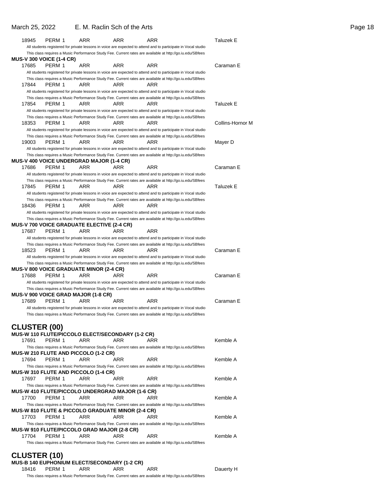| 18945                           | PERM 1 | ARR                                               | ARR | ARR                                                                                                              | Taluzek E        |
|---------------------------------|--------|---------------------------------------------------|-----|------------------------------------------------------------------------------------------------------------------|------------------|
|                                 |        |                                                   |     | All students registered for private lessons in voice are expected to attend and to participate in Vocal studio   |                  |
|                                 |        |                                                   |     | This class requires a Music Performance Study Fee. Current rates are available at http://go.iu.edu/SBfees        |                  |
| <b>MUS-V 300 VOICE (1-4 CR)</b> |        |                                                   |     |                                                                                                                  |                  |
| 17685                           | PERM 1 | ARR                                               | ARR | ARR                                                                                                              | Caraman E        |
|                                 |        |                                                   |     | All students registered for private lessons in voice are expected to attend and to participate in Vocal studio   |                  |
|                                 |        |                                                   |     | This class requires a Music Performance Study Fee. Current rates are available at http://go.iu.edu/SBfees        |                  |
| 17844                           | PERM 1 | ARR                                               | ARR | ARR                                                                                                              |                  |
|                                 |        |                                                   |     | All students registered for private lessons in voice are expected to attend and to participate in Vocal studio   |                  |
|                                 |        |                                                   |     | This class requires a Music Performance Study Fee. Current rates are available at http://go.iu.edu/SBfees        |                  |
| 17854                           | PERM 1 | ARR                                               | ARR | ARR                                                                                                              | Taluzek E        |
|                                 |        |                                                   |     | All students registered for private lessons in voice are expected to attend and to participate in Vocal studio   |                  |
| 18353                           | PERM 1 | ARR                                               | ARR | This class requires a Music Performance Study Fee. Current rates are available at http://go.iu.edu/SBfees<br>ARR | Collins-Hornor M |
|                                 |        |                                                   |     | All students registered for private lessons in voice are expected to attend and to participate in Vocal studio   |                  |
|                                 |        |                                                   |     | This class requires a Music Performance Study Fee. Current rates are available at http://go.iu.edu/SBfees        |                  |
| 19003                           | PERM 1 | ARR                                               | ARR | ARR                                                                                                              | Mayer D          |
|                                 |        |                                                   |     | All students registered for private lessons in voice are expected to attend and to participate in Vocal studio   |                  |
|                                 |        | MUS-V 400 VOICE UNDERGRAD MAJOR (1-4 CR)          |     | This class requires a Music Performance Study Fee. Current rates are available at http://go.iu.edu/SBfees        |                  |
| 17686                           | PERM 1 | ARR                                               | ARR | ARR                                                                                                              | Caraman E        |
|                                 |        |                                                   |     | All students registered for private lessons in voice are expected to attend and to participate in Vocal studio   |                  |
|                                 |        |                                                   |     | This class requires a Music Performance Study Fee. Current rates are available at http://go.iu.edu/SBfees        |                  |
| 17845                           | PERM 1 | ARR                                               | ARR | ARR                                                                                                              | Taluzek E        |
|                                 |        |                                                   |     | All students registered for private lessons in voice are expected to attend and to participate in Vocal studio   |                  |
|                                 |        |                                                   |     | This class requires a Music Performance Study Fee. Current rates are available at http://go.iu.edu/SBfees        |                  |
| 18436                           | PERM 1 | ARR                                               | ARR | ARR                                                                                                              |                  |
|                                 |        |                                                   |     | All students registered for private lessons in voice are expected to attend and to participate in Vocal studio   |                  |
|                                 |        |                                                   |     | This class requires a Music Performance Study Fee. Current rates are available at http://go.iu.edu/SBfees        |                  |
|                                 |        | MUS-V 700 VOICE GRADUATE ELECTIVE (2-4 CR)        |     |                                                                                                                  |                  |
| 17687                           | PERM 1 | ARR                                               | ARR | ARR                                                                                                              |                  |
|                                 |        |                                                   |     | All students registered for private lessons in voice are expected to attend and to participate in Vocal studio   |                  |
|                                 |        |                                                   |     | This class requires a Music Performance Study Fee. Current rates are available at http://go.iu.edu/SBfees        |                  |
| 18523                           | PERM 1 | ARR                                               | ARR | ARR                                                                                                              | Caraman E        |
|                                 |        |                                                   |     | All students registered for private lessons in voice are expected to attend and to participate in Vocal studio   |                  |
|                                 |        |                                                   |     | This class requires a Music Performance Study Fee. Current rates are available at http://go.iu.edu/SBfees        |                  |
|                                 |        | <b>MUS-V 800 VOICE GRADUATE MINOR (2-4 CR)</b>    |     |                                                                                                                  |                  |
| 17688                           | PERM 1 | ARR                                               | ARR | ARR                                                                                                              | Caraman E        |
|                                 |        |                                                   |     | All students registered for private lessons in voice are expected to attend and to participate in Vocal studio   |                  |
|                                 |        |                                                   |     | This class requires a Music Performance Study Fee. Current rates are available at http://go.iu.edu/SBfees        |                  |
|                                 |        | MUS-V 900 VOICE GRAD MAJOR (1-8 CR)               |     |                                                                                                                  |                  |
| 17689                           | PERM 1 | ARR                                               | ARR | ARR                                                                                                              | Caraman E        |
|                                 |        |                                                   |     | All students registered for private lessons in voice are expected to attend and to participate in Vocal studio   |                  |
|                                 |        |                                                   |     | This class requires a Music Performance Study Fee. Current rates are available at http://go.iu.edu/SBfees        |                  |
|                                 |        |                                                   |     |                                                                                                                  |                  |
| <b>CLUSTER (00)</b>             |        |                                                   |     |                                                                                                                  |                  |
|                                 |        | MUS-W 110 FLUTE/PICCOLO ELECT/SECONDARY (1-2 CR)  |     |                                                                                                                  |                  |
| 17691                           | PERM 1 | ARR                                               | ARR | <b>ARR</b>                                                                                                       | Kemble A         |
|                                 |        |                                                   |     | This class requires a Music Performance Study Fee. Current rates are available at http://go.iu.edu/SBfees        |                  |
|                                 |        | <b>MUS-W 210 FLUTE AND PICCOLO (1-2 CR)</b>       |     |                                                                                                                  |                  |
| 17694                           | PERM 1 | ARR                                               | ARR | ARR                                                                                                              | Kemble A         |
|                                 |        |                                                   |     | This class requires a Music Performance Study Fee. Current rates are available at http://qo.iu.edu/SBfees        |                  |
|                                 |        | <b>MUS-W 310 FLUTE AND PICCOLO (1-4 CR)</b>       |     |                                                                                                                  |                  |
| 17697                           | PERM 1 | ARR                                               | ARR | ARR                                                                                                              | Kemble A         |
|                                 |        |                                                   |     | This class requires a Music Performance Study Fee. Current rates are available at http://go.iu.edu/SBfees        |                  |
|                                 |        | MUS-W 410 FLUTE/PICCOLO UNDERGRAD MAJOR (1-6 CR)  |     |                                                                                                                  |                  |
| 17700                           | PERM 1 | ARR                                               | ARR | ARR                                                                                                              | Kemble A         |
|                                 |        |                                                   |     | This class requires a Music Performance Study Fee. Current rates are available at http://go.iu.edu/SBfees        |                  |
|                                 |        | MUS-W 810 FLUTE & PICCOLO GRADUATE MINOR (2-4 CR) |     |                                                                                                                  |                  |
| 17703                           | PERM 1 | ARR                                               | ARR | ARR                                                                                                              | Kemble A         |
|                                 |        |                                                   |     | This class requires a Music Performance Study Fee. Current rates are available at http://go.iu.edu/SBfees        |                  |
|                                 |        | MUS-W 910 FLUTE/PICCOLO GRAD MAJOR (2-8 CR)       |     |                                                                                                                  |                  |
| 17704                           | PERM 1 | ARR                                               | ARR | ARR                                                                                                              | Kemble A         |
|                                 |        |                                                   |     | This class requires a Music Performance Study Fee. Current rates are available at http://go.iu.edu/SBfees        |                  |
|                                 |        |                                                   |     |                                                                                                                  |                  |

## **CLUSTER (10)**

|       |        |     | <b>MUS-B 140 EUPHONIUM ELECT/SECONDARY (1-2 CR)</b>                                                       |     |           |
|-------|--------|-----|-----------------------------------------------------------------------------------------------------------|-----|-----------|
| 18416 | PFRM 1 | ARR | ARR                                                                                                       | ARR | Dauerty H |
|       |        |     | This class requires a Music Performance Study Fee. Current rates are available at http://go.iu.edu/SBfees |     |           |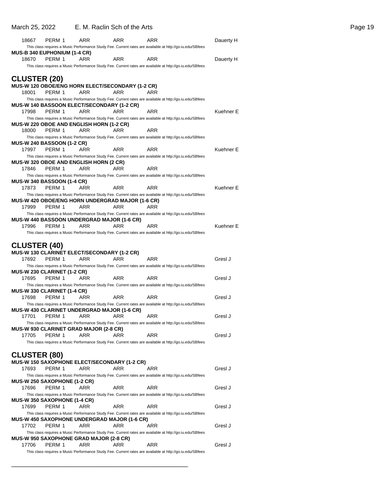### March 25, 2022 E. M. Raclin Sch of the Arts **Page 19** Page 19

| 18667                                      | PERM 1 | ARR                                                     | ARR | ARR                                                                                                       | Dauerty H |
|--------------------------------------------|--------|---------------------------------------------------------|-----|-----------------------------------------------------------------------------------------------------------|-----------|
|                                            |        |                                                         |     | This class requires a Music Performance Study Fee. Current rates are available at http://go.iu.edu/SBfees |           |
| <b>MUS-B 340 EUPHONIUM (1-4 CR)</b>        |        |                                                         |     |                                                                                                           |           |
| 18670                                      | PERM 1 | ARR                                                     | ARR | ARR                                                                                                       | Dauerty H |
|                                            |        |                                                         |     | This class requires a Music Performance Study Fee. Current rates are available at http://go.iu.edu/SBfees |           |
| <b>CLUSTER (20)</b>                        |        |                                                         |     |                                                                                                           |           |
|                                            |        | <b>MUS-W 120 OBOE/ENG HORN ELECT/SECONDARY (1-2 CR)</b> |     |                                                                                                           |           |
| 18001                                      | PERM 1 | ARR                                                     | ARR | ARR                                                                                                       |           |
|                                            |        |                                                         |     | This class requires a Music Performance Study Fee. Current rates are available at http://go.iu.edu/SBfees |           |
|                                            |        | MUS-W 140 BASSOON ELECT/SECONDARY (1-2 CR)              |     |                                                                                                           |           |
| 17998                                      | PERM 1 | ARR                                                     | ARR | ARR                                                                                                       | Kuehner E |
|                                            |        |                                                         |     | This class requires a Music Performance Study Fee. Current rates are available at http://go.iu.edu/SBfees |           |
|                                            |        | <b>MUS-W 220 OBOE AND ENGLISH HORN (1-2 CR)</b>         |     |                                                                                                           |           |
| 18000                                      | PERM 1 | ARR                                                     | ARR | ARR                                                                                                       |           |
|                                            |        |                                                         |     | This class requires a Music Performance Study Fee. Current rates are available at http://go.iu.edu/SBfees |           |
| <b>MUS-W 240 BASSOON (1-2 CR)</b>          |        |                                                         |     |                                                                                                           |           |
| 17997                                      | PERM 1 | ARR                                                     | ARR | ARR                                                                                                       | Kuehner E |
|                                            |        |                                                         |     | This class requires a Music Performance Study Fee. Current rates are available at http://go.iu.edu/SBfees |           |
|                                            |        | MUS-W 320 OBOE AND ENGLISH HORN (2 CR)                  |     |                                                                                                           |           |
| 17846                                      | PERM 1 | ARR                                                     | ARR | ARR                                                                                                       |           |
|                                            |        |                                                         |     | This class requires a Music Performance Study Fee. Current rates are available at http://go.iu.edu/SBfees |           |
| <b>MUS-W 340 BASSOON (1-4 CR)</b><br>17873 | PERM 1 | ARR                                                     | ARR | <b>ARR</b>                                                                                                | Kuehner E |
|                                            |        |                                                         |     | This class requires a Music Performance Study Fee. Current rates are available at http://go.iu.edu/SBfees |           |
|                                            |        | MUS-W 420 OBOE/ENG HORN UNDERGRAD MAJOR (1-6 CR)        |     |                                                                                                           |           |
| 17999                                      | PERM 1 | ARR                                                     | ARR | ARR                                                                                                       |           |
|                                            |        |                                                         |     | This class requires a Music Performance Study Fee. Current rates are available at http://go.iu.edu/SBfees |           |
|                                            |        | <b>MUS-W 440 BASSOON UNDERGRAD MAJOR (1-6 CR)</b>       |     |                                                                                                           |           |
| 17996                                      | PERM 1 | ARR                                                     | ARR | ARR                                                                                                       | Kuehner E |
|                                            |        |                                                         |     | This class requires a Music Performance Study Fee. Current rates are available at http://go.iu.edu/SBfees |           |
|                                            |        |                                                         |     |                                                                                                           |           |
| <b>CLUSTER (40)</b>                        |        |                                                         |     |                                                                                                           |           |
|                                            |        |                                                         |     |                                                                                                           |           |
|                                            |        | <b>MUS-W 130 CLARINET ELECT/SECONDARY (1-2 CR)</b>      |     |                                                                                                           |           |
| 17692                                      | PERM 1 | ARR                                                     | ARR | ARR                                                                                                       | Gresl J   |
|                                            |        |                                                         |     | This class requires a Music Performance Study Fee. Current rates are available at http://go.iu.edu/SBfees |           |
| <b>MUS-W 230 CLARINET (1-2 CR)</b>         |        |                                                         |     |                                                                                                           |           |
| 17695                                      | PERM 1 | ARR                                                     | ARR | ARR                                                                                                       | Gresl J   |
|                                            |        |                                                         |     | This class requires a Music Performance Study Fee. Current rates are available at http://go.iu.edu/SBfees |           |
| MUS-W 330 CLARINET (1-4 CR)                |        |                                                         |     |                                                                                                           |           |
| 17698                                      | PERM 1 | ARR                                                     | ARR | ARR                                                                                                       | Gresl J   |
|                                            |        |                                                         |     | This class requires a Music Performance Study Fee. Current rates are available at http://go.iu.edu/SBfees |           |
|                                            |        | MUS-W 430 CLARINET UNDERGRAD MAJOR (1-6 CR)             |     |                                                                                                           |           |
| 17701                                      | PERM 1 | ARR                                                     | ARR | <b>ARR</b>                                                                                                | Gresl J   |
|                                            |        |                                                         |     | This class requires a Music Performance Study Fee. Current rates are available at http://go.iu.edu/SBfees |           |
| 17705                                      | PERM 1 | <b>MUS-W 930 CLARINET GRAD MAJOR (2-8 CR)</b><br>ARR    | ARR | ARR                                                                                                       | Gresl J   |
|                                            |        |                                                         |     |                                                                                                           |           |
|                                            |        |                                                         |     | This class requires a Music Performance Study Fee. Current rates are available at http://go.iu.edu/SBfees |           |
|                                            |        |                                                         |     |                                                                                                           |           |
| <b>CLUSTER (80)</b>                        |        | <b>MUS-W 150 SAXOPHONE ELECT/SECONDARY (1-2 CR)</b>     |     |                                                                                                           |           |
| 17693                                      | PERM 1 | ARR                                                     | ARR | ARR                                                                                                       | Gresl J   |
|                                            |        |                                                         |     | This class requires a Music Performance Study Fee. Current rates are available at http://go.iu.edu/SBfees |           |
| MUS-W 250 SAXOPHONE (1-2 CR)               |        |                                                         |     |                                                                                                           |           |
| 17696                                      | PERM 1 | ARR                                                     | ARR | ARR                                                                                                       | Gresl J   |
|                                            |        |                                                         |     | This class requires a Music Performance Study Fee. Current rates are available at http://go.iu.edu/SBfees |           |
| <b>MUS-W 350 SAXOPHONE (1-4 CR)</b>        |        |                                                         |     |                                                                                                           |           |
| 17699                                      | PERM 1 | ARR                                                     | ARR | ARR                                                                                                       | Gresl J   |
|                                            |        |                                                         |     | This class requires a Music Performance Study Fee. Current rates are available at http://go.iu.edu/SBfees |           |
|                                            |        | <b>MUS-W 450 SAXOPHONE UNDERGRAD MAJOR (1-6 CR)</b>     |     |                                                                                                           |           |
| 17702                                      | PERM 1 | ARR                                                     | ARR | ARR                                                                                                       | Gresl J   |
|                                            |        |                                                         |     | This class requires a Music Performance Study Fee. Current rates are available at http://go.iu.edu/SBfees |           |
| 17706                                      | PERM 1 | <b>MUS-W 950 SAXOPHONE GRAD MAJOR (2-8 CR)</b><br>ARR   | ARR | ARR                                                                                                       | Gresl J   |

\_\_\_\_\_\_\_\_\_\_\_\_\_\_\_\_\_\_\_\_\_\_\_\_\_\_\_\_\_\_\_\_\_\_\_\_\_\_\_\_\_\_\_\_\_\_\_\_\_\_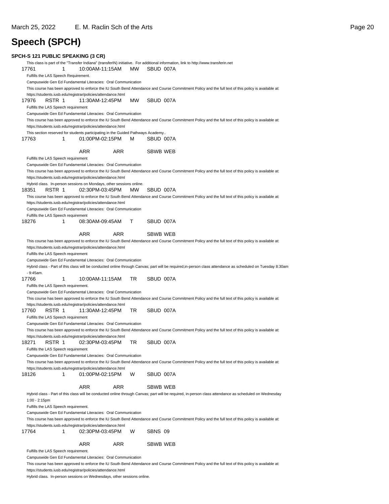## **Speech (SPCH)**

| 17761                            | 1                                                            | 10:00AM-11:15AM                                                                 |            | MW  | SBUD 007A | This class is part of the "Transfer Indiana" (transferIN) initiative. For additional information, link to http://www.transferin.net                                                                                                                                                                            |
|----------------------------------|--------------------------------------------------------------|---------------------------------------------------------------------------------|------------|-----|-----------|----------------------------------------------------------------------------------------------------------------------------------------------------------------------------------------------------------------------------------------------------------------------------------------------------------------|
|                                  | Fulfills the LAS Speech Requirement.                         |                                                                                 |            |     |           |                                                                                                                                                                                                                                                                                                                |
|                                  |                                                              | Campuswide Gen Ed Fundamental Literacies: Oral Communication                    |            |     |           |                                                                                                                                                                                                                                                                                                                |
|                                  |                                                              |                                                                                 |            |     |           | This course has been approved to enforce the IU South Bend Attendance and Course Commitment Policy and the full text of this policy is available at:                                                                                                                                                           |
|                                  |                                                              | https://students.iusb.edu/registrar/policies/attendance.html                    |            |     |           |                                                                                                                                                                                                                                                                                                                |
| 17976                            | RSTR 1                                                       | 11:30AM-12:45PM                                                                 |            | MW  | SBUD 007A |                                                                                                                                                                                                                                                                                                                |
|                                  | Fulfills the LAS Speech requirement                          |                                                                                 |            |     |           |                                                                                                                                                                                                                                                                                                                |
|                                  |                                                              | Campuswide Gen Ed Fundamental Literacies: Oral Communication                    |            |     |           |                                                                                                                                                                                                                                                                                                                |
|                                  |                                                              |                                                                                 |            |     |           | This course has been approved to enforce the IU South Bend Attendance and Course Commitment Policy and the full text of this policy is available at:                                                                                                                                                           |
|                                  |                                                              | https://students.iusb.edu/registrar/policies/attendance.html                    |            |     |           |                                                                                                                                                                                                                                                                                                                |
|                                  |                                                              | This section reserved for students participating in the Guided Pathways Academy |            |     |           |                                                                                                                                                                                                                                                                                                                |
| 17763                            | 1                                                            | 01:00PM-02:15PM                                                                 |            | м   | SBUD 007A |                                                                                                                                                                                                                                                                                                                |
|                                  |                                                              | <b>ARR</b>                                                                      | <b>ARR</b> |     | SBWB WEB  |                                                                                                                                                                                                                                                                                                                |
|                                  | Fulfills the LAS Speech requirement                          |                                                                                 |            |     |           |                                                                                                                                                                                                                                                                                                                |
|                                  |                                                              | Campuswide Gen Ed Fundamental Literacies: Oral Communication                    |            |     |           |                                                                                                                                                                                                                                                                                                                |
|                                  |                                                              | https://students.iusb.edu/registrar/policies/attendance.html                    |            |     |           | This course has been approved to enforce the IU South Bend Attendance and Course Commitment Policy and the full text of this policy is available at:                                                                                                                                                           |
|                                  |                                                              | Hybrid class. In-person sessions on Mondays, other sessions online.             |            |     |           |                                                                                                                                                                                                                                                                                                                |
| 18351                            | RSTR 1                                                       | 02:30PM-03:45PM                                                                 |            | MW. | SBUD 007A |                                                                                                                                                                                                                                                                                                                |
|                                  |                                                              |                                                                                 |            |     |           | This course has been approved to enforce the IU South Bend Attendance and Course Commitment Policy and the full text of this policy is available at:                                                                                                                                                           |
|                                  |                                                              | https://students.iusb.edu/registrar/policies/attendance.html                    |            |     |           |                                                                                                                                                                                                                                                                                                                |
|                                  |                                                              | Campuswide Gen Ed Fundamental Literacies: Oral Communication                    |            |     |           |                                                                                                                                                                                                                                                                                                                |
|                                  | Fulfills the LAS Speech requirement                          |                                                                                 |            |     |           |                                                                                                                                                                                                                                                                                                                |
| 18276                            | 1                                                            | 08:30AM-09:45AM                                                                 |            | T.  | SBUD 007A |                                                                                                                                                                                                                                                                                                                |
|                                  |                                                              | <b>ARR</b>                                                                      | ARR        |     | SBWB WEB  |                                                                                                                                                                                                                                                                                                                |
|                                  |                                                              |                                                                                 |            |     |           | This course has been approved to enforce the IU South Bend Attendance and Course Commitment Policy and the full text of this policy is available at:                                                                                                                                                           |
|                                  |                                                              | https://students.iusb.edu/registrar/policies/attendance.html                    |            |     |           |                                                                                                                                                                                                                                                                                                                |
|                                  | Fulfills the LAS Speech requirement                          |                                                                                 |            |     |           |                                                                                                                                                                                                                                                                                                                |
|                                  |                                                              | Campuswide Gen Ed Fundamental Literacies: Oral Communication                    |            |     |           |                                                                                                                                                                                                                                                                                                                |
|                                  |                                                              |                                                                                 |            |     |           | Hybrid class - Part of this class will be conducted online through Canvas; part will be required, in-person class attendance as scheduled on Tuesday 8:30am                                                                                                                                                    |
| $-9:45am.$                       |                                                              |                                                                                 |            |     |           |                                                                                                                                                                                                                                                                                                                |
| 17766                            | 1                                                            | 10:00AM-11:15AM                                                                 |            | TR. | SBUD 007A |                                                                                                                                                                                                                                                                                                                |
|                                  | Fulfills the LAS Speech requirement.                         |                                                                                 |            |     |           |                                                                                                                                                                                                                                                                                                                |
|                                  |                                                              | Campuswide Gen Ed Fundamental Literacies: Oral Communication                    |            |     |           |                                                                                                                                                                                                                                                                                                                |
|                                  |                                                              |                                                                                 |            |     |           | This course has been approved to enforce the IU South Bend Attendance and Course Commitment Policy and the full text of this policy is available at:                                                                                                                                                           |
|                                  | https://students.iusb.edu/registrar/policies/attendance.html |                                                                                 |            |     |           |                                                                                                                                                                                                                                                                                                                |
|                                  |                                                              |                                                                                 |            |     |           |                                                                                                                                                                                                                                                                                                                |
|                                  | RSTR 1                                                       | 11:30AM-12:45PM                                                                 |            | TR  | SBUD 007A |                                                                                                                                                                                                                                                                                                                |
|                                  | Fulfills the LAS Speech requirement                          |                                                                                 |            |     |           |                                                                                                                                                                                                                                                                                                                |
|                                  |                                                              | Campuswide Gen Ed Fundamental Literacies: Oral Communication                    |            |     |           |                                                                                                                                                                                                                                                                                                                |
|                                  |                                                              |                                                                                 |            |     |           | This course has been approved to enforce the IU South Bend Attendance and Course Commitment Policy and the full text of this policy is available at:                                                                                                                                                           |
|                                  |                                                              | https://students.iusb.edu/registrar/policies/attendance.html                    |            |     |           |                                                                                                                                                                                                                                                                                                                |
|                                  | RSTR 1                                                       | 02:30PM-03:45PM                                                                 |            | TR  | SBUD 007A |                                                                                                                                                                                                                                                                                                                |
|                                  | Fulfills the LAS Speech requirement                          |                                                                                 |            |     |           |                                                                                                                                                                                                                                                                                                                |
|                                  |                                                              | Campuswide Gen Ed Fundamental Literacies: Oral Communication                    |            |     |           |                                                                                                                                                                                                                                                                                                                |
|                                  |                                                              |                                                                                 |            |     |           | This course has been approved to enforce the IU South Bend Attendance and Course Commitment Policy and the full text of this policy is available at:                                                                                                                                                           |
|                                  |                                                              | https://students.iusb.edu/registrar/policies/attendance.html                    |            |     |           |                                                                                                                                                                                                                                                                                                                |
|                                  | 1                                                            | 01:00PM-02:15PM                                                                 |            | W   | SBUD 007A |                                                                                                                                                                                                                                                                                                                |
|                                  |                                                              | ARR                                                                             | ARR        |     | SBWB WEB  |                                                                                                                                                                                                                                                                                                                |
|                                  |                                                              |                                                                                 |            |     |           |                                                                                                                                                                                                                                                                                                                |
| $1:00 - 2:15$ pm                 |                                                              |                                                                                 |            |     |           |                                                                                                                                                                                                                                                                                                                |
|                                  | Fulfills the LAS Speech requirement.                         |                                                                                 |            |     |           |                                                                                                                                                                                                                                                                                                                |
|                                  |                                                              | Campuswide Gen Ed Fundamental Literacies: Oral Communication                    |            |     |           |                                                                                                                                                                                                                                                                                                                |
|                                  |                                                              |                                                                                 |            |     |           | This course has been approved to enforce the IU South Bend Attendance and Course Commitment Policy and the full text of this policy is available at:                                                                                                                                                           |
|                                  |                                                              | https://students.iusb.edu/registrar/policies/attendance.html                    |            |     |           |                                                                                                                                                                                                                                                                                                                |
|                                  | 1                                                            | 02:30PM-03:45PM                                                                 |            | W   | SBNS 09   |                                                                                                                                                                                                                                                                                                                |
|                                  |                                                              |                                                                                 |            |     |           |                                                                                                                                                                                                                                                                                                                |
| 17760<br>18271<br>18126<br>17764 |                                                              | ARR                                                                             | ARR        |     | SBWB WEB  |                                                                                                                                                                                                                                                                                                                |
|                                  | Fulfills the LAS Speech requirement.                         |                                                                                 |            |     |           |                                                                                                                                                                                                                                                                                                                |
|                                  |                                                              | Campuswide Gen Ed Fundamental Literacies: Oral Communication                    |            |     |           | Hybrid class - Part of this class will be conducted online through Canvas; part will be required, in-person class attendance as scheduled on Wednesday<br>This course has been approved to enforce the IU South Bend Attendance and Course Commitment Policy and the full text of this policy is available at: |

Hybrid class. In-person sessions on Wednesdays, other sessions online.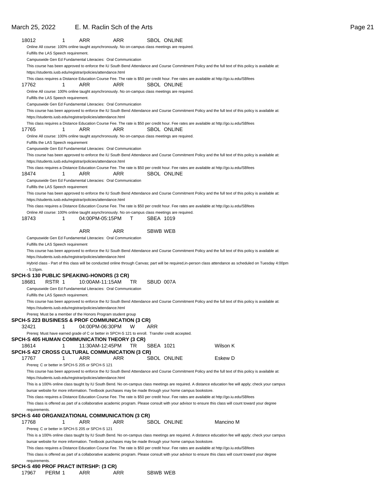### March 25, 2022 E. M. Raclin Sch of the Arts **Page 21 Page 21**

| 18012       | 1                                                                                                                                                | ARR             | ARR |           | <b>SBOL ONLINE</b> |                                                                                                                                                             |
|-------------|--------------------------------------------------------------------------------------------------------------------------------------------------|-----------------|-----|-----------|--------------------|-------------------------------------------------------------------------------------------------------------------------------------------------------------|
|             | Online All course: 100% online taught asynchronously. No on-campus class meetings are required.                                                  |                 |     |           |                    |                                                                                                                                                             |
|             | Fulfills the LAS Speech requirement.                                                                                                             |                 |     |           |                    |                                                                                                                                                             |
|             | Campuswide Gen Ed Fundamental Literacies: Oral Communication                                                                                     |                 |     |           |                    |                                                                                                                                                             |
|             |                                                                                                                                                  |                 |     |           |                    | This course has been approved to enforce the IU South Bend Attendance and Course Commitment Policy and the full text of this policy is available at:        |
|             | https://students.iusb.edu/registrar/policies/attendance.html                                                                                     |                 |     |           |                    |                                                                                                                                                             |
|             |                                                                                                                                                  |                 |     |           |                    | This class requires a Distance Education Course Fee. The rate is \$50 per credit hour. Fee rates are available at http://go.iu.edu/SBfees                   |
| 17762       | 1                                                                                                                                                | ARR             | ARR |           | <b>SBOL ONLINE</b> |                                                                                                                                                             |
|             | Online All course: 100% online taught asynchronously. No on-campus class meetings are required.                                                  |                 |     |           |                    |                                                                                                                                                             |
|             | Fulfills the LAS Speech requirement.                                                                                                             |                 |     |           |                    |                                                                                                                                                             |
|             | Campuswide Gen Ed Fundamental Literacies: Oral Communication                                                                                     |                 |     |           |                    |                                                                                                                                                             |
|             |                                                                                                                                                  |                 |     |           |                    | This course has been approved to enforce the IU South Bend Attendance and Course Commitment Policy and the full text of this policy is available at:        |
|             | https://students.iusb.edu/registrar/policies/attendance.html                                                                                     |                 |     |           |                    |                                                                                                                                                             |
|             |                                                                                                                                                  |                 |     |           |                    | This class requires a Distance Education Course Fee. The rate is \$50 per credit hour. Fee rates are available at http://go.iu.edu/SBfees                   |
| 17765       | 1                                                                                                                                                | ARR             | ARR |           | <b>SBOL ONLINE</b> |                                                                                                                                                             |
|             | Online All course: 100% online taught asynchronously. No on-campus class meetings are required.                                                  |                 |     |           |                    |                                                                                                                                                             |
|             | Fulfills the LAS Speech requirement                                                                                                              |                 |     |           |                    |                                                                                                                                                             |
|             | Campuswide Gen Ed Fundamental Literacies: Oral Communication                                                                                     |                 |     |           |                    |                                                                                                                                                             |
|             |                                                                                                                                                  |                 |     |           |                    | This course has been approved to enforce the IU South Bend Attendance and Course Commitment Policy and the full text of this policy is available at:        |
|             | https://students.iusb.edu/registrar/policies/attendance.html                                                                                     |                 |     |           |                    |                                                                                                                                                             |
|             |                                                                                                                                                  |                 |     |           |                    | This class requires a Distance Education Course Fee. The rate is \$50 per credit hour. Fee rates are available at http://go.iu.edu/SBfees                   |
| 18474       | 1                                                                                                                                                | ARR             | ARR |           | SBOL ONLINE        |                                                                                                                                                             |
|             | Campuswide Gen Ed Fundamental Literacies: Oral Communication                                                                                     |                 |     |           |                    |                                                                                                                                                             |
|             | Fulfills the LAS Speech requirement                                                                                                              |                 |     |           |                    |                                                                                                                                                             |
|             |                                                                                                                                                  |                 |     |           |                    | This course has been approved to enforce the IU South Bend Attendance and Course Commitment Policy and the full text of this policy is available at:        |
|             | https://students.iusb.edu/registrar/policies/attendance.html                                                                                     |                 |     |           |                    |                                                                                                                                                             |
|             |                                                                                                                                                  |                 |     |           |                    | This class requires a Distance Education Course Fee. The rate is \$50 per credit hour. Fee rates are available at http://go.iu.edu/SBfees                   |
|             | Online All course: 100% online taught asynchronously. No on-campus class meetings are required.                                                  |                 |     |           |                    |                                                                                                                                                             |
| 18743       | 1                                                                                                                                                | 04:00PM-05:15PM | т   | SBEA 1019 |                    |                                                                                                                                                             |
|             |                                                                                                                                                  |                 |     |           |                    |                                                                                                                                                             |
|             |                                                                                                                                                  | <b>ARR</b>      | ARR | SBWB WEB  |                    |                                                                                                                                                             |
|             | Campuswide Gen Ed Fundamental Literacies: Oral Communication                                                                                     |                 |     |           |                    |                                                                                                                                                             |
|             | Fulfills the LAS Speech requirement                                                                                                              |                 |     |           |                    |                                                                                                                                                             |
|             |                                                                                                                                                  |                 |     |           |                    | This course has been approved to enforce the IU South Bend Attendance and Course Commitment Policy and the full text of this policy is available at:        |
|             | https://students.iusb.edu/registrar/policies/attendance.html                                                                                     |                 |     |           |                    |                                                                                                                                                             |
|             |                                                                                                                                                  |                 |     |           |                    | Hybrid class - Part of this class will be conducted online through Canvas; part will be required, in-person class attendance as scheduled on Tuesday 4:00pm |
| $-5:15$ pm. | SPCH-S 130 PUBLIC SPEAKING-HONORS (3 CR)                                                                                                         |                 |     |           |                    |                                                                                                                                                             |
| 18681       | RSTR 1                                                                                                                                           | 10:00AM-11:15AM | TR  | SBUD 007A |                    |                                                                                                                                                             |
|             |                                                                                                                                                  |                 |     |           |                    |                                                                                                                                                             |
|             | Campuswide Gen Ed Fundamental Literacies: Oral Communication<br>Fulfills the LAS Speech requirement.                                             |                 |     |           |                    |                                                                                                                                                             |
|             |                                                                                                                                                  |                 |     |           |                    |                                                                                                                                                             |
|             |                                                                                                                                                  |                 |     |           |                    | This course has been approved to enforce the IU South Bend Attendance and Course Commitment Policy and the full text of this policy is available at:        |
|             | https://students.iusb.edu/registrar/policies/attendance.html<br>Prereq: Must be a member of the Honors Program student group                     |                 |     |           |                    |                                                                                                                                                             |
|             | SPCH-S 223 BUSINESS & PROF COMMUNICATION (3 CR)                                                                                                  |                 |     |           |                    |                                                                                                                                                             |
| 32421       | 1                                                                                                                                                | 04:00PM-06:30PM | W   | ARR       |                    |                                                                                                                                                             |
|             |                                                                                                                                                  |                 |     |           |                    |                                                                                                                                                             |
|             | Prereq: Must have earned grade of C or better in SPCH-S 121 to enroll. Transfer credit accepted.<br>SPCH-S 405 HUMAN COMMUNICATION THEORY (3 CR) |                 |     |           |                    |                                                                                                                                                             |
| 18614       | 1                                                                                                                                                | 11:30AM-12:45PM | TR  | SBEA 1021 |                    | Wilson K                                                                                                                                                    |
|             | SPCH-S 427 CROSS CULTURAL COMMUNICATION (3 CR)                                                                                                   |                 |     |           |                    |                                                                                                                                                             |
| 17767       | 1                                                                                                                                                | <b>ARR</b>      | ARR |           | <b>SBOL ONLINE</b> | Eskew D                                                                                                                                                     |
|             | Prereq: C or better in SPCH-S 205 or SPCH-S 121                                                                                                  |                 |     |           |                    |                                                                                                                                                             |
|             |                                                                                                                                                  |                 |     |           |                    |                                                                                                                                                             |
|             | https://students.iusb.edu/registrar/policies/attendance.html                                                                                     |                 |     |           |                    | This course has been approved to enforce the IU South Bend Attendance and Course Commitment Policy and the full text of this policy is available at:        |
|             |                                                                                                                                                  |                 |     |           |                    |                                                                                                                                                             |
|             |                                                                                                                                                  |                 |     |           |                    | This is a 100% online class taught by IU South Bend. No on-campus class meetings are required. A distance education fee will apply; check your campus       |
|             | bursar website for more information. Textbook purchases may be made through your home campus bookstore.                                          |                 |     |           |                    |                                                                                                                                                             |
|             |                                                                                                                                                  |                 |     |           |                    | This class requires a Distance Education Course Fee. The rate is \$50 per credit hour. Fee rates are available at http://go.iu.edu/SBfees                   |
|             |                                                                                                                                                  |                 |     |           |                    | This class is offered as part of a collaborative academic program. Please consult with your advisor to ensure this class will count toward your degree      |
|             | requirements.                                                                                                                                    |                 |     |           |                    |                                                                                                                                                             |
|             | SPCH-S 440 ORGANIZATIONAL COMMUNICATION (3 CR)                                                                                                   |                 |     |           |                    |                                                                                                                                                             |
| 17768       | 1                                                                                                                                                | ARR             | ARR |           | <b>SBOL ONLINE</b> | Mancino M                                                                                                                                                   |
|             | Prereq: C or better in SPCH-S 205 or SPCH-S 121                                                                                                  |                 |     |           |                    |                                                                                                                                                             |
|             |                                                                                                                                                  |                 |     |           |                    | This is a 100% online class taught by IU South Bend. No on-campus class meetings are required. A distance education fee will apply; check your campus       |
|             | bursar website for more information. Textbook purchases may be made through your home campus bookstore.                                          |                 |     |           |                    |                                                                                                                                                             |
|             |                                                                                                                                                  |                 |     |           |                    | This class requires a Distance Education Course Fee. The rate is \$50 per credit hour. Fee rates are available at http://go.iu.edu/SBfees                   |
|             |                                                                                                                                                  |                 |     |           |                    | This class is offered as part of a collaborative academic program. Please consult with your advisor to ensure this class will count toward your degree      |
|             | requirements.                                                                                                                                    |                 |     |           |                    |                                                                                                                                                             |
|             | SPCH-S 490 PROF PRACT INTRSHP: (3 CR)                                                                                                            |                 |     |           |                    |                                                                                                                                                             |
| 17967       | PERM 1                                                                                                                                           | ARR             | ARR | SBWB WEB  |                    |                                                                                                                                                             |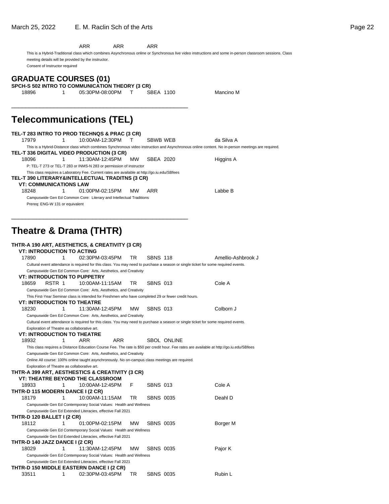|       |                                                                                                     | ARR             | ARR       | ARR             |                    |                                                                                                                                                           |  |
|-------|-----------------------------------------------------------------------------------------------------|-----------------|-----------|-----------------|--------------------|-----------------------------------------------------------------------------------------------------------------------------------------------------------|--|
|       | meeting details will be provided by the instructor.<br>Consent of Instructor required               |                 |           |                 |                    | This is a Hybrid-Traditional class which combines Asynchronous online or Synchronous live video instructions and some in-person classroom sessions. Class |  |
|       |                                                                                                     |                 |           |                 |                    |                                                                                                                                                           |  |
|       | <b>GRADUATE COURSES (01)</b>                                                                        |                 |           |                 |                    |                                                                                                                                                           |  |
|       | SPCH-S 502 INTRO TO COMMUNICATION THEORY (3 CR)                                                     |                 |           |                 |                    |                                                                                                                                                           |  |
| 18896 | 1                                                                                                   | 05:30PM-08:00PM | T.        | SBEA 1100       |                    | Mancino M                                                                                                                                                 |  |
|       |                                                                                                     |                 |           |                 |                    |                                                                                                                                                           |  |
|       |                                                                                                     |                 |           |                 |                    |                                                                                                                                                           |  |
|       | <b>Telecommunications (TEL)</b>                                                                     |                 |           |                 |                    |                                                                                                                                                           |  |
|       | TEL-T 283 INTRO TO PROD TECHNQS & PRAC (3 CR)                                                       |                 |           |                 |                    |                                                                                                                                                           |  |
| 17979 | 1                                                                                                   | 10:00AM-12:30PM | т         | SBWB WEB        |                    | da Silva A                                                                                                                                                |  |
|       |                                                                                                     |                 |           |                 |                    | This is a Hybrid-Distance class which combines Synchronous video instruction and Asynchronous online content. No in-person meetings are required.         |  |
|       | TEL-T 336 DIGITAL VIDEO PRODUCTION (3 CR)                                                           |                 |           |                 |                    |                                                                                                                                                           |  |
| 18096 | 1                                                                                                   | 11:30AM-12:45PM | <b>MW</b> | SBEA 2020       |                    | Higgins A                                                                                                                                                 |  |
|       | P: TEL-T 273 or TEL-T 283 or INMS-N 283 or permission of instructor                                 |                 |           |                 |                    |                                                                                                                                                           |  |
|       | This class requires a Laboratory Fee. Current rates are available at http://go.iu.edu/SBfees        |                 |           |                 |                    |                                                                                                                                                           |  |
|       | TEL-T 390 LITERARY&INTELLECTUAL TRADITNS (3 CR)                                                     |                 |           |                 |                    |                                                                                                                                                           |  |
|       | <b>VT: COMMUNICATIONS LAW</b>                                                                       |                 |           |                 |                    |                                                                                                                                                           |  |
| 18248 | 1                                                                                                   | 01:00PM-02:15PM | мw        | ARR             |                    | Labbe B                                                                                                                                                   |  |
|       | Campuswide Gen Ed Common Core: Literary and Intellectual Traditions                                 |                 |           |                 |                    |                                                                                                                                                           |  |
|       | Prereq: ENG-W 131 or equivalent                                                                     |                 |           |                 |                    |                                                                                                                                                           |  |
|       |                                                                                                     |                 |           |                 |                    |                                                                                                                                                           |  |
|       |                                                                                                     |                 |           |                 |                    |                                                                                                                                                           |  |
|       |                                                                                                     |                 |           |                 |                    |                                                                                                                                                           |  |
|       | Theatre & Drama (THTR)                                                                              |                 |           |                 |                    |                                                                                                                                                           |  |
|       |                                                                                                     |                 |           |                 |                    |                                                                                                                                                           |  |
|       | THTR-A 190 ART, AESTHETICS, & CREATIVITY (3 CR)                                                     |                 |           |                 |                    |                                                                                                                                                           |  |
|       | <b>VT: INTRODUCTION TO ACTING</b>                                                                   |                 |           |                 |                    |                                                                                                                                                           |  |
| 17890 | 1                                                                                                   | 02:30PM-03:45PM | TR        | <b>SBNS 118</b> |                    | Amellio-Ashbrook J                                                                                                                                        |  |
|       |                                                                                                     |                 |           |                 |                    | Cultural event attendance is required for this class. You may need to purchase a season or single ticket for some required events.                        |  |
|       | Campuswide Gen Ed Common Core: Arts, Aesthetics, and Creativity                                     |                 |           |                 |                    |                                                                                                                                                           |  |
|       | <b>VT: INTRODUCTION TO PUPPETRY</b>                                                                 |                 |           |                 |                    |                                                                                                                                                           |  |
| 18659 | RSTR 1                                                                                              | 10:00AM-11:15AM | TR        | <b>SBNS 013</b> |                    | Cole A                                                                                                                                                    |  |
|       | Campuswide Gen Ed Common Core: Arts, Aesthetics, and Creativity                                     |                 |           |                 |                    |                                                                                                                                                           |  |
|       | This First-Year Seminar class is intended for Freshmen who have completed 29 or fewer credit hours. |                 |           |                 |                    |                                                                                                                                                           |  |
|       | <b>VT: INTRODUCTION TO THEATRE</b>                                                                  |                 |           |                 |                    |                                                                                                                                                           |  |
| 18230 | 1                                                                                                   | 11:30AM-12:45PM | мw        | <b>SBNS 013</b> |                    | Colborn J                                                                                                                                                 |  |
|       | Campuswide Gen Ed Common Core: Arts, Aesthetics, and Creativity                                     |                 |           |                 |                    |                                                                                                                                                           |  |
|       |                                                                                                     |                 |           |                 |                    | Cultural event attendance is required for this class. You may need to purchase a season or single ticket for some required events.                        |  |
|       | Exploration of Theatre as collaborative art.                                                        |                 |           |                 |                    |                                                                                                                                                           |  |
|       | <b>VT: INTRODUCTION TO THEATRE</b>                                                                  |                 |           |                 |                    |                                                                                                                                                           |  |
| 18932 | 1                                                                                                   | ARR             | ARR       |                 | <b>SBOL ONLINE</b> |                                                                                                                                                           |  |
|       |                                                                                                     |                 |           |                 |                    | This class requires a Distance Education Course Fee. The rate is \$50 per credit hour. Fee rates are available at http://go.iu.edu/SBfees                 |  |
|       | Campuswide Gen Ed Common Core: Arts, Aesthetics, and Creativity                                     |                 |           |                 |                    |                                                                                                                                                           |  |
|       | Online All course: 100% online taught asynchronously. No on-campus class meetings are required.     |                 |           |                 |                    |                                                                                                                                                           |  |
|       | Exploration of Theatre as collaborative art.                                                        |                 |           |                 |                    |                                                                                                                                                           |  |
|       | THTR-A 399 ART, AESTHESTICS & CREATIVITY (3 CR)                                                     |                 |           |                 |                    |                                                                                                                                                           |  |
|       | <b>VT: THEATRE BEYOND THE CLASSROOM</b>                                                             |                 |           |                 |                    |                                                                                                                                                           |  |
| 18933 | 1                                                                                                   | 10:00AM-12:45PM | F.        | <b>SBNS 013</b> |                    | Cole A                                                                                                                                                    |  |
|       | THTR-D 115 MODERN DANCE I (2 CR)                                                                    |                 |           |                 |                    |                                                                                                                                                           |  |

18112 1 01:00PM-02:15PM MW SBNS 0035 Borger M Campuswide Gen Ed Contemporary Social Values: Health and Wellness Campuswide Gen Ed Extended Literacies, effective Fall 2021 **THTR-D 140 JAZZ DANCE I (2 CR)**

**THTR-D 120 BALLET I (2 CR)**

Campuswide Gen Ed Contemporary Social Values: Health and Wellness Campuswide Gen Ed Extended Literacies, effective Fall 2021

### 18029 1 11:30AM-12:45PM MW SBNS 0035 Pajor K Campuswide Gen Ed Contemporary Social Values: Health and Wellness Campuswide Gen Ed Extended Literacies, effective Fall 2021 **THTR-D 150 MIDDLE EASTERN DANCE I (2 CR)**<br>33511 1 02:30PM-03:45PM 1 02:30PM-03:45PM TR SBNS 0035 Rubin L

18179 1 10:00AM-11:15AM TR SBNS 0035 Deahl D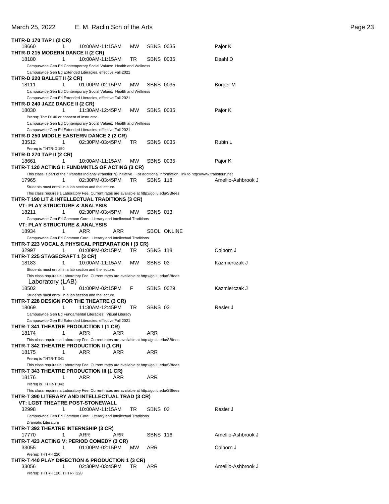### March 25, 2022 E. M. Raclin Sch of the Arts **Page 23**

| <b>THTR-D 170 TAP I (2 CR)</b>                                       |                                                                                                                                 |           |                  |                                                                                                                                     |                    |
|----------------------------------------------------------------------|---------------------------------------------------------------------------------------------------------------------------------|-----------|------------------|-------------------------------------------------------------------------------------------------------------------------------------|--------------------|
| 18660                                                                | 1<br>10:00AM-11:15AM                                                                                                            | <b>MW</b> | <b>SBNS 0035</b> |                                                                                                                                     | Pajor K            |
| THTR-D 215 MODERN DANCE II (2 CR)                                    |                                                                                                                                 |           |                  |                                                                                                                                     |                    |
| 18180                                                                | 10:00AM-11:15AM<br>1                                                                                                            | TR.       | SBNS 0035        |                                                                                                                                     | Deahl D            |
|                                                                      | Campuswide Gen Ed Contemporary Social Values: Health and Wellness<br>Campuswide Gen Ed Extended Literacies, effective Fall 2021 |           |                  |                                                                                                                                     |                    |
| THTR-D 220 BALLET II (2 CR)                                          |                                                                                                                                 |           |                  |                                                                                                                                     |                    |
| 18111                                                                | 1<br>01:00PM-02:15PM                                                                                                            | <b>MW</b> | <b>SBNS 0035</b> |                                                                                                                                     | Borger M           |
|                                                                      | Campuswide Gen Ed Contemporary Social Values: Health and Wellness                                                               |           |                  |                                                                                                                                     |                    |
|                                                                      | Campuswide Gen Ed Extended Literacies, effective Fall 2021                                                                      |           |                  |                                                                                                                                     |                    |
| THTR-D 240 JAZZ DANCE II (2 CR)                                      |                                                                                                                                 |           |                  |                                                                                                                                     |                    |
| 18030                                                                | 11:30AM-12:45PM<br>1                                                                                                            | <b>MW</b> | <b>SBNS 0035</b> |                                                                                                                                     | Pajor K            |
| Prereg: Thtr D140 or consent of instructor                           |                                                                                                                                 |           |                  |                                                                                                                                     |                    |
|                                                                      | Campuswide Gen Ed Contemporary Social Values: Health and Wellness<br>Campuswide Gen Ed Extended Literacies, effective Fall 2021 |           |                  |                                                                                                                                     |                    |
| THTR-D 250 MIDDLE EASTERN DANCE 2 (2 CR)                             |                                                                                                                                 |           |                  |                                                                                                                                     |                    |
| 33512                                                                | 1<br>02:30PM-03:45PM                                                                                                            | TR.       | <b>SBNS 0035</b> |                                                                                                                                     | Rubin L            |
| Prereq is THTR-D 150                                                 |                                                                                                                                 |           |                  |                                                                                                                                     |                    |
| THTR-D 270 TAP II (2 CR)                                             |                                                                                                                                 |           |                  |                                                                                                                                     |                    |
| 18661                                                                | 1<br>10:00AM-11:15AM                                                                                                            | MW        | <b>SBNS 0035</b> |                                                                                                                                     | Pajor K            |
| THTR-T 120 ACTING I: FUNDMNTLS OF ACTING (3 CR)                      |                                                                                                                                 |           |                  |                                                                                                                                     |                    |
| 17965                                                                | 1<br>02:30PM-03:45PM                                                                                                            | TR        | <b>SBNS 118</b>  | This class is part of the "Transfer Indiana" (transferIN) initiative. For additional information, link to http://www.transferin.net | Amellio-Ashbrook J |
|                                                                      | Students must enroll in a lab section and the lecture.                                                                          |           |                  |                                                                                                                                     |                    |
|                                                                      | This class requires a Laboratory Fee. Current rates are available at http://go.iu.edu/SBfees                                    |           |                  |                                                                                                                                     |                    |
| THTR-T 190 LIT & INTELLECTUAL TRADITIONS (3 CR)                      |                                                                                                                                 |           |                  |                                                                                                                                     |                    |
| <b>VT: PLAY STRUCTURE &amp; ANALYSIS</b>                             |                                                                                                                                 |           |                  |                                                                                                                                     |                    |
| 18211                                                                | 1<br>02:30PM-03:45PM                                                                                                            | <b>MW</b> | <b>SBNS 013</b>  |                                                                                                                                     |                    |
|                                                                      | Campuswide Gen Ed Common Core: Literary and Intellectual Traditions                                                             |           |                  |                                                                                                                                     |                    |
| <b>VT: PLAY STRUCTURE &amp; ANALYSIS</b>                             | ARR<br>1                                                                                                                        | ARR       |                  | <b>SBOL ONLINE</b>                                                                                                                  |                    |
| 18934                                                                | Campuswide Gen Ed Common Core: Literary and Intellectual Traditions                                                             |           |                  |                                                                                                                                     |                    |
| THTR-T 223 VOCAL & PHYSICAL PREPARATION I (3 CR)                     |                                                                                                                                 |           |                  |                                                                                                                                     |                    |
| 32997                                                                | 01:00PM-02:15PM<br>1                                                                                                            | TR.       | <b>SBNS 118</b>  |                                                                                                                                     | Colborn J          |
| THTR-T 225 STAGECRAFT 1 (3 CR)                                       |                                                                                                                                 |           |                  |                                                                                                                                     |                    |
| 18183                                                                | 1<br>10:00AM-11:15AM                                                                                                            | MW.       | SBNS 03          |                                                                                                                                     | Kazmierczak J      |
|                                                                      | Students must enroll in a lab section and the lecture.                                                                          |           |                  |                                                                                                                                     |                    |
|                                                                      | This class requires a Laboratory Fee. Current rates are available at http://go.iu.edu/SBfees                                    |           |                  |                                                                                                                                     |                    |
| Laboratory (LAB)                                                     | 1                                                                                                                               | F         | <b>SBNS 0029</b> |                                                                                                                                     | Kazmierczak J      |
| 18502                                                                | 01:00PM-02:15PM<br>Students must enroll in a lab section and the lecture.                                                       |           |                  |                                                                                                                                     |                    |
| THTR-T 228 DESIGN FOR THE THEATRE (3 CR)                             |                                                                                                                                 |           |                  |                                                                                                                                     |                    |
| 18069                                                                | 11:30AM-12:45PM<br>1                                                                                                            | TR        | SBNS 03          |                                                                                                                                     | Resler J           |
|                                                                      | Campuswide Gen Ed Fundamental Literacies: Visual Literacy                                                                       |           |                  |                                                                                                                                     |                    |
|                                                                      | Campuswide Gen Ed Extended Literacies, effective Fall 2021                                                                      |           |                  |                                                                                                                                     |                    |
| THTR-T 341 THEATRE PRODUCTION I (1 CR)                               |                                                                                                                                 |           |                  |                                                                                                                                     |                    |
| 18174                                                                | 1<br>ARR                                                                                                                        | ARR       | ARR              |                                                                                                                                     |                    |
| THTR-T 342 THEATRE PRODUCTION II (1 CR)                              | This class requires a Laboratory Fee. Current rates are available at http://go.iu.edu/SBfees                                    |           |                  |                                                                                                                                     |                    |
| 18175                                                                | 1<br>ARR                                                                                                                        | ARR       | ARR              |                                                                                                                                     |                    |
| Prereq is THTR-T 341                                                 |                                                                                                                                 |           |                  |                                                                                                                                     |                    |
|                                                                      | This class requires a Laboratory Fee. Current rates are available at http://go.iu.edu/SBfees                                    |           |                  |                                                                                                                                     |                    |
| THTR-T 343 THEATRE PRODUCTION III (1 CR)                             |                                                                                                                                 |           |                  |                                                                                                                                     |                    |
| 18176                                                                | ARR<br>1                                                                                                                        | ARR       | ARR              |                                                                                                                                     |                    |
| Prereq is THTR-T 342                                                 |                                                                                                                                 |           |                  |                                                                                                                                     |                    |
|                                                                      | This class requires a Laboratory Fee. Current rates are available at http://go.iu.edu/SBfees                                    |           |                  |                                                                                                                                     |                    |
| THTR-T 390 LITERARY AND INTELLECTUAL TRAD (3 CR)                     | <b>VT: LGBT THEATRE POST-STONEWALL</b>                                                                                          |           |                  |                                                                                                                                     |                    |
| 32998                                                                | 1<br>10:00AM-11:15AM                                                                                                            | TR        | SBNS 03          |                                                                                                                                     | Resler J           |
|                                                                      | Campuswide Gen Ed Common Core: Literary and Intellectual Traditions                                                             |           |                  |                                                                                                                                     |                    |
| Dramatic Literature                                                  |                                                                                                                                 |           |                  |                                                                                                                                     |                    |
| THTR-T 392 THEATRE INTERNSHIP (3 CR)                                 |                                                                                                                                 |           |                  |                                                                                                                                     |                    |
| 17770                                                                | ARR<br>1                                                                                                                        | ARR       | <b>SBNS 116</b>  |                                                                                                                                     | Amellio-Ashbrook J |
| THTR-T 423 ACTING V: PERIOD COMEDY (3 CR)                            |                                                                                                                                 |           |                  |                                                                                                                                     |                    |
| 33055                                                                | 1<br>01:00PM-02:15PM                                                                                                            | MW.       | ARR              |                                                                                                                                     | Colborn J          |
| Prereq: THTR-T220<br>THTR-T 440 PLAY DIRECTION & PRODUCTION 1 (3 CR) |                                                                                                                                 |           |                  |                                                                                                                                     |                    |
| 33056                                                                | 1<br>02:30PM-03:45PM                                                                                                            | TR.       | ARR              |                                                                                                                                     | Amellio-Ashbrook J |
| Prereq: THTR-T120, THTR-T228                                         |                                                                                                                                 |           |                  |                                                                                                                                     |                    |
|                                                                      |                                                                                                                                 |           |                  |                                                                                                                                     |                    |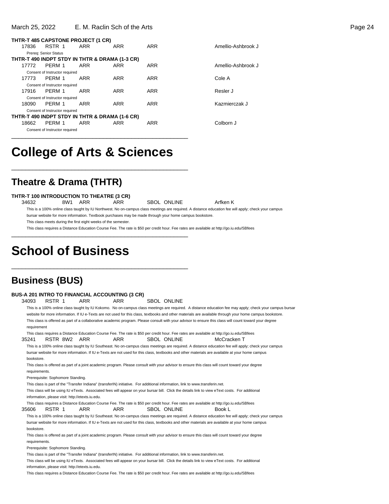#### March 25, 2022 E. M. Raclin Sch of the Arts Page 24

|       |                                | THTR-T 485 CAPSTONE PROJECT (1 CR)             |            |            |           |
|-------|--------------------------------|------------------------------------------------|------------|------------|-----------|
| 17836 | RSTR 1                         | ARR                                            | ARR        | ARR        | Amellio-A |
|       | Prereg: Senior Status          |                                                |            |            |           |
|       |                                | THTR-T 490 INDPT STDY IN THTR & DRAMA (1-3 CR) |            |            |           |
| 17772 | PFRM 1                         | ARR                                            | ARR        | ARR        | Amellio-A |
|       | Consent of Instructor required |                                                |            |            |           |
| 17773 | PERM 1                         | <b>ARR</b>                                     | ARR        | <b>ARR</b> | Cole A    |
|       | Consent of Instructor required |                                                |            |            |           |
| 17916 | PERM 1                         | ARR                                            | <b>ARR</b> | ARR        | Resler J  |
|       | Consent of Instructor required |                                                |            |            |           |
| 18090 | PERM 1                         | ARR                                            | ARR        | ARR        | Kazmierc: |
|       | Consent of Instructor required |                                                |            |            |           |
|       |                                | THTR-T 490 INDPT STDY IN THTR & DRAMA (1-6 CR) |            |            |           |
| 18662 | PERM 1                         | ARR                                            | ARR        | ARR        | Colborn J |
|       | Consent of Instructor required |                                                |            |            |           |
|       |                                |                                                |            |            |           |

Amellio-Ashbrook J Amellio-Ashbrook J

Kazmierczak J

# **College of Arts & Sciences**

\_\_\_\_\_\_\_\_\_\_\_\_\_\_\_\_\_\_\_\_\_\_\_\_\_\_\_\_\_\_\_\_\_\_\_\_\_\_\_\_\_\_\_\_\_\_\_\_\_\_

\_\_\_\_\_\_\_\_\_\_\_\_\_\_\_\_\_\_\_\_\_\_\_\_\_\_\_\_\_\_\_\_\_\_\_\_\_\_\_\_\_\_\_\_\_\_\_\_\_\_

## **Theatre & Drama (THTR)**

### **THTR-T 100 INTRODUCTION TO THEATRE (3 CR)**

34632 8W1 ARR ARR SBOL ONLINE Arfken K

This is a 100% online class taught by IU Northwest. No on-campus class meetings are required. A distance education fee will apply; check your campus

bursar website for more information. Textbook purchases may be made through your home campus bookstore.

This class meets during the first eight weeks of the semester.

This class requires a Distance Education Course Fee. The rate is \$50 per credit hour. Fee rates are available at http://go.iu.edu/SBfees \_\_\_\_\_\_\_\_\_\_\_\_\_\_\_\_\_\_\_\_\_\_\_\_\_\_\_\_\_\_\_\_\_\_\_\_\_\_\_\_\_\_\_\_\_\_\_\_\_\_

# **School of Business**

## **Business (BUS)**

|               |                                   |              |                                                  | <b>BUS-A 201 INTRO TO FINANCIAL ACCOUNTING (3 CR)</b>                                                                         |                    |                                                                                                                                                          |  |
|---------------|-----------------------------------|--------------|--------------------------------------------------|-------------------------------------------------------------------------------------------------------------------------------|--------------------|----------------------------------------------------------------------------------------------------------------------------------------------------------|--|
| 34093         | RSTR 1                            |              | <b>ARR</b>                                       | ARR                                                                                                                           | SBOL ONLINE        |                                                                                                                                                          |  |
|               |                                   |              |                                                  |                                                                                                                               |                    | This is a 100% online class taught by IU Kokomo. No on-campus class meetings are required. A distance education fee may apply; check your campus bursar  |  |
|               |                                   |              |                                                  |                                                                                                                               |                    | website for more information. If IU e-Texts are not used for this class, textbooks and other materials are available through your home campus bookstore. |  |
|               |                                   |              |                                                  |                                                                                                                               |                    | This class is offered as part of a collaborative academic program. Please consult with your advisor to ensure this class will count toward your degree   |  |
| requirement   |                                   |              |                                                  |                                                                                                                               |                    |                                                                                                                                                          |  |
|               |                                   |              |                                                  |                                                                                                                               |                    | This class requires a Distance Education Course Fee. The rate is \$50 per credit hour. Fee rates are available at http://go.iu.edu/SBfees                |  |
| 35241         |                                   | RSTR 8W2 ARR |                                                  | <b>ARR</b>                                                                                                                    | <b>SBOL ONLINE</b> | McCracken T                                                                                                                                              |  |
|               |                                   |              |                                                  |                                                                                                                               |                    | This is a 100% online class taught by IU Southeast. No on-campus class meetings are required. A distance education fee will apply; check your campus     |  |
|               |                                   |              |                                                  |                                                                                                                               |                    | bursar website for more information. If IU e-Texts are not used for this class, textbooks and other materials are available at your home campus          |  |
| bookstore.    |                                   |              |                                                  |                                                                                                                               |                    |                                                                                                                                                          |  |
|               |                                   |              |                                                  |                                                                                                                               |                    | This class is offered as part of a joint academic program. Please consult with your advisor to ensure this class will count toward your degree           |  |
| requirements. |                                   |              |                                                  |                                                                                                                               |                    |                                                                                                                                                          |  |
|               | Prerequisite: Sophomore Standing. |              |                                                  |                                                                                                                               |                    |                                                                                                                                                          |  |
|               |                                   |              |                                                  | This class is part of the "Transfer Indiana" (transferIN) initiative. For additional information, link to www.transferin.net. |                    |                                                                                                                                                          |  |
|               |                                   |              |                                                  |                                                                                                                               |                    | This class will be using IU eTexts. Associated fees will appear on your bursar bill. Click the details link to view eText costs. For additional          |  |
|               |                                   |              | information, please visit: http://etexts.iu.edu. |                                                                                                                               |                    |                                                                                                                                                          |  |
|               |                                   |              |                                                  |                                                                                                                               |                    | This class requires a Distance Education Course Fee. The rate is \$50 per credit hour. Fee rates are available at http://go.iu.edu/SBfees                |  |
| 35606         | RSTR 1                            |              | <b>ARR</b>                                       | <b>ARR</b>                                                                                                                    | <b>SBOL ONLINE</b> | Book L                                                                                                                                                   |  |
|               |                                   |              |                                                  |                                                                                                                               |                    | This is a 100% online class taught by IU Southeast. No on-campus class meetings are required. A distance education fee will apply; check your campus     |  |
|               |                                   |              |                                                  |                                                                                                                               |                    | bursar website for more information. If IU e-Texts are not used for this class, textbooks and other materials are available at your home campus          |  |
| bookstore.    |                                   |              |                                                  |                                                                                                                               |                    |                                                                                                                                                          |  |
|               |                                   |              |                                                  |                                                                                                                               |                    | This class is offered as part of a joint academic program. Please consult with your advisor to ensure this class will count toward your degree           |  |
| requirements. |                                   |              |                                                  |                                                                                                                               |                    |                                                                                                                                                          |  |
|               | Prerequisite: Sophomore Standing. |              |                                                  |                                                                                                                               |                    |                                                                                                                                                          |  |
|               |                                   |              |                                                  | This class is part of the "Transfer Indiana" (transferIN) initiative. For additional information, link to www.transferin.net. |                    |                                                                                                                                                          |  |
|               |                                   |              |                                                  |                                                                                                                               |                    | This class will be using IU eTexts. Associated fees will appear on your bursar bill. Click the details link to view eText costs. For additional          |  |
|               |                                   |              | information, please visit: http://etexts.iu.edu. |                                                                                                                               |                    |                                                                                                                                                          |  |
|               |                                   |              |                                                  |                                                                                                                               |                    | This class requires a Distance Education Course Fee. The rate is \$50 per credit hour. Fee rates are available at http://go.iu.edu/SBfees                |  |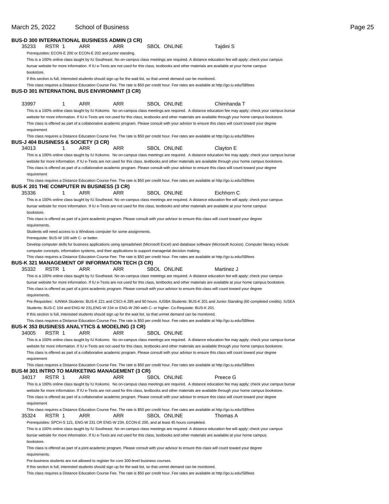#### **BUS-D 300 INTERNATIONAL BUSINESS ADMIN (3 CR)** 35233 RSTR 1 ARR ARR SBOL ONLINE Tajdini S Prerequisties: ECON-E 200 or ECON-E 202 and junior standing. This is a 100% online class taught by IU Southeast. No on-campus class meetings are required. A distance education fee will apply; check your campus bursar website for more information. If IU e-Texts are not used for this class, textbooks and other materials are available at your home campus bookstore. If this section is full, interested students should sign up for the wait list, so that unmet demand can be monitored. This class requires a Distance Education Course Fee. The rate is \$50 per credit hour. Fee rates are available at http://go.iu.edu/SBfees **BUS-D 301 INTERNATIONL BUS ENVIRONMNT (3 CR)** 33997 1 ARR ARR SBOL ONLINE Chimhanda T This is a 100% online class taught by IU Kokomo. No on-campus class meetings are required. A distance education fee may apply; check your campus bursar website for more information. If IU e-Texts are not used for this class, textbooks and other materials are available through your home campus bookstore. This class is offered as part of a collaborative academic program. Please consult with your advisor to ensure this class will count toward your degree requirement This class requires a Distance Education Course Fee. The rate is \$50 per credit hour. Fee rates are available at http://go.iu.edu/SBfees **BUS-J 404 BUSINESS & SOCIETY (3 CR)** 34013 1 ARR ARR SBOL ONLINE Clayton E This is a 100% online class taught by IU Kokomo. No on-campus class meetings are required. A distance education fee may apply; check your campus bursar website for more information. If IU e-Texts are not used for this class, textbooks and other materials are available through your home campus bookstore. This class is offered as part of a collaborative academic program. Please consult with your advisor to ensure this class will count toward your degree requirement This class requires a Distance Education Course Fee. The rate is \$50 per credit hour. Fee rates are available at http://go.iu.edu/SBfees **BUS-K 201 THE COMPUTER IN BUSINESS (3 CR)** 35336 1 ARR ARR SBOL ONLINE Eichhorn C This is a 100% online class taught by IU Southeast. No on-campus class meetings are required. A distance education fee will apply; check your campus bursar website for more information. If IU e-Texts are not used for this class, textbooks and other materials are available at your home campus bookstore. This class is offered as part of a joint academic program. Please consult with your advisor to ensure this class will count toward your degree requirements. Students will need access to a Windows computer for some assignments. Prerequisite: BUS-W 100 with C- or better. Develop computer skills for business applications using spreadsheet (Microsoft Excel) and database software (Microsoft Access). Computer literacy include computer concepts, information systems, and their applications to support managerial decision making. This class requires a Distance Education Course Fee. The rate is \$50 per credit hour. Fee rates are available at http://go.iu.edu/SBfees **BUS-K 321 MANAGEMENT OF INFORMATION TECH (3 CR)** 35332 RSTR 1 ARR ARR SBOL ONLINE Martinez J This is a 100% online class taught by IU Southeast. No on-campus class meetings are required. A distance education fee will apply; check your campus bursar website for more information. If IU e-Texts are not used for this class, textbooks and other materials are available at your home campus bookstore. This class is offered as part of a joint academic program. Please consult with your advisor to ensure this class will count toward your degree requirements. Pre-Requisites: IUNWA Students: BUS-K 221 and CSCI-A 285 and 60 hours. IUSBA Students: BUS-K 201 and Junior Standing (60 completed credits). IUSEA Students: BUS-C 104 and ENG-W 231,ENG-W 234 or ENG-W 290 with C- or higher. Co-Requisite: BUS-K 201. If this section is full, interested students should sign up for the wait list, so that unmet demand can be monitored. This class requires a Distance Education Course Fee. The rate is \$50 per credit hour. Fee rates are available at http://go.iu.edu/SBfees **BUS-K 353 BUSINESS ANALYTICS & MODELING (3 CR)** 34005 RSTR 1 ARR ARR SBOL ONLINE This is a 100% online class taught by IU Kokomo. No on-campus class meetings are required. A distance education fee may apply; check your campus bursar website for more information. If IU e-Texts are not used for this class, textbooks and other materials are available through your home campus bookstore. This class is offered as part of a collaborative academic program. Please consult with your advisor to ensure this class will count toward your degree requirement This class requires a Distance Education Course Fee. The rate is \$50 per credit hour. Fee rates are available at http://go.iu.edu/SBfees **BUS-M 301 INTRO TO MARKETING MANAGEMENT (3 CR)** 34017 RSTR 1 ARR ARR SBOL ONLINE Preece G This is a 100% online class taught by IU Kokomo. No on-campus class meetings are required. A distance education fee may apply; check your campus bursar website for more information. If IU e-Texts are not used for this class, textbooks and other materials are available through your home campus bookstore. This class is offered as part of a collaborative academic program. Please consult with your advisor to ensure this class will count toward your degree requirement This class requires a Distance Education Course Fee. The rate is \$50 per credit hour. Fee rates are available at http://go.iu.edu/SBfees 35324 RSTR 1 ARR ARR SBOL ONLINE Thomas A Prerequisites: SPCH-S 121, ENG-W 231 OR ENG-W 234, ECON-E 200, and at least 45 hours completed. This is a 100% online class taught by IU Southeast. No on-campus class meetings are required. A distance education fee will apply; check your campus bursar website for more information. If IU e-Texts are not used for this class, textbooks and other materials are available at your home campus bookstore. This class is offered as part of a joint academic program. Please consult with your advisor to ensure this class will count toward your degree requirements. Pre-business students are not allowed to register for core 300-level business courses. If this section is full, interested students should sign up for the wait list, so that unmet demand can be monitored. This class requires a Distance Education Course Fee. The rate is \$50 per credit hour. Fee rates are available at http://go.iu.edu/SBfees

#### March 25, 2022 School of Business Page 25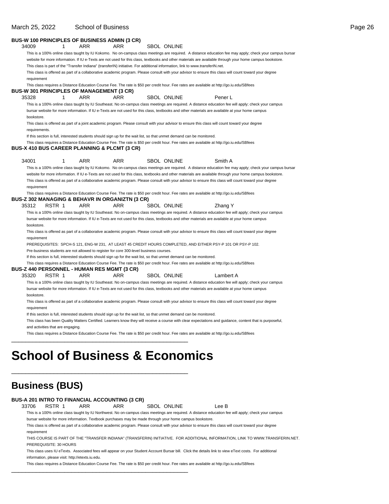### March 25, 2022 School of Business **Page 26**

|               |                                   | <b>BUS-W 100 PRINCIPLES OF BUSINESS ADMIN (3 CR)</b>                                                                  |            |                    |                                                                                                                                                                                                                                                                                                         |  |
|---------------|-----------------------------------|-----------------------------------------------------------------------------------------------------------------------|------------|--------------------|---------------------------------------------------------------------------------------------------------------------------------------------------------------------------------------------------------------------------------------------------------------------------------------------------------|--|
| 34009         | 1                                 | ARR                                                                                                                   | ARR        | SBOL ONLINE        |                                                                                                                                                                                                                                                                                                         |  |
|               |                                   |                                                                                                                       |            |                    | This is a 100% online class taught by IU Kokomo. No on-campus class meetings are required. A distance education fee may apply; check your campus bursar                                                                                                                                                 |  |
|               |                                   |                                                                                                                       |            |                    | website for more information. If IU e-Texts are not used for this class, textbooks and other materials are available through your home campus bookstore.                                                                                                                                                |  |
|               |                                   |                                                                                                                       |            |                    | This class is part of the "Transfer Indiana" (transferIN) initiative. For additional information, link to www.transferIN.net.                                                                                                                                                                           |  |
| requirement   |                                   |                                                                                                                       |            |                    | This class is offered as part of a collaborative academic program. Please consult with your advisor to ensure this class will count toward your degree                                                                                                                                                  |  |
|               |                                   | <b>BUS-W 301 PRINCIPLES OF MANAGEMENT (3 CR)</b>                                                                      |            |                    | This class requires a Distance Education Course Fee. The rate is \$50 per credit hour. Fee rates are available at http://go.iu.edu/SBfees                                                                                                                                                               |  |
| 35328         | 1                                 | <b>ARR</b>                                                                                                            | ARR        | SBOL ONLINE        | Pener L                                                                                                                                                                                                                                                                                                 |  |
| bookstore.    |                                   |                                                                                                                       |            |                    | This is a 100% online class taught by IU Southeast. No on-campus class meetings are required. A distance education fee will apply; check your campus<br>bursar website for more information. If IU e-Texts are not used for this class, textbooks and other materials are available at your home campus |  |
| requirements. |                                   |                                                                                                                       |            |                    | This class is offered as part of a joint academic program. Please consult with your advisor to ensure this class will count toward your degree                                                                                                                                                          |  |
|               |                                   | If this section is full, interested students should sign up for the wait list, so that unmet demand can be monitored. |            |                    |                                                                                                                                                                                                                                                                                                         |  |
|               |                                   | <b>BUS-X 410 BUS CAREER PLANNING &amp; PLCMT (3 CR)</b>                                                               |            |                    | This class requires a Distance Education Course Fee. The rate is \$50 per credit hour. Fee rates are available at http://go.iu.edu/SBfees                                                                                                                                                               |  |
| 34001         | 1                                 | ARR                                                                                                                   | <b>ARR</b> | <b>SBOL ONLINE</b> | Smith A                                                                                                                                                                                                                                                                                                 |  |
|               |                                   |                                                                                                                       |            |                    | This is a 100% online class taught by IU Kokomo. No on-campus class meetings are required. A distance education fee may apply; check your campus bursar                                                                                                                                                 |  |
|               |                                   |                                                                                                                       |            |                    | website for more information. If IU e-Texts are not used for this class, textbooks and other materials are available through your home campus bookstore.                                                                                                                                                |  |
| requirement   |                                   |                                                                                                                       |            |                    | This class is offered as part of a collaborative academic program. Please consult with your advisor to ensure this class will count toward your degree                                                                                                                                                  |  |
|               |                                   | <b>BUS-Z 302 MANAGING &amp; BEHAVR IN ORGANIZTN (3 CR)</b>                                                            |            |                    | This class requires a Distance Education Course Fee. The rate is \$50 per credit hour. Fee rates are available at http://go.iu.edu/SBfees                                                                                                                                                               |  |
| 35312         | RSTR 1                            | ARR                                                                                                                   | ARR        | <b>SBOL ONLINE</b> | Zhang Y                                                                                                                                                                                                                                                                                                 |  |
|               |                                   |                                                                                                                       |            |                    | This is a 100% online class taught by IU Southeast. No on-campus class meetings are required. A distance education fee will apply; check your campus                                                                                                                                                    |  |
| bookstore.    |                                   |                                                                                                                       |            |                    | bursar website for more information. If IU e-Texts are not used for this class, textbooks and other materials are available at your home campus                                                                                                                                                         |  |
| requirement   |                                   |                                                                                                                       |            |                    | This class is offered as part of a collaborative academic program. Please consult with your advisor to ensure this class will count toward your degree                                                                                                                                                  |  |
|               |                                   |                                                                                                                       |            |                    | PREREQUISITES: SPCH-S 121, ENG-W 231, AT LEAST 45 CREDIT HOURS COMPLETED, AND EITHER PSY-P 101 OR PSY-P 102.                                                                                                                                                                                            |  |
|               |                                   | Pre-business students are not allowed to register for core 300-level business courses.                                |            |                    |                                                                                                                                                                                                                                                                                                         |  |
|               |                                   | If this section is full, interested students should sign up for the wait list, so that unmet demand can be monitored. |            |                    |                                                                                                                                                                                                                                                                                                         |  |
|               |                                   |                                                                                                                       |            |                    | This class requires a Distance Education Course Fee. The rate is \$50 per credit hour. Fee rates are available at http://go.iu.edu/SBfees                                                                                                                                                               |  |
| 35320         | RSTR 1                            | <b>BUS-Z 440 PERSONNEL - HUMAN RES MGMT (3 CR)</b><br>ARR                                                             | ARR.       | <b>SBOL ONLINE</b> | Lambert A                                                                                                                                                                                                                                                                                               |  |
|               |                                   |                                                                                                                       |            |                    | This is a 100% online class taught by IU Southeast. No on-campus class meetings are required. A distance education fee will apply; check your campus                                                                                                                                                    |  |
|               |                                   |                                                                                                                       |            |                    | bursar website for more information. If IU e-Texts are not used for this class, textbooks and other materials are available at your home campus                                                                                                                                                         |  |
| bookstore.    |                                   |                                                                                                                       |            |                    | This class is offered as part of a collaborative academic program. Please consult with your advisor to ensure this class will count toward your degree                                                                                                                                                  |  |
| requirement   |                                   |                                                                                                                       |            |                    |                                                                                                                                                                                                                                                                                                         |  |
|               |                                   | If this section is full, interested students should sign up for the wait list, so that unmet demand can be monitored. |            |                    |                                                                                                                                                                                                                                                                                                         |  |
|               | and activities that are engaging. |                                                                                                                       |            |                    | This class has been Quality Matters Certified. Learners know they will receive a course with clear expectations and guidance, content that is purposeful,                                                                                                                                               |  |
|               |                                   |                                                                                                                       |            |                    | This class requires a Distance Education Course Fee. The rate is \$50 per credit hour. Fee rates are available at http://go.iu.edu/SBfees                                                                                                                                                               |  |
|               |                                   |                                                                                                                       |            |                    |                                                                                                                                                                                                                                                                                                         |  |

# **School of Business & Economics**

\_\_\_\_\_\_\_\_\_\_\_\_\_\_\_\_\_\_\_\_\_\_\_\_\_\_\_\_\_\_\_\_\_\_\_\_\_\_\_\_\_\_\_\_\_\_\_\_\_\_

\_\_\_\_\_\_\_\_\_\_\_\_\_\_\_\_\_\_\_\_\_\_\_\_\_\_\_\_\_\_\_\_\_\_\_\_\_\_\_\_\_\_\_\_\_\_\_\_\_\_

## **Business (BUS)**

|             |                                                  |     | BUS-A 201 INTRO TO FINANCIAL ACCOUNTING (3 CR)                                                          |             |                                                                                                                                                        |  |
|-------------|--------------------------------------------------|-----|---------------------------------------------------------------------------------------------------------|-------------|--------------------------------------------------------------------------------------------------------------------------------------------------------|--|
| 33706       | RSTR 1                                           | ARR | ARR                                                                                                     | SBOL ONLINE | Lee B                                                                                                                                                  |  |
|             |                                                  |     |                                                                                                         |             | This is a 100% online class taught by IU Northwest. No on-campus class meetings are required. A distance education fee will apply; check your campus   |  |
|             |                                                  |     | bursar website for more information. Textbook purchases may be made through your home campus bookstore. |             |                                                                                                                                                        |  |
|             |                                                  |     |                                                                                                         |             | This class is offered as part of a collaborative academic program. Please consult with your advisor to ensure this class will count toward your degree |  |
| requirement |                                                  |     |                                                                                                         |             |                                                                                                                                                        |  |
|             |                                                  |     |                                                                                                         |             | THIS COURSE IS PART OF THE "TRANSFER INDIANA" (TRANSFERIN) INITIATIVE. FOR ADDITIONAL INFORMATION. LINK TO WWW.TRANSFERIN.NET.                         |  |
|             | PREREQUISITE: 30 HOURS                           |     |                                                                                                         |             |                                                                                                                                                        |  |
|             |                                                  |     |                                                                                                         |             | This class uses IU eTexts. Associated fees will appear on your Student Account Bursar bill. Click the details link to view eText costs. For additional |  |
|             | information, please visit: http://etexts.iu.edu. |     |                                                                                                         |             |                                                                                                                                                        |  |
|             |                                                  |     |                                                                                                         |             | This class requires a Distance Education Course Fee. The rate is \$50 per credit hour. Fee rates are available at http://qo.iu.edu/SBfees              |  |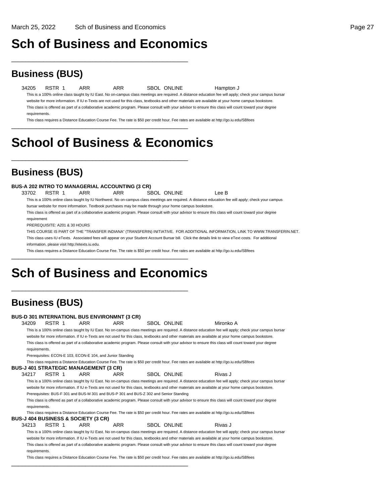## **Sch of Business and Economics**

\_\_\_\_\_\_\_\_\_\_\_\_\_\_\_\_\_\_\_\_\_\_\_\_\_\_\_\_\_\_\_\_\_\_\_\_\_\_\_\_\_\_\_\_\_\_\_\_\_\_

## **Business (BUS)**

34205 RSTR 1 ARR ARR SBOL ONLINE Hampton J This is a 100% online class taught by IU East. No on-campus class meetings are required. A distance education fee will apply; check your campus bursar website for more information. If IU e-Texts are not used for this class, textbooks and other materials are available at your home campus bookstore. This class is offered as part of a collaborative academic program. Please consult with your advisor to ensure this class will count toward your degree requirements.

This class requires a Distance Education Course Fee. The rate is \$50 per credit hour. Fee rates are available at http://go.iu.edu/SBfees \_\_\_\_\_\_\_\_\_\_\_\_\_\_\_\_\_\_\_\_\_\_\_\_\_\_\_\_\_\_\_\_\_\_\_\_\_\_\_\_\_\_\_\_\_\_\_\_\_\_

# **School of Business & Economics**

\_\_\_\_\_\_\_\_\_\_\_\_\_\_\_\_\_\_\_\_\_\_\_\_\_\_\_\_\_\_\_\_\_\_\_\_\_\_\_\_\_\_\_\_\_\_\_\_\_\_

### **Business (BUS)**

### **BUS-A 202 INTRO TO MANAGERIAL ACCOUNTING (3 CR)**

33702 RSTR 1 ARR ARR SBOL ONLINE Lee B This is a 100% online class taught by IU Northwest. No on-campus class meetings are required. A distance education fee will apply; check your campus bursar website for more information. Textbook purchases may be made through your home campus bookstore.

This class is offered as part of a collaborative academic program. Please consult with your advisor to ensure this class will count toward your degree requirement

PREREQUISITE: A201 & 30 HOURS

THIS COURSE IS PART OF THE "TRANSFER INDIANA" (TRANSFERIN) INITIATIVE. FOR ADDITIONAL INFORMATION, LINK TO WWW.TRANSFERIN.NET. This class uses IU eTexts. Associated fees will appear on your Student Account Bursar bill. Click the details link to view eText costs. For additional information, please visit http://etexts.iu.edu.

This class requires a Distance Education Course Fee. The rate is \$50 per credit hour. Fee rates are available at http://go.iu.edu/SBfees

# **Sch of Business and Economics**

\_\_\_\_\_\_\_\_\_\_\_\_\_\_\_\_\_\_\_\_\_\_\_\_\_\_\_\_\_\_\_\_\_\_\_\_\_\_\_\_\_\_\_\_\_\_\_\_\_\_

\_\_\_\_\_\_\_\_\_\_\_\_\_\_\_\_\_\_\_\_\_\_\_\_\_\_\_\_\_\_\_\_\_\_\_\_\_\_\_\_\_\_\_\_\_\_\_\_\_\_

\_\_\_\_\_\_\_\_\_\_\_\_\_\_\_\_\_\_\_\_\_\_\_\_\_\_\_\_\_\_\_\_\_\_\_\_\_\_\_\_\_\_\_\_\_\_\_\_\_\_

|               |                                                            | ,          |                                                                                        |                    |                                                                                                                                                        |
|---------------|------------------------------------------------------------|------------|----------------------------------------------------------------------------------------|--------------------|--------------------------------------------------------------------------------------------------------------------------------------------------------|
|               |                                                            |            | <b>BUS-D 301 INTERNATIONL BUS ENVIRONMNT (3 CR)</b>                                    |                    |                                                                                                                                                        |
| 34209         | RSTR 1                                                     | ARR        | ARR.                                                                                   | <b>SBOL ONLINE</b> | Mironko A                                                                                                                                              |
|               |                                                            |            |                                                                                        |                    | This is a 100% online class taught by IU East. No on-campus class meetings are required. A distance education fee will apply; check your campus bursar |
|               |                                                            |            |                                                                                        |                    | website for more information. If IU e-Texts are not used for this class, textbooks and other materials are available at your home campus bookstore.    |
|               |                                                            |            |                                                                                        |                    | This class is offered as part of a collaborative academic program. Please consult with your advisor to ensure this class will count toward your degree |
| requirements. |                                                            |            |                                                                                        |                    |                                                                                                                                                        |
|               | Prerequisites: ECON-E 103, ECON-E 104, and Junior Standing |            |                                                                                        |                    |                                                                                                                                                        |
|               |                                                            |            |                                                                                        |                    | This class requires a Distance Education Course Fee. The rate is \$50 per credit hour. Fee rates are available at http://go.iu.edu/SBfees              |
|               | <b>BUS-J 401 STRATEGIC MANAGEMENT (3 CR)</b>               |            |                                                                                        |                    |                                                                                                                                                        |
| 34217         | RSTR 1                                                     | <b>ARR</b> | ARR.                                                                                   | <b>SBOL ONLINE</b> | Rivas J                                                                                                                                                |
|               |                                                            |            |                                                                                        |                    | This is a 100% online class taught by IU East. No on-campus class meetings are required. A distance education fee will apply; check your campus bursar |
|               |                                                            |            |                                                                                        |                    | website for more information. If IU e-Texts are not used for this class, textbooks and other materials are available at your home campus bookstore.    |
|               |                                                            |            | Prerequisites: BUS-F 301 and BUS-M 301 and BUS-P 301 and BUS-Z 302 and Senior Standing |                    |                                                                                                                                                        |
|               |                                                            |            |                                                                                        |                    | This class is offered as part of a collaborative academic program. Please consult with your advisor to ensure this class will count toward your degree |
| requirements. |                                                            |            |                                                                                        |                    |                                                                                                                                                        |
|               |                                                            |            |                                                                                        |                    | This class requires a Distance Education Course Fee. The rate is \$50 per credit hour. Fee rates are available at http://go.iu.edu/SBfees              |
|               | <b>BUS-J 404 BUSINESS &amp; SOCIETY (3 CR)</b>             |            |                                                                                        |                    |                                                                                                                                                        |
| 34213         | RSTR 1                                                     | <b>ARR</b> | <b>ARR</b>                                                                             | <b>SBOL ONLINE</b> | Rivas J                                                                                                                                                |
|               |                                                            |            |                                                                                        |                    | This is a 100% online class taught by IU East. No on-campus class meetings are required. A distance education fee will apply; check your campus bursar |
|               |                                                            |            |                                                                                        |                    | website for more information. If IU e-Texts are not used for this class, textbooks and other materials are available at your home campus bookstore.    |
|               |                                                            |            |                                                                                        |                    | This class is offered as part of a collaborative academic program. Please consult with your advisor to ensure this class will count toward your degree |
| requirements. |                                                            |            |                                                                                        |                    |                                                                                                                                                        |

This class requires a Distance Education Course Fee. The rate is \$50 per credit hour. Fee rates are available at http://go.iu.edu/SBfees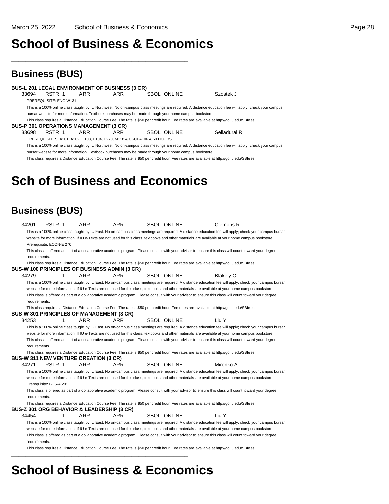## **School of Business & Economics**

\_\_\_\_\_\_\_\_\_\_\_\_\_\_\_\_\_\_\_\_\_\_\_\_\_\_\_\_\_\_\_\_\_\_\_\_\_\_\_\_\_\_\_\_\_\_\_\_\_\_

## **Business (BUS)**

**BUS-L 201 LEGAL ENVIRONMENT OF BUSINESS (3 CR)** SBOL ONLINE Szostek J PREREQUISITE: ENG W131 This is a 100% online class taught by IU Northwest. No on-campus class meetings are required. A distance education fee will apply; check your campus bursar website for more information. Textbook purchases may be made through your home campus bookstore. This class requires a Distance Education Course Fee. The rate is \$50 per credit hour. Fee rates are available at http://go.iu.edu/SBfees **BUS-P 301 OPERATIONS MANAGEMENT (3 CR)** 33698 RSTR 1 ARR ARR SBOL ONLINE Selladurai R PREREQUISITES: A201, A202, E103, E104, E270, M118 & CSCI A106 & 60 HOURS This is a 100% online class taught by IU Northwest. No on-campus class meetings are required. A distance education fee will apply; check your campus bursar website for more information. Textbook purchases may be made through your home campus bookstore. This class requires a Distance Education Course Fee. The rate is \$50 per credit hour. Fee rates are available at http://go.iu.edu/SBfees \_\_\_\_\_\_\_\_\_\_\_\_\_\_\_\_\_\_\_\_\_\_\_\_\_\_\_\_\_\_\_\_\_\_\_\_\_\_\_\_\_\_\_\_\_\_\_\_\_\_

# **Sch of Business and Economics**

\_\_\_\_\_\_\_\_\_\_\_\_\_\_\_\_\_\_\_\_\_\_\_\_\_\_\_\_\_\_\_\_\_\_\_\_\_\_\_\_\_\_\_\_\_\_\_\_\_\_

## **Business (BUS)**

| 34201                    | RSTR 1 |   | ARR                                                   | ARR                                                                                                                                                    | <b>SBOL ONLINE</b> | Clemons R        |                                                                                                                                                        |
|--------------------------|--------|---|-------------------------------------------------------|--------------------------------------------------------------------------------------------------------------------------------------------------------|--------------------|------------------|--------------------------------------------------------------------------------------------------------------------------------------------------------|
|                          |        |   |                                                       |                                                                                                                                                        |                    |                  | This is a 100% online class taught by IU East. No on-campus class meetings are required. A distance education fee will apply; check your campus bursar |
|                          |        |   |                                                       | website for more information. If IU e-Texts are not used for this class, textbooks and other materials are available at your home campus bookstore.    |                    |                  |                                                                                                                                                        |
| Prerequisite: ECON-E 270 |        |   |                                                       |                                                                                                                                                        |                    |                  |                                                                                                                                                        |
|                          |        |   |                                                       | This class is offered as part of a collaborative academic program. Please consult with your advisor to ensure this class will count toward your degree |                    |                  |                                                                                                                                                        |
| requirements.            |        |   |                                                       |                                                                                                                                                        |                    |                  |                                                                                                                                                        |
|                          |        |   | BUS-W 100 PRINCIPLES OF BUSINESS ADMIN (3 CR)         | This class requires a Distance Education Course Fee. The rate is \$50 per credit hour. Fee rates are available at http://go.iu.edu/SBfees              |                    |                  |                                                                                                                                                        |
| 34279                    |        | 1 | <b>ARR</b>                                            | <b>ARR</b>                                                                                                                                             | <b>SBOL ONLINE</b> | <b>Blakely C</b> |                                                                                                                                                        |
|                          |        |   |                                                       |                                                                                                                                                        |                    |                  | This is a 100% online class taught by IU East. No on-campus class meetings are required. A distance education fee will apply; check your campus bursar |
|                          |        |   |                                                       | website for more information. If IU e-Texts are not used for this class, textbooks and other materials are available at your home campus bookstore.    |                    |                  |                                                                                                                                                        |
|                          |        |   |                                                       | This class is offered as part of a collaborative academic program. Please consult with your advisor to ensure this class will count toward your degree |                    |                  |                                                                                                                                                        |
| requirements.            |        |   |                                                       |                                                                                                                                                        |                    |                  |                                                                                                                                                        |
|                          |        |   |                                                       | This class requires a Distance Education Course Fee. The rate is \$50 per credit hour. Fee rates are available at http://go.iu.edu/SBfees              |                    |                  |                                                                                                                                                        |
|                          |        |   | <b>BUS-W 301 PRINCIPLES OF MANAGEMENT (3 CR)</b>      |                                                                                                                                                        |                    |                  |                                                                                                                                                        |
| 34253                    |        | 1 | <b>ARR</b>                                            | ARR                                                                                                                                                    | <b>SBOL ONLINE</b> | Liu Y            |                                                                                                                                                        |
|                          |        |   |                                                       |                                                                                                                                                        |                    |                  | This is a 100% online class taught by IU East. No on-campus class meetings are required. A distance education fee will apply; check your campus bursar |
|                          |        |   |                                                       | website for more information. If IU e-Texts are not used for this class, textbooks and other materials are available at your home campus bookstore.    |                    |                  |                                                                                                                                                        |
|                          |        |   |                                                       | This class is offered as part of a collaborative academic program. Please consult with your advisor to ensure this class will count toward your degree |                    |                  |                                                                                                                                                        |
| requirements.            |        |   |                                                       |                                                                                                                                                        |                    |                  |                                                                                                                                                        |
|                          |        |   | <b>BUS-W 311 NEW VENTURE CREATION (3 CR)</b>          | This class requires a Distance Education Course Fee. The rate is \$50 per credit hour. Fee rates are available at http://go.iu.edu/SBfees              |                    |                  |                                                                                                                                                        |
| 34271                    | RSTR 1 |   | <b>ARR</b>                                            | ARR                                                                                                                                                    | <b>SBOL ONLINE</b> | Mironko A        |                                                                                                                                                        |
|                          |        |   |                                                       |                                                                                                                                                        |                    |                  | This is a 100% online class taught by IU East. No on-campus class meetings are required. A distance education fee will apply; check your campus bursar |
|                          |        |   |                                                       | website for more information. If IU e-Texts are not used for this class, textbooks and other materials are available at your home campus bookstore.    |                    |                  |                                                                                                                                                        |
| Prerequisite: BUS-A 201  |        |   |                                                       |                                                                                                                                                        |                    |                  |                                                                                                                                                        |
|                          |        |   |                                                       | This class is offered as part of a collaborative academic program. Please consult with your advisor to ensure this class will count toward your degree |                    |                  |                                                                                                                                                        |
| requirements.            |        |   |                                                       |                                                                                                                                                        |                    |                  |                                                                                                                                                        |
|                          |        |   |                                                       | This class requires a Distance Education Course Fee. The rate is \$50 per credit hour. Fee rates are available at http://go.iu.edu/SBfees              |                    |                  |                                                                                                                                                        |
|                          |        |   | <b>BUS-Z 301 ORG BEHAVIOR &amp; LEADERSHIP (3 CR)</b> |                                                                                                                                                        |                    |                  |                                                                                                                                                        |
| 34454                    |        | 1 | <b>ARR</b>                                            | <b>ARR</b>                                                                                                                                             | SBOL ONLINE        | Liu Y            |                                                                                                                                                        |
|                          |        |   |                                                       |                                                                                                                                                        |                    |                  | This is a 100% online class taught by IU East. No on-campus class meetings are required. A distance education fee will apply; check your campus bursar |
|                          |        |   |                                                       | website for more information. If IU e-Texts are not used for this class, textbooks and other materials are available at your home campus bookstore.    |                    |                  |                                                                                                                                                        |
|                          |        |   |                                                       | This class is offered as part of a collaborative academic program. Please consult with your advisor to ensure this class will count toward your degree |                    |                  |                                                                                                                                                        |
| requirements.            |        |   |                                                       |                                                                                                                                                        |                    |                  |                                                                                                                                                        |
|                          |        |   |                                                       | This class requires a Distance Education Course Fee. The rate is \$50 per credit hour. Fee rates are available at http://go.iu.edu/SBfees              |                    |                  |                                                                                                                                                        |
|                          |        |   |                                                       |                                                                                                                                                        |                    |                  |                                                                                                                                                        |

# **School of Business & Economics**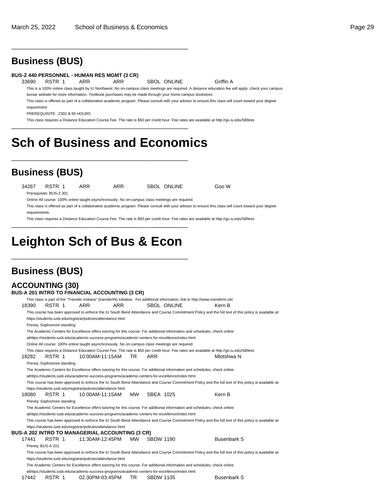\_\_\_\_\_\_\_\_\_\_\_\_\_\_\_\_\_\_\_\_\_\_\_\_\_\_\_\_\_\_\_\_\_\_\_\_\_\_\_\_\_\_\_\_\_\_\_\_\_\_

## **Business (BUS)**

#### **BUS-Z 440 PERSONNEL - HUMAN RES MGMT (3 CR)**

33690 RSTR 1 ARR ARR SBOL ONLINE Griffin A

This is a 100% online class taught by IU Northwest. No on-campus class meetings are required. A distance education fee will apply; check your campus bursar website for more information. Textbook purchases may be made through your home campus bookstore.

This class is offered as part of a collaborative academic program. Please consult with your advisor to ensure this class will count toward your degree

requirement

PREREQUISITE: Z302 & 60 HOURS

This class requires a Distance Education Course Fee. The rate is \$50 per credit hour. Fee rates are available at http://go.iu.edu/SBfees \_\_\_\_\_\_\_\_\_\_\_\_\_\_\_\_\_\_\_\_\_\_\_\_\_\_\_\_\_\_\_\_\_\_\_\_\_\_\_\_\_\_\_\_\_\_\_\_\_\_

# **Sch of Business and Economics**

\_\_\_\_\_\_\_\_\_\_\_\_\_\_\_\_\_\_\_\_\_\_\_\_\_\_\_\_\_\_\_\_\_\_\_\_\_\_\_\_\_\_\_\_\_\_\_\_\_\_

## **Business (BUS)**

34267 RSTR 1 ARR ARR SBOL ONLINE Goo W Prerequisite: BUS-Z 301

Online All course: 100% online taught asynchronously. No on-campus class meetings are required.

This class is offered as part of a collaborative academic program. Please consult with your advisor to ensure this class will count toward your degree requirements.

This class requires a Distance Education Course Fee. The rate is \$50 per credit hour. Fee rates are available at http://go.iu.edu/SBfees

# **Leighton Sch of Bus & Econ**

\_\_\_\_\_\_\_\_\_\_\_\_\_\_\_\_\_\_\_\_\_\_\_\_\_\_\_\_\_\_\_\_\_\_\_\_\_\_\_\_\_\_\_\_\_\_\_\_\_\_

\_\_\_\_\_\_\_\_\_\_\_\_\_\_\_\_\_\_\_\_\_\_\_\_\_\_\_\_\_\_\_\_\_\_\_\_\_\_\_\_\_\_\_\_\_\_\_\_\_\_

| <b>Business (BUS)</b>                                                                                                                                                                                                                                                                                                               |                    |                    |
|-------------------------------------------------------------------------------------------------------------------------------------------------------------------------------------------------------------------------------------------------------------------------------------------------------------------------------------|--------------------|--------------------|
| <b>ACCOUNTING (30)</b>                                                                                                                                                                                                                                                                                                              |                    |                    |
| BUS-A 201 INTRO TO FINANCIAL ACCOUNTING (3 CR)                                                                                                                                                                                                                                                                                      |                    |                    |
| This class is part of the "Transfer Indiana" (transferIN) initiative. For additional information, link to http://www.transferin.net                                                                                                                                                                                                 |                    |                    |
| 18390<br>RSTR 1<br><b>ARR</b><br><b>ARR</b>                                                                                                                                                                                                                                                                                         | <b>SBOL ONLINE</b> | Kern B             |
| This course has been approved to enforce the IU South Bend Attendance and Course Commitment Policy and the full text of this policy is available at:<br>https://students.iusb.edu/registrar/policies/attendance.html                                                                                                                |                    |                    |
| Prereg: Sophomore standing                                                                                                                                                                                                                                                                                                          |                    |                    |
| The Academic Centers for Excellence offers tutoring for this course. For additional information and schedules, check online<br>athttps://students.iusb.edu/academic-success-programs/academic-centers-for-excellence/index.html.<br>Online All course: 100% online taught asynchronously. No on-campus class meetings are required. |                    |                    |
| This class requires a Distance Education Course Fee. The rate is \$50 per credit hour. Fee rates are available at http://qo.iu.edu/SBfees<br>18282<br>RSTR 1<br>10:00AM-11:15AM<br>TR.                                                                                                                                              | ARR                | Mlotshwa N         |
| Prereg: Sophomore standing                                                                                                                                                                                                                                                                                                          |                    |                    |
| The Academic Centers for Excellence offers tutoring for this course. For additional information and schedules, check online                                                                                                                                                                                                         |                    |                    |
| athttps://students.iusb.edu/academic-success-programs/academic-centers-for-excellence/index.html.                                                                                                                                                                                                                                   |                    |                    |
| This course has been approved to enforce the IU South Bend Attendance and Course Commitment Policy and the full text of this policy is available at:                                                                                                                                                                                |                    |                    |
| https://students.iusb.edu/registrar/policies/attendance.html                                                                                                                                                                                                                                                                        |                    |                    |
| 18080<br>RSTR 1<br>10:00AM-11:15AM<br>MW                                                                                                                                                                                                                                                                                            | SBEA 1025          | Kern B             |
| Prereq: Sophomore standing                                                                                                                                                                                                                                                                                                          |                    |                    |
| The Academic Centers for Excellence offers tutoring for this course. For additional information and schedules, check online<br>athttps://students.iusb.edu/academic-success-programs/academic-centers-for-excellence/index.html.                                                                                                    |                    |                    |
| This course has been approved to enforce the IU South Bend Attendance and Course Commitment Policy and the full text of this policy is available at:                                                                                                                                                                                |                    |                    |
| https://students.iusb.edu/registrar/policies/attendance.html<br><b>BUS-A 202 INTRO TO MANAGERIAL ACCOUNTING (3 CR)</b>                                                                                                                                                                                                              |                    |                    |
| RSTR 1<br>17441<br>11:30AM-12:45PM<br>MW                                                                                                                                                                                                                                                                                            | <b>SBDW 1190</b>   | <b>Busenbark S</b> |
| Prereq: BUS-A 201                                                                                                                                                                                                                                                                                                                   |                    |                    |
| This course has been approved to enforce the IU South Bend Attendance and Course Commitment Policy and the full text of this policy is available at:                                                                                                                                                                                |                    |                    |
| https://students.iusb.edu/registrar/policies/attendance.html                                                                                                                                                                                                                                                                        |                    |                    |
| The Academic Centers for Excellence offers tutoring for this course. For additional information and schedules, check online                                                                                                                                                                                                         |                    |                    |
| athttps://students.iusb.edu/academic-success-programs/academic-centers-for-excellence/index.html.                                                                                                                                                                                                                                   |                    |                    |
| RSTR 1<br>TR.<br>17442<br>02:30PM-03:45PM                                                                                                                                                                                                                                                                                           | <b>SBDW 1135</b>   | <b>Busenbark S</b> |

| 17442 | RSTR 1 | 02:30PM-03:45PM |  | <b>SBDW 1135</b> |  |
|-------|--------|-----------------|--|------------------|--|
|-------|--------|-----------------|--|------------------|--|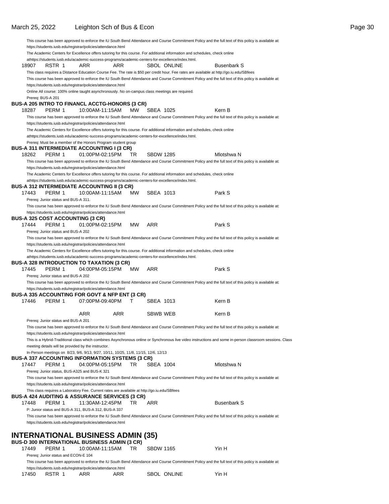18907 RSTR 1 ARR ARR SBOL ONLINE Busenbark S

|                   |                                         |                                                                                                                             |     |           |                  |  | This class requires a Distance Education Course Fee. The rate is \$50 per credit hour. Fee rates are available at http://go.iu.edu/SBfees                 |  |
|-------------------|-----------------------------------------|-----------------------------------------------------------------------------------------------------------------------------|-----|-----------|------------------|--|-----------------------------------------------------------------------------------------------------------------------------------------------------------|--|
|                   |                                         |                                                                                                                             |     |           |                  |  | This course has been approved to enforce the IU South Bend Attendance and Course Commitment Policy and the full text of this policy is available at:      |  |
|                   |                                         | https://students.iusb.edu/registrar/policies/attendance.html                                                                |     |           |                  |  |                                                                                                                                                           |  |
|                   |                                         | Online All course: 100% online taught asynchronously. No on-campus class meetings are required.                             |     |           |                  |  |                                                                                                                                                           |  |
| Prereq: BUS-A 201 |                                         |                                                                                                                             |     |           |                  |  |                                                                                                                                                           |  |
|                   |                                         | BUS-A 205 INTRO TO FINANCL ACCTG-HONORS (3 CR)                                                                              |     |           |                  |  |                                                                                                                                                           |  |
| 18287             | PERM 1                                  | 10:00AM-11:15AM                                                                                                             |     | MW        | SBEA 1025        |  | Kern B                                                                                                                                                    |  |
|                   |                                         |                                                                                                                             |     |           |                  |  | This course has been approved to enforce the IU South Bend Attendance and Course Commitment Policy and the full text of this policy is available at:      |  |
|                   |                                         | https://students.iusb.edu/registrar/policies/attendance.html                                                                |     |           |                  |  |                                                                                                                                                           |  |
|                   |                                         | The Academic Centers for Excellence offers tutoring for this course. For additional information and schedules, check online |     |           |                  |  |                                                                                                                                                           |  |
|                   |                                         | athttps://students.iusb.edu/academic-success-programs/academic-centers-for-excellence/index.html.                           |     |           |                  |  |                                                                                                                                                           |  |
|                   |                                         | Prereq: Must be a member of the Honors Program student group                                                                |     |           |                  |  |                                                                                                                                                           |  |
|                   |                                         | BUS-A 311 INTERMEDIATE ACCOUNTING I (3 CR)                                                                                  |     |           |                  |  |                                                                                                                                                           |  |
| 18262             | PERM 1                                  | 01:00PM-02:15PM                                                                                                             |     | TR        | <b>SBDW 1285</b> |  | Mlotshwa N                                                                                                                                                |  |
|                   |                                         |                                                                                                                             |     |           |                  |  | This course has been approved to enforce the IU South Bend Attendance and Course Commitment Policy and the full text of this policy is available at:      |  |
|                   |                                         | https://students.iusb.edu/registrar/policies/attendance.html                                                                |     |           |                  |  |                                                                                                                                                           |  |
|                   |                                         | The Academic Centers for Excellence offers tutoring for this course. For additional information and schedules, check online |     |           |                  |  |                                                                                                                                                           |  |
|                   |                                         | athttps://students.iusb.edu/academic-success-programs/academic-centers-for-excellence/index.html.                           |     |           |                  |  |                                                                                                                                                           |  |
|                   |                                         | BUS-A 312 INTERMEDIATE ACCOUNTING II (3 CR)                                                                                 |     |           |                  |  |                                                                                                                                                           |  |
| 17443             | PERM 1                                  | 10:00AM-11:15AM                                                                                                             |     | <b>MW</b> | SBEA 1013        |  | Park S                                                                                                                                                    |  |
|                   | Prereg: Junior status and BUS-A 311.    |                                                                                                                             |     |           |                  |  |                                                                                                                                                           |  |
|                   |                                         |                                                                                                                             |     |           |                  |  | This course has been approved to enforce the IU South Bend Attendance and Course Commitment Policy and the full text of this policy is available at:      |  |
|                   |                                         | https://students.iusb.edu/registrar/policies/attendance.html                                                                |     |           |                  |  |                                                                                                                                                           |  |
|                   | <b>BUS-A 325 COST ACCOUNTING (3 CR)</b> |                                                                                                                             |     |           |                  |  |                                                                                                                                                           |  |
| 17444             | PERM 1                                  | 01:00PM-02:15PM                                                                                                             |     | <b>MW</b> | ARR              |  | Park S                                                                                                                                                    |  |
|                   | Prereg: Junior status and BUS-A 202     |                                                                                                                             |     |           |                  |  |                                                                                                                                                           |  |
|                   |                                         |                                                                                                                             |     |           |                  |  | This course has been approved to enforce the IU South Bend Attendance and Course Commitment Policy and the full text of this policy is available at:      |  |
|                   |                                         | https://students.iusb.edu/registrar/policies/attendance.html                                                                |     |           |                  |  |                                                                                                                                                           |  |
|                   |                                         | The Academic Centers for Excellence offers tutoring for this course. For additional information and schedules, check online |     |           |                  |  |                                                                                                                                                           |  |
|                   |                                         | athttps://students.iusb.edu/academic-success-programs/academic-centers-for-excellence/index.html.                           |     |           |                  |  |                                                                                                                                                           |  |
|                   |                                         | BUS-A 328 INTRODUCTION TO TAXATION (3 CR)                                                                                   |     |           |                  |  |                                                                                                                                                           |  |
| 17445             | PERM 1                                  | 04:00PM-05:15PM                                                                                                             |     | MW        | ARR              |  | Park S                                                                                                                                                    |  |
|                   | Prereq: Junior status and BUS-A 202     |                                                                                                                             |     |           |                  |  |                                                                                                                                                           |  |
|                   |                                         |                                                                                                                             |     |           |                  |  | This course has been approved to enforce the IU South Bend Attendance and Course Commitment Policy and the full text of this policy is available at:      |  |
|                   |                                         | https://students.iusb.edu/registrar/policies/attendance.html                                                                |     |           |                  |  |                                                                                                                                                           |  |
|                   |                                         | BUS-A 335 ACCOUNTING FOR GOVT & NFP ENT (3 CR)                                                                              |     |           |                  |  |                                                                                                                                                           |  |
| 17446             | PERM 1                                  | 07:00PM-09:40PM                                                                                                             | т   |           | SBEA 1013        |  | Kern B                                                                                                                                                    |  |
|                   |                                         |                                                                                                                             |     |           |                  |  |                                                                                                                                                           |  |
|                   |                                         | ARR                                                                                                                         | ARR |           | SBWB WEB         |  | Kern B                                                                                                                                                    |  |
|                   | Prereq: Junior status and BUS-A 201     |                                                                                                                             |     |           |                  |  |                                                                                                                                                           |  |
|                   |                                         |                                                                                                                             |     |           |                  |  | This course has been approved to enforce the IU South Bend Attendance and Course Commitment Policy and the full text of this policy is available at:      |  |
|                   |                                         | https://students.iusb.edu/registrar/policies/attendance.html                                                                |     |           |                  |  |                                                                                                                                                           |  |
|                   |                                         |                                                                                                                             |     |           |                  |  | This is a Hybrid-Traditional class which combines Asynchronous online or Synchronous live video instructions and some in-person classroom sessions. Class |  |
|                   |                                         | meeting details will be provided by the instructor.                                                                         |     |           |                  |  |                                                                                                                                                           |  |
|                   |                                         | In-Person meetings on 8/23, 9/6, 9/13, 9/27, 10/11, 10/25, 11/8, 11/15, 12/6, 12/13                                         |     |           |                  |  |                                                                                                                                                           |  |
|                   |                                         | BUS-A 337 ACCOUNTING INFORMATION SYSTEMS (3 CR)                                                                             |     |           |                  |  |                                                                                                                                                           |  |
| 17447             | PERM 1                                  | 04:00PM-05:15PM                                                                                                             |     | TR        | SBEA 1004        |  | Mlotshwa N                                                                                                                                                |  |
|                   |                                         | Prereq: Junior status, BUS-A325 and BUS-K 321                                                                               |     |           |                  |  |                                                                                                                                                           |  |
|                   |                                         |                                                                                                                             |     |           |                  |  | This course has been approved to enforce the IU South Bend Attendance and Course Commitment Policy and the full text of this policy is available at:      |  |
|                   |                                         | https://students.iusb.edu/registrar/policies/attendance.html                                                                |     |           |                  |  |                                                                                                                                                           |  |
|                   |                                         | This class requires a Laboratory Fee. Current rates are available at http://go.iu.edu/SBfees                                |     |           |                  |  |                                                                                                                                                           |  |
|                   |                                         | <b>BUS-A 424 AUDITING &amp; ASSURANCE SERVICES (3 CR)</b>                                                                   |     |           |                  |  |                                                                                                                                                           |  |
| 17448             | PERM 1                                  | 11:30AM-12:45PM                                                                                                             |     | TR        | ARR              |  | <b>Busenbark S</b>                                                                                                                                        |  |
|                   |                                         | P: Junior status and BUS-A 311, BUS-A 312, BUS-A 337                                                                        |     |           |                  |  |                                                                                                                                                           |  |
|                   |                                         |                                                                                                                             |     |           |                  |  | This course has been approved to enforce the IU South Bend Attendance and Course Commitment Policy and the full text of this policy is available at:      |  |
|                   |                                         | https://students.iusb.edu/registrar/policies/attendance.html                                                                |     |           |                  |  |                                                                                                                                                           |  |
|                   |                                         |                                                                                                                             |     |           |                  |  |                                                                                                                                                           |  |
|                   |                                         |                                                                                                                             |     |           |                  |  |                                                                                                                                                           |  |
|                   |                                         | INTERNATIONAL BUSINESS ADMIN (35)                                                                                           |     |           |                  |  |                                                                                                                                                           |  |
|                   |                                         | <b>BUS-D 300 INTERNATIONAL BUSINESS ADMIN (3 CR)</b>                                                                        |     |           |                  |  |                                                                                                                                                           |  |
| 17449             | PERM 1                                  | 10:00AM-11:15AM                                                                                                             |     | TR        | <b>SBDW 1165</b> |  | Yin H                                                                                                                                                     |  |
|                   | Prereq: Junior status and ECON-E 104    |                                                                                                                             |     |           |                  |  |                                                                                                                                                           |  |
|                   |                                         |                                                                                                                             |     |           |                  |  | This course has been approved to enforce the IU South Bend Attendance and Course Commitment Policy and the full text of this policy is available at:      |  |
|                   |                                         | https://students.iusb.edu/registrar/policies/attendance.html                                                                |     |           |                  |  |                                                                                                                                                           |  |

17450 RSTR 1 ARR ARR SBOL ONLINE Yin H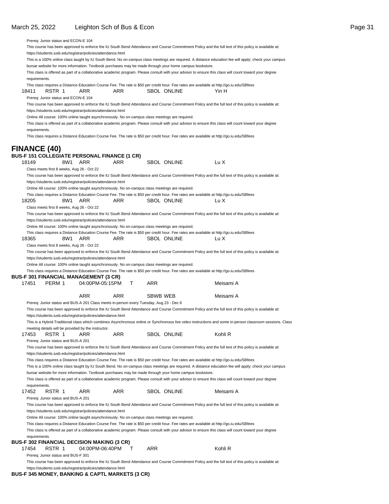Prereq: Junior status and ECON-E 104

This course has been approved to enforce the IU South Bend Attendance and Course Commitment Policy and the full text of this policy is available at: https://students.iusb.edu/registrar/policies/attendance.html This is a 100% online class taught by IU South Bend. No on-campus class meetings are required. A distance education fee will apply; check your campus bursar website for more information. Textbook purchases may be made through your home campus bookstore. This class is offered as part of a collaborative academic program. Please consult with your advisor to ensure this class will count toward your degree requirements. This class requires a Distance Education Course Fee. The rate is \$50 per credit hour. Fee rates are available at http://go.iu.edu/SBfees 18411 RSTR 1 ARR ARR SBOL ONLINE Yin H Prereq: Junior status and ECON-E 104 This course has been approved to enforce the IU South Bend Attendance and Course Commitment Policy and the full text of this policy is available at: https://students.iusb.edu/registrar/policies/attendance.html Online All course: 100% online taught asynchronously. No on-campus class meetings are required. This class is offered as part of a collaborative academic program. Please consult with your advisor to ensure this class will count toward your degree requirements. This class requires a Distance Education Course Fee. The rate is \$50 per credit hour. Fee rates are available at http://go.iu.edu/SBfees **FINANCE (40) BUS-F 151 COLLEGIATE PERSONAL FINANCE (1 CR)** 18149 8W1 ARR ARR SBOL ONLINE Lu X Class meets first 8 weeks, Aug 26 - Oct 22 This course has been approved to enforce the IU South Bend Attendance and Course Commitment Policy and the full text of this policy is available at: https://students.iusb.edu/registrar/policies/attendance.html Online All course: 100% online taught asynchronously. No on-campus class meetings are required. This class requires a Distance Education Course Fee. The rate is \$50 per credit hour. Fee rates are available at http://go.iu.edu/SBfees 18205 8W1 ARR ARR SBOL ONLINE Lu X Class meets first 8 weeks, Aug 26 - Oct 22 This course has been approved to enforce the IU South Bend Attendance and Course Commitment Policy and the full text of this policy is available at: https://students.iusb.edu/registrar/policies/attendance.html Online All course: 100% online taught asynchronously. No on-campus class meetings are required. This class requires a Distance Education Course Fee. The rate is \$50 per credit hour. Fee rates are available at http://go.iu.edu/SBfees 18365 8W1 ARR ARR SBOL ONLINE Lu X Class meets first 8 weeks, Aug 26 - Oct 22 This course has been approved to enforce the IU South Bend Attendance and Course Commitment Policy and the full text of this policy is available at: https://students.iusb.edu/registrar/policies/attendance.html Online All course: 100% online taught asynchronously. No on-campus class meetings are required. This class requires a Distance Education Course Fee. The rate is \$50 per credit hour. Fee rates are available at http://go.iu.edu/SBfees **BUS-F 301 FINANCIAL MANAGEMENT (3 CR)** 17451 PERM 1 04:00 PM-05:15 PM T ARR Meisami A ARR ARR SBWB WEB Meisami A Prereq: Junior status and BUS-A 201 Class meets in-person every Tuesday, Aug 23 - Dec 6 This course has been approved to enforce the IU South Bend Attendance and Course Commitment Policy and the full text of this policy is available at: https://students.iusb.edu/registrar/policies/attendance.html This is a Hybrid-Traditional class which combines Asynchronous online or Synchronous live video instructions and some in-person classroom sessions. Class meeting details will be provided by the instructor. 17453 RSTR 1 ARR ARR SBOL ONLINE Kohli R Prereq: Junior status and BUS-A 201 This course has been approved to enforce the IU South Bend Attendance and Course Commitment Policy and the full text of this policy is available at: https://students.iusb.edu/registrar/policies/attendance.html This class requires a Distance Education Course Fee. The rate is \$50 per credit hour. Fee rates are available at http://go.iu.edu/SBfees This is a 100% online class taught by IU South Bend. No on-campus class meetings are required. A distance education fee will apply; check your campus bursar website for more information. Textbook purchases may be made through your home campus bookstore. This class is offered as part of a collaborative academic program. Please consult with your advisor to ensure this class will count toward your degree requirements. 17452 RSTR 1 ARR ARR SBOL ONLINE Meisami A Prereq: Junior status and BUS-A 201 This course has been approved to enforce the IU South Bend Attendance and Course Commitment Policy and the full text of this policy is available at: https://students.iusb.edu/registrar/policies/attendance.html Online All course: 100% online taught asynchronously. No on-campus class meetings are required. This class requires a Distance Education Course Fee. The rate is \$50 per credit hour. Fee rates are available at http://go.iu.edu/SBfees This class is offered as part of a collaborative academic program. Please consult with your advisor to ensure this class will count toward your degree requirements. **BUS-F 302 FINANCIAL DECISION MAKING (3 CR)** 17454 RSTR 1 04:00PM-06:40PM T ARR Kohli R Prereq: Junior status and BUS-F 301

This course has been approved to enforce the IU South Bend Attendance and Course Commitment Policy and the full text of this policy is available at: https://students.iusb.edu/registrar/policies/attendance.html

**BUS-F 345 MONEY, BANKING & CAPTL MARKETS (3 CR)**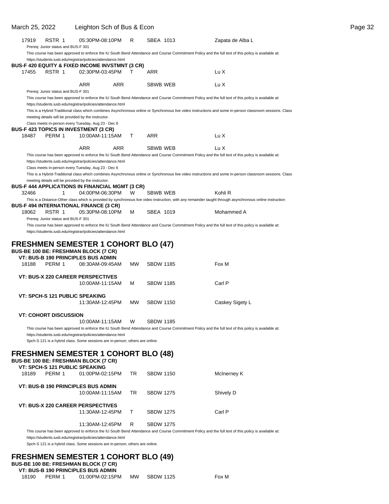| March 25, 2022 |                                                                                                               | Leighton Sch of Bus & Econ |            |           |                  | Page 32                                                                                                                                                                  |
|----------------|---------------------------------------------------------------------------------------------------------------|----------------------------|------------|-----------|------------------|--------------------------------------------------------------------------------------------------------------------------------------------------------------------------|
| 17919          | RSTR 1<br>Prereq: Junior status and BUS-F 301                                                                 | 05:30PM-08:10PM            |            | R.        | SBEA 1013        | Zapata de Alba L<br>This course has been approved to enforce the IU South Bend Attendance and Course Commitment Policy and the full text of this policy is available at: |
|                | https://students.iusb.edu/registrar/policies/attendance.html                                                  |                            |            |           |                  |                                                                                                                                                                          |
| 17455          | <b>BUS-F 420 EQUITY &amp; FIXED INCOME INVSTMNT (3 CR)</b><br>RSTR 1                                          | 02:30PM-03:45PM            |            | т         | ARR              | Lu X                                                                                                                                                                     |
|                | Prereq: Junior status and BUS-F 301                                                                           | ARR                        | ARR        |           | SBWB WEB         | Lu X                                                                                                                                                                     |
|                |                                                                                                               |                            |            |           |                  | This course has been approved to enforce the IU South Bend Attendance and Course Commitment Policy and the full text of this policy is available at:                     |
|                | https://students.iusb.edu/registrar/policies/attendance.html                                                  |                            |            |           |                  |                                                                                                                                                                          |
|                | meeting details will be provided by the instructor.                                                           |                            |            |           |                  | This is a Hybrid-Traditional class which combines Asynchronous online or Synchronous live video instructions and some in-person classroom sessions. Class                |
|                | Class meets in-person every Tuesday, Aug 23 - Dec 6                                                           |                            |            |           |                  |                                                                                                                                                                          |
| 18487          | <b>BUS-F 423 TOPICS IN INVESTMENT (3 CR)</b><br>PERM 1                                                        | 10:00AM-11:15AM            |            | T.        | ARR              | Lu X                                                                                                                                                                     |
|                |                                                                                                               |                            |            |           |                  |                                                                                                                                                                          |
|                |                                                                                                               | <b>ARR</b>                 | <b>ARR</b> |           | SBWB WEB         | Lu X                                                                                                                                                                     |
|                | https://students.iusb.edu/registrar/policies/attendance.html                                                  |                            |            |           |                  | This course has been approved to enforce the IU South Bend Attendance and Course Commitment Policy and the full text of this policy is available at:                     |
|                | Class meets in-person every Tuesday, Aug 23 - Dec 6                                                           |                            |            |           |                  |                                                                                                                                                                          |
|                |                                                                                                               |                            |            |           |                  | This is a Hybrid-Traditional class which combines Asynchronous online or Synchronous live video instructions and some in-person classroom sessions. Class                |
|                | meeting details will be provided by the instructor.<br><b>BUS-F 444 APPLICATIONS IN FINANCIAL MGMT (3 CR)</b> |                            |            |           |                  |                                                                                                                                                                          |
| 32466          | $\mathbf{1}$                                                                                                  | 04:00PM-06:30PM            |            | W         | SBWB WEB         | Kohli R                                                                                                                                                                  |
|                | <b>BUS-F 494 INTERNATIONAL FINANCE (3 CR)</b>                                                                 |                            |            |           |                  | This is a Distance-Other class which is provided by synchronous live video instruction, with any remainder taught through asynchronous online instruction                |
| 18062          | RSTR 1                                                                                                        | 05:30PM-08:10PM            |            | м         | SBEA 1019        | Mohammed A                                                                                                                                                               |
|                | Prereq: Junior status and BUS-F 301                                                                           |                            |            |           |                  |                                                                                                                                                                          |
|                | https://students.iusb.edu/registrar/policies/attendance.html                                                  |                            |            |           |                  | This course has been approved to enforce the IU South Bend Attendance and Course Commitment Policy and the full text of this policy is available at:                     |
|                |                                                                                                               |                            |            |           |                  |                                                                                                                                                                          |
|                | <b>FRESHMEN SEMESTER 1 COHORT BLO (47)</b>                                                                    |                            |            |           |                  |                                                                                                                                                                          |
|                | <b>BUS-BE 100 BE: FRESHMAN BLOCK (7 CR)</b>                                                                   |                            |            |           |                  |                                                                                                                                                                          |
| 18188          | <b>VT: BUS-B 190 PRINCIPLES BUS ADMIN</b><br>PERM 1                                                           | 08:30AM-09:45AM            |            | <b>MW</b> | <b>SBDW 1185</b> | Fox M                                                                                                                                                                    |
|                |                                                                                                               |                            |            |           |                  |                                                                                                                                                                          |
|                | <b>VT: BUS-X 220 CAREER PERSPECTIVES</b>                                                                      | 10:00AM-11:15AM            |            | м         | <b>SBDW 1185</b> | Carl P                                                                                                                                                                   |
|                |                                                                                                               |                            |            |           |                  |                                                                                                                                                                          |
|                | <b>VT: SPCH-S 121 PUBLIC SPEAKING</b>                                                                         |                            |            |           |                  |                                                                                                                                                                          |
|                |                                                                                                               | 11:30AM-12:45PM            |            | <b>MW</b> | <b>SBDW 1150</b> | Caskey Sigety L                                                                                                                                                          |
|                | <b>VT: COHORT DISCUSSION</b>                                                                                  |                            |            |           |                  |                                                                                                                                                                          |
|                |                                                                                                               | 10:00AM-11:15AM            |            | w         | <b>SBDW 1185</b> |                                                                                                                                                                          |
|                | https://students.iusb.edu/registrar/policies/attendance.html                                                  |                            |            |           |                  | This course has been approved to enforce the IU South Bend Attendance and Course Commitment Policy and the full text of this policy is available at:                     |
|                | Spch-S 121 is a hybrid class. Some sessions are in-person; others are online.                                 |                            |            |           |                  |                                                                                                                                                                          |
|                |                                                                                                               |                            |            |           |                  |                                                                                                                                                                          |
|                | <b>FRESHMEN SEMESTER 1 COHORT BLO (48)</b><br><b>BUS-BE 100 BE: FRESHMAN BLOCK (7 CR)</b>                     |                            |            |           |                  |                                                                                                                                                                          |
|                | <b>VT: SPCH-S 121 PUBLIC SPEAKING</b>                                                                         |                            |            |           |                  |                                                                                                                                                                          |
| 18189          | PERM 1                                                                                                        | 01:00PM-02:15PM            |            | TR        | <b>SBDW 1150</b> | McInerney K                                                                                                                                                              |
|                | <b>VT: BUS-B 190 PRINCIPLES BUS ADMIN</b>                                                                     |                            |            |           |                  |                                                                                                                                                                          |
|                |                                                                                                               | 10:00AM-11:15AM            |            | TR        | <b>SBDW 1275</b> | Shively D                                                                                                                                                                |
|                |                                                                                                               |                            |            |           |                  |                                                                                                                                                                          |
|                | <b>VT: BUS-X 220 CAREER PERSPECTIVES</b>                                                                      | 11:30AM-12:45PM            |            | Τ         | <b>SBDW 1275</b> | Carl P                                                                                                                                                                   |
|                |                                                                                                               | 11:30AM-12:45PM            |            | R         | <b>SBDW 1275</b> |                                                                                                                                                                          |
|                |                                                                                                               |                            |            |           |                  | This course has been approved to enforce the IU South Bend Attendance and Course Commitment Policy and the full text of this policy is available at:                     |
|                | https://students.iusb.edu/registrar/policies/attendance.html                                                  |                            |            |           |                  |                                                                                                                                                                          |
|                | Spch-S 121 is a hybrid class. Some sessions are in-person; others are online.                                 |                            |            |           |                  |                                                                                                                                                                          |
|                | <b>FRESHMEN SEMESTER 1 COHORT BLO (49)</b><br><b>BUS-BE 100 BE: FRESHMAN BLOCK (7 CR)</b>                     |                            |            |           |                  |                                                                                                                                                                          |

#### **VT: BUS-B 190 PRINCIPLES BUS ADMIN**

|  | 18190 PERM 1 | 01:00PM-02:15PM |  | MW SBDW 1125 | Fox M |
|--|--------------|-----------------|--|--------------|-------|
|--|--------------|-----------------|--|--------------|-------|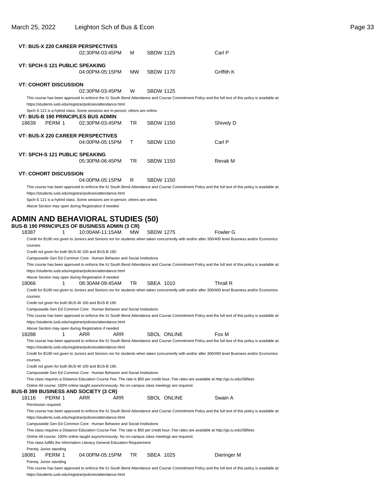|          |                                       | <b>VT: BUS-X 220 CAREER PERSPECTIVES</b><br>02:30PM-03:45PM                                                                                   |      | м         | <b>SBDW 1125</b> |             | Carl P                                                                                                                                               |  |
|----------|---------------------------------------|-----------------------------------------------------------------------------------------------------------------------------------------------|------|-----------|------------------|-------------|------------------------------------------------------------------------------------------------------------------------------------------------------|--|
|          | VT: SPCH-S 121 PUBLIC SPEAKING        | 04:00PM-05:15PM                                                                                                                               |      | <b>MW</b> | <b>SBDW 1170</b> |             | Griffith K                                                                                                                                           |  |
|          | <b>VT: COHORT DISCUSSION</b>          |                                                                                                                                               |      |           |                  |             |                                                                                                                                                      |  |
|          |                                       | 02:30PM-03:45PM                                                                                                                               |      | W         | <b>SBDW 1125</b> |             |                                                                                                                                                      |  |
|          |                                       | https://students.iusb.edu/registrar/policies/attendance.html<br>Spch-S 121 is a hybrid class. Some sessions are in-person; others are online. |      |           |                  |             | This course has been approved to enforce the IU South Bend Attendance and Course Commitment Policy and the full text of this policy is available at: |  |
|          |                                       | VT: BUS-B 190 PRINCIPLES BUS ADMIN                                                                                                            |      |           |                  |             |                                                                                                                                                      |  |
| 18639    | PERM 1                                | 02:30PM-03:45PM                                                                                                                               |      | TR        | <b>SBDW 1150</b> |             | Shively D                                                                                                                                            |  |
|          |                                       | <b>VT: BUS-X 220 CAREER PERSPECTIVES</b>                                                                                                      |      |           |                  |             |                                                                                                                                                      |  |
|          |                                       | 04:00PM-05:15PM                                                                                                                               |      | т         | <b>SBDW 1150</b> |             | Carl P                                                                                                                                               |  |
|          | <b>VT: SPCH-S 121 PUBLIC SPEAKING</b> |                                                                                                                                               |      |           |                  |             |                                                                                                                                                      |  |
|          |                                       | 05:30PM-06:45PM                                                                                                                               |      | TR        | <b>SBDW 1150</b> |             | Revak M                                                                                                                                              |  |
|          | <b>VT: COHORT DISCUSSION</b>          |                                                                                                                                               |      |           | <b>SBDW 1150</b> |             |                                                                                                                                                      |  |
|          |                                       | 04:00PM-05:15PM                                                                                                                               |      | R         |                  |             | This course has been approved to enforce the IU South Bend Attendance and Course Commitment Policy and the full text of this policy is available at: |  |
|          |                                       | https://students.iusb.edu/registrar/policies/attendance.html                                                                                  |      |           |                  |             |                                                                                                                                                      |  |
|          |                                       | Spch-S 121 is a hybrid class. Some sessions are in-person; others are online.                                                                 |      |           |                  |             |                                                                                                                                                      |  |
|          |                                       | Above Section may open during Registration if needed                                                                                          |      |           |                  |             |                                                                                                                                                      |  |
|          |                                       |                                                                                                                                               |      |           |                  |             |                                                                                                                                                      |  |
|          |                                       | ADMIN AND BEHAVIORAL STUDIES (50)                                                                                                             |      |           |                  |             |                                                                                                                                                      |  |
| 18387    | 1                                     | <b>BUS-B 190 PRINCIPLES OF BUSINESS ADMIN (3 CR)</b><br>10:00AM-11:15AM                                                                       |      | <b>MW</b> | <b>SBDW 1275</b> |             | Fowler G                                                                                                                                             |  |
|          |                                       |                                                                                                                                               |      |           |                  |             | Credit for B190 not given to Juniors and Seniors nor for students when taken concurrently with and/or after 300/400 level Business and/or Economics  |  |
| courses. |                                       |                                                                                                                                               |      |           |                  |             |                                                                                                                                                      |  |
|          |                                       | Credit not given for both BUS-W 100 and BUS-B 190.                                                                                            |      |           |                  |             |                                                                                                                                                      |  |
|          |                                       | Campuswide Gen Ed Common Core: Human Behavior and Social Institutions                                                                         |      |           |                  |             |                                                                                                                                                      |  |
|          |                                       |                                                                                                                                               |      |           |                  |             | This course has been approved to enforce the IU South Bend Attendance and Course Commitment Policy and the full text of this policy is available at: |  |
|          |                                       | https://students.iusb.edu/registrar/policies/attendance.html                                                                                  |      |           |                  |             |                                                                                                                                                      |  |
|          |                                       | Above Section may open during Registration if needed                                                                                          |      |           |                  |             |                                                                                                                                                      |  |
| 18066    | 1                                     | 08:30AM-09:45AM                                                                                                                               |      | TR        | SBEA 1010        |             | Thrall R                                                                                                                                             |  |
|          |                                       |                                                                                                                                               |      |           |                  |             | Credit for B190 not given to Juniors and Seniors nor for students when taken concurrently with and/or after 300/400 level Business and/or Economics  |  |
| courses. |                                       |                                                                                                                                               |      |           |                  |             |                                                                                                                                                      |  |
|          |                                       | Credit not given for both BUS-W 100 and BUS-B 190.<br>Campuswide Gen Ed Common Core: Human Behavior and Social Institutions                   |      |           |                  |             |                                                                                                                                                      |  |
|          |                                       |                                                                                                                                               |      |           |                  |             | This course has been approved to enforce the IU South Bend Attendance and Course Commitment Policy and the full text of this policy is available at: |  |
|          |                                       | https://students.iusb.edu/registrar/policies/attendance.html                                                                                  |      |           |                  |             |                                                                                                                                                      |  |
|          |                                       | Above Section may open during Registration if needed                                                                                          |      |           |                  |             |                                                                                                                                                      |  |
| 18288    | 1                                     | ARR                                                                                                                                           | ARR  |           |                  | SBOL ONLINE | Fox M                                                                                                                                                |  |
|          |                                       |                                                                                                                                               |      |           |                  |             | This course has been approved to enforce the IU South Bend Attendance and Course Commitment Policy and the full text of this policy is available at: |  |
|          |                                       | https://students.iusb.edu/registrar/policies/attendance.html                                                                                  |      |           |                  |             |                                                                                                                                                      |  |
| courses. |                                       |                                                                                                                                               |      |           |                  |             | Credit for B190 not given to Juniors and Seniors nor for students when taken concurrently with and/or after 300/400 level Business and/or Economics  |  |
|          |                                       | Credit not given for both BUS-W 100 and BUS-B 190.                                                                                            |      |           |                  |             |                                                                                                                                                      |  |
|          |                                       | Campuswide Gen Ed Common Core: Human Behavior and Social Institutions                                                                         |      |           |                  |             |                                                                                                                                                      |  |
|          |                                       |                                                                                                                                               |      |           |                  |             | This class requires a Distance Education Course Fee. The rate is \$50 per credit hour. Fee rates are available at http://go.iu.edu/SBfees            |  |
|          |                                       | Online All course: 100% online taught asynchronously. No on-campus class meetings are required.<br>BUS-B 399 BUSINESS AND SOCIETY (3 CR)      |      |           |                  |             |                                                                                                                                                      |  |
| 18116    | PERM 1                                | ARR                                                                                                                                           | ARR. |           |                  | SBOL ONLINE | Swain A                                                                                                                                              |  |
|          | Permission required.                  |                                                                                                                                               |      |           |                  |             |                                                                                                                                                      |  |
|          |                                       |                                                                                                                                               |      |           |                  |             | This course has been approved to enforce the IU South Bend Attendance and Course Commitment Policy and the full text of this policy is available at: |  |
|          |                                       | https://students.iusb.edu/registrar/policies/attendance.html                                                                                  |      |           |                  |             |                                                                                                                                                      |  |
|          |                                       | Campuswide Gen Ed Common Core: Human Behavior and Social Institutions                                                                         |      |           |                  |             |                                                                                                                                                      |  |
|          |                                       |                                                                                                                                               |      |           |                  |             | This class requires a Distance Education Course Fee. The rate is \$50 per credit hour. Fee rates are available at http://go.iu.edu/SBfees            |  |
|          |                                       | Online All course: 100% online taught asynchronously. No on-campus class meetings are required.                                               |      |           |                  |             |                                                                                                                                                      |  |
|          |                                       | This class fulfills the Information Literacy General Education Requirement                                                                    |      |           |                  |             |                                                                                                                                                      |  |
| 18081    | Prereq: Junior standing<br>PERM 1     | 04:00PM-05:15PM                                                                                                                               |      | TR        | SBEA 1025        |             | Dieringer M                                                                                                                                          |  |
|          | Prereq: Junior standing               |                                                                                                                                               |      |           |                  |             |                                                                                                                                                      |  |

This course has been approved to enforce the IU South Bend Attendance and Course Commitment Policy and the full text of this policy is available at: https://students.iusb.edu/registrar/policies/attendance.html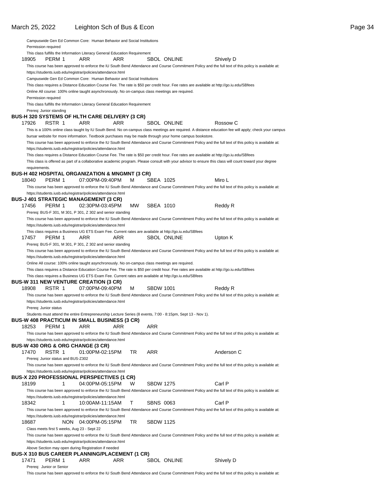|               |                                    |   | Campuswide Gen Ed Common Core: Human Behavior and Social Institutions                                       |      |           |                  |                    |                                                                                                                                                        |  |
|---------------|------------------------------------|---|-------------------------------------------------------------------------------------------------------------|------|-----------|------------------|--------------------|--------------------------------------------------------------------------------------------------------------------------------------------------------|--|
|               | Permission required                |   |                                                                                                             |      |           |                  |                    |                                                                                                                                                        |  |
|               |                                    |   | This class fulfills the Information Literacy General Education Requirement                                  |      |           |                  |                    |                                                                                                                                                        |  |
| 18905         | PERM 1                             |   | ARR                                                                                                         | ARR  |           |                  | <b>SBOL ONLINE</b> | Shively D                                                                                                                                              |  |
|               |                                    |   |                                                                                                             |      |           |                  |                    | This course has been approved to enforce the IU South Bend Attendance and Course Commitment Policy and the full text of this policy is available at:   |  |
|               |                                    |   | https://students.iusb.edu/registrar/policies/attendance.html                                                |      |           |                  |                    |                                                                                                                                                        |  |
|               |                                    |   | Campuswide Gen Ed Common Core: Human Behavior and Social Institutions                                       |      |           |                  |                    |                                                                                                                                                        |  |
|               |                                    |   |                                                                                                             |      |           |                  |                    | This class requires a Distance Education Course Fee. The rate is \$50 per credit hour. Fee rates are available at http://go.iu.edu/SBfees              |  |
|               |                                    |   | Online All course: 100% online taught asynchronously. No on-campus class meetings are required.             |      |           |                  |                    |                                                                                                                                                        |  |
|               | Permission required                |   |                                                                                                             |      |           |                  |                    |                                                                                                                                                        |  |
|               |                                    |   | This class fulfills the Information Literacy General Education Requirement                                  |      |           |                  |                    |                                                                                                                                                        |  |
|               | Prereg: Junior standing            |   |                                                                                                             |      |           |                  |                    |                                                                                                                                                        |  |
|               |                                    |   | BUS-H 320 SYSTEMS OF HLTH CARE DELIVERY (3 CR)                                                              |      |           |                  |                    |                                                                                                                                                        |  |
| 17926         | RSTR 1                             |   | ARR                                                                                                         | ARR. |           |                  | SBOL ONLINE        | Rossow C                                                                                                                                               |  |
|               |                                    |   |                                                                                                             |      |           |                  |                    | This is a 100% online class taught by IU South Bend. No on-campus class meetings are required. A distance education fee will apply; check your campus  |  |
|               |                                    |   | bursar website for more information. Textbook purchases may be made through your home campus bookstore.     |      |           |                  |                    |                                                                                                                                                        |  |
|               |                                    |   |                                                                                                             |      |           |                  |                    | This course has been approved to enforce the IU South Bend Attendance and Course Commitment Policy and the full text of this policy is available at:   |  |
|               |                                    |   | https://students.iusb.edu/registrar/policies/attendance.html                                                |      |           |                  |                    |                                                                                                                                                        |  |
|               |                                    |   |                                                                                                             |      |           |                  |                    | This class requires a Distance Education Course Fee. The rate is \$50 per credit hour. Fee rates are available at http://go.iu.edu/SBfees              |  |
|               |                                    |   |                                                                                                             |      |           |                  |                    | This class is offered as part of a collaborative academic program. Please consult with your advisor to ensure this class will count toward your degree |  |
| requirements. |                                    |   |                                                                                                             |      |           |                  |                    |                                                                                                                                                        |  |
|               |                                    |   | BUS-H 402 HOSPITAL ORGANIZATION & MNGMNT (3 CR)                                                             |      |           |                  |                    |                                                                                                                                                        |  |
| 18040         | PERM 1                             |   | 07:00PM-09:40PM                                                                                             |      | м         | SBEA 1025        |                    | Miro L                                                                                                                                                 |  |
|               |                                    |   |                                                                                                             |      |           |                  |                    | This course has been approved to enforce the IU South Bend Attendance and Course Commitment Policy and the full text of this policy is available at:   |  |
|               |                                    |   | https://students.iusb.edu/registrar/policies/attendance.html                                                |      |           |                  |                    |                                                                                                                                                        |  |
|               |                                    |   | BUS-J 401 STRATEGIC MANAGEMENT (3 CR)                                                                       |      |           |                  |                    |                                                                                                                                                        |  |
| 17456         | PERM 1                             |   | 02:30PM-03:45PM                                                                                             |      | <b>MW</b> | SBEA 1010        |                    | Reddy R                                                                                                                                                |  |
|               |                                    |   | Prereq: BUS-F 301, M 301, P 301, Z 302 and senior standing                                                  |      |           |                  |                    |                                                                                                                                                        |  |
|               |                                    |   |                                                                                                             |      |           |                  |                    | This course has been approved to enforce the IU South Bend Attendance and Course Commitment Policy and the full text of this policy is available at:   |  |
|               |                                    |   | https://students.iusb.edu/registrar/policies/attendance.html                                                |      |           |                  |                    |                                                                                                                                                        |  |
|               |                                    |   | This class requires a Business UG ETS Exam Fee. Current rates are available at http://go.iu.edu/SBfees      |      |           |                  |                    |                                                                                                                                                        |  |
| 17457         | PERM 1                             |   | ARR                                                                                                         | ARR  |           |                  | <b>SBOL ONLINE</b> | Upton K                                                                                                                                                |  |
|               |                                    |   | Prereq: BUS-F 301, M 301, P 301, Z 302 and senior standing                                                  |      |           |                  |                    |                                                                                                                                                        |  |
|               |                                    |   |                                                                                                             |      |           |                  |                    | This course has been approved to enforce the IU South Bend Attendance and Course Commitment Policy and the full text of this policy is available at:   |  |
|               |                                    |   | https://students.iusb.edu/registrar/policies/attendance.html                                                |      |           |                  |                    |                                                                                                                                                        |  |
|               |                                    |   | Online All course: 100% online taught asynchronously. No on-campus class meetings are required.             |      |           |                  |                    |                                                                                                                                                        |  |
|               |                                    |   |                                                                                                             |      |           |                  |                    | This class requires a Distance Education Course Fee. The rate is \$50 per credit hour. Fee rates are available at http://go.iu.edu/SBfees              |  |
|               |                                    |   | This class requires a Business UG ETS Exam Fee. Current rates are available at http://go.iu.edu/SBfees      |      |           |                  |                    |                                                                                                                                                        |  |
|               |                                    |   | <b>BUS-W 311 NEW VENTURE CREATION (3 CR)</b>                                                                |      |           |                  |                    |                                                                                                                                                        |  |
| 18908         | RSTR 1                             |   | 07:00PM-09:40PM                                                                                             |      | м         | <b>SBDW 1001</b> |                    | Reddy R                                                                                                                                                |  |
|               |                                    |   |                                                                                                             |      |           |                  |                    | This course has been approved to enforce the IU South Bend Attendance and Course Commitment Policy and the full text of this policy is available at:   |  |
|               |                                    |   | https://students.iusb.edu/registrar/policies/attendance.html                                                |      |           |                  |                    |                                                                                                                                                        |  |
|               |                                    |   |                                                                                                             |      |           |                  |                    |                                                                                                                                                        |  |
|               | Prereq: Junior status              |   |                                                                                                             |      |           |                  |                    |                                                                                                                                                        |  |
|               |                                    |   | Students must attend the entire Entrepreneurship Lecture Series (8 events, 7:00 - 8:15pm, Sept 13 - Nov 1). |      |           |                  |                    |                                                                                                                                                        |  |
|               |                                    |   | BUS-W 408 PRACTICUM IN SMALL BUSINESS (3 CR)                                                                |      |           |                  |                    |                                                                                                                                                        |  |
| 18253         | PERM 1                             |   | ARR                                                                                                         | ARR  |           | ARR              |                    |                                                                                                                                                        |  |
|               |                                    |   |                                                                                                             |      |           |                  |                    | This course has been approved to enforce the IU South Bend Attendance and Course Commitment Policy and the full text of this policy is available at:   |  |
|               |                                    |   | https://students.iusb.edu/registrar/policies/attendance.html                                                |      |           |                  |                    |                                                                                                                                                        |  |
|               |                                    |   | BUS-W 430 ORG & ORG CHANGE (3 CR)                                                                           |      |           |                  |                    |                                                                                                                                                        |  |
| 17470         | RSTR 1                             |   | 01:00PM-02:15PM                                                                                             |      | TR        | ARR              |                    | Anderson C                                                                                                                                             |  |
|               | Prereg: Junior status and BUS-Z302 |   |                                                                                                             |      |           |                  |                    |                                                                                                                                                        |  |
|               |                                    |   |                                                                                                             |      |           |                  |                    | This course has been approved to enforce the IU South Bend Attendance and Course Commitment Policy and the full text of this policy is available at:   |  |
|               |                                    |   | https://students.iusb.edu/registrar/policies/attendance.html                                                |      |           |                  |                    |                                                                                                                                                        |  |
|               |                                    |   | BUS-X 220 PROFESSIONAL PERSPECTIVES (1 CR)                                                                  |      |           |                  |                    |                                                                                                                                                        |  |
| 18199         |                                    | 1 | 04:00PM-05:15PM                                                                                             |      | w         | <b>SBDW 1275</b> |                    | Carl P                                                                                                                                                 |  |
|               |                                    |   |                                                                                                             |      |           |                  |                    | This course has been approved to enforce the IU South Bend Attendance and Course Commitment Policy and the full text of this policy is available at:   |  |
|               |                                    |   | https://students.iusb.edu/registrar/policies/attendance.html                                                |      |           |                  |                    |                                                                                                                                                        |  |
| 18342         |                                    | 1 | 10:00AM-11:15AM                                                                                             |      | т         | <b>SBNS 0063</b> |                    | Carl P                                                                                                                                                 |  |
|               |                                    |   |                                                                                                             |      |           |                  |                    | This course has been approved to enforce the IU South Bend Attendance and Course Commitment Policy and the full text of this policy is available at:   |  |
|               |                                    |   | https://students.iusb.edu/registrar/policies/attendance.html                                                |      |           |                  |                    |                                                                                                                                                        |  |
| 18687         |                                    |   | NON 04:00PM-05:15PM                                                                                         |      | TR        | <b>SBDW 1125</b> |                    |                                                                                                                                                        |  |
|               |                                    |   | Class meets first 5 weeks, Aug 23 - Sept 22                                                                 |      |           |                  |                    |                                                                                                                                                        |  |
|               |                                    |   |                                                                                                             |      |           |                  |                    | This course has been approved to enforce the IU South Bend Attendance and Course Commitment Policy and the full text of this policy is available at:   |  |
|               |                                    |   | https://students.iusb.edu/registrar/policies/attendance.html                                                |      |           |                  |                    |                                                                                                                                                        |  |
|               |                                    |   | Above Section may open during Registration if needed                                                        |      |           |                  |                    |                                                                                                                                                        |  |
|               |                                    |   | BUS-X 310 BUS CAREER PLANNING/PLACEMENT (1 CR)                                                              |      |           |                  |                    |                                                                                                                                                        |  |
| 17471         | PERM 1                             |   | ARR                                                                                                         | ARR  |           |                  | SBOL ONLINE        | Shively D                                                                                                                                              |  |
|               |                                    |   |                                                                                                             |      |           |                  |                    |                                                                                                                                                        |  |

Prereq: Junior or Senior

This course has been approved to enforce the IU South Bend Attendance and Course Commitment Policy and the full text of this policy is available at: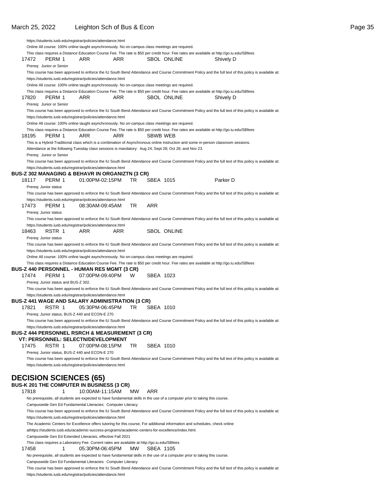| Online All course: 100% online taught asynchronously. No on-campus class meetings are required.<br>This class requires a Distance Education Course Fee. The rate is \$50 per credit hour. Fee rates are available at http://go.iu.edu/SBfees<br>17472<br><b>SBOL ONLINE</b><br>PERM 1<br>ARR<br>ARR<br>Shively D<br>Prereq: Junior or Senior<br>This course has been approved to enforce the IU South Bend Attendance and Course Commitment Policy and the full text of this policy is available at:<br>https://students.iusb.edu/registrar/policies/attendance.html<br>Online All course: 100% online taught asynchronously. No on-campus class meetings are required.<br>This class requires a Distance Education Course Fee. The rate is \$50 per credit hour. Fee rates are available at http://go.iu.edu/SBfees<br>17820<br>PERM 1<br>ARR<br>ARR<br><b>SBOL ONLINE</b><br>Shively D<br>Prereq: Junior or Senior<br>This course has been approved to enforce the IU South Bend Attendance and Course Commitment Policy and the full text of this policy is available at:<br>https://students.iusb.edu/registrar/policies/attendance.html<br>Online All course: 100% online taught asynchronously. No on-campus class meetings are required.<br>This class requires a Distance Education Course Fee. The rate is \$50 per credit hour. Fee rates are available at http://go.iu.edu/SBfees<br>18195<br>PERM 1<br>ARR<br>ARR<br>SBWB WEB<br>This is a Hybrid-Traditional class which is a combination of Asynchronous online instruction and some in-person classroom sessions.<br>Attendance at the following Tuesday class sessions is mandatory: Aug 24; Sept 28; Oct 26; and Nov 23.<br>Prereq: Junior or Senior<br>This course has been approved to enforce the IU South Bend Attendance and Course Commitment Policy and the full text of this policy is available at:<br>https://students.iusb.edu/registrar/policies/attendance.html<br>BUS-Z 302 MANAGING & BEHAVR IN ORGANIZTN (3 CR)<br>Parker D<br>18117<br>PERM 1<br>01:00PM-02:15PM<br>TR<br>SBEA 1015<br>Prereq: Junior status<br>This course has been approved to enforce the IU South Bend Attendance and Course Commitment Policy and the full text of this policy is available at:<br>https://students.iusb.edu/registrar/policies/attendance.html<br><b>ARR</b><br>17473<br>TR<br>PERM 1<br>08:30AM-09:45AM<br>Prereq: Junior status<br>This course has been approved to enforce the IU South Bend Attendance and Course Commitment Policy and the full text of this policy is available at:<br>https://students.iusb.edu/registrar/policies/attendance.html<br>18463<br>RSTR 1<br>ARR<br>SBOL ONLINE<br>ARR<br>Prereq: Junior status<br>This course has been approved to enforce the IU South Bend Attendance and Course Commitment Policy and the full text of this policy is available at:<br>https://students.iusb.edu/registrar/policies/attendance.html<br>Online All course: 100% online taught asynchronously. No on-campus class meetings are required.<br>This class requires a Distance Education Course Fee. The rate is \$50 per credit hour. Fee rates are available at http://go.iu.edu/SBfees<br>BUS-Z 440 PERSONNEL - HUMAN RES MGMT (3 CR)<br>17474<br>PERM 1<br>07:00PM-09:40PM<br>W<br>SBEA 1023<br>Prereq: Junior status and BUS-Z 302.<br>This course has been approved to enforce the IU South Bend Attendance and Course Commitment Policy and the full text of this policy is available at:<br>https://students.iusb.edu/registrar/policies/attendance.html<br>BUS-Z 441 WAGE AND SALARY ADMINISTRATION (3 CR)<br>SBEA 1010<br>17821<br>TR<br>RSTR 1<br>05:30PM-06:45PM<br>Prereq: Junior status, BUS-Z 440 and ECON-E 270<br>This course has been approved to enforce the IU South Bend Attendance and Course Commitment Policy and the full text of this policy is available at:<br>https://students.iusb.edu/registrar/policies/attendance.html<br>BUS-Z 444 PERSONNEL RSRCH & MEASUREMENT (3 CR)<br>VT: PERSONNEL: SELECTN/DEVELOPMENT<br>17475<br>RSTR 1<br>07:00PM-08:15PM<br>TR<br>SBEA 1010<br>Prereq: Junior status, BUS-Z 440 and ECON-E 270<br>This course has been approved to enforce the IU South Bend Attendance and Course Commitment Policy and the full text of this policy is available at:<br>https://students.iusb.edu/registrar/policies/attendance.html<br><b>DECISION SCIENCES (65)</b><br><b>BUS-K 201 THE COMPUTER IN BUSINESS (3 CR)</b><br>17818<br>10:00AM-11:15AM<br>ARR<br>1<br>MW.<br>No prerequisite, all students are expected to have fundamental skills in the use of a computer prior to taking this course.<br>Campuswide Gen Ed Fundamental Literacies: Computer Literacy<br>This course has been approved to enforce the IU South Bend Attendance and Course Commitment Policy and the full text of this policy is available at:<br>https://students.iusb.edu/registrar/policies/attendance.html<br>The Academic Centers for Excellence offers tutoring for this course. For additional information and schedules, check online<br>athttps://students.iusb.edu/academic-success-programs/academic-centers-for-excellence/index.html.<br>Campuswide Gen Ed Extended Literacies, effective Fall 2021<br>This class requires a Laboratory Fee. Current rates are available at http://go.iu.edu/SBfees<br>SBEA 1105<br>17458<br>1<br>05:30PM-06:45PM<br>МW |  | https://students.iusb.edu/registrar/policies/attendance.html |  |  |  |  |
|----------------------------------------------------------------------------------------------------------------------------------------------------------------------------------------------------------------------------------------------------------------------------------------------------------------------------------------------------------------------------------------------------------------------------------------------------------------------------------------------------------------------------------------------------------------------------------------------------------------------------------------------------------------------------------------------------------------------------------------------------------------------------------------------------------------------------------------------------------------------------------------------------------------------------------------------------------------------------------------------------------------------------------------------------------------------------------------------------------------------------------------------------------------------------------------------------------------------------------------------------------------------------------------------------------------------------------------------------------------------------------------------------------------------------------------------------------------------------------------------------------------------------------------------------------------------------------------------------------------------------------------------------------------------------------------------------------------------------------------------------------------------------------------------------------------------------------------------------------------------------------------------------------------------------------------------------------------------------------------------------------------------------------------------------------------------------------------------------------------------------------------------------------------------------------------------------------------------------------------------------------------------------------------------------------------------------------------------------------------------------------------------------------------------------------------------------------------------------------------------------------------------------------------------------------------------------------------------------------------------------------------------------------------------------------------------------------------------------------------------------------------------------------------------------------------------------------------------------------------------------------------------------------------------------------------------------------------------------------------------------------------------------------------------------------------------------------------------------------------------------------------------------------------------------------------------------------------------------------------------------------------------------------------------------------------------------------------------------------------------------------------------------------------------------------------------------------------------------------------------------------------------------------------------------------------------------------------------------------------------------------------------------------------------------------------------------------------------------------------------------------------------------------------------------------------------------------------------------------------------------------------------------------------------------------------------------------------------------------------------------------------------------------------------------------------------------------------------------------------------------------------------------------------------------------------------------------------------------------------------------------------------------------------------------------------------------------------------------------------------------------------------------------------------------------------------------------------------------------------------------------------------------------------------------------------------------------------------------------------------------------------------------------------------------------------------------------------------------------------------------------------------------------------------------------------------------------------------------------------------------------------------------------------------------------------------------------------------------------------------------------------------------------------------------------------------------------------------------------------------------------------------------------------------------------------------------------------------------------------------------------------------------------------------------------------------------------------------------------------------------------------------|--|--------------------------------------------------------------|--|--|--|--|
|                                                                                                                                                                                                                                                                                                                                                                                                                                                                                                                                                                                                                                                                                                                                                                                                                                                                                                                                                                                                                                                                                                                                                                                                                                                                                                                                                                                                                                                                                                                                                                                                                                                                                                                                                                                                                                                                                                                                                                                                                                                                                                                                                                                                                                                                                                                                                                                                                                                                                                                                                                                                                                                                                                                                                                                                                                                                                                                                                                                                                                                                                                                                                                                                                                                                                                                                                                                                                                                                                                                                                                                                                                                                                                                                                                                                                                                                                                                                                                                                                                                                                                                                                                                                                                                                                                                                                                                                                                                                                                                                                                                                                                                                                                                                                                                                                                                                                                                                                                                                                                                                                                                                                                                                                                                                                                                                                                                              |  |                                                              |  |  |  |  |
|                                                                                                                                                                                                                                                                                                                                                                                                                                                                                                                                                                                                                                                                                                                                                                                                                                                                                                                                                                                                                                                                                                                                                                                                                                                                                                                                                                                                                                                                                                                                                                                                                                                                                                                                                                                                                                                                                                                                                                                                                                                                                                                                                                                                                                                                                                                                                                                                                                                                                                                                                                                                                                                                                                                                                                                                                                                                                                                                                                                                                                                                                                                                                                                                                                                                                                                                                                                                                                                                                                                                                                                                                                                                                                                                                                                                                                                                                                                                                                                                                                                                                                                                                                                                                                                                                                                                                                                                                                                                                                                                                                                                                                                                                                                                                                                                                                                                                                                                                                                                                                                                                                                                                                                                                                                                                                                                                                                              |  |                                                              |  |  |  |  |
|                                                                                                                                                                                                                                                                                                                                                                                                                                                                                                                                                                                                                                                                                                                                                                                                                                                                                                                                                                                                                                                                                                                                                                                                                                                                                                                                                                                                                                                                                                                                                                                                                                                                                                                                                                                                                                                                                                                                                                                                                                                                                                                                                                                                                                                                                                                                                                                                                                                                                                                                                                                                                                                                                                                                                                                                                                                                                                                                                                                                                                                                                                                                                                                                                                                                                                                                                                                                                                                                                                                                                                                                                                                                                                                                                                                                                                                                                                                                                                                                                                                                                                                                                                                                                                                                                                                                                                                                                                                                                                                                                                                                                                                                                                                                                                                                                                                                                                                                                                                                                                                                                                                                                                                                                                                                                                                                                                                              |  |                                                              |  |  |  |  |
|                                                                                                                                                                                                                                                                                                                                                                                                                                                                                                                                                                                                                                                                                                                                                                                                                                                                                                                                                                                                                                                                                                                                                                                                                                                                                                                                                                                                                                                                                                                                                                                                                                                                                                                                                                                                                                                                                                                                                                                                                                                                                                                                                                                                                                                                                                                                                                                                                                                                                                                                                                                                                                                                                                                                                                                                                                                                                                                                                                                                                                                                                                                                                                                                                                                                                                                                                                                                                                                                                                                                                                                                                                                                                                                                                                                                                                                                                                                                                                                                                                                                                                                                                                                                                                                                                                                                                                                                                                                                                                                                                                                                                                                                                                                                                                                                                                                                                                                                                                                                                                                                                                                                                                                                                                                                                                                                                                                              |  |                                                              |  |  |  |  |
|                                                                                                                                                                                                                                                                                                                                                                                                                                                                                                                                                                                                                                                                                                                                                                                                                                                                                                                                                                                                                                                                                                                                                                                                                                                                                                                                                                                                                                                                                                                                                                                                                                                                                                                                                                                                                                                                                                                                                                                                                                                                                                                                                                                                                                                                                                                                                                                                                                                                                                                                                                                                                                                                                                                                                                                                                                                                                                                                                                                                                                                                                                                                                                                                                                                                                                                                                                                                                                                                                                                                                                                                                                                                                                                                                                                                                                                                                                                                                                                                                                                                                                                                                                                                                                                                                                                                                                                                                                                                                                                                                                                                                                                                                                                                                                                                                                                                                                                                                                                                                                                                                                                                                                                                                                                                                                                                                                                              |  |                                                              |  |  |  |  |
|                                                                                                                                                                                                                                                                                                                                                                                                                                                                                                                                                                                                                                                                                                                                                                                                                                                                                                                                                                                                                                                                                                                                                                                                                                                                                                                                                                                                                                                                                                                                                                                                                                                                                                                                                                                                                                                                                                                                                                                                                                                                                                                                                                                                                                                                                                                                                                                                                                                                                                                                                                                                                                                                                                                                                                                                                                                                                                                                                                                                                                                                                                                                                                                                                                                                                                                                                                                                                                                                                                                                                                                                                                                                                                                                                                                                                                                                                                                                                                                                                                                                                                                                                                                                                                                                                                                                                                                                                                                                                                                                                                                                                                                                                                                                                                                                                                                                                                                                                                                                                                                                                                                                                                                                                                                                                                                                                                                              |  |                                                              |  |  |  |  |
|                                                                                                                                                                                                                                                                                                                                                                                                                                                                                                                                                                                                                                                                                                                                                                                                                                                                                                                                                                                                                                                                                                                                                                                                                                                                                                                                                                                                                                                                                                                                                                                                                                                                                                                                                                                                                                                                                                                                                                                                                                                                                                                                                                                                                                                                                                                                                                                                                                                                                                                                                                                                                                                                                                                                                                                                                                                                                                                                                                                                                                                                                                                                                                                                                                                                                                                                                                                                                                                                                                                                                                                                                                                                                                                                                                                                                                                                                                                                                                                                                                                                                                                                                                                                                                                                                                                                                                                                                                                                                                                                                                                                                                                                                                                                                                                                                                                                                                                                                                                                                                                                                                                                                                                                                                                                                                                                                                                              |  |                                                              |  |  |  |  |
|                                                                                                                                                                                                                                                                                                                                                                                                                                                                                                                                                                                                                                                                                                                                                                                                                                                                                                                                                                                                                                                                                                                                                                                                                                                                                                                                                                                                                                                                                                                                                                                                                                                                                                                                                                                                                                                                                                                                                                                                                                                                                                                                                                                                                                                                                                                                                                                                                                                                                                                                                                                                                                                                                                                                                                                                                                                                                                                                                                                                                                                                                                                                                                                                                                                                                                                                                                                                                                                                                                                                                                                                                                                                                                                                                                                                                                                                                                                                                                                                                                                                                                                                                                                                                                                                                                                                                                                                                                                                                                                                                                                                                                                                                                                                                                                                                                                                                                                                                                                                                                                                                                                                                                                                                                                                                                                                                                                              |  |                                                              |  |  |  |  |
|                                                                                                                                                                                                                                                                                                                                                                                                                                                                                                                                                                                                                                                                                                                                                                                                                                                                                                                                                                                                                                                                                                                                                                                                                                                                                                                                                                                                                                                                                                                                                                                                                                                                                                                                                                                                                                                                                                                                                                                                                                                                                                                                                                                                                                                                                                                                                                                                                                                                                                                                                                                                                                                                                                                                                                                                                                                                                                                                                                                                                                                                                                                                                                                                                                                                                                                                                                                                                                                                                                                                                                                                                                                                                                                                                                                                                                                                                                                                                                                                                                                                                                                                                                                                                                                                                                                                                                                                                                                                                                                                                                                                                                                                                                                                                                                                                                                                                                                                                                                                                                                                                                                                                                                                                                                                                                                                                                                              |  |                                                              |  |  |  |  |
|                                                                                                                                                                                                                                                                                                                                                                                                                                                                                                                                                                                                                                                                                                                                                                                                                                                                                                                                                                                                                                                                                                                                                                                                                                                                                                                                                                                                                                                                                                                                                                                                                                                                                                                                                                                                                                                                                                                                                                                                                                                                                                                                                                                                                                                                                                                                                                                                                                                                                                                                                                                                                                                                                                                                                                                                                                                                                                                                                                                                                                                                                                                                                                                                                                                                                                                                                                                                                                                                                                                                                                                                                                                                                                                                                                                                                                                                                                                                                                                                                                                                                                                                                                                                                                                                                                                                                                                                                                                                                                                                                                                                                                                                                                                                                                                                                                                                                                                                                                                                                                                                                                                                                                                                                                                                                                                                                                                              |  |                                                              |  |  |  |  |
|                                                                                                                                                                                                                                                                                                                                                                                                                                                                                                                                                                                                                                                                                                                                                                                                                                                                                                                                                                                                                                                                                                                                                                                                                                                                                                                                                                                                                                                                                                                                                                                                                                                                                                                                                                                                                                                                                                                                                                                                                                                                                                                                                                                                                                                                                                                                                                                                                                                                                                                                                                                                                                                                                                                                                                                                                                                                                                                                                                                                                                                                                                                                                                                                                                                                                                                                                                                                                                                                                                                                                                                                                                                                                                                                                                                                                                                                                                                                                                                                                                                                                                                                                                                                                                                                                                                                                                                                                                                                                                                                                                                                                                                                                                                                                                                                                                                                                                                                                                                                                                                                                                                                                                                                                                                                                                                                                                                              |  |                                                              |  |  |  |  |
|                                                                                                                                                                                                                                                                                                                                                                                                                                                                                                                                                                                                                                                                                                                                                                                                                                                                                                                                                                                                                                                                                                                                                                                                                                                                                                                                                                                                                                                                                                                                                                                                                                                                                                                                                                                                                                                                                                                                                                                                                                                                                                                                                                                                                                                                                                                                                                                                                                                                                                                                                                                                                                                                                                                                                                                                                                                                                                                                                                                                                                                                                                                                                                                                                                                                                                                                                                                                                                                                                                                                                                                                                                                                                                                                                                                                                                                                                                                                                                                                                                                                                                                                                                                                                                                                                                                                                                                                                                                                                                                                                                                                                                                                                                                                                                                                                                                                                                                                                                                                                                                                                                                                                                                                                                                                                                                                                                                              |  |                                                              |  |  |  |  |
|                                                                                                                                                                                                                                                                                                                                                                                                                                                                                                                                                                                                                                                                                                                                                                                                                                                                                                                                                                                                                                                                                                                                                                                                                                                                                                                                                                                                                                                                                                                                                                                                                                                                                                                                                                                                                                                                                                                                                                                                                                                                                                                                                                                                                                                                                                                                                                                                                                                                                                                                                                                                                                                                                                                                                                                                                                                                                                                                                                                                                                                                                                                                                                                                                                                                                                                                                                                                                                                                                                                                                                                                                                                                                                                                                                                                                                                                                                                                                                                                                                                                                                                                                                                                                                                                                                                                                                                                                                                                                                                                                                                                                                                                                                                                                                                                                                                                                                                                                                                                                                                                                                                                                                                                                                                                                                                                                                                              |  |                                                              |  |  |  |  |
|                                                                                                                                                                                                                                                                                                                                                                                                                                                                                                                                                                                                                                                                                                                                                                                                                                                                                                                                                                                                                                                                                                                                                                                                                                                                                                                                                                                                                                                                                                                                                                                                                                                                                                                                                                                                                                                                                                                                                                                                                                                                                                                                                                                                                                                                                                                                                                                                                                                                                                                                                                                                                                                                                                                                                                                                                                                                                                                                                                                                                                                                                                                                                                                                                                                                                                                                                                                                                                                                                                                                                                                                                                                                                                                                                                                                                                                                                                                                                                                                                                                                                                                                                                                                                                                                                                                                                                                                                                                                                                                                                                                                                                                                                                                                                                                                                                                                                                                                                                                                                                                                                                                                                                                                                                                                                                                                                                                              |  |                                                              |  |  |  |  |
|                                                                                                                                                                                                                                                                                                                                                                                                                                                                                                                                                                                                                                                                                                                                                                                                                                                                                                                                                                                                                                                                                                                                                                                                                                                                                                                                                                                                                                                                                                                                                                                                                                                                                                                                                                                                                                                                                                                                                                                                                                                                                                                                                                                                                                                                                                                                                                                                                                                                                                                                                                                                                                                                                                                                                                                                                                                                                                                                                                                                                                                                                                                                                                                                                                                                                                                                                                                                                                                                                                                                                                                                                                                                                                                                                                                                                                                                                                                                                                                                                                                                                                                                                                                                                                                                                                                                                                                                                                                                                                                                                                                                                                                                                                                                                                                                                                                                                                                                                                                                                                                                                                                                                                                                                                                                                                                                                                                              |  |                                                              |  |  |  |  |
|                                                                                                                                                                                                                                                                                                                                                                                                                                                                                                                                                                                                                                                                                                                                                                                                                                                                                                                                                                                                                                                                                                                                                                                                                                                                                                                                                                                                                                                                                                                                                                                                                                                                                                                                                                                                                                                                                                                                                                                                                                                                                                                                                                                                                                                                                                                                                                                                                                                                                                                                                                                                                                                                                                                                                                                                                                                                                                                                                                                                                                                                                                                                                                                                                                                                                                                                                                                                                                                                                                                                                                                                                                                                                                                                                                                                                                                                                                                                                                                                                                                                                                                                                                                                                                                                                                                                                                                                                                                                                                                                                                                                                                                                                                                                                                                                                                                                                                                                                                                                                                                                                                                                                                                                                                                                                                                                                                                              |  |                                                              |  |  |  |  |
|                                                                                                                                                                                                                                                                                                                                                                                                                                                                                                                                                                                                                                                                                                                                                                                                                                                                                                                                                                                                                                                                                                                                                                                                                                                                                                                                                                                                                                                                                                                                                                                                                                                                                                                                                                                                                                                                                                                                                                                                                                                                                                                                                                                                                                                                                                                                                                                                                                                                                                                                                                                                                                                                                                                                                                                                                                                                                                                                                                                                                                                                                                                                                                                                                                                                                                                                                                                                                                                                                                                                                                                                                                                                                                                                                                                                                                                                                                                                                                                                                                                                                                                                                                                                                                                                                                                                                                                                                                                                                                                                                                                                                                                                                                                                                                                                                                                                                                                                                                                                                                                                                                                                                                                                                                                                                                                                                                                              |  |                                                              |  |  |  |  |
|                                                                                                                                                                                                                                                                                                                                                                                                                                                                                                                                                                                                                                                                                                                                                                                                                                                                                                                                                                                                                                                                                                                                                                                                                                                                                                                                                                                                                                                                                                                                                                                                                                                                                                                                                                                                                                                                                                                                                                                                                                                                                                                                                                                                                                                                                                                                                                                                                                                                                                                                                                                                                                                                                                                                                                                                                                                                                                                                                                                                                                                                                                                                                                                                                                                                                                                                                                                                                                                                                                                                                                                                                                                                                                                                                                                                                                                                                                                                                                                                                                                                                                                                                                                                                                                                                                                                                                                                                                                                                                                                                                                                                                                                                                                                                                                                                                                                                                                                                                                                                                                                                                                                                                                                                                                                                                                                                                                              |  |                                                              |  |  |  |  |
|                                                                                                                                                                                                                                                                                                                                                                                                                                                                                                                                                                                                                                                                                                                                                                                                                                                                                                                                                                                                                                                                                                                                                                                                                                                                                                                                                                                                                                                                                                                                                                                                                                                                                                                                                                                                                                                                                                                                                                                                                                                                                                                                                                                                                                                                                                                                                                                                                                                                                                                                                                                                                                                                                                                                                                                                                                                                                                                                                                                                                                                                                                                                                                                                                                                                                                                                                                                                                                                                                                                                                                                                                                                                                                                                                                                                                                                                                                                                                                                                                                                                                                                                                                                                                                                                                                                                                                                                                                                                                                                                                                                                                                                                                                                                                                                                                                                                                                                                                                                                                                                                                                                                                                                                                                                                                                                                                                                              |  |                                                              |  |  |  |  |
|                                                                                                                                                                                                                                                                                                                                                                                                                                                                                                                                                                                                                                                                                                                                                                                                                                                                                                                                                                                                                                                                                                                                                                                                                                                                                                                                                                                                                                                                                                                                                                                                                                                                                                                                                                                                                                                                                                                                                                                                                                                                                                                                                                                                                                                                                                                                                                                                                                                                                                                                                                                                                                                                                                                                                                                                                                                                                                                                                                                                                                                                                                                                                                                                                                                                                                                                                                                                                                                                                                                                                                                                                                                                                                                                                                                                                                                                                                                                                                                                                                                                                                                                                                                                                                                                                                                                                                                                                                                                                                                                                                                                                                                                                                                                                                                                                                                                                                                                                                                                                                                                                                                                                                                                                                                                                                                                                                                              |  |                                                              |  |  |  |  |
|                                                                                                                                                                                                                                                                                                                                                                                                                                                                                                                                                                                                                                                                                                                                                                                                                                                                                                                                                                                                                                                                                                                                                                                                                                                                                                                                                                                                                                                                                                                                                                                                                                                                                                                                                                                                                                                                                                                                                                                                                                                                                                                                                                                                                                                                                                                                                                                                                                                                                                                                                                                                                                                                                                                                                                                                                                                                                                                                                                                                                                                                                                                                                                                                                                                                                                                                                                                                                                                                                                                                                                                                                                                                                                                                                                                                                                                                                                                                                                                                                                                                                                                                                                                                                                                                                                                                                                                                                                                                                                                                                                                                                                                                                                                                                                                                                                                                                                                                                                                                                                                                                                                                                                                                                                                                                                                                                                                              |  |                                                              |  |  |  |  |
|                                                                                                                                                                                                                                                                                                                                                                                                                                                                                                                                                                                                                                                                                                                                                                                                                                                                                                                                                                                                                                                                                                                                                                                                                                                                                                                                                                                                                                                                                                                                                                                                                                                                                                                                                                                                                                                                                                                                                                                                                                                                                                                                                                                                                                                                                                                                                                                                                                                                                                                                                                                                                                                                                                                                                                                                                                                                                                                                                                                                                                                                                                                                                                                                                                                                                                                                                                                                                                                                                                                                                                                                                                                                                                                                                                                                                                                                                                                                                                                                                                                                                                                                                                                                                                                                                                                                                                                                                                                                                                                                                                                                                                                                                                                                                                                                                                                                                                                                                                                                                                                                                                                                                                                                                                                                                                                                                                                              |  |                                                              |  |  |  |  |
|                                                                                                                                                                                                                                                                                                                                                                                                                                                                                                                                                                                                                                                                                                                                                                                                                                                                                                                                                                                                                                                                                                                                                                                                                                                                                                                                                                                                                                                                                                                                                                                                                                                                                                                                                                                                                                                                                                                                                                                                                                                                                                                                                                                                                                                                                                                                                                                                                                                                                                                                                                                                                                                                                                                                                                                                                                                                                                                                                                                                                                                                                                                                                                                                                                                                                                                                                                                                                                                                                                                                                                                                                                                                                                                                                                                                                                                                                                                                                                                                                                                                                                                                                                                                                                                                                                                                                                                                                                                                                                                                                                                                                                                                                                                                                                                                                                                                                                                                                                                                                                                                                                                                                                                                                                                                                                                                                                                              |  |                                                              |  |  |  |  |
|                                                                                                                                                                                                                                                                                                                                                                                                                                                                                                                                                                                                                                                                                                                                                                                                                                                                                                                                                                                                                                                                                                                                                                                                                                                                                                                                                                                                                                                                                                                                                                                                                                                                                                                                                                                                                                                                                                                                                                                                                                                                                                                                                                                                                                                                                                                                                                                                                                                                                                                                                                                                                                                                                                                                                                                                                                                                                                                                                                                                                                                                                                                                                                                                                                                                                                                                                                                                                                                                                                                                                                                                                                                                                                                                                                                                                                                                                                                                                                                                                                                                                                                                                                                                                                                                                                                                                                                                                                                                                                                                                                                                                                                                                                                                                                                                                                                                                                                                                                                                                                                                                                                                                                                                                                                                                                                                                                                              |  |                                                              |  |  |  |  |
|                                                                                                                                                                                                                                                                                                                                                                                                                                                                                                                                                                                                                                                                                                                                                                                                                                                                                                                                                                                                                                                                                                                                                                                                                                                                                                                                                                                                                                                                                                                                                                                                                                                                                                                                                                                                                                                                                                                                                                                                                                                                                                                                                                                                                                                                                                                                                                                                                                                                                                                                                                                                                                                                                                                                                                                                                                                                                                                                                                                                                                                                                                                                                                                                                                                                                                                                                                                                                                                                                                                                                                                                                                                                                                                                                                                                                                                                                                                                                                                                                                                                                                                                                                                                                                                                                                                                                                                                                                                                                                                                                                                                                                                                                                                                                                                                                                                                                                                                                                                                                                                                                                                                                                                                                                                                                                                                                                                              |  |                                                              |  |  |  |  |
|                                                                                                                                                                                                                                                                                                                                                                                                                                                                                                                                                                                                                                                                                                                                                                                                                                                                                                                                                                                                                                                                                                                                                                                                                                                                                                                                                                                                                                                                                                                                                                                                                                                                                                                                                                                                                                                                                                                                                                                                                                                                                                                                                                                                                                                                                                                                                                                                                                                                                                                                                                                                                                                                                                                                                                                                                                                                                                                                                                                                                                                                                                                                                                                                                                                                                                                                                                                                                                                                                                                                                                                                                                                                                                                                                                                                                                                                                                                                                                                                                                                                                                                                                                                                                                                                                                                                                                                                                                                                                                                                                                                                                                                                                                                                                                                                                                                                                                                                                                                                                                                                                                                                                                                                                                                                                                                                                                                              |  |                                                              |  |  |  |  |
|                                                                                                                                                                                                                                                                                                                                                                                                                                                                                                                                                                                                                                                                                                                                                                                                                                                                                                                                                                                                                                                                                                                                                                                                                                                                                                                                                                                                                                                                                                                                                                                                                                                                                                                                                                                                                                                                                                                                                                                                                                                                                                                                                                                                                                                                                                                                                                                                                                                                                                                                                                                                                                                                                                                                                                                                                                                                                                                                                                                                                                                                                                                                                                                                                                                                                                                                                                                                                                                                                                                                                                                                                                                                                                                                                                                                                                                                                                                                                                                                                                                                                                                                                                                                                                                                                                                                                                                                                                                                                                                                                                                                                                                                                                                                                                                                                                                                                                                                                                                                                                                                                                                                                                                                                                                                                                                                                                                              |  |                                                              |  |  |  |  |
|                                                                                                                                                                                                                                                                                                                                                                                                                                                                                                                                                                                                                                                                                                                                                                                                                                                                                                                                                                                                                                                                                                                                                                                                                                                                                                                                                                                                                                                                                                                                                                                                                                                                                                                                                                                                                                                                                                                                                                                                                                                                                                                                                                                                                                                                                                                                                                                                                                                                                                                                                                                                                                                                                                                                                                                                                                                                                                                                                                                                                                                                                                                                                                                                                                                                                                                                                                                                                                                                                                                                                                                                                                                                                                                                                                                                                                                                                                                                                                                                                                                                                                                                                                                                                                                                                                                                                                                                                                                                                                                                                                                                                                                                                                                                                                                                                                                                                                                                                                                                                                                                                                                                                                                                                                                                                                                                                                                              |  |                                                              |  |  |  |  |
|                                                                                                                                                                                                                                                                                                                                                                                                                                                                                                                                                                                                                                                                                                                                                                                                                                                                                                                                                                                                                                                                                                                                                                                                                                                                                                                                                                                                                                                                                                                                                                                                                                                                                                                                                                                                                                                                                                                                                                                                                                                                                                                                                                                                                                                                                                                                                                                                                                                                                                                                                                                                                                                                                                                                                                                                                                                                                                                                                                                                                                                                                                                                                                                                                                                                                                                                                                                                                                                                                                                                                                                                                                                                                                                                                                                                                                                                                                                                                                                                                                                                                                                                                                                                                                                                                                                                                                                                                                                                                                                                                                                                                                                                                                                                                                                                                                                                                                                                                                                                                                                                                                                                                                                                                                                                                                                                                                                              |  |                                                              |  |  |  |  |
|                                                                                                                                                                                                                                                                                                                                                                                                                                                                                                                                                                                                                                                                                                                                                                                                                                                                                                                                                                                                                                                                                                                                                                                                                                                                                                                                                                                                                                                                                                                                                                                                                                                                                                                                                                                                                                                                                                                                                                                                                                                                                                                                                                                                                                                                                                                                                                                                                                                                                                                                                                                                                                                                                                                                                                                                                                                                                                                                                                                                                                                                                                                                                                                                                                                                                                                                                                                                                                                                                                                                                                                                                                                                                                                                                                                                                                                                                                                                                                                                                                                                                                                                                                                                                                                                                                                                                                                                                                                                                                                                                                                                                                                                                                                                                                                                                                                                                                                                                                                                                                                                                                                                                                                                                                                                                                                                                                                              |  |                                                              |  |  |  |  |
|                                                                                                                                                                                                                                                                                                                                                                                                                                                                                                                                                                                                                                                                                                                                                                                                                                                                                                                                                                                                                                                                                                                                                                                                                                                                                                                                                                                                                                                                                                                                                                                                                                                                                                                                                                                                                                                                                                                                                                                                                                                                                                                                                                                                                                                                                                                                                                                                                                                                                                                                                                                                                                                                                                                                                                                                                                                                                                                                                                                                                                                                                                                                                                                                                                                                                                                                                                                                                                                                                                                                                                                                                                                                                                                                                                                                                                                                                                                                                                                                                                                                                                                                                                                                                                                                                                                                                                                                                                                                                                                                                                                                                                                                                                                                                                                                                                                                                                                                                                                                                                                                                                                                                                                                                                                                                                                                                                                              |  |                                                              |  |  |  |  |
|                                                                                                                                                                                                                                                                                                                                                                                                                                                                                                                                                                                                                                                                                                                                                                                                                                                                                                                                                                                                                                                                                                                                                                                                                                                                                                                                                                                                                                                                                                                                                                                                                                                                                                                                                                                                                                                                                                                                                                                                                                                                                                                                                                                                                                                                                                                                                                                                                                                                                                                                                                                                                                                                                                                                                                                                                                                                                                                                                                                                                                                                                                                                                                                                                                                                                                                                                                                                                                                                                                                                                                                                                                                                                                                                                                                                                                                                                                                                                                                                                                                                                                                                                                                                                                                                                                                                                                                                                                                                                                                                                                                                                                                                                                                                                                                                                                                                                                                                                                                                                                                                                                                                                                                                                                                                                                                                                                                              |  |                                                              |  |  |  |  |
|                                                                                                                                                                                                                                                                                                                                                                                                                                                                                                                                                                                                                                                                                                                                                                                                                                                                                                                                                                                                                                                                                                                                                                                                                                                                                                                                                                                                                                                                                                                                                                                                                                                                                                                                                                                                                                                                                                                                                                                                                                                                                                                                                                                                                                                                                                                                                                                                                                                                                                                                                                                                                                                                                                                                                                                                                                                                                                                                                                                                                                                                                                                                                                                                                                                                                                                                                                                                                                                                                                                                                                                                                                                                                                                                                                                                                                                                                                                                                                                                                                                                                                                                                                                                                                                                                                                                                                                                                                                                                                                                                                                                                                                                                                                                                                                                                                                                                                                                                                                                                                                                                                                                                                                                                                                                                                                                                                                              |  |                                                              |  |  |  |  |
|                                                                                                                                                                                                                                                                                                                                                                                                                                                                                                                                                                                                                                                                                                                                                                                                                                                                                                                                                                                                                                                                                                                                                                                                                                                                                                                                                                                                                                                                                                                                                                                                                                                                                                                                                                                                                                                                                                                                                                                                                                                                                                                                                                                                                                                                                                                                                                                                                                                                                                                                                                                                                                                                                                                                                                                                                                                                                                                                                                                                                                                                                                                                                                                                                                                                                                                                                                                                                                                                                                                                                                                                                                                                                                                                                                                                                                                                                                                                                                                                                                                                                                                                                                                                                                                                                                                                                                                                                                                                                                                                                                                                                                                                                                                                                                                                                                                                                                                                                                                                                                                                                                                                                                                                                                                                                                                                                                                              |  |                                                              |  |  |  |  |
|                                                                                                                                                                                                                                                                                                                                                                                                                                                                                                                                                                                                                                                                                                                                                                                                                                                                                                                                                                                                                                                                                                                                                                                                                                                                                                                                                                                                                                                                                                                                                                                                                                                                                                                                                                                                                                                                                                                                                                                                                                                                                                                                                                                                                                                                                                                                                                                                                                                                                                                                                                                                                                                                                                                                                                                                                                                                                                                                                                                                                                                                                                                                                                                                                                                                                                                                                                                                                                                                                                                                                                                                                                                                                                                                                                                                                                                                                                                                                                                                                                                                                                                                                                                                                                                                                                                                                                                                                                                                                                                                                                                                                                                                                                                                                                                                                                                                                                                                                                                                                                                                                                                                                                                                                                                                                                                                                                                              |  |                                                              |  |  |  |  |
|                                                                                                                                                                                                                                                                                                                                                                                                                                                                                                                                                                                                                                                                                                                                                                                                                                                                                                                                                                                                                                                                                                                                                                                                                                                                                                                                                                                                                                                                                                                                                                                                                                                                                                                                                                                                                                                                                                                                                                                                                                                                                                                                                                                                                                                                                                                                                                                                                                                                                                                                                                                                                                                                                                                                                                                                                                                                                                                                                                                                                                                                                                                                                                                                                                                                                                                                                                                                                                                                                                                                                                                                                                                                                                                                                                                                                                                                                                                                                                                                                                                                                                                                                                                                                                                                                                                                                                                                                                                                                                                                                                                                                                                                                                                                                                                                                                                                                                                                                                                                                                                                                                                                                                                                                                                                                                                                                                                              |  |                                                              |  |  |  |  |
|                                                                                                                                                                                                                                                                                                                                                                                                                                                                                                                                                                                                                                                                                                                                                                                                                                                                                                                                                                                                                                                                                                                                                                                                                                                                                                                                                                                                                                                                                                                                                                                                                                                                                                                                                                                                                                                                                                                                                                                                                                                                                                                                                                                                                                                                                                                                                                                                                                                                                                                                                                                                                                                                                                                                                                                                                                                                                                                                                                                                                                                                                                                                                                                                                                                                                                                                                                                                                                                                                                                                                                                                                                                                                                                                                                                                                                                                                                                                                                                                                                                                                                                                                                                                                                                                                                                                                                                                                                                                                                                                                                                                                                                                                                                                                                                                                                                                                                                                                                                                                                                                                                                                                                                                                                                                                                                                                                                              |  |                                                              |  |  |  |  |
|                                                                                                                                                                                                                                                                                                                                                                                                                                                                                                                                                                                                                                                                                                                                                                                                                                                                                                                                                                                                                                                                                                                                                                                                                                                                                                                                                                                                                                                                                                                                                                                                                                                                                                                                                                                                                                                                                                                                                                                                                                                                                                                                                                                                                                                                                                                                                                                                                                                                                                                                                                                                                                                                                                                                                                                                                                                                                                                                                                                                                                                                                                                                                                                                                                                                                                                                                                                                                                                                                                                                                                                                                                                                                                                                                                                                                                                                                                                                                                                                                                                                                                                                                                                                                                                                                                                                                                                                                                                                                                                                                                                                                                                                                                                                                                                                                                                                                                                                                                                                                                                                                                                                                                                                                                                                                                                                                                                              |  |                                                              |  |  |  |  |
|                                                                                                                                                                                                                                                                                                                                                                                                                                                                                                                                                                                                                                                                                                                                                                                                                                                                                                                                                                                                                                                                                                                                                                                                                                                                                                                                                                                                                                                                                                                                                                                                                                                                                                                                                                                                                                                                                                                                                                                                                                                                                                                                                                                                                                                                                                                                                                                                                                                                                                                                                                                                                                                                                                                                                                                                                                                                                                                                                                                                                                                                                                                                                                                                                                                                                                                                                                                                                                                                                                                                                                                                                                                                                                                                                                                                                                                                                                                                                                                                                                                                                                                                                                                                                                                                                                                                                                                                                                                                                                                                                                                                                                                                                                                                                                                                                                                                                                                                                                                                                                                                                                                                                                                                                                                                                                                                                                                              |  |                                                              |  |  |  |  |
|                                                                                                                                                                                                                                                                                                                                                                                                                                                                                                                                                                                                                                                                                                                                                                                                                                                                                                                                                                                                                                                                                                                                                                                                                                                                                                                                                                                                                                                                                                                                                                                                                                                                                                                                                                                                                                                                                                                                                                                                                                                                                                                                                                                                                                                                                                                                                                                                                                                                                                                                                                                                                                                                                                                                                                                                                                                                                                                                                                                                                                                                                                                                                                                                                                                                                                                                                                                                                                                                                                                                                                                                                                                                                                                                                                                                                                                                                                                                                                                                                                                                                                                                                                                                                                                                                                                                                                                                                                                                                                                                                                                                                                                                                                                                                                                                                                                                                                                                                                                                                                                                                                                                                                                                                                                                                                                                                                                              |  |                                                              |  |  |  |  |
|                                                                                                                                                                                                                                                                                                                                                                                                                                                                                                                                                                                                                                                                                                                                                                                                                                                                                                                                                                                                                                                                                                                                                                                                                                                                                                                                                                                                                                                                                                                                                                                                                                                                                                                                                                                                                                                                                                                                                                                                                                                                                                                                                                                                                                                                                                                                                                                                                                                                                                                                                                                                                                                                                                                                                                                                                                                                                                                                                                                                                                                                                                                                                                                                                                                                                                                                                                                                                                                                                                                                                                                                                                                                                                                                                                                                                                                                                                                                                                                                                                                                                                                                                                                                                                                                                                                                                                                                                                                                                                                                                                                                                                                                                                                                                                                                                                                                                                                                                                                                                                                                                                                                                                                                                                                                                                                                                                                              |  |                                                              |  |  |  |  |
|                                                                                                                                                                                                                                                                                                                                                                                                                                                                                                                                                                                                                                                                                                                                                                                                                                                                                                                                                                                                                                                                                                                                                                                                                                                                                                                                                                                                                                                                                                                                                                                                                                                                                                                                                                                                                                                                                                                                                                                                                                                                                                                                                                                                                                                                                                                                                                                                                                                                                                                                                                                                                                                                                                                                                                                                                                                                                                                                                                                                                                                                                                                                                                                                                                                                                                                                                                                                                                                                                                                                                                                                                                                                                                                                                                                                                                                                                                                                                                                                                                                                                                                                                                                                                                                                                                                                                                                                                                                                                                                                                                                                                                                                                                                                                                                                                                                                                                                                                                                                                                                                                                                                                                                                                                                                                                                                                                                              |  |                                                              |  |  |  |  |
|                                                                                                                                                                                                                                                                                                                                                                                                                                                                                                                                                                                                                                                                                                                                                                                                                                                                                                                                                                                                                                                                                                                                                                                                                                                                                                                                                                                                                                                                                                                                                                                                                                                                                                                                                                                                                                                                                                                                                                                                                                                                                                                                                                                                                                                                                                                                                                                                                                                                                                                                                                                                                                                                                                                                                                                                                                                                                                                                                                                                                                                                                                                                                                                                                                                                                                                                                                                                                                                                                                                                                                                                                                                                                                                                                                                                                                                                                                                                                                                                                                                                                                                                                                                                                                                                                                                                                                                                                                                                                                                                                                                                                                                                                                                                                                                                                                                                                                                                                                                                                                                                                                                                                                                                                                                                                                                                                                                              |  |                                                              |  |  |  |  |
|                                                                                                                                                                                                                                                                                                                                                                                                                                                                                                                                                                                                                                                                                                                                                                                                                                                                                                                                                                                                                                                                                                                                                                                                                                                                                                                                                                                                                                                                                                                                                                                                                                                                                                                                                                                                                                                                                                                                                                                                                                                                                                                                                                                                                                                                                                                                                                                                                                                                                                                                                                                                                                                                                                                                                                                                                                                                                                                                                                                                                                                                                                                                                                                                                                                                                                                                                                                                                                                                                                                                                                                                                                                                                                                                                                                                                                                                                                                                                                                                                                                                                                                                                                                                                                                                                                                                                                                                                                                                                                                                                                                                                                                                                                                                                                                                                                                                                                                                                                                                                                                                                                                                                                                                                                                                                                                                                                                              |  |                                                              |  |  |  |  |
|                                                                                                                                                                                                                                                                                                                                                                                                                                                                                                                                                                                                                                                                                                                                                                                                                                                                                                                                                                                                                                                                                                                                                                                                                                                                                                                                                                                                                                                                                                                                                                                                                                                                                                                                                                                                                                                                                                                                                                                                                                                                                                                                                                                                                                                                                                                                                                                                                                                                                                                                                                                                                                                                                                                                                                                                                                                                                                                                                                                                                                                                                                                                                                                                                                                                                                                                                                                                                                                                                                                                                                                                                                                                                                                                                                                                                                                                                                                                                                                                                                                                                                                                                                                                                                                                                                                                                                                                                                                                                                                                                                                                                                                                                                                                                                                                                                                                                                                                                                                                                                                                                                                                                                                                                                                                                                                                                                                              |  |                                                              |  |  |  |  |
|                                                                                                                                                                                                                                                                                                                                                                                                                                                                                                                                                                                                                                                                                                                                                                                                                                                                                                                                                                                                                                                                                                                                                                                                                                                                                                                                                                                                                                                                                                                                                                                                                                                                                                                                                                                                                                                                                                                                                                                                                                                                                                                                                                                                                                                                                                                                                                                                                                                                                                                                                                                                                                                                                                                                                                                                                                                                                                                                                                                                                                                                                                                                                                                                                                                                                                                                                                                                                                                                                                                                                                                                                                                                                                                                                                                                                                                                                                                                                                                                                                                                                                                                                                                                                                                                                                                                                                                                                                                                                                                                                                                                                                                                                                                                                                                                                                                                                                                                                                                                                                                                                                                                                                                                                                                                                                                                                                                              |  |                                                              |  |  |  |  |
|                                                                                                                                                                                                                                                                                                                                                                                                                                                                                                                                                                                                                                                                                                                                                                                                                                                                                                                                                                                                                                                                                                                                                                                                                                                                                                                                                                                                                                                                                                                                                                                                                                                                                                                                                                                                                                                                                                                                                                                                                                                                                                                                                                                                                                                                                                                                                                                                                                                                                                                                                                                                                                                                                                                                                                                                                                                                                                                                                                                                                                                                                                                                                                                                                                                                                                                                                                                                                                                                                                                                                                                                                                                                                                                                                                                                                                                                                                                                                                                                                                                                                                                                                                                                                                                                                                                                                                                                                                                                                                                                                                                                                                                                                                                                                                                                                                                                                                                                                                                                                                                                                                                                                                                                                                                                                                                                                                                              |  |                                                              |  |  |  |  |
|                                                                                                                                                                                                                                                                                                                                                                                                                                                                                                                                                                                                                                                                                                                                                                                                                                                                                                                                                                                                                                                                                                                                                                                                                                                                                                                                                                                                                                                                                                                                                                                                                                                                                                                                                                                                                                                                                                                                                                                                                                                                                                                                                                                                                                                                                                                                                                                                                                                                                                                                                                                                                                                                                                                                                                                                                                                                                                                                                                                                                                                                                                                                                                                                                                                                                                                                                                                                                                                                                                                                                                                                                                                                                                                                                                                                                                                                                                                                                                                                                                                                                                                                                                                                                                                                                                                                                                                                                                                                                                                                                                                                                                                                                                                                                                                                                                                                                                                                                                                                                                                                                                                                                                                                                                                                                                                                                                                              |  |                                                              |  |  |  |  |
|                                                                                                                                                                                                                                                                                                                                                                                                                                                                                                                                                                                                                                                                                                                                                                                                                                                                                                                                                                                                                                                                                                                                                                                                                                                                                                                                                                                                                                                                                                                                                                                                                                                                                                                                                                                                                                                                                                                                                                                                                                                                                                                                                                                                                                                                                                                                                                                                                                                                                                                                                                                                                                                                                                                                                                                                                                                                                                                                                                                                                                                                                                                                                                                                                                                                                                                                                                                                                                                                                                                                                                                                                                                                                                                                                                                                                                                                                                                                                                                                                                                                                                                                                                                                                                                                                                                                                                                                                                                                                                                                                                                                                                                                                                                                                                                                                                                                                                                                                                                                                                                                                                                                                                                                                                                                                                                                                                                              |  |                                                              |  |  |  |  |
|                                                                                                                                                                                                                                                                                                                                                                                                                                                                                                                                                                                                                                                                                                                                                                                                                                                                                                                                                                                                                                                                                                                                                                                                                                                                                                                                                                                                                                                                                                                                                                                                                                                                                                                                                                                                                                                                                                                                                                                                                                                                                                                                                                                                                                                                                                                                                                                                                                                                                                                                                                                                                                                                                                                                                                                                                                                                                                                                                                                                                                                                                                                                                                                                                                                                                                                                                                                                                                                                                                                                                                                                                                                                                                                                                                                                                                                                                                                                                                                                                                                                                                                                                                                                                                                                                                                                                                                                                                                                                                                                                                                                                                                                                                                                                                                                                                                                                                                                                                                                                                                                                                                                                                                                                                                                                                                                                                                              |  |                                                              |  |  |  |  |
|                                                                                                                                                                                                                                                                                                                                                                                                                                                                                                                                                                                                                                                                                                                                                                                                                                                                                                                                                                                                                                                                                                                                                                                                                                                                                                                                                                                                                                                                                                                                                                                                                                                                                                                                                                                                                                                                                                                                                                                                                                                                                                                                                                                                                                                                                                                                                                                                                                                                                                                                                                                                                                                                                                                                                                                                                                                                                                                                                                                                                                                                                                                                                                                                                                                                                                                                                                                                                                                                                                                                                                                                                                                                                                                                                                                                                                                                                                                                                                                                                                                                                                                                                                                                                                                                                                                                                                                                                                                                                                                                                                                                                                                                                                                                                                                                                                                                                                                                                                                                                                                                                                                                                                                                                                                                                                                                                                                              |  |                                                              |  |  |  |  |
|                                                                                                                                                                                                                                                                                                                                                                                                                                                                                                                                                                                                                                                                                                                                                                                                                                                                                                                                                                                                                                                                                                                                                                                                                                                                                                                                                                                                                                                                                                                                                                                                                                                                                                                                                                                                                                                                                                                                                                                                                                                                                                                                                                                                                                                                                                                                                                                                                                                                                                                                                                                                                                                                                                                                                                                                                                                                                                                                                                                                                                                                                                                                                                                                                                                                                                                                                                                                                                                                                                                                                                                                                                                                                                                                                                                                                                                                                                                                                                                                                                                                                                                                                                                                                                                                                                                                                                                                                                                                                                                                                                                                                                                                                                                                                                                                                                                                                                                                                                                                                                                                                                                                                                                                                                                                                                                                                                                              |  |                                                              |  |  |  |  |
|                                                                                                                                                                                                                                                                                                                                                                                                                                                                                                                                                                                                                                                                                                                                                                                                                                                                                                                                                                                                                                                                                                                                                                                                                                                                                                                                                                                                                                                                                                                                                                                                                                                                                                                                                                                                                                                                                                                                                                                                                                                                                                                                                                                                                                                                                                                                                                                                                                                                                                                                                                                                                                                                                                                                                                                                                                                                                                                                                                                                                                                                                                                                                                                                                                                                                                                                                                                                                                                                                                                                                                                                                                                                                                                                                                                                                                                                                                                                                                                                                                                                                                                                                                                                                                                                                                                                                                                                                                                                                                                                                                                                                                                                                                                                                                                                                                                                                                                                                                                                                                                                                                                                                                                                                                                                                                                                                                                              |  |                                                              |  |  |  |  |
|                                                                                                                                                                                                                                                                                                                                                                                                                                                                                                                                                                                                                                                                                                                                                                                                                                                                                                                                                                                                                                                                                                                                                                                                                                                                                                                                                                                                                                                                                                                                                                                                                                                                                                                                                                                                                                                                                                                                                                                                                                                                                                                                                                                                                                                                                                                                                                                                                                                                                                                                                                                                                                                                                                                                                                                                                                                                                                                                                                                                                                                                                                                                                                                                                                                                                                                                                                                                                                                                                                                                                                                                                                                                                                                                                                                                                                                                                                                                                                                                                                                                                                                                                                                                                                                                                                                                                                                                                                                                                                                                                                                                                                                                                                                                                                                                                                                                                                                                                                                                                                                                                                                                                                                                                                                                                                                                                                                              |  |                                                              |  |  |  |  |
|                                                                                                                                                                                                                                                                                                                                                                                                                                                                                                                                                                                                                                                                                                                                                                                                                                                                                                                                                                                                                                                                                                                                                                                                                                                                                                                                                                                                                                                                                                                                                                                                                                                                                                                                                                                                                                                                                                                                                                                                                                                                                                                                                                                                                                                                                                                                                                                                                                                                                                                                                                                                                                                                                                                                                                                                                                                                                                                                                                                                                                                                                                                                                                                                                                                                                                                                                                                                                                                                                                                                                                                                                                                                                                                                                                                                                                                                                                                                                                                                                                                                                                                                                                                                                                                                                                                                                                                                                                                                                                                                                                                                                                                                                                                                                                                                                                                                                                                                                                                                                                                                                                                                                                                                                                                                                                                                                                                              |  |                                                              |  |  |  |  |
|                                                                                                                                                                                                                                                                                                                                                                                                                                                                                                                                                                                                                                                                                                                                                                                                                                                                                                                                                                                                                                                                                                                                                                                                                                                                                                                                                                                                                                                                                                                                                                                                                                                                                                                                                                                                                                                                                                                                                                                                                                                                                                                                                                                                                                                                                                                                                                                                                                                                                                                                                                                                                                                                                                                                                                                                                                                                                                                                                                                                                                                                                                                                                                                                                                                                                                                                                                                                                                                                                                                                                                                                                                                                                                                                                                                                                                                                                                                                                                                                                                                                                                                                                                                                                                                                                                                                                                                                                                                                                                                                                                                                                                                                                                                                                                                                                                                                                                                                                                                                                                                                                                                                                                                                                                                                                                                                                                                              |  |                                                              |  |  |  |  |
|                                                                                                                                                                                                                                                                                                                                                                                                                                                                                                                                                                                                                                                                                                                                                                                                                                                                                                                                                                                                                                                                                                                                                                                                                                                                                                                                                                                                                                                                                                                                                                                                                                                                                                                                                                                                                                                                                                                                                                                                                                                                                                                                                                                                                                                                                                                                                                                                                                                                                                                                                                                                                                                                                                                                                                                                                                                                                                                                                                                                                                                                                                                                                                                                                                                                                                                                                                                                                                                                                                                                                                                                                                                                                                                                                                                                                                                                                                                                                                                                                                                                                                                                                                                                                                                                                                                                                                                                                                                                                                                                                                                                                                                                                                                                                                                                                                                                                                                                                                                                                                                                                                                                                                                                                                                                                                                                                                                              |  |                                                              |  |  |  |  |
|                                                                                                                                                                                                                                                                                                                                                                                                                                                                                                                                                                                                                                                                                                                                                                                                                                                                                                                                                                                                                                                                                                                                                                                                                                                                                                                                                                                                                                                                                                                                                                                                                                                                                                                                                                                                                                                                                                                                                                                                                                                                                                                                                                                                                                                                                                                                                                                                                                                                                                                                                                                                                                                                                                                                                                                                                                                                                                                                                                                                                                                                                                                                                                                                                                                                                                                                                                                                                                                                                                                                                                                                                                                                                                                                                                                                                                                                                                                                                                                                                                                                                                                                                                                                                                                                                                                                                                                                                                                                                                                                                                                                                                                                                                                                                                                                                                                                                                                                                                                                                                                                                                                                                                                                                                                                                                                                                                                              |  |                                                              |  |  |  |  |
|                                                                                                                                                                                                                                                                                                                                                                                                                                                                                                                                                                                                                                                                                                                                                                                                                                                                                                                                                                                                                                                                                                                                                                                                                                                                                                                                                                                                                                                                                                                                                                                                                                                                                                                                                                                                                                                                                                                                                                                                                                                                                                                                                                                                                                                                                                                                                                                                                                                                                                                                                                                                                                                                                                                                                                                                                                                                                                                                                                                                                                                                                                                                                                                                                                                                                                                                                                                                                                                                                                                                                                                                                                                                                                                                                                                                                                                                                                                                                                                                                                                                                                                                                                                                                                                                                                                                                                                                                                                                                                                                                                                                                                                                                                                                                                                                                                                                                                                                                                                                                                                                                                                                                                                                                                                                                                                                                                                              |  |                                                              |  |  |  |  |
|                                                                                                                                                                                                                                                                                                                                                                                                                                                                                                                                                                                                                                                                                                                                                                                                                                                                                                                                                                                                                                                                                                                                                                                                                                                                                                                                                                                                                                                                                                                                                                                                                                                                                                                                                                                                                                                                                                                                                                                                                                                                                                                                                                                                                                                                                                                                                                                                                                                                                                                                                                                                                                                                                                                                                                                                                                                                                                                                                                                                                                                                                                                                                                                                                                                                                                                                                                                                                                                                                                                                                                                                                                                                                                                                                                                                                                                                                                                                                                                                                                                                                                                                                                                                                                                                                                                                                                                                                                                                                                                                                                                                                                                                                                                                                                                                                                                                                                                                                                                                                                                                                                                                                                                                                                                                                                                                                                                              |  |                                                              |  |  |  |  |
|                                                                                                                                                                                                                                                                                                                                                                                                                                                                                                                                                                                                                                                                                                                                                                                                                                                                                                                                                                                                                                                                                                                                                                                                                                                                                                                                                                                                                                                                                                                                                                                                                                                                                                                                                                                                                                                                                                                                                                                                                                                                                                                                                                                                                                                                                                                                                                                                                                                                                                                                                                                                                                                                                                                                                                                                                                                                                                                                                                                                                                                                                                                                                                                                                                                                                                                                                                                                                                                                                                                                                                                                                                                                                                                                                                                                                                                                                                                                                                                                                                                                                                                                                                                                                                                                                                                                                                                                                                                                                                                                                                                                                                                                                                                                                                                                                                                                                                                                                                                                                                                                                                                                                                                                                                                                                                                                                                                              |  |                                                              |  |  |  |  |
|                                                                                                                                                                                                                                                                                                                                                                                                                                                                                                                                                                                                                                                                                                                                                                                                                                                                                                                                                                                                                                                                                                                                                                                                                                                                                                                                                                                                                                                                                                                                                                                                                                                                                                                                                                                                                                                                                                                                                                                                                                                                                                                                                                                                                                                                                                                                                                                                                                                                                                                                                                                                                                                                                                                                                                                                                                                                                                                                                                                                                                                                                                                                                                                                                                                                                                                                                                                                                                                                                                                                                                                                                                                                                                                                                                                                                                                                                                                                                                                                                                                                                                                                                                                                                                                                                                                                                                                                                                                                                                                                                                                                                                                                                                                                                                                                                                                                                                                                                                                                                                                                                                                                                                                                                                                                                                                                                                                              |  |                                                              |  |  |  |  |
|                                                                                                                                                                                                                                                                                                                                                                                                                                                                                                                                                                                                                                                                                                                                                                                                                                                                                                                                                                                                                                                                                                                                                                                                                                                                                                                                                                                                                                                                                                                                                                                                                                                                                                                                                                                                                                                                                                                                                                                                                                                                                                                                                                                                                                                                                                                                                                                                                                                                                                                                                                                                                                                                                                                                                                                                                                                                                                                                                                                                                                                                                                                                                                                                                                                                                                                                                                                                                                                                                                                                                                                                                                                                                                                                                                                                                                                                                                                                                                                                                                                                                                                                                                                                                                                                                                                                                                                                                                                                                                                                                                                                                                                                                                                                                                                                                                                                                                                                                                                                                                                                                                                                                                                                                                                                                                                                                                                              |  |                                                              |  |  |  |  |
|                                                                                                                                                                                                                                                                                                                                                                                                                                                                                                                                                                                                                                                                                                                                                                                                                                                                                                                                                                                                                                                                                                                                                                                                                                                                                                                                                                                                                                                                                                                                                                                                                                                                                                                                                                                                                                                                                                                                                                                                                                                                                                                                                                                                                                                                                                                                                                                                                                                                                                                                                                                                                                                                                                                                                                                                                                                                                                                                                                                                                                                                                                                                                                                                                                                                                                                                                                                                                                                                                                                                                                                                                                                                                                                                                                                                                                                                                                                                                                                                                                                                                                                                                                                                                                                                                                                                                                                                                                                                                                                                                                                                                                                                                                                                                                                                                                                                                                                                                                                                                                                                                                                                                                                                                                                                                                                                                                                              |  |                                                              |  |  |  |  |
|                                                                                                                                                                                                                                                                                                                                                                                                                                                                                                                                                                                                                                                                                                                                                                                                                                                                                                                                                                                                                                                                                                                                                                                                                                                                                                                                                                                                                                                                                                                                                                                                                                                                                                                                                                                                                                                                                                                                                                                                                                                                                                                                                                                                                                                                                                                                                                                                                                                                                                                                                                                                                                                                                                                                                                                                                                                                                                                                                                                                                                                                                                                                                                                                                                                                                                                                                                                                                                                                                                                                                                                                                                                                                                                                                                                                                                                                                                                                                                                                                                                                                                                                                                                                                                                                                                                                                                                                                                                                                                                                                                                                                                                                                                                                                                                                                                                                                                                                                                                                                                                                                                                                                                                                                                                                                                                                                                                              |  |                                                              |  |  |  |  |
|                                                                                                                                                                                                                                                                                                                                                                                                                                                                                                                                                                                                                                                                                                                                                                                                                                                                                                                                                                                                                                                                                                                                                                                                                                                                                                                                                                                                                                                                                                                                                                                                                                                                                                                                                                                                                                                                                                                                                                                                                                                                                                                                                                                                                                                                                                                                                                                                                                                                                                                                                                                                                                                                                                                                                                                                                                                                                                                                                                                                                                                                                                                                                                                                                                                                                                                                                                                                                                                                                                                                                                                                                                                                                                                                                                                                                                                                                                                                                                                                                                                                                                                                                                                                                                                                                                                                                                                                                                                                                                                                                                                                                                                                                                                                                                                                                                                                                                                                                                                                                                                                                                                                                                                                                                                                                                                                                                                              |  |                                                              |  |  |  |  |
| No prerequisite, all students are expected to have fundamental skills in the use of a computer prior to taking this course.                                                                                                                                                                                                                                                                                                                                                                                                                                                                                                                                                                                                                                                                                                                                                                                                                                                                                                                                                                                                                                                                                                                                                                                                                                                                                                                                                                                                                                                                                                                                                                                                                                                                                                                                                                                                                                                                                                                                                                                                                                                                                                                                                                                                                                                                                                                                                                                                                                                                                                                                                                                                                                                                                                                                                                                                                                                                                                                                                                                                                                                                                                                                                                                                                                                                                                                                                                                                                                                                                                                                                                                                                                                                                                                                                                                                                                                                                                                                                                                                                                                                                                                                                                                                                                                                                                                                                                                                                                                                                                                                                                                                                                                                                                                                                                                                                                                                                                                                                                                                                                                                                                                                                                                                                                                                  |  |                                                              |  |  |  |  |

This course has been approved to enforce the IU South Bend Attendance and Course Commitment Policy and the full text of this policy is available at: https://students.iusb.edu/registrar/policies/attendance.html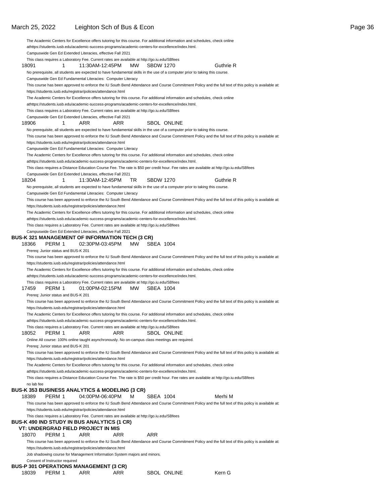### March 25, 2022 Leighton Sch of Bus & Econ Page 36

|            |                                     |                                                                           |           | The Academic Centers for Excellence offers tutoring for this course. For additional information and schedules, check online                                                                                                      |                                                                                                                                                      |  |
|------------|-------------------------------------|---------------------------------------------------------------------------|-----------|----------------------------------------------------------------------------------------------------------------------------------------------------------------------------------------------------------------------------------|------------------------------------------------------------------------------------------------------------------------------------------------------|--|
|            |                                     |                                                                           |           | athttps://students.iusb.edu/academic-success-programs/academic-centers-for-excellence/index.html.                                                                                                                                |                                                                                                                                                      |  |
|            |                                     | Campuswide Gen Ed Extended Literacies, effective Fall 2021                |           |                                                                                                                                                                                                                                  |                                                                                                                                                      |  |
|            |                                     |                                                                           |           | This class requires a Laboratory Fee. Current rates are available at http://go.iu.edu/SBfees                                                                                                                                     |                                                                                                                                                      |  |
| 18091      | 1                                   | 11:30AM-12:45PM                                                           | MW        | <b>SBDW 1270</b>                                                                                                                                                                                                                 | Guthrie R                                                                                                                                            |  |
|            |                                     |                                                                           |           | No prerequisite, all students are expected to have fundamental skills in the use of a computer prior to taking this course.                                                                                                      |                                                                                                                                                      |  |
|            |                                     | Campuswide Gen Ed Fundamental Literacies: Computer Literacy               |           |                                                                                                                                                                                                                                  |                                                                                                                                                      |  |
|            |                                     |                                                                           |           |                                                                                                                                                                                                                                  | This course has been approved to enforce the IU South Bend Attendance and Course Commitment Policy and the full text of this policy is available at: |  |
|            |                                     | https://students.iusb.edu/registrar/policies/attendance.html              |           |                                                                                                                                                                                                                                  |                                                                                                                                                      |  |
|            |                                     |                                                                           |           | The Academic Centers for Excellence offers tutoring for this course. For additional information and schedules, check online<br>athttps://students.iusb.edu/academic-success-programs/academic-centers-for-excellence/index.html. |                                                                                                                                                      |  |
|            |                                     |                                                                           |           | This class requires a Laboratory Fee. Current rates are available at http://go.iu.edu/SBfees                                                                                                                                     |                                                                                                                                                      |  |
|            |                                     | Campuswide Gen Ed Extended Literacies, effective Fall 2021                |           |                                                                                                                                                                                                                                  |                                                                                                                                                      |  |
| 18906      | 1                                   | ARR                                                                       | ARR       | <b>SBOL ONLINE</b>                                                                                                                                                                                                               |                                                                                                                                                      |  |
|            |                                     |                                                                           |           | No prerequisite, all students are expected to have fundamental skills in the use of a computer prior to taking this course.                                                                                                      |                                                                                                                                                      |  |
|            |                                     |                                                                           |           |                                                                                                                                                                                                                                  | This course has been approved to enforce the IU South Bend Attendance and Course Commitment Policy and the full text of this policy is available at: |  |
|            |                                     | https://students.iusb.edu/registrar/policies/attendance.html              |           |                                                                                                                                                                                                                                  |                                                                                                                                                      |  |
|            |                                     | Campuswide Gen Ed Fundamental Literacies: Computer Literacy               |           |                                                                                                                                                                                                                                  |                                                                                                                                                      |  |
|            |                                     |                                                                           |           | The Academic Centers for Excellence offers tutoring for this course. For additional information and schedules, check online                                                                                                      |                                                                                                                                                      |  |
|            |                                     |                                                                           |           | athttps://students.iusb.edu/academic-success-programs/academic-centers-for-excellence/index.html.                                                                                                                                |                                                                                                                                                      |  |
|            |                                     | Campuswide Gen Ed Extended Literacies, effective Fall 2021                |           |                                                                                                                                                                                                                                  | This class requires a Distance Education Course Fee. The rate is \$50 per credit hour. Fee rates are available at http://go.iu.edu/SBfees            |  |
| 18204      | 1                                   | 11:30AM-12:45PM                                                           | TR        | <b>SBDW 1270</b>                                                                                                                                                                                                                 | Guthrie R                                                                                                                                            |  |
|            |                                     |                                                                           |           | No prerequisite, all students are expected to have fundamental skills in the use of a computer prior to taking this course.                                                                                                      |                                                                                                                                                      |  |
|            |                                     | Campuswide Gen Ed Fundamental Literacies: Computer Literacy               |           |                                                                                                                                                                                                                                  |                                                                                                                                                      |  |
|            |                                     |                                                                           |           |                                                                                                                                                                                                                                  | This course has been approved to enforce the IU South Bend Attendance and Course Commitment Policy and the full text of this policy is available at: |  |
|            |                                     | https://students.iusb.edu/registrar/policies/attendance.html              |           |                                                                                                                                                                                                                                  |                                                                                                                                                      |  |
|            |                                     |                                                                           |           | The Academic Centers for Excellence offers tutoring for this course. For additional information and schedules, check online                                                                                                      |                                                                                                                                                      |  |
|            |                                     |                                                                           |           | athttps://students.iusb.edu/academic-success-programs/academic-centers-for-excellence/index.html.                                                                                                                                |                                                                                                                                                      |  |
|            |                                     |                                                                           |           | This class requires a Laboratory Fee. Current rates are available at http://go.iu.edu/SBfees                                                                                                                                     |                                                                                                                                                      |  |
|            |                                     | Campuswide Gen Ed Extended Literacies, effective Fall 2021                |           |                                                                                                                                                                                                                                  |                                                                                                                                                      |  |
| 18366      | PERM 1                              | BUS-K 321 MANAGEMENT OF INFORMATION TECH (3 CR)<br>02:30PM-03:45PM        | MW.       | SBEA 1004                                                                                                                                                                                                                        |                                                                                                                                                      |  |
|            | Prereq: Junior status and BUS-K 201 |                                                                           |           |                                                                                                                                                                                                                                  |                                                                                                                                                      |  |
|            |                                     |                                                                           |           |                                                                                                                                                                                                                                  | This course has been approved to enforce the IU South Bend Attendance and Course Commitment Policy and the full text of this policy is available at: |  |
|            |                                     | https://students.iusb.edu/registrar/policies/attendance.html              |           |                                                                                                                                                                                                                                  |                                                                                                                                                      |  |
|            |                                     |                                                                           |           | The Academic Centers for Excellence offers tutoring for this course. For additional information and schedules, check online                                                                                                      |                                                                                                                                                      |  |
|            |                                     |                                                                           |           | athttps://students.iusb.edu/academic-success-programs/academic-centers-for-excellence/index.html.                                                                                                                                |                                                                                                                                                      |  |
|            |                                     |                                                                           |           | This class requires a Laboratory Fee. Current rates are available at http://go.iu.edu/SBfees                                                                                                                                     |                                                                                                                                                      |  |
| 17459      | PERM 1                              | 01:00PM-02:15PM                                                           | <b>MW</b> | SBEA 1004                                                                                                                                                                                                                        |                                                                                                                                                      |  |
|            | Prereq: Junior status and BUS-K 201 |                                                                           |           |                                                                                                                                                                                                                                  |                                                                                                                                                      |  |
|            |                                     |                                                                           |           |                                                                                                                                                                                                                                  | This course has been approved to enforce the IU South Bend Attendance and Course Commitment Policy and the full text of this policy is available at: |  |
|            |                                     | https://students.iusb.edu/registrar/policies/attendance.html              |           |                                                                                                                                                                                                                                  |                                                                                                                                                      |  |
|            |                                     |                                                                           |           | The Academic Centers for Excellence offers tutoring for this course. For additional information and schedules, check online<br>athttps://students.iusb.edu/academic-success-programs/academic-centers-for-excellence/index.html. |                                                                                                                                                      |  |
|            |                                     |                                                                           |           | This class requires a Laboratory Fee. Current rates are available at http://go.iu.edu/SBfees                                                                                                                                     |                                                                                                                                                      |  |
| 18052      | PERM 1                              | ARR                                                                       | ARR       | <b>SBOL ONLINE</b>                                                                                                                                                                                                               |                                                                                                                                                      |  |
|            |                                     |                                                                           |           | Online All course: 100% online taught asynchronously. No on-campus class meetings are required.                                                                                                                                  |                                                                                                                                                      |  |
|            | Prereq: Junior status and BUS-K 201 |                                                                           |           |                                                                                                                                                                                                                                  |                                                                                                                                                      |  |
|            |                                     |                                                                           |           |                                                                                                                                                                                                                                  | This course has been approved to enforce the IU South Bend Attendance and Course Commitment Policy and the full text of this policy is available at: |  |
|            |                                     | https://students.iusb.edu/registrar/policies/attendance.html              |           |                                                                                                                                                                                                                                  |                                                                                                                                                      |  |
|            |                                     |                                                                           |           | The Academic Centers for Excellence offers tutoring for this course. For additional information and schedules, check online                                                                                                      |                                                                                                                                                      |  |
|            |                                     |                                                                           |           | athttps://students.iusb.edu/academic-success-programs/academic-centers-for-excellence/index.html.                                                                                                                                |                                                                                                                                                      |  |
|            |                                     |                                                                           |           |                                                                                                                                                                                                                                  | This class requires a Distance Education Course Fee. The rate is \$50 per credit hour. Fee rates are available at http://go.iu.edu/SBfees            |  |
| no lab fee |                                     | <b>BUS-K 353 BUSINESS ANALYTICS &amp; MODELING (3 CR)</b>                 |           |                                                                                                                                                                                                                                  |                                                                                                                                                      |  |
| 18389      | PERM 1                              | 04:00PM-06:40PM                                                           | м         | SBEA 1004                                                                                                                                                                                                                        | Merhi M                                                                                                                                              |  |
|            |                                     |                                                                           |           |                                                                                                                                                                                                                                  | This course has been approved to enforce the IU South Bend Attendance and Course Commitment Policy and the full text of this policy is available at: |  |
|            |                                     | https://students.iusb.edu/registrar/policies/attendance.html              |           |                                                                                                                                                                                                                                  |                                                                                                                                                      |  |
|            |                                     |                                                                           |           | This class requires a Laboratory Fee. Current rates are available at http://go.iu.edu/SBfees                                                                                                                                     |                                                                                                                                                      |  |
|            |                                     | BUS-K 490 IND STUDY IN BUS ANALYTICS (1 CR)                               |           |                                                                                                                                                                                                                                  |                                                                                                                                                      |  |
|            |                                     | <b>VT: UNDERGRAD FIELD PROJECT IN MIS</b>                                 |           |                                                                                                                                                                                                                                  |                                                                                                                                                      |  |
| 18070      | PERM 1                              | ARR                                                                       | ARR       | ARR                                                                                                                                                                                                                              |                                                                                                                                                      |  |
|            |                                     |                                                                           |           |                                                                                                                                                                                                                                  | This course has been approved to enforce the IU South Bend Attendance and Course Commitment Policy and the full text of this policy is available at: |  |
|            |                                     | https://students.iusb.edu/registrar/policies/attendance.html              |           |                                                                                                                                                                                                                                  |                                                                                                                                                      |  |
|            |                                     | Job shadowing course for Management Information System majors and minors. |           |                                                                                                                                                                                                                                  |                                                                                                                                                      |  |
|            | Consent of Instructor required      |                                                                           |           |                                                                                                                                                                                                                                  |                                                                                                                                                      |  |
| 18039      | PERM 1                              | BUS-P 301 OPERATIONS MANAGEMENT (3 CR)<br>ARR                             | ARR       | SBOL ONLINE                                                                                                                                                                                                                      | Kern G                                                                                                                                               |  |
|            |                                     |                                                                           |           |                                                                                                                                                                                                                                  |                                                                                                                                                      |  |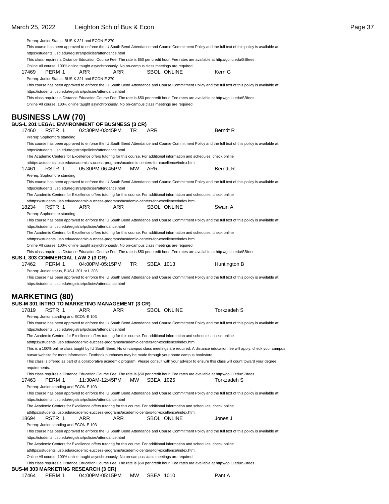| This course has been approved to enforce the IU South Bend Attendance and Course Commitment Policy and the full text of this policy is available at:                                                                 |                 |
|----------------------------------------------------------------------------------------------------------------------------------------------------------------------------------------------------------------------|-----------------|
| https://students.iusb.edu/registrar/policies/attendance.html                                                                                                                                                         |                 |
| This class requires a Distance Education Course Fee. The rate is \$50 per credit hour. Fee rates are available at http://go.iu.edu/SBfees                                                                            |                 |
| Online All course: 100% online taught asynchronously. No on-campus class meetings are required.                                                                                                                      |                 |
| 17469<br>PERM 1<br>ARR<br>ARR<br>SBOL ONLINE                                                                                                                                                                         | Kern G          |
| Prereq: Junior Status, BUS-K 321 and ECON-E 270.                                                                                                                                                                     |                 |
| This course has been approved to enforce the IU South Bend Attendance and Course Commitment Policy and the full text of this policy is available at:                                                                 |                 |
| https://students.iusb.edu/registrar/policies/attendance.html                                                                                                                                                         |                 |
| This class requires a Distance Education Course Fee. The rate is \$50 per credit hour. Fee rates are available at http://go.iu.edu/SBfees                                                                            |                 |
| Online All course: 100% online taught asynchronously. No on-campus class meetings are required.                                                                                                                      |                 |
| <b>BUSINESS LAW (70)</b>                                                                                                                                                                                             |                 |
| <b>BUS-L 201 LEGAL ENVIRONMENT OF BUSINESS (3 CR)</b>                                                                                                                                                                |                 |
| 02:30PM-03:45PM<br>ARR<br>17460<br>RSTR 1<br>TR                                                                                                                                                                      | <b>Berndt R</b> |
| Prereq: Sophomore standing                                                                                                                                                                                           |                 |
| This course has been approved to enforce the IU South Bend Attendance and Course Commitment Policy and the full text of this policy is available at:                                                                 |                 |
| https://students.iusb.edu/registrar/policies/attendance.html                                                                                                                                                         |                 |
| The Academic Centers for Excellence offers tutoring for this course. For additional information and schedules, check online                                                                                          |                 |
| athttps://students.iusb.edu/academic-success-programs/academic-centers-for-excellence/index.html.                                                                                                                    |                 |
| RSTR 1<br>05:30PM-06:45PM<br>ARR<br>17461<br>MW.                                                                                                                                                                     | <b>Berndt R</b> |
| Prereq: Sophomore standing                                                                                                                                                                                           |                 |
| This course has been approved to enforce the IU South Bend Attendance and Course Commitment Policy and the full text of this policy is available at:                                                                 |                 |
| https://students.iusb.edu/registrar/policies/attendance.html                                                                                                                                                         |                 |
| The Academic Centers for Excellence offers tutoring for this course. For additional information and schedules, check online                                                                                          |                 |
| athttps://students.iusb.edu/academic-success-programs/academic-centers-for-excellence/index.html.                                                                                                                    |                 |
| 18234<br>RSTR 1<br>ARR<br>ARR<br><b>SBOL ONLINE</b>                                                                                                                                                                  | Swain A         |
| Prereq: Sophomore standing                                                                                                                                                                                           |                 |
| This course has been approved to enforce the IU South Bend Attendance and Course Commitment Policy and the full text of this policy is available at:                                                                 |                 |
| https://students.iusb.edu/registrar/policies/attendance.html                                                                                                                                                         |                 |
| The Academic Centers for Excellence offers tutoring for this course. For additional information and schedules, check online                                                                                          |                 |
| athttps://students.iusb.edu/academic-success-programs/academic-centers-for-excellence/index.html.                                                                                                                    |                 |
| Online All course: 100% online taught asynchronously. No on-campus class meetings are required.                                                                                                                      |                 |
| This class requires a Distance Education Course Fee. The rate is \$50 per credit hour. Fee rates are available at http://go.iu.edu/SBfees<br><b>BUS-L 303 COMMERCIAL LAW 2 (3 CR)</b>                                |                 |
|                                                                                                                                                                                                                      |                 |
|                                                                                                                                                                                                                      |                 |
| PERM 1<br>04:00PM-05:15PM<br>TR.<br>SBEA 1013<br>17462                                                                                                                                                               | Huntington B    |
| Prereq: Junior status, BUS-L 201 or L 203                                                                                                                                                                            |                 |
| This course has been approved to enforce the IU South Bend Attendance and Course Commitment Policy and the full text of this policy is available at:                                                                 |                 |
| https://students.iusb.edu/registrar/policies/attendance.html                                                                                                                                                         |                 |
|                                                                                                                                                                                                                      |                 |
| <b>MARKETING (80)</b>                                                                                                                                                                                                |                 |
| <b>BUS-M 301 INTRO TO MARKETING MANAGEMENT (3 CR)</b>                                                                                                                                                                |                 |
| 17819<br>RSTR 1<br>ARR<br>ARR<br><b>SBOL ONLINE</b><br>Prereg: Junior standing and ECON-E 103                                                                                                                        | Torkzadeh S     |
|                                                                                                                                                                                                                      |                 |
| This course has been approved to enforce the IU South Bend Attendance and Course Commitment Policy and the full text of this policy is available at:<br>https://students.iusb.edu/registrar/policies/attendance.html |                 |
| The Academic Centers for Excellence offers tutoring for this course. For additional information and schedules, check online                                                                                          |                 |
| athttps://students.iusb.edu/academic-success-programs/academic-centers-for-excellence/index.html.                                                                                                                    |                 |
| This is a 100% online class taught by IU South Bend. No on-campus class meetings are required. A distance education fee will apply; check your campus                                                                |                 |
| bursar website for more information. Textbook purchases may be made through your home campus bookstore.                                                                                                              |                 |
| This class is offered as part of a collaborative academic program. Please consult with your advisor to ensure this class will count toward your degree                                                               |                 |
| requirements.                                                                                                                                                                                                        |                 |
| This class requires a Distance Education Course Fee. The rate is \$50 per credit hour. Fee rates are available at http://go.iu.edu/SBfees                                                                            |                 |
| 17463<br>МW<br>SBEA 1025<br>PERM 1<br>11:30AM-12:45PM                                                                                                                                                                | Torkzadeh S     |
| Prereq: Junior standing and ECON-E 103                                                                                                                                                                               |                 |
| This course has been approved to enforce the IU South Bend Attendance and Course Commitment Policy and the full text of this policy is available at:                                                                 |                 |
| https://students.iusb.edu/registrar/policies/attendance.html                                                                                                                                                         |                 |
| The Academic Centers for Excellence offers tutoring for this course. For additional information and schedules, check online                                                                                          |                 |
| athttps://students.iusb.edu/academic-success-programs/academic-centers-for-excellence/index.html.                                                                                                                    |                 |
| 18694<br>RSTR 1<br>ARR<br>ARR<br>SBOL ONLINE                                                                                                                                                                         | Jones J         |
| Prereq: Junior standing and ECON-E 103                                                                                                                                                                               |                 |
| This course has been approved to enforce the IU South Bend Attendance and Course Commitment Policy and the full text of this policy is available at:                                                                 |                 |
| https://students.iusb.edu/registrar/policies/attendance.html                                                                                                                                                         |                 |
| The Academic Centers for Excellence offers tutoring for this course. For additional information and schedules, check online                                                                                          |                 |
| athttps://students.iusb.edu/academic-success-programs/academic-centers-for-excellence/index.html.<br>Online All course: 100% online taught asynchronously. No on-campus class meetings are required.                 |                 |

This class requires a Distance Education Course Fee. The rate is \$50 per credit hour. Fee rates are available at http://go.iu.edu/SBfees

#### **BUS-M 303 MARKETING RESEARCH (3 CR)**

| 04:00PM-05:15PM MW SBEA 1010<br>17464 PERM 1<br>Pant A |
|--------------------------------------------------------|
|--------------------------------------------------------|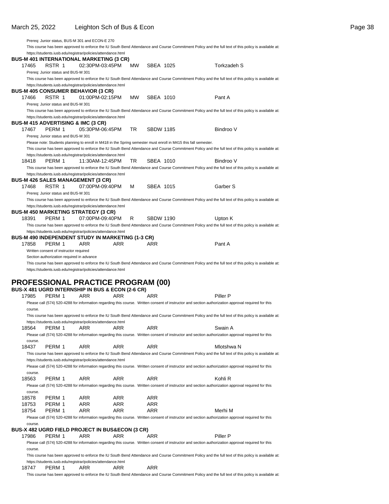|         |                                           | Prereq: Junior status, BUS-M 301 and ECON-E 270                                                                 |     |           |                  |                                                                                                                                                      |  |
|---------|-------------------------------------------|-----------------------------------------------------------------------------------------------------------------|-----|-----------|------------------|------------------------------------------------------------------------------------------------------------------------------------------------------|--|
|         |                                           |                                                                                                                 |     |           |                  | This course has been approved to enforce the IU South Bend Attendance and Course Commitment Policy and the full text of this policy is available at: |  |
|         |                                           | https://students.iusb.edu/registrar/policies/attendance.html                                                    |     |           |                  |                                                                                                                                                      |  |
|         |                                           | <b>BUS-M 401 INTERNATIONAL MARKETING (3 CR)</b>                                                                 |     |           |                  |                                                                                                                                                      |  |
| 17465   | RSTR 1                                    | 02:30PM-03:45PM                                                                                                 |     | MW        | SBEA 1025        | Torkzadeh S                                                                                                                                          |  |
|         | Prereg: Junior status and BUS-M 301       |                                                                                                                 |     |           |                  |                                                                                                                                                      |  |
|         |                                           |                                                                                                                 |     |           |                  | This course has been approved to enforce the IU South Bend Attendance and Course Commitment Policy and the full text of this policy is available at: |  |
|         |                                           | https://students.iusb.edu/registrar/policies/attendance.html                                                    |     |           |                  |                                                                                                                                                      |  |
|         |                                           | <b>BUS-M 405 CONSUMER BEHAVIOR (3 CR)</b>                                                                       |     |           |                  |                                                                                                                                                      |  |
| 17466   | RSTR 1                                    | 01:00PM-02:15PM                                                                                                 |     | <b>MW</b> | SBEA 1010        | Pant A                                                                                                                                               |  |
|         |                                           |                                                                                                                 |     |           |                  |                                                                                                                                                      |  |
|         | Prereg: Junior status and BUS-M 301       |                                                                                                                 |     |           |                  |                                                                                                                                                      |  |
|         |                                           |                                                                                                                 |     |           |                  | This course has been approved to enforce the IU South Bend Attendance and Course Commitment Policy and the full text of this policy is available at: |  |
|         |                                           | https://students.iusb.edu/registrar/policies/attendance.html                                                    |     |           |                  |                                                                                                                                                      |  |
|         |                                           | <b>BUS-M 415 ADVERTISING &amp; IMC (3 CR)</b>                                                                   |     |           |                  |                                                                                                                                                      |  |
| 17467   | PERM 1                                    | 05:30PM-06:45PM                                                                                                 |     | TR        | <b>SBDW 1185</b> | Bindroo V                                                                                                                                            |  |
|         | Prereq: Junior status and BUS-M 301       |                                                                                                                 |     |           |                  |                                                                                                                                                      |  |
|         |                                           | Please note: Students planning to enroll in M418 in the Spring semester must enroll in M415 this fall semester. |     |           |                  |                                                                                                                                                      |  |
|         |                                           |                                                                                                                 |     |           |                  | This course has been approved to enforce the IU South Bend Attendance and Course Commitment Policy and the full text of this policy is available at: |  |
|         |                                           | https://students.iusb.edu/registrar/policies/attendance.html                                                    |     |           |                  |                                                                                                                                                      |  |
| 18418   | PERM 1                                    | 11:30AM-12:45PM                                                                                                 |     | TR        | SBEA 1010        | Bindroo V                                                                                                                                            |  |
|         |                                           |                                                                                                                 |     |           |                  | This course has been approved to enforce the IU South Bend Attendance and Course Commitment Policy and the full text of this policy is available at: |  |
|         |                                           | https://students.iusb.edu/registrar/policies/attendance.html                                                    |     |           |                  |                                                                                                                                                      |  |
|         |                                           | <b>BUS-M 426 SALES MANAGEMENT (3 CR)</b>                                                                        |     |           |                  |                                                                                                                                                      |  |
| 17468   | RSTR 1                                    | 07:00PM-09:40PM                                                                                                 |     | м         | SBEA 1015        | Garber S                                                                                                                                             |  |
|         | Prereq: Junior status and BUS-M 301       |                                                                                                                 |     |           |                  |                                                                                                                                                      |  |
|         |                                           |                                                                                                                 |     |           |                  | This course has been approved to enforce the IU South Bend Attendance and Course Commitment Policy and the full text of this policy is available at: |  |
|         |                                           | https://students.iusb.edu/registrar/policies/attendance.html                                                    |     |           |                  |                                                                                                                                                      |  |
|         |                                           |                                                                                                                 |     |           |                  |                                                                                                                                                      |  |
|         |                                           | <b>BUS-M 450 MARKETING STRATEGY (3 CR)</b>                                                                      |     |           |                  |                                                                                                                                                      |  |
| 18391   | PERM 1                                    | 07:00PM-09:40PM                                                                                                 |     | R         | <b>SBDW 1190</b> | Upton K                                                                                                                                              |  |
|         |                                           |                                                                                                                 |     |           |                  | This course has been approved to enforce the IU South Bend Attendance and Course Commitment Policy and the full text of this policy is available at: |  |
|         |                                           | https://students.iusb.edu/registrar/policies/attendance.html                                                    |     |           |                  |                                                                                                                                                      |  |
|         |                                           | <b>BUS-M 490 INDEPENDENT STUDY IN MARKETING (1-3 CR)</b>                                                        |     |           |                  |                                                                                                                                                      |  |
| 17858   | PERM 1                                    | ARR                                                                                                             | ARR |           | ARR              | Pant A                                                                                                                                               |  |
|         | Written consent of instructor required    |                                                                                                                 |     |           |                  |                                                                                                                                                      |  |
|         |                                           |                                                                                                                 |     |           |                  |                                                                                                                                                      |  |
|         | Section authorization required in advance |                                                                                                                 |     |           |                  |                                                                                                                                                      |  |
|         |                                           |                                                                                                                 |     |           |                  | This course has been approved to enforce the IU South Bend Attendance and Course Commitment Policy and the full text of this policy is available at: |  |
|         |                                           | https://students.iusb.edu/registrar/policies/attendance.html                                                    |     |           |                  |                                                                                                                                                      |  |
|         |                                           |                                                                                                                 |     |           |                  |                                                                                                                                                      |  |
|         |                                           |                                                                                                                 |     |           |                  |                                                                                                                                                      |  |
|         |                                           | <b>PROFESSIONAL PRACTICE PROGRAM (00)</b>                                                                       |     |           |                  |                                                                                                                                                      |  |
| 17985   | PERM 1                                    | BUS-X 481 UGRD INTERNSHIP IN BUS & ECON (2-6 CR)<br>ARR                                                         | ARR |           | <b>ARR</b>       | Piller P                                                                                                                                             |  |
|         |                                           |                                                                                                                 |     |           |                  |                                                                                                                                                      |  |
|         |                                           |                                                                                                                 |     |           |                  | Please call (574) 520-4288 for information regarding this course. Written consent of instructor and section authorization approval required for this |  |
| course. |                                           |                                                                                                                 |     |           |                  |                                                                                                                                                      |  |
|         |                                           |                                                                                                                 |     |           |                  | This course has been approved to enforce the IU South Bend Attendance and Course Commitment Policy and the full text of this policy is available at: |  |
|         |                                           | https://students.iusb.edu/registrar/policies/attendance.html                                                    |     |           |                  |                                                                                                                                                      |  |
| 18564   | PERM 1                                    | ARR                                                                                                             | ARR |           | ARR              | Swain A                                                                                                                                              |  |
|         |                                           |                                                                                                                 |     |           |                  | Please call (574) 520-4288 for information regarding this course. Written consent of instructor and section authorization approval required for this |  |
| course. |                                           |                                                                                                                 |     |           |                  |                                                                                                                                                      |  |
| 18437   | PERM 1                                    | ARR                                                                                                             | ARR |           | ARR              | Mlotshwa N                                                                                                                                           |  |
|         |                                           |                                                                                                                 |     |           |                  | This course has been approved to enforce the IU South Bend Attendance and Course Commitment Policy and the full text of this policy is available at: |  |
|         |                                           | https://students.iusb.edu/registrar/policies/attendance.html                                                    |     |           |                  |                                                                                                                                                      |  |
|         |                                           |                                                                                                                 |     |           |                  | Please call (574) 520-4288 for information regarding this course. Written consent of instructor and section authorization approval required for this |  |
| course. |                                           |                                                                                                                 |     |           |                  |                                                                                                                                                      |  |
| 18563   | PERM 1                                    | ARR                                                                                                             | ARR |           | ARR              | Kohli R                                                                                                                                              |  |
|         |                                           |                                                                                                                 |     |           |                  | Please call (574) 520-4288 for information regarding this course. Written consent of instructor and section authorization approval required for this |  |
|         |                                           |                                                                                                                 |     |           |                  |                                                                                                                                                      |  |
| course. |                                           |                                                                                                                 |     |           |                  |                                                                                                                                                      |  |
| 18578   | PERM 1                                    | ARR                                                                                                             | ARR |           | ARR              |                                                                                                                                                      |  |
| 18753   | PERM 1                                    | ARR                                                                                                             | ARR |           | ARR              |                                                                                                                                                      |  |
| 18754   | PERM 1                                    | ARR                                                                                                             | ARR |           | ARR              | Merhi M                                                                                                                                              |  |
|         |                                           |                                                                                                                 |     |           |                  | Please call (574) 520-4288 for information regarding this course. Written consent of instructor and section authorization approval required for this |  |
| course. |                                           |                                                                                                                 |     |           |                  |                                                                                                                                                      |  |
|         |                                           | <b>BUS-X 482 UGRD FIELD PROJECT IN BUS&amp;ECON (3 CR)</b>                                                      |     |           |                  |                                                                                                                                                      |  |
| 17986   | PERM 1                                    | ARR                                                                                                             | ARR |           | ARR              | Piller P                                                                                                                                             |  |
|         |                                           |                                                                                                                 |     |           |                  | Please call (574) 520-4288 for information regarding this course. Written consent of instructor and section authorization approval required for this |  |
| course. |                                           |                                                                                                                 |     |           |                  |                                                                                                                                                      |  |
|         |                                           |                                                                                                                 |     |           |                  | This course has been approved to enforce the IU South Bend Attendance and Course Commitment Policy and the full text of this policy is available at: |  |
|         |                                           | https://students.iusb.edu/registrar/policies/attendance.html                                                    |     |           |                  |                                                                                                                                                      |  |

This course has been approved to enforce the IU South Bend Attendance and Course Commitment Policy and the full text of this policy is available at: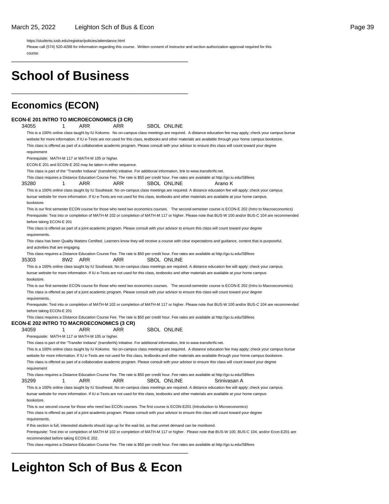\_\_\_\_\_\_\_\_\_\_\_\_\_\_\_\_\_\_\_\_\_\_\_\_\_\_\_\_\_\_\_\_\_\_\_\_\_\_\_\_\_\_\_\_\_\_\_\_\_\_

\_\_\_\_\_\_\_\_\_\_\_\_\_\_\_\_\_\_\_\_\_\_\_\_\_\_\_\_\_\_\_\_\_\_\_\_\_\_\_\_\_\_\_\_\_\_\_\_\_\_

https://students.iusb.edu/registrar/policies/attendance.html

Please call (574) 520-4288 for information regarding this course. Written consent of instructor and section authorization approval required for this course.

**School of Business**

### **Economics (ECON)**

#### **ECON-E 201 INTRO TO MICROECONOMICS (3 CR)**

34055 1 ARR ARR SBOL ONLINE This is a 100% online class taught by IU Kokomo. No on-campus class meetings are required. A distance education fee may apply; check your campus bursar website for more information. If IU e-Texts are not used for this class, textbooks and other materials are available through your home campus bookstore. This class is offered as part of a collaborative academic program. Please consult with your advisor to ensure this class will count toward your degree requirement Prerequisite: MATH-M 117 or MATH-M 105 or higher. ECON-E 201 and ECON-E 202 may be taken in either sequence. This class is part of the "Transfer Indiana" (transferIN) initiative. For additional information, link to www.transferIN.net. This class requires a Distance Education Course Fee. The rate is \$50 per credit hour. Fee rates are available at http://go.iu.edu/SBfees 35280 1 ARR ARR SBOL ONLINE Arano K This is a 100% online class taught by IU Southeast. No on-campus class meetings are required. A distance education fee will apply; check your campus bursar website for more information. If IU e-Texts are not used for this class, textbooks and other materials are available at your home campus bookstore. This is our first semester ECON course for those who need two economics courses. The second-semester course is ECON-E 202 (Intro to Macroeconomics) Prerequisite: Test into or completion of MATH-M 102 or completion of MATH-M 117 or higher. Please note that BUS-W 100 and/or BUS-C 104 are recommended before taking ECON-E 201 This class is offered as part of a joint academic program. Please consult with your advisor to ensure this class will count toward your degree requirements This class has been Quality Matters Certified. Learners know they will receive a course with clear expectations and guidance, content that is purposeful, and activities that are engaging. This class requires a Distance Education Course Fee. The rate is \$50 per credit hour. Fee rates are available at http://go.iu.edu/SBfees 35303 8W2 ARR ARR SBOL ONLINE This is a 100% online class taught by IU Southeast. No on-campus class meetings are required. A distance education fee will apply; check your campus bursar website for more information. If IU e-Texts are not used for this class, textbooks and other materials are available at your home campus bookstore. This is our first semester ECON course for those who need two economics courses. The second-semester course is ECON-E 202 (Intro to Macroeconomics) This class is offered as part of a joint academic program. Please consult with your advisor to ensure this class will count toward your degree requirements. Prerequisite: Test into or completion of MATH-M 102 or completion of MATH-M 117 or higher. Please note that BUS-W 100 and/or BUS-C 104 are recommended before taking ECON-E 201 This class requires a Distance Education Course Fee. The rate is \$50 per credit hour. Fee rates are available at http://go.iu.edu/SBfees **ECON-E 202 INTRO TO MACROECONOMICS (3 CR)** 34059 1 ARR ARR SBOL ONLINE Prerequisite: MATH-M 117 or MATH-M 105 or higher. This class is part of the "Transfer Indiana" (transferIN) initiative. For additional information, link to www.transferIN.net. This is a 100% online class taught by IU Kokomo. No on-campus class meetings are required. A distance education fee may apply; check your campus bursar website for more information. If IU e-Texts are not used for this class, textbooks and other materials are available through your home campus bookstore. This class is offered as part of a collaborative academic program. Please consult with your advisor to ensure this class will count toward your degree requirement This class requires a Distance Education Course Fee. The rate is \$50 per credit hour. Fee rates are available at http://go.iu.edu/SBfees 35299 1 ARR ARR SBOL ONLINE Srinivasan A This is a 100% online class taught by IU Southeast. No on-campus class meetings are required. A distance education fee will apply; check your campus bursar website for more information. If IU e-Texts are not used for this class, textbooks and other materials are available at your home campus bookstore. This is our second course for those who need two ECON courses. The first course is ECON-E201 (Introduction to Microeconomics) This class is offered as part of a joint academic program. Please consult with your advisor to ensure this class will count toward your degree requirements. If this section is full, interested students should sign up for the wait list, so that unmet demand can be monitored. Prerequisite: Test into or completion of MATH-M 102 or completion of MATH-M 117 or higher. Please note that BUS-W 100, BUS-C 104, and/or Econ-E201 are recommended before taking ECON-E 202. This class requires a Distance Education Course Fee. The rate is \$50 per credit hour. Fee rates are available at http://go.iu.edu/SBfees \_\_\_\_\_\_\_\_\_\_\_\_\_\_\_\_\_\_\_\_\_\_\_\_\_\_\_\_\_\_\_\_\_\_\_\_\_\_\_\_\_\_\_\_\_\_\_\_\_\_

# **Leighton Sch of Bus & Econ**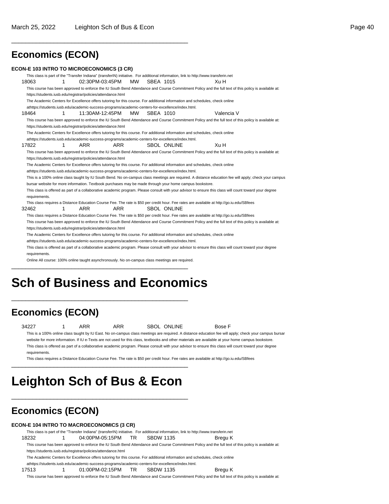\_\_\_\_\_\_\_\_\_\_\_\_\_\_\_\_\_\_\_\_\_\_\_\_\_\_\_\_\_\_\_\_\_\_\_\_\_\_\_\_\_\_\_\_\_\_\_\_\_\_

### **Economics (ECON)**

#### **ECON-E 103 INTRO TO MICROECONOMICS (3 CR)**

This class is part of the "Transfer Indiana" (transferIN) initiative. For additional information, link to http://www.transferin.net 18063 1 02:30PM-03:45PM MW SBEA 1015 Xu H This course has been approved to enforce the IU South Bend Attendance and Course Commitment Policy and the full text of this policy is available at: https://students.iusb.edu/registrar/policies/attendance.html The Academic Centers for Excellence offers tutoring for this course. For additional information and schedules, check online at https://students.iusb.edu/academic-success-programs/academic-centers-for-excellence/index.html. 18464 1 11:30AM-12:45PM MW SBEA 1010 Valencia V This course has been approved to enforce the IU South Bend Attendance and Course Commitment Policy and the full text of this policy is available at: https://students.iusb.edu/registrar/policies/attendance.html The Academic Centers for Excellence offers tutoring for this course. For additional information and schedules, check online at https://students.iusb.edu/academic-success-programs/academic-centers-for-excellence/index.html. 17822 1 ARR ARR SBOL ONLINE Xu H This course has been approved to enforce the IU South Bend Attendance and Course Commitment Policy and the full text of this policy is available at: https://students.iusb.edu/registrar/policies/attendance.html The Academic Centers for Excellence offers tutoring for this course. For additional information and schedules, check online at https://students.iusb.edu/academic-success-programs/academic-centers-for-excellence/index.html. This is a 100% online class taught by IU South Bend. No on-campus class meetings are required. A distance education fee will apply; check your campus bursar website for more information. Textbook purchases may be made through your home campus bookstore. This class is offered as part of a collaborative academic program. Please consult with your advisor to ensure this class will count toward your degree requirements. This class requires a Distance Education Course Fee. The rate is \$50 per credit hour. Fee rates are available at http://go.iu.edu/SBfees 32462 1 ARR ARR SBOL ONLINE This class requires a Distance Education Course Fee. The rate is \$50 per credit hour. Fee rates are available at http://go.iu.edu/SBfees This course has been approved to enforce the IU South Bend Attendance and Course Commitment Policy and the full text of this policy is available at: https://students.iusb.edu/registrar/policies/attendance.html The Academic Centers for Excellence offers tutoring for this course. For additional information and schedules, check online athttps://students.jusb.edu/academic-success-programs/academic-centers-for-excellence/index.html. This class is offered as part of a collaborative academic program. Please consult with your advisor to ensure this class will count toward your degree requirements.

Online All course: 100% online taught asynchronously. No on-campus class meetings are required. \_\_\_\_\_\_\_\_\_\_\_\_\_\_\_\_\_\_\_\_\_\_\_\_\_\_\_\_\_\_\_\_\_\_\_\_\_\_\_\_\_\_\_\_\_\_\_\_\_\_

# **Sch of Business and Economics**

\_\_\_\_\_\_\_\_\_\_\_\_\_\_\_\_\_\_\_\_\_\_\_\_\_\_\_\_\_\_\_\_\_\_\_\_\_\_\_\_\_\_\_\_\_\_\_\_\_\_

### **Economics (ECON)**

34227 1 ARR ARR SBOL ONLINE Bose F This is a 100% online class taught by IU East. No on-campus class meetings are required. A distance education fee will apply; check your campus bursar website for more information. If IU e-Texts are not used for this class, textbooks and other materials are available at your home campus bookstore. This class is offered as part of a collaborative academic program. Please consult with your advisor to ensure this class will count toward your degree requirements.

This class requires a Distance Education Course Fee. The rate is \$50 per credit hour. Fee rates are available at http://go.iu.edu/SBfees

# **Leighton Sch of Bus & Econ**

\_\_\_\_\_\_\_\_\_\_\_\_\_\_\_\_\_\_\_\_\_\_\_\_\_\_\_\_\_\_\_\_\_\_\_\_\_\_\_\_\_\_\_\_\_\_\_\_\_\_

\_\_\_\_\_\_\_\_\_\_\_\_\_\_\_\_\_\_\_\_\_\_\_\_\_\_\_\_\_\_\_\_\_\_\_\_\_\_\_\_\_\_\_\_\_\_\_\_\_\_

### **Economics (ECON)**

#### **ECON-E 104 INTRO TO MACROECONOMICS (3 CR)**

This class is part of the "Transfer Indiana" (transferIN) initiative. For additional information, link to http://www.transferin.net

18232 1 04:00PM-05:15PM TR SBDW 1135 Bregu K

This course has been approved to enforce the IU South Bend Attendance and Course Commitment Policy and the full text of this policy is available at: https://students.iusb.edu/registrar/policies/attendance.html

The Academic Centers for Excellence offers tutoring for this course. For additional information and schedules, check online

at https://students.iusb.edu/academic-success-programs/academic-centers-for-excellence/index.html.

17513 1 01:00PM-02:15PM TR SBDW 1135 Bregu K This course has been approved to enforce the IU South Bend Attendance and Course Commitment Policy and the full text of this policy is available at: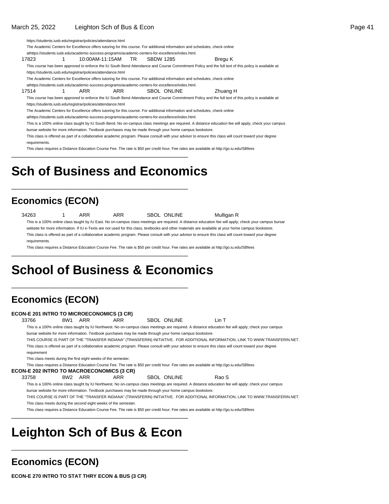https://students.iusb.edu/registrar/policies/attendance.html

The Academic Centers for Excellence offers tutoring for this course. For additional information and schedules, check online

at https://students.iusb.edu/academic-success-programs/academic-centers-for-excellence/index.html. 17823 1 10:00AM-11:15AM TR SBDW 1285 Bregu K

This course has been approved to enforce the IU South Bend Attendance and Course Commitment Policy and the full text of this policy is available at: https://students.iusb.edu/registrar/policies/attendance.html

The Academic Centers for Excellence offers tutoring for this course. For additional information and schedules, check online

at https://students.iusb.edu/academic-success-programs/academic-centers-for-excellence/index.html.

17514 1 ARR ARR SBOL ONLINE Zhuang H

This course has been approved to enforce the IU South Bend Attendance and Course Commitment Policy and the full text of this policy is available at: https://students.iusb.edu/registrar/policies/attendance.html

The Academic Centers for Excellence offers tutoring for this course. For additional information and schedules, check online

at https://students.iusb.edu/academic-success-programs/academic-centers-for-excellence/index.html.

This is a 100% online class taught by IU South Bend. No on-campus class meetings are required. A distance education fee will apply; check your campus

bursar website for more information. Textbook purchases may be made through your home campus bookstore.

This class is offered as part of a collaborative academic program. Please consult with your advisor to ensure this class will count toward your degree requirements.

This class requires a Distance Education Course Fee. The rate is \$50 per credit hour. Fee rates are available at http://go.iu.edu/SBfees

# **Sch of Business and Economics**

\_\_\_\_\_\_\_\_\_\_\_\_\_\_\_\_\_\_\_\_\_\_\_\_\_\_\_\_\_\_\_\_\_\_\_\_\_\_\_\_\_\_\_\_\_\_\_\_\_\_

\_\_\_\_\_\_\_\_\_\_\_\_\_\_\_\_\_\_\_\_\_\_\_\_\_\_\_\_\_\_\_\_\_\_\_\_\_\_\_\_\_\_\_\_\_\_\_\_\_\_

\_\_\_\_\_\_\_\_\_\_\_\_\_\_\_\_\_\_\_\_\_\_\_\_\_\_\_\_\_\_\_\_\_\_\_\_\_\_\_\_\_\_\_\_\_\_\_\_\_\_

\_\_\_\_\_\_\_\_\_\_\_\_\_\_\_\_\_\_\_\_\_\_\_\_\_\_\_\_\_\_\_\_\_\_\_\_\_\_\_\_\_\_\_\_\_\_\_\_\_\_

### **Economics (ECON)**

34263 1 ARR ARR SBOL ONLINE Mulligan R

This is a 100% online class taught by IU East. No on-campus class meetings are required. A distance education fee will apply; check your campus bursar website for more information. If IU e-Texts are not used for this class, textbooks and other materials are available at your home campus bookstore. This class is offered as part of a collaborative academic program. Please consult with your advisor to ensure this class will count toward your degree requirements

This class requires a Distance Education Course Fee. The rate is \$50 per credit hour. Fee rates are available at http://go.iu.edu/SBfees

# **School of Business & Economics**

### **Economics (ECON)**

**ECON-E 201 INTRO TO MICROECONOMICS (3 CR)** 33766 8W1 ARR ARR SBOL ONLINE Lin T This is a 100% online class taught by IU Northwest. No on-campus class meetings are required. A distance education fee will apply; check your campus bursar website for more information. Textbook purchases may be made through your home campus bookstore. THIS COURSE IS PART OF THE "TRANSFER INDIANA" (TRANSFERIN) INITIATIVE. FOR ADDITIONAL INFORMATION, LINK TO WWW.TRANSFERIN.NET. This class is offered as part of a collaborative academic program. Please consult with your advisor to ensure this class will count toward your degree requirement This class meets during the first eight weeks of the semester. This class requires a Distance Education Course Fee. The rate is \$50 per credit hour. Fee rates are available at http://go.iu.edu/SBfees **ECON-E 202 INTRO TO MACROECONOMICS (3 CR)** 33758 8W2 ARR ARR SBOL ONLINE Rao S This is a 100% online class taught by IU Northwest. No on-campus class meetings are required. A distance education fee will apply; check your campus bursar website for more information. Textbook purchases may be made through your home campus bookstore. THIS COURSE IS PART OF THE "TRANSFER INDIANA" (TRANSFERIN) INITIATIVE. FOR ADDITIONAL INFORMATION, LINK TO WWW.TRANSFERIN.NET.

This class meets during the second eight weeks of the semester.

This class requires a Distance Education Course Fee. The rate is \$50 per credit hour. Fee rates are available at http://go.iu.edu/SBfees

# **Leighton Sch of Bus & Econ**

\_\_\_\_\_\_\_\_\_\_\_\_\_\_\_\_\_\_\_\_\_\_\_\_\_\_\_\_\_\_\_\_\_\_\_\_\_\_\_\_\_\_\_\_\_\_\_\_\_\_

\_\_\_\_\_\_\_\_\_\_\_\_\_\_\_\_\_\_\_\_\_\_\_\_\_\_\_\_\_\_\_\_\_\_\_\_\_\_\_\_\_\_\_\_\_\_\_\_\_\_

### **Economics (ECON)**

**ECON-E 270 INTRO TO STAT THRY ECON & BUS (3 CR)**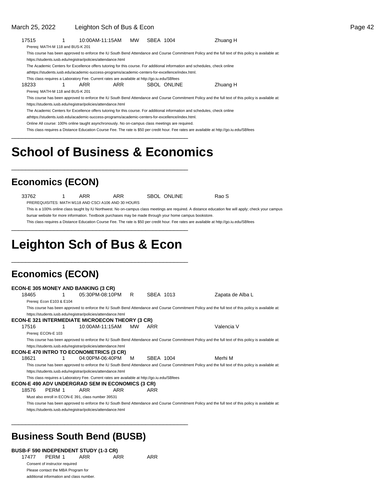| 17515                            | 1<br>10:00AM-11:15AM                                                                                                                                                                                                             | MW. | SBEA 1004 |                    | Zhuang H                                                                                                                                             |
|----------------------------------|----------------------------------------------------------------------------------------------------------------------------------------------------------------------------------------------------------------------------------|-----|-----------|--------------------|------------------------------------------------------------------------------------------------------------------------------------------------------|
| Prereq: MATH-M 118 and BUS-K 201 |                                                                                                                                                                                                                                  |     |           |                    |                                                                                                                                                      |
|                                  |                                                                                                                                                                                                                                  |     |           |                    | This course has been approved to enforce the IU South Bend Attendance and Course Commitment Policy and the full text of this policy is available at: |
|                                  | https://students.iusb.edu/registrar/policies/attendance.html                                                                                                                                                                     |     |           |                    |                                                                                                                                                      |
|                                  | The Academic Centers for Excellence offers tutoring for this course. For additional information and schedules, check online<br>athttps://students.iusb.edu/academic-success-programs/academic-centers-for-excellence/index.html. |     |           |                    |                                                                                                                                                      |
|                                  | This class requires a Laboratory Fee. Current rates are available at http://go.iu.edu/SBfees                                                                                                                                     |     |           |                    |                                                                                                                                                      |
| 18233                            | 1<br>ARR<br>ARR                                                                                                                                                                                                                  |     |           | SBOL ONLINE        | Zhuang H                                                                                                                                             |
| Prereq: MATH-M 118 and BUS-K 201 |                                                                                                                                                                                                                                  |     |           |                    |                                                                                                                                                      |
|                                  |                                                                                                                                                                                                                                  |     |           |                    | This course has been approved to enforce the IU South Bend Attendance and Course Commitment Policy and the full text of this policy is available at: |
|                                  | https://students.iusb.edu/registrar/policies/attendance.html                                                                                                                                                                     |     |           |                    |                                                                                                                                                      |
|                                  | The Academic Centers for Excellence offers tutoring for this course. For additional information and schedules, check online                                                                                                      |     |           |                    |                                                                                                                                                      |
|                                  | athttps://students.iusb.edu/academic-success-programs/academic-centers-for-excellence/index.html.<br>Online All course: 100% online taught asynchronously. No on-campus class meetings are required.                             |     |           |                    |                                                                                                                                                      |
|                                  |                                                                                                                                                                                                                                  |     |           |                    | This class requires a Distance Education Course Fee. The rate is \$50 per credit hour. Fee rates are available at http://go.iu.edu/SBfees            |
|                                  |                                                                                                                                                                                                                                  |     |           |                    |                                                                                                                                                      |
| <b>Economics (ECON)</b>          | <b>School of Business &amp; Economics</b>                                                                                                                                                                                        |     |           |                    |                                                                                                                                                      |
|                                  |                                                                                                                                                                                                                                  |     |           |                    |                                                                                                                                                      |
| 33762                            | ARR<br>ARR<br>1                                                                                                                                                                                                                  |     |           | <b>SBOL ONLINE</b> | Rao S                                                                                                                                                |
|                                  | PREREQUISITES: MATH M118 AND CSCI A106 AND 30 HOURS                                                                                                                                                                              |     |           |                    | This is a 100% online class taught by IU Northwest. No on-campus class meetings are required. A distance education fee will apply; check your campus |
|                                  | bursar website for more information. Textbook purchases may be made through your home campus bookstore.                                                                                                                          |     |           |                    |                                                                                                                                                      |
|                                  |                                                                                                                                                                                                                                  |     |           |                    | This class requires a Distance Education Course Fee. The rate is \$50 per credit hour. Fee rates are available at http://go.iu.edu/SBfees            |
|                                  |                                                                                                                                                                                                                                  |     |           |                    |                                                                                                                                                      |
|                                  |                                                                                                                                                                                                                                  |     |           |                    |                                                                                                                                                      |
|                                  | <b>Leighton Sch of Bus &amp; Econ</b>                                                                                                                                                                                            |     |           |                    |                                                                                                                                                      |
|                                  |                                                                                                                                                                                                                                  |     |           |                    |                                                                                                                                                      |
| <b>Economics (ECON)</b>          |                                                                                                                                                                                                                                  |     |           |                    |                                                                                                                                                      |
|                                  | <b>ECON-E 305 MONEY AND BANKING (3 CR)</b>                                                                                                                                                                                       |     |           |                    |                                                                                                                                                      |
| 18465                            | 05:30PM-08:10PM<br>1                                                                                                                                                                                                             | R   | SBEA 1013 |                    | Zapata de Alba L                                                                                                                                     |
| Prereq: Econ E103 & E104         |                                                                                                                                                                                                                                  |     |           |                    |                                                                                                                                                      |
|                                  |                                                                                                                                                                                                                                  |     |           |                    | This course has been approved to enforce the IU South Bend Attendance and Course Commitment Policy and the full text of this policy is available at: |
|                                  | https://students.iusb.edu/registrar/policies/attendance.html                                                                                                                                                                     |     |           |                    |                                                                                                                                                      |
|                                  | ECON-E 321 INTERMEDIATE MICROECON THEORY (3 CR)                                                                                                                                                                                  |     |           |                    |                                                                                                                                                      |
| 17516                            | 10:00AM-11:15AM<br>1                                                                                                                                                                                                             | MW  | ARR       |                    | Valencia V                                                                                                                                           |
| Prereq: ECON-E 103               |                                                                                                                                                                                                                                  |     |           |                    |                                                                                                                                                      |
|                                  |                                                                                                                                                                                                                                  |     |           |                    | This course has been approved to enforce the IU South Bend Attendance and Course Commitment Policy and the full text of this policy is available at: |
|                                  | https://students.iusb.edu/registrar/policies/attendance.html                                                                                                                                                                     |     |           |                    |                                                                                                                                                      |
| 18621                            | ECON-E 470 INTRO TO ECONOMETRICS (3 CR)<br>04:00PM-06:40PM<br>1                                                                                                                                                                  | M   | SBEA 1004 |                    | Merhi M                                                                                                                                              |
|                                  |                                                                                                                                                                                                                                  |     |           |                    | This course has been approved to enforce the IU South Bend Attendance and Course Commitment Policy and the full text of this policy is available at: |
|                                  | https://students.iusb.edu/registrar/policies/attendance.html                                                                                                                                                                     |     |           |                    |                                                                                                                                                      |
|                                  | This class requires a Laboratory Fee. Current rates are available at http://go.iu.edu/SBfees                                                                                                                                     |     |           |                    |                                                                                                                                                      |
|                                  | ECON-E 490 ADV UNDERGRAD SEM IN ECONOMICS (3 CR)                                                                                                                                                                                 |     |           |                    |                                                                                                                                                      |
| 18576<br>PERM 1                  | ARR<br>ARR                                                                                                                                                                                                                       |     | ARR       |                    |                                                                                                                                                      |
|                                  | Must also enroll in ECON-E 391, class number 39531                                                                                                                                                                               |     |           |                    |                                                                                                                                                      |
|                                  |                                                                                                                                                                                                                                  |     |           |                    | This course has been approved to enforce the IU South Bend Attendance and Course Commitment Policy and the full text of this policy is available at: |
|                                  | https://students.iusb.edu/registrar/policies/attendance.html                                                                                                                                                                     |     |           |                    |                                                                                                                                                      |

### **Business South Bend (BUSB)**

\_\_\_\_\_\_\_\_\_\_\_\_\_\_\_\_\_\_\_\_\_\_\_\_\_\_\_\_\_\_\_\_\_\_\_\_\_\_\_\_\_\_\_\_\_\_\_\_\_\_

**BUSB-F 590 INDEPENDENT STUDY (1-3 CR)** 17477 PERM 1 ARR ARR ARR Consent of instructor required Please contact the MBA Program for additional information and class number.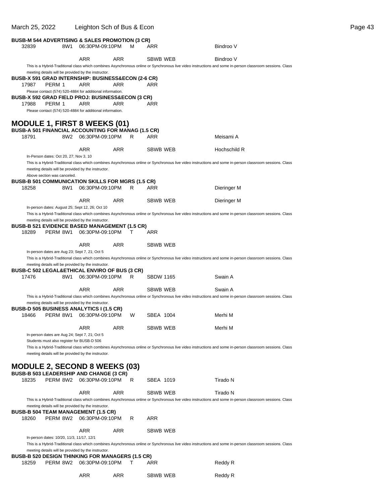| March 25, 2022                                                                                   |                                                                                             | Leighton Sch of Bus & Econ                                |            |    |                  | Page 43                                                                                                                                                   |
|--------------------------------------------------------------------------------------------------|---------------------------------------------------------------------------------------------|-----------------------------------------------------------|------------|----|------------------|-----------------------------------------------------------------------------------------------------------------------------------------------------------|
| <b>BUSB-M 544 ADVERTISING &amp; SALES PROMOTION (3 CR)</b><br>32839                              |                                                                                             | 8W1 06:30PM-09:10PM                                       |            | м  | ARR              | Bindroo V                                                                                                                                                 |
|                                                                                                  |                                                                                             | <b>ARR</b>                                                | ARR        |    | <b>SBWB WEB</b>  | Bindroo V                                                                                                                                                 |
|                                                                                                  |                                                                                             |                                                           |            |    |                  | This is a Hybrid-Traditional class which combines Asynchronous online or Synchronous live video instructions and some in-person classroom sessions. Class |
| <b>BUSB-X 591 GRAD INTERNSHIP: BUSINESS&amp;ECON (2-6 CR)</b>                                    |                                                                                             | meeting details will be provided by the instructor.       |            |    |                  |                                                                                                                                                           |
| 17987                                                                                            | PERM 1                                                                                      | ARR                                                       | ARR        |    | ARR              |                                                                                                                                                           |
|                                                                                                  |                                                                                             | Please contact (574) 520-4884 for additional information. |            |    |                  |                                                                                                                                                           |
| <b>BUSB-X 592 GRAD FIELD PROJ: BUSINESS&amp;ECON (3 CR)</b><br>17988                             | PERM 1                                                                                      | ARR                                                       | ARR        |    | ARR              |                                                                                                                                                           |
|                                                                                                  |                                                                                             | Please contact (574) 520-4884 for additional information. |            |    |                  |                                                                                                                                                           |
| <b>MODULE 1, FIRST 8 WEEKS (01)</b><br><b>BUSB-A 501 FINANCIAL ACCOUNTING FOR MANAG (1.5 CR)</b> |                                                                                             |                                                           |            |    |                  |                                                                                                                                                           |
| 18791                                                                                            |                                                                                             | 8W2 06:30PM-09:10PM                                       |            | R. | ARR              | Meisami A                                                                                                                                                 |
|                                                                                                  | In-Person dates: Oct 20, 27; Nov 3, 10                                                      | ARR                                                       | <b>ARR</b> |    | SBWB WEB         | Hochschild R                                                                                                                                              |
|                                                                                                  |                                                                                             | meeting details will be provided by the instructor.       |            |    |                  | This is a Hybrid-Traditional class which combines Asynchronous online or Synchronous live video instructions and some in-person classroom sessions. Class |
| <b>BUSB-B 501 COMMUNICATION SKILLS FOR MGRS (1.5 CR)</b>                                         | Above section was canceled.                                                                 |                                                           |            |    |                  |                                                                                                                                                           |
| 18258                                                                                            |                                                                                             | 8W1 06:30PM-09:10PM                                       | R          |    | ARR              | Dieringer M                                                                                                                                               |
|                                                                                                  |                                                                                             | <b>ARR</b>                                                | ARR        |    | SBWB WEB         | Dieringer M                                                                                                                                               |
|                                                                                                  | In-person dates: August 25; Sept 12, 26; Oct 10                                             |                                                           |            |    |                  | This is a Hybrid-Traditional class which combines Asynchronous online or Synchronous live video instructions and some in-person classroom sessions. Class |
| <b>BUSB-B 521 EVIDENCE BASED MANAGEMENT (1.5 CR)</b>                                             |                                                                                             | meeting details will be provided by the instructor.       |            |    |                  |                                                                                                                                                           |
| 18289                                                                                            |                                                                                             | PERM 8W1 06:30PM-09:10PM                                  | T          |    | ARR              |                                                                                                                                                           |
|                                                                                                  |                                                                                             | <b>ARR</b>                                                | <b>ARR</b> |    | SBWB WEB         |                                                                                                                                                           |
|                                                                                                  | In-person dates are Aug 23; Sept 7, 21; Oct 5                                               |                                                           |            |    |                  | This is a Hybrid-Traditional class which combines Asynchronous online or Synchronous live video instructions and some in-person classroom sessions. Class |
|                                                                                                  |                                                                                             | meeting details will be provided by the instructor.       |            |    |                  |                                                                                                                                                           |
| <b>BUSB-C 502 LEGAL&amp;ETHICAL ENVIRO OF BUS (3 CR)</b><br>17476                                |                                                                                             | 8W1 06:30PM-09:10PM                                       |            | R. | <b>SBDW 1165</b> | Swain A                                                                                                                                                   |
|                                                                                                  |                                                                                             | <b>ARR</b>                                                | ARR        |    | SBWB WEB         | Swain A                                                                                                                                                   |
|                                                                                                  |                                                                                             |                                                           |            |    |                  | This is a Hybrid-Traditional class which combines Asynchronous online or Synchronous live video instructions and some in-person classroom sessions. Class |
|                                                                                                  |                                                                                             | meeting details will be provided by the instructor.       |            |    |                  |                                                                                                                                                           |
| <b>BUSB-D 505 BUSINESS ANALYTICS I (1.5 CR)</b><br>18466                                         |                                                                                             | PERM 8W1 06:30PM-09:10PM                                  |            | W  | SBEA 1004        | Merhi M                                                                                                                                                   |
|                                                                                                  |                                                                                             |                                                           |            |    |                  |                                                                                                                                                           |
|                                                                                                  |                                                                                             | ARR                                                       | ARR        |    | SBWB WEB         | Merhi M                                                                                                                                                   |
|                                                                                                  | In-person dates are Aug 24; Sept 7, 21; Oct 5<br>Students must also register for BUSB-D 506 |                                                           |            |    |                  |                                                                                                                                                           |
|                                                                                                  |                                                                                             |                                                           |            |    |                  | This is a Hybrid-Traditional class which combines Asynchronous online or Synchronous live video instructions and some in-person classroom sessions. Class |
|                                                                                                  |                                                                                             | meeting details will be provided by the instructor.       |            |    |                  |                                                                                                                                                           |
| <b>MODULE 2, SECOND 8 WEEKS (03)</b>                                                             |                                                                                             |                                                           |            |    |                  |                                                                                                                                                           |
| <b>BUSB-B 503 LEADERSHIP AND CHANGE (3 CR)</b>                                                   |                                                                                             |                                                           |            |    |                  |                                                                                                                                                           |
| 18235                                                                                            |                                                                                             | PERM 8W2 06:30PM-09:10PM                                  |            | R  | SBEA 1019        | Tirado N                                                                                                                                                  |
|                                                                                                  |                                                                                             | <b>ARR</b>                                                | <b>ARR</b> |    | SBWB WEB         | Tirado N                                                                                                                                                  |
|                                                                                                  |                                                                                             |                                                           |            |    |                  | This is a Hybrid-Traditional class which combines Asynchronous online or Synchronous live video instructions and some in-person classroom sessions. Class |
| <b>BUSB-B 504 TEAM MANAGEMENT (1.5 CR)</b>                                                       |                                                                                             | meeting details will be provided by the instructor.       |            |    |                  |                                                                                                                                                           |
| 18260                                                                                            |                                                                                             | PERM 8W2 06:30PM-09:10PM                                  |            | R  | <b>ARR</b>       |                                                                                                                                                           |
|                                                                                                  |                                                                                             | ARR                                                       | ARR        |    | SBWB WEB         |                                                                                                                                                           |
|                                                                                                  | In-person dates: 10/20, 11/3, 11/17, 12/1                                                   |                                                           |            |    |                  |                                                                                                                                                           |
|                                                                                                  |                                                                                             | meeting details will be provided by the instructor.       |            |    |                  | This is a Hybrid-Traditional class which combines Asynchronous online or Synchronous live video instructions and some in-person classroom sessions. Class |
| <b>BUSB-B 520 DESIGN THINKING FOR MANAGERS (1.5 CR)</b>                                          |                                                                                             |                                                           |            |    |                  |                                                                                                                                                           |
| 18259                                                                                            |                                                                                             | PERM 8W2 06:30PM-09:10PM                                  | Т          |    | ARR              | Reddy R                                                                                                                                                   |
|                                                                                                  |                                                                                             | <b>ARR</b>                                                | <b>ARR</b> |    | <b>SBWB WEB</b>  | Reddy R                                                                                                                                                   |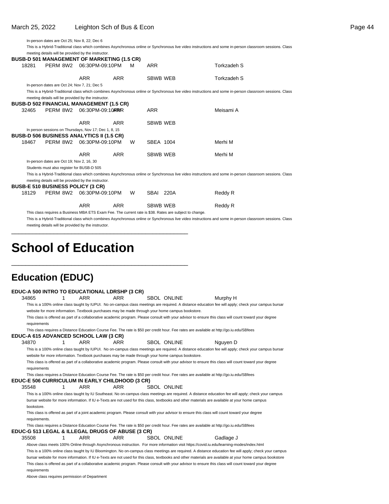In-person dates are Oct 25; Nov 8, 22; Dec 6

|       |                                                       |                                |            |   |                                                                                                         | This is a Hybrid-Traditional class which combines Asynchronous online or Synchronous live video instructions and some in-person classroom sessions. Class |
|-------|-------------------------------------------------------|--------------------------------|------------|---|---------------------------------------------------------------------------------------------------------|-----------------------------------------------------------------------------------------------------------------------------------------------------------|
|       | meeting details will be provided by the instructor.   |                                |            |   |                                                                                                         |                                                                                                                                                           |
|       | <b>BUSB-D 501 MANAGEMENT OF MARKETING (1.5 CR)</b>    |                                |            |   |                                                                                                         |                                                                                                                                                           |
| 18281 | PERM 8W2                                              | 06:30PM-09:10PM                |            | м | <b>ARR</b>                                                                                              | Torkzadeh S                                                                                                                                               |
|       |                                                       |                                |            |   |                                                                                                         |                                                                                                                                                           |
|       |                                                       | <b>ARR</b>                     | <b>ARR</b> |   | <b>SBWB WEB</b>                                                                                         | Torkzadeh S                                                                                                                                               |
|       | In-person dates are Oct 24; Nov 7, 21; Dec 5          |                                |            |   |                                                                                                         |                                                                                                                                                           |
|       |                                                       |                                |            |   |                                                                                                         | This is a Hybrid-Traditional class which combines Asynchronous online or Synchronous live video instructions and some in-person classroom sessions. Class |
|       | meeting details will be provided by the instructor.   |                                |            |   |                                                                                                         |                                                                                                                                                           |
|       | <b>BUSB-D 502 FINANCIAL MANAGEMENT (1.5 CR)</b>       |                                |            |   |                                                                                                         |                                                                                                                                                           |
| 32465 |                                                       | PERM 8W2 06:30 PM-09:10 ARRIVR |            |   | <b>ARR</b>                                                                                              | Meisami A                                                                                                                                                 |
|       |                                                       |                                |            |   |                                                                                                         |                                                                                                                                                           |
|       |                                                       | <b>ARR</b>                     | <b>ARR</b> |   | <b>SBWB WEB</b>                                                                                         |                                                                                                                                                           |
|       | In person sessions on Thursdays, Nov 17; Dec 1, 8, 15 |                                |            |   |                                                                                                         |                                                                                                                                                           |
|       | <b>BUSB-D 506 BUSINESS ANALYTICS II (1.5 CR)</b>      |                                |            |   |                                                                                                         |                                                                                                                                                           |
| 18467 |                                                       | PERM 8W2 06:30PM-09:10PM       |            | W | SBEA 1004                                                                                               | Merhi M                                                                                                                                                   |
|       |                                                       |                                |            |   |                                                                                                         |                                                                                                                                                           |
|       |                                                       | <b>ARR</b>                     | <b>ARR</b> |   | <b>SBWB WEB</b>                                                                                         | Merhi M                                                                                                                                                   |
|       | In-person dates are Oct 19; Nov 2, 16, 30             |                                |            |   |                                                                                                         |                                                                                                                                                           |
|       | Students must also register for BUSB-D 505            |                                |            |   |                                                                                                         |                                                                                                                                                           |
|       |                                                       |                                |            |   |                                                                                                         | This is a Hybrid-Traditional class which combines Asynchronous online or Synchronous live video instructions and some in-person classroom sessions. Class |
|       | meeting details will be provided by the instructor.   |                                |            |   |                                                                                                         |                                                                                                                                                           |
|       | <b>BUSB-E 510 BUSINESS POLICY (3 CR)</b>              |                                |            |   |                                                                                                         |                                                                                                                                                           |
| 18129 |                                                       | PERM 8W2 06:30PM-09:10PM       |            | W | SBAI 220A                                                                                               | Reddy R                                                                                                                                                   |
|       |                                                       |                                |            |   |                                                                                                         |                                                                                                                                                           |
|       |                                                       | <b>ARR</b>                     | <b>ARR</b> |   | <b>SBWB WEB</b>                                                                                         | Reddy R                                                                                                                                                   |
|       |                                                       |                                |            |   | This class requires a Business MBA ETS Exam Fee. The current rate is \$38. Rates are subject to change. |                                                                                                                                                           |
|       |                                                       |                                |            |   |                                                                                                         | This is a Hybrid-Traditional class which combines Asynchronous online or Synchronous live video instructions and some in-person classroom sessions. Class |

meeting details will be provided by the instructor.

\_\_\_\_\_\_\_\_\_\_\_\_\_\_\_\_\_\_\_\_\_\_\_\_\_\_\_\_\_\_\_\_\_\_\_\_\_\_\_\_\_\_\_\_\_\_\_\_\_\_

\_\_\_\_\_\_\_\_\_\_\_\_\_\_\_\_\_\_\_\_\_\_\_\_\_\_\_\_\_\_\_\_\_\_\_\_\_\_\_\_\_\_\_\_\_\_\_\_\_\_

# **School of Education**

### **Education (EDUC)**

| EDUC-A 500 INTRO TO EDUCATIONAL LDRSHP (3 CR)    |   |            |                                                                                                  |                    |                                                                                                                                                           |  |
|--------------------------------------------------|---|------------|--------------------------------------------------------------------------------------------------|--------------------|-----------------------------------------------------------------------------------------------------------------------------------------------------------|--|
| 34865                                            |   | <b>ARR</b> | <b>ARR</b>                                                                                       | SBOL ONLINE        | Murphy H                                                                                                                                                  |  |
|                                                  |   |            |                                                                                                  |                    | This is a 100% online class taught by IUPUI. No on-campus class meetings are required. A distance education fee will apply; check your campus bursar      |  |
|                                                  |   |            | website for more information. Textbook purchases may be made through your home campus bookstore. |                    |                                                                                                                                                           |  |
|                                                  |   |            |                                                                                                  |                    | This class is offered as part of a collaborative academic program. Please consult with your advisor to ensure this class will count toward your degree    |  |
| requirements                                     |   |            |                                                                                                  |                    |                                                                                                                                                           |  |
|                                                  |   |            |                                                                                                  |                    | This class requires a Distance Education Course Fee. The rate is \$50 per credit hour. Fee rates are available at http://go.iu.edu/SBfees                 |  |
| EDUC-A 615 ADVANCED SCHOOL LAW (3 CR)            |   |            |                                                                                                  |                    |                                                                                                                                                           |  |
| 34870                                            | 1 | <b>ARR</b> | ARR                                                                                              | <b>SBOL ONLINE</b> | Nguyen D                                                                                                                                                  |  |
|                                                  |   |            |                                                                                                  |                    | This is a 100% online class taught by IUPUI. No on-campus class meetings are required. A distance education fee will apply; check your campus bursar      |  |
|                                                  |   |            | website for more information. Textbook purchases may be made through your home campus bookstore. |                    |                                                                                                                                                           |  |
|                                                  |   |            |                                                                                                  |                    | This class is offered as part of a collaborative academic program. Please consult with your advisor to ensure this class will count toward your degree    |  |
| requirements                                     |   |            |                                                                                                  |                    |                                                                                                                                                           |  |
|                                                  |   |            |                                                                                                  |                    | This class requires a Distance Education Course Fee. The rate is \$50 per credit hour. Fee rates are available at http://go.iu.edu/SBfees                 |  |
| EDUC-E 506 CURRICULUM IN EARLY CHILDHOOD (3 CR)  |   |            |                                                                                                  |                    |                                                                                                                                                           |  |
| 35548                                            | 1 | <b>ARR</b> | <b>ARR</b>                                                                                       | SBOL ONLINE        |                                                                                                                                                           |  |
|                                                  |   |            |                                                                                                  |                    | This is a 100% online class taught by IU Southeast. No on-campus class meetings are required. A distance education fee will apply; check your campus      |  |
|                                                  |   |            |                                                                                                  |                    | bursar website for more information. If IU e-Texts are not used for this class, textbooks and other materials are available at your home campus           |  |
| bookstore.                                       |   |            |                                                                                                  |                    |                                                                                                                                                           |  |
|                                                  |   |            |                                                                                                  |                    | This class is offered as part of a joint academic program. Please consult with your advisor to ensure this class will count toward your degree            |  |
| requirements.                                    |   |            |                                                                                                  |                    |                                                                                                                                                           |  |
|                                                  |   |            |                                                                                                  |                    | This class requires a Distance Education Course Fee. The rate is \$50 per credit hour. Fee rates are available at http://qo.iu.edu/SBfees                 |  |
| EDUC-G 513 LEGAL & ILLEGAL DRUGS OF ABUSE (3 CR) |   |            |                                                                                                  |                    |                                                                                                                                                           |  |
| 35508                                            | 1 | <b>ARR</b> | ARR                                                                                              | <b>SBOL ONLINE</b> | Gadlage J                                                                                                                                                 |  |
|                                                  |   |            |                                                                                                  |                    | Above class meets 100% Online through Asynchronous instruction. For more information visit https://covid.iu.edu/learning-modes/index.html                 |  |
|                                                  |   |            |                                                                                                  |                    | This is a 100% online class taught by IU Bloomington. No on-campus class meetings are required. A distance education fee will apply; check your campus    |  |
|                                                  |   |            |                                                                                                  |                    | bursar website for more information. If IU e-Texts are not used for this class, textbooks and other materials are available at your home campus bookstore |  |
|                                                  |   |            |                                                                                                  |                    | This class is offered as part of a collaborative academic program. Please consult with your advisor to ensure this class will count toward your degree    |  |
| requirements                                     |   |            |                                                                                                  |                    |                                                                                                                                                           |  |

Above class requires permission of Department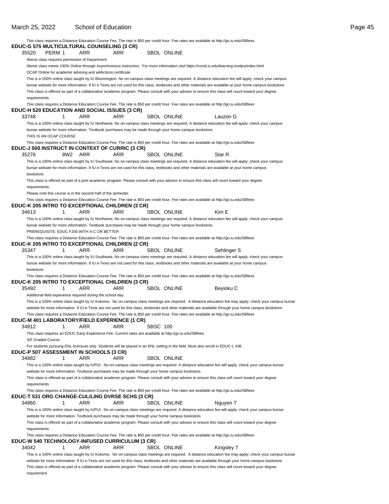requirement

|                                                  |     |                                                                |                                                                                                          |          |                    | This class requires a Distance Education Course Fee. The rate is \$50 per credit hour. Fee rates are available at http://go.iu.edu/SBfees                 |
|--------------------------------------------------|-----|----------------------------------------------------------------|----------------------------------------------------------------------------------------------------------|----------|--------------------|-----------------------------------------------------------------------------------------------------------------------------------------------------------|
| EDUC-G 575 MULTICULTURAL COUNSELING (3 CR)       |     |                                                                |                                                                                                          |          |                    |                                                                                                                                                           |
| PERM 1<br>35520                                  |     | ARR                                                            | ARR                                                                                                      |          | <b>SBOL ONLINE</b> |                                                                                                                                                           |
| Above class requires permission of Department    |     |                                                                |                                                                                                          |          |                    |                                                                                                                                                           |
|                                                  |     |                                                                |                                                                                                          |          |                    | Above class meets 100% Online through Asynchronous instruction. For more information visit https://covid.iu.edu/learning-modes/index.html                 |
|                                                  |     | OCAP Online for academic advising and addictions certificate   |                                                                                                          |          |                    |                                                                                                                                                           |
|                                                  |     |                                                                |                                                                                                          |          |                    | This is a 100% online class taught by IU Bloomington. No on-campus class meetings are required. A distance education fee will apply; check your campus    |
|                                                  |     |                                                                |                                                                                                          |          |                    | bursar website for more information. If IU e-Texts are not used for this class, textbooks and other materials are available at your home campus bookstore |
|                                                  |     |                                                                |                                                                                                          |          |                    | This class is offered as part of a collaborative academic program. Please consult with your advisor to ensure this class will count toward your degree    |
| requirements                                     |     |                                                                |                                                                                                          |          |                    |                                                                                                                                                           |
|                                                  |     |                                                                |                                                                                                          |          |                    | This class requires a Distance Education Course Fee. The rate is \$50 per credit hour. Fee rates are available at http://go.iu.edu/SBfees                 |
| EDUC-H 520 EDUCATION AND SOCIAL ISSUES (3 CR)    |     |                                                                |                                                                                                          |          |                    |                                                                                                                                                           |
| 33748                                            | 1   | <b>ARR</b>                                                     | <b>ARR</b>                                                                                               |          | <b>SBOL ONLINE</b> | Lauzon G                                                                                                                                                  |
|                                                  |     |                                                                |                                                                                                          |          |                    | This is a 100% online class taught by IU Northwest. No on-campus class meetings are required. A distance education fee will apply; check your campus      |
|                                                  |     |                                                                | bursar website for more information. Textbook purchases may be made through your home campus bookstore.  |          |                    |                                                                                                                                                           |
| THIS IS AN OCAP COURSE                           |     |                                                                |                                                                                                          |          |                    |                                                                                                                                                           |
|                                                  |     |                                                                |                                                                                                          |          |                    | This class requires a Distance Education Course Fee. The rate is \$50 per credit hour. Fee rates are available at http://go.iu.edu/SBfees                 |
| EDUC-J 500 INSTRUCT IN CONTEXT OF CURRIC (3 CR)  |     |                                                                |                                                                                                          |          |                    |                                                                                                                                                           |
| 35276                                            | 8W2 | ARR                                                            | <b>ARR</b>                                                                                               |          | <b>SBOL ONLINE</b> | Star R                                                                                                                                                    |
|                                                  |     |                                                                |                                                                                                          |          |                    | This is a 100% online class taught by IU Southeast. No on-campus class meetings are required. A distance education fee will apply; check your campus      |
|                                                  |     |                                                                |                                                                                                          |          |                    | bursar website for more information. If IU e-Texts are not used for this class, textbooks and other materials are available at your home campus           |
| bookstore.                                       |     |                                                                |                                                                                                          |          |                    |                                                                                                                                                           |
|                                                  |     |                                                                |                                                                                                          |          |                    | This class is offered as part of a joint academic program. Please consult with your advisor to ensure this class will count toward your degree            |
| requirements.                                    |     |                                                                |                                                                                                          |          |                    |                                                                                                                                                           |
|                                                  |     | Please note this course is in the second half of the semester. |                                                                                                          |          |                    |                                                                                                                                                           |
|                                                  |     |                                                                |                                                                                                          |          |                    | This class requires a Distance Education Course Fee. The rate is \$50 per credit hour. Fee rates are available at http://go.iu.edu/SBfees                 |
| EDUC-K 205 INTRO TO EXCEPTIONAL CHILDREN (3 CR)  |     |                                                                |                                                                                                          |          |                    |                                                                                                                                                           |
| 34613                                            | 1   | ARR                                                            | ARR                                                                                                      |          | <b>SBOL ONLINE</b> | Kim E                                                                                                                                                     |
|                                                  |     |                                                                |                                                                                                          |          |                    | This is a 100% online class taught by IU Northwest. No on-campus class meetings are required. A distance education fee will apply; check your campus      |
|                                                  |     |                                                                | bursar website for more information. Textbook purchases may be made through your home campus bookstore.  |          |                    |                                                                                                                                                           |
|                                                  |     | PREREQUISITE: EDUC F200 WITH A C OR BETTER                     |                                                                                                          |          |                    |                                                                                                                                                           |
|                                                  |     |                                                                |                                                                                                          |          |                    |                                                                                                                                                           |
|                                                  |     |                                                                |                                                                                                          |          |                    | This class requires a Distance Education Course Fee. The rate is \$50 per credit hour. Fee rates are available at http://go.iu.edu/SBfees                 |
| EDUC-K 205 INTRO TO EXCEPTIONAL CHILDREN (2 CR)  | 1   | ARR                                                            | ARR                                                                                                      |          |                    |                                                                                                                                                           |
| 35347                                            |     |                                                                |                                                                                                          |          | <b>SBOL ONLINE</b> | Sehlinger S                                                                                                                                               |
|                                                  |     |                                                                |                                                                                                          |          |                    | This is a 100% online class taught by IU Southeast. No on-campus class meetings are required. A distance education fee will apply; check your campus      |
|                                                  |     |                                                                |                                                                                                          |          |                    | bursar website for more information. If IU e-Texts are not used for this class, textbooks and other materials are available at your home campus           |
| bookstore.                                       |     |                                                                |                                                                                                          |          |                    |                                                                                                                                                           |
|                                                  |     |                                                                |                                                                                                          |          |                    | This class requires a Distance Education Course Fee. The rate is \$50 per credit hour. Fee rates are available at http://go.iu.edu/SBfees                 |
| EDUC-K 205 INTRO TO EXCEPTIONAL CHILDREN (3 CR)  |     |                                                                |                                                                                                          |          |                    |                                                                                                                                                           |
| 35492                                            | 1   | ARR                                                            | <b>ARR</b>                                                                                               |          | <b>SBOL ONLINE</b> | Beyioku C                                                                                                                                                 |
|                                                  |     | Additional field experience required during the school day.    |                                                                                                          |          |                    |                                                                                                                                                           |
|                                                  |     |                                                                |                                                                                                          |          |                    | This is a 100% online class taught by IU Kokomo. No on-campus class meetings are required. A distance education fee may apply; check your campus bursar   |
|                                                  |     |                                                                |                                                                                                          |          |                    | website for more information. If IU e-Texts are not used for this class, textbooks and other materials are available through your home campus bookstore.  |
|                                                  |     |                                                                |                                                                                                          |          |                    | This class requires a Distance Education Course Fee. The rate is \$50 per credit hour. Fee rates are available at http://go.iu.edu/SBfees                 |
| EDUC-M 401 LABORATORY/FIELD EXPERIENCE (1 CR)    |     |                                                                |                                                                                                          |          |                    |                                                                                                                                                           |
| 34812                                            | 1   | ARR                                                            | ARR                                                                                                      | SBSC 100 |                    |                                                                                                                                                           |
|                                                  |     |                                                                | This class requires an EDUC Early Experience Fee. Current rates are available at http://go.iu.edu/SBfees |          |                    |                                                                                                                                                           |
| S/F Graded Course                                |     |                                                                |                                                                                                          |          |                    |                                                                                                                                                           |
|                                                  |     |                                                                |                                                                                                          |          |                    | For students pursuing ENL licensure only. Students will be placed in an ENL setting in the field. Must also enroll in EDUC-L 436.                         |
| EDUC-P 507 ASSESSMENT IN SCHOOLS (3 CR)          |     |                                                                |                                                                                                          |          |                    |                                                                                                                                                           |
| 34882                                            | 1   | ARR                                                            | ARR                                                                                                      |          | SBOL ONLINE        |                                                                                                                                                           |
|                                                  |     |                                                                |                                                                                                          |          |                    | This is a 100% online class taught by IUPUI. No on-campus class meetings are required. A distance education fee will apply; check your campus bursar      |
|                                                  |     |                                                                | website for more information. Textbook purchases may be made through your home campus bookstore.         |          |                    |                                                                                                                                                           |
|                                                  |     |                                                                |                                                                                                          |          |                    | This class is offered as part of a collaborative academic program. Please consult with your advisor to ensure this class will count toward your degree    |
| requirements                                     |     |                                                                |                                                                                                          |          |                    |                                                                                                                                                           |
|                                                  |     |                                                                |                                                                                                          |          |                    | This class requires a Distance Education Course Fee. The rate is \$50 per credit hour. Fee rates are available at http://go.iu.edu/SBfees                 |
| EDUC-T 531 ORG CHANGE-CUL/LING DVRSE SCHS (3 CR) |     |                                                                |                                                                                                          |          |                    |                                                                                                                                                           |
| 34860                                            | 1   | ARR                                                            | ARR                                                                                                      |          | <b>SBOL ONLINE</b> | Nguyen T                                                                                                                                                  |
|                                                  |     |                                                                |                                                                                                          |          |                    |                                                                                                                                                           |
|                                                  |     |                                                                |                                                                                                          |          |                    | This is a 100% online class taught by IUPUI. No on-campus class meetings are required. A distance education fee will apply; check your campus bursar      |
|                                                  |     |                                                                | website for more information. Textbook purchases may be made through your home campus bookstore.         |          |                    |                                                                                                                                                           |
|                                                  |     |                                                                |                                                                                                          |          |                    | This class is offered as part of a collaborative academic program. Please consult with your advisor to ensure this class will count toward your degree    |
| requirements                                     |     |                                                                |                                                                                                          |          |                    |                                                                                                                                                           |
|                                                  |     |                                                                |                                                                                                          |          |                    | This class requires a Distance Education Course Fee. The rate is \$50 per credit hour. Fee rates are available at http://go.iu.edu/SBfees                 |
| EDUC-W 540 TECHNOLOGY-INFUSED CURRICULUM (3 CR)  |     |                                                                |                                                                                                          |          |                    |                                                                                                                                                           |
| 34042                                            | 1   | ARR                                                            | ARR                                                                                                      |          | SBOL ONLINE        | Kingsley T                                                                                                                                                |
|                                                  |     |                                                                |                                                                                                          |          |                    | This is a 100% online class taught by IU Kokomo. No on-campus class meetings are required. A distance education fee may apply; check your campus bursar   |
|                                                  |     |                                                                |                                                                                                          |          |                    | website for more information. If IU e-Texts are not used for this class, textbooks and other materials are available through your home campus bookstore.  |
|                                                  |     |                                                                |                                                                                                          |          |                    | This class is offered as part of a collaborative academic program. Please consult with your advisor to ensure this class will count toward your degree    |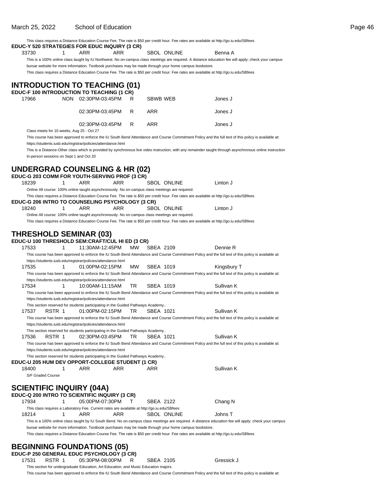|                                 |                                           | This class requires a Distance Education Course Fee. The rate is \$50 per credit hour. Fee rates are available at http://go.iu.edu/SBfees<br>EDUC-Y 520 STRATEGIES FOR EDUC INQUIRY (3 CR)                                                           |           |           |                    |                                                                                                                                                                  |  |
|---------------------------------|-------------------------------------------|------------------------------------------------------------------------------------------------------------------------------------------------------------------------------------------------------------------------------------------------------|-----------|-----------|--------------------|------------------------------------------------------------------------------------------------------------------------------------------------------------------|--|
| 33730                           | 1                                         | ARR<br>ARR                                                                                                                                                                                                                                           |           |           | SBOL ONLINE        | Benna A                                                                                                                                                          |  |
|                                 |                                           |                                                                                                                                                                                                                                                      |           |           |                    | This is a 100% online class taught by IU Northwest. No on-campus class meetings are required. A distance education fee will apply; check your campus             |  |
|                                 |                                           | bursar website for more information. Textbook purchases may be made through your home campus bookstore.<br>This class requires a Distance Education Course Fee. The rate is \$50 per credit hour. Fee rates are available at http://go.iu.edu/SBfees |           |           |                    |                                                                                                                                                                  |  |
|                                 |                                           | <b>INTRODUCTION TO TEACHING (01)</b>                                                                                                                                                                                                                 |           |           |                    |                                                                                                                                                                  |  |
|                                 |                                           | EDUC-F 100 INTRODUCTION TO TEACHING (1 CR)                                                                                                                                                                                                           |           |           |                    |                                                                                                                                                                  |  |
| 17966                           |                                           | NON 02:30PM-03:45PM                                                                                                                                                                                                                                  | R         | SBWB WEB  |                    | Jones J                                                                                                                                                          |  |
|                                 |                                           | 02:30PM-03:45PM                                                                                                                                                                                                                                      | R         | ARR       |                    | Jones J                                                                                                                                                          |  |
|                                 |                                           | 02:30PM-03:45PM                                                                                                                                                                                                                                      | R         | ARR       |                    | Jones J                                                                                                                                                          |  |
|                                 | Class meets for 10 weeks, Aug 25 - Oct 27 |                                                                                                                                                                                                                                                      |           |           |                    | This course has been approved to enforce the IU South Bend Attendance and Course Commitment Policy and the full text of this policy is available at:             |  |
|                                 |                                           | https://students.iusb.edu/registrar/policies/attendance.html                                                                                                                                                                                         |           |           |                    |                                                                                                                                                                  |  |
|                                 |                                           |                                                                                                                                                                                                                                                      |           |           |                    | This is a Distance-Other class which is provided by synchronous live video instruction, with any remainder taught through asynchronous online instruction        |  |
|                                 | In-person sessions on Sept 1 and Oct 20   |                                                                                                                                                                                                                                                      |           |           |                    |                                                                                                                                                                  |  |
|                                 |                                           | <b>UNDERGRAD COUNSELING &amp; HR (02)</b>                                                                                                                                                                                                            |           |           |                    |                                                                                                                                                                  |  |
|                                 |                                           | EDUC-G 203 COMM FOR YOUTH-SERVING PROF (3 CR)                                                                                                                                                                                                        |           |           |                    |                                                                                                                                                                  |  |
| 18239                           | 1                                         | ARR<br>ARR                                                                                                                                                                                                                                           |           |           | <b>SBOL ONLINE</b> | Linton J                                                                                                                                                         |  |
|                                 |                                           | Online All course: 100% online taught asynchronously. No on-campus class meetings are required.<br>This class requires a Distance Education Course Fee. The rate is \$50 per credit hour. Fee rates are available at http://go.iu.edu/SBfees         |           |           |                    |                                                                                                                                                                  |  |
|                                 |                                           | <b>EDUC-G 206 INTRO TO COUNSELING PSYCHOLOGY (3 CR)</b>                                                                                                                                                                                              |           |           |                    |                                                                                                                                                                  |  |
| 18240                           | 1                                         | ARR<br>ARR                                                                                                                                                                                                                                           |           |           | <b>SBOL ONLINE</b> | Linton J                                                                                                                                                         |  |
|                                 |                                           | Online All course: 100% online taught asynchronously. No on-campus class meetings are required.<br>This class requires a Distance Education Course Fee. The rate is \$50 per credit hour. Fee rates are available at http://go.iu.edu/SBfees         |           |           |                    |                                                                                                                                                                  |  |
|                                 |                                           |                                                                                                                                                                                                                                                      |           |           |                    |                                                                                                                                                                  |  |
|                                 |                                           | <b>THRESHOLD SEMINAR (03)</b>                                                                                                                                                                                                                        |           |           |                    |                                                                                                                                                                  |  |
|                                 |                                           | EDUC-U 100 THRESHOLD SEM:CRAFT/CUL HI ED (3 CR)                                                                                                                                                                                                      |           |           |                    |                                                                                                                                                                  |  |
| 17533                           | 1                                         | 11:30AM-12:45PM                                                                                                                                                                                                                                      | MW.       | SBEA 2109 |                    | Dennie R<br>This course has been approved to enforce the IU South Bend Attendance and Course Commitment Policy and the full text of this policy is available at: |  |
|                                 |                                           | https://students.iusb.edu/registrar/policies/attendance.html                                                                                                                                                                                         |           |           |                    |                                                                                                                                                                  |  |
| 17535                           | 1                                         | 01:00PM-02:15PM                                                                                                                                                                                                                                      | <b>MW</b> | SBEA 1019 |                    | Kingsbury T                                                                                                                                                      |  |
|                                 |                                           | https://students.iusb.edu/registrar/policies/attendance.html                                                                                                                                                                                         |           |           |                    | This course has been approved to enforce the IU South Bend Attendance and Course Commitment Policy and the full text of this policy is available at:             |  |
| 17534                           | 1                                         | 10:00AM-11:15AM                                                                                                                                                                                                                                      | TR        | SBEA 1019 |                    | Sullivan K                                                                                                                                                       |  |
|                                 |                                           |                                                                                                                                                                                                                                                      |           |           |                    | This course has been approved to enforce the IU South Bend Attendance and Course Commitment Policy and the full text of this policy is available at:             |  |
|                                 |                                           | https://students.iusb.edu/registrar/policies/attendance.html<br>This section reserved for students participating in the Guided Pathways Academy                                                                                                      |           |           |                    |                                                                                                                                                                  |  |
| 17537                           | RSTR 1                                    | 01:00PM-02:15PM                                                                                                                                                                                                                                      | TR        | SBEA 1021 |                    | Sullivan K                                                                                                                                                       |  |
|                                 |                                           |                                                                                                                                                                                                                                                      |           |           |                    | This course has been approved to enforce the IU South Bend Attendance and Course Commitment Policy and the full text of this policy is available at:             |  |
|                                 |                                           | https://students.iusb.edu/registrar/policies/attendance.html                                                                                                                                                                                         |           |           |                    |                                                                                                                                                                  |  |
| 17536                           | RSTR 1                                    | This section reserved for students participating in the Guided Pathways Academy<br>02:30PM-03:45PM                                                                                                                                                   | TR.       | SBEA 1021 |                    | Sullivan K                                                                                                                                                       |  |
|                                 |                                           |                                                                                                                                                                                                                                                      |           |           |                    | This course has been approved to enforce the IU South Bend Attendance and Course Commitment Policy and the full text of this policy is available at:             |  |
|                                 |                                           | https://students.iusb.edu/registrar/policies/attendance.html                                                                                                                                                                                         |           |           |                    |                                                                                                                                                                  |  |
|                                 |                                           | This section reserved for students participating in the Guided Pathways Academy<br><b>EDUC-U 205 HUM DEV OPPORT-COLLEGE STUDENT (1 CR)</b>                                                                                                           |           |           |                    |                                                                                                                                                                  |  |
| 18400                           | 1                                         | ARR<br>ARR                                                                                                                                                                                                                                           |           | ARR       |                    | Sullivan K                                                                                                                                                       |  |
| S/F Graded Course               |                                           |                                                                                                                                                                                                                                                      |           |           |                    |                                                                                                                                                                  |  |
| <b>SCIENTIFIC INQUIRY (04A)</b> |                                           |                                                                                                                                                                                                                                                      |           |           |                    |                                                                                                                                                                  |  |
|                                 |                                           | EDUC-Q 200 INTRO TO SCIENTIFIC INQUIRY (3 CR)                                                                                                                                                                                                        |           |           |                    |                                                                                                                                                                  |  |
| 17934                           | 1                                         | 05:00PM-07:30PM                                                                                                                                                                                                                                      | т         | SBEA 2122 |                    | Chang N                                                                                                                                                          |  |
|                                 |                                           | This class requires a Laboratory Fee. Current rates are available at http://go.iu.edu/SBfees                                                                                                                                                         |           |           |                    |                                                                                                                                                                  |  |
| 18214                           | 1                                         | ARR<br>ARR                                                                                                                                                                                                                                           |           |           | <b>SBOL ONLINE</b> | Johns T<br>This is a 100% online class taught by IU South Bend. No on-campus class meetings are required. A distance education fee will apply; check your campus |  |
|                                 |                                           | bursar website for more information. Textbook purchases may be made through your home campus bookstore.                                                                                                                                              |           |           |                    |                                                                                                                                                                  |  |
|                                 |                                           | This class requires a Distance Education Course Fee. The rate is \$50 per credit hour. Fee rates are available at http://go.iu.edu/SBfees                                                                                                            |           |           |                    |                                                                                                                                                                  |  |
|                                 |                                           |                                                                                                                                                                                                                                                      |           |           |                    |                                                                                                                                                                  |  |
|                                 |                                           | <b>BEGINNING FOUNDATIONS (05)</b><br>EDUC-P 250 GENERAL EDUC PSYCHOLOGY (3 CR)                                                                                                                                                                       |           |           |                    |                                                                                                                                                                  |  |
| 17531                           | RSTR 1                                    | 05:30PM-08:00PM                                                                                                                                                                                                                                      | R.        | SBEA 2105 |                    | Gressick J                                                                                                                                                       |  |

This section for undergraduate Education, Art Education, and Music Education majors.

This course has been approved to enforce the IU South Bend Attendance and Course Commitment Policy and the full text of this policy is available at:

### March 25, 2022 School of Education **Page 46**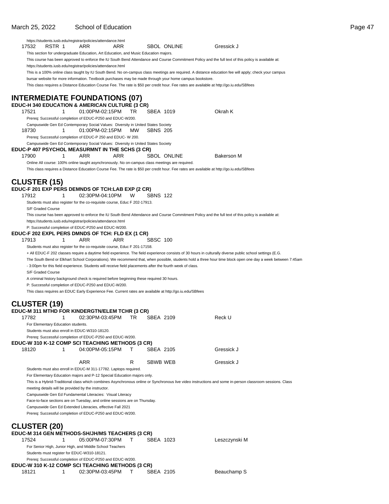Prereq: Successful completion of EDUC-P250 and EDUC-W200. **EDUC-W 310 K-12 COMP SCI TEACHING METHODS (3 CR)**

18121 1 02:30PM-03:45PM T SBEA 2105 Beauchamp S

|                                                     |   | https://students.iusb.edu/registrar/policies/attendance.html                                                                                |     |     |                 |                    |                                                                                                                                                           |               |                                                                                                                                                            |
|-----------------------------------------------------|---|---------------------------------------------------------------------------------------------------------------------------------------------|-----|-----|-----------------|--------------------|-----------------------------------------------------------------------------------------------------------------------------------------------------------|---------------|------------------------------------------------------------------------------------------------------------------------------------------------------------|
| 17532<br>RSTR 1                                     |   | ARR                                                                                                                                         | ARR |     |                 | <b>SBOL ONLINE</b> | Gressick J                                                                                                                                                |               |                                                                                                                                                            |
|                                                     |   | This section for undergraduate Education, Art Education, and Music Education majors.                                                        |     |     |                 |                    |                                                                                                                                                           |               |                                                                                                                                                            |
|                                                     |   |                                                                                                                                             |     |     |                 |                    | This course has been approved to enforce the IU South Bend Attendance and Course Commitment Policy and the full text of this policy is available at:      |               |                                                                                                                                                            |
|                                                     |   | https://students.iusb.edu/registrar/policies/attendance.html                                                                                |     |     |                 |                    |                                                                                                                                                           |               |                                                                                                                                                            |
|                                                     |   |                                                                                                                                             |     |     |                 |                    | This is a 100% online class taught by IU South Bend. No on-campus class meetings are required. A distance education fee will apply; check your campus     |               |                                                                                                                                                            |
|                                                     |   | bursar website for more information. Textbook purchases may be made through your home campus bookstore.                                     |     |     |                 |                    |                                                                                                                                                           |               |                                                                                                                                                            |
|                                                     |   |                                                                                                                                             |     |     |                 |                    | This class requires a Distance Education Course Fee. The rate is \$50 per credit hour. Fee rates are available at http://go.iu.edu/SBfees                 |               |                                                                                                                                                            |
|                                                     |   |                                                                                                                                             |     |     |                 |                    |                                                                                                                                                           |               |                                                                                                                                                            |
|                                                     |   | <b>INTERMEDIATE FOUNDATIONS (07)</b>                                                                                                        |     |     |                 |                    |                                                                                                                                                           |               |                                                                                                                                                            |
|                                                     |   | EDUC-H 340 EDUCATION & AMERICAN CULTURE (3 CR)                                                                                              |     |     |                 |                    |                                                                                                                                                           |               |                                                                                                                                                            |
| 17521                                               | 1 | 01:00PM-02:15PM                                                                                                                             |     | TR. | SBEA 1019       |                    | Okrah K                                                                                                                                                   |               |                                                                                                                                                            |
|                                                     |   | Prereq: Successful completion of EDUC-P250 and EDUC-W200.                                                                                   |     |     |                 |                    |                                                                                                                                                           |               |                                                                                                                                                            |
| 18730                                               | 1 | Campuswide Gen Ed Contemporary Social Values: Diversity in United States Society<br>01:00PM-02:15PM                                         |     | MW. | <b>SBNS 205</b> |                    |                                                                                                                                                           |               |                                                                                                                                                            |
|                                                     |   | Prereq: Successful completion of EDUC-P 250 and EDUC- W 200.                                                                                |     |     |                 |                    |                                                                                                                                                           |               |                                                                                                                                                            |
|                                                     |   | Campuswide Gen Ed Contemporary Social Values: Diversity in United States Society                                                            |     |     |                 |                    |                                                                                                                                                           |               |                                                                                                                                                            |
|                                                     |   | EDUC-P 407 PSYCHOL MEASURMNT IN THE SCHS (3 CR)                                                                                             |     |     |                 |                    |                                                                                                                                                           |               |                                                                                                                                                            |
| 17900                                               | 1 | ARR                                                                                                                                         | ARR |     |                 | <b>SBOL ONLINE</b> |                                                                                                                                                           | Bakerson M    |                                                                                                                                                            |
|                                                     |   | Online All course: 100% online taught asynchronously. No on-campus class meetings are required.                                             |     |     |                 |                    |                                                                                                                                                           |               |                                                                                                                                                            |
|                                                     |   |                                                                                                                                             |     |     |                 |                    | This class requires a Distance Education Course Fee. The rate is \$50 per credit hour. Fee rates are available at http://qo.iu.edu/SBfees                 |               |                                                                                                                                                            |
|                                                     |   |                                                                                                                                             |     |     |                 |                    |                                                                                                                                                           |               |                                                                                                                                                            |
| <b>CLUSTER (15)</b>                                 |   |                                                                                                                                             |     |     |                 |                    |                                                                                                                                                           |               |                                                                                                                                                            |
|                                                     |   | EDUC-F 201 EXP PERS DEMNDS OF TCH:LAB EXP (2 CR)                                                                                            |     |     |                 |                    |                                                                                                                                                           |               |                                                                                                                                                            |
| 17912                                               | 1 | 02:30PM-04:10PM                                                                                                                             |     | W   | <b>SBNS 122</b> |                    |                                                                                                                                                           |               |                                                                                                                                                            |
|                                                     |   | Students must also register for the co-requisite course, Educ F 202-17913.                                                                  |     |     |                 |                    |                                                                                                                                                           |               |                                                                                                                                                            |
| S/F Graded Course                                   |   |                                                                                                                                             |     |     |                 |                    |                                                                                                                                                           |               |                                                                                                                                                            |
|                                                     |   |                                                                                                                                             |     |     |                 |                    | This course has been approved to enforce the IU South Bend Attendance and Course Commitment Policy and the full text of this policy is available at:      |               |                                                                                                                                                            |
|                                                     |   | https://students.iusb.edu/registrar/policies/attendance.html                                                                                |     |     |                 |                    |                                                                                                                                                           |               |                                                                                                                                                            |
|                                                     |   | P: Successful completion of EDUC-P250 and EDUC-W200.<br>EDUC-F 202 EXPL PERS DMNDS OF TCH: FLD EX (1 CR)                                    |     |     |                 |                    |                                                                                                                                                           |               |                                                                                                                                                            |
| 17913                                               | 1 | ARR                                                                                                                                         | ARR |     | <b>SBSC 100</b> |                    |                                                                                                                                                           |               |                                                                                                                                                            |
|                                                     |   |                                                                                                                                             |     |     |                 |                    |                                                                                                                                                           |               |                                                                                                                                                            |
|                                                     |   |                                                                                                                                             |     |     |                 |                    |                                                                                                                                                           |               |                                                                                                                                                            |
|                                                     |   | Students must also register for the co-requisite course, Educ F 201-17158.                                                                  |     |     |                 |                    |                                                                                                                                                           |               |                                                                                                                                                            |
|                                                     |   |                                                                                                                                             |     |     |                 |                    | + All EDUC-F 202 classes require a daytime field experience. The field experience consists of 30 hours in culturally diverse public school settings (E.G. |               |                                                                                                                                                            |
|                                                     |   | - 3:00pm for this field experience. Students will receive field placements after the fourth week of class.                                  |     |     |                 |                    |                                                                                                                                                           |               | The South Bend or Elkhart School Corporations). We recommend that, when possible, students hold a three hour time block open one day a week between 7:45am |
| S/F Graded Course                                   |   |                                                                                                                                             |     |     |                 |                    |                                                                                                                                                           |               |                                                                                                                                                            |
|                                                     |   | A criminal history background check is required before beginning these required 30 hours.                                                   |     |     |                 |                    |                                                                                                                                                           |               |                                                                                                                                                            |
|                                                     |   | P: Successful completion of EDUC-P250 and EDUC-W200.                                                                                        |     |     |                 |                    |                                                                                                                                                           |               |                                                                                                                                                            |
|                                                     |   | This class requires an EDUC Early Experience Fee. Current rates are available at http://go.iu.edu/SBfees                                    |     |     |                 |                    |                                                                                                                                                           |               |                                                                                                                                                            |
|                                                     |   |                                                                                                                                             |     |     |                 |                    |                                                                                                                                                           |               |                                                                                                                                                            |
| <b>CLUSTER (19)</b>                                 |   |                                                                                                                                             |     |     |                 |                    |                                                                                                                                                           |               |                                                                                                                                                            |
|                                                     |   | EDUC-M 311 MTHD FOR KINDERGTN/ELEM TCHR (3 CR)                                                                                              |     |     |                 |                    |                                                                                                                                                           |               |                                                                                                                                                            |
| 17782                                               | 1 | 02:30PM-03:45PM                                                                                                                             |     | TR. | SBEA 2109       |                    | Reck U                                                                                                                                                    |               |                                                                                                                                                            |
| For Elementary Education students.                  |   |                                                                                                                                             |     |     |                 |                    |                                                                                                                                                           |               |                                                                                                                                                            |
| Students must also enroll in EDUC-W310-18120.       |   |                                                                                                                                             |     |     |                 |                    |                                                                                                                                                           |               |                                                                                                                                                            |
|                                                     |   | Prereq: Successful completion of EDUC-P250 and EDUC-W200.                                                                                   |     |     |                 |                    |                                                                                                                                                           |               |                                                                                                                                                            |
|                                                     |   | EDUC-W 310 K-12 COMP SCI TEACHING METHODS (3 CR)                                                                                            |     |     |                 |                    |                                                                                                                                                           |               |                                                                                                                                                            |
| 18120                                               | 1 | 04:00PM-05:15PM                                                                                                                             |     | т   | SBEA 2105       |                    |                                                                                                                                                           | Gressick J    |                                                                                                                                                            |
|                                                     |   |                                                                                                                                             |     |     |                 |                    |                                                                                                                                                           |               |                                                                                                                                                            |
|                                                     |   | <b>ARR</b>                                                                                                                                  |     | R   | SBWB WEB        |                    | Gressick J                                                                                                                                                |               |                                                                                                                                                            |
|                                                     |   | Students must also enroll in EDUC-M 311-17782. Laptops required.<br>For Elementary Education majors and P-12 Special Education majors only. |     |     |                 |                    |                                                                                                                                                           |               |                                                                                                                                                            |
|                                                     |   |                                                                                                                                             |     |     |                 |                    | This is a Hybrid-Traditional class which combines Asynchronous online or Synchronous live video instructions and some in-person classroom sessions. Class |               |                                                                                                                                                            |
| meeting details will be provided by the instructor. |   |                                                                                                                                             |     |     |                 |                    |                                                                                                                                                           |               |                                                                                                                                                            |
|                                                     |   | Campuswide Gen Ed Fundamental Literacies: Visual Literacy                                                                                   |     |     |                 |                    |                                                                                                                                                           |               |                                                                                                                                                            |
|                                                     |   | Face-to-face sections are on Tuesday, and online sessions are on Thursday.                                                                  |     |     |                 |                    |                                                                                                                                                           |               |                                                                                                                                                            |
|                                                     |   | Campuswide Gen Ed Extended Literacies, effective Fall 2021                                                                                  |     |     |                 |                    |                                                                                                                                                           |               |                                                                                                                                                            |
|                                                     |   | Prereq: Successful completion of EDUC-P250 and EDUC-W200.                                                                                   |     |     |                 |                    |                                                                                                                                                           |               |                                                                                                                                                            |
|                                                     |   |                                                                                                                                             |     |     |                 |                    |                                                                                                                                                           |               |                                                                                                                                                            |
| <b>CLUSTER (20)</b>                                 |   |                                                                                                                                             |     |     |                 |                    |                                                                                                                                                           |               |                                                                                                                                                            |
|                                                     |   | EDUC-M 314 GEN METHODS-SH/JH/MS TEACHERS (3 CR)                                                                                             |     |     |                 |                    |                                                                                                                                                           |               |                                                                                                                                                            |
| 17524                                               | 1 | 05:00PM-07:30PM                                                                                                                             |     | т   | SBEA 1023       |                    |                                                                                                                                                           | Leszczynski M |                                                                                                                                                            |
| Students must register for EDUC-W310-18121.         |   | For Senior High, Junior High, and Middle School Teachers                                                                                    |     |     |                 |                    |                                                                                                                                                           |               |                                                                                                                                                            |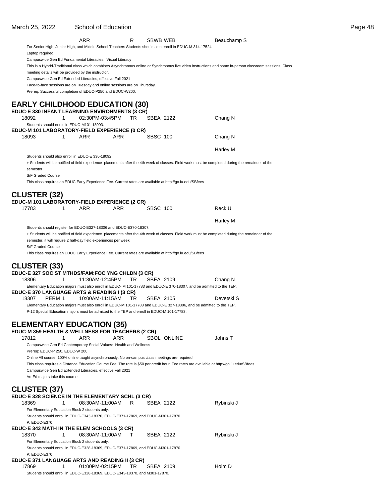|                                                                                                 |             | ARR             |      | R         | SBWB WEB        |                                                                                                                                           | Beauchamp S                                                                                                                                               |
|-------------------------------------------------------------------------------------------------|-------------|-----------------|------|-----------|-----------------|-------------------------------------------------------------------------------------------------------------------------------------------|-----------------------------------------------------------------------------------------------------------------------------------------------------------|
|                                                                                                 |             |                 |      |           |                 |                                                                                                                                           |                                                                                                                                                           |
|                                                                                                 |             |                 |      |           |                 | For Senior High, Junior High, and Middle School Teachers Students should also enroll in EDUC-M 314-17524.                                 |                                                                                                                                                           |
| Laptop required.                                                                                |             |                 |      |           |                 |                                                                                                                                           |                                                                                                                                                           |
| Campuswide Gen Ed Fundamental Literacies: Visual Literacy                                       |             |                 |      |           |                 |                                                                                                                                           |                                                                                                                                                           |
|                                                                                                 |             |                 |      |           |                 |                                                                                                                                           | This is a Hybrid-Traditional class which combines Asynchronous online or Synchronous live video instructions and some in-person classroom sessions. Class |
| meeting details will be provided by the instructor.                                             |             |                 |      |           |                 |                                                                                                                                           |                                                                                                                                                           |
| Campuswide Gen Ed Extended Literacies, effective Fall 2021                                      |             |                 |      |           |                 |                                                                                                                                           |                                                                                                                                                           |
| Face-to-face sessions are on Tuesday and online sessions are on Thursday.                       |             |                 |      |           |                 |                                                                                                                                           |                                                                                                                                                           |
| Prereq: Successful completion of EDUC-P250 and EDUC-W200.                                       |             |                 |      |           |                 |                                                                                                                                           |                                                                                                                                                           |
|                                                                                                 |             |                 |      |           |                 |                                                                                                                                           |                                                                                                                                                           |
| <b>EARLY CHILDHOOD EDUCATION (30)</b>                                                           |             |                 |      |           |                 |                                                                                                                                           |                                                                                                                                                           |
| EDUC-E 330 INFANT LEARNING ENVIRONMENTS (3 CR)                                                  |             |                 |      |           |                 |                                                                                                                                           |                                                                                                                                                           |
| 18092                                                                                           | $\mathbf 1$ | 02:30PM-03:45PM |      | <b>TR</b> | SBEA 2122       |                                                                                                                                           | Chang N                                                                                                                                                   |
| Students should enroll in EDUC-M101-18093.                                                      |             |                 |      |           |                 |                                                                                                                                           |                                                                                                                                                           |
| EDUC-M 101 LABORATORY-FIELD EXPERIENCE (0 CR)                                                   |             |                 |      |           |                 |                                                                                                                                           |                                                                                                                                                           |
| 18093                                                                                           | 1           | ARR             | ARR  |           | <b>SBSC 100</b> |                                                                                                                                           | Chang N                                                                                                                                                   |
|                                                                                                 |             |                 |      |           |                 |                                                                                                                                           |                                                                                                                                                           |
|                                                                                                 |             |                 |      |           |                 |                                                                                                                                           | Harley M                                                                                                                                                  |
| Students should also enroll in EDUC-E 330-18092.                                                |             |                 |      |           |                 |                                                                                                                                           |                                                                                                                                                           |
|                                                                                                 |             |                 |      |           |                 |                                                                                                                                           |                                                                                                                                                           |
|                                                                                                 |             |                 |      |           |                 |                                                                                                                                           | + Students will be notified of field experience placements after the 4th week of classes. Field work must be completed during the remainder of the        |
| semester.                                                                                       |             |                 |      |           |                 |                                                                                                                                           |                                                                                                                                                           |
| S/F Graded Course                                                                               |             |                 |      |           |                 |                                                                                                                                           |                                                                                                                                                           |
|                                                                                                 |             |                 |      |           |                 | This class requires an EDUC Early Experience Fee. Current rates are available at http://go.iu.edu/SBfees                                  |                                                                                                                                                           |
|                                                                                                 |             |                 |      |           |                 |                                                                                                                                           |                                                                                                                                                           |
| <b>CLUSTER (32)</b>                                                                             |             |                 |      |           |                 |                                                                                                                                           |                                                                                                                                                           |
| EDUC-M 101 LABORATORY-FIELD EXPERIENCE (2 CR)                                                   |             |                 |      |           |                 |                                                                                                                                           |                                                                                                                                                           |
| 17783                                                                                           | 1           | ARR             | ARR  |           | <b>SBSC 100</b> |                                                                                                                                           | Reck U                                                                                                                                                    |
|                                                                                                 |             |                 |      |           |                 |                                                                                                                                           |                                                                                                                                                           |
|                                                                                                 |             |                 |      |           |                 |                                                                                                                                           | Harley M                                                                                                                                                  |
| Students should register for EDUC-E327-18306 and EDUC-E370-18307.                               |             |                 |      |           |                 |                                                                                                                                           |                                                                                                                                                           |
|                                                                                                 |             |                 |      |           |                 |                                                                                                                                           | + Students will be notified of field experience placements after the 4th week of classes. Field work must be completed during the remainder of the        |
| semester; it will require 2 half-day field experiences per week                                 |             |                 |      |           |                 |                                                                                                                                           |                                                                                                                                                           |
| S/F Graded Course                                                                               |             |                 |      |           |                 |                                                                                                                                           |                                                                                                                                                           |
|                                                                                                 |             |                 |      |           |                 |                                                                                                                                           |                                                                                                                                                           |
|                                                                                                 |             |                 |      |           |                 | This class requires an EDUC Early Experience Fee. Current rates are available at http://go.iu.edu/SBfees                                  |                                                                                                                                                           |
|                                                                                                 |             |                 |      |           |                 |                                                                                                                                           |                                                                                                                                                           |
| <b>CLUSTER (33)</b>                                                                             |             |                 |      |           |                 |                                                                                                                                           |                                                                                                                                                           |
| EDUC-E 327 SOC ST MTHDS/FAM:FOC YNG CHLDN (3 CR)                                                |             |                 |      |           |                 |                                                                                                                                           |                                                                                                                                                           |
| 18306                                                                                           | 1           | 11:30AM-12:45PM |      | TR        | SBEA 2109       |                                                                                                                                           | Chang N                                                                                                                                                   |
|                                                                                                 |             |                 |      |           |                 | Elementary Education majors must also enroll in EDUC-M 101-17783 and EDUC-E 370-18307, and be admitted to the TEP.                        |                                                                                                                                                           |
| EDUC-E 370 LANGUAGE ARTS & READING I (3 CR)                                                     |             |                 |      |           |                 |                                                                                                                                           |                                                                                                                                                           |
| 18307<br>PERM 1                                                                                 |             | 10:00AM-11:15AM |      | TR        | SBEA 2105       |                                                                                                                                           | Devetski S                                                                                                                                                |
|                                                                                                 |             |                 |      |           |                 | Elementary Education majors must also enroll in EDUC-M 101-17783 and EDUC-E 327-18306, and be admitted to the TEP.                        |                                                                                                                                                           |
| P-12 Special Education majors must be admitted to the TEP and enroll in EDUC-M 101-17783.       |             |                 |      |           |                 |                                                                                                                                           |                                                                                                                                                           |
|                                                                                                 |             |                 |      |           |                 |                                                                                                                                           |                                                                                                                                                           |
| <b>ELEMENTARY EDUCATION (35)</b>                                                                |             |                 |      |           |                 |                                                                                                                                           |                                                                                                                                                           |
| EDUC-M 359 HEALTH & WELLNESS FOR TEACHERS (2 CR)                                                |             |                 |      |           |                 |                                                                                                                                           |                                                                                                                                                           |
| 17812                                                                                           | 1           | ARR             | ARR. |           |                 |                                                                                                                                           | Johns T                                                                                                                                                   |
|                                                                                                 |             |                 |      |           |                 | SBOL ONLINE                                                                                                                               |                                                                                                                                                           |
| Campuswide Gen Ed Contemporary Social Values: Health and Wellness                               |             |                 |      |           |                 |                                                                                                                                           |                                                                                                                                                           |
| Prereq: EDUC-P 250, EDUC-W 200                                                                  |             |                 |      |           |                 |                                                                                                                                           |                                                                                                                                                           |
| Online All course: 100% online taught asynchronously. No on-campus class meetings are required. |             |                 |      |           |                 |                                                                                                                                           |                                                                                                                                                           |
|                                                                                                 |             |                 |      |           |                 | This class requires a Distance Education Course Fee. The rate is \$50 per credit hour. Fee rates are available at http://go.iu.edu/SBfees |                                                                                                                                                           |
| Campuswide Gen Ed Extended Literacies, effective Fall 2021                                      |             |                 |      |           |                 |                                                                                                                                           |                                                                                                                                                           |
| Art Ed majors take this course.                                                                 |             |                 |      |           |                 |                                                                                                                                           |                                                                                                                                                           |
|                                                                                                 |             |                 |      |           |                 |                                                                                                                                           |                                                                                                                                                           |
|                                                                                                 |             |                 |      |           |                 |                                                                                                                                           |                                                                                                                                                           |
|                                                                                                 |             |                 |      |           |                 |                                                                                                                                           |                                                                                                                                                           |
| <b>CLUSTER (37)</b>                                                                             |             |                 |      |           |                 |                                                                                                                                           |                                                                                                                                                           |
| EDUC-E 328 SCIENCE IN THE ELEMENTARY SCHL (3 CR)                                                |             |                 |      |           |                 |                                                                                                                                           |                                                                                                                                                           |
| 18369                                                                                           | 1           | 08:30AM-11:00AM |      | R         | SBEA 2122       |                                                                                                                                           | Rybinski J                                                                                                                                                |
| For Elementary Education Block 2 students only.                                                 |             |                 |      |           |                 |                                                                                                                                           |                                                                                                                                                           |
| Students should enroll in EDUC-E343-18370, EDUC-E371-17869, and EDUC-M301-17870.                |             |                 |      |           |                 |                                                                                                                                           |                                                                                                                                                           |
| P: EDUC-E370                                                                                    |             |                 |      |           |                 |                                                                                                                                           |                                                                                                                                                           |
| EDUC-E 343 MATH IN THE ELEM SCHOOLS (3 CR)                                                      |             |                 |      |           |                 |                                                                                                                                           |                                                                                                                                                           |
| 18370                                                                                           | 1           | 08:30AM-11:00AM |      | T         | SBEA 2122       |                                                                                                                                           | Rybinski J                                                                                                                                                |
| For Elementary Education Block 2 students only.                                                 |             |                 |      |           |                 |                                                                                                                                           |                                                                                                                                                           |
| Students should enroll in EDUC-E328-18369, EDUC-E371-17869, and EDUC-M301-17870.                |             |                 |      |           |                 |                                                                                                                                           |                                                                                                                                                           |
| P: EDUC-E370                                                                                    |             |                 |      |           |                 |                                                                                                                                           |                                                                                                                                                           |
| <b>EDUC-E 371 LANGUAGE ARTS AND READING II (3 CR)</b>                                           |             |                 |      |           |                 |                                                                                                                                           |                                                                                                                                                           |
| 17869                                                                                           | 1           | 01:00PM-02:15PM |      | TR        | SBEA 2109       |                                                                                                                                           | Holm D                                                                                                                                                    |

### March 25, 2022 School of Education **Page 48**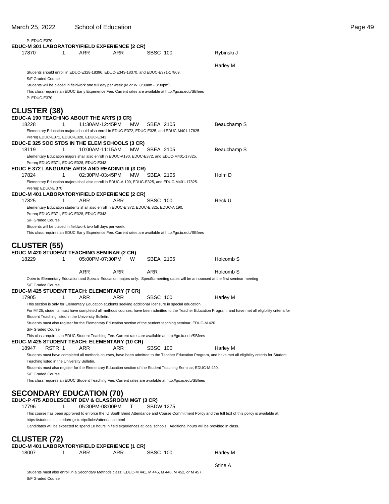### March 25, 2022 School of Education **Page 49**

| P: EDUC-E370                                              |                                                                                       |           |                                                                                                                                  |                                                                                                                                                            |
|-----------------------------------------------------------|---------------------------------------------------------------------------------------|-----------|----------------------------------------------------------------------------------------------------------------------------------|------------------------------------------------------------------------------------------------------------------------------------------------------------|
| EDUC-M 301 LABORATORY/FIELD EXPERIENCE (2 CR)             |                                                                                       |           |                                                                                                                                  |                                                                                                                                                            |
| 17870<br>1                                                | ARR                                                                                   | ARR       | SBSC 100                                                                                                                         | Rybinski J                                                                                                                                                 |
|                                                           |                                                                                       |           |                                                                                                                                  | Harley M                                                                                                                                                   |
|                                                           | Students should enroll in EDUC-E328-18396, EDUC-E343-18370, and EDUC-E371-17869.      |           |                                                                                                                                  |                                                                                                                                                            |
| S/F Graded Course                                         |                                                                                       |           |                                                                                                                                  |                                                                                                                                                            |
|                                                           | Students will be placed in fieldwork one full day per week (M or W, 8:00am - 3:30pm). |           | This class requires an EDUC Early Experience Fee. Current rates are available at http://go.iu.edu/SBfees                         |                                                                                                                                                            |
| P: EDUC-E370                                              |                                                                                       |           |                                                                                                                                  |                                                                                                                                                            |
|                                                           |                                                                                       |           |                                                                                                                                  |                                                                                                                                                            |
| <b>CLUSTER (38)</b>                                       |                                                                                       |           |                                                                                                                                  |                                                                                                                                                            |
| EDUC-A 190 TEACHING ABOUT THE ARTS (3 CR)                 |                                                                                       |           |                                                                                                                                  |                                                                                                                                                            |
| 18228<br>1                                                | 11:30AM-12:45PM                                                                       | <b>MW</b> | SBEA 2105<br>Elementary Education majors should also enroll in EDUC-E372, EDUC-E325, and EDUC-M401-17825.                        | Beauchamp S                                                                                                                                                |
|                                                           | Prereq EDUC-E371, EDUC-E328, EDUC-E343                                                |           |                                                                                                                                  |                                                                                                                                                            |
| <b>EDUC-E 325 SOC STDS IN THE ELEM SCHOOLS (3 CR)</b>     |                                                                                       |           |                                                                                                                                  |                                                                                                                                                            |
| 18119<br>1                                                | 10:00AM-11:15AM                                                                       | MW.       | SBEA 2105                                                                                                                        | Beauchamp S                                                                                                                                                |
|                                                           |                                                                                       |           | Elementary Education majors shall also enroll in EDUC-A190, EDUC-E372, and EDUC-M401-17825.                                      |                                                                                                                                                            |
| <b>EDUC-E 372 LANGUAGE ARTS AND READING III (3 CR)</b>    | Prereq EDUC-E371, EDUC-E328, EDUC-E343                                                |           |                                                                                                                                  |                                                                                                                                                            |
| 17824<br>1                                                | 02:30PM-03:45PM                                                                       | <b>MW</b> | SBEA 2105                                                                                                                        | Holm D                                                                                                                                                     |
|                                                           |                                                                                       |           | Elementary Education majors shall also enroll in EDUC-A 190, EDUC-E325, and EDUC-M401-17825.                                     |                                                                                                                                                            |
| Prereq: EDUC-E 370                                        |                                                                                       |           |                                                                                                                                  |                                                                                                                                                            |
| EDUC-M 401 LABORATORY/FIELD EXPERIENCE (2 CR)             |                                                                                       |           |                                                                                                                                  |                                                                                                                                                            |
| 17825<br>1                                                | ARR                                                                                   | ARR       | <b>SBSC 100</b>                                                                                                                  | Reck U                                                                                                                                                     |
|                                                           | Prereq EDUC-E371, EDUC-E328, EDUC-E343                                                |           | Elementary Education students shall also enroll in EDUC-E 372, EDUC-E 325, EDUC-A 190.                                           |                                                                                                                                                            |
| S/F Graded Course                                         |                                                                                       |           |                                                                                                                                  |                                                                                                                                                            |
|                                                           | Students will be placed in fieldwork two full days per week.                          |           |                                                                                                                                  |                                                                                                                                                            |
|                                                           |                                                                                       |           | This class requires an EDUC Early Experience Fee. Current rates are available at http://go.iu.edu/SBfees                         |                                                                                                                                                            |
| <b>CLUSTER (55)</b>                                       |                                                                                       |           |                                                                                                                                  |                                                                                                                                                            |
|                                                           |                                                                                       |           |                                                                                                                                  |                                                                                                                                                            |
|                                                           |                                                                                       |           |                                                                                                                                  |                                                                                                                                                            |
| EDUC-M 420 STUDENT TEACHING SEMINAR (2 CR)<br>18229<br>1  | 05:00PM-07:30PM                                                                       | W         | SBEA 2105                                                                                                                        | Holcomb <sub>S</sub>                                                                                                                                       |
|                                                           |                                                                                       |           |                                                                                                                                  |                                                                                                                                                            |
|                                                           | ARR                                                                                   | ARR       | ARR                                                                                                                              | Holcomb S                                                                                                                                                  |
|                                                           |                                                                                       |           |                                                                                                                                  | Open to Elementary Education and Special Education majors only. Specific meeting dates will be announced at the first seminar meeting                      |
| S/F Graded Course                                         |                                                                                       |           |                                                                                                                                  |                                                                                                                                                            |
| EDUC-M 425 STUDENT TEACH: ELEMENTARY (7 CR)<br>17905<br>1 | ARR                                                                                   | ARR       | SBSC 100                                                                                                                         | Harley M                                                                                                                                                   |
|                                                           |                                                                                       |           | This section is only for Elementary Education students seeking additional licensure in special education.                        |                                                                                                                                                            |
|                                                           |                                                                                       |           |                                                                                                                                  | For M425, students must have completed all methods courses, have been admitted to the Teacher Education Program, and have met all eligibility criteria for |
|                                                           | Student Teaching listed in the University Bulletin.                                   |           |                                                                                                                                  |                                                                                                                                                            |
|                                                           |                                                                                       |           | Students must also register for the Elementary Education section of the student teaching seminar, EDUC-M 420.                    |                                                                                                                                                            |
| S/F Graded Course                                         |                                                                                       |           | This class requires an EDUC Student Teaching Fee. Current rates are available at http://go.iu.edu/SBfees                         |                                                                                                                                                            |
| EDUC-M 425 STUDENT TEACH: ELEMENTARY (10 CR)              |                                                                                       |           |                                                                                                                                  |                                                                                                                                                            |
| 18947<br>RSTR 1                                           | ARR                                                                                   | ARR       | <b>SBSC 100</b>                                                                                                                  | Harley M                                                                                                                                                   |
|                                                           |                                                                                       |           |                                                                                                                                  | Students must have completed all methods courses, have been admitted to the Teacher Education Program, and have met all eligibility criteria for Student   |
| Teaching listed in the University Bulletin.               |                                                                                       |           |                                                                                                                                  |                                                                                                                                                            |
| S/F Graded Course                                         |                                                                                       |           | Students must also register for the Elementary Education section of the Student Teaching Seminar, EDUC-M 420.                    |                                                                                                                                                            |
|                                                           |                                                                                       |           | This class requires an EDUC Student Teaching Fee. Current rates are available at http://go.iu.edu/SBfees                         |                                                                                                                                                            |
|                                                           |                                                                                       |           |                                                                                                                                  |                                                                                                                                                            |
| <b>SECONDARY EDUCATION (70)</b>                           |                                                                                       |           |                                                                                                                                  |                                                                                                                                                            |
| EDUC-P 475 ADOLESCENT DEV & CLASSROOM MGT (3 CR)          |                                                                                       |           |                                                                                                                                  |                                                                                                                                                            |
| 17796<br>1                                                | 05:30PM-08:00PM                                                                       | т         | <b>SBDW 1275</b>                                                                                                                 |                                                                                                                                                            |
|                                                           | https://students.iusb.edu/registrar/policies/attendance.html                          |           |                                                                                                                                  | This course has been approved to enforce the IU South Bend Attendance and Course Commitment Policy and the full text of this policy is available at:       |
|                                                           |                                                                                       |           | Candidates will be expected to spend 10 hours in field experiences at local schools. Additional hours will be provided in class. |                                                                                                                                                            |
|                                                           |                                                                                       |           |                                                                                                                                  |                                                                                                                                                            |
| <b>CLUSTER (72)</b>                                       |                                                                                       |           |                                                                                                                                  |                                                                                                                                                            |
| EDUC-M 401 LABORATORY/FIELD EXPERIENCE (1 CR)             |                                                                                       |           |                                                                                                                                  |                                                                                                                                                            |
| 18007<br>1                                                | ARR                                                                                   | ARR       | <b>SBSC 100</b>                                                                                                                  | Harley M                                                                                                                                                   |

Students must also enroll in a Secondary Methods class: EDUC-M 441, M 445, M 446, M 452, or M 457. S/F Graded Course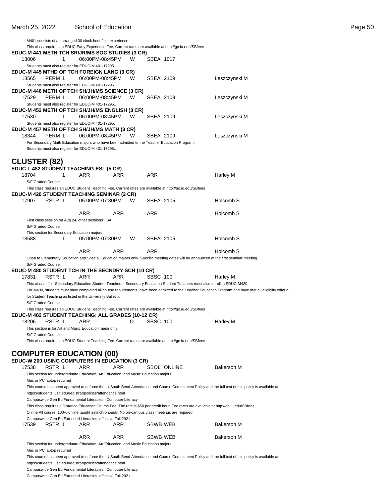|                     | M401 consists of an arranged 30 clock hour field experience.                                        |                 |     |   |                  |                                                                                                                                           |                                                                                                                                                          |
|---------------------|-----------------------------------------------------------------------------------------------------|-----------------|-----|---|------------------|-------------------------------------------------------------------------------------------------------------------------------------------|----------------------------------------------------------------------------------------------------------------------------------------------------------|
|                     |                                                                                                     |                 |     |   |                  | This class requires an EDUC Early Experience Fee. Current rates are available at http://go.iu.edu/SBfees                                  |                                                                                                                                                          |
|                     | EDUC-M 441 METH TCH SR/JR/MS SOC STUDIES (3 CR)                                                     |                 |     |   |                  |                                                                                                                                           |                                                                                                                                                          |
| 18006               | 1                                                                                                   | 06:00PM-08:45PM |     | w | SBEA 1017        |                                                                                                                                           |                                                                                                                                                          |
|                     | Students must also register for EDUC-M 401-17295.                                                   |                 |     |   |                  |                                                                                                                                           |                                                                                                                                                          |
|                     | EDUC-M 445 MTHD OF TCH FOREIGN LANG (3 CR)                                                          | 06:00PM-08:45PM |     | W | <b>SBEA 2109</b> |                                                                                                                                           |                                                                                                                                                          |
| 18565               | PERM 1                                                                                              |                 |     |   |                  |                                                                                                                                           | Leszczynski M                                                                                                                                            |
|                     | Students must also register for EDUC-M 401-17295.<br>EDUC-M 446 METH OF TCH SH/JH/MS SCIENCE (3 CR) |                 |     |   |                  |                                                                                                                                           |                                                                                                                                                          |
| 17529               | PERM 1                                                                                              | 06:00PM-08:45PM |     | W | SBEA 2109        |                                                                                                                                           | Leszczynski M                                                                                                                                            |
|                     | Students must also register for EDUC-M 401-17295                                                    |                 |     |   |                  |                                                                                                                                           |                                                                                                                                                          |
|                     | EDUC-M 452 METH OF TCH SH/JH/MS ENGLISH (3 CR)                                                      |                 |     |   |                  |                                                                                                                                           |                                                                                                                                                          |
| 17530               | 1                                                                                                   | 06:00PM-08:45PM |     | W | SBEA 2109        |                                                                                                                                           | Leszczynski M                                                                                                                                            |
|                     | Students must also register for EDUC-M 401-17295.                                                   |                 |     |   |                  |                                                                                                                                           |                                                                                                                                                          |
|                     | EDUC-M 457 METH OF TCH SH/JH/MS MATH (3 CR)                                                         |                 |     |   |                  |                                                                                                                                           |                                                                                                                                                          |
| 18344               | PERM 1                                                                                              | 06:00PM-08:45PM |     | w | SBEA 2109        |                                                                                                                                           | Leszczynski M                                                                                                                                            |
|                     | For Secondary Math Education majors who have been admitted to the Teacher Education Program.        |                 |     |   |                  |                                                                                                                                           |                                                                                                                                                          |
|                     | Students must also register for EDUC-M 401-17295                                                    |                 |     |   |                  |                                                                                                                                           |                                                                                                                                                          |
|                     |                                                                                                     |                 |     |   |                  |                                                                                                                                           |                                                                                                                                                          |
| <b>CLUSTER (82)</b> |                                                                                                     |                 |     |   |                  |                                                                                                                                           |                                                                                                                                                          |
|                     | EDUC-L 482 STUDENT TEACHING-ESL (5 CR)                                                              |                 |     |   |                  |                                                                                                                                           |                                                                                                                                                          |
| 18704               | 1                                                                                                   | ARR             | ARR |   | ARR              |                                                                                                                                           | Harley M                                                                                                                                                 |
|                     | S/F Graded Course                                                                                   |                 |     |   |                  |                                                                                                                                           |                                                                                                                                                          |
|                     |                                                                                                     |                 |     |   |                  | This class requires an EDUC Student Teaching Fee. Current rates are available at http://go.iu.edu/SBfees                                  |                                                                                                                                                          |
|                     | <b>EDUC-M 420 STUDENT TEACHING SEMINAR (2 CR)</b>                                                   |                 |     |   |                  |                                                                                                                                           |                                                                                                                                                          |
| 17907               | RSTR 1                                                                                              | 05:00PM-07:30PM |     | W | SBEA 2105        |                                                                                                                                           | Holcomb <sub>S</sub>                                                                                                                                     |
|                     |                                                                                                     |                 |     |   |                  |                                                                                                                                           |                                                                                                                                                          |
|                     |                                                                                                     | ARR             | ARR |   | ARR              |                                                                                                                                           | Holcomb S                                                                                                                                                |
|                     | First class session on Aug 24, other sessions TBA.                                                  |                 |     |   |                  |                                                                                                                                           |                                                                                                                                                          |
|                     | S/F Graded Course                                                                                   |                 |     |   |                  |                                                                                                                                           |                                                                                                                                                          |
|                     | This section for Secondary Education majors                                                         |                 |     |   |                  |                                                                                                                                           |                                                                                                                                                          |
| 18588               | 1                                                                                                   | 05:00PM-07:30PM |     | W | SBEA 2105        |                                                                                                                                           | Holcomb S                                                                                                                                                |
|                     |                                                                                                     | ARR             | ARR |   | ARR              |                                                                                                                                           | Holcomb S                                                                                                                                                |
|                     |                                                                                                     |                 |     |   |                  |                                                                                                                                           |                                                                                                                                                          |
|                     | S/F Graded Course                                                                                   |                 |     |   |                  | Open to Elementary Education and Special Education majors only. Specific meeting dates will be announced at the first seminar meeting.    |                                                                                                                                                          |
|                     | EDUC-M 480 STUDENT TCH IN THE SECNDRY SCH (10 CR)                                                   |                 |     |   |                  |                                                                                                                                           |                                                                                                                                                          |
| 17831               | RSTR 1                                                                                              | ARR             | ARR |   | SBSC 100         |                                                                                                                                           | Harley M                                                                                                                                                 |
|                     |                                                                                                     |                 |     |   |                  | This class is for Secondary Education Student Teachers. Secondary Education Student Teachers must also enroll in EDUC-M420.               |                                                                                                                                                          |
|                     |                                                                                                     |                 |     |   |                  |                                                                                                                                           | For M480, students must have completed all course requirements, have been admitted to the Teacher Education Program and have met all eligibiity criteria |
|                     | for Student Teaching as listed in the University Bulletin.                                          |                 |     |   |                  |                                                                                                                                           |                                                                                                                                                          |
|                     | S/F Graded Course                                                                                   |                 |     |   |                  |                                                                                                                                           |                                                                                                                                                          |
|                     |                                                                                                     |                 |     |   |                  | This class requires an EDUC Student Teaching Fee. Current rates are available at http://go.iu.edu/SBfees                                  |                                                                                                                                                          |
|                     | EDUC-M 482 STUDENT TEACHING: ALL GRADES (10-12 CR)                                                  |                 |     |   |                  |                                                                                                                                           |                                                                                                                                                          |
| 18206               | RSTR 1                                                                                              | ARR             |     | D | SBSC 100         |                                                                                                                                           | Harley M                                                                                                                                                 |
|                     | This section is for Art and Music Education major only.                                             |                 |     |   |                  |                                                                                                                                           |                                                                                                                                                          |
|                     | S/F Graded Course                                                                                   |                 |     |   |                  |                                                                                                                                           |                                                                                                                                                          |
|                     |                                                                                                     |                 |     |   |                  | This class requires an EDUC Student Teaching Fee. Current rates are available at http://go.iu.edu/SBfees                                  |                                                                                                                                                          |
|                     |                                                                                                     |                 |     |   |                  |                                                                                                                                           |                                                                                                                                                          |
|                     | <b>COMPUTER EDUCATION (00)</b>                                                                      |                 |     |   |                  |                                                                                                                                           |                                                                                                                                                          |
|                     | EDUC-W 200 USING COMPUTERS IN EDUCATION (3 CR)                                                      |                 |     |   |                  |                                                                                                                                           |                                                                                                                                                          |
| 17538               | RSTR 1                                                                                              | ARR             | ARR |   |                  | SBOL ONLINE                                                                                                                               | <b>Bakerson M</b>                                                                                                                                        |
|                     | This section for undergraduate Education, Art Education, and Music Education majors.                |                 |     |   |                  |                                                                                                                                           |                                                                                                                                                          |
|                     | Mac or PC laptop required                                                                           |                 |     |   |                  |                                                                                                                                           |                                                                                                                                                          |
|                     |                                                                                                     |                 |     |   |                  |                                                                                                                                           | This course has been approved to enforce the IU South Bend Attendance and Course Commitment Policy and the full text of this policy is available at:     |
|                     | https://students.iusb.edu/registrar/policies/attendance.html                                        |                 |     |   |                  |                                                                                                                                           |                                                                                                                                                          |
|                     | Campuswide Gen Ed Fundamental Literacies: Computer Literacy                                         |                 |     |   |                  |                                                                                                                                           |                                                                                                                                                          |
|                     |                                                                                                     |                 |     |   |                  | This class requires a Distance Education Course Fee. The rate is \$50 per credit hour. Fee rates are available at http://go.iu.edu/SBfees |                                                                                                                                                          |
|                     | Online All course: 100% online taught asynchronously. No on-campus class meetings are required.     |                 |     |   |                  |                                                                                                                                           |                                                                                                                                                          |
|                     | Campuswide Gen Ed Extended Literacies, effective Fall 2021                                          |                 |     |   |                  |                                                                                                                                           |                                                                                                                                                          |
| 17539               | RSTR 1                                                                                              | ARR             | ARR |   | SBWB WEB         |                                                                                                                                           | <b>Bakerson M</b>                                                                                                                                        |
|                     |                                                                                                     | ARR             | ARR |   | SBWB WEB         |                                                                                                                                           | <b>Bakerson M</b>                                                                                                                                        |
|                     |                                                                                                     |                 |     |   |                  |                                                                                                                                           |                                                                                                                                                          |

This section for undergraduate Education, Art Education, and Music Education majors.

Mac or PC laptop required

This course has been approved to enforce the IU South Bend Attendance and Course Commitment Policy and the full text of this policy is available at: https://students.iusb.edu/registrar/policies/attendance.html

Campuswide Gen Ed Fundamental Literacies: Computer Literacy

Campuswide Gen Ed Extended Literacies, effective Fall 2021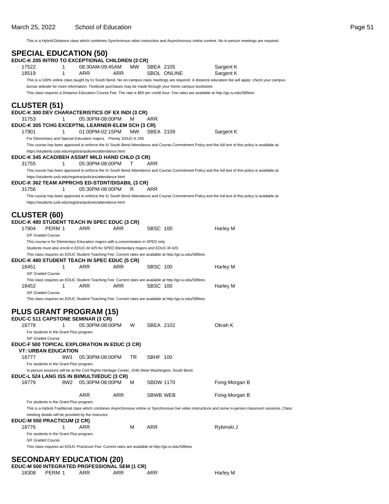This is a Hybrid-Distance class which combines Synchronous video instruction and Asynchronous online content. No in-person meetings are required.

| <b>SPECIAL EDUCATION (50)</b><br>EDUC-K 205 INTRO TO EXCEPTIONAL CHILDREN (3 CR) |                                                                                                                 |            |           |                 |             |                                                                                                                                                           |  |
|----------------------------------------------------------------------------------|-----------------------------------------------------------------------------------------------------------------|------------|-----------|-----------------|-------------|-----------------------------------------------------------------------------------------------------------------------------------------------------------|--|
| 17522<br>1                                                                       | 08:30AM-09:45AM                                                                                                 |            | MW        | SBEA 2105       |             | Sargent K                                                                                                                                                 |  |
| 18519<br>1                                                                       | ARR                                                                                                             | ARR        |           |                 | SBOL ONLINE | Sargent K                                                                                                                                                 |  |
|                                                                                  |                                                                                                                 |            |           |                 |             | This is a 100% online class taught by IU South Bend. No on-campus class meetings are required. A distance education fee will apply; check your campus     |  |
|                                                                                  | bursar website for more information. Textbook purchases may be made through your home campus bookstore.         |            |           |                 |             |                                                                                                                                                           |  |
|                                                                                  |                                                                                                                 |            |           |                 |             | This class requires a Distance Education Course Fee. The rate is \$50 per credit hour. Fee rates are available at http://go.iu.edu/SBfees                 |  |
| <b>CLUSTER (51)</b>                                                              |                                                                                                                 |            |           |                 |             |                                                                                                                                                           |  |
| EDUC-K 300 DEV CHARACTERISTICS OF EX INDI (3 CR)                                 |                                                                                                                 |            |           |                 |             |                                                                                                                                                           |  |
| 31753<br>1                                                                       | 05:30PM-08:00PM                                                                                                 |            | м         | ARR             |             |                                                                                                                                                           |  |
| EDUC-K 305 TCHG EXCEPTNL LEARNER-ELEM SCH (3 CR)                                 |                                                                                                                 |            |           |                 |             |                                                                                                                                                           |  |
| 17901<br>1                                                                       | 01:00PM-02:15PM                                                                                                 |            | <b>MW</b> | SBEA 2109       |             | Sargent K                                                                                                                                                 |  |
|                                                                                  | For Elementary and Special Education majors. Prereq: EDUC-K 205                                                 |            |           |                 |             |                                                                                                                                                           |  |
|                                                                                  | https://students.iusb.edu/registrar/policies/attendance.html                                                    |            |           |                 |             | This course has been approved to enforce the IU South Bend Attendance and Course Commitment Policy and the full text of this policy is available at:      |  |
| EDUC-K 345 ACAD/BEH ASSMT MILD HAND CHLD (3 CR)                                  |                                                                                                                 |            |           |                 |             |                                                                                                                                                           |  |
| 31755<br>1                                                                       | 05:30PM-08:00PM                                                                                                 |            | т         | ARR             |             |                                                                                                                                                           |  |
|                                                                                  |                                                                                                                 |            |           |                 |             | This course has been approved to enforce the IU South Bend Attendance and Course Commitment Policy and the full text of this policy is available at:      |  |
|                                                                                  | https://students.iusb.edu/registrar/policies/attendance.html                                                    |            |           |                 |             |                                                                                                                                                           |  |
| EDUC-K 362 TEAM APPRCHS ED-STDNT/DISABIL (3 CR)<br>31756<br>1                    | 05:30PM-08:00PM                                                                                                 |            | R         | ARR             |             |                                                                                                                                                           |  |
|                                                                                  |                                                                                                                 |            |           |                 |             | This course has been approved to enforce the IU South Bend Attendance and Course Commitment Policy and the full text of this policy is available at:      |  |
|                                                                                  | https://students.iusb.edu/registrar/policies/attendance.html                                                    |            |           |                 |             |                                                                                                                                                           |  |
|                                                                                  |                                                                                                                 |            |           |                 |             |                                                                                                                                                           |  |
| <b>CLUSTER (60)</b>                                                              |                                                                                                                 |            |           |                 |             |                                                                                                                                                           |  |
| EDUC-K 480 STUDENT TEACH IN SPEC EDUC (3 CR)                                     |                                                                                                                 |            |           |                 |             |                                                                                                                                                           |  |
| 17904<br>PERM 1                                                                  | ARR                                                                                                             | <b>ARR</b> |           | <b>SBSC 100</b> |             | Harley M                                                                                                                                                  |  |
| S/F Graded Course                                                                | This course is for Elementary Education majors with a concentration in SPED only                                |            |           |                 |             |                                                                                                                                                           |  |
|                                                                                  | Students must also enroll in EDUC-M 425 for SPED Elementary majors and EDUC-M 420.                              |            |           |                 |             |                                                                                                                                                           |  |
|                                                                                  | This class requires an EDUC Student Teaching Fee. Current rates are available at http://go.iu.edu/SBfees        |            |           |                 |             |                                                                                                                                                           |  |
| EDUC-K 480 STUDENT TEACH IN SPEC EDUC (5 CR)                                     |                                                                                                                 |            |           |                 |             |                                                                                                                                                           |  |
| 18451<br>1                                                                       | ARR                                                                                                             | <b>ARR</b> |           | <b>SBSC 100</b> |             | Harley M                                                                                                                                                  |  |
| S/F Graded Course                                                                |                                                                                                                 |            |           |                 |             |                                                                                                                                                           |  |
| 1<br>18452                                                                       | This class requires an EDUC Student Teaching Fee. Current rates are available at http://go.iu.edu/SBfees<br>ARR | ARR        |           | <b>SBSC 100</b> |             | Harley M                                                                                                                                                  |  |
| S/F Graded Course                                                                |                                                                                                                 |            |           |                 |             |                                                                                                                                                           |  |
|                                                                                  | This class requires an EDUC Student Teaching Fee. Current rates are available at http://go.iu.edu/SBfees        |            |           |                 |             |                                                                                                                                                           |  |
|                                                                                  |                                                                                                                 |            |           |                 |             |                                                                                                                                                           |  |
| <b>PLUS GRANT PROGRAM (15)</b>                                                   |                                                                                                                 |            |           |                 |             |                                                                                                                                                           |  |
| EDUC-C 511 CAPSTONE SEMINAR (3 CR)                                               |                                                                                                                 |            |           |                 |             |                                                                                                                                                           |  |
| 18778<br>1                                                                       | 05:30PM-08:00PM                                                                                                 |            | W         | SBEA 2102       |             | Okrah K                                                                                                                                                   |  |
| For students in the Grant Plus program.<br>S/F Graded Course                     |                                                                                                                 |            |           |                 |             |                                                                                                                                                           |  |
| <b>EDUC-F 500 TOPICAL EXPLORATION IN EDUC (3 CR)</b>                             |                                                                                                                 |            |           |                 |             |                                                                                                                                                           |  |
| <b>VT: URBAN EDUCATION</b>                                                       |                                                                                                                 |            |           |                 |             |                                                                                                                                                           |  |
| 18777                                                                            | 8W1<br>05:30PM-08:00PM                                                                                          |            | TR        | SBHF 100        |             |                                                                                                                                                           |  |
| For students in the Grant Plus program.                                          |                                                                                                                 |            |           |                 |             |                                                                                                                                                           |  |
| EDUC-L 524 LANG ISS IN BI/MULTI/EDUC (3 CR)                                      | In-person sessions will be at the Civil Rights Heritage Center, 1040 West Washington, South Bend.               |            |           |                 |             |                                                                                                                                                           |  |
| 18779                                                                            | 8W <sub>2</sub><br>05:30PM-08:00PM                                                                              |            | м         | SBDW 1170       |             | Fong-Morgan B                                                                                                                                             |  |
|                                                                                  |                                                                                                                 |            |           |                 |             |                                                                                                                                                           |  |
|                                                                                  | ARR                                                                                                             | ARR        |           | SBWB WEB        |             | Fong-Morgan B                                                                                                                                             |  |
| For students in the Grant Plus program.                                          |                                                                                                                 |            |           |                 |             |                                                                                                                                                           |  |
|                                                                                  |                                                                                                                 |            |           |                 |             | This is a Hybrid-Traditional class which combines Asynchronous online or Synchronous live video instructions and some in-person classroom sessions. Class |  |
|                                                                                  | meeting details will be provided by the instructor.                                                             |            |           |                 |             |                                                                                                                                                           |  |
| EDUC-M 550 PRACTICUM (2 CR)<br>1<br>18776                                        | ARR                                                                                                             |            | м         | ARR             |             | Rybinski J                                                                                                                                                |  |
| For students in the Grant Plus program.                                          |                                                                                                                 |            |           |                 |             |                                                                                                                                                           |  |
| S/F Graded Course                                                                |                                                                                                                 |            |           |                 |             |                                                                                                                                                           |  |
|                                                                                  | This class requires an EDUC Practicum Fee. Current rates are available at http://go.iu.edu/SBfees               |            |           |                 |             |                                                                                                                                                           |  |
|                                                                                  |                                                                                                                 |            |           |                 |             |                                                                                                                                                           |  |
| <b>SECONDARY EDUCATION (20)</b><br>ENUC M 500 INTECRATER BROEESSIONAL SEM (4 CR) |                                                                                                                 |            |           |                 |             |                                                                                                                                                           |  |

Harley M

|       |        |     | EDUC-M 500 INTEGRATED PROFESSIONAL SEM (1 CR) |     |
|-------|--------|-----|-----------------------------------------------|-----|
| 18308 | PFRM 1 | ARR | ARR                                           | ARR |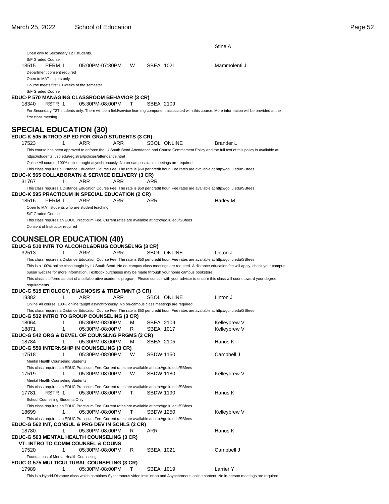|                                                                                                                                                                                                                          |                 |            |   |                  |                    | Stine A                                                                                                                                                 |
|--------------------------------------------------------------------------------------------------------------------------------------------------------------------------------------------------------------------------|-----------------|------------|---|------------------|--------------------|---------------------------------------------------------------------------------------------------------------------------------------------------------|
| Open only to Secondary T2T students.                                                                                                                                                                                     |                 |            |   |                  |                    |                                                                                                                                                         |
| S/F Graded Course<br>PERM 1<br>18515<br>Department consent required                                                                                                                                                      | 05:00PM-07:30PM |            | W | SBEA 1021        |                    | Mammolenti J                                                                                                                                            |
| Open to MAT majors only.                                                                                                                                                                                                 |                 |            |   |                  |                    |                                                                                                                                                         |
| Course meets first 10 weeks of the semester                                                                                                                                                                              |                 |            |   |                  |                    |                                                                                                                                                         |
| S/F Graded Course                                                                                                                                                                                                        |                 |            |   |                  |                    |                                                                                                                                                         |
| EDUC-P 570 MANAGING CLASSROOM BEHAVIOR (3 CR)                                                                                                                                                                            |                 |            |   |                  |                    |                                                                                                                                                         |
| RSTR 1<br>18340                                                                                                                                                                                                          | 05:30PM-08:00PM |            | т | SBEA 2109        |                    |                                                                                                                                                         |
| first class meeting                                                                                                                                                                                                      |                 |            |   |                  |                    | For Secondary T2T students only. There will be a field/service learning component associated with this course. More information will be provided at the |
|                                                                                                                                                                                                                          |                 |            |   |                  |                    |                                                                                                                                                         |
| <b>SPECIAL EDUCATION (30)</b>                                                                                                                                                                                            |                 |            |   |                  |                    |                                                                                                                                                         |
| EDUC-K 505 INTROD SP ED FOR GRAD STUDENTS (3 CR)                                                                                                                                                                         |                 |            |   |                  |                    |                                                                                                                                                         |
| 17523<br>1                                                                                                                                                                                                               | <b>ARR</b>      | <b>ARR</b> |   |                  | <b>SBOL ONLINE</b> | <b>Brander L</b>                                                                                                                                        |
|                                                                                                                                                                                                                          |                 |            |   |                  |                    | This course has been approved to enforce the IU South Bend Attendance and Course Commitment Policy and the full text of this policy is available at:    |
| https://students.iusb.edu/registrar/policies/attendance.html                                                                                                                                                             |                 |            |   |                  |                    |                                                                                                                                                         |
| Online All course: 100% online taught asynchronously. No on-campus class meetings are required.                                                                                                                          |                 |            |   |                  |                    |                                                                                                                                                         |
|                                                                                                                                                                                                                          |                 |            |   |                  |                    | This class requires a Distance Education Course Fee. The rate is \$50 per credit hour. Fee rates are available at http://go.iu.edu/SBfees               |
| EDUC-K 565 COLLABORATN & SERVICE DELIVERY (3 CR)                                                                                                                                                                         |                 |            |   |                  |                    |                                                                                                                                                         |
| 31767<br>1                                                                                                                                                                                                               | ARR             | ARR        |   | ARR              |                    |                                                                                                                                                         |
| <b>EDUC-K 595 PRACTICUM IN SPECIAL EDUCATION (2 CR)</b>                                                                                                                                                                  |                 |            |   |                  |                    | This class requires a Distance Education Course Fee. The rate is \$50 per credit hour. Fee rates are available at http://go.iu.edu/SBfees               |
| 18516<br>PERM 1                                                                                                                                                                                                          | ARR             | ARR        |   | ARR              |                    | Harley M                                                                                                                                                |
| Open to MAT students who are student teaching                                                                                                                                                                            |                 |            |   |                  |                    |                                                                                                                                                         |
| S/F Graded Course                                                                                                                                                                                                        |                 |            |   |                  |                    |                                                                                                                                                         |
| This class requires an EDUC Practicum Fee. Current rates are available at http://go.iu.edu/SBfees                                                                                                                        |                 |            |   |                  |                    |                                                                                                                                                         |
| Consent of Instructor required                                                                                                                                                                                           |                 |            |   |                  |                    |                                                                                                                                                         |
|                                                                                                                                                                                                                          |                 |            |   |                  |                    |                                                                                                                                                         |
| <b>COUNSELOR EDUCATION (40)</b>                                                                                                                                                                                          |                 |            |   |                  |                    |                                                                                                                                                         |
| EDUC-G 510 INTR TO ALCOHOL&DRUG COUNSELNG (3 CR)                                                                                                                                                                         |                 |            |   |                  |                    |                                                                                                                                                         |
| 32513<br>1                                                                                                                                                                                                               | ARR             | ARR        |   |                  | <b>SBOL ONLINE</b> | Linton J                                                                                                                                                |
|                                                                                                                                                                                                                          |                 |            |   |                  |                    | This class requires a Distance Education Course Fee. The rate is \$50 per credit hour. Fee rates are available at http://go.iu.edu/SBfees               |
|                                                                                                                                                                                                                          |                 |            |   |                  |                    | This is a 100% online class taught by IU South Bend. No on-campus class meetings are required. A distance education fee will apply; check your campus   |
| bursar website for more information. Textbook purchases may be made through your home campus bookstore.                                                                                                                  |                 |            |   |                  |                    | This class is offered as part of a collaborative academic program. Please consult with your advisor to ensure this class will count toward your degree  |
| requirements.                                                                                                                                                                                                            |                 |            |   |                  |                    |                                                                                                                                                         |
| EDUC-G 515 ETIOLOGY, DIAGNOSIS & TREATMNT (3 CR)                                                                                                                                                                         |                 |            |   |                  |                    |                                                                                                                                                         |
| 18382<br>1                                                                                                                                                                                                               | ARR             | ARR        |   |                  | <b>SBOL ONLINE</b> | Linton J                                                                                                                                                |
| Online All course: 100% online taught asynchronously. No on-campus class meetings are required.                                                                                                                          |                 |            |   |                  |                    |                                                                                                                                                         |
|                                                                                                                                                                                                                          |                 |            |   |                  |                    |                                                                                                                                                         |
| <b>EDUC-G 532 INTRO TO GROUP COUNSELING (3 CR)</b>                                                                                                                                                                       |                 |            |   |                  |                    | This class requires a Distance Education Course Fee. The rate is \$50 per credit hour. Fee rates are available at http://go.iu.edu/SBfees               |
|                                                                                                                                                                                                                          |                 |            |   |                  |                    |                                                                                                                                                         |
| 18064<br>1                                                                                                                                                                                                               | 05:30PM-08:00PM |            | м | SBEA 2109        |                    | Kelleybrew V                                                                                                                                            |
| 1<br>18871                                                                                                                                                                                                               | 05:30PM-08:00PM |            | R | SBEA 1017        |                    | Kelleybrew V                                                                                                                                            |
|                                                                                                                                                                                                                          |                 |            |   |                  |                    |                                                                                                                                                         |
| 18784<br>1                                                                                                                                                                                                               | 05:30PM-08:00PM |            | М | SBEA 2105        |                    | Hanus K                                                                                                                                                 |
|                                                                                                                                                                                                                          |                 |            |   |                  |                    |                                                                                                                                                         |
| 17518<br>1                                                                                                                                                                                                               | 05:30PM-08:00PM |            | W | SBDW 1150        |                    | Campbell J                                                                                                                                              |
| Mental Health Counseling Students                                                                                                                                                                                        |                 |            |   |                  |                    |                                                                                                                                                         |
| This class requires an EDUC Practicum Fee. Current rates are available at http://go.iu.edu/SBfees<br>17519<br>1                                                                                                          | 05:30PM-08:00PM |            | W | <b>SBDW 1180</b> |                    |                                                                                                                                                         |
|                                                                                                                                                                                                                          |                 |            |   |                  |                    | Kelleybrew V                                                                                                                                            |
| Mental Health Counseling Students<br>This class requires an EDUC Practicum Fee. Current rates are available at http://go.iu.edu/SBfees                                                                                   |                 |            |   |                  |                    |                                                                                                                                                         |
| 17781<br>RSTR 1                                                                                                                                                                                                          | 05:30PM-08:00PM |            | т | <b>SBDW 1190</b> |                    | Hanus K                                                                                                                                                 |
| School Counseling Students Only                                                                                                                                                                                          |                 |            |   |                  |                    |                                                                                                                                                         |
| This class requires an EDUC Practicum Fee. Current rates are available at http://go.iu.edu/SBfees                                                                                                                        |                 |            |   |                  |                    |                                                                                                                                                         |
| 18699<br>1                                                                                                                                                                                                               | 05:30PM-08:00PM |            | Τ | <b>SBDW 1250</b> |                    | Kelleybrew V                                                                                                                                            |
| This class requires an EDUC Practicum Fee. Current rates are available at http://go.iu.edu/SBfees                                                                                                                        |                 |            |   |                  |                    |                                                                                                                                                         |
|                                                                                                                                                                                                                          |                 |            |   |                  |                    |                                                                                                                                                         |
| 18780<br>1                                                                                                                                                                                                               | 05:30PM-08:00PM |            | R | ARR              |                    | Hanus K                                                                                                                                                 |
|                                                                                                                                                                                                                          |                 |            |   |                  |                    |                                                                                                                                                         |
| <b>VT: INTRO TO COMM COUNSEL &amp; COUNS</b>                                                                                                                                                                             |                 |            |   |                  |                    |                                                                                                                                                         |
| <b>EDUC-G 542 ORG &amp; DEVEL OF COUNSLNG PRGMS (3 CR)</b><br>EDUC-G 550 INTERNSHIP IN COUNSELING (3 CR)<br>EDUC-G 562 INT, CONSUL & PRG DEV IN SCHLS (3 CR)<br>EDUC-G 563 MENTAL HEALTH COUNSELING (3 CR)<br>17520<br>1 | 05:30PM-08:00PM |            | R | SBEA 1021        |                    | Campbell J                                                                                                                                              |
| Foundations of Mental Health Counseling                                                                                                                                                                                  |                 |            |   |                  |                    |                                                                                                                                                         |
| <b>EDUC-G 575 MULTICULTURAL COUNSELING (3 CR)</b><br>17989<br>1                                                                                                                                                          | 05:30PM-08:00PM |            | т | SBEA 1019        |                    | Larrier Y                                                                                                                                               |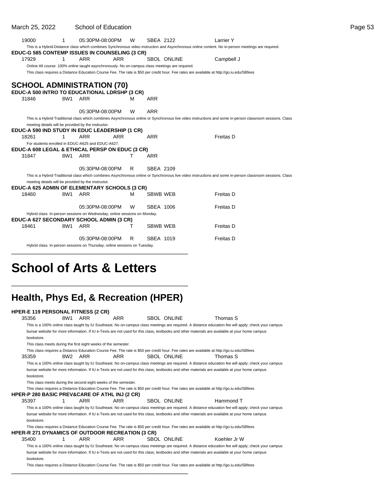| March 25, 2022 |     | School of Education                                                                             |   |                 |                    |                                                                                                                                                           | Page 53 |
|----------------|-----|-------------------------------------------------------------------------------------------------|---|-----------------|--------------------|-----------------------------------------------------------------------------------------------------------------------------------------------------------|---------|
| 19000          | 1   | 05:30PM-08:00PM                                                                                 | W | SBEA 2122       |                    | Larrier Y                                                                                                                                                 |         |
|                |     |                                                                                                 |   |                 |                    | This is a Hybrid-Distance class which combines Synchronous video instruction and Asynchronous online content. No in-person meetings are required.         |         |
|                |     | EDUC-G 585 CONTEMP ISSUES IN COUNSELING (3 CR)                                                  |   |                 |                    |                                                                                                                                                           |         |
| 17929          | 1   | <b>ARR</b><br><b>ARR</b>                                                                        |   |                 | <b>SBOL ONLINE</b> | Campbell J                                                                                                                                                |         |
|                |     | Online All course: 100% online taught asynchronously. No on-campus class meetings are required. |   |                 |                    |                                                                                                                                                           |         |
|                |     |                                                                                                 |   |                 |                    | This class requires a Distance Education Course Fee. The rate is \$50 per credit hour. Fee rates are available at http://go.iu.edu/SBfees                 |         |
|                |     | <b>SCHOOL ADMINISTRATION (70)</b>                                                               |   |                 |                    |                                                                                                                                                           |         |
|                |     | EDUC-A 500 INTRO TO EDUCATIONAL LDRSHP (3 CR)                                                   |   |                 |                    |                                                                                                                                                           |         |
| 31846          |     | 8W1 ARR                                                                                         | м | <b>ARR</b>      |                    |                                                                                                                                                           |         |
|                |     |                                                                                                 |   |                 |                    |                                                                                                                                                           |         |
|                |     | 05:30PM-08:00PM                                                                                 | W | <b>ARR</b>      |                    |                                                                                                                                                           |         |
|                |     |                                                                                                 |   |                 |                    | This is a Hybrid-Traditional class which combines Asynchronous online or Synchronous live video instructions and some in-person classroom sessions. Class |         |
|                |     | meeting details will be provided by the instructor.                                             |   |                 |                    |                                                                                                                                                           |         |
|                |     | EDUC-A 590 IND STUDY IN EDUC LEADERSHIP (1 CR)                                                  |   |                 |                    |                                                                                                                                                           |         |
| 18261          | 1.  | <b>ARR</b><br><b>ARR</b>                                                                        |   | <b>ARR</b>      |                    | <b>Freitas D</b>                                                                                                                                          |         |
|                |     | For students enrolled in EDUC-A625 and EDUC-A627.                                               |   |                 |                    |                                                                                                                                                           |         |
|                |     | EDUC-A 608 LEGAL & ETHICAL PERSP ON EDUC (3 CR)                                                 |   |                 |                    |                                                                                                                                                           |         |
| 31847          |     | 8W1 ARR                                                                                         |   | <b>ARR</b>      |                    |                                                                                                                                                           |         |
|                |     |                                                                                                 |   |                 |                    |                                                                                                                                                           |         |
|                |     | 05:30PM-08:00PM                                                                                 | R | SBEA 2109       |                    |                                                                                                                                                           |         |
|                |     |                                                                                                 |   |                 |                    | This is a Hybrid-Traditional class which combines Asynchronous online or Synchronous live video instructions and some in-person classroom sessions. Class |         |
|                |     | meeting details will be provided by the instructor.                                             |   |                 |                    |                                                                                                                                                           |         |
|                |     | EDUC-A 625 ADMIN OF ELEMENTARY SCHOOLS (3 CR)                                                   |   |                 |                    |                                                                                                                                                           |         |
| 18460          |     | 8W1 ARR                                                                                         | м | <b>SBWB WEB</b> |                    | <b>Freitas D</b>                                                                                                                                          |         |
|                |     | 05:30PM-08:00PM                                                                                 | W | SBEA 1006       |                    | <b>Freitas D</b>                                                                                                                                          |         |
|                |     | Hybrid class. In-person sessions on Wednesday; online sessions on Monday.                       |   |                 |                    |                                                                                                                                                           |         |
|                |     | EDUC-A 627 SECONDARY SCHOOL ADMIN (3 CR)                                                        |   |                 |                    |                                                                                                                                                           |         |
| 18461          | 8W1 | ARR                                                                                             | т | <b>SBWB WEB</b> |                    | Freitas D                                                                                                                                                 |         |
|                |     |                                                                                                 |   |                 |                    |                                                                                                                                                           |         |
|                |     | 05:30PM-08:00PM                                                                                 | R | SBEA 1019       |                    | Freitas D                                                                                                                                                 |         |
|                |     | Hybrid class. In-person sessions on Thursday; online sessions on Tuesday.                       |   |                 |                    |                                                                                                                                                           |         |
|                |     |                                                                                                 |   |                 |                    |                                                                                                                                                           |         |

# **School of Arts & Letters**

### **Health, Phys Ed, & Recreation (HPER)**

\_\_\_\_\_\_\_\_\_\_\_\_\_\_\_\_\_\_\_\_\_\_\_\_\_\_\_\_\_\_\_\_\_\_\_\_\_\_\_\_\_\_\_\_\_\_\_\_\_\_

\_\_\_\_\_\_\_\_\_\_\_\_\_\_\_\_\_\_\_\_\_\_\_\_\_\_\_\_\_\_\_\_\_\_\_\_\_\_\_\_\_\_\_\_\_\_\_\_\_\_

|            |                 | <b>HPER-E 119 PERSONAL FITNESS (2 CR)</b>                       |                                                         |                                                                                                                                                                 |                                                                                                                                                      |
|------------|-----------------|-----------------------------------------------------------------|---------------------------------------------------------|-----------------------------------------------------------------------------------------------------------------------------------------------------------------|------------------------------------------------------------------------------------------------------------------------------------------------------|
| 35356      | 8W1             | ARR                                                             | ARR                                                     | <b>SBOL ONLINE</b>                                                                                                                                              | Thomas S                                                                                                                                             |
|            |                 |                                                                 |                                                         |                                                                                                                                                                 | This is a 100% online class taught by IU Southeast. No on-campus class meetings are required. A distance education fee will apply; check your campus |
|            |                 |                                                                 |                                                         |                                                                                                                                                                 | bursar website for more information. If IU e-Texts are not used for this class, textbooks and other materials are available at your home campus      |
| bookstore. |                 |                                                                 |                                                         |                                                                                                                                                                 |                                                                                                                                                      |
|            |                 | This class meets during the first eight weeks of the semester.  |                                                         |                                                                                                                                                                 |                                                                                                                                                      |
| 35359      | 8W <sub>2</sub> | ARR                                                             | <b>ARR</b>                                              | This class requires a Distance Education Course Fee. The rate is \$50 per credit hour. Fee rates are available at http://go.iu.edu/SBfees<br><b>SBOL ONLINE</b> | Thomas S                                                                                                                                             |
|            |                 |                                                                 |                                                         |                                                                                                                                                                 | This is a 100% online class taught by IU Southeast. No on-campus class meetings are required. A distance education fee will apply; check your campus |
|            |                 |                                                                 |                                                         |                                                                                                                                                                 | bursar website for more information. If IU e-Texts are not used for this class, textbooks and other materials are available at your home campus      |
| bookstore. |                 |                                                                 |                                                         |                                                                                                                                                                 |                                                                                                                                                      |
|            |                 | This class meets during the second eight weeks of the semester. |                                                         |                                                                                                                                                                 |                                                                                                                                                      |
|            |                 |                                                                 |                                                         | This class requires a Distance Education Course Fee. The rate is \$50 per credit hour. Fee rates are available at http://qo.iu.edu/SBfees                       |                                                                                                                                                      |
|            |                 | <b>HPER-P 280 BASIC PREV&amp;CARE OF ATHL INJ (2 CR)</b>        |                                                         |                                                                                                                                                                 |                                                                                                                                                      |
| 35397      | 1               | ARR                                                             | <b>ARR</b>                                              | <b>SBOL ONLINE</b>                                                                                                                                              | Hammond T                                                                                                                                            |
|            |                 |                                                                 |                                                         |                                                                                                                                                                 | This is a 100% online class taught by IU Southeast. No on-campus class meetings are required. A distance education fee will apply; check your campus |
|            |                 |                                                                 |                                                         |                                                                                                                                                                 | bursar website for more information. If IU e-Texts are not used for this class, textbooks and other materials are available at your home campus      |
| bookstore. |                 |                                                                 |                                                         |                                                                                                                                                                 |                                                                                                                                                      |
|            |                 |                                                                 |                                                         | This class requires a Distance Education Course Fee. The rate is \$50 per credit hour. Fee rates are available at http://qo.iu.edu/SBfees                       |                                                                                                                                                      |
|            |                 |                                                                 | <b>HPER-R 271 DYNAMICS OF OUTDOOR RECREATION (3 CR)</b> |                                                                                                                                                                 |                                                                                                                                                      |
| 35400      | 1               | <b>ARR</b>                                                      | <b>ARR</b>                                              | <b>SBOL ONLINE</b>                                                                                                                                              | Koehler Jr W                                                                                                                                         |
|            |                 |                                                                 |                                                         |                                                                                                                                                                 | This is a 100% online class taught by IU Southeast. No on-campus class meetings are required. A distance education fee will apply; check your campus |
|            |                 |                                                                 |                                                         |                                                                                                                                                                 | bursar website for more information. If IU e-Texts are not used for this class, textbooks and other materials are available at your home campus      |
| bookstore. |                 |                                                                 |                                                         |                                                                                                                                                                 |                                                                                                                                                      |
|            |                 |                                                                 |                                                         | This class requires a Distance Education Course Fee. The rate is \$50 per credit hour. Fee rates are available at http://qo.iu.edu/SBfees                       |                                                                                                                                                      |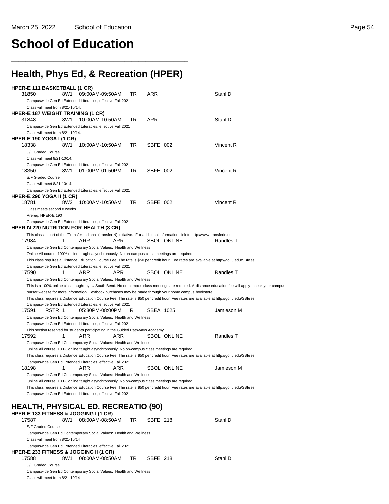# **School of Education**

## **Health, Phys Ed, & Recreation (HPER)**

\_\_\_\_\_\_\_\_\_\_\_\_\_\_\_\_\_\_\_\_\_\_\_\_\_\_\_\_\_\_\_\_\_\_\_\_\_\_\_\_\_\_\_\_\_\_\_\_\_\_

| HPER-E 111 BASKETBALL (1 CR)                                                                    |     |                                                                                                 |     |     |           |                                                                                                                                     |                                                                                                                                                       |
|-------------------------------------------------------------------------------------------------|-----|-------------------------------------------------------------------------------------------------|-----|-----|-----------|-------------------------------------------------------------------------------------------------------------------------------------|-------------------------------------------------------------------------------------------------------------------------------------------------------|
| 31850                                                                                           | 8W1 | 09:00AM-09:50AM                                                                                 |     | TR  | ARR       |                                                                                                                                     | Stahl D                                                                                                                                               |
|                                                                                                 |     | Campuswide Gen Ed Extended Literacies, effective Fall 2021                                      |     |     |           |                                                                                                                                     |                                                                                                                                                       |
| Class will meet from 8/21-10/14.<br><b>HPER-E 187 WEIGHT TRAINING (1 CR)</b>                    |     |                                                                                                 |     |     |           |                                                                                                                                     |                                                                                                                                                       |
| 31848                                                                                           | 8W1 | 10:00AM-10:50AM                                                                                 |     | TR  | ARR       |                                                                                                                                     | Stahl D                                                                                                                                               |
|                                                                                                 |     | Campuswide Gen Ed Extended Literacies, effective Fall 2021                                      |     |     |           |                                                                                                                                     |                                                                                                                                                       |
| Class will meet from 8/21-10/14.                                                                |     |                                                                                                 |     |     |           |                                                                                                                                     |                                                                                                                                                       |
| <b>HPER-E 190 YOGA I (1 CR)</b>                                                                 |     |                                                                                                 |     |     |           |                                                                                                                                     |                                                                                                                                                       |
| 18338                                                                                           | 8W1 | 10:00AM-10:50AM                                                                                 |     | TR. | SBFE 002  |                                                                                                                                     | Vincent R                                                                                                                                             |
| S/F Graded Course                                                                               |     |                                                                                                 |     |     |           |                                                                                                                                     |                                                                                                                                                       |
| Class will meet 8/21-10/14.<br>Campuswide Gen Ed Extended Literacies, effective Fall 2021       |     |                                                                                                 |     |     |           |                                                                                                                                     |                                                                                                                                                       |
| 18350                                                                                           | 8W1 | 01:00PM-01:50PM                                                                                 |     | TR  | SBFE 002  |                                                                                                                                     | Vincent R                                                                                                                                             |
| S/F Graded Course                                                                               |     |                                                                                                 |     |     |           |                                                                                                                                     |                                                                                                                                                       |
| Class will meet 8/21-10/14.                                                                     |     |                                                                                                 |     |     |           |                                                                                                                                     |                                                                                                                                                       |
| Campuswide Gen Ed Extended Literacies, effective Fall 2021                                      |     |                                                                                                 |     |     |           |                                                                                                                                     |                                                                                                                                                       |
| <b>HPER-E 290 YOGA II (1 CR)</b>                                                                |     |                                                                                                 |     |     |           |                                                                                                                                     |                                                                                                                                                       |
| 18781                                                                                           | 8W2 | 10:00AM-10:50AM                                                                                 |     | TR. | SBFE 002  |                                                                                                                                     | Vincent R                                                                                                                                             |
| Class meets second 8 weeks<br>Prereq: HPER-E 190                                                |     |                                                                                                 |     |     |           |                                                                                                                                     |                                                                                                                                                       |
|                                                                                                 |     | Campuswide Gen Ed Extended Literacies, effective Fall 2021                                      |     |     |           |                                                                                                                                     |                                                                                                                                                       |
| <b>HPER-N 220 NUTRITION FOR HEALTH (3 CR)</b>                                                   |     |                                                                                                 |     |     |           |                                                                                                                                     |                                                                                                                                                       |
|                                                                                                 |     |                                                                                                 |     |     |           | This class is part of the "Transfer Indiana" (transferIN) initiative. For additional information, link to http://www.transferin.net |                                                                                                                                                       |
| 17984                                                                                           | 1   | ARR                                                                                             | ARR |     |           | <b>SBOL ONLINE</b>                                                                                                                  | Randles T                                                                                                                                             |
|                                                                                                 |     | Campuswide Gen Ed Contemporary Social Values: Health and Wellness                               |     |     |           |                                                                                                                                     |                                                                                                                                                       |
|                                                                                                 |     | Online All course: 100% online taught asynchronously. No on-campus class meetings are required. |     |     |           |                                                                                                                                     | This class requires a Distance Education Course Fee. The rate is \$50 per credit hour. Fee rates are available at http://go.iu.edu/SBfees             |
| Campuswide Gen Ed Extended Literacies, effective Fall 2021                                      |     |                                                                                                 |     |     |           |                                                                                                                                     |                                                                                                                                                       |
| 17590                                                                                           | 1   | ARR                                                                                             | ARR |     |           | <b>SBOL ONLINE</b>                                                                                                                  | Randles T                                                                                                                                             |
|                                                                                                 |     | Campuswide Gen Ed Contemporary Social Values: Health and Wellness                               |     |     |           |                                                                                                                                     |                                                                                                                                                       |
|                                                                                                 |     |                                                                                                 |     |     |           |                                                                                                                                     | This is a 100% online class taught by IU South Bend. No on-campus class meetings are required. A distance education fee will apply; check your campus |
|                                                                                                 |     |                                                                                                 |     |     |           | bursar website for more information. Textbook purchases may be made through your home campus bookstore.                             |                                                                                                                                                       |
|                                                                                                 |     |                                                                                                 |     |     |           |                                                                                                                                     | This class requires a Distance Education Course Fee. The rate is \$50 per credit hour. Fee rates are available at http://go.iu.edu/SBfees             |
| Campuswide Gen Ed Extended Literacies, effective Fall 2021<br>17591<br>RSTR 1                   |     | 05:30PM-08:00PM                                                                                 |     | R   | SBEA 1025 |                                                                                                                                     | Jamieson M                                                                                                                                            |
|                                                                                                 |     | Campuswide Gen Ed Contemporary Social Values: Health and Wellness                               |     |     |           |                                                                                                                                     |                                                                                                                                                       |
| Campuswide Gen Ed Extended Literacies, effective Fall 2021                                      |     |                                                                                                 |     |     |           |                                                                                                                                     |                                                                                                                                                       |
|                                                                                                 |     | This section reserved for students participating in the Guided Pathways Academy                 |     |     |           |                                                                                                                                     |                                                                                                                                                       |
| 17592                                                                                           | 1   | ARR                                                                                             | ARR |     |           | SBOL ONLINE                                                                                                                         | Randles T                                                                                                                                             |
| Campuswide Gen Ed Contemporary Social Values: Health and Wellness                               |     |                                                                                                 |     |     |           |                                                                                                                                     |                                                                                                                                                       |
|                                                                                                 |     | Online All course: 100% online taught asynchronously. No on-campus class meetings are required. |     |     |           |                                                                                                                                     |                                                                                                                                                       |
| Campuswide Gen Ed Extended Literacies, effective Fall 2021                                      |     |                                                                                                 |     |     |           |                                                                                                                                     | This class requires a Distance Education Course Fee. The rate is \$50 per credit hour. Fee rates are available at http://go.iu.edu/SBfees             |
| 18198                                                                                           | 1   | ARR                                                                                             | ARR |     |           | SBOL ONLINE                                                                                                                         | Jamieson M                                                                                                                                            |
|                                                                                                 |     | Campuswide Gen Ed Contemporary Social Values: Health and Wellness                               |     |     |           |                                                                                                                                     |                                                                                                                                                       |
| Online All course: 100% online taught asynchronously. No on-campus class meetings are required. |     |                                                                                                 |     |     |           |                                                                                                                                     |                                                                                                                                                       |
|                                                                                                 |     |                                                                                                 |     |     |           |                                                                                                                                     | This class requires a Distance Education Course Fee. The rate is \$50 per credit hour. Fee rates are available at http://go.iu.edu/SBfees             |
|                                                                                                 |     | Campuswide Gen Ed Extended Literacies, effective Fall 2021                                      |     |     |           |                                                                                                                                     |                                                                                                                                                       |
|                                                                                                 |     |                                                                                                 |     |     |           |                                                                                                                                     |                                                                                                                                                       |
|                                                                                                 |     |                                                                                                 |     |     |           |                                                                                                                                     |                                                                                                                                                       |
| <b>HEALTH, PHYSICAL ED, RECREATIO (90)</b>                                                      |     |                                                                                                 |     |     |           |                                                                                                                                     |                                                                                                                                                       |
| HPER-E 133 FITNESS & JOGGING I (1 CR)                                                           |     |                                                                                                 |     |     |           |                                                                                                                                     |                                                                                                                                                       |
| 17587                                                                                           | 8W1 | 08:00AM-08:50AM                                                                                 |     | TR  | SBFE 218  |                                                                                                                                     | Stahl D                                                                                                                                               |
| S/F Graded Course                                                                               |     | Campuswide Gen Ed Contemporary Social Values: Health and Wellness                               |     |     |           |                                                                                                                                     |                                                                                                                                                       |
| Class will meet from 8/21-10/14                                                                 |     |                                                                                                 |     |     |           |                                                                                                                                     |                                                                                                                                                       |
| Campuswide Gen Ed Extended Literacies, effective Fall 2021                                      |     |                                                                                                 |     |     |           |                                                                                                                                     |                                                                                                                                                       |
| <b>HPER-E 233 FITNESS &amp; JOGGING II (1 CR)</b>                                               |     |                                                                                                 |     |     |           |                                                                                                                                     |                                                                                                                                                       |
| 17588                                                                                           | 8W1 | 08:00AM-08:50AM                                                                                 |     | TR  | SBFE 218  |                                                                                                                                     | Stahl D                                                                                                                                               |
| S/F Graded Course                                                                               |     | Campuswide Gen Ed Contemporary Social Values: Health and Wellness                               |     |     |           |                                                                                                                                     |                                                                                                                                                       |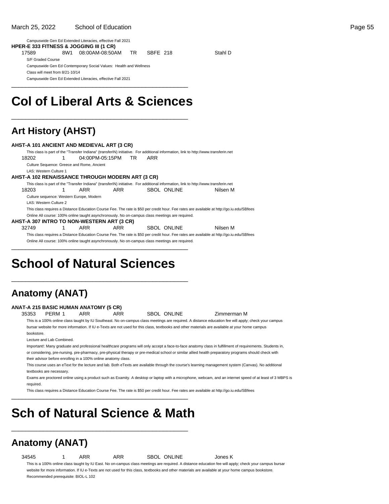#### Campuswide Gen Ed Extended Literacies, effective Fall 2021 **HPER-E 333 FITNESS & JOGGING III (1 CR)**

| 17589                           | 8W1 | 08:00AM-08:50AM                                                   | TR. | SBFE 218 | Stahl D |
|---------------------------------|-----|-------------------------------------------------------------------|-----|----------|---------|
| S/F Graded Course               |     |                                                                   |     |          |         |
|                                 |     | Campuswide Gen Ed Contemporary Social Values: Health and Wellness |     |          |         |
| Class will meet from 8/21-10/14 |     |                                                                   |     |          |         |
|                                 |     | Campuswide Gen Ed Extended Literacies, effective Fall 2021        |     |          |         |

## **Col of Liberal Arts & Sciences**

\_\_\_\_\_\_\_\_\_\_\_\_\_\_\_\_\_\_\_\_\_\_\_\_\_\_\_\_\_\_\_\_\_\_\_\_\_\_\_\_\_\_\_\_\_\_\_\_\_\_

\_\_\_\_\_\_\_\_\_\_\_\_\_\_\_\_\_\_\_\_\_\_\_\_\_\_\_\_\_\_\_\_\_\_\_\_\_\_\_\_\_\_\_\_\_\_\_\_\_\_

### **Art History (AHST)**

| AHST-A 101 ANCIENT AND MEDIEVAL ART (3 CR)              |   |                                            |     |    |     |                                                                                                 |                                                                                                                                           |
|---------------------------------------------------------|---|--------------------------------------------|-----|----|-----|-------------------------------------------------------------------------------------------------|-------------------------------------------------------------------------------------------------------------------------------------------|
|                                                         |   |                                            |     |    |     |                                                                                                 | This class is part of the "Transfer Indiana" (transferIN) initiative. For additional information, link to http://www.transferin.net       |
| 18202                                                   |   | 04:00PM-05:15PM                            |     | TR | ARR |                                                                                                 |                                                                                                                                           |
|                                                         |   | Culture Sequence: Greece and Rome, Ancient |     |    |     |                                                                                                 |                                                                                                                                           |
| LAS: Western Culture 1                                  |   |                                            |     |    |     |                                                                                                 |                                                                                                                                           |
| <b>AHST-A 102 RENAISSANCE THROUGH MODERN ART (3 CR)</b> |   |                                            |     |    |     |                                                                                                 |                                                                                                                                           |
|                                                         |   |                                            |     |    |     |                                                                                                 | This class is part of the "Transfer Indiana" (transferIN) initiative. For additional information, link to http://www.transferin.net       |
| 18203                                                   | 1 | ARR                                        | ARR |    |     | <b>SBOL ONLINE</b>                                                                              | Nilsen M                                                                                                                                  |
|                                                         |   | Culture sequence: Western Europe, Modern   |     |    |     |                                                                                                 |                                                                                                                                           |
| LAS: Western Culture 2                                  |   |                                            |     |    |     |                                                                                                 |                                                                                                                                           |
|                                                         |   |                                            |     |    |     |                                                                                                 | This class requires a Distance Education Course Fee. The rate is \$50 per credit hour. Fee rates are available at http://go.iu.edu/SBfees |
|                                                         |   |                                            |     |    |     | Online All course: 100% online taught asynchronously. No on-campus class meetings are required. |                                                                                                                                           |
| AHST-A 307 INTRO TO NON-WESTERN ART (3 CR)              |   |                                            |     |    |     |                                                                                                 |                                                                                                                                           |
| 32749                                                   |   | ARR                                        | ARR |    |     | SBOL ONLINE                                                                                     | Nilsen M                                                                                                                                  |
|                                                         |   |                                            |     |    |     |                                                                                                 | This class requires a Distance Education Course Fee. The rate is \$50 per credit hour. Fee rates are available at http://qo.iu.edu/SBfees |
|                                                         |   |                                            |     |    |     | Online All course: 100% online taught asynchronously. No on-campus class meetings are required. |                                                                                                                                           |

# **School of Natural Sciences**

\_\_\_\_\_\_\_\_\_\_\_\_\_\_\_\_\_\_\_\_\_\_\_\_\_\_\_\_\_\_\_\_\_\_\_\_\_\_\_\_\_\_\_\_\_\_\_\_\_\_

\_\_\_\_\_\_\_\_\_\_\_\_\_\_\_\_\_\_\_\_\_\_\_\_\_\_\_\_\_\_\_\_\_\_\_\_\_\_\_\_\_\_\_\_\_\_\_\_\_\_

### **Anatomy (ANAT)**

#### **ANAT-A 215 BASIC HUMAN ANATOMY (5 CR)**

35353 PERM 1 ARR ARR SBOL ONLINE Zimmerman M

This is a 100% online class taught by IU Southeast. No on-campus class meetings are required. A distance education fee will apply; check your campus bursar website for more information. If IU e-Texts are not used for this class, textbooks and other materials are available at your home campus bookstore.

Lecture and Lab Combined.

Important!: Many graduate and professional healthcare programs will only accept a face-to-face anatomy class in fulfillment of requirements. Students in, or considering, pre-nursing. pre-pharmacy, pre-physical therapy or pre-medical school or similar allied health preparatory programs should check with their advisor before enrolling in a 100% online anatomy class.

This course uses an eText for the lecture and lab. Both eTexts are available through the course's learning management system (Canvas). No additional textbooks are necessary.

Exams are proctored online using a product such as Examity. A desktop or laptop with a microphone, webcam, and an internet speed of at least of 3 MBPS is required.

This class requires a Distance Education Course Fee. The rate is \$50 per credit hour. Fee rates are available at http://go.iu.edu/SBfees

# **Sch of Natural Science & Math**

\_\_\_\_\_\_\_\_\_\_\_\_\_\_\_\_\_\_\_\_\_\_\_\_\_\_\_\_\_\_\_\_\_\_\_\_\_\_\_\_\_\_\_\_\_\_\_\_\_\_

\_\_\_\_\_\_\_\_\_\_\_\_\_\_\_\_\_\_\_\_\_\_\_\_\_\_\_\_\_\_\_\_\_\_\_\_\_\_\_\_\_\_\_\_\_\_\_\_\_\_

# **Anatomy (ANAT)**

34545 1 ARR ARR SBOL ONLINE Jones K

This is a 100% online class taught by IU East. No on-campus class meetings are required. A distance education fee will apply; check your campus bursar website for more information. If IU e-Texts are not used for this class, textbooks and other materials are available at your home campus bookstore. Recommended prerequisite: BIOL-L 102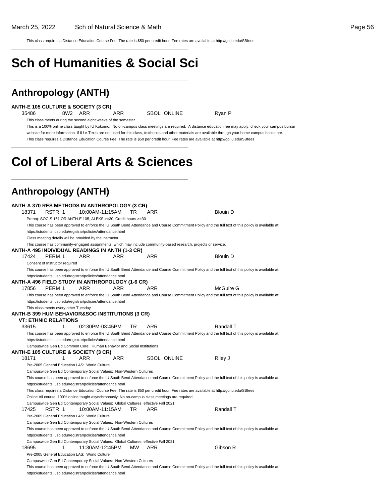This class requires a Distance Education Course Fee. The rate is \$50 per credit hour. Fee rates are available at http://go.iu.edu/SBfees

# **Sch of Humanities & Social Sci**

\_\_\_\_\_\_\_\_\_\_\_\_\_\_\_\_\_\_\_\_\_\_\_\_\_\_\_\_\_\_\_\_\_\_\_\_\_\_\_\_\_\_\_\_\_\_\_\_\_\_

\_\_\_\_\_\_\_\_\_\_\_\_\_\_\_\_\_\_\_\_\_\_\_\_\_\_\_\_\_\_\_\_\_\_\_\_\_\_\_\_\_\_\_\_\_\_\_\_\_\_

### **Anthropology (ANTH)**

|  |  | <b>ANTH-E 105 CULTURE &amp; SOCIETY (3 CR)</b> |
|--|--|------------------------------------------------|
|--|--|------------------------------------------------|

35486 8W2 ARR ARR SBOL ONLINE Ryan P

This class meets during the second eight weeks of the semester.

This is a 100% online class taught by IU Kokomo. No on-campus class meetings are required. A distance education fee may apply; check your campus bursar website for more information. If IU e-Texts are not used for this class, textbooks and other materials are available through your home campus bookstore. This class requires a Distance Education Course Fee. The rate is \$50 per credit hour. Fee rates are available at http://go.iu.edu/SBfees \_\_\_\_\_\_\_\_\_\_\_\_\_\_\_\_\_\_\_\_\_\_\_\_\_\_\_\_\_\_\_\_\_\_\_\_\_\_\_\_\_\_\_\_\_\_\_\_\_\_

# **Col of Liberal Arts & Sciences**

\_\_\_\_\_\_\_\_\_\_\_\_\_\_\_\_\_\_\_\_\_\_\_\_\_\_\_\_\_\_\_\_\_\_\_\_\_\_\_\_\_\_\_\_\_\_\_\_\_\_

### **Anthropology (ANTH)**

|       |                                      | ANTH-A 370 RES METHODS IN ANTHROPOLOGY (3 CR)                                                   |            |           |                    |                                                                                                                                                      |
|-------|--------------------------------------|-------------------------------------------------------------------------------------------------|------------|-----------|--------------------|------------------------------------------------------------------------------------------------------------------------------------------------------|
| 18371 | RSTR 1                               | 10:00AM-11:15AM                                                                                 |            | TR        | ARR                | <b>Blouin D</b>                                                                                                                                      |
|       |                                      | Prereq: SOC-S 161 OR ANTH-E 105, ALEKS >=30, Credit hours >=30                                  |            |           |                    |                                                                                                                                                      |
|       |                                      |                                                                                                 |            |           |                    | This course has been approved to enforce the IU South Bend Attendance and Course Commitment Policy and the full text of this policy is available at: |
|       |                                      | https://students.iusb.edu/registrar/policies/attendance.html                                    |            |           |                    |                                                                                                                                                      |
|       |                                      | Class meeting details will be provided by the instructor                                        |            |           |                    |                                                                                                                                                      |
|       |                                      |                                                                                                 |            |           |                    | This course has community-engaged assignments, which may include community-based research, projects or service.                                      |
|       |                                      | ANTH-A 495 INDIVIDUAL READINGS IN ANTH (1-3 CR)                                                 |            |           |                    |                                                                                                                                                      |
| 17424 | PERM 1                               | ARR                                                                                             | ARR        |           | <b>ARR</b>         | <b>Blouin D</b>                                                                                                                                      |
|       | Consent of Instructor required       |                                                                                                 |            |           |                    |                                                                                                                                                      |
|       |                                      |                                                                                                 |            |           |                    | This course has been approved to enforce the IU South Bend Attendance and Course Commitment Policy and the full text of this policy is available at: |
|       |                                      | https://students.iusb.edu/registrar/policies/attendance.html                                    |            |           |                    |                                                                                                                                                      |
|       |                                      | ANTH-A 496 FIELD STUDY IN ANTHROPOLOGY (1-6 CR)                                                 |            |           |                    |                                                                                                                                                      |
| 17856 | PERM 1                               | ARR                                                                                             | ARR        |           | ARR                | McGuire G                                                                                                                                            |
|       |                                      |                                                                                                 |            |           |                    | This course has been approved to enforce the IU South Bend Attendance and Course Commitment Policy and the full text of this policy is available at: |
|       |                                      | https://students.iusb.edu/registrar/policies/attendance.html                                    |            |           |                    |                                                                                                                                                      |
|       | This class meets every other Tuesday |                                                                                                 |            |           |                    |                                                                                                                                                      |
|       | <b>VT: ETHNIC RELATIONS</b>          | ANTH-B 399 HUM BEHAVIOR&SOC INSTITUTIONS (3 CR)                                                 |            |           |                    |                                                                                                                                                      |
| 33615 | 1                                    | 02:30PM-03:45PM                                                                                 |            | <b>TR</b> | <b>ARR</b>         | Randall T                                                                                                                                            |
|       |                                      |                                                                                                 |            |           |                    | This course has been approved to enforce the IU South Bend Attendance and Course Commitment Policy and the full text of this policy is available at: |
|       |                                      | https://students.iusb.edu/registrar/policies/attendance.html                                    |            |           |                    |                                                                                                                                                      |
|       |                                      | Campuswide Gen Ed Common Core: Human Behavior and Social Institutions                           |            |           |                    |                                                                                                                                                      |
|       |                                      | <b>ANTH-E 105 CULTURE &amp; SOCIETY (3 CR)</b>                                                  |            |           |                    |                                                                                                                                                      |
| 18171 | 1                                    | <b>ARR</b>                                                                                      | <b>ARR</b> |           | <b>SBOL ONLINE</b> | Riley J                                                                                                                                              |
|       |                                      | Pre-2005 General Education LAS: World Culture                                                   |            |           |                    |                                                                                                                                                      |
|       |                                      | Campuswide Gen Ed Contemporary Social Values: Non-Western Cultures                              |            |           |                    |                                                                                                                                                      |
|       |                                      |                                                                                                 |            |           |                    | This course has been approved to enforce the IU South Bend Attendance and Course Commitment Policy and the full text of this policy is available at: |
|       |                                      | https://students.iusb.edu/registrar/policies/attendance.html                                    |            |           |                    |                                                                                                                                                      |
|       |                                      |                                                                                                 |            |           |                    | This class requires a Distance Education Course Fee. The rate is \$50 per credit hour. Fee rates are available at http://go.iu.edu/SBfees            |
|       |                                      | Online All course: 100% online taught asynchronously. No on-campus class meetings are required. |            |           |                    |                                                                                                                                                      |
|       |                                      | Campuswide Gen Ed Contemporary Social Values: Global Cultures, effective Fall 2021              |            |           |                    |                                                                                                                                                      |
| 17425 | RSTR 1                               | 10:00AM-11:15AM                                                                                 |            | TR        | <b>ARR</b>         | Randall T                                                                                                                                            |
|       |                                      | Pre-2005 General Education LAS: World Culture                                                   |            |           |                    |                                                                                                                                                      |
|       |                                      | Campuswide Gen Ed Contemporary Social Values: Non-Western Cultures                              |            |           |                    |                                                                                                                                                      |
|       |                                      |                                                                                                 |            |           |                    | This course has been approved to enforce the IU South Bend Attendance and Course Commitment Policy and the full text of this policy is available at: |
|       |                                      | https://students.iusb.edu/registrar/policies/attendance.html                                    |            |           |                    |                                                                                                                                                      |
|       |                                      | Campuswide Gen Ed Contemporary Social Values: Global Cultures, effective Fall 2021              |            |           |                    |                                                                                                                                                      |
| 18695 | 1                                    | 11:30AM-12:45PM                                                                                 |            | мw        | ARR                | Gibson R                                                                                                                                             |
|       |                                      | Pre-2005 General Education LAS: World Culture                                                   |            |           |                    |                                                                                                                                                      |
|       |                                      | Campuswide Gen Ed Contemporary Social Values: Non-Western Cultures                              |            |           |                    |                                                                                                                                                      |
|       |                                      |                                                                                                 |            |           |                    | This course has been approved to enforce the IU South Bend Attendance and Course Commitment Policy and the full text of this policy is available at: |
|       |                                      | https://students.iusb.edu/registrar/policies/attendance.html                                    |            |           |                    |                                                                                                                                                      |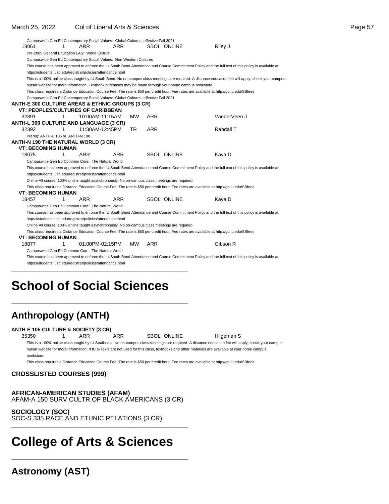#### March 25, 2022 Col of Liberal Arts & Sciences Page 57

|       |                                  |   | Campuswide Gen Ed Contemporary Social Values: Global Cultures, effective Fall 2021                      |            |           |            |                    |                                                                                                                                                       |  |
|-------|----------------------------------|---|---------------------------------------------------------------------------------------------------------|------------|-----------|------------|--------------------|-------------------------------------------------------------------------------------------------------------------------------------------------------|--|
| 18061 |                                  | 1 | ARR                                                                                                     | ARR        |           |            | <b>SBOL ONLINE</b> | Riley J                                                                                                                                               |  |
|       |                                  |   | Pre-2005 General Education LAS: World Culture                                                           |            |           |            |                    |                                                                                                                                                       |  |
|       |                                  |   | Campuswide Gen Ed Contemporary Social Values: Non-Western Cultures                                      |            |           |            |                    |                                                                                                                                                       |  |
|       |                                  |   |                                                                                                         |            |           |            |                    | This course has been approved to enforce the IU South Bend Attendance and Course Commitment Policy and the full text of this policy is available at:  |  |
|       |                                  |   | https://students.iusb.edu/registrar/policies/attendance.html                                            |            |           |            |                    |                                                                                                                                                       |  |
|       |                                  |   |                                                                                                         |            |           |            |                    | This is a 100% online class taught by IU South Bend. No on-campus class meetings are required. A distance education fee will apply; check your campus |  |
|       |                                  |   | bursar website for more information. Textbook purchases may be made through your home campus bookstore. |            |           |            |                    |                                                                                                                                                       |  |
|       |                                  |   |                                                                                                         |            |           |            |                    | This class requires a Distance Education Course Fee. The rate is \$50 per credit hour. Fee rates are available at http://go.iu.edu/SBfees             |  |
|       |                                  |   | Campuswide Gen Ed Contemporary Social Values: Global Cultures, effective Fall 2021                      |            |           |            |                    |                                                                                                                                                       |  |
|       |                                  |   | <b>ANTH-E 300 CULTURE AREAS &amp; ETHNIC GROUPS (3 CR)</b>                                              |            |           |            |                    |                                                                                                                                                       |  |
|       |                                  |   | <b>VT: PEOPLES/CULTURES OF CARIBBEAN</b>                                                                |            |           |            |                    |                                                                                                                                                       |  |
| 32391 |                                  | 1 | 10:00AM-11:15AM                                                                                         |            | <b>MW</b> | <b>ARR</b> |                    | VanderVeen J                                                                                                                                          |  |
|       |                                  |   | <b>ANTH-L 300 CULTURE AND LANGUAGE (3 CR)</b>                                                           |            |           |            |                    |                                                                                                                                                       |  |
| 32392 |                                  | 1 | 11:30AM-12:45PM                                                                                         |            | <b>TR</b> | <b>ARR</b> |                    | Randall T                                                                                                                                             |  |
|       | Prereq: ANTH-E 105 or ANTH-N 190 |   |                                                                                                         |            |           |            |                    |                                                                                                                                                       |  |
|       |                                  |   | ANTH-N 190 THE NATURAL WORLD (3 CR)                                                                     |            |           |            |                    |                                                                                                                                                       |  |
|       | <b>VT: BECOMING HUMAN</b>        |   |                                                                                                         |            |           |            |                    |                                                                                                                                                       |  |
| 18075 |                                  | 1 | <b>ARR</b>                                                                                              | <b>ARR</b> |           |            | <b>SBOL ONLINE</b> | Kaya D                                                                                                                                                |  |
|       |                                  |   | Campuswide Gen Ed Common Core: The Natural World                                                        |            |           |            |                    |                                                                                                                                                       |  |
|       |                                  |   |                                                                                                         |            |           |            |                    | This course has been approved to enforce the IU South Bend Attendance and Course Commitment Policy and the full text of this policy is available at:  |  |
|       |                                  |   | https://students.iusb.edu/registrar/policies/attendance.html                                            |            |           |            |                    |                                                                                                                                                       |  |
|       |                                  |   | Online All course: 100% online taught asynchronously. No on-campus class meetings are required.         |            |           |            |                    |                                                                                                                                                       |  |
|       |                                  |   |                                                                                                         |            |           |            |                    | This class requires a Distance Education Course Fee. The rate is \$50 per credit hour. Fee rates are available at http://go.iu.edu/SBfees             |  |
|       | <b>VT: BECOMING HUMAN</b>        |   |                                                                                                         |            |           |            |                    |                                                                                                                                                       |  |
| 18457 |                                  | 1 | <b>ARR</b>                                                                                              | <b>ARR</b> |           |            | <b>SBOL ONLINE</b> | Kaya D                                                                                                                                                |  |
|       |                                  |   | Campuswide Gen Ed Common Core: The Natural World                                                        |            |           |            |                    |                                                                                                                                                       |  |
|       |                                  |   |                                                                                                         |            |           |            |                    | This course has been approved to enforce the IU South Bend Attendance and Course Commitment Policy and the full text of this policy is available at:  |  |
|       |                                  |   | https://students.iusb.edu/registrar/policies/attendance.html                                            |            |           |            |                    |                                                                                                                                                       |  |
|       |                                  |   | Online All course: 100% online taught asynchronously. No on-campus class meetings are required.         |            |           |            |                    |                                                                                                                                                       |  |
|       |                                  |   |                                                                                                         |            |           |            |                    | This class requires a Distance Education Course Fee. The rate is \$50 per credit hour. Fee rates are available at http://go.iu.edu/SBfees             |  |
|       | <b>VT: BECOMING HUMAN</b>        |   |                                                                                                         |            |           |            |                    |                                                                                                                                                       |  |
| 18877 |                                  | 1 | 01:00PM-02:15PM                                                                                         |            | MW.       | <b>ARR</b> |                    | Gibson R                                                                                                                                              |  |
|       |                                  |   | Campuswide Gen Ed Common Core: The Natural World                                                        |            |           |            |                    |                                                                                                                                                       |  |
|       |                                  |   |                                                                                                         |            |           |            |                    | This course has been approved to enforce the IU South Bend Attendance and Course Commitment Policy and the full text of this policy is available at:  |  |
|       |                                  |   | https://students.iusb.edu/registrar/policies/attendance.html                                            |            |           |            |                    |                                                                                                                                                       |  |

# **School of Social Sciences**

\_\_\_\_\_\_\_\_\_\_\_\_\_\_\_\_\_\_\_\_\_\_\_\_\_\_\_\_\_\_\_\_\_\_\_\_\_\_\_\_\_\_\_\_\_\_\_\_\_\_

\_\_\_\_\_\_\_\_\_\_\_\_\_\_\_\_\_\_\_\_\_\_\_\_\_\_\_\_\_\_\_\_\_\_\_\_\_\_\_\_\_\_\_\_\_\_\_\_\_\_

### **Anthropology (ANTH)**

#### **ANTH-E 105 CULTURE & SOCIETY (3 CR)**

35350 1 ARR ARR SBOL ONLINE Hilgeman S

This is a 100% online class taught by IU Southeast. No on-campus class meetings are required. A distance education fee will apply; check your campus bursar website for more information. If IU e-Texts are not used for this class, textbooks and other materials are available at your home campus bookstore.

This class requires a Distance Education Course Fee. The rate is \$50 per credit hour. Fee rates are available at http://go.iu.edu/SBfees

#### **CROSSLISTED COURSES (999)**

**AFRICAN-AMERICAN STUDIES (AFAM)** AFAM-A 150 SURV CULTR OF BLACK AMERICANS (3 CR)

**SOCIOLOGY (SOC)** SOC-S 335 RACE AND ETHNIC RELATIONS (3 CR) \_\_\_\_\_\_\_\_\_\_\_\_\_\_\_\_\_\_\_\_\_\_\_\_\_\_\_\_\_\_\_\_\_\_\_\_\_\_\_\_\_\_\_\_\_\_\_\_\_\_

# **College of Arts & Sciences**

\_\_\_\_\_\_\_\_\_\_\_\_\_\_\_\_\_\_\_\_\_\_\_\_\_\_\_\_\_\_\_\_\_\_\_\_\_\_\_\_\_\_\_\_\_\_\_\_\_\_

**Astronomy (AST)**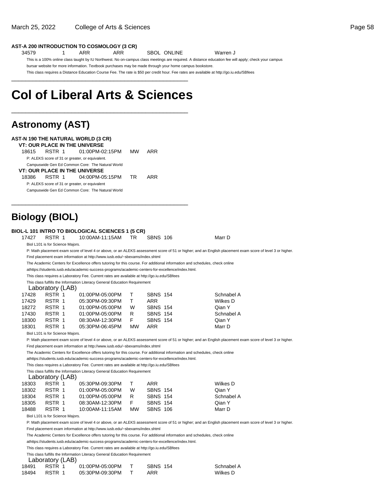34579 1 ARR ARR SBOL ONLINE Warren J

This is a 100% online class taught by IU Northwest. No on-campus class meetings are required. A distance education fee will apply; check your campus bursar website for more information. Textbook purchases may be made through your home campus bookstore.

This class requires a Distance Education Course Fee. The rate is \$50 per credit hour. Fee rates are available at http://go.iu.edu/SBfees \_\_\_\_\_\_\_\_\_\_\_\_\_\_\_\_\_\_\_\_\_\_\_\_\_\_\_\_\_\_\_\_\_\_\_\_\_\_\_\_\_\_\_\_\_\_\_\_\_\_

# **Col of Liberal Arts & Sciences**

\_\_\_\_\_\_\_\_\_\_\_\_\_\_\_\_\_\_\_\_\_\_\_\_\_\_\_\_\_\_\_\_\_\_\_\_\_\_\_\_\_\_\_\_\_\_\_\_\_\_

\_\_\_\_\_\_\_\_\_\_\_\_\_\_\_\_\_\_\_\_\_\_\_\_\_\_\_\_\_\_\_\_\_\_\_\_\_\_\_\_\_\_\_\_\_\_\_\_\_\_

### **Astronomy (AST)**

|       | <b>AST-N 190 THE NATURAL WORLD (3 CR)</b>        |           |     |
|-------|--------------------------------------------------|-----------|-----|
|       | <b>VT: OUR PLACE IN THE UNIVERSE</b>             |           |     |
| 18615 | RSTR 1 01:00PM-02:15PM                           | <b>MW</b> | ARR |
|       | P: ALEKS score of 31 or greater, or equivalent.  |           |     |
|       | Campuswide Gen Ed Common Core: The Natural World |           |     |
|       | <b>VT: OUR PLACE IN THE UNIVERSE</b>             |           |     |
| 18386 | RSTR 1 04:00PM-05:15PM                           | TR.       | ARR |
|       | P: ALEKS score of 31 or greater, or equivalent   |           |     |
|       | Campuswide Gen Ed Common Core: The Natural World |           |     |
|       |                                                  |           |     |

### **Biology (BIOL)**

| 17427 | RSTR 1                           | <b>BIOL-L 101 INTRO TO BIOLOGICAL SCIENCES 1 (5 CR)</b><br>10:00AM-11:15AM                                                  | TR.       | <b>SBNS 106</b> | Marr D                                                                                                                                                    |
|-------|----------------------------------|-----------------------------------------------------------------------------------------------------------------------------|-----------|-----------------|-----------------------------------------------------------------------------------------------------------------------------------------------------------|
|       | Biol L101 is for Science Majors. |                                                                                                                             |           |                 |                                                                                                                                                           |
|       |                                  |                                                                                                                             |           |                 | P: Math placement exam score of level 4 or above, or an ALEKS assessment score of 51 or higher; and an English placement exam score of level 3 or higher. |
|       |                                  | Find placement exam information at http://www.iusb.edu/~sbexams/index.shtml                                                 |           |                 |                                                                                                                                                           |
|       |                                  | The Academic Centers for Excellence offers tutoring for this course. For additional information and schedules, check online |           |                 |                                                                                                                                                           |
|       |                                  | athttps://students.iusb.edu/academic-success-programs/academic-centers-for-excellence/index.html.                           |           |                 |                                                                                                                                                           |
|       |                                  | This class requires a Laboratory Fee. Current rates are available at http://go.iu.edu/SBfees                                |           |                 |                                                                                                                                                           |
|       |                                  | This class fulfills the Information Literacy General Education Requirement                                                  |           |                 |                                                                                                                                                           |
|       | Laboratory (LAB)                 |                                                                                                                             |           |                 |                                                                                                                                                           |
| 17428 | RSTR 1                           | 01:00PM-05:00PM                                                                                                             | T.        | <b>SBNS 154</b> | Schnabel A                                                                                                                                                |
| 17429 | RSTR 1                           | 05:30PM-09:30PM                                                                                                             | T.        | <b>ARR</b>      | Wilkes D                                                                                                                                                  |
| 18272 | RSTR 1                           | 01:00PM-05:00PM                                                                                                             | W         | <b>SBNS 154</b> | Qian Y                                                                                                                                                    |
| 17430 | RSTR 1                           | 01:00PM-05:00PM                                                                                                             | R         | <b>SBNS 154</b> | Schnabel A                                                                                                                                                |
| 18300 | RSTR 1                           | 08:30AM-12:30PM                                                                                                             | F.        | <b>SBNS 154</b> | Qian Y                                                                                                                                                    |
| 18301 | RSTR 1                           | 05:30PM-06:45PM                                                                                                             | <b>MW</b> | <b>ARR</b>      | Marr D                                                                                                                                                    |
|       | Biol L101 is for Science Majors. |                                                                                                                             |           |                 |                                                                                                                                                           |
|       |                                  |                                                                                                                             |           |                 | P: Math placement exam score of level 4 or above, or an ALEKS assessment score of 51 or higher; and an English placement exam score of level 3 or higher. |
|       |                                  | Find placement exam information at http://www.iusb.edu/~sbexams/index.shtml                                                 |           |                 |                                                                                                                                                           |
|       |                                  | The Academic Centers for Excellence offers tutoring for this course. For additional information and schedules, check online |           |                 |                                                                                                                                                           |
|       |                                  | athttps://students.iusb.edu/academic-success-programs/academic-centers-for-excellence/index.html.                           |           |                 |                                                                                                                                                           |
|       |                                  | This class requires a Laboratory Fee. Current rates are available at http://go.iu.edu/SBfees                                |           |                 |                                                                                                                                                           |
|       | Laboratory (LAB)                 | This class fulfills the Information Literacy General Education Requirement                                                  |           |                 |                                                                                                                                                           |
| 18303 | RSTR 1                           | 05:30PM-09:30PM                                                                                                             | T.        | <b>ARR</b>      | Wilkes D                                                                                                                                                  |
| 18302 | RSTR 1                           | 01:00PM-05:00PM                                                                                                             | W         | <b>SBNS 154</b> | Qian Y                                                                                                                                                    |
| 18304 | RSTR 1                           | 01:00PM-05:00PM                                                                                                             | R         | <b>SBNS 154</b> | Schnabel A                                                                                                                                                |
| 18305 | RSTR 1                           | 08:30AM-12:30PM                                                                                                             | F.        | <b>SBNS 154</b> | Qian Y                                                                                                                                                    |
| 18488 | RSTR 1                           | 10:00AM-11:15AM                                                                                                             | <b>MW</b> | <b>SBNS 106</b> | Marr D                                                                                                                                                    |
|       | Biol L101 is for Science Majors. |                                                                                                                             |           |                 |                                                                                                                                                           |
|       |                                  |                                                                                                                             |           |                 | P: Math placement exam score of level 4 or above, or an ALEKS assessment score of 51 or higher; and an English placement exam score of level 3 or higher. |
|       |                                  | Find placement exam information at http://www.iusb.edu/~sbexams/index.shtml                                                 |           |                 |                                                                                                                                                           |
|       |                                  | The Academic Centers for Excellence offers tutoring for this course. For additional information and schedules, check online |           |                 |                                                                                                                                                           |
|       |                                  | athttps://students.iusb.edu/academic-success-programs/academic-centers-for-excellence/index.html.                           |           |                 |                                                                                                                                                           |
|       |                                  | This class requires a Laboratory Fee. Current rates are available at http://go.iu.edu/SBfees                                |           |                 |                                                                                                                                                           |
|       |                                  | This plane fulfills the Information Literatur Concret Education Democratic                                                  |           |                 |                                                                                                                                                           |

This class fulfills the Information Literacy General Education Requirement

Laboratory (LAB)

| 18491 | RSTR 1 | 01:00PM-05:00PM | <b>SBNS 154</b> |  |
|-------|--------|-----------------|-----------------|--|
| 18494 | RSTR 1 | 05:30PM-09:30PM | ARR             |  |

Schnabel A Wilkes D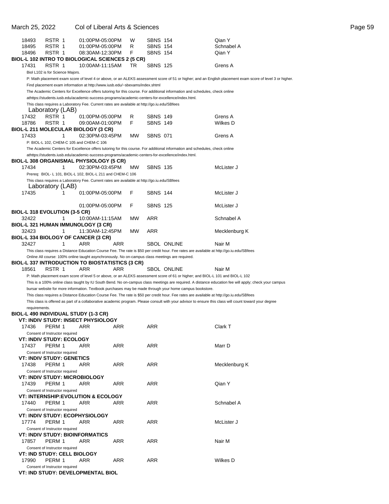| March 25, 2022 |                                  | Col of Liberal Arts & Sciences                                                                                              |           |                 |                    |                                                                                                                                                           | Page 59 |
|----------------|----------------------------------|-----------------------------------------------------------------------------------------------------------------------------|-----------|-----------------|--------------------|-----------------------------------------------------------------------------------------------------------------------------------------------------------|---------|
| 18493          | RSTR 1                           | 01:00PM-05:00PM                                                                                                             | W         | <b>SBNS 154</b> |                    | Qian Y                                                                                                                                                    |         |
| 18495          | RSTR 1                           | 01:00PM-05:00PM                                                                                                             | R         | <b>SBNS 154</b> |                    | Schnabel A                                                                                                                                                |         |
| 18496          | RSTR 1                           | 08:30AM-12:30PM                                                                                                             | F         | <b>SBNS 154</b> |                    | Qian Y                                                                                                                                                    |         |
|                |                                  | BIOL-L 102 INTRO TO BIOLOGICAL SCIENCES 2 (5 CR)                                                                            |           |                 |                    |                                                                                                                                                           |         |
| 17431          | RSTR 1                           | 10:00AM-11:15AM                                                                                                             | TR        | <b>SBNS 125</b> |                    | Grens A                                                                                                                                                   |         |
|                | Biol L102 is for Science Majors. |                                                                                                                             |           |                 |                    |                                                                                                                                                           |         |
|                |                                  |                                                                                                                             |           |                 |                    | P: Math placement exam score of level 4 or above, or an ALEKS assessment score of 51 or higher; and an English placement exam score of level 3 or higher. |         |
|                |                                  | Find placement exam information at http://www.iusb.edu/~sbexams/index.shtml                                                 |           |                 |                    |                                                                                                                                                           |         |
|                |                                  | The Academic Centers for Excellence offers tutoring for this course. For additional information and schedules, check online |           |                 |                    |                                                                                                                                                           |         |
|                |                                  | athttps://students.iusb.edu/academic-success-programs/academic-centers-for-excellence/index.html.                           |           |                 |                    |                                                                                                                                                           |         |
|                |                                  | This class requires a Laboratory Fee. Current rates are available at http://go.iu.edu/SBfees                                |           |                 |                    |                                                                                                                                                           |         |
|                | Laboratory (LAB)                 |                                                                                                                             |           |                 |                    |                                                                                                                                                           |         |
| 17432          | RSTR 1                           | 01:00PM-05:00PM                                                                                                             | R         | <b>SBNS 149</b> |                    | Grens A                                                                                                                                                   |         |
| 18786          | RSTR 1                           | 09:00AM-01:00PM                                                                                                             | F         | <b>SBNS 149</b> |                    | Wilkes D                                                                                                                                                  |         |
|                |                                  | <b>BIOL-L 211 MOLECULAR BIOLOGY (3 CR)</b>                                                                                  |           |                 |                    |                                                                                                                                                           |         |
| 17433          | 1                                | 02:30PM-03:45PM                                                                                                             | <b>MW</b> | <b>SBNS 071</b> |                    | Grens A                                                                                                                                                   |         |
|                |                                  | P: BIOL-L 102, CHEM-C 105 and CHEM-C 106                                                                                    |           |                 |                    |                                                                                                                                                           |         |
|                |                                  | The Academic Centers for Excellence offers tutoring for this course. For additional information and schedules, check online |           |                 |                    |                                                                                                                                                           |         |
|                |                                  | athttps://students.iusb.edu/academic-success-programs/academic-centers-for-excellence/index.html.                           |           |                 |                    |                                                                                                                                                           |         |
|                |                                  | <b>BIOL-L 308 ORGANISMAL PHYSIOLOGY (5 CR)</b>                                                                              |           |                 |                    |                                                                                                                                                           |         |
| 17434          | $\mathbf{1}$                     | 02:30PM-03:45PM                                                                                                             | <b>MW</b> | <b>SBNS 135</b> |                    | McLister J                                                                                                                                                |         |
|                |                                  | Prereq: BIOL- L 101, BIOL-L 102, BIOL-L 211 and CHEM-C 106                                                                  |           |                 |                    |                                                                                                                                                           |         |
|                |                                  | This class requires a Laboratory Fee. Current rates are available at http://go.iu.edu/SBfees                                |           |                 |                    |                                                                                                                                                           |         |
|                | Laboratory (LAB)                 |                                                                                                                             |           |                 |                    |                                                                                                                                                           |         |
| 17435          | 1                                | 01:00PM-05:00PM                                                                                                             | F         | <b>SBNS 144</b> |                    | McLister J                                                                                                                                                |         |
|                |                                  |                                                                                                                             |           |                 |                    |                                                                                                                                                           |         |
|                |                                  | 01:00PM-05:00PM                                                                                                             | F         | <b>SBNS 125</b> |                    | McLister J                                                                                                                                                |         |
|                | BIOL-L 318 EVOLUTION (3-5 CR)    |                                                                                                                             |           |                 |                    |                                                                                                                                                           |         |
| 32422          | 1                                | 10:00AM-11:15AM                                                                                                             | МW        | ARR             |                    | Schnabel A                                                                                                                                                |         |
|                |                                  | BIOL-L 321 HUMAN IMMUNOLOGY (3 CR)                                                                                          |           |                 |                    |                                                                                                                                                           |         |
| 32423          | 1                                | 11:30AM-12:45PM                                                                                                             | MW        | ARR             |                    | Mecklenburg K                                                                                                                                             |         |
|                |                                  | BIOL-L 334 BIOLOGY OF CANCER (3 CR)                                                                                         |           |                 |                    |                                                                                                                                                           |         |
| 32427          | 1                                | <b>ARR</b><br><b>ARR</b>                                                                                                    |           |                 | <b>SBOL ONLINE</b> | Nair M                                                                                                                                                    |         |
|                |                                  |                                                                                                                             |           |                 |                    | This class requires a Distance Education Course Fee. The rate is \$50 per credit hour. Fee rates are available at http://go.iu.edu/SBfees                 |         |
|                |                                  | Online All course: 100% online taught asynchronously. No on-campus class meetings are required.                             |           |                 |                    |                                                                                                                                                           |         |
|                |                                  | <b>BIOL-L 337 INTRODUCTION TO BIOSTATISTICS (3 CR)</b>                                                                      |           |                 |                    |                                                                                                                                                           |         |
| 18561          | RSTR 1                           | <b>ARR</b><br><b>ARR</b>                                                                                                    |           |                 | SBOL ONLINE        | Nair M                                                                                                                                                    |         |
|                |                                  |                                                                                                                             |           |                 |                    | P: Math placement exam score of level 5 or above, or an ALEKS assessment score of 61 or higher; and BIOL-L 101 and BIOL-L 102                             |         |
|                |                                  |                                                                                                                             |           |                 |                    | This is a 100% online class taught by IU South Bend. No on-campus class meetings are required. A distance education fee will apply; check your campus     |         |
|                |                                  | bursar website for more information. Textbook purchases may be made through your home campus bookstore.                     |           |                 |                    |                                                                                                                                                           |         |
|                |                                  |                                                                                                                             |           |                 |                    | This class requires a Distance Education Course Fee. The rate is \$50 per credit hour. Fee rates are available at http://go.iu.edu/SBfees                 |         |
|                |                                  |                                                                                                                             |           |                 |                    | This class is offered as part of a collaborative academic program. Please consult with your advisor to ensure this class will count toward your degree    |         |

| requirements. |
|---------------|
|---------------|

| BIOL-L 490 INDIVIDUAL STUDY (1-3 CR) |  |  |
|--------------------------------------|--|--|
|                                      |  |  |

|       | VT: INDIV STUDY: INSECT PHYSIOLOGY            |            |            |            |               |
|-------|-----------------------------------------------|------------|------------|------------|---------------|
| 17436 | PERM 1                                        | ARR        | ARR        | <b>ARR</b> | Clark T       |
|       | Consent of Instructor required                |            |            |            |               |
|       | <b>VT: INDIV STUDY: ECOLOGY</b>               |            |            |            |               |
| 17437 | PERM 1                                        | ARR        | <b>ARR</b> | ARR        | Marr D        |
|       | Consent of Instructor required                |            |            |            |               |
|       | <b>VT: INDIV STUDY: GENETICS</b>              |            |            |            |               |
| 17438 | PERM 1                                        | <b>ARR</b> | <b>ARR</b> | <b>ARR</b> | Mecklenburg K |
|       | Consent of Instructor required                |            |            |            |               |
|       | <b>VT: INDIV STUDY: MICROBIOLOGY</b>          |            |            |            |               |
| 17439 | PERM 1                                        | <b>ARR</b> | <b>ARR</b> | <b>ARR</b> | Qian Y        |
|       | Consent of Instructor required                |            |            |            |               |
|       | <b>VT: INTERNSHIP:EVOLUTION &amp; ECOLOGY</b> |            |            |            |               |
| 17440 | PERM 1                                        | <b>ARR</b> | <b>ARR</b> | <b>ARR</b> | Schnabel A    |
|       | Consent of Instructor required                |            |            |            |               |
|       | <b>VT: INDIV STUDY: ECOPHYSIOLOGY</b>         |            |            |            |               |
| 17774 | PERM 1                                        | <b>ARR</b> | <b>ARR</b> | <b>ARR</b> | McLister J    |
|       | Consent of Instructor required                |            |            |            |               |
|       | <b>VT: INDIV STUDY: BIOINFORMATICS</b>        |            |            |            |               |
| 17857 | PERM 1                                        | <b>ARR</b> | <b>ARR</b> | <b>ARR</b> | Nair M        |
|       | Consent of Instructor required                |            |            |            |               |
|       | <b>VT: IND STUDY: CELL BIOLOGY</b>            |            |            |            |               |
| 17990 | PERM 1                                        | <b>ARR</b> | <b>ARR</b> | ARR        | Wilkes D      |
|       | Consent of Instructor required                |            |            |            |               |
|       | VT: IND STUDY: DEVELOPMENTAL BIOL             |            |            |            |               |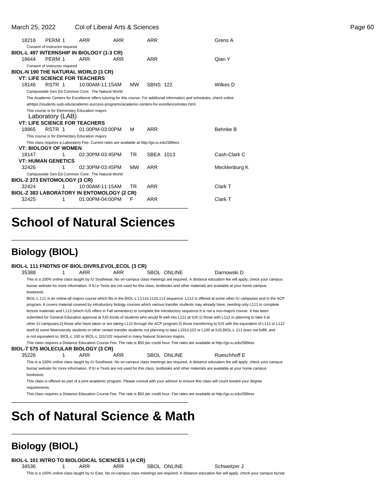March 25, 2022 Col of Liberal Arts & Sciences Page 60

| 18216                                      | PERM 1                                                                                                     | ARR        | <b>ARR</b>      |           | ARR             | Grens A                                                                                                                     |
|--------------------------------------------|------------------------------------------------------------------------------------------------------------|------------|-----------------|-----------|-----------------|-----------------------------------------------------------------------------------------------------------------------------|
|                                            | Consent of Instructor required                                                                             |            |                 |           |                 |                                                                                                                             |
| BIOL-L 497 INTERNSHIP IN BIOLOGY (1-3 CR)  |                                                                                                            |            |                 |           |                 |                                                                                                                             |
| 18644                                      | PERM 1                                                                                                     | <b>ARR</b> | ARR             |           | <b>ARR</b>      | Qian Y                                                                                                                      |
|                                            | Consent of Instructor required                                                                             |            |                 |           |                 |                                                                                                                             |
| <b>BIOL-N 190 THE NATURAL WORLD (3 CR)</b> |                                                                                                            |            |                 |           |                 |                                                                                                                             |
|                                            | <b>VT: LIFE SCIENCE FOR TEACHERS</b>                                                                       |            |                 |           |                 |                                                                                                                             |
| 18146                                      | RSTR 1                                                                                                     |            | 10:00AM-11:15AM | <b>MW</b> | <b>SBNS 122</b> | Wilkes D                                                                                                                    |
|                                            | Campuswide Gen Ed Common Core: The Natural World                                                           |            |                 |           |                 |                                                                                                                             |
|                                            |                                                                                                            |            |                 |           |                 | The Academic Centers for Excellence offers tutoring for this course. For additional information and schedules, check online |
|                                            | athttps://students.iusb.edu/academic-success-programs/academic-centers-for-excellence/index.html.          |            |                 |           |                 |                                                                                                                             |
|                                            | This course is for Elementary Education majors<br>Laboratory (LAB)<br><b>VT: LIFE SCIENCE FOR TEACHERS</b> |            |                 |           |                 |                                                                                                                             |
| 18865                                      | RSTR 1                                                                                                     |            | 01:00PM-03:00PM | м         | ARR             | <b>Behnke B</b>                                                                                                             |
|                                            | This course is for Elementary Education majors                                                             |            |                 |           |                 |                                                                                                                             |
|                                            | This class requires a Laboratory Fee. Current rates are available at http://go.iu.edu/SBfees               |            |                 |           |                 |                                                                                                                             |
|                                            | <b>VT: BIOLOGY OF WOMEN</b>                                                                                |            |                 |           |                 |                                                                                                                             |
| 18147                                      | 1                                                                                                          |            | 02:30PM-03:45PM | TR.       | SBEA 1013       | Cash-Clark C                                                                                                                |
|                                            | <b>VT: HUMAN GENETICS</b>                                                                                  |            |                 |           |                 |                                                                                                                             |
| 32426                                      | 1                                                                                                          |            | 02:30PM-03:45PM | <b>MW</b> | ARR             | Mecklenburg K                                                                                                               |
|                                            | Campuswide Gen Ed Common Core: The Natural World                                                           |            |                 |           |                 |                                                                                                                             |
| BIOL-Z 373 ENTOMOLOGY (3 CR)               |                                                                                                            |            |                 |           |                 |                                                                                                                             |
| 32424                                      | 1                                                                                                          |            | 10:00AM-11:15AM | TR        | <b>ARR</b>      | Clark T                                                                                                                     |
| BIOL-Z 383 LABORATORY IN ENTOMOLOGY (2 CR) |                                                                                                            |            |                 |           |                 |                                                                                                                             |
| 32425                                      | 1                                                                                                          |            | 01:00PM-04:00PM | F         | <b>ARR</b>      | Clark T                                                                                                                     |
|                                            |                                                                                                            |            |                 |           |                 |                                                                                                                             |

# **School of Natural Sciences**

\_\_\_\_\_\_\_\_\_\_\_\_\_\_\_\_\_\_\_\_\_\_\_\_\_\_\_\_\_\_\_\_\_\_\_\_\_\_\_\_\_\_\_\_\_\_\_\_\_\_

### **Biology (BIOL)**

#### **BIOL-L 111 FNDTNS OF BIOL:DIVRS,EVOL,ECOL (3 CR)**

35388 1 ARR ARR SBOL ONLINE Darnowski D This is a 100% online class taught by IU Southeast. No on-campus class meetings are required. A distance education fee will apply; check your campus bursar website for more information. If IU e-Texts are not used for this class, textbooks and other materials are available at your home campus bookstore.

BIOL-L 111 is an online-all majors course which fits in the BIOL-L L111/L112/L113 sequence. L112 is offered at some other IU campuses and in the ACP program. It covers material covered by introductory biology courses which various transfer students may already have, needing only L111 to complete lecture materials and L113 (which IUS offers in Fall semesters) to complete the introductory sequence. It is not a non-majors course. It has been submitted for General Education approval at IUS.Kinds of students who would fit well into L111 at IUS:1) those with L112 or planning to take it at other IU campuses; 2) those who have taken or are taking L112 through the ACP program; 3) those transferring to IUS with the equivalent of L112 or L112 itself; 4) some Metroversity students or other certain transfer students not planning to take L101/L102 or L100 at IUS. BIOL-L 111 does not fulfill, and is not equivalent to, BIOL-L 100 or BIOL-L 101/102 required in many Natural Sciences majors.

This class requires a Distance Education Course Fee. The rate is \$50 per credit hour. Fee rates are available at http://go.iu.edu/SBfees

#### **BIOL-T 575 MOLECULAR BIOLOGY (3 CR)**

35226 1 ARR ARR SBOL ONLINE Rueschhoff E

This is a 100% online class taught by IU Southeast. No on-campus class meetings are required. A distance education fee will apply; check your campus bursar website for more information. If IU e-Texts are not used for this class, textbooks and other materials are available at your home campus bookstore.

This class is offered as part of a joint academic program. Please consult with your advisor to ensure this class will count toward your degree requirements.

This class requires a Distance Education Course Fee. The rate is \$50 per credit hour. Fee rates are available at http://go.iu.edu/SBfees

# **Sch of Natural Science & Math**

\_\_\_\_\_\_\_\_\_\_\_\_\_\_\_\_\_\_\_\_\_\_\_\_\_\_\_\_\_\_\_\_\_\_\_\_\_\_\_\_\_\_\_\_\_\_\_\_\_\_

\_\_\_\_\_\_\_\_\_\_\_\_\_\_\_\_\_\_\_\_\_\_\_\_\_\_\_\_\_\_\_\_\_\_\_\_\_\_\_\_\_\_\_\_\_\_\_\_\_\_

### **Biology (BIOL)**

**BIOL-L 101 INTRO TO BIOLOGICAL SCIENCES 1 (4 CR)**

34536 1 ARR ARR SBOL ONLINE Schweitzer J This is a 100% online class taught by IU East. No on-campus class meetings are required. A distance education fee will apply; check your campus bursar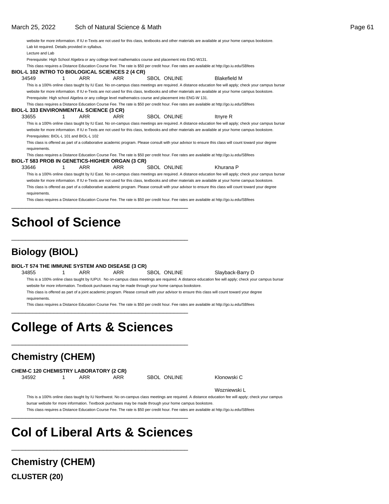|                                                  |   |            |            |                                                                                                                                           | website for more information. If IU e-Texts are not used for this class, textbooks and other materials are available at your home campus bookstore.    |  |
|--------------------------------------------------|---|------------|------------|-------------------------------------------------------------------------------------------------------------------------------------------|--------------------------------------------------------------------------------------------------------------------------------------------------------|--|
| Lab kit required. Details provided in syllabus.  |   |            |            |                                                                                                                                           |                                                                                                                                                        |  |
| Lecture and Lab                                  |   |            |            |                                                                                                                                           |                                                                                                                                                        |  |
|                                                  |   |            |            | Prerequisite: High School Algebra or any college level mathematics course and placement into ENG-W131.                                    |                                                                                                                                                        |  |
|                                                  |   |            |            | This class requires a Distance Education Course Fee. The rate is \$50 per credit hour. Fee rates are available at http://go.iu.edu/SBfees |                                                                                                                                                        |  |
| BIOL-L 102 INTRO TO BIOLOGICAL SCIENCES 2 (4 CR) |   |            |            |                                                                                                                                           |                                                                                                                                                        |  |
| 34549                                            |   | <b>ARR</b> | <b>ARR</b> | <b>SBOL ONLINE</b>                                                                                                                        | <b>Blakefield M</b>                                                                                                                                    |  |
|                                                  |   |            |            |                                                                                                                                           | This is a 100% online class taught by IU East. No on-campus class meetings are required. A distance education fee will apply; check your campus bursar |  |
|                                                  |   |            |            |                                                                                                                                           | website for more information. If IU e-Texts are not used for this class, textbooks and other materials are available at your home campus bookstore.    |  |
|                                                  |   |            |            | Prerequisite: High school Algebra or any college level mathematics course and placement into ENG-W 131.                                   |                                                                                                                                                        |  |
|                                                  |   |            |            | This class requires a Distance Education Course Fee. The rate is \$50 per credit hour. Fee rates are available at http://go.iu.edu/SBfees |                                                                                                                                                        |  |
| BIOL-L 333 ENVIRONMENTAL SCIENCE (3 CR)          |   |            |            |                                                                                                                                           |                                                                                                                                                        |  |
| 33655                                            | 1 | ARR        | ARR        | <b>SBOL ONLINE</b>                                                                                                                        | Itnyre R                                                                                                                                               |  |
|                                                  |   |            |            |                                                                                                                                           | This is a 100% online class taught by IU East. No on-campus class meetings are required. A distance education fee will apply; check your campus bursar |  |
|                                                  |   |            |            |                                                                                                                                           | website for more information. If IU e-Texts are not used for this class, textbooks and other materials are available at your home campus bookstore.    |  |
| Prerequisites: BIOL-L 101 and BIOL-L 102         |   |            |            |                                                                                                                                           |                                                                                                                                                        |  |
| requirements.                                    |   |            |            |                                                                                                                                           | This class is offered as part of a collaborative academic program. Please consult with your advisor to ensure this class will count toward your degree |  |
|                                                  |   |            |            | This class requires a Distance Education Course Fee. The rate is \$50 per credit hour. Fee rates are available at http://go.iu.edu/SBfees |                                                                                                                                                        |  |
| BIOL-T 583 PROB IN GENETICS-HIGHER ORGAN (3 CR)  |   |            |            |                                                                                                                                           |                                                                                                                                                        |  |
| 33646                                            | 1 | <b>ARR</b> | <b>ARR</b> | <b>SBOL ONLINE</b>                                                                                                                        | Khurana P                                                                                                                                              |  |
|                                                  |   |            |            |                                                                                                                                           | This is a 100% online class taught by IU East. No on-campus class meetings are required. A distance education fee will apply; check your campus bursar |  |
|                                                  |   |            |            |                                                                                                                                           | website for more information. If IU e-Texts are not used for this class, textbooks and other materials are available at your home campus bookstore.    |  |
|                                                  |   |            |            |                                                                                                                                           | This class is offered as part of a collaborative academic program. Please consult with your advisor to ensure this class will count toward your degree |  |
| requirements.                                    |   |            |            |                                                                                                                                           |                                                                                                                                                        |  |
|                                                  |   |            |            | This class requires a Distance Education Course Fee. The rate is \$50 per credit hour. Fee rates are available at http://go.iu.edu/SBfees |                                                                                                                                                        |  |
|                                                  |   |            |            |                                                                                                                                           |                                                                                                                                                        |  |
|                                                  |   |            |            |                                                                                                                                           |                                                                                                                                                        |  |

# **School of Science**

### **Biology (BIOL)**

**BIOL-T 574 THE IMMUNE SYSTEM AND DISEASE (3 CR)**

34855 1 ARR ARR SBOL ONLINE Slayback-Barry D

This is a 100% online class taught by IUPUI. No on-campus class meetings are required. A distance education fee will apply; check your campus bursar website for more information. Textbook purchases may be made through your home campus bookstore.

This class is offered as part of a joint academic program. Please consult with your advisor to ensure this class will count toward your degree requirements.

This class requires a Distance Education Course Fee. The rate is \$50 per credit hour. Fee rates are available at http://go.iu.edu/SBfees

# **College of Arts & Sciences**

\_\_\_\_\_\_\_\_\_\_\_\_\_\_\_\_\_\_\_\_\_\_\_\_\_\_\_\_\_\_\_\_\_\_\_\_\_\_\_\_\_\_\_\_\_\_\_\_\_\_

\_\_\_\_\_\_\_\_\_\_\_\_\_\_\_\_\_\_\_\_\_\_\_\_\_\_\_\_\_\_\_\_\_\_\_\_\_\_\_\_\_\_\_\_\_\_\_\_\_\_

\_\_\_\_\_\_\_\_\_\_\_\_\_\_\_\_\_\_\_\_\_\_\_\_\_\_\_\_\_\_\_\_\_\_\_\_\_\_\_\_\_\_\_\_\_\_\_\_\_\_

### **Chemistry (CHEM)**

**CHEM-C 120 CHEMISTRY LABORATORY (2 CR)**

34592 1 ARR ARR SBOL ONLINE Klonowski C

Wozniewski L

This is a 100% online class taught by IU Northwest. No on-campus class meetings are required. A distance education fee will apply; check your campus bursar website for more information. Textbook purchases may be made through your home campus bookstore. This class requires a Distance Education Course Fee. The rate is \$50 per credit hour. Fee rates are available at http://go.iu.edu/SBfees

# **Col of Liberal Arts & Sciences**

\_\_\_\_\_\_\_\_\_\_\_\_\_\_\_\_\_\_\_\_\_\_\_\_\_\_\_\_\_\_\_\_\_\_\_\_\_\_\_\_\_\_\_\_\_\_\_\_\_\_

\_\_\_\_\_\_\_\_\_\_\_\_\_\_\_\_\_\_\_\_\_\_\_\_\_\_\_\_\_\_\_\_\_\_\_\_\_\_\_\_\_\_\_\_\_\_\_\_\_\_

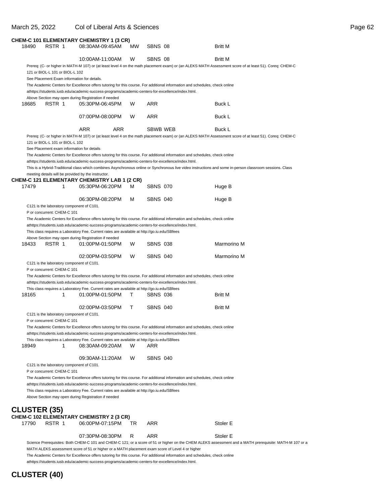#### March 25, 2022 Col of Liberal Arts & Sciences **Page 62.6 Page 62.6 Page 62.6 Page 62.6 Page 62.6 Page 62.6 Page 62.6 Page 62.6 Page 62.6 Page 62.6 Page 62.6 Page 62.6 Page 62.6 Page 62.6 Page 62.6 Page 62.6 Page 62.6 Page**

| age<br>r |
|----------|
|----------|

| 18490               | RSTR 1                          |   | CHEM-C 101 ELEMENTARY CHEMISTRY 1 (3 CR)<br>08:30AM-09:45AM                                                                                                                                                                                                                                            | MW | SBNS 08         | <b>Britt M</b>                                                                                                                                                                                                                                                                         |  |
|---------------------|---------------------------------|---|--------------------------------------------------------------------------------------------------------------------------------------------------------------------------------------------------------------------------------------------------------------------------------------------------------|----|-----------------|----------------------------------------------------------------------------------------------------------------------------------------------------------------------------------------------------------------------------------------------------------------------------------------|--|
|                     |                                 |   | 10:00AM-11:00AM                                                                                                                                                                                                                                                                                        | W  | SBNS 08         | <b>Britt M</b>                                                                                                                                                                                                                                                                         |  |
|                     | 121 or BIOL-L 101 or BIOL-L 102 |   | See Placement Exam information for details.                                                                                                                                                                                                                                                            |    |                 | Prereq: (C- or higher in MATH-M 107) or (at least level 4 on the math placement exam) or (an ALEKS MATH Assessment score of at least 51). Coreq: CHEM-C<br>The Academic Centers for Excellence offers tutoring for this course. For additional information and schedules, check online |  |
|                     |                                 |   | athttps://students.iusb.edu/academic-success-programs/academic-centers-for-excellence/index.html.                                                                                                                                                                                                      |    |                 |                                                                                                                                                                                                                                                                                        |  |
| 18685               | RSTR 1                          |   | Above Section may open during Registration if needed<br>05:30PM-06:45PM                                                                                                                                                                                                                                | W  | ARR             | Buck L                                                                                                                                                                                                                                                                                 |  |
|                     |                                 |   | 07:00PM-08:00PM                                                                                                                                                                                                                                                                                        | W  | ARR             | Buck L                                                                                                                                                                                                                                                                                 |  |
|                     |                                 |   | <b>ARR</b><br><b>ARR</b>                                                                                                                                                                                                                                                                               |    | SBWB WEB        | <b>Buck L</b>                                                                                                                                                                                                                                                                          |  |
|                     | 121 or BIOL-L 101 or BIOL-L 102 |   | See Placement exam information for details                                                                                                                                                                                                                                                             |    |                 | Prereq: (C- or higher in MATH-M 107) or (at least level 4 on the math placement exam) or (an ALEKS MATH Assessment score of at least 51). Coreq: CHEM-C<br>The Academic Centers for Excellence offers tutoring for this course. For additional information and schedules, check online |  |
|                     |                                 |   | athttps://students.iusb.edu/academic-success-programs/academic-centers-for-excellence/index.html.<br>meeting details will be provided by the instructor.                                                                                                                                               |    |                 | This is a Hybrid-Traditional class which combines Asynchronous online or Synchronous live video instructions and some in-person classroom sessions. Class                                                                                                                              |  |
| 17479               |                                 | 1 | CHEM-C 121 ELEMENTARY CHEMISTRY LAB 1 (2 CR)<br>05:30PM-06:20PM                                                                                                                                                                                                                                        | м  | <b>SBNS 070</b> | Huge B                                                                                                                                                                                                                                                                                 |  |
|                     |                                 |   | 06:30PM-08:20PM<br>C121 is the laboratory component of C101.                                                                                                                                                                                                                                           | м  | <b>SBNS 040</b> | Huge B                                                                                                                                                                                                                                                                                 |  |
|                     | P or concurrent: CHEM-C 101     |   | athttps://students.iusb.edu/academic-success-programs/academic-centers-for-excellence/index.html.<br>This class requires a Laboratory Fee. Current rates are available at http://go.iu.edu/SBfees<br>Above Section may open during Registration if needed                                              |    |                 | The Academic Centers for Excellence offers tutoring for this course. For additional information and schedules, check online                                                                                                                                                            |  |
| 18433               | RSTR 1                          |   | 01:00PM-01:50PM                                                                                                                                                                                                                                                                                        | W  | <b>SBNS 038</b> | Marmorino M                                                                                                                                                                                                                                                                            |  |
|                     | P or concurrent: CHEM-C 101     |   | 02:00PM-03:50PM<br>C121 is the laboratory component of C101.                                                                                                                                                                                                                                           | W  | <b>SBNS 040</b> | Marmorino M                                                                                                                                                                                                                                                                            |  |
|                     |                                 |   | athttps://students.iusb.edu/academic-success-programs/academic-centers-for-excellence/index.html.                                                                                                                                                                                                      |    |                 | The Academic Centers for Excellence offers tutoring for this course. For additional information and schedules, check online                                                                                                                                                            |  |
|                     |                                 |   | This class requires a Laboratory Fee. Current rates are available at http://go.iu.edu/SBfees                                                                                                                                                                                                           |    |                 |                                                                                                                                                                                                                                                                                        |  |
| 18165               |                                 | 1 | 01:00PM-01:50PM                                                                                                                                                                                                                                                                                        | Τ  | SBNS 036        | <b>Britt M</b>                                                                                                                                                                                                                                                                         |  |
|                     | P or concurrent: CHEM-C 101     |   | 02:00PM-03:50PM<br>C121 is the laboratory component of C101.                                                                                                                                                                                                                                           | т  | <b>SBNS 040</b> | Britt M                                                                                                                                                                                                                                                                                |  |
|                     |                                 |   | athttps://students.iusb.edu/academic-success-programs/academic-centers-for-excellence/index.html.                                                                                                                                                                                                      |    |                 | The Academic Centers for Excellence offers tutoring for this course. For additional information and schedules, check online                                                                                                                                                            |  |
| 18949               |                                 | 1 | This class requires a Laboratory Fee. Current rates are available at http://go.iu.edu/SBfees<br>08:30AM-09:20AM                                                                                                                                                                                        | w  | ARR             |                                                                                                                                                                                                                                                                                        |  |
|                     |                                 |   | 09:30AM-11:20AM                                                                                                                                                                                                                                                                                        | W  | <b>SBNS 040</b> |                                                                                                                                                                                                                                                                                        |  |
|                     | P or concurrent: CHEM-C 101     |   | C121 is the laboratory component of C101.<br>athttps://students.iusb.edu/academic-success-programs/academic-centers-for-excellence/index.html.<br>This class requires a Laboratory Fee. Current rates are available at http://go.iu.edu/SBfees<br>Above Section may open during Registration if needed |    |                 | The Academic Centers for Excellence offers tutoring for this course. For additional information and schedules, check online                                                                                                                                                            |  |
| <b>CLUSTER (35)</b> |                                 |   |                                                                                                                                                                                                                                                                                                        |    |                 |                                                                                                                                                                                                                                                                                        |  |
| 17790               | RSTR 1                          |   | CHEM-C 102 ELEMENTARY CHEMISTRY 2 (3 CR)<br>06:00PM-07:15PM                                                                                                                                                                                                                                            | TR | ARR             | Stoler E                                                                                                                                                                                                                                                                               |  |
|                     |                                 |   | 07:30PM-08:30PM                                                                                                                                                                                                                                                                                        | R  | ARR             | Stoler E<br>Science Prerequisites: Roth CHEM-C 101 and CHEM-C 121; or a score of 51 or bigher on the CHEM ALEKS assessment and a MATH prerequisite: MATH-M 107                                                                                                                         |  |

Prerequisites: Both CHEM-C 101 and CHEM-C 121; or a score of 51 or higher on the CHEM ALEKS assessment and a MATH prerequisite: MATH-M 107 or a MATH ALEKS assessment score of 51 or higher or a MATH placement exam score of Level 4 or higher The Academic Centers for Excellence offers tutoring for this course. For additional information and schedules, check online

at https://students.iusb.edu/academic-success-programs/academic-centers-for-excellence/index.html.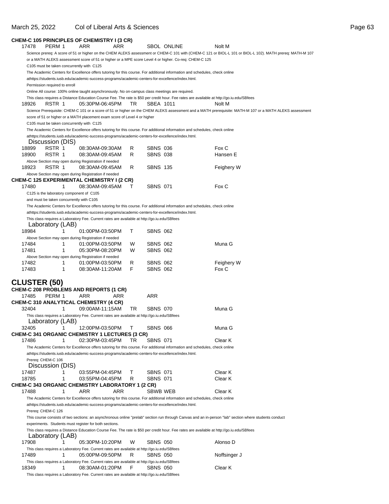#### March 25, 2022 Col of Liberal Arts & Sciences

| ade<br>r |
|----------|
|----------|

|                     |                               |   | CHEM-C 105 PRINCIPLES OF CHEMISTRY I (3 CR)                                                                     |     |    |                 |                                                                                                                                           |                                                                                                                                                           |
|---------------------|-------------------------------|---|-----------------------------------------------------------------------------------------------------------------|-----|----|-----------------|-------------------------------------------------------------------------------------------------------------------------------------------|-----------------------------------------------------------------------------------------------------------------------------------------------------------|
| 17478               | PERM 1                        |   | ARR                                                                                                             | ARR |    |                 | <b>SBOL ONLINE</b>                                                                                                                        | Nolt M                                                                                                                                                    |
|                     |                               |   |                                                                                                                 |     |    |                 |                                                                                                                                           | Science prereq: A score of 51 or higher on the CHEM ALEKS assessment or CHEM-C 101 with (CHEM-C 121 or BIOL-L 101 or BIOL-L 102). MATH prereq: MATH-M 107 |
|                     |                               |   |                                                                                                                 |     |    |                 | or a MATH ALEKS assessment score of 51 or higher or a MPE score Level 4 or higher. Co-req: CHEM-C 125                                     |                                                                                                                                                           |
|                     |                               |   | C105 must be taken concurrently with C125                                                                       |     |    |                 |                                                                                                                                           |                                                                                                                                                           |
|                     |                               |   |                                                                                                                 |     |    |                 | The Academic Centers for Excellence offers tutoring for this course. For additional information and schedules, check online               |                                                                                                                                                           |
|                     |                               |   | athttps://students.iusb.edu/academic-success-programs/academic-centers-for-excellence/index.html.               |     |    |                 |                                                                                                                                           |                                                                                                                                                           |
|                     | Permission required to enroll |   |                                                                                                                 |     |    |                 |                                                                                                                                           |                                                                                                                                                           |
|                     |                               |   | Online All course: 100% online taught asynchronously. No on-campus class meetings are required.                 |     |    |                 |                                                                                                                                           |                                                                                                                                                           |
|                     |                               |   |                                                                                                                 |     |    |                 | This class requires a Distance Education Course Fee. The rate is \$50 per credit hour. Fee rates are available at http://go.iu.edu/SBfees |                                                                                                                                                           |
| 18926               | RSTR 1                        |   | 05:30PM-06:45PM                                                                                                 |     | TR | SBEA 1011       |                                                                                                                                           | Nolt M                                                                                                                                                    |
|                     |                               |   |                                                                                                                 |     |    |                 |                                                                                                                                           | Science Prerequisite: CHEM-C 101 or a score of 51 or higher on the CHEM ALEKS assessment and a MATH prerequisite: MATH-M 107 or a MATH ALEKS assessment   |
|                     |                               |   | score of 51 or higher or a MATH placement exam score of Level 4 or higher                                       |     |    |                 |                                                                                                                                           |                                                                                                                                                           |
|                     |                               |   | C105 must be taken concurrently with C125                                                                       |     |    |                 |                                                                                                                                           |                                                                                                                                                           |
|                     |                               |   |                                                                                                                 |     |    |                 | The Academic Centers for Excellence offers tutoring for this course. For additional information and schedules, check online               |                                                                                                                                                           |
|                     | Discussion (DIS)              |   | athttps://students.iusb.edu/academic-success-programs/academic-centers-for-excellence/index.html.               |     |    |                 |                                                                                                                                           |                                                                                                                                                           |
| 18899               | RSTR 1                        |   | 08:30AM-09:30AM                                                                                                 |     | R  | <b>SBNS 036</b> |                                                                                                                                           | Fox C                                                                                                                                                     |
| 18900               | RSTR 1                        |   | 08:30AM-09:45AM                                                                                                 |     | R  | <b>SBNS 038</b> |                                                                                                                                           | Hansen E                                                                                                                                                  |
|                     |                               |   | Above Section may open during Registration if needed                                                            |     |    |                 |                                                                                                                                           |                                                                                                                                                           |
| 18923               | RSTR 1                        |   | 08:30AM-09:45AM                                                                                                 |     | R  | <b>SBNS 135</b> |                                                                                                                                           | Feighery W                                                                                                                                                |
|                     |                               |   | Above Section may open during Registration if needed                                                            |     |    |                 |                                                                                                                                           |                                                                                                                                                           |
|                     |                               |   | <b>CHEM-C 125 EXPERIMENTAL CHEMISTRY I (2 CR)</b>                                                               |     |    |                 |                                                                                                                                           |                                                                                                                                                           |
| 17480               |                               | 1 | 08:30AM-09:45AM                                                                                                 |     | T  | <b>SBNS 071</b> |                                                                                                                                           | Fox C                                                                                                                                                     |
|                     |                               |   | C125 is the laboratory component of C105                                                                        |     |    |                 |                                                                                                                                           |                                                                                                                                                           |
|                     |                               |   | and must be taken concurrently with C105                                                                        |     |    |                 |                                                                                                                                           |                                                                                                                                                           |
|                     |                               |   |                                                                                                                 |     |    |                 | The Academic Centers for Excellence offers tutoring for this course. For additional information and schedules, check online               |                                                                                                                                                           |
|                     |                               |   | athttps://students.iusb.edu/academic-success-programs/academic-centers-for-excellence/index.html.               |     |    |                 |                                                                                                                                           |                                                                                                                                                           |
|                     |                               |   | This class requires a Laboratory Fee. Current rates are available at http://go.iu.edu/SBfees                    |     |    |                 |                                                                                                                                           |                                                                                                                                                           |
|                     | Laboratory (LAB)              |   |                                                                                                                 |     |    |                 |                                                                                                                                           |                                                                                                                                                           |
| 18984               |                               | 1 | 01:00PM-03:50PM                                                                                                 |     | Τ  | <b>SBNS 062</b> |                                                                                                                                           |                                                                                                                                                           |
|                     |                               |   | Above Section may open during Registration if needed                                                            |     |    |                 |                                                                                                                                           |                                                                                                                                                           |
| 17484               |                               | 1 | 01:00PM-03:50PM                                                                                                 |     | W  | <b>SBNS 062</b> |                                                                                                                                           | Muna G                                                                                                                                                    |
| 17481               |                               | 1 | 05:30PM-08:20PM                                                                                                 |     | W  | <b>SBNS 062</b> |                                                                                                                                           |                                                                                                                                                           |
|                     |                               |   | Above Section may open during Registration if needed                                                            |     |    |                 |                                                                                                                                           |                                                                                                                                                           |
| 17482               |                               | 1 | 01:00PM-03:50PM                                                                                                 |     | R  | <b>SBNS 062</b> |                                                                                                                                           | Feighery W                                                                                                                                                |
| 17483               |                               | 1 | 08:30AM-11:20AM                                                                                                 |     | F  | <b>SBNS 062</b> |                                                                                                                                           | Fox C                                                                                                                                                     |
|                     |                               |   |                                                                                                                 |     |    |                 |                                                                                                                                           |                                                                                                                                                           |
| <b>CLUSTER (50)</b> |                               |   |                                                                                                                 |     |    |                 |                                                                                                                                           |                                                                                                                                                           |
|                     |                               |   | <b>CHEM-C 208 PROBLEMS AND REPORTS (1 CR)</b>                                                                   |     |    |                 |                                                                                                                                           |                                                                                                                                                           |
| 17485               | PERM 1                        |   | <b>ARR</b>                                                                                                      | ARR |    | ARR             |                                                                                                                                           |                                                                                                                                                           |
|                     |                               |   | CHEM-C 310 ANALYTICAL CHEMISTRY (4 CR)                                                                          |     |    |                 |                                                                                                                                           |                                                                                                                                                           |
| 32404               |                               | 1 | 09:00AM-11:15AM                                                                                                 |     | TR | <b>SBNS 070</b> |                                                                                                                                           | Muna G                                                                                                                                                    |
|                     |                               |   | This class requires a Laboratory Fee. Current rates are available at http://go.iu.edu/SBfees                    |     |    |                 |                                                                                                                                           |                                                                                                                                                           |
|                     | Laboratory (LAB)              |   |                                                                                                                 |     |    |                 |                                                                                                                                           |                                                                                                                                                           |
| 32405               |                               | 1 | 12:00PM-03:50PM                                                                                                 |     | т  | <b>SBNS 066</b> |                                                                                                                                           | Muna G                                                                                                                                                    |
|                     |                               |   | CHEM-C 341 ORGANIC CHEMISTRY 1 LECTURES (3 CR)                                                                  |     |    |                 |                                                                                                                                           |                                                                                                                                                           |
| 17486               |                               | 1 | 02:30PM-03:45PM                                                                                                 |     | TR | <b>SBNS 071</b> |                                                                                                                                           | Clear K                                                                                                                                                   |
|                     |                               |   |                                                                                                                 |     |    |                 | The Academic Centers for Excellence offers tutoring for this course. For additional information and schedules, check online               |                                                                                                                                                           |
|                     |                               |   | athttps://students.iusb.edu/academic-success-programs/academic-centers-for-excellence/index.html.               |     |    |                 |                                                                                                                                           |                                                                                                                                                           |
|                     | Prereq: CHEM-C 106            |   |                                                                                                                 |     |    |                 |                                                                                                                                           |                                                                                                                                                           |
|                     | Discussion (DIS)              |   |                                                                                                                 |     |    |                 |                                                                                                                                           |                                                                                                                                                           |
| 17487               |                               | 1 | 03:55PM-04:45PM                                                                                                 |     | Τ  | <b>SBNS 071</b> |                                                                                                                                           | Clear K                                                                                                                                                   |
| 18785               |                               | 1 | 03:55PM-04:45PM                                                                                                 |     | R  | <b>SBNS 071</b> |                                                                                                                                           | Clear K                                                                                                                                                   |
|                     |                               |   | CHEM-C 343 ORGANIC CHEMISTRY LABORATORY 1 (2 CR)<br>ARR                                                         |     |    |                 |                                                                                                                                           | Clear K                                                                                                                                                   |
| 17488               |                               | 1 |                                                                                                                 | ARR |    | SBWB WEB        |                                                                                                                                           |                                                                                                                                                           |
|                     |                               |   |                                                                                                                 |     |    |                 | The Academic Centers for Excellence offers tutoring for this course. For additional information and schedules, check online               |                                                                                                                                                           |
|                     |                               |   | athttps://students.iusb.edu/academic-success-programs/academic-centers-for-excellence/index.html.               |     |    |                 |                                                                                                                                           |                                                                                                                                                           |
|                     | Prereq: CHEM-C 126            |   |                                                                                                                 |     |    |                 |                                                                                                                                           |                                                                                                                                                           |
|                     |                               |   |                                                                                                                 |     |    |                 |                                                                                                                                           | This course consists of two sections: an asynchronous online "prelab" section run through Canvas and an in-person "lab" section where students conduct    |
|                     |                               |   | experiments. Students must register for both sections.                                                          |     |    |                 |                                                                                                                                           |                                                                                                                                                           |
|                     | Laboratory (LAB)              |   |                                                                                                                 |     |    |                 | This class requires a Distance Education Course Fee. The rate is \$50 per credit hour. Fee rates are available at http://go.iu.edu/SBfees |                                                                                                                                                           |
| 17908               |                               |   | 05:30PM-10:20PM                                                                                                 |     | w  | <b>SBNS 050</b> |                                                                                                                                           | Alonso D                                                                                                                                                  |
|                     |                               |   |                                                                                                                 |     |    |                 |                                                                                                                                           |                                                                                                                                                           |
| 17489               |                               | 1 | This class requires a Laboratory Fee. Current rates are available at http://go.iu.edu/SBfees<br>05:00PM-09:50PM |     | R  | <b>SBNS 050</b> |                                                                                                                                           | Noffsinger J                                                                                                                                              |
|                     |                               |   | This class requires a Laboratory Fee. Current rates are available at http://go.iu.edu/SBfees                    |     |    |                 |                                                                                                                                           |                                                                                                                                                           |
| 18349               |                               | 1 | 08:30AM-01:20PM                                                                                                 |     | F  | <b>SBNS 050</b> |                                                                                                                                           | Clear K                                                                                                                                                   |
|                     |                               |   | This class requires a Laboratory Fee. Current rates are available at http://go.iu.edu/SBfees                    |     |    |                 |                                                                                                                                           |                                                                                                                                                           |
|                     |                               |   |                                                                                                                 |     |    |                 |                                                                                                                                           |                                                                                                                                                           |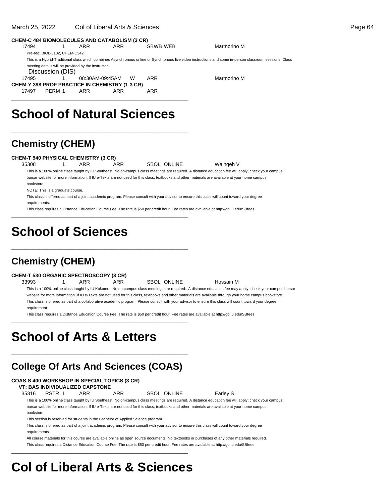#### March 25, 2022 Col of Liberal Arts & Sciences Page 64

| <b>CHEM-C 484 BIOMOLECULES AND CATABOLISM (3 CR)</b>  |                                                                                                                                                           |                 |            |   |          |             |  |  |  |  |  |  |
|-------------------------------------------------------|-----------------------------------------------------------------------------------------------------------------------------------------------------------|-----------------|------------|---|----------|-------------|--|--|--|--|--|--|
| 17494                                                 |                                                                                                                                                           | <b>ARR</b>      | <b>ARR</b> |   | SBWB WEB | Marmorino M |  |  |  |  |  |  |
| Pre-req: BIOL-L102, CHEM-C342                         |                                                                                                                                                           |                 |            |   |          |             |  |  |  |  |  |  |
|                                                       | This is a Hybrid-Traditional class which combines Asynchronous online or Synchronous live video instructions and some in-person classroom sessions. Class |                 |            |   |          |             |  |  |  |  |  |  |
|                                                       | meeting details will be provided by the instructor.<br>Discussion (DIS)                                                                                   |                 |            |   |          |             |  |  |  |  |  |  |
| 17495                                                 |                                                                                                                                                           | 08:30AM-09:45AM |            | W | ARR      | Marmorino M |  |  |  |  |  |  |
| <b>CHEM-Y 398 PROF PRACTICE IN CHEMISTRY (1-3 CR)</b> |                                                                                                                                                           |                 |            |   |          |             |  |  |  |  |  |  |
| PFRM 1<br>17497                                       |                                                                                                                                                           | <b>ARR</b>      | ARR        |   | ARR      |             |  |  |  |  |  |  |
|                                                       |                                                                                                                                                           |                 |            |   |          |             |  |  |  |  |  |  |

## **School of Natural Sciences**

\_\_\_\_\_\_\_\_\_\_\_\_\_\_\_\_\_\_\_\_\_\_\_\_\_\_\_\_\_\_\_\_\_\_\_\_\_\_\_\_\_\_\_\_\_\_\_\_\_\_

\_\_\_\_\_\_\_\_\_\_\_\_\_\_\_\_\_\_\_\_\_\_\_\_\_\_\_\_\_\_\_\_\_\_\_\_\_\_\_\_\_\_\_\_\_\_\_\_\_\_

\_\_\_\_\_\_\_\_\_\_\_\_\_\_\_\_\_\_\_\_\_\_\_\_\_\_\_\_\_\_\_\_\_\_\_\_\_\_\_\_\_\_\_\_\_\_\_\_\_\_

### **Chemistry (CHEM)**

#### **CHEM-T 540 PHYSICAL CHEMISTRY (3 CR)**

35308 1 ARR ARR SBOL ONLINE Waingeh V This is a 100% online class taught by IU Southeast. No on-campus class meetings are required. A distance education fee will apply; check your campus bursar website for more information. If IU e-Texts are not used for this class, textbooks and other materials are available at your home campus bookstore.

NOTE: This is a graduate course.

This class is offered as part of a joint academic program. Please consult with your advisor to ensure this class will count toward your degree requirements.

This class requires a Distance Education Course Fee. The rate is \$50 per credit hour. Fee rates are available at http://go.iu.edu/SBfees

# **School of Sciences**

### **Chemistry (CHEM)**

#### **CHEM-T 530 ORGANIC SPECTROSCOPY (3 CR)**

33993 1 ARR ARR SBOL ONLINE Hossain M This is a 100% online class taught by IU Kokomo. No on-campus class meetings are required. A distance education fee may apply; check your campus bursar website for more information. If IU e-Texts are not used for this class, textbooks and other materials are available through your home campus bookstore. This class is offered as part of a collaborative academic program. Please consult with your advisor to ensure this class will count toward your degree requirement

This class requires a Distance Education Course Fee. The rate is \$50 per credit hour. Fee rates are available at http://go.iu.edu/SBfees

### **School of Arts & Letters**

### **College Of Arts And Sciences (COAS)**

\_\_\_\_\_\_\_\_\_\_\_\_\_\_\_\_\_\_\_\_\_\_\_\_\_\_\_\_\_\_\_\_\_\_\_\_\_\_\_\_\_\_\_\_\_\_\_\_\_\_

\_\_\_\_\_\_\_\_\_\_\_\_\_\_\_\_\_\_\_\_\_\_\_\_\_\_\_\_\_\_\_\_\_\_\_\_\_\_\_\_\_\_\_\_\_\_\_\_\_\_

#### **COAS-S 400 WORKSHOP IN SPECIAL TOPICS (3 CR)**

**VT: BAS INDIVIDUALIZED CAPSTONE**

35316 RSTR 1 ARR ARR SBOL ONLINE Earley S

This is a 100% online class taught by IU Southeast. No on-campus class meetings are required. A distance education fee will apply; check your campus bursar website for more information. If IU e-Texts are not used for this class, textbooks and other materials are available at your home campus bookstore.

This section is reserved for students in the Bachelor of Applied Science program.

This class is offered as part of a joint academic program. Please consult with your advisor to ensure this class will count toward your degree requirements.

All course materials for this course are available online as open source documents. No textbooks or purchases of any other materials required. This class requires a Distance Education Course Fee. The rate is \$50 per credit hour. Fee rates are available at http://go.iu.edu/SBfees

# **Col of Liberal Arts & Sciences**

\_\_\_\_\_\_\_\_\_\_\_\_\_\_\_\_\_\_\_\_\_\_\_\_\_\_\_\_\_\_\_\_\_\_\_\_\_\_\_\_\_\_\_\_\_\_\_\_\_\_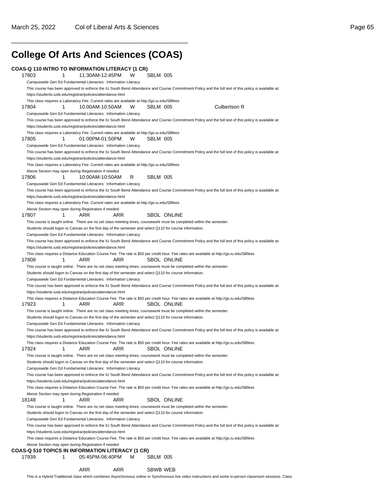# **College Of Arts And Sciences (COAS)**

\_\_\_\_\_\_\_\_\_\_\_\_\_\_\_\_\_\_\_\_\_\_\_\_\_\_\_\_\_\_\_\_\_\_\_\_\_\_\_\_\_\_\_\_\_\_\_\_\_\_

|                                                                                                          | 1        | COAS-Q 110 INTRO TO INFORMATION LITERACY (1 CR)<br>11:30AM-12:45PM | W   | SBLM 005           |                                                                                                                                                      |
|----------------------------------------------------------------------------------------------------------|----------|--------------------------------------------------------------------|-----|--------------------|------------------------------------------------------------------------------------------------------------------------------------------------------|
| Campuswide Gen Ed Fundamental Literacies: Information Literacy                                           |          |                                                                    |     |                    |                                                                                                                                                      |
|                                                                                                          |          |                                                                    |     |                    | This course has been approved to enforce the IU South Bend Attendance and Course Commitment Policy and the full text of this policy is available at: |
| https://students.iusb.edu/registrar/policies/attendance.html                                             |          |                                                                    |     |                    |                                                                                                                                                      |
| This class requires a Laboratory Fee. Current rates are available at http://go.iu.edu/SBfees             |          |                                                                    |     |                    |                                                                                                                                                      |
| 17804                                                                                                    | 1        | 10:00AM-10:50AM                                                    | W   | SBLM 005           | Culbertson R                                                                                                                                         |
| Campuswide Gen Ed Fundamental Literacies: Information Literacy                                           |          |                                                                    |     |                    |                                                                                                                                                      |
|                                                                                                          |          |                                                                    |     |                    | This course has been approved to enforce the IU South Bend Attendance and Course Commitment Policy and the full text of this policy is available at: |
| https://students.iusb.edu/registrar/policies/attendance.html                                             |          |                                                                    |     |                    |                                                                                                                                                      |
| This class requires a Laboratory Fee. Current rates are available at http://go.iu.edu/SBfees             |          |                                                                    |     |                    |                                                                                                                                                      |
| 17805                                                                                                    | 1        | 01:00PM-01:50PM                                                    | W   | SBLM 005           |                                                                                                                                                      |
| Campuswide Gen Ed Fundamental Literacies: Information Literacy                                           |          |                                                                    |     |                    |                                                                                                                                                      |
|                                                                                                          |          |                                                                    |     |                    | This course has been approved to enforce the IU South Bend Attendance and Course Commitment Policy and the full text of this policy is available at: |
| https://students.iusb.edu/registrar/policies/attendance.html                                             |          |                                                                    |     |                    |                                                                                                                                                      |
| This class requires a Laboratory Fee. Current rates are available at http://go.iu.edu/SBfees             |          |                                                                    |     |                    |                                                                                                                                                      |
| Above Section may open during Registration if needed<br>17806                                            | 1        | 10:00AM-10:50AM                                                    | R   | SBLM 005           |                                                                                                                                                      |
| Campuswide Gen Ed Fundamental Literacies: Information Literacy                                           |          |                                                                    |     |                    |                                                                                                                                                      |
|                                                                                                          |          |                                                                    |     |                    | This course has been approved to enforce the IU South Bend Attendance and Course Commitment Policy and the full text of this policy is available at: |
| https://students.iusb.edu/registrar/policies/attendance.html                                             |          |                                                                    |     |                    |                                                                                                                                                      |
| This class requires a Laboratory Fee. Current rates are available at http://go.iu.edu/SBfees             |          |                                                                    |     |                    |                                                                                                                                                      |
| Above Section may open during Registration if needed                                                     |          |                                                                    |     |                    |                                                                                                                                                      |
| 17807                                                                                                    | 1<br>ARR |                                                                    | ARR | <b>SBOL ONLINE</b> |                                                                                                                                                      |
|                                                                                                          |          |                                                                    |     |                    | This course is taught online. There are no set class meeting times, coursework must be completed within the semester.                                |
| Students should logon to Canvas on the first day of the semester and select Q110 for course information. |          |                                                                    |     |                    |                                                                                                                                                      |
| Campuswide Gen Ed Fundamental Literacies: Information Literacy                                           |          |                                                                    |     |                    |                                                                                                                                                      |
|                                                                                                          |          |                                                                    |     |                    | This course has been approved to enforce the IU South Bend Attendance and Course Commitment Policy and the full text of this policy is available at: |
| https://students.iusb.edu/registrar/policies/attendance.html                                             |          |                                                                    |     |                    |                                                                                                                                                      |
|                                                                                                          |          |                                                                    |     |                    | This class requires a Distance Education Course Fee. The rate is \$50 per credit hour. Fee rates are available at http://go.iu.edu/SBfees            |
| 17808                                                                                                    | 1<br>ARR |                                                                    | ARR | <b>SBOL ONLINE</b> |                                                                                                                                                      |
|                                                                                                          |          |                                                                    |     |                    | This course is taught online. There are no set class meeting times, coursework must be completed within the semester.                                |
| Students should logon to Canvas on the first day of the semester and select Q110 for course information. |          |                                                                    |     |                    |                                                                                                                                                      |
| Campuswide Gen Ed Fundamental Literacies: Information Literacy                                           |          |                                                                    |     |                    |                                                                                                                                                      |
|                                                                                                          |          |                                                                    |     |                    | This course has been approved to enforce the IU South Bend Attendance and Course Commitment Policy and the full text of this policy is available at: |
| https://students.iusb.edu/registrar/policies/attendance.html                                             |          |                                                                    |     |                    |                                                                                                                                                      |
|                                                                                                          |          |                                                                    |     |                    | This class requires a Distance Education Course Fee. The rate is \$50 per credit hour. Fee rates are available at http://go.iu.edu/SBfees            |
| 17923                                                                                                    | 1<br>ARR |                                                                    | ARR | <b>SBOL ONLINE</b> |                                                                                                                                                      |
|                                                                                                          |          |                                                                    |     |                    | This course is taught online. There are no set class meeting times, coursework must be completed within the semester.                                |
| Students should logon to Canvas on the first day of the semester and select Q110 for course information. |          |                                                                    |     |                    |                                                                                                                                                      |
| Campuswide Gen Ed Fundamental Literacies: Information Literacy                                           |          |                                                                    |     |                    |                                                                                                                                                      |
|                                                                                                          |          |                                                                    |     |                    | This course has been approved to enforce the IU South Bend Attendance and Course Commitment Policy and the full text of this policy is available at: |
| https://students.iusb.edu/registrar/policies/attendance.html                                             |          |                                                                    |     |                    |                                                                                                                                                      |
|                                                                                                          |          |                                                                    |     |                    | This class requires a Distance Education Course Fee. The rate is \$50 per credit hour. Fee rates are available at http://go.iu.edu/SBfees            |
| 17924                                                                                                    | ARR<br>1 | ARR ARR                                                            |     | <b>SBOL ONLINE</b> |                                                                                                                                                      |
|                                                                                                          |          |                                                                    |     |                    | This course is taught online. There are no set class meeting times, coursework must be completed within the semester.                                |
| Students should logon to Canvas on the first day of the semester and select Q110 for course information. |          |                                                                    |     |                    |                                                                                                                                                      |
| Campuswide Gen Ed Fundamental Literacies: Information Literacy                                           |          |                                                                    |     |                    |                                                                                                                                                      |
|                                                                                                          |          |                                                                    |     |                    | This course has been approved to enforce the IU South Bend Attendance and Course Commitment Policy and the full text of this policy is available at: |
| https://students.iusb.edu/registrar/policies/attendance.html                                             |          |                                                                    |     |                    |                                                                                                                                                      |
|                                                                                                          |          |                                                                    |     |                    | This class requires a Distance Education Course Fee. The rate is \$50 per credit hour. Fee rates are available at http://go.iu.edu/SBfees            |
| Above Section may open during Registration if needed<br>18148                                            | 1<br>ARR |                                                                    | ARR | <b>SBOL ONLINE</b> |                                                                                                                                                      |
|                                                                                                          |          |                                                                    |     |                    | This course is taught online. There are no set class meeting times, coursework must be completed within the semester.                                |
| Students should logon to Canvas on the first day of the semester and select Q110 for course information. |          |                                                                    |     |                    |                                                                                                                                                      |
|                                                                                                          |          | Campuswide Gen Ed Fundamental Literacies: Information Literacy     |     |                    |                                                                                                                                                      |
|                                                                                                          |          |                                                                    |     |                    | This course has been approved to enforce the IU South Bend Attendance and Course Commitment Policy and the full text of this policy is available at: |
|                                                                                                          |          |                                                                    |     |                    |                                                                                                                                                      |
|                                                                                                          |          |                                                                    |     |                    | This class requires a Distance Education Course Fee. The rate is \$50 per credit hour. Fee rates are available at http://go.iu.edu/SBfees            |
| https://students.iusb.edu/registrar/policies/attendance.html                                             |          |                                                                    |     |                    |                                                                                                                                                      |
| Above Section may open during Registration if needed                                                     |          |                                                                    |     |                    |                                                                                                                                                      |
|                                                                                                          |          |                                                                    |     |                    |                                                                                                                                                      |
| COAS-Q 510 TOPICS IN INFORMATION LITERACY (1 CR)<br>17939                                                | 1        | 05:45PM-06:40PM                                                    | м   | SBLM 005           |                                                                                                                                                      |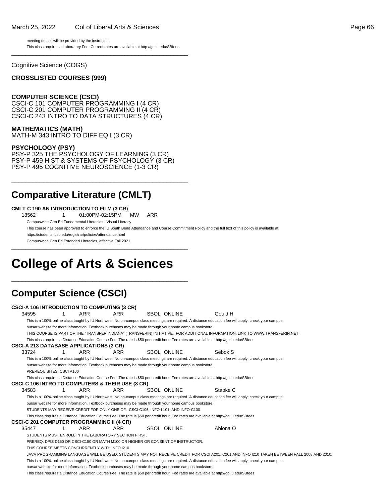#### March 25, 2022 Col of Liberal Arts & Sciences Page 66

meeting details will be provided by the instructor. This class requires a Laboratory Fee. Current rates are available at http://go.iu.edu/SBfees \_\_\_\_\_\_\_\_\_\_\_\_\_\_\_\_\_\_\_\_\_\_\_\_\_\_\_\_\_\_\_\_\_\_\_\_\_\_\_\_\_\_\_\_\_\_\_\_\_\_

Cognitive Science (COGS)

#### **CROSSLISTED COURSES (999)**

#### **COMPUTER SCIENCE (CSCI)**

CSCI-C 101 COMPUTER PROGRAMMING I (4 CR) CSCI-C 201 COMPUTER PROGRAMMING II (4 CR) CSCI-C 243 INTRO TO DATA STRUCTURES (4 CR)

**MATHEMATICS (MATH)**

MATH-M 343 INTRO TO DIFF EQ I (3 CR)

#### **PSYCHOLOGY (PSY)**

PSY-P 325 THE PSYCHOLOGY OF LEARNING (3 CR) PSY-P 459 HIST & SYSTEMS OF PSYCHOLOGY (3 CR) PSY-P 495 COGNITIVE NEUROSCIENCE (1-3 CR)

\_\_\_\_\_\_\_\_\_\_\_\_\_\_\_\_\_\_\_\_\_\_\_\_\_\_\_\_\_\_\_\_\_\_\_\_\_\_\_\_\_\_\_\_\_\_\_\_\_\_

### **Comparative Literature (CMLT)**

#### **CMLT-C 190 AN INTRODUCTION TO FILM (3 CR)**

18562 1 01:00PM-02:15PM MW ARR

Campuswide Gen Ed Fundamental Literacies: Visual Literacy

This course has been approved to enforce the IU South Bend Attendance and Course Commitment Policy and the full text of this policy is available at:

https://students.iusb.edu/registrar/policies/attendance.html

Campuswide Gen Ed Extended Literacies, effective Fall 2021 \_\_\_\_\_\_\_\_\_\_\_\_\_\_\_\_\_\_\_\_\_\_\_\_\_\_\_\_\_\_\_\_\_\_\_\_\_\_\_\_\_\_\_\_\_\_\_\_\_\_

# **College of Arts & Sciences**

\_\_\_\_\_\_\_\_\_\_\_\_\_\_\_\_\_\_\_\_\_\_\_\_\_\_\_\_\_\_\_\_\_\_\_\_\_\_\_\_\_\_\_\_\_\_\_\_\_\_

### **Computer Science (CSCI)**

|       |                          |   | <b>CSCI-A 106 INTRODUCTION TO COMPUTING (3 CR)</b>    |            |                                                                                                                                           |                                                                                                                                                      |
|-------|--------------------------|---|-------------------------------------------------------|------------|-------------------------------------------------------------------------------------------------------------------------------------------|------------------------------------------------------------------------------------------------------------------------------------------------------|
| 34595 |                          |   | ARR                                                   | ARR        | <b>SBOL ONLINE</b>                                                                                                                        | Gould H                                                                                                                                              |
|       |                          |   |                                                       |            |                                                                                                                                           | This is a 100% online class taught by IU Northwest. No on-campus class meetings are required. A distance education fee will apply; check your campus |
|       |                          |   |                                                       |            | bursar website for more information. Textbook purchases may be made through your home campus bookstore.                                   |                                                                                                                                                      |
|       |                          |   |                                                       |            |                                                                                                                                           | THIS COURSE IS PART OF THE "TRANSFER INDIANA" (TRANSFERIN) INITIATIVE. FOR ADDITIONAL INFORMATION, LINK TO WWW.TRANSFERIN.NET.                       |
|       |                          |   |                                                       |            | This class requires a Distance Education Course Fee. The rate is \$50 per credit hour. Fee rates are available at http://go.iu.edu/SBfees |                                                                                                                                                      |
|       |                          |   | <b>CSCI-A 213 DATABASE APPLICATIONS (3 CR)</b>        |            |                                                                                                                                           |                                                                                                                                                      |
| 33724 |                          | 1 | ARR                                                   | ARR        | <b>SBOL ONLINE</b>                                                                                                                        | Sebok S                                                                                                                                              |
|       |                          |   |                                                       |            |                                                                                                                                           | This is a 100% online class taught by IU Northwest. No on-campus class meetings are required. A distance education fee will apply; check your campus |
|       |                          |   |                                                       |            | bursar website for more information. Textbook purchases may be made through your home campus bookstore.                                   |                                                                                                                                                      |
|       | PREREQUISITES: CSCI A106 |   |                                                       |            |                                                                                                                                           |                                                                                                                                                      |
|       |                          |   |                                                       |            | This class requires a Distance Education Course Fee. The rate is \$50 per credit hour. Fee rates are available at http://go.iu.edu/SBfees |                                                                                                                                                      |
|       |                          |   | CSCI-C 106 INTRO TO COMPUTERS & THEIR USE (3 CR)      |            |                                                                                                                                           |                                                                                                                                                      |
| 34583 |                          |   | ARR                                                   | ARR        | <b>SBOL ONLINE</b>                                                                                                                        | Stapke C                                                                                                                                             |
|       |                          |   |                                                       |            |                                                                                                                                           | This is a 100% online class taught by IU Northwest. No on-campus class meetings are required. A distance education fee will apply; check your campus |
|       |                          |   |                                                       |            | bursar website for more information. Textbook purchases may be made through your home campus bookstore.                                   |                                                                                                                                                      |
|       |                          |   |                                                       |            | STUDENTS MAY RECEIVE CREDIT FOR ONLY ONE OF: CSCI-C106, INFO-I 101, AND INFO-C100                                                         |                                                                                                                                                      |
|       |                          |   |                                                       |            | This class requires a Distance Education Course Fee. The rate is \$50 per credit hour. Fee rates are available at http://qo.iu.edu/SBfees |                                                                                                                                                      |
|       |                          |   | <b>CSCI-C 201 COMPUTER PROGRAMMING II (4 CR)</b>      |            |                                                                                                                                           |                                                                                                                                                      |
| 35447 |                          | 1 | <b>ARR</b>                                            | <b>ARR</b> | <b>SBOL ONLINE</b>                                                                                                                        | Abiona O                                                                                                                                             |
|       |                          |   | STUDENTS MUST ENROLL IN THE LABORATORY SECTION FIRST. |            |                                                                                                                                           |                                                                                                                                                      |
|       |                          |   |                                                       |            | PREREQ: DPIS D150 OR CSCI-C150 OR MATH M100 OR HIGHER OR CONSENT OF INSTRUCTOR.                                                           |                                                                                                                                                      |
|       |                          |   | THIS COURSE MEETS CONCURRENTLY WITH INFO 1210.        |            |                                                                                                                                           |                                                                                                                                                      |
|       |                          |   |                                                       |            |                                                                                                                                           | JAVA PROGRAMMING LANGUAGE WILL BE USED. STUDENTS MAY NOT RECEIVE CREDIT FOR CSCI A201, C201 AND INFO I210 TAKEN BETWEEN FALL 2008 AND 2010.          |
|       |                          |   |                                                       |            |                                                                                                                                           | This is a 100% online class taught by IU Northwest. No on-campus class meetings are required. A distance education fee will apply; check your campus |
|       |                          |   |                                                       |            | bursar website for more information. Textbook purchases may be made through your home campus bookstore.                                   |                                                                                                                                                      |
|       |                          |   |                                                       |            | This class requires a Distance Education Course Fee. The rate is \$50 per credit hour. Fee rates are available at http://qo.iu.edu/SBfees |                                                                                                                                                      |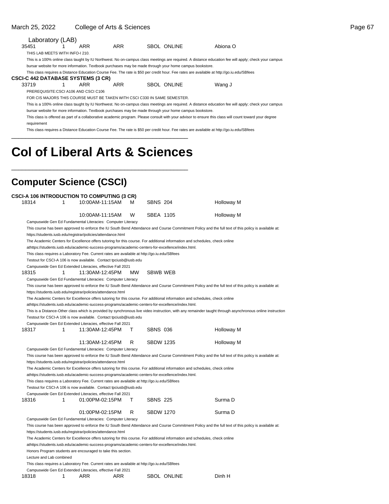#### March 25, 2022 College of Arts & Sciences **Page 67**

|       | Laboratory (LAB)                                                                                                                                     |  |                                                                           |     |  |                                                                                                                                           |                                                                                                                                                        |  |  |  |  |  |
|-------|------------------------------------------------------------------------------------------------------------------------------------------------------|--|---------------------------------------------------------------------------|-----|--|-------------------------------------------------------------------------------------------------------------------------------------------|--------------------------------------------------------------------------------------------------------------------------------------------------------|--|--|--|--|--|
| 35451 |                                                                                                                                                      |  | ARR                                                                       | ARR |  | SBOL ONLINE                                                                                                                               | Abiona O                                                                                                                                               |  |  |  |  |  |
|       | THIS LAB MEETS WITH INFO-I 210.                                                                                                                      |  |                                                                           |     |  |                                                                                                                                           |                                                                                                                                                        |  |  |  |  |  |
|       | This is a 100% online class taught by IU Northwest. No on-campus class meetings are required. A distance education fee will apply; check your campus |  |                                                                           |     |  |                                                                                                                                           |                                                                                                                                                        |  |  |  |  |  |
|       | bursar website for more information. Textbook purchases may be made through your home campus bookstore.                                              |  |                                                                           |     |  |                                                                                                                                           |                                                                                                                                                        |  |  |  |  |  |
|       |                                                                                                                                                      |  |                                                                           |     |  | This class requires a Distance Education Course Fee. The rate is \$50 per credit hour. Fee rates are available at http://qo.iu.edu/SBfees |                                                                                                                                                        |  |  |  |  |  |
|       |                                                                                                                                                      |  | CSCI-C 442 DATABASE SYSTEMS (3 CR)                                        |     |  |                                                                                                                                           |                                                                                                                                                        |  |  |  |  |  |
| 33719 |                                                                                                                                                      |  | ARR                                                                       | ARR |  | <b>SBOL ONLINE</b>                                                                                                                        | Wang J                                                                                                                                                 |  |  |  |  |  |
|       |                                                                                                                                                      |  | PREREQUISITE:CSCI A106 AND CSCI C106                                      |     |  |                                                                                                                                           |                                                                                                                                                        |  |  |  |  |  |
|       |                                                                                                                                                      |  | FOR CIS MAJORS THIS COURSE MUST BE TAKEN WITH CSCI C330 IN SAME SEMESTER. |     |  |                                                                                                                                           |                                                                                                                                                        |  |  |  |  |  |
|       |                                                                                                                                                      |  |                                                                           |     |  |                                                                                                                                           | This is a 100% online class taught by IU Northwest. No on-campus class meetings are required. A distance education fee will apply; check your campus   |  |  |  |  |  |
|       |                                                                                                                                                      |  |                                                                           |     |  | bursar website for more information. Textbook purchases may be made through your home campus bookstore.                                   |                                                                                                                                                        |  |  |  |  |  |
|       |                                                                                                                                                      |  |                                                                           |     |  |                                                                                                                                           | This class is offered as part of a collaborative academic program. Please consult with your advisor to ensure this class will count toward your degree |  |  |  |  |  |
|       | requirement                                                                                                                                          |  |                                                                           |     |  |                                                                                                                                           |                                                                                                                                                        |  |  |  |  |  |
|       |                                                                                                                                                      |  |                                                                           |     |  | This class requires a Distance Education Course Fee. The rate is \$50 per credit hour. Fee rates are available at http://go.iu.edu/SBfees |                                                                                                                                                        |  |  |  |  |  |
|       |                                                                                                                                                      |  |                                                                           |     |  |                                                                                                                                           |                                                                                                                                                        |  |  |  |  |  |
|       |                                                                                                                                                      |  |                                                                           |     |  |                                                                                                                                           |                                                                                                                                                        |  |  |  |  |  |

# **Col of Liberal Arts & Sciences**

\_\_\_\_\_\_\_\_\_\_\_\_\_\_\_\_\_\_\_\_\_\_\_\_\_\_\_\_\_\_\_\_\_\_\_\_\_\_\_\_\_\_\_\_\_\_\_\_\_\_

### **Computer Science (CSCI)**

|       |                          |   | <b>CSCI-A 106 INTRODUCTION TO COMPUTING (3 CR)</b>                                                                          |    |                  |             |                                                                                                                                                           |
|-------|--------------------------|---|-----------------------------------------------------------------------------------------------------------------------------|----|------------------|-------------|-----------------------------------------------------------------------------------------------------------------------------------------------------------|
| 18314 |                          | 1 | 10:00AM-11:15AM                                                                                                             | м  | <b>SBNS 204</b>  |             | Holloway M                                                                                                                                                |
|       |                          |   |                                                                                                                             |    |                  |             |                                                                                                                                                           |
|       |                          |   | 10:00AM-11:15AM                                                                                                             | W  | <b>SBEA 1105</b> |             | Holloway M                                                                                                                                                |
|       |                          |   | Campuswide Gen Ed Fundamental Literacies: Computer Literacy                                                                 |    |                  |             |                                                                                                                                                           |
|       |                          |   |                                                                                                                             |    |                  |             | This course has been approved to enforce the IU South Bend Attendance and Course Commitment Policy and the full text of this policy is available at:      |
|       |                          |   | https://students.iusb.edu/registrar/policies/attendance.html                                                                |    |                  |             |                                                                                                                                                           |
|       |                          |   | The Academic Centers for Excellence offers tutoring for this course. For additional information and schedules, check online |    |                  |             |                                                                                                                                                           |
|       |                          |   | athttps://students.iusb.edu/academic-success-programs/academic-centers-for-excellence/index.html.                           |    |                  |             |                                                                                                                                                           |
|       |                          |   | This class requires a Laboratory Fee. Current rates are available at http://go.iu.edu/SBfees                                |    |                  |             |                                                                                                                                                           |
|       |                          |   | Testout for CSCI-A 106 is now available. Contact tpciusb@iusb.edu                                                           |    |                  |             |                                                                                                                                                           |
|       |                          |   | Campuswide Gen Ed Extended Literacies, effective Fall 2021                                                                  |    |                  |             |                                                                                                                                                           |
| 18315 |                          | 1 | 11:30AM-12:45PM                                                                                                             | MW | <b>SBWB WEB</b>  |             |                                                                                                                                                           |
|       |                          |   | Campuswide Gen Ed Fundamental Literacies: Computer Literacy                                                                 |    |                  |             |                                                                                                                                                           |
|       |                          |   |                                                                                                                             |    |                  |             | This course has been approved to enforce the IU South Bend Attendance and Course Commitment Policy and the full text of this policy is available at:      |
|       |                          |   | https://students.iusb.edu/registrar/policies/attendance.html                                                                |    |                  |             |                                                                                                                                                           |
|       |                          |   | The Academic Centers for Excellence offers tutoring for this course. For additional information and schedules, check online |    |                  |             |                                                                                                                                                           |
|       |                          |   | athttps://students.iusb.edu/academic-success-programs/academic-centers-for-excellence/index.html.                           |    |                  |             |                                                                                                                                                           |
|       |                          |   |                                                                                                                             |    |                  |             | This is a Distance-Other class which is provided by synchronous live video instruction, with any remainder taught through asynchronous online instruction |
|       |                          |   | Testout for CSCI-A 106 is now available. Contact tpciusb@iusb.edu                                                           |    |                  |             |                                                                                                                                                           |
|       |                          |   | Campuswide Gen Ed Extended Literacies, effective Fall 2021                                                                  |    |                  |             |                                                                                                                                                           |
| 18317 |                          | 1 | 11:30AM-12:45PM                                                                                                             | т  | <b>SBNS 036</b>  |             | Holloway M                                                                                                                                                |
|       |                          |   | 11:30AM-12:45PM                                                                                                             | R  | <b>SBDW 1235</b> |             | Holloway M                                                                                                                                                |
|       |                          |   | Campuswide Gen Ed Fundamental Literacies: Computer Literacy                                                                 |    |                  |             |                                                                                                                                                           |
|       |                          |   |                                                                                                                             |    |                  |             | This course has been approved to enforce the IU South Bend Attendance and Course Commitment Policy and the full text of this policy is available at:      |
|       |                          |   | https://students.iusb.edu/registrar/policies/attendance.html                                                                |    |                  |             |                                                                                                                                                           |
|       |                          |   | The Academic Centers for Excellence offers tutoring for this course. For additional information and schedules, check online |    |                  |             |                                                                                                                                                           |
|       |                          |   | athttps://students.iusb.edu/academic-success-programs/academic-centers-for-excellence/index.html.                           |    |                  |             |                                                                                                                                                           |
|       |                          |   | This class requires a Laboratory Fee. Current rates are available at http://go.iu.edu/SBfees                                |    |                  |             |                                                                                                                                                           |
|       |                          |   | Testout for CSCI-A 106 is now available. Contact tpciusb@iusb.edu                                                           |    |                  |             |                                                                                                                                                           |
|       |                          |   | Campuswide Gen Ed Extended Literacies, effective Fall 2021                                                                  |    |                  |             |                                                                                                                                                           |
| 18316 |                          | 1 | 01:00PM-02:15PM                                                                                                             | т  | <b>SBNS 225</b>  |             | Surma D                                                                                                                                                   |
|       |                          |   |                                                                                                                             |    |                  |             |                                                                                                                                                           |
|       |                          |   | 01:00PM-02:15PM                                                                                                             | R  | <b>SBDW 1270</b> |             | Surma D                                                                                                                                                   |
|       |                          |   | Campuswide Gen Ed Fundamental Literacies: Computer Literacy                                                                 |    |                  |             |                                                                                                                                                           |
|       |                          |   |                                                                                                                             |    |                  |             | This course has been approved to enforce the IU South Bend Attendance and Course Commitment Policy and the full text of this policy is available at:      |
|       |                          |   | https://students.iusb.edu/registrar/policies/attendance.html                                                                |    |                  |             |                                                                                                                                                           |
|       |                          |   | The Academic Centers for Excellence offers tutoring for this course. For additional information and schedules, check online |    |                  |             |                                                                                                                                                           |
|       |                          |   | athttps://students.iusb.edu/academic-success-programs/academic-centers-for-excellence/index.html.                           |    |                  |             |                                                                                                                                                           |
|       |                          |   | Honors Program students are encouraged to take this section.                                                                |    |                  |             |                                                                                                                                                           |
|       | Lecture and Lab combined |   |                                                                                                                             |    |                  |             |                                                                                                                                                           |
|       |                          |   | This class requires a Laboratory Fee. Current rates are available at http://go.iu.edu/SBfees                                |    |                  |             |                                                                                                                                                           |
|       |                          |   | Campuswide Gen Ed Extended Literacies, effective Fall 2021                                                                  |    |                  |             |                                                                                                                                                           |
| 18318 |                          | 1 | ARR<br>ARR                                                                                                                  |    |                  | SBOL ONLINE | Dinh H                                                                                                                                                    |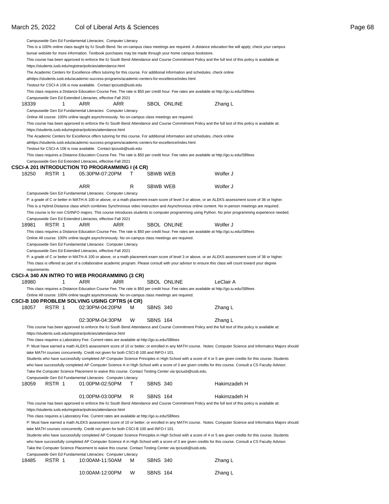### March 25, 2022 Col of Liberal Arts & Sciences **Page 68**

|               |        | Campuswide Gen Ed Fundamental Literacies: Computer Literacy                                                                                                           |    |                    |                                                                                                                                                           |  |
|---------------|--------|-----------------------------------------------------------------------------------------------------------------------------------------------------------------------|----|--------------------|-----------------------------------------------------------------------------------------------------------------------------------------------------------|--|
|               |        |                                                                                                                                                                       |    |                    | This is a 100% online class taught by IU South Bend. No on-campus class meetings are required. A distance education fee will apply; check your campus     |  |
|               |        | bursar website for more information. Textbook purchases may be made through your home campus bookstore.                                                               |    |                    |                                                                                                                                                           |  |
|               |        |                                                                                                                                                                       |    |                    | This course has been approved to enforce the IU South Bend Attendance and Course Commitment Policy and the full text of this policy is available at:      |  |
|               |        | https://students.iusb.edu/registrar/policies/attendance.html                                                                                                          |    |                    |                                                                                                                                                           |  |
|               |        |                                                                                                                                                                       |    |                    | The Academic Centers for Excellence offers tutoring for this course. For additional information and schedules, check online                               |  |
|               |        | athttps://students.iusb.edu/academic-success-programs/academic-centers-for-excellence/index.html.                                                                     |    |                    |                                                                                                                                                           |  |
|               |        | Testout for CSCI-A 106 is now available. Contact tpciusb@iusb.edu                                                                                                     |    |                    | This class requires a Distance Education Course Fee. The rate is \$50 per credit hour. Fee rates are available at http://go.iu.edu/SBfees                 |  |
|               |        | Campuswide Gen Ed Extended Literacies, effective Fall 2021                                                                                                            |    |                    |                                                                                                                                                           |  |
| 18339         | 1      | ARR<br>ARR                                                                                                                                                            |    | <b>SBOL ONLINE</b> | Zhang L                                                                                                                                                   |  |
|               |        | Campuswide Gen Ed Fundamental Literacies: Computer Literacy                                                                                                           |    |                    |                                                                                                                                                           |  |
|               |        | Online All course: 100% online taught asynchronously. No on-campus class meetings are required.                                                                       |    |                    |                                                                                                                                                           |  |
|               |        |                                                                                                                                                                       |    |                    | This course has been approved to enforce the IU South Bend Attendance and Course Commitment Policy and the full text of this policy is available at:      |  |
|               |        | https://students.iusb.edu/registrar/policies/attendance.html                                                                                                          |    |                    |                                                                                                                                                           |  |
|               |        |                                                                                                                                                                       |    |                    | The Academic Centers for Excellence offers tutoring for this course. For additional information and schedules, check online                               |  |
|               |        | athttps://students.iusb.edu/academic-success-programs/academic-centers-for-excellence/index.html.                                                                     |    |                    |                                                                                                                                                           |  |
|               |        | Testout for CSCI-A 106 is now available. Contact tpciusb@iusb.edu                                                                                                     |    |                    |                                                                                                                                                           |  |
|               |        |                                                                                                                                                                       |    |                    | This class requires a Distance Education Course Fee. The rate is \$50 per credit hour. Fee rates are available at http://go.iu.edu/SBfees                 |  |
|               |        | Campuswide Gen Ed Extended Literacies, effective Fall 2021                                                                                                            |    |                    |                                                                                                                                                           |  |
| 18250         | RSTR 1 | CSCI-A 201 INTRODUCTION TO PROGRAMMING I (4 CR)<br>05:30PM-07:20PM                                                                                                    | T. | <b>SBWB WEB</b>    | Wolfer J                                                                                                                                                  |  |
|               |        |                                                                                                                                                                       |    |                    |                                                                                                                                                           |  |
|               |        | ARR                                                                                                                                                                   | R  | SBWB WEB           | Wolfer J                                                                                                                                                  |  |
|               |        | Campuswide Gen Ed Fundamental Literacies: Computer Literacy                                                                                                           |    |                    |                                                                                                                                                           |  |
|               |        |                                                                                                                                                                       |    |                    | P: a grade of C or better in MATH-A 100 or above, or a math placement exam score of level 3 or above, or an ALEKS assessment score of 36 or higher.       |  |
|               |        |                                                                                                                                                                       |    |                    | This is a Hybrid-Distance class which combines Synchronous video instruction and Asynchronous online content. No in-person meetings are required.         |  |
|               |        |                                                                                                                                                                       |    |                    | This course is for non CS/INFO majors. This course introduces students to computer programming using Python. No prior programming experience needed.      |  |
|               |        | Campuswide Gen Ed Extended Literacies, effective Fall 2021                                                                                                            |    |                    |                                                                                                                                                           |  |
| 18981         | RSTR 1 | ARR<br>ARR                                                                                                                                                            |    | <b>SBOL ONLINE</b> | Wolfer J                                                                                                                                                  |  |
|               |        |                                                                                                                                                                       |    |                    | This class requires a Distance Education Course Fee. The rate is \$50 per credit hour. Fee rates are available at http://go.iu.edu/SBfees                 |  |
|               |        | Online All course: 100% online taught asynchronously. No on-campus class meetings are required.                                                                       |    |                    |                                                                                                                                                           |  |
|               |        | Campuswide Gen Ed Fundamental Literacies: Computer Literacy                                                                                                           |    |                    |                                                                                                                                                           |  |
|               |        | Campuswide Gen Ed Extended Literacies, effective Fall 2021                                                                                                            |    |                    |                                                                                                                                                           |  |
|               |        |                                                                                                                                                                       |    |                    |                                                                                                                                                           |  |
|               |        |                                                                                                                                                                       |    |                    | P: a grade of C or better in MATH-A 100 or above, or a math placement exam score of level 3 or above, or an ALEKS assessment score of 36 or higher.       |  |
|               |        |                                                                                                                                                                       |    |                    | This class is offered as part of a collaborative academic program. Please consult with your advisor to ensure this class will count toward your degree    |  |
| requirements. |        | CSCI-A 340 AN INTRO TO WEB PROGRAMMING (3 CR)                                                                                                                         |    |                    |                                                                                                                                                           |  |
| 18980         | 1      | ARR<br>ARR                                                                                                                                                            |    | <b>SBOL ONLINE</b> | LeClair A                                                                                                                                                 |  |
|               |        |                                                                                                                                                                       |    |                    | This class requires a Distance Education Course Fee. The rate is \$50 per credit hour. Fee rates are available at http://go.iu.edu/SBfees                 |  |
|               |        | Online All course: 100% online taught asynchronously. No on-campus class meetings are required.                                                                       |    |                    |                                                                                                                                                           |  |
|               |        | CSCI-B 100 PROBLEM SOLVING USING CPTRS (4 CR)                                                                                                                         |    |                    |                                                                                                                                                           |  |
| 18057         | RSTR 1 | 02:30PM-04:20PM                                                                                                                                                       | м  | <b>SBNS 340</b>    | Zhang L                                                                                                                                                   |  |
|               |        |                                                                                                                                                                       |    |                    |                                                                                                                                                           |  |
|               |        | 02:30PM-04:30PM                                                                                                                                                       | W  | <b>SBNS 164</b>    | Zhang L                                                                                                                                                   |  |
|               |        |                                                                                                                                                                       |    |                    | This course has been approved to enforce the IU South Bend Attendance and Course Commitment Policy and the full text of this policy is available at:      |  |
|               |        | https://students.iusb.edu/registrar/policies/attendance.html                                                                                                          |    |                    |                                                                                                                                                           |  |
|               |        | This class requires a Laboratory Fee. Current rates are available at http://go.iu.edu/SBfees                                                                          |    |                    |                                                                                                                                                           |  |
|               |        |                                                                                                                                                                       |    |                    | P: Must have earned a math ALEKS assessment score of 10 or better; or enrolled in any MATH course. Notes: Computer Science and Informatics Majors should  |  |
|               |        | take MATH courses concurrently. Credit not given for both CSCI-B 100 and INFO-I 101.                                                                                  |    |                    | Students who have successfully completed AP Computer Science Principles in High School with a score of 4 or 5 are given credits for this course. Students |  |
|               |        |                                                                                                                                                                       |    |                    | who have successfully completed AP Computer Science A in High School with a score of 3 are given credits for this course. Consult a CS Faculty Advisor.   |  |
|               |        | Take the Computer Science Placement to waive this course. Contact Testing Center via tpciusb@iusb.edu.                                                                |    |                    |                                                                                                                                                           |  |
|               |        | Campuswide Gen Ed Fundamental Literacies: Computer Literacy                                                                                                           |    |                    |                                                                                                                                                           |  |
| 18059         | RSTR 1 | 01:00PM-02:50PM                                                                                                                                                       | T. | <b>SBNS 340</b>    | Hakimzadeh H                                                                                                                                              |  |
|               |        |                                                                                                                                                                       |    |                    |                                                                                                                                                           |  |
|               |        | 01:00PM-03:00PM                                                                                                                                                       | R  | <b>SBNS 164</b>    | Hakimzadeh H                                                                                                                                              |  |
|               |        |                                                                                                                                                                       |    |                    | This course has been approved to enforce the IU South Bend Attendance and Course Commitment Policy and the full text of this policy is available at:      |  |
|               |        | https://students.iusb.edu/registrar/policies/attendance.html                                                                                                          |    |                    |                                                                                                                                                           |  |
|               |        | This class requires a Laboratory Fee. Current rates are available at http://go.iu.edu/SBfees                                                                          |    |                    |                                                                                                                                                           |  |
|               |        |                                                                                                                                                                       |    |                    | P: Must have earned a math ALEKS assessment score of 10 or better; or enrolled in any MATH course. Notes: Computer Science and Informatics Majors should  |  |
|               |        | take MATH courses concurrently. Credit not given for both CSCI-B 100 and INFO-I 101.                                                                                  |    |                    |                                                                                                                                                           |  |
|               |        |                                                                                                                                                                       |    |                    | Students who have successfully completed AP Computer Science Principles in High School with a score of 4 or 5 are given credits for this course. Students |  |
|               |        |                                                                                                                                                                       |    |                    | who have successfully completed AP Computer Science A in High School with a score of 3 are given credits for this course. Consult a CS Faculty Advisor.   |  |
|               |        | Take the Computer Science Placement to waive this course. Contact Testing Center via tpciusb@iusb.edu.<br>Campuswide Gen Ed Fundamental Literacies: Computer Literacy |    |                    |                                                                                                                                                           |  |
| 18485         | RSTR 1 | 10:00AM-11:50AM                                                                                                                                                       | м  | <b>SBNS 340</b>    | Zhang L                                                                                                                                                   |  |
|               |        |                                                                                                                                                                       |    |                    |                                                                                                                                                           |  |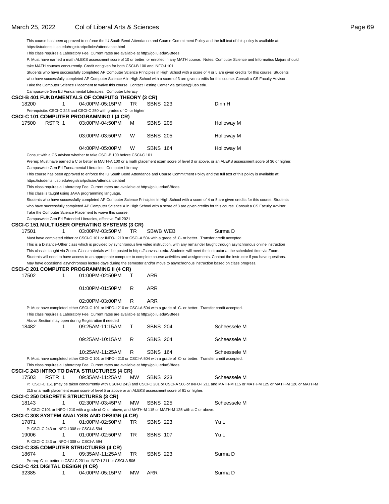#### March 25, 2022 Col of Liberal Arts & Sciences **Page 69** Collection 25, 2022 Collective and the Page 69

This course has been approved to enforce the IU South Bend Attendance and Course Commitment Policy and the full text of this policy is available at: https://students.iusb.edu/registrar/policies/attendance.html

This class requires a Laboratory Fee. Current rates are available at http://go.iu.edu/SBfees

P: Must have earned a math ALEKS assessment score of 10 or better; or enrolled in any MATH course. Notes: Computer Science and Informatics Majors should take MATH courses concurrently. Credit not given for both CSCI-B 100 and INFO-I 101.

Students who have successfully completed AP Computer Science Principles in High School with a score of 4 or 5 are given credits for this course. Students

who have successfully completed AP Computer Science A in High School with a score of 3 are given credits for this course. Consult a CS Faculty Advisor.

|                                           |    | Take the Computer Science Placement to waive this course. Contact Testing Center via tpciusb@iusb.edu.                                                       |    |                 |                                                                                                                                                                         |
|-------------------------------------------|----|--------------------------------------------------------------------------------------------------------------------------------------------------------------|----|-----------------|-------------------------------------------------------------------------------------------------------------------------------------------------------------------------|
|                                           |    | Campuswide Gen Ed Fundamental Literacies: Computer Literacy                                                                                                  |    |                 |                                                                                                                                                                         |
|                                           |    | CSCI-B 401 FUNDAMENTALS OF COMPUTG THEORY (3 CR)                                                                                                             |    |                 |                                                                                                                                                                         |
| 18200                                     | 1  | 04:00PM-05:15PM                                                                                                                                              | TR | <b>SBNS 223</b> | Dinh H                                                                                                                                                                  |
|                                           |    | Prerequisite: CSCI-C 243 and CSCI-C 250 with grades of C- or higher                                                                                          |    |                 |                                                                                                                                                                         |
|                                           |    | <b>CSCI-C 101 COMPUTER PROGRAMMING I (4 CR)</b>                                                                                                              |    |                 |                                                                                                                                                                         |
| 17500<br>RSTR 1                           |    | 03:00PM-04:50PM                                                                                                                                              | м  | <b>SBNS 205</b> | <b>Holloway M</b>                                                                                                                                                       |
|                                           |    | 03:00PM-03:50PM                                                                                                                                              | W  | <b>SBNS 205</b> | Holloway M                                                                                                                                                              |
|                                           |    |                                                                                                                                                              |    |                 |                                                                                                                                                                         |
|                                           |    | 04:00PM-05:00PM                                                                                                                                              | W  | <b>SBNS 164</b> | Holloway M                                                                                                                                                              |
|                                           |    | Consult with a CS advisor whether to take CSCI-B 100 before CSCI-C 101                                                                                       |    |                 |                                                                                                                                                                         |
|                                           |    |                                                                                                                                                              |    |                 | Prereq: Must have earned a C or better in MATH-A 100 or a math placement exam score of level 3 or above, or an ALEKS assessment score of 36 or higher.                  |
|                                           |    | Campuswide Gen Ed Fundamental Literacies: Computer Literacy                                                                                                  |    |                 |                                                                                                                                                                         |
|                                           |    |                                                                                                                                                              |    |                 | This course has been approved to enforce the IU South Bend Attendance and Course Commitment Policy and the full text of this policy is available at:                    |
|                                           |    | https://students.iusb.edu/registrar/policies/attendance.html<br>This class requires a Laboratory Fee. Current rates are available at http://go.iu.edu/SBfees |    |                 |                                                                                                                                                                         |
|                                           |    | This class is taught using JAVA programming language.                                                                                                        |    |                 |                                                                                                                                                                         |
|                                           |    |                                                                                                                                                              |    |                 | Students who have successfully completed AP Computer Science Principles in High School with a score of 4 or 5 are given credits for this course. Students               |
|                                           |    |                                                                                                                                                              |    |                 | who have successfully completed AP Computer Science A in High School with a score of 3 are given credits for this course. Consult a CS Faculty Advisor.                 |
|                                           |    | Take the Computer Science Placement to waive this course.                                                                                                    |    |                 |                                                                                                                                                                         |
|                                           |    | Campuswide Gen Ed Extended Literacies, effective Fall 2021                                                                                                   |    |                 |                                                                                                                                                                         |
|                                           |    | <b>CSCI-C 151 MULTIUSER OPERATING SYSTEMS (3 CR)</b>                                                                                                         |    |                 |                                                                                                                                                                         |
| 17501                                     | 1  | 03:00PM-03:50PM                                                                                                                                              | TR | SBWB WEB        | Surma D                                                                                                                                                                 |
|                                           |    |                                                                                                                                                              |    |                 | Must have completed either or CSCI-C 101 or INFO-I 210 or CSCI-A 504 with a grade of C- or better. Transfer credit accepted.                                            |
|                                           |    |                                                                                                                                                              |    |                 | This is a Distance-Other class which is provided by synchronous live video instruction, with any remainder taught through asynchronous online instruction               |
|                                           |    |                                                                                                                                                              |    |                 | This class is taught via Zoom. Class materials will be posted in https://canvas.iu.edu. Students will meet the instructor at the scheduled time via Zoom.               |
|                                           |    |                                                                                                                                                              |    |                 | Students will need to have access to an appropriate computer to complete course activities and assignments. Contact the instructor if you have questions.               |
|                                           |    |                                                                                                                                                              |    |                 | May have occasional asynchronous lecture days during the semester and/or move to asynchronous instruction based on class progress.                                      |
|                                           |    | CSCI-C 201 COMPUTER PROGRAMMING II (4 CR)                                                                                                                    |    |                 |                                                                                                                                                                         |
| 17502                                     | 1  | 01:00PM-02:50PM                                                                                                                                              | т  | ARR             |                                                                                                                                                                         |
|                                           |    |                                                                                                                                                              |    |                 |                                                                                                                                                                         |
|                                           |    | 01:00PM-01:50PM                                                                                                                                              | R  | <b>ARR</b>      |                                                                                                                                                                         |
|                                           |    | 02:00PM-03:00PM                                                                                                                                              | R  | <b>ARR</b>      |                                                                                                                                                                         |
|                                           |    |                                                                                                                                                              |    |                 | P: Must have completed either CSCI-C 101 or INFO-I 210 or CSCI-A 504 with a grade of C- or better. Transfer credit accepted.                                            |
|                                           |    | This class requires a Laboratory Fee. Current rates are available at http://go.iu.edu/SBfees                                                                 |    |                 |                                                                                                                                                                         |
|                                           |    | Above Section may open during Registration if needed                                                                                                         |    |                 |                                                                                                                                                                         |
| 18482                                     | 1. | 09:25AM-11:15AM                                                                                                                                              | T. | <b>SBNS 204</b> | Scheessele M                                                                                                                                                            |
|                                           |    | 09:25AM-10:15AM                                                                                                                                              | R  | <b>SBNS 204</b> | Scheessele M                                                                                                                                                            |
|                                           |    | 10:25AM-11:25AM                                                                                                                                              | R  | <b>SBNS 164</b> | Scheessele M                                                                                                                                                            |
|                                           |    |                                                                                                                                                              |    |                 | P: Must have completed either CSCI-C 101 or INFO-I 210 or CSCI-A 504 with a grade of C- or better. Transfer credit accepted.                                            |
|                                           |    | This class requires a Laboratory Fee. Current rates are available at http://go.iu.edu/SBfees                                                                 |    |                 |                                                                                                                                                                         |
|                                           |    | <b>CSCI-C 243 INTRO TO DATA STRUCTURES (4 CR)</b>                                                                                                            |    |                 |                                                                                                                                                                         |
| RSTR 1<br>17503                           |    | 09:35AM-11:25AM                                                                                                                                              | МW | <b>SBNS 223</b> | Scheessele M                                                                                                                                                            |
|                                           |    |                                                                                                                                                              |    |                 | P: CSCI-C 151 (may be taken concurrently with CSCI-C 243) and CSCI-C 201 or CSCI-A 506 or INFO-I 211 and MATH-M 115 or MATH-M 125 or MATH-M 126 or MATH-M 126 or MATH-M |
|                                           |    | 215 or a math placement exam score of level 5 or above or an ALEKS assessment score of 61 or higher.                                                         |    |                 |                                                                                                                                                                         |
|                                           |    | <b>CSCI-C 250 DISCRETE STRUCTURES (3 CR)</b>                                                                                                                 |    |                 |                                                                                                                                                                         |
| 18143                                     | 1  | 02:30PM-03:45PM                                                                                                                                              | MW | <b>SBNS 225</b> | Scheessele M                                                                                                                                                            |
|                                           |    | P: CSCI-C101 or INFO-I 210 with a grade of C- or above, and MATH-M 115 or MATH-M 125 with a C or above.                                                      |    |                 |                                                                                                                                                                         |
|                                           |    | CSCI-C 308 SYSTEM ANALYSIS AND DESIGN (4 CR)                                                                                                                 |    |                 |                                                                                                                                                                         |
| 17871                                     | 1  | 01:00PM-02:50PM                                                                                                                                              | TR | <b>SBNS 223</b> | Yu L                                                                                                                                                                    |
| P: CSCI-C 243 or INFO-I 308 or CSCI-A 594 |    |                                                                                                                                                              |    |                 |                                                                                                                                                                         |
| 19006                                     | 1  | 01:00PM-02:50PM                                                                                                                                              | TR | <b>SBNS 107</b> | Yu L                                                                                                                                                                    |
| P: CSCI-C 243 or INFO-I 308 or CSCI-A 594 |    |                                                                                                                                                              |    |                 |                                                                                                                                                                         |
|                                           |    | <b>CSCI-C 335 COMPUTER STRUCTURES (4 CR)</b>                                                                                                                 |    |                 |                                                                                                                                                                         |
| 18674                                     | 1  | 09:35AM-11:25AM                                                                                                                                              | TR | <b>SBNS 223</b> | Surma D                                                                                                                                                                 |
|                                           |    | Prereq: C- or better in CSCI-C 201 or INFO-I 211 or CSCI-A 506                                                                                               |    |                 |                                                                                                                                                                         |

Surma D

#### **CSCI-C 421 DIGITAL DESIGN (4 CR)**

| ן אט 14 ווטור אבו וועונדע (4 טע |                    |  |     |  |  |  |  |  |  |  |  |
|---------------------------------|--------------------|--|-----|--|--|--|--|--|--|--|--|
| 32385                           | 04:00PM-05:15PM MW |  | ARR |  |  |  |  |  |  |  |  |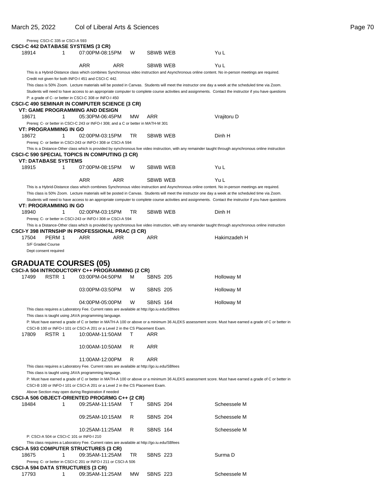|       | Prereq: CSCI-C 335 or CSCI-A 593              |                                                                                              |     |           |                 |                                                                                                                                                           |
|-------|-----------------------------------------------|----------------------------------------------------------------------------------------------|-----|-----------|-----------------|-----------------------------------------------------------------------------------------------------------------------------------------------------------|
| 18914 | 1                                             | <b>CSCI-C 442 DATABASE SYSTEMS (3 CR)</b><br>07:00PM-08:15PM                                 |     | W         | SBWB WEB        | Yu L                                                                                                                                                      |
|       |                                               |                                                                                              |     |           |                 |                                                                                                                                                           |
|       |                                               | <b>ARR</b>                                                                                   | ARR |           | SBWB WEB        | Yu L<br>This is a Hybrid-Distance class which combines Synchronous video instruction and Asynchronous online content. No in-person meetings are required. |
|       |                                               | Credit not given for both INFO-I 451 and CSCI-C 442.                                         |     |           |                 |                                                                                                                                                           |
|       |                                               |                                                                                              |     |           |                 | This class is 50% Zoom. Lecture materials will be posted in Canvas. Students will meet the instructor one day a week at the scheduled time via Zoom.      |
|       |                                               |                                                                                              |     |           |                 | Students will need to have access to an appropriate computer to complete course activities and assignments. Contact the instructor if you have questions  |
|       |                                               | P: a grade of C- or better in CSCI-C 308 or INFO-I 450                                       |     |           |                 |                                                                                                                                                           |
|       |                                               | CSCI-C 490 SEMINAR IN COMPUTER SCIENCE (3 CR)                                                |     |           |                 |                                                                                                                                                           |
|       |                                               | VT: GAME PROGRAMMING AND DESIGN                                                              |     |           |                 |                                                                                                                                                           |
| 18671 | 1                                             | 05:30PM-06:45PM                                                                              |     | <b>MW</b> | ARR             | Vrajitoru D                                                                                                                                               |
|       | VT: PROGRAMMING IN GO                         | Prereq: C- or better in CSCI-C 243 or INFO-I 308; and a C or better in MATH-M 301            |     |           |                 |                                                                                                                                                           |
| 18672 | 1                                             | 02:00PM-03:15PM                                                                              |     | TR        | SBWB WEB        | Dinh H                                                                                                                                                    |
|       |                                               | Prereq: C- or better in CSCI-243 or INFO-I 308 or CSCI-A 594                                 |     |           |                 |                                                                                                                                                           |
|       |                                               |                                                                                              |     |           |                 | This is a Distance-Other class which is provided by synchronous live video instruction, with any remainder taught through asynchronous online instruction |
|       |                                               | <b>CSCI-C 590 SPECIAL TOPICS IN COMPUTING (3 CR)</b>                                         |     |           |                 |                                                                                                                                                           |
|       | <b>VT: DATABASE SYSTEMS</b>                   |                                                                                              |     |           |                 |                                                                                                                                                           |
| 18915 | 1                                             | 07:00PM-08:15PM                                                                              |     | W         | SBWB WEB        | Yu L                                                                                                                                                      |
|       |                                               | <b>ARR</b>                                                                                   | ARR |           | SBWB WEB        | Yu L                                                                                                                                                      |
|       |                                               |                                                                                              |     |           |                 | This is a Hybrid-Distance class which combines Synchronous video instruction and Asynchronous online content. No in-person meetings are required.         |
|       |                                               |                                                                                              |     |           |                 | This class is 50% Zoom. Lecture materials will be posted in Canvas. Students will meet the instructor one day a week at the scheduled time via Zoom.      |
|       |                                               |                                                                                              |     |           |                 | Students will need to have access to an appropriate computer to complete course activities and assignments. Contact the instructor if you have questions  |
|       | <b>VT: PROGRAMMING IN GO</b>                  |                                                                                              |     |           |                 |                                                                                                                                                           |
| 18940 | 1                                             | 02:00PM-03:15PM                                                                              |     | TR        | <b>SBWB WEB</b> | Dinh H                                                                                                                                                    |
|       |                                               | Prereq: C- or better in CSCI-243 or INFO-I 308 or CSCI-A 594                                 |     |           |                 |                                                                                                                                                           |
|       |                                               | CSCI-Y 398 INTRNSHP IN PROFESSIONAL PRAC (3 CR)                                              |     |           |                 | This is a Distance-Other class which is provided by synchronous live video instruction, with any remainder taught through asynchronous online instruction |
| 17504 | PERM 1                                        | ARR                                                                                          | ARR |           | ARR             | Hakimzadeh H                                                                                                                                              |
|       | S/F Graded Course                             |                                                                                              |     |           |                 |                                                                                                                                                           |
|       | Dept consent required                         |                                                                                              |     |           |                 |                                                                                                                                                           |
|       |                                               | <b>GRADUATE COURSES (05)</b><br>CSCI-A 504 INTRODUCTORY C++ PROGRAMMING (2 CR)               |     |           |                 |                                                                                                                                                           |
| 17499 | RSTR 1                                        | 03:00PM-04:50PM                                                                              |     | м         | <b>SBNS 205</b> | <b>Holloway M</b>                                                                                                                                         |
|       |                                               |                                                                                              |     |           |                 |                                                                                                                                                           |
|       |                                               | 03:00PM-03:50PM                                                                              |     | W         | <b>SBNS 205</b> | Holloway M                                                                                                                                                |
|       |                                               | 04:00PM-05:00PM                                                                              |     | W         | <b>SBNS 164</b> | Holloway M                                                                                                                                                |
|       |                                               | This class requires a Laboratory Fee. Current rates are available at http://go.iu.edu/SBfees |     |           |                 |                                                                                                                                                           |
|       |                                               | This class is taught using JAVA programming language.                                        |     |           |                 |                                                                                                                                                           |
|       |                                               |                                                                                              |     |           |                 | P: Must have earned a grade of C or better in MATH-A 100 or above or a minimum 36 ALEKS assessment score. Must have earned a grade of C or better in      |
|       |                                               | CSCI-B 100 or INFO-I 101 or CSCI-A 201 or a Level 2 in the CS Placement Exam.                |     |           |                 |                                                                                                                                                           |
| 17809 | RSTR 1                                        | 10:00AM-11:50AM                                                                              |     | т         | ARR             |                                                                                                                                                           |
|       |                                               |                                                                                              |     |           | ARR             |                                                                                                                                                           |
|       |                                               | 10:00AM-10:50AM                                                                              |     | R         |                 |                                                                                                                                                           |
|       |                                               | 11:00AM-12:00PM                                                                              |     | R         | ARR             |                                                                                                                                                           |
|       |                                               | This class requires a Laboratory Fee. Current rates are available at http://go.iu.edu/SBfees |     |           |                 |                                                                                                                                                           |
|       |                                               | This class is taught using JAVA programming language.                                        |     |           |                 |                                                                                                                                                           |
|       |                                               |                                                                                              |     |           |                 | P: Must have earned a grade of C or better in MATH-A 100 or above or a minimum 36 ALEKS assessment score. Must have earned a grade of C or better in      |
|       |                                               | CSCI-B 100 or INFO-I 101 or CSCI-A 201 or a Level 2 in the CS Placement Exam.                |     |           |                 |                                                                                                                                                           |
|       |                                               | Above Section may open during Registration if needed                                         |     |           |                 |                                                                                                                                                           |
| 18484 | 1                                             | <b>CSCI-A 506 OBJECT-ORIENTED PROGRMG C++ (2 CR)</b><br>09:25AM-11:15AM                      |     | т         | <b>SBNS 204</b> | Scheessele M                                                                                                                                              |
|       |                                               |                                                                                              |     |           |                 |                                                                                                                                                           |
|       |                                               | 09:25AM-10:15AM                                                                              |     | R         | <b>SBNS 204</b> | Scheessele M                                                                                                                                              |
|       |                                               | 10:25AM-11:25AM                                                                              |     | R         | <b>SBNS 164</b> | Scheessele M                                                                                                                                              |
|       | P: CSCI-A 504 or CSCI-C 101 or INF0-I 210     |                                                                                              |     |           |                 |                                                                                                                                                           |
|       |                                               | This class requires a Laboratory Fee. Current rates are available at http://go.iu.edu/SBfees |     |           |                 |                                                                                                                                                           |
|       |                                               | <b>CSCI-A 593 COMPUTER STRUCTURES (3 CR)</b>                                                 |     |           |                 |                                                                                                                                                           |
| 18675 | 1                                             | 09:35AM-11:25AM                                                                              |     | TR        | <b>SBNS 223</b> | Surma D                                                                                                                                                   |
|       |                                               | Prereq: C- or better in CSCI-C 201 or INFO-I 211 or CSCI-A 506                               |     |           |                 |                                                                                                                                                           |
| 17793 | <b>CSCI-A 594 DATA STRUCTURES (3 CR)</b><br>1 | 09:35AM-11:25AM                                                                              |     | МW        | <b>SBNS 223</b> | Scheessele M                                                                                                                                              |
|       |                                               |                                                                                              |     |           |                 |                                                                                                                                                           |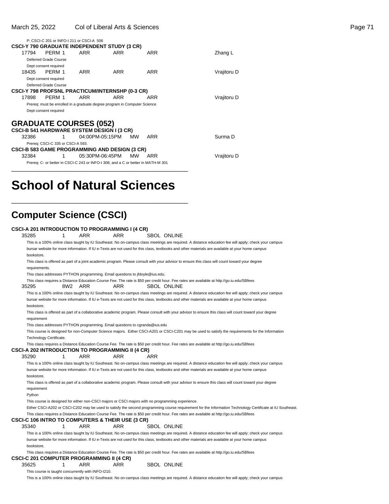|       | P: CSCI-C 201 or INFO-I 211 or CSCI-A 506                                         |                 |     |     |     |             |
|-------|-----------------------------------------------------------------------------------|-----------------|-----|-----|-----|-------------|
|       | <b>CSCI-Y 790 GRADUATE INDEPENDENT STUDY (3 CR)</b>                               |                 |     |     |     |             |
| 17794 | PERM 1                                                                            | <b>ARR</b>      | ARR |     | ARR | Zhang L     |
|       | Deferred Grade Course                                                             |                 |     |     |     |             |
|       | Dept consent required                                                             |                 |     |     |     |             |
| 18435 | PFRM 1                                                                            | ARR             | ARR |     | ARR | Vrajitoru D |
|       | Dept consent required                                                             |                 |     |     |     |             |
|       | Deferred Grade Course                                                             |                 |     |     |     |             |
|       | CSCI-Y 798 PROFSNL PRACTICUM/INTERNSHP (0-3 CR)                                   |                 |     |     |     |             |
| 17898 | PFRM 1                                                                            | ARR             | ARR |     | ARR | Vrajitoru D |
|       | Prereq: must be enrolled in a graduate degree program in Computer Science         |                 |     |     |     |             |
|       | Dept consent required                                                             |                 |     |     |     |             |
|       |                                                                                   |                 |     |     |     |             |
|       | <b>GRADUATE COURSES (052)</b>                                                     |                 |     |     |     |             |
|       | <b>CSCI-B 541 HARDWARE SYSTEM DESIGN I (3 CR)</b>                                 |                 |     |     |     |             |
| 32386 | 1                                                                                 | 04:00PM-05:15PM |     | MW. | ARR | Surma D     |
|       | Prereq: CSCI-C 335 or CSCI-A 593.                                                 |                 |     |     |     |             |
|       | <b>CSCI-B 583 GAME PROGRAMMING AND DESIGN (3 CR)</b>                              |                 |     |     |     |             |
| 32384 | 1                                                                                 | 05:30PM-06:45PM |     | MW. | ARR | Vrajitoru D |
|       | Prereq: C- or better in CSCI-C 243 or INFO-I 308; and a C or better in MATH-M 301 |                 |     |     |     |             |
|       |                                                                                   |                 |     |     |     |             |

# **School of Natural Sciences**

\_\_\_\_\_\_\_\_\_\_\_\_\_\_\_\_\_\_\_\_\_\_\_\_\_\_\_\_\_\_\_\_\_\_\_\_\_\_\_\_\_\_\_\_\_\_\_\_\_\_

### **Computer Science (CSCI)**

| <b>CSCI-A 201 INTRODUCTION TO PROGRAMMING I (4 CR)</b>  |     |                                                                              |            |     |                                                                                                                                                            |
|---------------------------------------------------------|-----|------------------------------------------------------------------------------|------------|-----|------------------------------------------------------------------------------------------------------------------------------------------------------------|
| 35285                                                   | 1   | <b>ARR</b>                                                                   | <b>ARR</b> |     | <b>SBOL ONLINE</b>                                                                                                                                         |
|                                                         |     |                                                                              |            |     | This is a 100% online class taught by IU Southeast. No on-campus class meetings are required. A distance education fee will apply; check your campus       |
|                                                         |     |                                                                              |            |     | bursar website for more information. If IU e-Texts are not used for this class, textbooks and other materials are available at your home campus            |
| bookstore.                                              |     |                                                                              |            |     |                                                                                                                                                            |
| requirements.                                           |     |                                                                              |            |     | This class is offered as part of a joint academic program. Please consult with your advisor to ensure this class will count toward your degree             |
|                                                         |     | This class addresses PYTHON programming. Email questions to jfdoyle@ius.edu. |            |     |                                                                                                                                                            |
|                                                         |     |                                                                              |            |     | This class requires a Distance Education Course Fee. The rate is \$50 per credit hour. Fee rates are available at http://go.iu.edu/SBfees                  |
| 35295                                                   | 8W2 | ARR                                                                          | ARR        |     | <b>SBOL ONLINE</b>                                                                                                                                         |
|                                                         |     |                                                                              |            |     | This is a 100% online class taught by IU Southeast. No on-campus class meetings are required. A distance education fee will apply; check your campus       |
| bookstore.                                              |     |                                                                              |            |     | bursar website for more information. If IU e-Texts are not used for this class, textbooks and other materials are available at your home campus            |
|                                                         |     |                                                                              |            |     | This class is offered as part of a collaborative academic program. Please consult with your advisor to ensure this class will count toward your degree     |
| requirement                                             |     |                                                                              |            |     |                                                                                                                                                            |
|                                                         |     | This class addresses PYTHON programming. Email questions to cgranda@ius.edu  |            |     |                                                                                                                                                            |
|                                                         |     |                                                                              |            |     | This course is designed for non-Computer Science majors. Either CSCI-A201 or CSCI-C201 may be used to satisfy the requirements for the Information         |
| Technology Certificate.                                 |     |                                                                              |            |     |                                                                                                                                                            |
|                                                         |     |                                                                              |            |     | This class requires a Distance Education Course Fee. The rate is \$50 per credit hour. Fee rates are available at http://go.iu.edu/SBfees                  |
| <b>CSCI-A 202 INTRODUCTION TO PROGRAMMING II (4 CR)</b> |     |                                                                              |            |     |                                                                                                                                                            |
| 35290                                                   | 1   | ARR                                                                          | ARR        | ARR |                                                                                                                                                            |
|                                                         |     |                                                                              |            |     | This is a 100% online class taught by IU Southeast. No on-campus class meetings are required. A distance education fee will apply; check your campus       |
| bookstore.                                              |     |                                                                              |            |     | bursar website for more information. If IU e-Texts are not used for this class, textbooks and other materials are available at your home campus            |
|                                                         |     |                                                                              |            |     | This class is offered as part of a collaborative academic program. Please consult with your advisor to ensure this class will count toward your degree     |
| requirement                                             |     |                                                                              |            |     |                                                                                                                                                            |
| Python                                                  |     |                                                                              |            |     |                                                                                                                                                            |
|                                                         |     |                                                                              |            |     | This course is designed for either non-CSCI majors or CSCI majors with no programming experience.                                                          |
|                                                         |     |                                                                              |            |     | Either CSCI-A202 or CSCI-C202 may be used to satisfy the second programming course requirement for the Information Technology Certificate at IU Southeast. |
| CSCI-C 106 INTRO TO COMPUTERS & THEIR USE (3 CR)        |     |                                                                              |            |     | This class requires a Distance Education Course Fee. The rate is \$50 per credit hour. Fee rates are available at http://go.iu.edu/SBfees                  |
| 35340                                                   | 1   | <b>ARR</b>                                                                   | <b>ARR</b> |     | <b>SBOL ONLINE</b>                                                                                                                                         |
|                                                         |     |                                                                              |            |     | This is a 100% online class taught by IU Southeast. No on-campus class meetings are required. A distance education fee will apply; check your campus       |
|                                                         |     |                                                                              |            |     | bursar website for more information. If IU e-Texts are not used for this class, textbooks and other materials are available at your home campus            |
| bookstore.                                              |     |                                                                              |            |     |                                                                                                                                                            |
|                                                         |     |                                                                              |            |     | This class requires a Distance Education Course Fee. The rate is \$50 per credit hour. Fee rates are available at http://go.iu.edu/SBfees                  |
| <b>CSCI-C 201 COMPUTER PROGRAMMING II (4 CR)</b>        |     |                                                                              |            |     |                                                                                                                                                            |
| 35625                                                   | 1   | ARR                                                                          | <b>ARR</b> |     | <b>SBOL ONLINE</b>                                                                                                                                         |
|                                                         |     | This course is taught concurrently with INFO-I210.                           |            |     |                                                                                                                                                            |

This is a 100% online class taught by IU Southeast. No on-campus class meetings are required. A distance education fee will apply; check your campus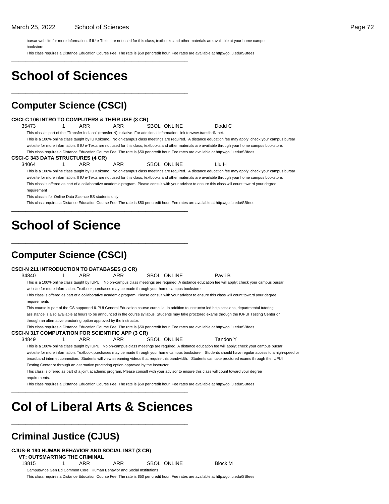bursar website for more information. If IU e-Texts are not used for this class, textbooks and other materials are available at your home campus bookstore.

This class requires a Distance Education Course Fee. The rate is \$50 per credit hour. Fee rates are available at http://go.iu.edu/SBfees \_\_\_\_\_\_\_\_\_\_\_\_\_\_\_\_\_\_\_\_\_\_\_\_\_\_\_\_\_\_\_\_\_\_\_\_\_\_\_\_\_\_\_\_\_\_\_\_\_\_

# **School of Sciences**

\_\_\_\_\_\_\_\_\_\_\_\_\_\_\_\_\_\_\_\_\_\_\_\_\_\_\_\_\_\_\_\_\_\_\_\_\_\_\_\_\_\_\_\_\_\_\_\_\_\_

### **Computer Science (CSCI)**

|                                                                                                                                                                        |                                                                                                                                                          |   |                                          | <b>CSCI-C 106 INTRO TO COMPUTERS &amp; THEIR USE (3 CR)</b> |  |                    |                                                                                                                                                         |  |
|------------------------------------------------------------------------------------------------------------------------------------------------------------------------|----------------------------------------------------------------------------------------------------------------------------------------------------------|---|------------------------------------------|-------------------------------------------------------------|--|--------------------|---------------------------------------------------------------------------------------------------------------------------------------------------------|--|
| 35473                                                                                                                                                                  |                                                                                                                                                          | 1 | ARR                                      | <b>ARR</b>                                                  |  | SBOL ONLINE        | Dodd C                                                                                                                                                  |  |
|                                                                                                                                                                        | This class is part of the "Transfer Indiana" (transferIN) initiative. For additional information, link to www.transferIN.net.                            |   |                                          |                                                             |  |                    |                                                                                                                                                         |  |
|                                                                                                                                                                        | This is a 100% online class taught by IU Kokomo. No on-campus class meetings are required. A distance education fee may apply; check your campus bursar  |   |                                          |                                                             |  |                    |                                                                                                                                                         |  |
|                                                                                                                                                                        | website for more information. If IU e-Texts are not used for this class, textbooks and other materials are available through your home campus bookstore. |   |                                          |                                                             |  |                    |                                                                                                                                                         |  |
|                                                                                                                                                                        |                                                                                                                                                          |   |                                          |                                                             |  |                    | This class requires a Distance Education Course Fee. The rate is \$50 per credit hour. Fee rates are available at http://go.iu.edu/SBfees               |  |
|                                                                                                                                                                        |                                                                                                                                                          |   | <b>CSCI-C 343 DATA STRUCTURES (4 CR)</b> |                                                             |  |                    |                                                                                                                                                         |  |
| 34064                                                                                                                                                                  |                                                                                                                                                          | 1 | <b>ARR</b>                               | <b>ARR</b>                                                  |  | <b>SBOL ONLINE</b> | Liu H                                                                                                                                                   |  |
|                                                                                                                                                                        |                                                                                                                                                          |   |                                          |                                                             |  |                    | This is a 100% online class taught by IU Kokomo. No on-campus class meetings are required. A distance education fee may apply; check your campus bursar |  |
| website for more information. If IU e-Texts are not used for this class, textbooks and other materials are available through your home campus bookstore.               |                                                                                                                                                          |   |                                          |                                                             |  |                    |                                                                                                                                                         |  |
|                                                                                                                                                                        | This class is offered as part of a collaborative academic program. Please consult with your advisor to ensure this class will count toward your degree   |   |                                          |                                                             |  |                    |                                                                                                                                                         |  |
|                                                                                                                                                                        | requirement                                                                                                                                              |   |                                          |                                                             |  |                    |                                                                                                                                                         |  |
|                                                                                                                                                                        | This class is for Online Data Science BS students only.                                                                                                  |   |                                          |                                                             |  |                    |                                                                                                                                                         |  |
| This class requires a Distance Education Course Fee. The rate is \$50 per credit hour. Fee rates are available at http://go.iu.edu/SBfees                              |                                                                                                                                                          |   |                                          |                                                             |  |                    |                                                                                                                                                         |  |
|                                                                                                                                                                        |                                                                                                                                                          |   | <b>Computer Science (CSCI)</b>           |                                                             |  |                    |                                                                                                                                                         |  |
|                                                                                                                                                                        |                                                                                                                                                          |   |                                          | <b>CSCI-N 211 INTRODUCTION TO DATABASES (3 CR)</b>          |  |                    |                                                                                                                                                         |  |
| 34840                                                                                                                                                                  |                                                                                                                                                          | 1 | <b>ARR</b>                               | <b>ARR</b>                                                  |  | <b>SBOL ONLINE</b> | Payli B                                                                                                                                                 |  |
|                                                                                                                                                                        | This is a 100% online class taught by IUPUI. No on-campus class meetings are required. A distance education fee will apply; check your campus bursar     |   |                                          |                                                             |  |                    |                                                                                                                                                         |  |
| website for more information. Textbook purchases may be made through your home campus bookstore.                                                                       |                                                                                                                                                          |   |                                          |                                                             |  |                    |                                                                                                                                                         |  |
| This class is offered as part of a collaborative academic program. Please consult with your advisor to ensure this class will count toward your degree<br>requirements |                                                                                                                                                          |   |                                          |                                                             |  |                    |                                                                                                                                                         |  |
|                                                                                                                                                                        | This course is part of the CS supported IUPUI General Education course curricula. In addition to instructor led help sessions, departmental tutoring     |   |                                          |                                                             |  |                    |                                                                                                                                                         |  |
|                                                                                                                                                                        | assistance is also available at hours to be announced in the course syllabus. Students may take proctored exams through the IUPUI Testing Center or      |   |                                          |                                                             |  |                    |                                                                                                                                                         |  |
|                                                                                                                                                                        | through an alternative proctoring option approved by the instructor.                                                                                     |   |                                          |                                                             |  |                    |                                                                                                                                                         |  |
|                                                                                                                                                                        | This class requires a Distance Education Course Fee. The rate is \$50 per credit hour. Fee rates are available at http://go.iu.edu/SBfees                |   |                                          |                                                             |  |                    |                                                                                                                                                         |  |
| <b>CSCI-N 317 COMPUTATION FOR SCIENTIFIC APP (3 CR)</b>                                                                                                                |                                                                                                                                                          |   |                                          |                                                             |  |                    |                                                                                                                                                         |  |
| 34849                                                                                                                                                                  |                                                                                                                                                          |   | ARR                                      | <b>ARR</b>                                                  |  | SBOL ONLINE        | Tandon Y                                                                                                                                                |  |
|                                                                                                                                                                        |                                                                                                                                                          |   |                                          |                                                             |  |                    | This is a 100% online class taught by IUPUI. No on-campus class meetings are required. A distance education fee will apply; check your campus bursar    |  |

website for more information. Textbook purchases may be made through your home campus bookstore. Students should have regular access to a high-speed or broadband internet connection. Students will view streaming videos that require this bandwidth. Students can take proctored exams through the IUPUI Testing Center or through an alternative proctoring option approved by the instructor.

This class is offered as part of a joint academic program. Please consult with your advisor to ensure this class will count toward your degree requirements.

This class requires a Distance Education Course Fee. The rate is \$50 per credit hour. Fee rates are available at http://go.iu.edu/SBfees

# **Col of Liberal Arts & Sciences**

\_\_\_\_\_\_\_\_\_\_\_\_\_\_\_\_\_\_\_\_\_\_\_\_\_\_\_\_\_\_\_\_\_\_\_\_\_\_\_\_\_\_\_\_\_\_\_\_\_\_

\_\_\_\_\_\_\_\_\_\_\_\_\_\_\_\_\_\_\_\_\_\_\_\_\_\_\_\_\_\_\_\_\_\_\_\_\_\_\_\_\_\_\_\_\_\_\_\_\_\_

### **Criminal Justice (CJUS)**

**CJUS-B 190 HUMAN BEHAVIOR AND SOCIAL INST (3 CR)**

**VT: OUTSMARTING THE CRIMINAL**

18815 1 ARR ARR SBOL ONLINE Block M

Campuswide Gen Ed Common Core: Human Behavior and Social Institutions

This class requires a Distance Education Course Fee. The rate is \$50 per credit hour. Fee rates are available at http://go.iu.edu/SBfees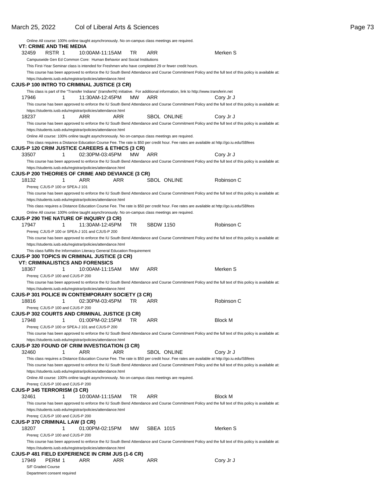|                                         |        |   | Online All course: 100% online taught asynchronously. No on-campus class meetings are required.                                                                                                                                              |     |           |                  |                    |                |                                                                                                                                                      |
|-----------------------------------------|--------|---|----------------------------------------------------------------------------------------------------------------------------------------------------------------------------------------------------------------------------------------------|-----|-----------|------------------|--------------------|----------------|------------------------------------------------------------------------------------------------------------------------------------------------------|
| VT: CRIME AND THE MEDIA                 |        |   |                                                                                                                                                                                                                                              |     |           |                  |                    |                |                                                                                                                                                      |
| 32459                                   | RSTR 1 |   | 10:00AM-11:15AM                                                                                                                                                                                                                              |     | TR        | ARR              |                    | Merken S       |                                                                                                                                                      |
|                                         |        |   | Campuswide Gen Ed Common Core: Human Behavior and Social Institutions                                                                                                                                                                        |     |           |                  |                    |                |                                                                                                                                                      |
|                                         |        |   | This First-Year Seminar class is intended for Freshmen who have completed 29 or fewer credit hours.                                                                                                                                          |     |           |                  |                    |                | This course has been approved to enforce the IU South Bend Attendance and Course Commitment Policy and the full text of this policy is available at: |
|                                         |        |   | https://students.iusb.edu/registrar/policies/attendance.html                                                                                                                                                                                 |     |           |                  |                    |                |                                                                                                                                                      |
|                                         |        |   | CJUS-P 100 INTRO TO CRIMINAL JUSTICE (3 CR)                                                                                                                                                                                                  |     |           |                  |                    |                |                                                                                                                                                      |
|                                         |        |   | This class is part of the "Transfer Indiana" (transferIN) initiative. For additional information, link to http://www.transferin.net                                                                                                          |     |           |                  |                    |                |                                                                                                                                                      |
| 17946                                   |        | 1 | 11:30AM-12:45PM                                                                                                                                                                                                                              |     | <b>MW</b> | ARR              |                    | Cory Jr J      |                                                                                                                                                      |
|                                         |        |   |                                                                                                                                                                                                                                              |     |           |                  |                    |                | This course has been approved to enforce the IU South Bend Attendance and Course Commitment Policy and the full text of this policy is available at: |
|                                         |        |   | https://students.iusb.edu/registrar/policies/attendance.html                                                                                                                                                                                 |     |           |                  |                    |                |                                                                                                                                                      |
| 18237                                   |        | 1 | ARR                                                                                                                                                                                                                                          | ARR |           |                  | <b>SBOL ONLINE</b> | Cory Jr J      |                                                                                                                                                      |
|                                         |        |   |                                                                                                                                                                                                                                              |     |           |                  |                    |                | This course has been approved to enforce the IU South Bend Attendance and Course Commitment Policy and the full text of this policy is available at: |
|                                         |        |   | https://students.iusb.edu/registrar/policies/attendance.html                                                                                                                                                                                 |     |           |                  |                    |                |                                                                                                                                                      |
|                                         |        |   | Online All course: 100% online taught asynchronously. No on-campus class meetings are required.<br>This class requires a Distance Education Course Fee. The rate is \$50 per credit hour. Fee rates are available at http://go.iu.edu/SBfees |     |           |                  |                    |                |                                                                                                                                                      |
|                                         |        |   | CJUS-P 120 CRIM JUSTICE CAREERS & ETHICS (3 CR)                                                                                                                                                                                              |     |           |                  |                    |                |                                                                                                                                                      |
| 33507                                   |        | 1 | 02:30PM-03:45PM                                                                                                                                                                                                                              |     | MW        | ARR              |                    | Cory Jr J      |                                                                                                                                                      |
|                                         |        |   |                                                                                                                                                                                                                                              |     |           |                  |                    |                | This course has been approved to enforce the IU South Bend Attendance and Course Commitment Policy and the full text of this policy is available at: |
|                                         |        |   | https://students.iusb.edu/registrar/policies/attendance.html                                                                                                                                                                                 |     |           |                  |                    |                |                                                                                                                                                      |
|                                         |        |   | <b>CJUS-P 200 THEORIES OF CRIME AND DEVIANCE (3 CR)</b>                                                                                                                                                                                      |     |           |                  |                    |                |                                                                                                                                                      |
| 18132                                   |        | 1 | ARR                                                                                                                                                                                                                                          | ARR |           |                  | SBOL ONLINE        | Robinson C     |                                                                                                                                                      |
| Prereq: CJUS-P 100 or SPEA-J 101        |        |   |                                                                                                                                                                                                                                              |     |           |                  |                    |                |                                                                                                                                                      |
|                                         |        |   |                                                                                                                                                                                                                                              |     |           |                  |                    |                | This course has been approved to enforce the IU South Bend Attendance and Course Commitment Policy and the full text of this policy is available at: |
|                                         |        |   | https://students.iusb.edu/registrar/policies/attendance.html<br>This class requires a Distance Education Course Fee. The rate is \$50 per credit hour. Fee rates are available at http://go.iu.edu/SBfees                                    |     |           |                  |                    |                |                                                                                                                                                      |
|                                         |        |   | Online All course: 100% online taught asynchronously. No on-campus class meetings are required.                                                                                                                                              |     |           |                  |                    |                |                                                                                                                                                      |
|                                         |        |   | CJUS-P 290 THE NATURE OF INQUIRY (3 CR)                                                                                                                                                                                                      |     |           |                  |                    |                |                                                                                                                                                      |
| 17947                                   |        | 1 | 11:30AM-12:45PM                                                                                                                                                                                                                              |     | TR        | <b>SBDW 1150</b> |                    | Robinson C     |                                                                                                                                                      |
|                                         |        |   | Prereq: CJUS-P 100 or SPEA-J 101 and CJUS-P 200                                                                                                                                                                                              |     |           |                  |                    |                |                                                                                                                                                      |
|                                         |        |   |                                                                                                                                                                                                                                              |     |           |                  |                    |                | This course has been approved to enforce the IU South Bend Attendance and Course Commitment Policy and the full text of this policy is available at: |
|                                         |        |   | https://students.iusb.edu/registrar/policies/attendance.html                                                                                                                                                                                 |     |           |                  |                    |                |                                                                                                                                                      |
|                                         |        |   | This class fulfills the Information Literacy General Education Requirement                                                                                                                                                                   |     |           |                  |                    |                |                                                                                                                                                      |
|                                         |        |   | CJUS-P 300 TOPICS IN CRIMINAL JUSTICE (3 CR)                                                                                                                                                                                                 |     |           |                  |                    |                |                                                                                                                                                      |
| 18367                                   |        | 1 | <b>VT: CRIMINALISTICS AND FORENSICS</b><br>10:00AM-11:15AM                                                                                                                                                                                   |     | <b>MW</b> | ARR              |                    | Merken S       |                                                                                                                                                      |
| Prereq: CJUS-P 100 and CJUS-P 200       |        |   |                                                                                                                                                                                                                                              |     |           |                  |                    |                |                                                                                                                                                      |
|                                         |        |   |                                                                                                                                                                                                                                              |     |           |                  |                    |                | This course has been approved to enforce the IU South Bend Attendance and Course Commitment Policy and the full text of this policy is available at: |
|                                         |        |   | https://students.iusb.edu/registrar/policies/attendance.html                                                                                                                                                                                 |     |           |                  |                    |                |                                                                                                                                                      |
|                                         |        |   | CJUS-P 301 POLICE IN CONTEMPORARY SOCIETY (3 CR)                                                                                                                                                                                             |     |           |                  |                    |                |                                                                                                                                                      |
| 18816                                   |        | 1 | 02:30PM-03:45PM                                                                                                                                                                                                                              |     | TR        | ARR              |                    | Robinson C     |                                                                                                                                                      |
| Prereg: CJUS-P 100 and CJUS-P 200       |        |   |                                                                                                                                                                                                                                              |     |           |                  |                    |                |                                                                                                                                                      |
|                                         |        |   | CJUS-P 302 COURTS AND CRIMINAL JUSTICE (3 CR)                                                                                                                                                                                                |     |           |                  |                    |                |                                                                                                                                                      |
| 17948                                   |        | 1 | 01:00PM-02:15PM                                                                                                                                                                                                                              |     | TR        | ARR              |                    | <b>Block M</b> |                                                                                                                                                      |
|                                         |        |   | Prereq: CJUS-P 100 or SPEA-J 101 and CJUS-P 200                                                                                                                                                                                              |     |           |                  |                    |                |                                                                                                                                                      |
|                                         |        |   |                                                                                                                                                                                                                                              |     |           |                  |                    |                | This course has been approved to enforce the IU South Bend Attendance and Course Commitment Policy and the full text of this policy is available at: |
|                                         |        |   | https://students.iusb.edu/registrar/policies/attendance.html<br>CJUS-P 320 FOUND OF CRIM INVESTIGATION (3 CR)                                                                                                                                |     |           |                  |                    |                |                                                                                                                                                      |
| 32460                                   |        | 1 | ARR                                                                                                                                                                                                                                          | ARR |           |                  | SBOL ONLINE        | Cory Jr J      |                                                                                                                                                      |
|                                         |        |   | This class requires a Distance Education Course Fee. The rate is \$50 per credit hour. Fee rates are available at http://go.iu.edu/SBfees                                                                                                    |     |           |                  |                    |                |                                                                                                                                                      |
|                                         |        |   |                                                                                                                                                                                                                                              |     |           |                  |                    |                | This course has been approved to enforce the IU South Bend Attendance and Course Commitment Policy and the full text of this policy is available at: |
|                                         |        |   | https://students.iusb.edu/registrar/policies/attendance.html                                                                                                                                                                                 |     |           |                  |                    |                |                                                                                                                                                      |
|                                         |        |   | Online All course: 100% online taught asynchronously. No on-campus class meetings are required.                                                                                                                                              |     |           |                  |                    |                |                                                                                                                                                      |
| Prereq: CJUS-P 100 and CJUS-P 200       |        |   |                                                                                                                                                                                                                                              |     |           |                  |                    |                |                                                                                                                                                      |
| CJUS-P 345 TERRORISM (3 CR)             |        |   |                                                                                                                                                                                                                                              |     |           |                  |                    |                |                                                                                                                                                      |
| 32461                                   |        | 1 | 10:00AM-11:15AM                                                                                                                                                                                                                              |     | TR        | ARR              |                    | <b>Block M</b> |                                                                                                                                                      |
|                                         |        |   |                                                                                                                                                                                                                                              |     |           |                  |                    |                | This course has been approved to enforce the IU South Bend Attendance and Course Commitment Policy and the full text of this policy is available at: |
|                                         |        |   | https://students.iusb.edu/registrar/policies/attendance.html                                                                                                                                                                                 |     |           |                  |                    |                |                                                                                                                                                      |
| Prereq: CJUS-P 100 and CJUS-P 200       |        |   |                                                                                                                                                                                                                                              |     |           |                  |                    |                |                                                                                                                                                      |
| CJUS-P 370 CRIMINAL LAW (3 CR)<br>18207 |        | 1 | 01:00PM-02:15PM                                                                                                                                                                                                                              |     | MW.       | SBEA 1015        |                    | Merken S       |                                                                                                                                                      |
| Prereq: CJUS-P 100 and CJUS-P 200       |        |   |                                                                                                                                                                                                                                              |     |           |                  |                    |                |                                                                                                                                                      |
|                                         |        |   |                                                                                                                                                                                                                                              |     |           |                  |                    |                |                                                                                                                                                      |
|                                         |        |   |                                                                                                                                                                                                                                              |     |           |                  |                    |                |                                                                                                                                                      |
|                                         |        |   | This course has been approved to enforce the IU South Bend Attendance and Course Commitment Policy and the full text of this policy is available at:                                                                                         |     |           |                  |                    |                |                                                                                                                                                      |
|                                         |        |   | https://students.iusb.edu/registrar/policies/attendance.html                                                                                                                                                                                 |     |           |                  |                    |                |                                                                                                                                                      |
| 17949                                   | PERM 1 |   | CJUS-P 481 FIELD EXPERIENCE IN CRIM JUS (1-6 CR)<br>ARR                                                                                                                                                                                      | ARR |           | ARR              |                    | Cory Jr J      |                                                                                                                                                      |
| S/F Graded Course                       |        |   |                                                                                                                                                                                                                                              |     |           |                  |                    |                |                                                                                                                                                      |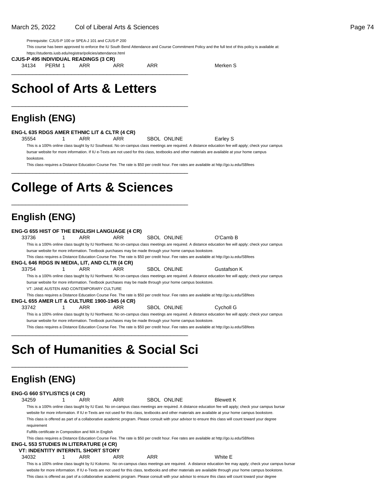Prerequisite: CJUS-P 100 or SPEA-J 101 and CJUS-P 200

This course has been approved to enforce the IU South Bend Attendance and Course Commitment Policy and the full text of this policy is available at:

https://students.iusb.edu/registrar/policies/attendance.html

**CJUS-P 495 INDIVIDUAL READINGS (3 CR)**

34134 PERM 1 ARR ARR ARR Merken S

\_\_\_\_\_\_\_\_\_\_\_\_\_\_\_\_\_\_\_\_\_\_\_\_\_\_\_\_\_\_\_\_\_\_\_\_\_\_\_\_\_\_\_\_\_\_\_\_\_\_

\_\_\_\_\_\_\_\_\_\_\_\_\_\_\_\_\_\_\_\_\_\_\_\_\_\_\_\_\_\_\_\_\_\_\_\_\_\_\_\_\_\_\_\_\_\_\_\_\_\_

# **School of Arts & Letters**

## **English (ENG)**

#### **ENG-L 635 RDGS AMER ETHNIC LIT & CLTR (4 CR)**

35554 1 ARR ARR SBOL ONLINE Earley S

This is a 100% online class taught by IU Southeast. No on-campus class meetings are required. A distance education fee will apply; check your campus bursar website for more information. If IU e-Texts are not used for this class, textbooks and other materials are available at your home campus bookstore.

This class requires a Distance Education Course Fee. The rate is \$50 per credit hour. Fee rates are available at http://go.iu.edu/SBfees

# **College of Arts & Sciences**

\_\_\_\_\_\_\_\_\_\_\_\_\_\_\_\_\_\_\_\_\_\_\_\_\_\_\_\_\_\_\_\_\_\_\_\_\_\_\_\_\_\_\_\_\_\_\_\_\_\_

\_\_\_\_\_\_\_\_\_\_\_\_\_\_\_\_\_\_\_\_\_\_\_\_\_\_\_\_\_\_\_\_\_\_\_\_\_\_\_\_\_\_\_\_\_\_\_\_\_\_

## **English (ENG)**

| <b>ENG-G 655 HIST OF THE ENGLISH LANGUAGE (4 CR)</b>     |                                          |     |                                                                                                                                           |                                                                                                                                                      |
|----------------------------------------------------------|------------------------------------------|-----|-------------------------------------------------------------------------------------------------------------------------------------------|------------------------------------------------------------------------------------------------------------------------------------------------------|
| 33736                                                    | ARR                                      | ARR | SBOL ONLINE                                                                                                                               | O'Camb B                                                                                                                                             |
|                                                          |                                          |     |                                                                                                                                           | This is a 100% online class taught by IU Northwest. No on-campus class meetings are required. A distance education fee will apply; check your campus |
|                                                          |                                          |     | bursar website for more information. Textbook purchases may be made through your home campus bookstore.                                   |                                                                                                                                                      |
|                                                          |                                          |     | This class requires a Distance Education Course Fee. The rate is \$50 per credit hour. Fee rates are available at http://qo.iu.edu/SBfees |                                                                                                                                                      |
| ENG-L 646 RDGS IN MEDIA, LIT, AND CLTR (4 CR)            |                                          |     |                                                                                                                                           |                                                                                                                                                      |
| 33754                                                    | ARR                                      | ARR | SBOL ONLINE                                                                                                                               | Gustafson K                                                                                                                                          |
|                                                          |                                          |     |                                                                                                                                           | This is a 100% online class taught by IU Northwest. No on-campus class meetings are required. A distance education fee will apply; check your campus |
|                                                          |                                          |     | bursar website for more information. Textbook purchases may be made through your home campus bookstore.                                   |                                                                                                                                                      |
|                                                          | VT: JANE AUSTEN AND CONTEMPORARY CULTURE |     |                                                                                                                                           |                                                                                                                                                      |
|                                                          |                                          |     | This class requires a Distance Education Course Fee. The rate is \$50 per credit hour. Fee rates are available at http://go.iu.edu/SBfees |                                                                                                                                                      |
| <b>ENG-L 655 AMER LIT &amp; CULTURE 1900-1945 (4 CR)</b> |                                          |     |                                                                                                                                           |                                                                                                                                                      |
| 33742                                                    | ARR                                      | ARR | SBOL ONLINE                                                                                                                               | Cycholl G                                                                                                                                            |
|                                                          |                                          |     |                                                                                                                                           | This is a 100% online class taught by IU Northwest. No on-campus class meetings are required. A distance education fee will apply; check your campus |
|                                                          |                                          |     | bursar website for more information. Textbook purchases may be made through your home campus bookstore.                                   |                                                                                                                                                      |
|                                                          |                                          |     | This class requires a Distance Education Course Fee. The rate is \$50 per credit hour. Fee rates are available at http://go.iu.edu/SBfees |                                                                                                                                                      |
|                                                          |                                          |     |                                                                                                                                           |                                                                                                                                                      |

# **Sch of Humanities & Social Sci**

\_\_\_\_\_\_\_\_\_\_\_\_\_\_\_\_\_\_\_\_\_\_\_\_\_\_\_\_\_\_\_\_\_\_\_\_\_\_\_\_\_\_\_\_\_\_\_\_\_\_

# **English (ENG)**

| <b>ENG-G 660 STYLISTICS (4 CR)</b>                                                                  |                                                       |     |            |             |                                                                                                                                                                                                                                                                                                                                                                                                                                                                         |  |
|-----------------------------------------------------------------------------------------------------|-------------------------------------------------------|-----|------------|-------------|-------------------------------------------------------------------------------------------------------------------------------------------------------------------------------------------------------------------------------------------------------------------------------------------------------------------------------------------------------------------------------------------------------------------------------------------------------------------------|--|
| 34259                                                                                               | ARR                                                   | ARR |            | SBOL ONLINE | <b>Blewett K</b>                                                                                                                                                                                                                                                                                                                                                                                                                                                        |  |
| requirement                                                                                         | Fulfills certificate in Composition and MA in English |     |            |             | This is a 100% online class taught by IU East. No on-campus class meetings are required. A distance education fee will apply; check your campus bursar<br>website for more information. If IU e-Texts are not used for this class, textbooks and other materials are available at your home campus bookstore.<br>This class is offered as part of a collaborative academic program. Please consult with your advisor to ensure this class will count toward your degree |  |
| <b>ENG-L 553 STUDIES IN LITERATURE (4 CR)</b><br><b>VT: INDENTITY INTERNTL SHORT STORY</b><br>34032 | ARR                                                   | ARR | <b>ARR</b> |             | This class requires a Distance Education Course Fee. The rate is \$50 per credit hour. Fee rates are available at http://qo.iu.edu/SBfees<br>White F                                                                                                                                                                                                                                                                                                                    |  |

This is a 100% online class taught by IU Kokomo. No on-campus class meetings are required. A distance education fee may apply; check your campus bursar website for more information. If IU e-Texts are not used for this class, textbooks and other materials are available through your home campus bookstore. This class is offered as part of a collaborative academic program. Please consult with your advisor to ensure this class will count toward your degree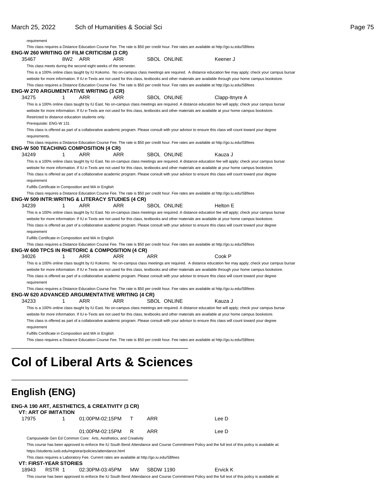| requirement<br>ENG-W 260 WRITING OF FILM CRITICISM (3 CR)<br>35467                                 |     |                                                                 |     |     |                    | This class requires a Distance Education Course Fee. The rate is \$50 per credit hour. Fee rates are available at http://go.iu.edu/SBfees                                                                                                                                                                     |
|----------------------------------------------------------------------------------------------------|-----|-----------------------------------------------------------------|-----|-----|--------------------|---------------------------------------------------------------------------------------------------------------------------------------------------------------------------------------------------------------------------------------------------------------------------------------------------------------|
|                                                                                                    |     |                                                                 |     |     |                    |                                                                                                                                                                                                                                                                                                               |
|                                                                                                    |     |                                                                 |     |     |                    |                                                                                                                                                                                                                                                                                                               |
|                                                                                                    | 8W2 | ARR                                                             | ARR |     | <b>SBOL ONLINE</b> | Keener J                                                                                                                                                                                                                                                                                                      |
|                                                                                                    |     | This class meets during the second eight weeks of the semester. |     |     |                    |                                                                                                                                                                                                                                                                                                               |
|                                                                                                    |     |                                                                 |     |     |                    | This is a 100% online class taught by IU Kokomo. No on-campus class meetings are required. A distance education fee may apply; check your campus bursar                                                                                                                                                       |
|                                                                                                    |     |                                                                 |     |     |                    | website for more information. If IU e-Texts are not used for this class, textbooks and other materials are available through your home campus bookstore.                                                                                                                                                      |
|                                                                                                    |     | ENG-W 270 ARGUMENTATIVE WRITING (3 CR)                          |     |     |                    | This class requires a Distance Education Course Fee. The rate is \$50 per credit hour. Fee rates are available at http://go.iu.edu/SBfees                                                                                                                                                                     |
| 34275                                                                                              | 1   | ARR                                                             | ARR |     | <b>SBOL ONLINE</b> | Clapp-Itnyre A                                                                                                                                                                                                                                                                                                |
|                                                                                                    |     |                                                                 |     |     |                    | This is a 100% online class taught by IU East. No on-campus class meetings are required. A distance education fee will apply; check your campus bursar                                                                                                                                                        |
|                                                                                                    |     |                                                                 |     |     |                    | website for more information. If IU e-Texts are not used for this class, textbooks and other materials are available at your home campus bookstore.                                                                                                                                                           |
|                                                                                                    |     | Restricted to distance education students only.                 |     |     |                    |                                                                                                                                                                                                                                                                                                               |
| Prerequisite: ENG-W 131                                                                            |     |                                                                 |     |     |                    |                                                                                                                                                                                                                                                                                                               |
|                                                                                                    |     |                                                                 |     |     |                    | This class is offered as part of a collaborative academic program. Please consult with your advisor to ensure this class will count toward your degree                                                                                                                                                        |
| requirements.                                                                                      |     |                                                                 |     |     |                    |                                                                                                                                                                                                                                                                                                               |
|                                                                                                    |     |                                                                 |     |     |                    | This class requires a Distance Education Course Fee. The rate is \$50 per credit hour. Fee rates are available at http://go.iu.edu/SBfees                                                                                                                                                                     |
| <b>ENG-W 500 TEACHING COMPOSITION (4 CR)</b>                                                       |     |                                                                 |     |     |                    |                                                                                                                                                                                                                                                                                                               |
| 34249                                                                                              | 1   | ARR                                                             | ARR |     | <b>SBOL ONLINE</b> | Kauza J                                                                                                                                                                                                                                                                                                       |
|                                                                                                    |     |                                                                 |     |     |                    | This is a 100% online class taught by IU East. No on-campus class meetings are required. A distance education fee will apply; check your campus bursar                                                                                                                                                        |
|                                                                                                    |     |                                                                 |     |     |                    | website for more information. If IU e-Texts are not used for this class, textbooks and other materials are available at your home campus bookstore.                                                                                                                                                           |
|                                                                                                    |     |                                                                 |     |     |                    | This class is offered as part of a collaborative academic program. Please consult with your advisor to ensure this class will count toward your degree                                                                                                                                                        |
| requirement                                                                                        |     | Fulfills Certificate in Composition and MA in English           |     |     |                    |                                                                                                                                                                                                                                                                                                               |
|                                                                                                    |     |                                                                 |     |     |                    | This class requires a Distance Education Course Fee. The rate is \$50 per credit hour. Fee rates are available at http://go.iu.edu/SBfees                                                                                                                                                                     |
| ENG-W 509 INTR:WRITNG & LITERACY STUDIES (4 CR)                                                    |     |                                                                 |     |     |                    |                                                                                                                                                                                                                                                                                                               |
| 34239                                                                                              | 1   |                                                                 |     |     |                    |                                                                                                                                                                                                                                                                                                               |
|                                                                                                    |     | ARR                                                             | ARR |     | <b>SBOL ONLINE</b> | Helton E                                                                                                                                                                                                                                                                                                      |
|                                                                                                    |     |                                                                 |     |     |                    |                                                                                                                                                                                                                                                                                                               |
|                                                                                                    |     |                                                                 |     |     |                    | This is a 100% online class taught by IU East. No on-campus class meetings are required. A distance education fee will apply; check your campus bursar<br>website for more information. If IU e-Texts are not used for this class, textbooks and other materials are available at your home campus bookstore. |
|                                                                                                    |     |                                                                 |     |     |                    | This class is offered as part of a collaborative academic program. Please consult with your advisor to ensure this class will count toward your degree                                                                                                                                                        |
| requirement                                                                                        |     |                                                                 |     |     |                    |                                                                                                                                                                                                                                                                                                               |
|                                                                                                    |     | Fulfills Certificate in Composition and MA in English           |     |     |                    |                                                                                                                                                                                                                                                                                                               |
|                                                                                                    |     |                                                                 |     |     |                    | This class requires a Distance Education Course Fee. The rate is \$50 per credit hour. Fee rates are available at http://go.iu.edu/SBfees                                                                                                                                                                     |
|                                                                                                    |     |                                                                 |     |     |                    |                                                                                                                                                                                                                                                                                                               |
| 34026                                                                                              | 1   | ARR                                                             | ARR | ARR |                    | Cook P                                                                                                                                                                                                                                                                                                        |
|                                                                                                    |     |                                                                 |     |     |                    | This is a 100% online class taught by IU Kokomo. No on-campus class meetings are required. A distance education fee may apply; check your campus bursar                                                                                                                                                       |
|                                                                                                    |     |                                                                 |     |     |                    | website for more information. If IU e-Texts are not used for this class, textbooks and other materials are available through your home campus bookstore.                                                                                                                                                      |
|                                                                                                    |     |                                                                 |     |     |                    | This class is offered as part of a collaborative academic program. Please consult with your advisor to ensure this class will count toward your degree                                                                                                                                                        |
| requirement                                                                                        |     |                                                                 |     |     |                    |                                                                                                                                                                                                                                                                                                               |
|                                                                                                    |     |                                                                 |     |     |                    | This class requires a Distance Education Course Fee. The rate is \$50 per credit hour. Fee rates are available at http://go.iu.edu/SBfees                                                                                                                                                                     |
| 34233                                                                                              | 1   | ARR                                                             | ARR |     | SBOL ONLINE        | Kauza J                                                                                                                                                                                                                                                                                                       |
|                                                                                                    |     |                                                                 |     |     |                    | This is a 100% online class taught by IU East. No on-campus class meetings are required. A distance education fee will apply; check your campus bursar                                                                                                                                                        |
| ENG-W 600 TPCS IN RHETORIC & COMPOSITION (4 CR)<br>ENG-W 620 ADVANCED ARGUMENTATIVE WRITING (4 CR) |     |                                                                 |     |     |                    | website for more information. If IU e-Texts are not used for this class, textbooks and other materials are available at your home campus bookstore.                                                                                                                                                           |
|                                                                                                    |     |                                                                 |     |     |                    | This class is offered as part of a collaborative academic program. Please consult with your advisor to ensure this class will count toward your degree                                                                                                                                                        |
| requirement                                                                                        |     |                                                                 |     |     |                    |                                                                                                                                                                                                                                                                                                               |
|                                                                                                    |     | Fulfills Certificate in Composition and MA in English           |     |     |                    |                                                                                                                                                                                                                                                                                                               |

|       | <b>VT: ART OF IMITATION</b>   | NG-A 190 ART, AESTHETICS, & CREATIVITY (3 CR)                                                |                |                  |                                                                                                                                                      |
|-------|-------------------------------|----------------------------------------------------------------------------------------------|----------------|------------------|------------------------------------------------------------------------------------------------------------------------------------------------------|
| 17975 |                               | 01:00PM-02:15PM                                                                              | т              | ARR              | Lee D                                                                                                                                                |
|       |                               | 01:00PM-02:15PM                                                                              | R <sup>R</sup> | ARR              | Lee D                                                                                                                                                |
|       |                               | Campuswide Gen Ed Common Core: Arts, Aesthetics, and Creativity                              |                |                  |                                                                                                                                                      |
|       |                               |                                                                                              |                |                  | This course has been approved to enforce the IU South Bend Attendance and Course Commitment Policy and the full text of this policy is available at: |
|       |                               | https://students.iusb.edu/registrar/policies/attendance.html                                 |                |                  |                                                                                                                                                      |
|       |                               | This class requires a Laboratory Fee. Current rates are available at http://go.iu.edu/SBfees |                |                  |                                                                                                                                                      |
|       | <b>VT: FIRST-YEAR STORIES</b> |                                                                                              |                |                  |                                                                                                                                                      |
| 18943 | RSTR 1                        | 02:30PM-03:45PM                                                                              | <b>MW</b>      | <b>SBDW 1190</b> | Ervick K                                                                                                                                             |
|       |                               |                                                                                              |                |                  | This course has been approved to enforce the IU South Bend Attendance and Course Commitment Policy and the full text of this policy is available at: |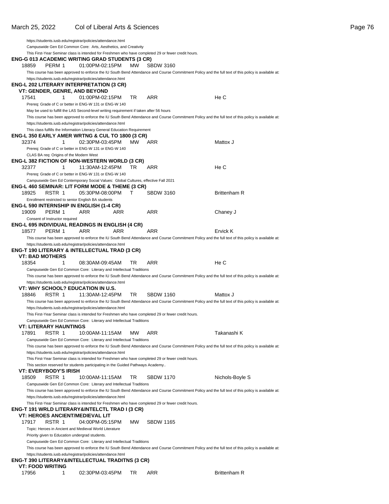|                                         |        | https://students.iusb.edu/registrar/policies/attendance.html                            |     |     |                                                                                                     |                                                                                                                                                      |
|-----------------------------------------|--------|-----------------------------------------------------------------------------------------|-----|-----|-----------------------------------------------------------------------------------------------------|------------------------------------------------------------------------------------------------------------------------------------------------------|
|                                         |        | Campuswide Gen Ed Common Core: Arts, Aesthetics, and Creativity                         |     |     |                                                                                                     |                                                                                                                                                      |
|                                         |        |                                                                                         |     |     | This First-Year Seminar class is intended for Freshmen who have completed 29 or fewer credit hours. |                                                                                                                                                      |
|                                         |        | ENG-G 013 ACADEMIC WRITING GRAD STUDENTS (3 CR)                                         |     |     |                                                                                                     |                                                                                                                                                      |
| 18859                                   | PERM 1 | 01:00PM-02:15PM                                                                         |     | MW. | <b>SBDW 3160</b>                                                                                    |                                                                                                                                                      |
|                                         |        |                                                                                         |     |     |                                                                                                     | This course has been approved to enforce the IU South Bend Attendance and Course Commitment Policy and the full text of this policy is available at: |
|                                         |        | https://students.iusb.edu/registrar/policies/attendance.html                            |     |     |                                                                                                     |                                                                                                                                                      |
|                                         |        | ENG-L 202 LITERARY INTERPRETATION (3 CR)                                                |     |     |                                                                                                     |                                                                                                                                                      |
|                                         |        |                                                                                         |     |     |                                                                                                     |                                                                                                                                                      |
|                                         | 1      | VT: GENDER, GENRE, AND BEYOND                                                           |     | TR  | ARR                                                                                                 | He C                                                                                                                                                 |
| 17541                                   |        | 01:00PM-02:15PM                                                                         |     |     |                                                                                                     |                                                                                                                                                      |
|                                         |        | Prereq: Grade of C or better in ENG-W 131 or ENG-W 140                                  |     |     |                                                                                                     |                                                                                                                                                      |
|                                         |        | May be used to fulfill the LAS Second-level writing requirement if taken after 56 hours |     |     |                                                                                                     |                                                                                                                                                      |
|                                         |        |                                                                                         |     |     |                                                                                                     | This course has been approved to enforce the IU South Bend Attendance and Course Commitment Policy and the full text of this policy is available at: |
|                                         |        | https://students.iusb.edu/registrar/policies/attendance.html                            |     |     |                                                                                                     |                                                                                                                                                      |
|                                         |        | This class fulfills the Information Literacy General Education Requirement              |     |     |                                                                                                     |                                                                                                                                                      |
|                                         |        | ENG-L 350 EARLY AMER WRTNG & CUL TO 1800 (3 CR)                                         |     |     |                                                                                                     |                                                                                                                                                      |
| 32374                                   | 1      | 02:30PM-03:45PM                                                                         |     | MW. | ARR                                                                                                 | Mattox J                                                                                                                                             |
|                                         |        | Prereq: Grade of C or better in ENG-W 131 or ENG-W 140                                  |     |     |                                                                                                     |                                                                                                                                                      |
| CLAS BA req: Origins of the Modern West |        |                                                                                         |     |     |                                                                                                     |                                                                                                                                                      |
|                                         |        | ENG-L 382 FICTION OF NON-WESTERN WORLD (3 CR)                                           |     |     |                                                                                                     |                                                                                                                                                      |
| 32377                                   | 1      | 11:30AM-12:45PM                                                                         |     | TR  | ARR                                                                                                 | He C                                                                                                                                                 |
|                                         |        | Prereq: Grade of C or better in ENG-W 131 or ENG-W 140                                  |     |     |                                                                                                     |                                                                                                                                                      |
|                                         |        | Campuswide Gen Ed Contemporary Social Values: Global Cultures, effective Fall 2021      |     |     |                                                                                                     |                                                                                                                                                      |
|                                         |        | ENG-L 460 SEMINAR: LIT FORM MODE & THEME (3 CR)                                         |     |     |                                                                                                     |                                                                                                                                                      |
| 18925                                   | RSTR 1 | 05:30PM-08:00PM                                                                         |     | т   | <b>SBDW 3160</b>                                                                                    | <b>Brittenham R</b>                                                                                                                                  |
|                                         |        | Enrollment restricted to senior English BA students                                     |     |     |                                                                                                     |                                                                                                                                                      |
|                                         |        | ENG-L 590 INTERNSHIP IN ENGLISH (1-4 CR)                                                |     |     |                                                                                                     |                                                                                                                                                      |
| 19009                                   | PERM 1 | ARR                                                                                     | ARR |     | ARR                                                                                                 | Chaney J                                                                                                                                             |
| Consent of Instructor required          |        |                                                                                         |     |     |                                                                                                     |                                                                                                                                                      |
|                                         |        | ENG-L 695 INDIVIDUAL READINGS IN ENGLISH (4 CR)                                         |     |     |                                                                                                     |                                                                                                                                                      |
| 18577                                   | PERM 1 | ARR                                                                                     | ARR |     | ARR                                                                                                 | Ervick K                                                                                                                                             |
|                                         |        |                                                                                         |     |     |                                                                                                     |                                                                                                                                                      |
|                                         |        |                                                                                         |     |     |                                                                                                     | This course has been approved to enforce the IU South Bend Attendance and Course Commitment Policy and the full text of this policy is available at: |
|                                         |        | https://students.iusb.edu/registrar/policies/attendance.html                            |     |     |                                                                                                     |                                                                                                                                                      |
|                                         |        | ENG-T 190 LITERARY & INTELLECTUAL TRAD (3 CR)                                           |     |     |                                                                                                     |                                                                                                                                                      |
| <b>VT: BAD MOTHERS</b>                  |        |                                                                                         |     |     |                                                                                                     |                                                                                                                                                      |
| 18354                                   | 1      | 08:30AM-09:45AM                                                                         |     | TR  | ARR                                                                                                 | He C                                                                                                                                                 |
|                                         |        | Campuswide Gen Ed Common Core: Literary and Intellectual Traditions                     |     |     |                                                                                                     |                                                                                                                                                      |
|                                         |        |                                                                                         |     |     |                                                                                                     | This course has been approved to enforce the IU South Bend Attendance and Course Commitment Policy and the full text of this policy is available at: |
|                                         |        | https://students.iusb.edu/registrar/policies/attendance.html                            |     |     |                                                                                                     |                                                                                                                                                      |
|                                         |        | VT: WHY SCHOOL? EDUCATION IN U.S.                                                       |     |     |                                                                                                     |                                                                                                                                                      |
| 18846                                   | RSTR 1 | 11:30AM-12:45PM                                                                         |     | TR  | <b>SBDW 1160</b>                                                                                    | Mattox J                                                                                                                                             |
|                                         |        |                                                                                         |     |     |                                                                                                     | This course has been approved to enforce the IU South Bend Attendance and Course Commitment Policy and the full text of this policy is available at: |
|                                         |        | https://students.iusb.edu/registrar/policies/attendance.html                            |     |     |                                                                                                     |                                                                                                                                                      |
|                                         |        |                                                                                         |     |     | This First-Year Seminar class is intended for Freshmen who have completed 29 or fewer credit hours. |                                                                                                                                                      |
|                                         |        | Campuswide Gen Ed Common Core: Literary and Intellectual Traditions                     |     |     |                                                                                                     |                                                                                                                                                      |
| VT: LITERARY HAUNTINGS                  |        |                                                                                         |     |     |                                                                                                     |                                                                                                                                                      |
| 17891                                   | RSTR 1 | 10:00AM-11:15AM                                                                         |     | MW. | ARR                                                                                                 | Takanashi K                                                                                                                                          |
|                                         |        |                                                                                         |     |     |                                                                                                     |                                                                                                                                                      |
|                                         |        | Campuswide Gen Ed Common Core: Literary and Intellectual Traditions                     |     |     |                                                                                                     |                                                                                                                                                      |
|                                         |        |                                                                                         |     |     |                                                                                                     | This course has been approved to enforce the IU South Bend Attendance and Course Commitment Policy and the full text of this policy is available at: |
|                                         |        | https://students.iusb.edu/registrar/policies/attendance.html                            |     |     |                                                                                                     |                                                                                                                                                      |
|                                         |        |                                                                                         |     |     | This First-Year Seminar class is intended for Freshmen who have completed 29 or fewer credit hours. |                                                                                                                                                      |
|                                         |        | This section reserved for students participating in the Guided Pathways Academy         |     |     |                                                                                                     |                                                                                                                                                      |
| VT: EVERYBODY'S IRISH                   |        |                                                                                         |     |     |                                                                                                     |                                                                                                                                                      |
| 18509                                   | RSTR 1 | 10:00AM-11:15AM                                                                         |     | TR  | <b>SBDW 1170</b>                                                                                    | Nichols-Boyle S                                                                                                                                      |
|                                         |        | Campuswide Gen Ed Common Core: Literary and Intellectual Traditions                     |     |     |                                                                                                     |                                                                                                                                                      |
|                                         |        |                                                                                         |     |     |                                                                                                     | This course has been approved to enforce the IU South Bend Attendance and Course Commitment Policy and the full text of this policy is available at: |
|                                         |        | https://students.iusb.edu/registrar/policies/attendance.html                            |     |     |                                                                                                     |                                                                                                                                                      |
|                                         |        |                                                                                         |     |     | This First-Year Seminar class is intended for Freshmen who have completed 29 or fewer credit hours. |                                                                                                                                                      |
|                                         |        | ENG-T 191 WRLD LITERARY&INTELCTL TRAD I (3 CR)                                          |     |     |                                                                                                     |                                                                                                                                                      |
|                                         |        | VT: HEROES ANCIENT/MEDIEVAL LIT                                                         |     |     |                                                                                                     |                                                                                                                                                      |
| 17917                                   | RSTR 1 | 04:00PM-05:15PM                                                                         |     | МW  | <b>SBDW 1165</b>                                                                                    |                                                                                                                                                      |
|                                         |        | Topic: Heroes in Ancient and Medieval World Literature                                  |     |     |                                                                                                     |                                                                                                                                                      |
|                                         |        |                                                                                         |     |     |                                                                                                     |                                                                                                                                                      |
|                                         |        | Priority given to Education undergrad students.                                         |     |     |                                                                                                     |                                                                                                                                                      |
|                                         |        | Campuswide Gen Ed Common Core: Literary and Intellectual Traditions                     |     |     |                                                                                                     |                                                                                                                                                      |
|                                         |        |                                                                                         |     |     |                                                                                                     | This course has been approved to enforce the IU South Bend Attendance and Course Commitment Policy and the full text of this policy is available at: |
|                                         |        | https://students.iusb.edu/registrar/policies/attendance.html                            |     |     |                                                                                                     |                                                                                                                                                      |
|                                         |        |                                                                                         |     |     |                                                                                                     |                                                                                                                                                      |
|                                         |        | ENG-T 390 LITERARY&INTELLECTUAL TRADITNS (3 CR)                                         |     |     |                                                                                                     |                                                                                                                                                      |
| <b>VT: FOOD WRITING</b><br>17956        |        | 02:30PM-03:45PM                                                                         |     | TR  | ARR                                                                                                 | <b>Brittenham R</b>                                                                                                                                  |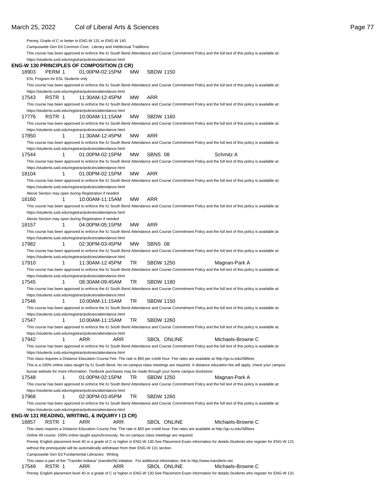| Prereq: Grade of C or better in ENG-W 131 or ENG-W 140                                                                                                                                                               |                              |                  |                                                                                                                                                          |
|----------------------------------------------------------------------------------------------------------------------------------------------------------------------------------------------------------------------|------------------------------|------------------|----------------------------------------------------------------------------------------------------------------------------------------------------------|
| Campuswide Gen Ed Common Core: Literary and Intellectual Traditions                                                                                                                                                  |                              |                  |                                                                                                                                                          |
| This course has been approved to enforce the IU South Bend Attendance and Course Commitment Policy and the full text of this policy is available at:                                                                 |                              |                  |                                                                                                                                                          |
| https://students.iusb.edu/registrar/policies/attendance.html                                                                                                                                                         |                              |                  |                                                                                                                                                          |
| ENG-W 130 PRINCIPLES OF COMPOSITION (3 CR)                                                                                                                                                                           |                              |                  |                                                                                                                                                          |
| 18903<br>PERM 1                                                                                                                                                                                                      | 01:00PM-02:15PM<br>МW        | <b>SBDW 1150</b> |                                                                                                                                                          |
| ESL Program for ESL Students only                                                                                                                                                                                    |                              |                  |                                                                                                                                                          |
| This course has been approved to enforce the IU South Bend Attendance and Course Commitment Policy and the full text of this policy is available at:                                                                 |                              |                  |                                                                                                                                                          |
| https://students.iusb.edu/registrar/policies/attendance.html                                                                                                                                                         |                              |                  |                                                                                                                                                          |
| 17543<br>RSTR 1                                                                                                                                                                                                      | MW<br>11:30AM-12:45PM        | <b>ARR</b>       |                                                                                                                                                          |
| This course has been approved to enforce the IU South Bend Attendance and Course Commitment Policy and the full text of this policy is available at:                                                                 |                              |                  |                                                                                                                                                          |
| https://students.iusb.edu/registrar/policies/attendance.html                                                                                                                                                         |                              |                  |                                                                                                                                                          |
| 17776<br>RSTR 1                                                                                                                                                                                                      | МW<br>10:00AM-11:15AM        | <b>SBDW 1160</b> |                                                                                                                                                          |
| This course has been approved to enforce the IU South Bend Attendance and Course Commitment Policy and the full text of this policy is available at:                                                                 |                              |                  |                                                                                                                                                          |
| https://students.iusb.edu/registrar/policies/attendance.html                                                                                                                                                         |                              |                  |                                                                                                                                                          |
| 17850<br>1                                                                                                                                                                                                           | МW<br>11:30AM-12:45PM        | <b>ARR</b>       |                                                                                                                                                          |
| This course has been approved to enforce the IU South Bend Attendance and Course Commitment Policy and the full text of this policy is available at:                                                                 |                              |                  |                                                                                                                                                          |
| https://students.iusb.edu/registrar/policies/attendance.html<br>17544<br>1                                                                                                                                           | МW<br>01:00PM-02:15PM        | SBNS 08          | Schmitz A                                                                                                                                                |
| This course has been approved to enforce the IU South Bend Attendance and Course Commitment Policy and the full text of this policy is available at:                                                                 |                              |                  |                                                                                                                                                          |
| https://students.iusb.edu/registrar/policies/attendance.html                                                                                                                                                         |                              |                  |                                                                                                                                                          |
| 18104<br>1                                                                                                                                                                                                           | МW<br>01:00PM-02:15PM        | ARR              |                                                                                                                                                          |
| This course has been approved to enforce the IU South Bend Attendance and Course Commitment Policy and the full text of this policy is available at:                                                                 |                              |                  |                                                                                                                                                          |
| https://students.iusb.edu/registrar/policies/attendance.html                                                                                                                                                         |                              |                  |                                                                                                                                                          |
| Above Section may open during Registration if needed                                                                                                                                                                 |                              |                  |                                                                                                                                                          |
| 18160<br>1                                                                                                                                                                                                           | <b>MW</b><br>10:00AM-11:15AM | <b>ARR</b>       |                                                                                                                                                          |
| This course has been approved to enforce the IU South Bend Attendance and Course Commitment Policy and the full text of this policy is available at:                                                                 |                              |                  |                                                                                                                                                          |
| https://students.iusb.edu/registrar/policies/attendance.html                                                                                                                                                         |                              |                  |                                                                                                                                                          |
| Above Section may open during Registration if needed                                                                                                                                                                 |                              |                  |                                                                                                                                                          |
| 18157<br>1                                                                                                                                                                                                           | MW<br>04:00PM-05:15PM        | ARR              |                                                                                                                                                          |
| This course has been approved to enforce the IU South Bend Attendance and Course Commitment Policy and the full text of this policy is available at:                                                                 |                              |                  |                                                                                                                                                          |
| https://students.iusb.edu/registrar/policies/attendance.html                                                                                                                                                         |                              |                  |                                                                                                                                                          |
| 17982<br>1                                                                                                                                                                                                           | 02:30PM-03:45PM<br>МW        | SBNS 08          |                                                                                                                                                          |
| This course has been approved to enforce the IU South Bend Attendance and Course Commitment Policy and the full text of this policy is available at:                                                                 |                              |                  |                                                                                                                                                          |
| https://students.iusb.edu/registrar/policies/attendance.html                                                                                                                                                         |                              |                  |                                                                                                                                                          |
| 17910<br>1                                                                                                                                                                                                           | TR<br>11:30AM-12:45PM        | <b>SBDW 1250</b> | Magnan-Park A                                                                                                                                            |
| This course has been approved to enforce the IU South Bend Attendance and Course Commitment Policy and the full text of this policy is available at:<br>https://students.iusb.edu/registrar/policies/attendance.html |                              |                  |                                                                                                                                                          |
| 17545<br>1                                                                                                                                                                                                           | TR<br>08:30AM-09:45AM        | <b>SBDW 1180</b> |                                                                                                                                                          |
| This course has been approved to enforce the IU South Bend Attendance and Course Commitment Policy and the full text of this policy is available at:                                                                 |                              |                  |                                                                                                                                                          |
| https://students.iusb.edu/registrar/policies/attendance.html                                                                                                                                                         |                              |                  |                                                                                                                                                          |
| 17546<br>1                                                                                                                                                                                                           | TR<br>10:00AM-11:15AM        | <b>SBDW 1150</b> |                                                                                                                                                          |
| This course has been approved to enforce the IU South Bend Attendance and Course Commitment Policy and the full text of this policy is available at:                                                                 |                              |                  |                                                                                                                                                          |
| https://students.iusb.edu/registrar/policies/attendance.html                                                                                                                                                         |                              |                  |                                                                                                                                                          |
| 17547                                                                                                                                                                                                                | TR                           | <b>SBDW 1260</b> |                                                                                                                                                          |
| This course has been approved to enforce the IU South Bend Attendance and Course Commitment Policy and the full text of this policy is available at:                                                                 |                              |                  |                                                                                                                                                          |
| https://students.iusb.edu/registrar/policies/attendance.html                                                                                                                                                         |                              |                  |                                                                                                                                                          |
| 17942<br>1<br>ARR                                                                                                                                                                                                    | ARR                          | SBOL ONLINE      | Michaels-Browne C                                                                                                                                        |
| This course has been approved to enforce the IU South Bend Attendance and Course Commitment Policy and the full text of this policy is available at:                                                                 |                              |                  |                                                                                                                                                          |
| https://students.iusb.edu/registrar/policies/attendance.html                                                                                                                                                         |                              |                  |                                                                                                                                                          |
| This class requires a Distance Education Course Fee. The rate is \$50 per credit hour. Fee rates are available at http://go.iu.edu/SBfees                                                                            |                              |                  |                                                                                                                                                          |
|                                                                                                                                                                                                                      |                              |                  | This is a 100% online class taught by IU South Bend. No on-campus class meetings are required. A distance education fee will apply; check your campus    |
| bursar website for more information. Textbook purchases may be made through your home campus bookstore.<br>17548<br>1                                                                                                | 01:00PM-02:15PM<br>TR        | <b>SBDW 1250</b> | Magnan-Park A                                                                                                                                            |
| This course has been approved to enforce the IU South Bend Attendance and Course Commitment Policy and the full text of this policy is available at:                                                                 |                              |                  |                                                                                                                                                          |
| https://students.iusb.edu/registrar/policies/attendance.html                                                                                                                                                         |                              |                  |                                                                                                                                                          |
| 17968<br>1                                                                                                                                                                                                           | TR<br>02:30PM-03:45PM        | <b>SBDW 1260</b> |                                                                                                                                                          |
| This course has been approved to enforce the IU South Bend Attendance and Course Commitment Policy and the full text of this policy is available at:                                                                 |                              |                  |                                                                                                                                                          |
| https://students.iusb.edu/registrar/policies/attendance.html                                                                                                                                                         |                              |                  |                                                                                                                                                          |
| ENG-W 131 READING, WRITING, & INQUIRY I (3 CR)                                                                                                                                                                       |                              |                  |                                                                                                                                                          |
| 18857<br>RSTR 1<br>ARR                                                                                                                                                                                               | ARR                          | SBOL ONLINE      | Michaels-Browne C                                                                                                                                        |
| This class requires a Distance Education Course Fee. The rate is \$50 per credit hour. Fee rates are available at http://go.iu.edu/SBfees                                                                            |                              |                  |                                                                                                                                                          |
| Online All course: 100% online taught asynchronously. No on-campus class meetings are required.                                                                                                                      |                              |                  |                                                                                                                                                          |
|                                                                                                                                                                                                                      |                              |                  | Prereq: English placement level 40 or a grade of C or higher in ENG-W 130.See Placement Exam information for details.Students who register for ENG-W 131 |
| without the prerequisite will be automatically withdrawn from their ENG-W 131 section.                                                                                                                               |                              |                  |                                                                                                                                                          |
| Campuswide Gen Ed Fundamental Literacies: Writing                                                                                                                                                                    |                              |                  |                                                                                                                                                          |
| This class is part of the "Transfer Indiana" (transferIN) initiative. For additional information, link to http://www.transferin.net                                                                                  |                              |                  |                                                                                                                                                          |
| 17549<br>RSTR 1<br>ARR                                                                                                                                                                                               | <b>ARR</b>                   | SBOL ONLINE      | Michaels-Browne C                                                                                                                                        |
|                                                                                                                                                                                                                      |                              |                  | Prereq: English placement level 40 or a grade of C or higher in ENG-W 130.See Placement Exam information for details.Students who register for ENG-W 131 |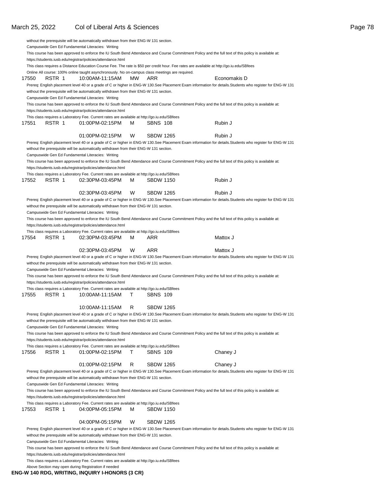### March 25, 2022 Col of Liberal Arts & Sciences **Page 78** Collection 2014 12:30 Arts 2014 12:30 Page 78

|       |        | without the prerequisite will be automatically withdrawn from their ENG-W 131 section.<br>Campuswide Gen Ed Fundamental Literacies: Writing                  |           |                  |                                                                                                                                                          |
|-------|--------|--------------------------------------------------------------------------------------------------------------------------------------------------------------|-----------|------------------|----------------------------------------------------------------------------------------------------------------------------------------------------------|
|       |        |                                                                                                                                                              |           |                  | This course has been approved to enforce the IU South Bend Attendance and Course Commitment Policy and the full text of this policy is available at:     |
|       |        | https://students.iusb.edu/registrar/policies/attendance.html                                                                                                 |           |                  |                                                                                                                                                          |
|       |        |                                                                                                                                                              |           |                  | This class requires a Distance Education Course Fee. The rate is \$50 per credit hour. Fee rates are available at http://go.iu.edu/SBfees                |
|       |        | Online All course: 100% online taught asynchronously. No on-campus class meetings are required.                                                              |           |                  |                                                                                                                                                          |
| 17550 | RSTR 1 | 10:00AM-11:15AM                                                                                                                                              | <b>MW</b> | ARR              | Economakis D                                                                                                                                             |
|       |        | without the prerequisite will be automatically withdrawn from their ENG-W 131 section.<br>Campuswide Gen Ed Fundamental Literacies: Writing                  |           |                  | Prereq: English placement level 40 or a grade of C or higher in ENG-W 130.See Placement Exam information for details.Students who register for ENG-W 131 |
|       |        |                                                                                                                                                              |           |                  | This course has been approved to enforce the IU South Bend Attendance and Course Commitment Policy and the full text of this policy is available at:     |
|       |        | https://students.iusb.edu/registrar/policies/attendance.html<br>This class requires a Laboratory Fee. Current rates are available at http://go.iu.edu/SBfees |           |                  |                                                                                                                                                          |
| 17551 | RSTR 1 | 01:00PM-02:15PM                                                                                                                                              | м         | <b>SBNS 108</b>  | Rubin J                                                                                                                                                  |
|       |        | 01:00PM-02:15PM                                                                                                                                              | W         | <b>SBDW 1265</b> | Rubin J                                                                                                                                                  |
|       |        |                                                                                                                                                              |           |                  | Prereq: English placement level 40 or a grade of C or higher in ENG-W 130.See Placement Exam information for details.Students who register for ENG-W 131 |
|       |        | without the prerequisite will be automatically withdrawn from their ENG-W 131 section.                                                                       |           |                  |                                                                                                                                                          |
|       |        | Campuswide Gen Ed Fundamental Literacies: Writing                                                                                                            |           |                  |                                                                                                                                                          |
|       |        | https://students.iusb.edu/registrar/policies/attendance.html                                                                                                 |           |                  | This course has been approved to enforce the IU South Bend Attendance and Course Commitment Policy and the full text of this policy is available at:     |
|       |        | This class requires a Laboratory Fee. Current rates are available at http://go.iu.edu/SBfees                                                                 |           |                  |                                                                                                                                                          |
| 17552 | RSTR 1 | 02:30PM-03:45PM                                                                                                                                              | м         | <b>SBDW 1150</b> | Rubin J                                                                                                                                                  |
|       |        | 02:30PM-03:45PM                                                                                                                                              | W         | <b>SBDW 1265</b> | Rubin J                                                                                                                                                  |
|       |        |                                                                                                                                                              |           |                  | Prereq: English placement level 40 or a grade of C or higher in ENG-W 130.See Placement Exam information for details.Students who register for ENG-W 131 |
|       |        | without the prerequisite will be automatically withdrawn from their ENG-W 131 section.                                                                       |           |                  |                                                                                                                                                          |
|       |        | Campuswide Gen Ed Fundamental Literacies: Writing                                                                                                            |           |                  |                                                                                                                                                          |
|       |        | https://students.iusb.edu/registrar/policies/attendance.html                                                                                                 |           |                  | This course has been approved to enforce the IU South Bend Attendance and Course Commitment Policy and the full text of this policy is available at:     |
|       |        | This class requires a Laboratory Fee. Current rates are available at http://go.iu.edu/SBfees                                                                 |           |                  |                                                                                                                                                          |
| 17554 | RSTR 1 | 02:30PM-03:45PM                                                                                                                                              | м         | ARR              | Mattox J                                                                                                                                                 |
|       |        | 02:30PM-03:45PM                                                                                                                                              | W         | ARR              | Mattox J                                                                                                                                                 |
|       |        | without the prerequisite will be automatically withdrawn from their ENG-W 131 section.                                                                       |           |                  | Prereq: English placement level 40 or a grade of C or higher in ENG-W 130.See Placement Exam information for details.Students who register for ENG-W 131 |
|       |        | Campuswide Gen Ed Fundamental Literacies: Writing<br>https://students.iusb.edu/registrar/policies/attendance.html                                            |           |                  | This course has been approved to enforce the IU South Bend Attendance and Course Commitment Policy and the full text of this policy is available at:     |
|       |        | This class requires a Laboratory Fee. Current rates are available at http://go.iu.edu/SBfees                                                                 |           |                  |                                                                                                                                                          |
| 17555 | RSTR 1 | 10:00AM-11:15AM                                                                                                                                              | Τ         | <b>SBNS 109</b>  |                                                                                                                                                          |
|       |        | 10:00AM-11:15AM                                                                                                                                              | R         | <b>SBDW 1265</b> | Prereq: English placement level 40 or a grade of C or higher in ENG-W 130.See Placement Exam information for details.Students who register for ENG-W 131 |
|       |        | without the prerequisite will be automatically withdrawn from their ENG-W 131 section.                                                                       |           |                  |                                                                                                                                                          |
|       |        | Campuswide Gen Ed Fundamental Literacies: Writing                                                                                                            |           |                  | This course has been approved to enforce the IU South Bend Attendance and Course Commitment Policy and the full text of this policy is available at:     |
|       |        | https://students.iusb.edu/registrar/policies/attendance.html                                                                                                 |           |                  |                                                                                                                                                          |
|       |        | This class requires a Laboratory Fee. Current rates are available at http://go.iu.edu/SBfees                                                                 |           |                  |                                                                                                                                                          |
| 17556 | RSTR 1 | 01:00PM-02:15PM                                                                                                                                              | Τ         | <b>SBNS 109</b>  | Chaney J                                                                                                                                                 |
|       |        | 01:00PM-02:15PM                                                                                                                                              | R         | <b>SBDW 1265</b> | Chaney J                                                                                                                                                 |
|       |        | without the prerequisite will be automatically withdrawn from their ENG-W 131 section.                                                                       |           |                  | Prereq: English placement level 40 or a grade of C or higher in ENG-W 130.See Placement Exam information for details.Students who register for ENG-W 131 |
|       |        | Campuswide Gen Ed Fundamental Literacies: Writing                                                                                                            |           |                  | This course has been approved to enforce the IU South Bend Attendance and Course Commitment Policy and the full text of this policy is available at:     |
|       |        | https://students.iusb.edu/registrar/policies/attendance.html                                                                                                 |           |                  |                                                                                                                                                          |
|       |        | This class requires a Laboratory Fee. Current rates are available at http://go.iu.edu/SBfees                                                                 |           |                  |                                                                                                                                                          |
| 17553 | RSTR 1 | 04:00PM-05:15PM                                                                                                                                              | м         | <b>SBDW 1150</b> |                                                                                                                                                          |
|       |        | 04:00PM-05:15PM                                                                                                                                              | W         | <b>SBDW 1265</b> |                                                                                                                                                          |
|       |        | without the prerequisite will be automatically withdrawn from their ENG-W 131 section.                                                                       |           |                  | Prereq: English placement level 40 or a grade of C or higher in ENG-W 130.See Placement Exam information for details.Students who register for ENG-W 131 |
|       |        | Campuswide Gen Ed Fundamental Literacies: Writing                                                                                                            |           |                  | This course has been approved to enforce the IU South Bend Attendance and Course Commitment Policy and the full text of this policy is available at:     |
|       |        | https://students.iusb.edu/registrar/policies/attendance.html                                                                                                 |           |                  |                                                                                                                                                          |
|       |        | This class requires a Laboratory Fee. Current rates are available at http://go.iu.edu/SBfees<br>Above Section may open during Registration if needed         |           |                  |                                                                                                                                                          |

#### **ENG-W 140 RDG, WRITING, INQUIRY I-HONORS (3 CR)**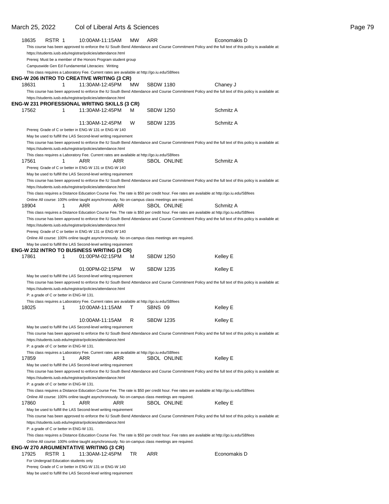### March 25, 2022 Col of Liberal Arts & Sciences **Page 79** Page 79

| 18635 | RSTR 1                                  |    | 10:00AM-11:15AM                                                                                                     | <b>MW</b> | ARR                                                                                                                                                                                                                                          | Economakis D                                                                                                                                         |
|-------|-----------------------------------------|----|---------------------------------------------------------------------------------------------------------------------|-----------|----------------------------------------------------------------------------------------------------------------------------------------------------------------------------------------------------------------------------------------------|------------------------------------------------------------------------------------------------------------------------------------------------------|
|       |                                         |    |                                                                                                                     |           |                                                                                                                                                                                                                                              | This course has been approved to enforce the IU South Bend Attendance and Course Commitment Policy and the full text of this policy is available at: |
|       |                                         |    | https://students.iusb.edu/registrar/policies/attendance.html                                                        |           |                                                                                                                                                                                                                                              |                                                                                                                                                      |
|       |                                         |    | Prereq: Must be a member of the Honors Program student group                                                        |           |                                                                                                                                                                                                                                              |                                                                                                                                                      |
|       |                                         |    | Campuswide Gen Ed Fundamental Literacies: Writing                                                                   |           |                                                                                                                                                                                                                                              |                                                                                                                                                      |
|       |                                         |    | This class requires a Laboratory Fee. Current rates are available at http://go.iu.edu/SBfees                        |           |                                                                                                                                                                                                                                              |                                                                                                                                                      |
|       |                                         |    | <b>ENG-W 206 INTRO TO CREATIVE WRITING (3 CR)</b>                                                                   |           |                                                                                                                                                                                                                                              |                                                                                                                                                      |
| 18631 |                                         | 1  | 11:30AM-12:45PM                                                                                                     | МW        | <b>SBDW 1180</b>                                                                                                                                                                                                                             | Chaney J                                                                                                                                             |
|       |                                         |    |                                                                                                                     |           |                                                                                                                                                                                                                                              | This course has been approved to enforce the IU South Bend Attendance and Course Commitment Policy and the full text of this policy is available at: |
|       |                                         |    | https://students.iusb.edu/registrar/policies/attendance.html<br><b>ENG-W 231 PROFESSIONAL WRITING SKILLS (3 CR)</b> |           |                                                                                                                                                                                                                                              |                                                                                                                                                      |
| 17562 |                                         | 1. | 11:30AM-12:45PM                                                                                                     | м         | SBDW 1250                                                                                                                                                                                                                                    | Schmitz A                                                                                                                                            |
|       |                                         |    |                                                                                                                     |           |                                                                                                                                                                                                                                              |                                                                                                                                                      |
|       |                                         |    | 11:30AM-12:45PM                                                                                                     | W         | <b>SBDW 1235</b>                                                                                                                                                                                                                             | Schmitz A                                                                                                                                            |
|       |                                         |    | Prereq: Grade of C or better in ENG-W 131 or ENG-W 140                                                              |           |                                                                                                                                                                                                                                              |                                                                                                                                                      |
|       |                                         |    | May be used to fulfill the LAS Second-level writing requirement                                                     |           |                                                                                                                                                                                                                                              |                                                                                                                                                      |
|       |                                         |    |                                                                                                                     |           |                                                                                                                                                                                                                                              | This course has been approved to enforce the IU South Bend Attendance and Course Commitment Policy and the full text of this policy is available at: |
|       |                                         |    | https://students.iusb.edu/registrar/policies/attendance.html                                                        |           |                                                                                                                                                                                                                                              |                                                                                                                                                      |
|       |                                         |    | This class requires a Laboratory Fee. Current rates are available at http://go.iu.edu/SBfees                        |           |                                                                                                                                                                                                                                              |                                                                                                                                                      |
| 17561 |                                         | 1  | ARR<br>ARR                                                                                                          |           | <b>SBOL ONLINE</b>                                                                                                                                                                                                                           | Schmitz A                                                                                                                                            |
|       |                                         |    | Prereg: Grade of C or better in ENG-W 131 or ENG-W 140                                                              |           |                                                                                                                                                                                                                                              |                                                                                                                                                      |
|       |                                         |    | May be used to fulfill the LAS Second-level writing requirement                                                     |           |                                                                                                                                                                                                                                              |                                                                                                                                                      |
|       |                                         |    |                                                                                                                     |           |                                                                                                                                                                                                                                              | This course has been approved to enforce the IU South Bend Attendance and Course Commitment Policy and the full text of this policy is available at: |
|       |                                         |    | https://students.iusb.edu/registrar/policies/attendance.html                                                        |           |                                                                                                                                                                                                                                              |                                                                                                                                                      |
|       |                                         |    |                                                                                                                     |           | This class requires a Distance Education Course Fee. The rate is \$50 per credit hour. Fee rates are available at http://go.iu.edu/SBfees<br>Online All course: 100% online taught asynchronously. No on-campus class meetings are required. |                                                                                                                                                      |
| 18904 |                                         | 1  | ARR<br>ARR                                                                                                          |           | <b>SBOL ONLINE</b>                                                                                                                                                                                                                           | Schmitz A                                                                                                                                            |
|       |                                         |    |                                                                                                                     |           | This class requires a Distance Education Course Fee. The rate is \$50 per credit hour. Fee rates are available at http://go.iu.edu/SBfees                                                                                                    |                                                                                                                                                      |
|       |                                         |    |                                                                                                                     |           |                                                                                                                                                                                                                                              | This course has been approved to enforce the IU South Bend Attendance and Course Commitment Policy and the full text of this policy is available at: |
|       |                                         |    | https://students.iusb.edu/registrar/policies/attendance.html                                                        |           |                                                                                                                                                                                                                                              |                                                                                                                                                      |
|       |                                         |    | Prereq: Grade of C or better in ENG-W 131 or ENG-W 140                                                              |           |                                                                                                                                                                                                                                              |                                                                                                                                                      |
|       |                                         |    |                                                                                                                     |           | Online All course: 100% online taught asynchronously. No on-campus class meetings are required.                                                                                                                                              |                                                                                                                                                      |
|       |                                         |    | May be used to fulfill the LAS Second-level writing requirement                                                     |           |                                                                                                                                                                                                                                              |                                                                                                                                                      |
|       |                                         |    | <b>ENG-W 232 INTRO TO BUSINESS WRITING (3 CR)</b>                                                                   |           |                                                                                                                                                                                                                                              |                                                                                                                                                      |
| 17861 |                                         | 1  | 01:00PM-02:15PM                                                                                                     | M         | <b>SBDW 1250</b>                                                                                                                                                                                                                             | Kelley E                                                                                                                                             |
|       |                                         |    |                                                                                                                     | w         |                                                                                                                                                                                                                                              |                                                                                                                                                      |
|       |                                         |    | 01:00PM-02:15PM                                                                                                     |           | SBDW 1235                                                                                                                                                                                                                                    | Kelley E                                                                                                                                             |
|       |                                         |    | May be used to fulfill the LAS Second-level writing requirement                                                     |           |                                                                                                                                                                                                                                              | This course has been approved to enforce the IU South Bend Attendance and Course Commitment Policy and the full text of this policy is available at: |
|       |                                         |    | https://students.iusb.edu/registrar/policies/attendance.html                                                        |           |                                                                                                                                                                                                                                              |                                                                                                                                                      |
|       | P: a grade of C or better in ENG-W 131. |    |                                                                                                                     |           |                                                                                                                                                                                                                                              |                                                                                                                                                      |
|       |                                         |    | This class requires a Laboratory Fee. Current rates are available at http://go.iu.edu/SBfees                        |           |                                                                                                                                                                                                                                              |                                                                                                                                                      |
| 18025 |                                         | 1  | 10:00AM-11:15AM                                                                                                     | т         | SBNS 09                                                                                                                                                                                                                                      | Kelley E                                                                                                                                             |
|       |                                         |    |                                                                                                                     |           |                                                                                                                                                                                                                                              |                                                                                                                                                      |
|       |                                         |    | 10:00AM-11:15AM                                                                                                     | R         | <b>SBDW 1235</b>                                                                                                                                                                                                                             | Kelley E                                                                                                                                             |
|       |                                         |    | May be used to fulfill the LAS Second-level writing requirement                                                     |           |                                                                                                                                                                                                                                              |                                                                                                                                                      |
|       |                                         |    |                                                                                                                     |           |                                                                                                                                                                                                                                              | This course has been approved to enforce the IU South Bend Attendance and Course Commitment Policy and the full text of this policy is available at: |
|       |                                         |    | https://students.iusb.edu/registrar/policies/attendance.html                                                        |           |                                                                                                                                                                                                                                              |                                                                                                                                                      |
|       | P: a grade of C or better in ENG-W 131. |    |                                                                                                                     |           |                                                                                                                                                                                                                                              |                                                                                                                                                      |
|       |                                         | 1  | This class requires a Laboratory Fee. Current rates are available at http://go.iu.edu/SBfees                        |           | <b>SBOL ONLINE</b>                                                                                                                                                                                                                           |                                                                                                                                                      |
| 17859 |                                         |    | ARR<br>ARR                                                                                                          |           |                                                                                                                                                                                                                                              | Kelley E                                                                                                                                             |
|       |                                         |    | May be used to fulfill the LAS Second-level writing requirement                                                     |           |                                                                                                                                                                                                                                              | This course has been approved to enforce the IU South Bend Attendance and Course Commitment Policy and the full text of this policy is available at: |
|       |                                         |    | https://students.iusb.edu/registrar/policies/attendance.html                                                        |           |                                                                                                                                                                                                                                              |                                                                                                                                                      |
|       | P: a grade of C or better in ENG-W 131. |    |                                                                                                                     |           |                                                                                                                                                                                                                                              |                                                                                                                                                      |
|       |                                         |    |                                                                                                                     |           | This class requires a Distance Education Course Fee. The rate is \$50 per credit hour. Fee rates are available at http://go.iu.edu/SBfees                                                                                                    |                                                                                                                                                      |
|       |                                         |    |                                                                                                                     |           | Online All course: 100% online taught asynchronously. No on-campus class meetings are required.                                                                                                                                              |                                                                                                                                                      |
| 17860 |                                         | 1  | ARR<br>ARR                                                                                                          |           | <b>SBOL ONLINE</b>                                                                                                                                                                                                                           | Kelley E                                                                                                                                             |
|       |                                         |    | May be used to fulfill the LAS Second-level writing requirement                                                     |           |                                                                                                                                                                                                                                              |                                                                                                                                                      |
|       |                                         |    |                                                                                                                     |           |                                                                                                                                                                                                                                              | This course has been approved to enforce the IU South Bend Attendance and Course Commitment Policy and the full text of this policy is available at: |
|       |                                         |    | https://students.iusb.edu/registrar/policies/attendance.html                                                        |           |                                                                                                                                                                                                                                              |                                                                                                                                                      |
|       | P: a grade of C or better in ENG-W 131. |    |                                                                                                                     |           |                                                                                                                                                                                                                                              |                                                                                                                                                      |
|       |                                         |    |                                                                                                                     |           | This class requires a Distance Education Course Fee. The rate is \$50 per credit hour. Fee rates are available at http://go.iu.edu/SBfees                                                                                                    |                                                                                                                                                      |
|       |                                         |    |                                                                                                                     |           | Online All course: 100% online taught asynchronously. No on-campus class meetings are required.                                                                                                                                              |                                                                                                                                                      |
|       |                                         |    | <b>ENG-W 270 ARGUMENTATIVE WRITING (3 CR)</b>                                                                       |           |                                                                                                                                                                                                                                              |                                                                                                                                                      |
| 17925 | RSTR 1                                  |    | 11:30AM-12:45PM                                                                                                     | TR        | ARR                                                                                                                                                                                                                                          | Economakis D                                                                                                                                         |
|       | For Undergrad Education students only   |    | Prereq: Grade of C or better in ENG-W 131 or ENG-W 140                                                              |           |                                                                                                                                                                                                                                              |                                                                                                                                                      |
|       |                                         |    | May be used to fulfill the LAS Second-level writing requirement                                                     |           |                                                                                                                                                                                                                                              |                                                                                                                                                      |
|       |                                         |    |                                                                                                                     |           |                                                                                                                                                                                                                                              |                                                                                                                                                      |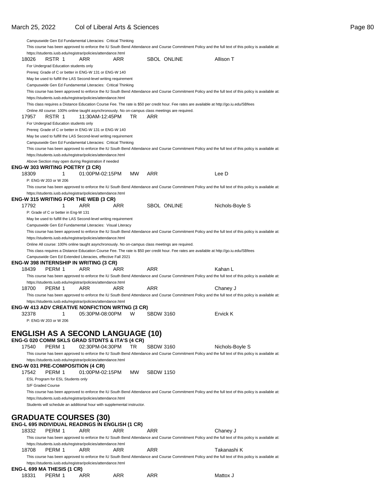Campuswide Gen Ed Fundamental Literacies: Critical Thinking

This course has been approved to enforce the IU South Bend Attendance and Course Commitment Policy and the full text of this policy is available at:

|       | https://students.iusb.edu/registrar/policies/attendance.html | ARR                                                                                             | ARR |     |                  | <b>SBOL ONLINE</b> | Allison T                                                                                                                                            |  |
|-------|--------------------------------------------------------------|-------------------------------------------------------------------------------------------------|-----|-----|------------------|--------------------|------------------------------------------------------------------------------------------------------------------------------------------------------|--|
| 18026 | RSTR 1                                                       |                                                                                                 |     |     |                  |                    |                                                                                                                                                      |  |
|       | For Undergrad Education students only                        | Prereq: Grade of C or better in ENG-W 131 or ENG-W 140                                          |     |     |                  |                    |                                                                                                                                                      |  |
|       |                                                              | May be used to fulfill the LAS Second-level writing requirement                                 |     |     |                  |                    |                                                                                                                                                      |  |
|       |                                                              | Campuswide Gen Ed Fundamental Literacies: Critical Thinking                                     |     |     |                  |                    |                                                                                                                                                      |  |
|       |                                                              |                                                                                                 |     |     |                  |                    | This course has been approved to enforce the IU South Bend Attendance and Course Commitment Policy and the full text of this policy is available at: |  |
|       |                                                              | https://students.iusb.edu/registrar/policies/attendance.html                                    |     |     |                  |                    |                                                                                                                                                      |  |
|       |                                                              |                                                                                                 |     |     |                  |                    | This class requires a Distance Education Course Fee. The rate is \$50 per credit hour. Fee rates are available at http://go.iu.edu/SBfees            |  |
|       |                                                              | Online All course: 100% online taught asynchronously. No on-campus class meetings are required. |     |     |                  |                    |                                                                                                                                                      |  |
| 17957 | RSTR 1                                                       | 11:30AM-12:45PM                                                                                 |     | TR  | ARR              |                    |                                                                                                                                                      |  |
|       | For Undergrad Education students only                        |                                                                                                 |     |     |                  |                    |                                                                                                                                                      |  |
|       |                                                              | Prereq: Grade of C or better in ENG-W 131 or ENG-W 140                                          |     |     |                  |                    |                                                                                                                                                      |  |
|       |                                                              | May be used to fulfill the LAS Second-level writing requirement                                 |     |     |                  |                    |                                                                                                                                                      |  |
|       |                                                              | Campuswide Gen Ed Fundamental Literacies: Critical Thinking                                     |     |     |                  |                    |                                                                                                                                                      |  |
|       |                                                              |                                                                                                 |     |     |                  |                    | This course has been approved to enforce the IU South Bend Attendance and Course Commitment Policy and the full text of this policy is available at: |  |
|       |                                                              | https://students.iusb.edu/registrar/policies/attendance.html                                    |     |     |                  |                    |                                                                                                                                                      |  |
|       | ENG-W 303 WRITING POETRY (3 CR)                              | Above Section may open during Registration if needed                                            |     |     |                  |                    |                                                                                                                                                      |  |
| 18309 | 1                                                            | 01:00PM-02:15PM                                                                                 |     | MW. | ARR              |                    | Lee D                                                                                                                                                |  |
|       | P: ENG-W 203 or W 206                                        |                                                                                                 |     |     |                  |                    |                                                                                                                                                      |  |
|       |                                                              |                                                                                                 |     |     |                  |                    | This course has been approved to enforce the IU South Bend Attendance and Course Commitment Policy and the full text of this policy is available at: |  |
|       |                                                              | https://students.iusb.edu/registrar/policies/attendance.html                                    |     |     |                  |                    |                                                                                                                                                      |  |
|       |                                                              | <b>ENG-W 315 WRITING FOR THE WEB (3 CR)</b>                                                     |     |     |                  |                    |                                                                                                                                                      |  |
| 17792 | 1                                                            | ARR                                                                                             | ARR |     |                  | <b>SBOL ONLINE</b> | Nichols-Boyle S                                                                                                                                      |  |
|       | P: Grade of C or better in Eng-W 131                         |                                                                                                 |     |     |                  |                    |                                                                                                                                                      |  |
|       |                                                              | May be used to fulfill the LAS Second-level writing requirement                                 |     |     |                  |                    |                                                                                                                                                      |  |
|       |                                                              | Campuswide Gen Ed Fundamental Literacies: Visual Literacy                                       |     |     |                  |                    |                                                                                                                                                      |  |
|       |                                                              |                                                                                                 |     |     |                  |                    | This course has been approved to enforce the IU South Bend Attendance and Course Commitment Policy and the full text of this policy is available at: |  |
|       |                                                              | https://students.iusb.edu/registrar/policies/attendance.html                                    |     |     |                  |                    |                                                                                                                                                      |  |
|       |                                                              | Online All course: 100% online taught asynchronously. No on-campus class meetings are required. |     |     |                  |                    |                                                                                                                                                      |  |
|       |                                                              | Campuswide Gen Ed Extended Literacies, effective Fall 2021                                      |     |     |                  |                    | This class requires a Distance Education Course Fee. The rate is \$50 per credit hour. Fee rates are available at http://go.iu.edu/SBfees            |  |
|       |                                                              | ENG-W 398 INTERNSHIP IN WRITING (3 CR)                                                          |     |     |                  |                    |                                                                                                                                                      |  |
|       |                                                              |                                                                                                 |     |     |                  |                    |                                                                                                                                                      |  |
| 18439 | PERM 1                                                       | ARR                                                                                             | ARR |     | <b>ARR</b>       |                    | Kahan L                                                                                                                                              |  |
|       |                                                              |                                                                                                 |     |     |                  |                    | This course has been approved to enforce the IU South Bend Attendance and Course Commitment Policy and the full text of this policy is available at: |  |
|       |                                                              | https://students.iusb.edu/registrar/policies/attendance.html                                    |     |     |                  |                    |                                                                                                                                                      |  |
| 18700 | PERM 1                                                       | ARR                                                                                             | ARR |     | <b>ARR</b>       |                    | Chaney J                                                                                                                                             |  |
|       |                                                              |                                                                                                 |     |     |                  |                    | This course has been approved to enforce the IU South Bend Attendance and Course Commitment Policy and the full text of this policy is available at: |  |
|       |                                                              | https://students.iusb.edu/registrar/policies/attendance.html                                    |     |     |                  |                    |                                                                                                                                                      |  |
|       |                                                              | <b>ENG-W 413 ADV CREATIVE NONFICTION WRTNG (3 CR)</b>                                           |     |     |                  |                    |                                                                                                                                                      |  |
| 32378 | 1                                                            | 05:30PM-08:00PM                                                                                 |     | W   | <b>SBDW 3160</b> |                    | Ervick K                                                                                                                                             |  |
|       | P: ENG-W 203 or W 206                                        |                                                                                                 |     |     |                  |                    |                                                                                                                                                      |  |
|       |                                                              |                                                                                                 |     |     |                  |                    |                                                                                                                                                      |  |
|       |                                                              | <b>ENGLISH AS A SECOND LANGUAGE (10)</b>                                                        |     |     |                  |                    |                                                                                                                                                      |  |
|       |                                                              | <b>ENG-G 020 COMM SKLS GRAD STDNTS &amp; ITA'S (4 CR)</b>                                       |     |     |                  |                    |                                                                                                                                                      |  |
| 17540 | PERM 1                                                       | 02:30PM-04:30PM                                                                                 |     | TR  | <b>SBDW 3160</b> |                    | Nichols-Boyle S                                                                                                                                      |  |
|       |                                                              |                                                                                                 |     |     |                  |                    | This course has been approved to enforce the IU South Bend Attendance and Course Commitment Policy and the full text of this policy is available at: |  |
|       |                                                              | https://students.iusb.edu/registrar/policies/attendance.html                                    |     |     |                  |                    |                                                                                                                                                      |  |
|       |                                                              | ENG-W 031 PRE-COMPOSITION (4 CR)                                                                |     |     |                  |                    |                                                                                                                                                      |  |
| 17542 | PERM 1                                                       | 01:00PM-02:15PM                                                                                 |     | MW. | <b>SBDW 1150</b> |                    |                                                                                                                                                      |  |
|       | ESL Program for ESL Students only                            |                                                                                                 |     |     |                  |                    |                                                                                                                                                      |  |
|       | S/F Graded Course                                            |                                                                                                 |     |     |                  |                    |                                                                                                                                                      |  |
|       |                                                              | https://students.iusb.edu/registrar/policies/attendance.html                                    |     |     |                  |                    | This course has been approved to enforce the IU South Bend Attendance and Course Commitment Policy and the full text of this policy is available at: |  |
|       |                                                              | Students will schedule an additional hour with supplemental instructor.                         |     |     |                  |                    |                                                                                                                                                      |  |
|       |                                                              |                                                                                                 |     |     |                  |                    |                                                                                                                                                      |  |
|       |                                                              |                                                                                                 |     |     |                  |                    |                                                                                                                                                      |  |
|       |                                                              | <b>GRADUATE COURSES (30)</b><br>ENG-L 695 INDIVIDUAL READINGS IN ENGLISH (1 CR)                 |     |     |                  |                    |                                                                                                                                                      |  |
| 18332 | PERM 1                                                       | ARR                                                                                             | ARR |     | ARR              |                    | Chaney J                                                                                                                                             |  |
|       |                                                              |                                                                                                 |     |     |                  |                    | This course has been approved to enforce the IU South Bend Attendance and Course Commitment Policy and the full text of this policy is available at: |  |
|       |                                                              | https://students.iusb.edu/registrar/policies/attendance.html                                    |     |     |                  |                    |                                                                                                                                                      |  |
| 18708 | PERM 1                                                       | ARR                                                                                             | ARR |     | ARR              |                    | Takanashi K                                                                                                                                          |  |
|       |                                                              |                                                                                                 |     |     |                  |                    | This course has been approved to enforce the IU South Bend Attendance and Course Commitment Policy and the full text of this policy is available at: |  |
|       |                                                              | https://students.iusb.edu/registrar/policies/attendance.html                                    |     |     |                  |                    |                                                                                                                                                      |  |
| 18331 | ENG-L 699 MA THESIS (1 CR)<br>PERM 1                         | ARR                                                                                             | ARR |     | ARR              |                    | Mattox J                                                                                                                                             |  |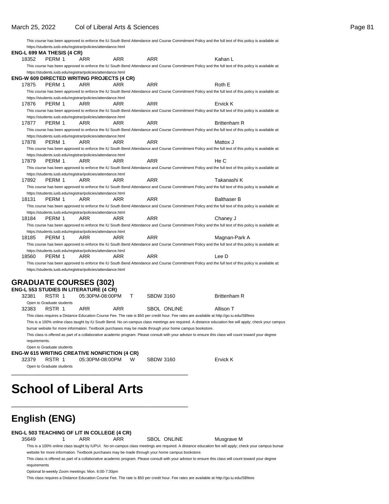|       |                                                              |     |                                            |     | This course has been approved to enforce the IU South Bend Attendance and Course Commitment Policy and the full text of this policy is available at: |  |
|-------|--------------------------------------------------------------|-----|--------------------------------------------|-----|------------------------------------------------------------------------------------------------------------------------------------------------------|--|
|       | https://students.iusb.edu/registrar/policies/attendance.html |     |                                            |     |                                                                                                                                                      |  |
|       | <b>ENG-L 699 MA THESIS (4 CR)</b>                            |     |                                            |     |                                                                                                                                                      |  |
| 18352 | PFRM 1                                                       | ARR | ARR                                        | ARR | Kahan L                                                                                                                                              |  |
|       |                                                              |     |                                            |     | This course has been approved to enforce the IU South Bend Attendance and Course Commitment Policy and the full text of this policy is available at: |  |
|       | https://students.iusb.edu/registrar/policies/attendance.html |     |                                            |     |                                                                                                                                                      |  |
|       |                                                              |     | ENG-W 609 DIRECTED WRITING PROJECTS (4 CR) |     |                                                                                                                                                      |  |
| 17875 | PFRM 1                                                       | ARR | ARR                                        | ARR | Roth E                                                                                                                                               |  |

This course has been approved to enforce the IU South Bend Attendance and Course Commitment Policy and the full text of this policy is available at: https://students.iusb.edu/registrar/policies/attendance.html

17876 PERM 1 ARR ARR ARR Ervick K This course has been approved to enforce the IU South Bend Attendance and Course Commitment Policy and the full text of this policy is available at: https://students.iusb.edu/registrar/policies/attendance.html

17877 PERM 1 ARR ARR ARR Brittenham R This course has been approved to enforce the IU South Bend Attendance and Course Commitment Policy and the full text of this policy is available at: https://students.iusb.edu/registrar/policies/attendance.html 17878 PERM 1 ARR ARR ARR Mattox J This course has been approved to enforce the IU South Bend Attendance and Course Commitment Policy and the full text of this policy is available at: https://students.iusb.edu/registrar/policies/attendance.html

17879 PERM 1 ARR ARR ARR He C This course has been approved to enforce the IU South Bend Attendance and Course Commitment Policy and the full text of this policy is available at:

https://students.iusb.edu/registrar/policies/attendance.html 17892 PERM 1 ARR ARR ARR Takanashi K This course has been approved to enforce the IU South Bend Attendance and Course Commitment Policy and the full text of this policy is available at:

https://students.iusb.edu/registrar/policies/attendance.html 18131 PERM 1 ARR ARR ARR Balthaser B This course has been approved to enforce the IU South Bend Attendance and Course Commitment Policy and the full text of this policy is available at:

https://students.iusb.edu/registrar/policies/attendance.html 18184 PERM 1 ARR ARR ARR Chaney J This course has been approved to enforce the IU South Bend Attendance and Course Commitment Policy and the full text of this policy is available at:

https://students.iusb.edu/registrar/policies/attendance.html 18185 PERM 1 ARR ARR ARR ARR Magnan-Park A This course has been approved to enforce the IU South Bend Attendance and Course Commitment Policy and the full text of this policy is available at:

https://students.iusb.edu/registrar/policies/attendance.html 18560 PERM 1 ARR ARR ARR Lee D

This course has been approved to enforce the IU South Bend Attendance and Course Commitment Policy and the full text of this policy is available at: https://students.iusb.edu/registrar/policies/attendance.html

### **GRADUATE COURSES (302)**

|               |                           | <b>ENG-L 553 STUDIES IN LITERATURE (4 CR)</b>                                                           |     |                  |             |                                                                                                                                                        |
|---------------|---------------------------|---------------------------------------------------------------------------------------------------------|-----|------------------|-------------|--------------------------------------------------------------------------------------------------------------------------------------------------------|
| 32381         | RSTR 1                    | 05:30PM-08:00PM                                                                                         |     | <b>SBDW 3160</b> |             | <b>Brittenham R</b>                                                                                                                                    |
|               | Open to Graduate students |                                                                                                         |     |                  |             |                                                                                                                                                        |
| 32383         | RSTR 1                    | ARR                                                                                                     | ARR |                  | SBOL ONLINE | Allison T                                                                                                                                              |
|               |                           |                                                                                                         |     |                  |             | This class requires a Distance Education Course Fee. The rate is \$50 per credit hour. Fee rates are available at http://qo.iu.edu/SBfees              |
|               |                           |                                                                                                         |     |                  |             | This is a 100% online class taught by IU South Bend. No on-campus class meetings are required. A distance education fee will apply; check your campus  |
|               |                           | bursar website for more information. Textbook purchases may be made through your home campus bookstore. |     |                  |             |                                                                                                                                                        |
|               |                           |                                                                                                         |     |                  |             | This class is offered as part of a collaborative academic program. Please consult with your advisor to ensure this class will count toward your degree |
| requirements. |                           |                                                                                                         |     |                  |             |                                                                                                                                                        |
|               | Open to Graduate students |                                                                                                         |     |                  |             |                                                                                                                                                        |

# **ENG-W 615 WRITING CREATIVE NONFICTION (4 CR)**

32379 RSTR 1 05:30PM-08:00PM W SBDW 3160 Ervick K

Open to Graduate students \_\_\_\_\_\_\_\_\_\_\_\_\_\_\_\_\_\_\_\_\_\_\_\_\_\_\_\_\_\_\_\_\_\_\_\_\_\_\_\_\_\_\_\_\_\_\_\_\_\_

# **School of Liberal Arts**

\_\_\_\_\_\_\_\_\_\_\_\_\_\_\_\_\_\_\_\_\_\_\_\_\_\_\_\_\_\_\_\_\_\_\_\_\_\_\_\_\_\_\_\_\_\_\_\_\_\_

## **English (ENG)**

#### **ENG-L 503 TEACHING OF LIT IN COLLEGE (4 CR)** 35649 1 ARR ARR SBOL ONLINE Musgrave M

This is a 100% online class taught by IUPUI. No on-campus class meetings are required. A distance education fee will apply; check your campus bursar website for more information. Textbook purchases may be made through your home campus bookstore.

This class is offered as part of a collaborative academic program. Please consult with your advisor to ensure this class will count toward your degree

requirements

Optional bi-weekly Zoom meetings: Mon. 6:00-7:30pm

This class requires a Distance Education Course Fee. The rate is \$50 per credit hour. Fee rates are available at http://go.iu.edu/SBfees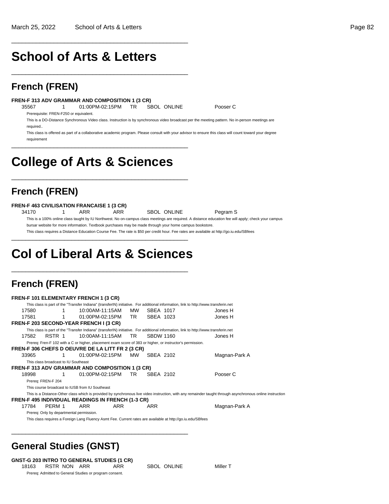# **School of Arts & Letters**

\_\_\_\_\_\_\_\_\_\_\_\_\_\_\_\_\_\_\_\_\_\_\_\_\_\_\_\_\_\_\_\_\_\_\_\_\_\_\_\_\_\_\_\_\_\_\_\_\_\_

\_\_\_\_\_\_\_\_\_\_\_\_\_\_\_\_\_\_\_\_\_\_\_\_\_\_\_\_\_\_\_\_\_\_\_\_\_\_\_\_\_\_\_\_\_\_\_\_\_\_

### **French (FREN)**

#### **FREN-F 313 ADV GRAMMAR AND COMPOSITION 1 (3 CR)**

35567 1 01:00PM-02:15PM TR SBOL ONLINE Pooser C

Prerequisite: FREN-F250 or equivalent.

This is a DO-Distance Synchronous Video class. Instruction is by synchronous video broadcast per the meeting pattern. No in-person meetings are required..

This class is offered as part of a collaborative academic program. Please consult with your advisor to ensure this class will count toward your degree requirement

# **College of Arts & Sciences**

\_\_\_\_\_\_\_\_\_\_\_\_\_\_\_\_\_\_\_\_\_\_\_\_\_\_\_\_\_\_\_\_\_\_\_\_\_\_\_\_\_\_\_\_\_\_\_\_\_\_

\_\_\_\_\_\_\_\_\_\_\_\_\_\_\_\_\_\_\_\_\_\_\_\_\_\_\_\_\_\_\_\_\_\_\_\_\_\_\_\_\_\_\_\_\_\_\_\_\_\_

## **French (FREN)**

#### **FREN-F 463 CIVILISATION FRANCAISE 1 (3 CR)**

34170 1 ARR ARR SBOL ONLINE Pegram S This is a 100% online class taught by IU Northwest. No on-campus class meetings are required. A distance education fee will apply; check your campus bursar website for more information. Textbook purchases may be made through your home campus bookstore.

This class requires a Distance Education Course Fee. The rate is \$50 per credit hour. Fee rates are available at http://go.iu.edu/SBfees \_\_\_\_\_\_\_\_\_\_\_\_\_\_\_\_\_\_\_\_\_\_\_\_\_\_\_\_\_\_\_\_\_\_\_\_\_\_\_\_\_\_\_\_\_\_\_\_\_\_

# **Col of Liberal Arts & Sciences**

\_\_\_\_\_\_\_\_\_\_\_\_\_\_\_\_\_\_\_\_\_\_\_\_\_\_\_\_\_\_\_\_\_\_\_\_\_\_\_\_\_\_\_\_\_\_\_\_\_\_

\_\_\_\_\_\_\_\_\_\_\_\_\_\_\_\_\_\_\_\_\_\_\_\_\_\_\_\_\_\_\_\_\_\_\_\_\_\_\_\_\_\_\_\_\_\_\_\_\_\_

## **French (FREN)**

|       |                                                                                                                                     |   | <b>FREN-F 101 ELEMENTARY FRENCH 1 (3 CR)</b>                                                                |            |     |                  |  |                                                                                                                                     |                                                                                                                                                           |  |  |
|-------|-------------------------------------------------------------------------------------------------------------------------------------|---|-------------------------------------------------------------------------------------------------------------|------------|-----|------------------|--|-------------------------------------------------------------------------------------------------------------------------------------|-----------------------------------------------------------------------------------------------------------------------------------------------------------|--|--|
|       |                                                                                                                                     |   |                                                                                                             |            |     |                  |  | This class is part of the "Transfer Indiana" (transferIN) initiative. For additional information, link to http://www.transferin.net |                                                                                                                                                           |  |  |
| 17580 |                                                                                                                                     | 1 | 10:00AM-11:15AM                                                                                             |            | MW  | SBEA 1017        |  |                                                                                                                                     | Jones H                                                                                                                                                   |  |  |
| 17581 |                                                                                                                                     | 1 | 01:00PM-02:15PM                                                                                             |            | TR. | SBEA 1023        |  |                                                                                                                                     | Jones H                                                                                                                                                   |  |  |
|       |                                                                                                                                     |   | FREN-F 203 SECOND-YEAR FRENCH I (3 CR)                                                                      |            |     |                  |  |                                                                                                                                     |                                                                                                                                                           |  |  |
|       | This class is part of the "Transfer Indiana" (transferIN) initiative. For additional information, link to http://www.transferin.net |   |                                                                                                             |            |     |                  |  |                                                                                                                                     |                                                                                                                                                           |  |  |
| 17582 | RSTR 1                                                                                                                              |   | 10:00AM-11:15AM                                                                                             |            | TR. | <b>SBDW 1160</b> |  |                                                                                                                                     | Jones H                                                                                                                                                   |  |  |
|       |                                                                                                                                     |   | Prereq: Fren-F 102 with a C or higher, placement exam score of 383 or higher, or instructor's permission.   |            |     |                  |  |                                                                                                                                     |                                                                                                                                                           |  |  |
|       |                                                                                                                                     |   | FREN-F 306 CHEFS D OEUVRE DE LA LITT FR 2 (3 CR)                                                            |            |     |                  |  |                                                                                                                                     |                                                                                                                                                           |  |  |
| 33965 |                                                                                                                                     |   | 01:00PM-02:15PM                                                                                             |            | MW  | SBEA 2102        |  |                                                                                                                                     | Magnan-Park A                                                                                                                                             |  |  |
|       | This class broadcast to IU Southeast                                                                                                |   |                                                                                                             |            |     |                  |  |                                                                                                                                     |                                                                                                                                                           |  |  |
|       |                                                                                                                                     |   | <b>FREN-F 313 ADV GRAMMAR AND COMPOSITION 1 (3 CR)</b>                                                      |            |     |                  |  |                                                                                                                                     |                                                                                                                                                           |  |  |
| 18998 |                                                                                                                                     | 1 | 01:00PM-02:15PM                                                                                             |            | TR. | SBEA 2102        |  |                                                                                                                                     | Pooser C                                                                                                                                                  |  |  |
|       | Prereq: FREN-F 204                                                                                                                  |   |                                                                                                             |            |     |                  |  |                                                                                                                                     |                                                                                                                                                           |  |  |
|       |                                                                                                                                     |   | This course broadcast to IUSB from IU Southeast                                                             |            |     |                  |  |                                                                                                                                     |                                                                                                                                                           |  |  |
|       |                                                                                                                                     |   |                                                                                                             |            |     |                  |  |                                                                                                                                     | This is a Distance-Other class which is provided by synchronous live video instruction, with any remainder taught through asynchronous online instruction |  |  |
|       |                                                                                                                                     |   | <b>FREN-F 495 INDIVIDUAL READINGS IN FRENCH (1-3 CR)</b>                                                    |            |     |                  |  |                                                                                                                                     |                                                                                                                                                           |  |  |
| 17784 | PERM 1                                                                                                                              |   | ARR                                                                                                         | <b>ARR</b> |     | <b>ARR</b>       |  |                                                                                                                                     | Magnan-Park A                                                                                                                                             |  |  |
|       |                                                                                                                                     |   | Prereq: Only by departmental permission.                                                                    |            |     |                  |  |                                                                                                                                     |                                                                                                                                                           |  |  |
|       |                                                                                                                                     |   | This class requires a Foreign Lang Fluency Asmt Fee. Current rates are available at http://go.iu.edu/SBfees |            |     |                  |  |                                                                                                                                     |                                                                                                                                                           |  |  |

## **General Studies (GNST)**

#### **GNST-G 203 INTRO TO GENERAL STUDIES (1 CR)**

18163 RSTR NON ARR ARR SBOL ONLINE Miller T Prereq: Admitted to General Studies or program consent.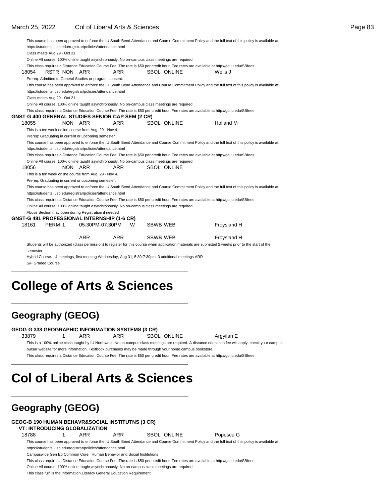|           |                             |              |                                                         |                                                                                                 |                 |                    | This course has been approved to enforce the IU South Bend Attendance and Course Commitment Policy and the full text of this policy is available at:  |
|-----------|-----------------------------|--------------|---------------------------------------------------------|-------------------------------------------------------------------------------------------------|-----------------|--------------------|-------------------------------------------------------------------------------------------------------------------------------------------------------|
|           |                             |              |                                                         | https://students.iusb.edu/registrar/policies/attendance.html                                    |                 |                    |                                                                                                                                                       |
|           | Class meets Aug 29 - Oct 21 |              |                                                         |                                                                                                 |                 |                    |                                                                                                                                                       |
|           |                             |              |                                                         | Online All course: 100% online taught asynchronously. No on-campus class meetings are required. |                 |                    |                                                                                                                                                       |
|           |                             |              |                                                         |                                                                                                 |                 |                    | This class requires a Distance Education Course Fee. The rate is \$50 per credit hour. Fee rates are available at http://qo.iu.edu/SBfees             |
| 18054     |                             | RSTR NON ARR |                                                         | <b>ARR</b>                                                                                      |                 | <b>SBOL ONLINE</b> | Wells J                                                                                                                                               |
|           |                             |              | Prereq: Admitted to General Studies or program consent. |                                                                                                 |                 |                    |                                                                                                                                                       |
|           |                             |              |                                                         |                                                                                                 |                 |                    | This course has been approved to enforce the IU South Bend Attendance and Course Commitment Policy and the full text of this policy is available at:  |
|           |                             |              |                                                         | https://students.iusb.edu/registrar/policies/attendance.html                                    |                 |                    |                                                                                                                                                       |
|           | Class meets Aug 29 - Oct 21 |              |                                                         |                                                                                                 |                 |                    |                                                                                                                                                       |
|           |                             |              |                                                         | Online All course: 100% online taught asynchronously. No on-campus class meetings are required. |                 |                    |                                                                                                                                                       |
|           |                             |              |                                                         |                                                                                                 |                 |                    | This class requires a Distance Education Course Fee. The rate is \$50 per credit hour. Fee rates are available at http://go.iu.edu/SBfees             |
|           |                             |              |                                                         | GNST-G 400 GENERAL STUDIES SENIOR CAP SEM (2 CR)                                                |                 |                    |                                                                                                                                                       |
| 18055     |                             | NON ARR      |                                                         | <b>ARR</b>                                                                                      |                 | <b>SBOL ONLINE</b> | Holland M                                                                                                                                             |
|           |                             |              | This is a ten week online course from Aug. 29 - Nov 4.  |                                                                                                 |                 |                    |                                                                                                                                                       |
|           |                             |              | Prereq: Graduating in current or upcoming semester      |                                                                                                 |                 |                    |                                                                                                                                                       |
|           |                             |              |                                                         |                                                                                                 |                 |                    | This course has been approved to enforce the IU South Bend Attendance and Course Commitment Policy and the full text of this policy is available at:  |
|           |                             |              |                                                         | https://students.iusb.edu/registrar/policies/attendance.html                                    |                 |                    |                                                                                                                                                       |
|           |                             |              |                                                         |                                                                                                 |                 |                    | This class requires a Distance Education Course Fee. The rate is \$50 per credit hour. Fee rates are available at http://go.iu.edu/SBfees             |
|           |                             |              |                                                         | Online All course: 100% online taught asynchronously. No on-campus class meetings are required. |                 |                    |                                                                                                                                                       |
| 18056     |                             | NON ARR      |                                                         | <b>ARR</b>                                                                                      |                 | <b>SBOL ONLINE</b> |                                                                                                                                                       |
|           |                             |              | This is a ten week online course from Aug. 29 - Nov 4.  |                                                                                                 |                 |                    |                                                                                                                                                       |
|           |                             |              | Prereq: Graduating in current or upcoming semester.     |                                                                                                 |                 |                    |                                                                                                                                                       |
|           |                             |              |                                                         |                                                                                                 |                 |                    | This course has been approved to enforce the IU South Bend Attendance and Course Commitment Policy and the full text of this policy is available at:  |
|           |                             |              |                                                         | https://students.iusb.edu/registrar/policies/attendance.html                                    |                 |                    |                                                                                                                                                       |
|           |                             |              |                                                         |                                                                                                 |                 |                    | This class requires a Distance Education Course Fee. The rate is \$50 per credit hour. Fee rates are available at http://go.iu.edu/SBfees             |
|           |                             |              |                                                         | Online All course: 100% online taught asynchronously. No on-campus class meetings are required. |                 |                    |                                                                                                                                                       |
|           |                             |              | Above Section may open during Registration if needed    |                                                                                                 |                 |                    |                                                                                                                                                       |
|           |                             |              |                                                         | <b>GNST-G 481 PROFESSIONAL INTERNSHIP (1-6 CR)</b>                                              |                 |                    |                                                                                                                                                       |
| 18161     | PERM 1                      |              | 05:30PM-07:30PM                                         | W                                                                                               | <b>SBWB WEB</b> |                    | Froysland H                                                                                                                                           |
|           |                             |              |                                                         |                                                                                                 |                 |                    |                                                                                                                                                       |
|           |                             |              | <b>ARR</b>                                              | <b>ARR</b>                                                                                      | <b>SBWB WEB</b> |                    | Froysland H                                                                                                                                           |
|           |                             |              |                                                         |                                                                                                 |                 |                    | Students will be authorized (class permission) to register for this course when application materials are submitted 2 weeks prior to the start of the |
| semester. |                             |              |                                                         |                                                                                                 |                 |                    |                                                                                                                                                       |

Hybrid Course. 4 meetings, first meeting Wednesday, Aug 31, 5:30-7:30pm; 3 additional meetings ARR S/F Graded Course

# **College of Arts & Sciences**

\_\_\_\_\_\_\_\_\_\_\_\_\_\_\_\_\_\_\_\_\_\_\_\_\_\_\_\_\_\_\_\_\_\_\_\_\_\_\_\_\_\_\_\_\_\_\_\_\_\_

\_\_\_\_\_\_\_\_\_\_\_\_\_\_\_\_\_\_\_\_\_\_\_\_\_\_\_\_\_\_\_\_\_\_\_\_\_\_\_\_\_\_\_\_\_\_\_\_\_\_

## **Geography (GEOG)**

#### **GEOG-G 338 GEOGRAPHIC INFORMATION SYSTEMS (3 CR)**

33879 1 ARR ARR SBOL ONLINE Argyilan E This is a 100% online class taught by IU Northwest. No on-campus class meetings are required. A distance education fee will apply; check your campus bursar website for more information. Textbook purchases may be made through your home campus bookstore.

This class requires a Distance Education Course Fee. The rate is \$50 per credit hour. Fee rates are available at http://go.iu.edu/SBfees \_\_\_\_\_\_\_\_\_\_\_\_\_\_\_\_\_\_\_\_\_\_\_\_\_\_\_\_\_\_\_\_\_\_\_\_\_\_\_\_\_\_\_\_\_\_\_\_\_\_

# **Col of Liberal Arts & Sciences**

\_\_\_\_\_\_\_\_\_\_\_\_\_\_\_\_\_\_\_\_\_\_\_\_\_\_\_\_\_\_\_\_\_\_\_\_\_\_\_\_\_\_\_\_\_\_\_\_\_\_

## **Geography (GEOG)**

#### **GEOG-B 190 HUMAN BEHAVR&SOCIAL INSTITUTNS (3 CR)**

#### **VT: INTRODUCING GLOBALIZATION**

18788 1 ARR ARR SBOL ONLINE Popescu G

This course has been approved to enforce the IU South Bend Attendance and Course Commitment Policy and the full text of this policy is available at: https://students.iusb.edu/registrar/policies/attendance.html

Campuswide Gen Ed Common Core: Human Behavior and Social Institutions

This class requires a Distance Education Course Fee. The rate is \$50 per credit hour. Fee rates are available at http://go.iu.edu/SBfees

Online All course: 100% online taught asynchronously. No on-campus class meetings are required.

This class fulfills the Information Literacy General Education Requirement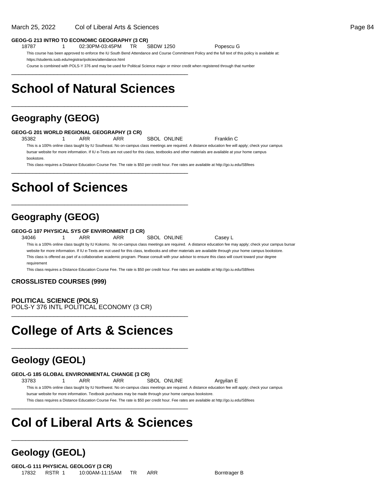#### **GEOG-G 213 INTRO TO ECONOMIC GEOGRAPHY (3 CR)**

18787 1 02:30PM-03:45PM TR SBDW 1250 Popescu G

\_\_\_\_\_\_\_\_\_\_\_\_\_\_\_\_\_\_\_\_\_\_\_\_\_\_\_\_\_\_\_\_\_\_\_\_\_\_\_\_\_\_\_\_\_\_\_\_\_\_

\_\_\_\_\_\_\_\_\_\_\_\_\_\_\_\_\_\_\_\_\_\_\_\_\_\_\_\_\_\_\_\_\_\_\_\_\_\_\_\_\_\_\_\_\_\_\_\_\_\_

This course has been approved to enforce the IU South Bend Attendance and Course Commitment Policy and the full text of this policy is available at: https://students.iusb.edu/registrar/policies/attendance.html

Course is combined with POLS-Y 376 and may be used for Political Science major or minor credit when registered through that number

# **School of Natural Sciences**

## **Geography (GEOG)**

#### **GEOG-G 201 WORLD REGIONAL GEOGRAPHY (3 CR)**

35382 1 ARR ARR SBOL ONLINE Franklin C

\_\_\_\_\_\_\_\_\_\_\_\_\_\_\_\_\_\_\_\_\_\_\_\_\_\_\_\_\_\_\_\_\_\_\_\_\_\_\_\_\_\_\_\_\_\_\_\_\_\_

\_\_\_\_\_\_\_\_\_\_\_\_\_\_\_\_\_\_\_\_\_\_\_\_\_\_\_\_\_\_\_\_\_\_\_\_\_\_\_\_\_\_\_\_\_\_\_\_\_\_

This is a 100% online class taught by IU Southeast. No on-campus class meetings are required. A distance education fee will apply; check your campus bursar website for more information. If IU e-Texts are not used for this class, textbooks and other materials are available at your home campus

bookstore.

This class requires a Distance Education Course Fee. The rate is \$50 per credit hour. Fee rates are available at http://go.iu.edu/SBfees

# **School of Sciences**

### **Geography (GEOG)**

#### **GEOG-G 107 PHYSICAL SYS OF ENVIRONMENT (3 CR)**

34046 1 ARR ARR SBOL ONLINE Casey L

This is a 100% online class taught by IU Kokomo. No on-campus class meetings are required. A distance education fee may apply; check your campus bursar website for more information. If IU e-Texts are not used for this class, textbooks and other materials are available through your home campus bookstore. This class is offered as part of a collaborative academic program. Please consult with your advisor to ensure this class will count toward your degree

requirement

This class requires a Distance Education Course Fee. The rate is \$50 per credit hour. Fee rates are available at http://go.iu.edu/SBfees

#### **CROSSLISTED COURSES (999)**

**POLITICAL SCIENCE (POLS)** POLS-Y 376 INTL POLITICAL ECONOMY (3 CR) \_\_\_\_\_\_\_\_\_\_\_\_\_\_\_\_\_\_\_\_\_\_\_\_\_\_\_\_\_\_\_\_\_\_\_\_\_\_\_\_\_\_\_\_\_\_\_\_\_\_

# **College of Arts & Sciences**

\_\_\_\_\_\_\_\_\_\_\_\_\_\_\_\_\_\_\_\_\_\_\_\_\_\_\_\_\_\_\_\_\_\_\_\_\_\_\_\_\_\_\_\_\_\_\_\_\_\_

### **Geology (GEOL)**

**GEOL-G 185 GLOBAL ENVIRONMENTAL CHANGE (3 CR)**

33783 1 ARR ARR SBOL ONLINE Argyilan E

This is a 100% online class taught by IU Northwest. No on-campus class meetings are required. A distance education fee will apply; check your campus bursar website for more information. Textbook purchases may be made through your home campus bookstore.

This class requires a Distance Education Course Fee. The rate is \$50 per credit hour. Fee rates are available at http://go.iu.edu/SBfees \_\_\_\_\_\_\_\_\_\_\_\_\_\_\_\_\_\_\_\_\_\_\_\_\_\_\_\_\_\_\_\_\_\_\_\_\_\_\_\_\_\_\_\_\_\_\_\_\_\_

# **Col of Liberal Arts & Sciences**

\_\_\_\_\_\_\_\_\_\_\_\_\_\_\_\_\_\_\_\_\_\_\_\_\_\_\_\_\_\_\_\_\_\_\_\_\_\_\_\_\_\_\_\_\_\_\_\_\_\_

## **Geology (GEOL)**

**GEOL-G 111 PHYSICAL GEOLOGY (3 CR)** 17832 RSTR 1 10:00AM-11:15AM TR ARR Borntrager B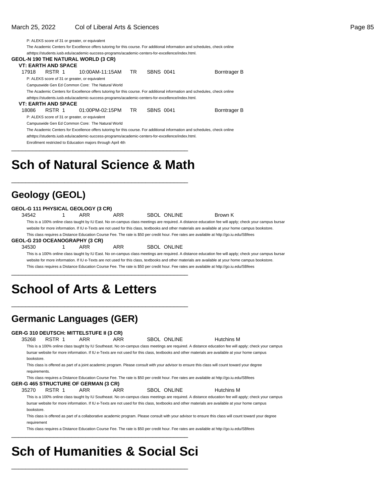| P: ALEKS score of 31 or greater, or equivalent |        |  |                                                                                                   |     |           |  |                                                                                                                             |  |  |  |  |
|------------------------------------------------|--------|--|---------------------------------------------------------------------------------------------------|-----|-----------|--|-----------------------------------------------------------------------------------------------------------------------------|--|--|--|--|
|                                                |        |  |                                                                                                   |     |           |  | The Academic Centers for Excellence offers tutoring for this course. For additional information and schedules, check online |  |  |  |  |
|                                                |        |  | athttps://students.iusb.edu/academic-success-programs/academic-centers-for-excellence/index.html. |     |           |  |                                                                                                                             |  |  |  |  |
|                                                |        |  | GEOL-N 190 THE NATURAL WORLD (3 CR)                                                               |     |           |  |                                                                                                                             |  |  |  |  |
| VT: EARTH AND SPACE                            |        |  |                                                                                                   |     |           |  |                                                                                                                             |  |  |  |  |
| 17918                                          | RSTR 1 |  | 10:00AM-11:15AM                                                                                   | TR. | SBNS 0041 |  | Borntrager B                                                                                                                |  |  |  |  |
|                                                |        |  | P: ALEKS score of 31 or greater, or equivalent                                                    |     |           |  |                                                                                                                             |  |  |  |  |
|                                                |        |  | Campuswide Gen Ed Common Core: The Natural World                                                  |     |           |  |                                                                                                                             |  |  |  |  |
|                                                |        |  |                                                                                                   |     |           |  | The Academic Centers for Excellence offers tutoring for this course. For additional information and schedules, check online |  |  |  |  |
|                                                |        |  | athttps://students.iusb.edu/academic-success-programs/academic-centers-for-excellence/index.html. |     |           |  |                                                                                                                             |  |  |  |  |
| <b>VT: EARTH AND SPACE</b>                     |        |  |                                                                                                   |     |           |  |                                                                                                                             |  |  |  |  |
| 18086                                          | RSTR 1 |  | 01:00PM-02:15PM TR                                                                                |     | SBNS 0041 |  | Borntrager B                                                                                                                |  |  |  |  |
|                                                |        |  | P: ALEKS score of 31 or greater, or equivalent                                                    |     |           |  |                                                                                                                             |  |  |  |  |
|                                                |        |  | Campuswide Gen Ed Common Core: The Natural World                                                  |     |           |  |                                                                                                                             |  |  |  |  |
|                                                |        |  |                                                                                                   |     |           |  | The Academic Centers for Excellence offers tutoring for this course. For additional information and schedules, check online |  |  |  |  |
|                                                |        |  | athttps://students.iusb.edu/academic-success-programs/academic-centers-for-excellence/index.html. |     |           |  |                                                                                                                             |  |  |  |  |
|                                                |        |  | Enrollment restricted to Education majors through April 4th                                       |     |           |  |                                                                                                                             |  |  |  |  |
|                                                |        |  |                                                                                                   |     |           |  |                                                                                                                             |  |  |  |  |
|                                                |        |  |                                                                                                   |     |           |  |                                                                                                                             |  |  |  |  |

# **Sch of Natural Science & Math**

\_\_\_\_\_\_\_\_\_\_\_\_\_\_\_\_\_\_\_\_\_\_\_\_\_\_\_\_\_\_\_\_\_\_\_\_\_\_\_\_\_\_\_\_\_\_\_\_\_\_

## **Geology (GEOL)**

| This is a 100% online class taught by IU East. No on-campus class meetings are required. A distance education fee will apply; check your campus bursar |  |  |  |  |  |  |  |  |  |  |
|--------------------------------------------------------------------------------------------------------------------------------------------------------|--|--|--|--|--|--|--|--|--|--|
| website for more information. If IU e-Texts are not used for this class, textbooks and other materials are available at your home campus bookstore.    |  |  |  |  |  |  |  |  |  |  |
|                                                                                                                                                        |  |  |  |  |  |  |  |  |  |  |
|                                                                                                                                                        |  |  |  |  |  |  |  |  |  |  |
|                                                                                                                                                        |  |  |  |  |  |  |  |  |  |  |
| This is a 100% online class taught by IU East. No on-campus class meetings are required. A distance education fee will apply; check your campus bursar |  |  |  |  |  |  |  |  |  |  |
| website for more information. If IU e-Texts are not used for this class, textbooks and other materials are available at your home campus bookstore.    |  |  |  |  |  |  |  |  |  |  |
| This class requires a Distance Education Course Fee. The rate is \$50 per credit hour. Fee rates are available at http://qo.iu.edu/SBfees              |  |  |  |  |  |  |  |  |  |  |
|                                                                                                                                                        |  |  |  |  |  |  |  |  |  |  |
|                                                                                                                                                        |  |  |  |  |  |  |  |  |  |  |

# **School of Arts & Letters**

\_\_\_\_\_\_\_\_\_\_\_\_\_\_\_\_\_\_\_\_\_\_\_\_\_\_\_\_\_\_\_\_\_\_\_\_\_\_\_\_\_\_\_\_\_\_\_\_\_\_

## **Germanic Languages (GER)**

#### **GER-G 310 DEUTSCH: MITTELSTUFE II (3 CR)**

| 35268         | RSTR 1                                                                                                                                          | ARR | ARR |  | SBOL ONLINE | Hutchins M                                                                                                                                           |  |  |  |  |  |
|---------------|-------------------------------------------------------------------------------------------------------------------------------------------------|-----|-----|--|-------------|------------------------------------------------------------------------------------------------------------------------------------------------------|--|--|--|--|--|
|               |                                                                                                                                                 |     |     |  |             | This is a 100% online class taught by IU Southeast. No on-campus class meetings are required. A distance education fee will apply; check your campus |  |  |  |  |  |
|               | bursar website for more information. If IU e-Texts are not used for this class, textbooks and other materials are available at your home campus |     |     |  |             |                                                                                                                                                      |  |  |  |  |  |
| bookstore.    |                                                                                                                                                 |     |     |  |             |                                                                                                                                                      |  |  |  |  |  |
|               |                                                                                                                                                 |     |     |  |             | This class is offered as part of a joint academic program. Please consult with your advisor to ensure this class will count toward your degree       |  |  |  |  |  |
| requirements. |                                                                                                                                                 |     |     |  |             |                                                                                                                                                      |  |  |  |  |  |

This class requires a Distance Education Course Fee. The rate is \$50 per credit hour. Fee rates are available at http://go.iu.edu/SBfees

- **GER-G 465 STRUCTURE OF GERMAN (3 CR)**
	- 35270 RSTR 1 ARR ARR SBOL ONLINE Hutchins M

This is a 100% online class taught by IU Southeast. No on-campus class meetings are required. A distance education fee will apply; check your campus bursar website for more information. If IU e-Texts are not used for this class, textbooks and other materials are available at your home campus bookstore.

This class is offered as part of a collaborative academic program. Please consult with your advisor to ensure this class will count toward your degree requirement

This class requires a Distance Education Course Fee. The rate is \$50 per credit hour. Fee rates are available at http://go.iu.edu/SBfees

# **Sch of Humanities & Social Sci**

\_\_\_\_\_\_\_\_\_\_\_\_\_\_\_\_\_\_\_\_\_\_\_\_\_\_\_\_\_\_\_\_\_\_\_\_\_\_\_\_\_\_\_\_\_\_\_\_\_\_

\_\_\_\_\_\_\_\_\_\_\_\_\_\_\_\_\_\_\_\_\_\_\_\_\_\_\_\_\_\_\_\_\_\_\_\_\_\_\_\_\_\_\_\_\_\_\_\_\_\_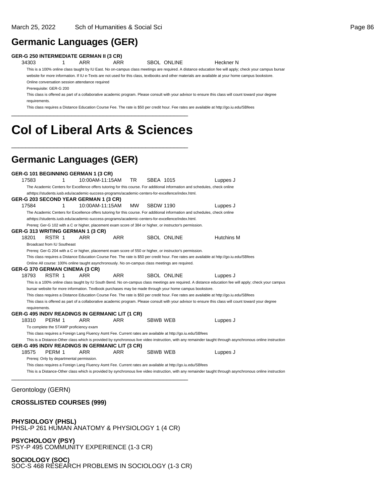### **Germanic Languages (GER)**

#### **GER-G 250 INTERMEDIATE GERMAN II (3 CR)**

34303 1 ARR ARR SBOL ONLINE Heckner N

This is a 100% online class taught by IU East. No on-campus class meetings are required. A distance education fee will apply; check your campus bursar website for more information. If IU e-Texts are not used for this class, textbooks and other materials are available at your home campus bookstore. Online conversation session attendance required

Prerequisite: GER-G 200

This class is offered as part of a collaborative academic program. Please consult with your advisor to ensure this class will count toward your degree requirements.

This class requires a Distance Education Course Fee. The rate is \$50 per credit hour. Fee rates are available at http://go.iu.edu/SBfees \_\_\_\_\_\_\_\_\_\_\_\_\_\_\_\_\_\_\_\_\_\_\_\_\_\_\_\_\_\_\_\_\_\_\_\_\_\_\_\_\_\_\_\_\_\_\_\_\_\_

# **Col of Liberal Arts & Sciences**

\_\_\_\_\_\_\_\_\_\_\_\_\_\_\_\_\_\_\_\_\_\_\_\_\_\_\_\_\_\_\_\_\_\_\_\_\_\_\_\_\_\_\_\_\_\_\_\_\_\_

## **Germanic Languages (GER)**

**GER-G 101 BEGINNING GERMAN 1 (3 CR)** 17583 1 10:00AM-11:15AM TR SBEA 1015 Luppes J The Academic Centers for Excellence offers tutoring for this course. For additional information and schedules, check online at https://students.iusb.edu/academic-success-programs/academic-centers-for-excellence/index.html. **GER-G 203 SECOND YEAR GERMAN 1 (3 CR)** 17584 1 10:00AM-11:15AM MW SBDW 1190 Luppes J The Academic Centers for Excellence offers tutoring for this course. For additional information and schedules, check online athttps://students.iusb.edu/academic-success-programs/academic-centers-for-excellence/index.html. Prereq: Ger-G 102 with a C or higher, placement exam score of 384 or higher, or instructor's permission. **GER-G 313 WRITING GERMAN 1 (3 CR)** 18201 RSTR 1 ARR ARR SBOL ONLINE Hutchins M Broadcast from IU Southeast Prereq: Ger-G 204 with a C or higher, placement exam score of 550 or higher, or instructor's permission. This class requires a Distance Education Course Fee. The rate is \$50 per credit hour. Fee rates are available at http://go.iu.edu/SBfees Online All course: 100% online taught asynchronously. No on-campus class meetings are required. **GER-G 370 GERMAN CINEMA (3 CR)** 18793 RSTR 1 ARR ARR SBOL ONLINE Luppes J This is a 100% online class taught by IU South Bend. No on-campus class meetings are required. A distance education fee will apply; check your campus bursar website for more information. Textbook purchases may be made through your home campus bookstore. This class requires a Distance Education Course Fee. The rate is \$50 per credit hour. Fee rates are available at http://go.iu.edu/SBfees This class is offered as part of a collaborative academic program. Please consult with your advisor to ensure this class will count toward your degree requirements. **GER-G 495 INDIV READINGS IN GERMANIC LIT (1 CR)** 18310 PERM 1 ARR ARR SBWB WEB Luppes J To complete the STAMP proficiency exam This class requires a Foreign Lang Fluency Asmt Fee. Current rates are available at http://go.iu.edu/SBfees This is a Distance-Other class which is provided by synchronous live video instruction, with any remainder taught through asynchronous online instruction **GER-G 495 INDIV READINGS IN GERMANIC LIT (3 CR)** 18575 PERM 1 ARR ARR SBWB WEB Luppes J Prereq: Only by departmental permission. This class requires a Foreign Lang Fluency Asmt Fee. Current rates are available at http://go.iu.edu/SBfees This is a Distance-Other class which is provided by synchronous live video instruction, with any remainder taught through asynchronous online instruction \_\_\_\_\_\_\_\_\_\_\_\_\_\_\_\_\_\_\_\_\_\_\_\_\_\_\_\_\_\_\_\_\_\_\_\_\_\_\_\_\_\_\_\_\_\_\_\_\_\_

#### Gerontology (GERN)

### **CROSSLISTED COURSES (999)**

**PHYSIOLOGY (PHSL)** PHSL-P 261 HUMAN ANATOMY & PHYSIOLOGY 1 (4 CR)

**PSYCHOLOGY (PSY)** PSY-P 495 COMMUNITY EXPERIENCE (1-3 CR)

**SOCIOLOGY (SOC)** SOC-S 468 RESEARCH PROBLEMS IN SOCIOLOGY (1-3 CR)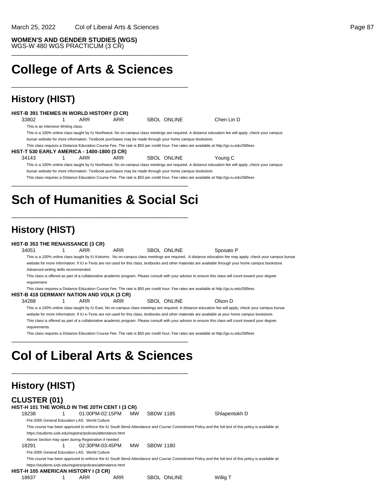**College of Arts & Sciences**

\_\_\_\_\_\_\_\_\_\_\_\_\_\_\_\_\_\_\_\_\_\_\_\_\_\_\_\_\_\_\_\_\_\_\_\_\_\_\_\_\_\_\_\_\_\_\_\_\_\_

\_\_\_\_\_\_\_\_\_\_\_\_\_\_\_\_\_\_\_\_\_\_\_\_\_\_\_\_\_\_\_\_\_\_\_\_\_\_\_\_\_\_\_\_\_\_\_\_\_\_

## **History (HIST)**

#### **HIST-B 391 THEMES IN WORLD HISTORY (3 CR)**

33802 1 ARR ARR SBOL ONLINE Chen Lin D

This is an Intensive Writing class.

This is a 100% online class taught by IU Northwest. No on-campus class meetings are required. A distance education fee will apply; check your campus bursar website for more information. Textbook purchases may be made through your home campus bookstore.

This class requires a Distance Education Course Fee. The rate is \$50 per credit hour. Fee rates are available at http://go.iu.edu/SBfees

#### **HIST-T 530 EARLY AMERICA - 1400-1800 (3 CR)**

34143 1 ARR ARR SBOL ONLINE Young C This is a 100% online class taught by IU Northwest. No on-campus class meetings are required. A distance education fee will apply; check your campus bursar website for more information. Textbook purchases may be made through your home campus bookstore.

This class requires a Distance Education Course Fee. The rate is \$50 per credit hour. Fee rates are available at http://go.iu.edu/SBfees

# **Sch of Humanities & Social Sci**

\_\_\_\_\_\_\_\_\_\_\_\_\_\_\_\_\_\_\_\_\_\_\_\_\_\_\_\_\_\_\_\_\_\_\_\_\_\_\_\_\_\_\_\_\_\_\_\_\_\_

\_\_\_\_\_\_\_\_\_\_\_\_\_\_\_\_\_\_\_\_\_\_\_\_\_\_\_\_\_\_\_\_\_\_\_\_\_\_\_\_\_\_\_\_\_\_\_\_\_\_

## **History (HIST)**

#### **HIST-B 353 THE RENAISSANCE (3 CR)** 34051 1 ARR ARR SBOL ONLINE Sposato P

This is a 100% online class taught by IU Kokomo. No on-campus class meetings are required. A distance education fee may apply; check your campus bursar website for more information. If IU e-Texts are not used for this class, textbooks and other materials are available through your home campus bookstore. Advanced writing skills recommended.

This class is offered as part of a collaborative academic program. Please consult with your advisor to ensure this class will count toward your degree requirement

This class requires a Distance Education Course Fee. The rate is \$50 per credit hour. Fee rates are available at http://go.iu.edu/SBfees **HIST-B 418 GERMANY NATION AND VOLK (3 CR)**

34288 1 ARR ARR SBOL ONLINE Olson D

This is a 100% online class taught by IU East. No on-campus class meetings are required. A distance education fee will apply; check your campus bursar website for more information. If IU e-Texts are not used for this class, textbooks and other materials are available at your home campus bookstore. This class is offered as part of a collaborative academic program. Please consult with your advisor to ensure this class will count toward your degree requirements.

This class requires a Distance Education Course Fee. The rate is \$50 per credit hour. Fee rates are available at http://go.iu.edu/SBfees

# **Col of Liberal Arts & Sciences**

\_\_\_\_\_\_\_\_\_\_\_\_\_\_\_\_\_\_\_\_\_\_\_\_\_\_\_\_\_\_\_\_\_\_\_\_\_\_\_\_\_\_\_\_\_\_\_\_\_\_

\_\_\_\_\_\_\_\_\_\_\_\_\_\_\_\_\_\_\_\_\_\_\_\_\_\_\_\_\_\_\_\_\_\_\_\_\_\_\_\_\_\_\_\_\_\_\_\_\_\_

|       | History (HIST)                       |  |                                                                   |           |                  |             |                                                                                                                                                      |  |  |  |
|-------|--------------------------------------|--|-------------------------------------------------------------------|-----------|------------------|-------------|------------------------------------------------------------------------------------------------------------------------------------------------------|--|--|--|
| 18238 | <b>CLUSTER (01)</b><br>1             |  | HIST-H 101 THE WORLD IN THE 20TH CENT I (3 CR)<br>01:00PM-02:15PM | <b>MW</b> | <b>SBDW 1185</b> |             | Shlapentokh D                                                                                                                                        |  |  |  |
|       |                                      |  | Pre-2005 General Education LAS: World Culture                     |           |                  |             |                                                                                                                                                      |  |  |  |
|       |                                      |  |                                                                   |           |                  |             | This course has been approved to enforce the IU South Bend Attendance and Course Commitment Policy and the full text of this policy is available at: |  |  |  |
|       |                                      |  | https://students.iusb.edu/registrar/policies/attendance.html      |           |                  |             |                                                                                                                                                      |  |  |  |
|       |                                      |  | Above Section may open during Registration if needed              |           |                  |             |                                                                                                                                                      |  |  |  |
| 18291 |                                      |  | 02:30PM-03:45PM                                                   | <b>MW</b> | <b>SBDW 1180</b> |             |                                                                                                                                                      |  |  |  |
|       |                                      |  | Pre-2005 General Education LAS: World Culture                     |           |                  |             |                                                                                                                                                      |  |  |  |
|       |                                      |  |                                                                   |           |                  |             | This course has been approved to enforce the IU South Bend Attendance and Course Commitment Policy and the full text of this policy is available at: |  |  |  |
|       |                                      |  | https://students.iusb.edu/registrar/policies/attendance.html      |           |                  |             |                                                                                                                                                      |  |  |  |
|       | HIST-H 105 AMERICAN HISTORY I (3 CR) |  |                                                                   |           |                  |             |                                                                                                                                                      |  |  |  |
| 18637 |                                      |  | <b>ARR</b><br>ARR                                                 |           |                  | SBOL ONLINE | Willia T                                                                                                                                             |  |  |  |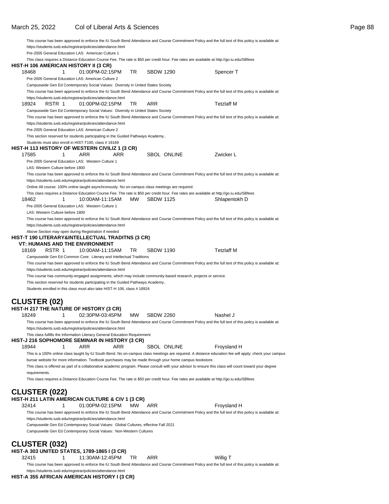|               |                                  |                                                                                                                 |           |                  |             | This course has been approved to enforce the IU South Bend Attendance and Course Commitment Policy and the full text of this policy is available at:   |
|---------------|----------------------------------|-----------------------------------------------------------------------------------------------------------------|-----------|------------------|-------------|--------------------------------------------------------------------------------------------------------------------------------------------------------|
|               |                                  | https://students.iusb.edu/registrar/policies/attendance.html                                                    |           |                  |             |                                                                                                                                                        |
|               |                                  | Pre-2005 General Education LAS: American Culture 1                                                              |           |                  |             |                                                                                                                                                        |
|               |                                  |                                                                                                                 |           |                  |             | This class requires a Distance Education Course Fee. The rate is \$50 per credit hour. Fee rates are available at http://go.iu.edu/SBfees              |
|               |                                  | HIST-H 106 AMERICAN HISTORY II (3 CR)                                                                           |           |                  |             |                                                                                                                                                        |
| 18468         | 1                                | 01:00PM-02:15PM                                                                                                 | <b>TR</b> | <b>SBDW 1290</b> |             | Spencer T                                                                                                                                              |
|               |                                  | Pre-2005 General Education LAS: American Culture 2                                                              |           |                  |             |                                                                                                                                                        |
|               |                                  | Campuswide Gen Ed Contemporary Social Values: Diversity in United States Society                                |           |                  |             |                                                                                                                                                        |
|               |                                  |                                                                                                                 |           |                  |             | This course has been approved to enforce the IU South Bend Attendance and Course Commitment Policy and the full text of this policy is available at:   |
|               |                                  | https://students.iusb.edu/registrar/policies/attendance.html                                                    |           |                  |             |                                                                                                                                                        |
| 18924         | RSTR 1                           | 01:00PM-02:15PM                                                                                                 | TR        | <b>ARR</b>       |             | <b>Tetzlaff M</b>                                                                                                                                      |
|               |                                  | Campuswide Gen Ed Contemporary Social Values: Diversity in United States Society                                |           |                  |             |                                                                                                                                                        |
|               |                                  |                                                                                                                 |           |                  |             | This course has been approved to enforce the IU South Bend Attendance and Course Commitment Policy and the full text of this policy is available at:   |
|               |                                  | https://students.iusb.edu/registrar/policies/attendance.html                                                    |           |                  |             |                                                                                                                                                        |
|               |                                  | Pre-2005 General Education LAS: American Culture 2                                                              |           |                  |             |                                                                                                                                                        |
|               |                                  | This section reserved for students participating in the Guided Pathways Academy                                 |           |                  |             |                                                                                                                                                        |
|               |                                  | Students must also enroll in HIST-T190, class #18169                                                            |           |                  |             |                                                                                                                                                        |
|               |                                  | HIST-H 113 HISTORY OF WESTERN CIVILIZ 1 (3 CR)                                                                  |           |                  |             |                                                                                                                                                        |
| 17585         | 1                                | ARR<br>ARR                                                                                                      |           |                  | SBOL ONLINE | Zwicker L                                                                                                                                              |
|               |                                  | Pre-2005 General Education LAS: Western Culture 1                                                               |           |                  |             |                                                                                                                                                        |
|               | LAS: Western Culture before 1800 |                                                                                                                 |           |                  |             |                                                                                                                                                        |
|               |                                  |                                                                                                                 |           |                  |             | This course has been approved to enforce the IU South Bend Attendance and Course Commitment Policy and the full text of this policy is available at:   |
|               |                                  | https://students.iusb.edu/registrar/policies/attendance.html                                                    |           |                  |             |                                                                                                                                                        |
|               |                                  | Online All course: 100% online taught asynchronously. No on-campus class meetings are required.                 |           |                  |             |                                                                                                                                                        |
|               |                                  |                                                                                                                 |           |                  |             | This class requires a Distance Education Course Fee. The rate is \$50 per credit hour. Fee rates are available at http://go.iu.edu/SBfees              |
| 18462         | 1                                | 10:00AM-11:15AM                                                                                                 | MW.       | <b>SBDW 1125</b> |             | Shlapentokh D                                                                                                                                          |
|               |                                  | Pre-2005 General Education LAS: Western Culture 1                                                               |           |                  |             |                                                                                                                                                        |
|               | LAS: Western Culture before 1800 |                                                                                                                 |           |                  |             |                                                                                                                                                        |
|               |                                  |                                                                                                                 |           |                  |             | This course has been approved to enforce the IU South Bend Attendance and Course Commitment Policy and the full text of this policy is available at:   |
|               |                                  | https://students.iusb.edu/registrar/policies/attendance.html                                                    |           |                  |             |                                                                                                                                                        |
|               |                                  | Above Section may open during Registration if needed                                                            |           |                  |             |                                                                                                                                                        |
|               |                                  | HIST-T 190 LITERARY&INTELLECTUAL TRADITNS (3 CR)                                                                |           |                  |             |                                                                                                                                                        |
|               |                                  | <b>VT: HUMANS AND THE ENVIRONMENT</b>                                                                           |           |                  |             |                                                                                                                                                        |
| 18169         | RSTR 1                           | 10:00AM-11:15AM                                                                                                 | TR        | <b>SBDW 1190</b> |             | <b>Tetzlaff M</b>                                                                                                                                      |
|               |                                  | Campuswide Gen Ed Common Core: Literary and Intellectual Traditions                                             |           |                  |             |                                                                                                                                                        |
|               |                                  |                                                                                                                 |           |                  |             | This course has been approved to enforce the IU South Bend Attendance and Course Commitment Policy and the full text of this policy is available at:   |
|               |                                  | https://students.iusb.edu/registrar/policies/attendance.html                                                    |           |                  |             |                                                                                                                                                        |
|               |                                  | This course has community-engaged assignments, which may include community-based research, projects or service. |           |                  |             |                                                                                                                                                        |
|               |                                  | This section reserved for students participating in the Guided Pathways Academy                                 |           |                  |             |                                                                                                                                                        |
|               |                                  | Students enrolled in this class must also take HIST-H 106, class # 18924                                        |           |                  |             |                                                                                                                                                        |
|               |                                  |                                                                                                                 |           |                  |             |                                                                                                                                                        |
|               | <b>CLUSTER (02)</b>              |                                                                                                                 |           |                  |             |                                                                                                                                                        |
|               |                                  | HIST-H 217 THE NATURE OF HISTORY (3 CR)                                                                         |           |                  |             |                                                                                                                                                        |
| 18249         | 1                                | 02:30PM-03:45PM                                                                                                 | <b>MW</b> | <b>SBDW 2260</b> |             | Nashel J                                                                                                                                               |
|               |                                  |                                                                                                                 |           |                  |             | This course has been approved to enforce the IU South Bend Attendance and Course Commitment Policy and the full text of this policy is available at:   |
|               |                                  | https://students.iusb.edu/registrar/policies/attendance.html                                                    |           |                  |             |                                                                                                                                                        |
|               |                                  | This class fulfills the Information Literacy General Education Requirement                                      |           |                  |             |                                                                                                                                                        |
|               |                                  | HIST-J 216 SOPHOMORE SEMINAR IN HISTORY (3 CR)                                                                  |           |                  |             |                                                                                                                                                        |
| 18944         | 1                                | <b>ARR</b><br>ARR                                                                                               |           |                  | SBOL ONLINE | Froysland H                                                                                                                                            |
|               |                                  |                                                                                                                 |           |                  |             | This is a 100% online class taught by IU South Bend. No on-campus class meetings are required. A distance education fee will apply; check your campus  |
|               |                                  | bursar website for more information. Textbook purchases may be made through your home campus bookstore.         |           |                  |             |                                                                                                                                                        |
|               |                                  |                                                                                                                 |           |                  |             | This class is offered as part of a collaborative academic program. Please consult with your advisor to ensure this class will count toward your degree |
| requirements. |                                  |                                                                                                                 |           |                  |             |                                                                                                                                                        |
|               |                                  |                                                                                                                 |           |                  |             | This class requires a Distance Education Course Fee. The rate is \$50 per credit hour. Fee rates are available at http://go.iu.edu/SBfees              |
|               |                                  |                                                                                                                 |           |                  |             |                                                                                                                                                        |
|               | <b>CLUSTER (022)</b>             |                                                                                                                 |           |                  |             |                                                                                                                                                        |
|               |                                  | HIST-H 211 LATIN AMERICAN CULTURE & CIV 1 (3 CR)                                                                |           |                  |             |                                                                                                                                                        |
| 32414         | 1                                | 01:00PM-02:15PM                                                                                                 | мw        | ARR              |             | Froysland H                                                                                                                                            |
|               |                                  |                                                                                                                 |           |                  |             | This course has been approved to enforce the IU South Bend Attendance and Course Commitment Policy and the full text of this policy is available at:   |
|               |                                  | https://students.iusb.edu/registrar/policies/attendance.html                                                    |           |                  |             |                                                                                                                                                        |
|               |                                  | Campuswide Gen Ed Contemporary Social Values: Global Cultures, effective Fall 2021                              |           |                  |             |                                                                                                                                                        |
|               |                                  | Campuswide Gen Ed Contemporary Social Values: Non-Western Cultures                                              |           |                  |             |                                                                                                                                                        |
|               |                                  |                                                                                                                 |           |                  |             |                                                                                                                                                        |
|               | <b>CLUSTER (032)</b>             |                                                                                                                 |           |                  |             |                                                                                                                                                        |
|               |                                  | HIST-A 303 UNITED STATES, 1789-1865 I (3 CR)                                                                    |           |                  |             |                                                                                                                                                        |
| 32415         | 1                                | 11:30AM-12:45PM                                                                                                 | TR        | <b>ARR</b>       |             | Willig T                                                                                                                                               |
|               |                                  |                                                                                                                 |           |                  |             | This course has been approved to enforce the IU South Bend Attendance and Course Commitment Policy and the full text of this policy is available at:   |
|               |                                  |                                                                                                                 |           |                  |             |                                                                                                                                                        |
|               |                                  | https://students.iusb.edu/registrar/policies/attendance.html                                                    |           |                  |             |                                                                                                                                                        |

**HIST-A 355 AFRICAN AMERICAN HISTORY I (3 CR)**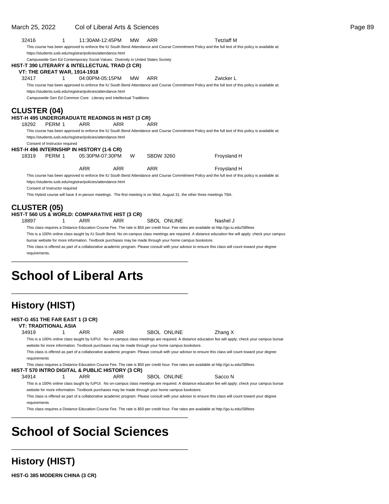### March 25, 2022 Col of Liberal Arts & Sciences **Page 89** Page 89

| 32416               | 1                                                                                                       | 11:30AM-12:45PM |            | <b>MW</b> | ARR                | <b>Tetzlaff M</b>                                                                                                                                      |  |
|---------------------|---------------------------------------------------------------------------------------------------------|-----------------|------------|-----------|--------------------|--------------------------------------------------------------------------------------------------------------------------------------------------------|--|
|                     | https://students.iusb.edu/registrar/policies/attendance.html                                            |                 |            |           |                    | This course has been approved to enforce the IU South Bend Attendance and Course Commitment Policy and the full text of this policy is available at:   |  |
|                     | Campuswide Gen Ed Contemporary Social Values: Diversity in United States Society                        |                 |            |           |                    |                                                                                                                                                        |  |
|                     | HIST-T 390 LITERARY & INTELLECTUAL TRAD (3 CR)                                                          |                 |            |           |                    |                                                                                                                                                        |  |
|                     | <b>VT: THE GREAT WAR, 1914-1918</b>                                                                     |                 |            |           |                    |                                                                                                                                                        |  |
| 32417               | 1                                                                                                       | 04:00PM-05:15PM |            | <b>MW</b> | <b>ARR</b>         | Zwicker L                                                                                                                                              |  |
|                     |                                                                                                         |                 |            |           |                    | This course has been approved to enforce the IU South Bend Attendance and Course Commitment Policy and the full text of this policy is available at:   |  |
|                     | https://students.iusb.edu/registrar/policies/attendance.html                                            |                 |            |           |                    |                                                                                                                                                        |  |
|                     | Campuswide Gen Ed Common Core: Literary and Intellectual Traditions                                     |                 |            |           |                    |                                                                                                                                                        |  |
|                     |                                                                                                         |                 |            |           |                    |                                                                                                                                                        |  |
| <b>CLUSTER (04)</b> |                                                                                                         |                 |            |           |                    |                                                                                                                                                        |  |
|                     | HIST-H 495 UNDERGRADUATE READINGS IN HIST (3 CR)                                                        |                 |            |           |                    |                                                                                                                                                        |  |
| 18292               | PERM 1                                                                                                  | <b>ARR</b>      | <b>ARR</b> |           | <b>ARR</b>         |                                                                                                                                                        |  |
|                     |                                                                                                         |                 |            |           |                    | This course has been approved to enforce the IU South Bend Attendance and Course Commitment Policy and the full text of this policy is available at:   |  |
|                     | https://students.iusb.edu/registrar/policies/attendance.html                                            |                 |            |           |                    |                                                                                                                                                        |  |
|                     | Consent of Instructor required                                                                          |                 |            |           |                    |                                                                                                                                                        |  |
|                     | HIST-H 496 INTERNSHIP IN HISTORY (1-6 CR)                                                               |                 |            |           |                    |                                                                                                                                                        |  |
| 18319               | PERM 1                                                                                                  | 05:30PM-07:30PM |            | W         | <b>SBDW 3260</b>   | Froysland H                                                                                                                                            |  |
|                     |                                                                                                         | <b>ARR</b>      | <b>ARR</b> |           | <b>ARR</b>         | Froysland H                                                                                                                                            |  |
|                     |                                                                                                         |                 |            |           |                    | This course has been approved to enforce the IU South Bend Attendance and Course Commitment Policy and the full text of this policy is available at:   |  |
|                     | https://students.iusb.edu/registrar/policies/attendance.html                                            |                 |            |           |                    |                                                                                                                                                        |  |
|                     | Consent of Instructor required                                                                          |                 |            |           |                    |                                                                                                                                                        |  |
|                     |                                                                                                         |                 |            |           |                    | This Hybrid course will have 4 in-person meetings. The first meeting is on Wed, August 31, the other three meetings TBA.                               |  |
|                     |                                                                                                         |                 |            |           |                    |                                                                                                                                                        |  |
| <b>CLUSTER (05)</b> |                                                                                                         |                 |            |           |                    |                                                                                                                                                        |  |
|                     | HIST-T 560 US & WORLD: COMPARATIVE HIST (3 CR)                                                          |                 |            |           |                    |                                                                                                                                                        |  |
| 18897               | 1                                                                                                       | <b>ARR</b>      | <b>ARR</b> |           | <b>SBOL ONLINE</b> | Nashel J                                                                                                                                               |  |
|                     |                                                                                                         |                 |            |           |                    | This class requires a Distance Education Course Fee. The rate is \$50 per credit hour. Fee rates are available at http://go.iu.edu/SBfees              |  |
|                     |                                                                                                         |                 |            |           |                    | This is a 100% online class taught by IU South Bend. No on-campus class meetings are required. A distance education fee will apply; check your campus  |  |
|                     | bursar website for more information. Textbook purchases may be made through your home campus bookstore. |                 |            |           |                    |                                                                                                                                                        |  |
|                     |                                                                                                         |                 |            |           |                    | This class is offered as part of a collaborative academic program. Please consult with your advisor to ensure this class will count toward your degree |  |
| requirements.       |                                                                                                         |                 |            |           |                    |                                                                                                                                                        |  |
|                     |                                                                                                         |                 |            |           |                    |                                                                                                                                                        |  |
|                     |                                                                                                         |                 |            |           |                    |                                                                                                                                                        |  |

# **School of Liberal Arts**

\_\_\_\_\_\_\_\_\_\_\_\_\_\_\_\_\_\_\_\_\_\_\_\_\_\_\_\_\_\_\_\_\_\_\_\_\_\_\_\_\_\_\_\_\_\_\_\_\_\_

| <b>History (HIST)</b>                                           |     |                                                                                                  |                    |                                                                                                                                                                                                                                                                                                                                                                                                                                                             |  |
|-----------------------------------------------------------------|-----|--------------------------------------------------------------------------------------------------|--------------------|-------------------------------------------------------------------------------------------------------------------------------------------------------------------------------------------------------------------------------------------------------------------------------------------------------------------------------------------------------------------------------------------------------------------------------------------------------------|--|
| HIST-G 451 THE FAR EAST 1 (3 CR)<br><b>VT: TRADITIONAL ASIA</b> |     |                                                                                                  |                    |                                                                                                                                                                                                                                                                                                                                                                                                                                                             |  |
| 34919                                                           | ARR | ARR                                                                                              | <b>SBOL ONLINE</b> | Zhang X                                                                                                                                                                                                                                                                                                                                                                                                                                                     |  |
| requirements                                                    |     | website for more information. Textbook purchases may be made through your home campus bookstore. |                    | This is a 100% online class taught by IUPUI. No on-campus class meetings are required. A distance education fee will apply; check your campus bursar<br>This class is offered as part of a collaborative academic program. Please consult with your advisor to ensure this class will count toward your degree<br>This class requires a Distance Education Course Fee. The rate is \$50 per credit hour. Fee rates are available at http://go.iu.edu/SBfees |  |
| HIST-T 570 INTRO DIGITAL & PUBLIC HISTORY (3 CR)                |     |                                                                                                  |                    |                                                                                                                                                                                                                                                                                                                                                                                                                                                             |  |
| 34914                                                           | ARR | ARR                                                                                              | SBOL ONLINE        | Sacco N                                                                                                                                                                                                                                                                                                                                                                                                                                                     |  |
| requirements                                                    |     | website for more information. Textbook purchases may be made through your home campus bookstore. |                    | This is a 100% online class taught by IUPUI. No on-campus class meetings are required. A distance education fee will apply; check your campus bursar<br>This class is offered as part of a collaborative academic program. Please consult with your advisor to ensure this class will count toward your degree<br>This class requires a Distance Education Course Fee. The rate is \$50 per credit hour. Fee rates are available at http://qo.iu.edu/SBfees |  |

# **School of Social Sciences**

\_\_\_\_\_\_\_\_\_\_\_\_\_\_\_\_\_\_\_\_\_\_\_\_\_\_\_\_\_\_\_\_\_\_\_\_\_\_\_\_\_\_\_\_\_\_\_\_\_\_

## **History (HIST)**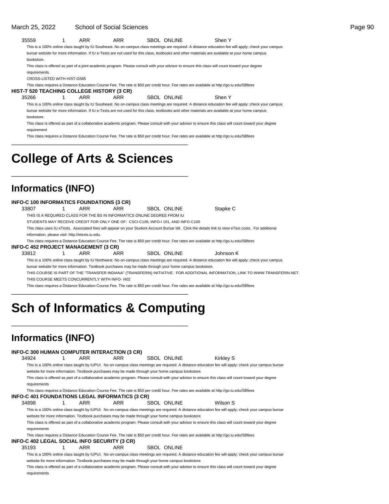#### March 25, 2022 School of Social Sciences

| 35559         |                             | ARR | ARR | SBOL ONLINE | Shen Y                                                                                                                                               |  |
|---------------|-----------------------------|-----|-----|-------------|------------------------------------------------------------------------------------------------------------------------------------------------------|--|
|               |                             |     |     |             | This is a 100% online class taught by IU Southeast. No on-campus class meetings are required. A distance education fee will apply; check your campus |  |
|               |                             |     |     |             | bursar website for more information. If IU e-Texts are not used for this class, textbooks and other materials are available at your home campus      |  |
| bookstore.    |                             |     |     |             |                                                                                                                                                      |  |
|               |                             |     |     |             | This class is offered as part of a joint academic program. Please consult with your advisor to ensure this class will count toward your degree       |  |
| requirements. |                             |     |     |             |                                                                                                                                                      |  |
|               | CROSS-LISTED WITH HIST-G585 |     |     |             |                                                                                                                                                      |  |

This class requires a Distance Education Course Fee. The rate is \$50 per credit hour. Fee rates are available at http://go.iu.edu/SBfees

**HIST-T 520 TEACHING COLLEGE HISTORY (3 CR)**

35266 1 ARR ARR SBOL ONLINE Shen Y

This is a 100% online class taught by IU Southeast. No on-campus class meetings are required. A distance education fee will apply; check your campus bursar website for more information. If IU e-Texts are not used for this class, textbooks and other materials are available at your home campus bookstore.

This class is offered as part of a collaborative academic program. Please consult with your advisor to ensure this class will count toward your degree requirement

This class requires a Distance Education Course Fee. The rate is \$50 per credit hour. Fee rates are available at http://go.iu.edu/SBfees

# **College of Arts & Sciences**

\_\_\_\_\_\_\_\_\_\_\_\_\_\_\_\_\_\_\_\_\_\_\_\_\_\_\_\_\_\_\_\_\_\_\_\_\_\_\_\_\_\_\_\_\_\_\_\_\_\_

\_\_\_\_\_\_\_\_\_\_\_\_\_\_\_\_\_\_\_\_\_\_\_\_\_\_\_\_\_\_\_\_\_\_\_\_\_\_\_\_\_\_\_\_\_\_\_\_\_\_

## **Informatics (INFO)**

| <b>INFO-C 100 INFORMATICS FOUNDATIONS (3 CR)</b> |                                                                          |     |                                                                                                         |  |                    |                                                                                                                                                        |  |  |  |  |  |
|--------------------------------------------------|--------------------------------------------------------------------------|-----|---------------------------------------------------------------------------------------------------------|--|--------------------|--------------------------------------------------------------------------------------------------------------------------------------------------------|--|--|--|--|--|
| 33807                                            |                                                                          | ARR | ARR                                                                                                     |  | <b>SBOL ONLINE</b> | Stapke C                                                                                                                                               |  |  |  |  |  |
|                                                  | THIS IS A REQUIRED CLASS FOR THE BS IN INFORMATICS ONLINE DEGREE FROM IU |     |                                                                                                         |  |                    |                                                                                                                                                        |  |  |  |  |  |
|                                                  |                                                                          |     | STUDENTS MAY RECEIVE CREDIT FOR ONLY ONE OF: CSCI-C106, INFO-I 101, AND INFO-C100                       |  |                    |                                                                                                                                                        |  |  |  |  |  |
|                                                  |                                                                          |     |                                                                                                         |  |                    | This class uses IU eTexts. Associated fees will appear on your Student Account Bursar bill. Click the details link to view eText costs. For additional |  |  |  |  |  |
|                                                  | information, please visit: http://etexts.iu.edu.                         |     |                                                                                                         |  |                    |                                                                                                                                                        |  |  |  |  |  |
|                                                  |                                                                          |     |                                                                                                         |  |                    | This class requires a Distance Education Course Fee. The rate is \$50 per credit hour. Fee rates are available at http://qo.iu.edu/SBfees              |  |  |  |  |  |
| <b>INFO-C 452 PROJECT MANAGEMENT (3 CR)</b>      |                                                                          |     |                                                                                                         |  |                    |                                                                                                                                                        |  |  |  |  |  |
| 33812                                            |                                                                          | ARR | ARR                                                                                                     |  | SBOL ONLINE        | Johnson K                                                                                                                                              |  |  |  |  |  |
|                                                  |                                                                          |     |                                                                                                         |  |                    | This is a 100% online class taught by IU Northwest. No on-campus class meetings are required. A distance education fee will apply; check your campus   |  |  |  |  |  |
|                                                  |                                                                          |     | bursar website for more information. Textbook purchases may be made through your home campus bookstore. |  |                    |                                                                                                                                                        |  |  |  |  |  |
|                                                  |                                                                          |     |                                                                                                         |  |                    | THIS COURSE IS PART OF THE "TRANSFER INDIANA" (TRANSFERIN) INITIATIVE. FOR ADDITIONAL INFORMATION, LINK TO WWW.TRANSFERIN.NET.                         |  |  |  |  |  |
|                                                  | THIS COURSE MEETS CONCURRENTLY WITH INFO-1402                            |     |                                                                                                         |  |                    |                                                                                                                                                        |  |  |  |  |  |
|                                                  |                                                                          |     |                                                                                                         |  |                    | This class requires a Distance Education Course Fee. The rate is \$50 per credit hour. Fee rates are available at http://qo.iu.edu/SBfees              |  |  |  |  |  |
|                                                  |                                                                          |     |                                                                                                         |  |                    |                                                                                                                                                        |  |  |  |  |  |

# **Sch of Informatics & Computing**

\_\_\_\_\_\_\_\_\_\_\_\_\_\_\_\_\_\_\_\_\_\_\_\_\_\_\_\_\_\_\_\_\_\_\_\_\_\_\_\_\_\_\_\_\_\_\_\_\_\_

## **Informatics (INFO)**

|                                              |     | INFO-C 300 HUMAN COMPUTER INTERACTION (3 CR)                                                     |                    |                                                                                                                                                        |
|----------------------------------------------|-----|--------------------------------------------------------------------------------------------------|--------------------|--------------------------------------------------------------------------------------------------------------------------------------------------------|
| 34924                                        | ARR | ARR                                                                                              | <b>SBOL ONLINE</b> | Kirkley S                                                                                                                                              |
|                                              |     |                                                                                                  |                    | This is a 100% online class taught by IUPUI. No on-campus class meetings are required. A distance education fee will apply; check your campus bursar   |
|                                              |     | website for more information. Textbook purchases may be made through your home campus bookstore. |                    |                                                                                                                                                        |
|                                              |     |                                                                                                  |                    | This class is offered as part of a collaborative academic program. Please consult with your advisor to ensure this class will count toward your degree |
| requirements                                 |     |                                                                                                  |                    |                                                                                                                                                        |
|                                              |     |                                                                                                  |                    | This class requires a Distance Education Course Fee. The rate is \$50 per credit hour. Fee rates are available at http://go.iu.edu/SBfees              |
|                                              |     | INFO-C 401 FOUNDATIONS LEGAL INFORMATICS (3 CR)                                                  |                    |                                                                                                                                                        |
| 34898                                        | ARR | ARR                                                                                              | <b>SBOL ONLINE</b> | Wilson S                                                                                                                                               |
|                                              |     |                                                                                                  |                    | This is a 100% online class taught by IUPUI. No on-campus class meetings are required. A distance education fee will apply; check your campus bursar   |
|                                              |     | website for more information. Textbook purchases may be made through your home campus bookstore. |                    |                                                                                                                                                        |
|                                              |     |                                                                                                  |                    | This class is offered as part of a collaborative academic program. Please consult with your advisor to ensure this class will count toward your degree |
| requirements                                 |     |                                                                                                  |                    |                                                                                                                                                        |
|                                              |     |                                                                                                  |                    | This class requires a Distance Education Course Fee. The rate is \$50 per credit hour. Fee rates are available at http://go.iu.edu/SBfees              |
| INFO-C 402 LEGAL SOCIAL INFO SECURITY (3 CR) |     |                                                                                                  |                    |                                                                                                                                                        |
| 35193                                        | ARR | ARR                                                                                              | SBOL ONLINE        |                                                                                                                                                        |
|                                              |     |                                                                                                  |                    | This is a 100% online class taught by IUPUI. No on-campus class meetings are required. A distance education fee will apply; check your campus bursar   |
|                                              |     | website for more information. Textbook purchases may be made through your home campus bookstore. |                    |                                                                                                                                                        |
|                                              |     |                                                                                                  |                    | This class is offered as part of a collaborative academic program. Please consult with your advisor to ensure this class will count toward your degree |

This class is offered as part of a collaborative academic program. Please consult with your advisor to ensure this class will count toward your degree requirements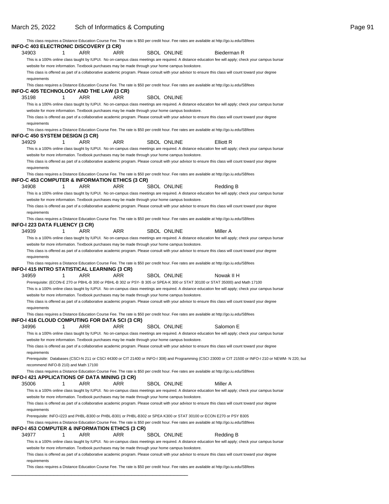\_\_\_\_\_\_\_\_\_\_\_\_\_\_\_\_\_\_\_\_\_\_\_\_\_\_\_\_\_\_\_\_\_\_\_\_\_\_\_\_\_\_\_\_\_\_\_\_\_\_

|                                                 |                                      |     |     |                                                                                                  | This class requires a Distance Education Course Fee. The rate is \$50 per credit hour. Fee rates are available at http://go.iu.edu/SBfees                |  |
|-------------------------------------------------|--------------------------------------|-----|-----|--------------------------------------------------------------------------------------------------|----------------------------------------------------------------------------------------------------------------------------------------------------------|--|
| INFO-C 403 ELECTRONIC DISCOVERY (3 CR)          |                                      |     |     |                                                                                                  |                                                                                                                                                          |  |
| 34903                                           | 1                                    | ARR | ARR | SBOL ONLINE                                                                                      | Biederman R                                                                                                                                              |  |
|                                                 |                                      |     |     |                                                                                                  | This is a 100% online class taught by IUPUI. No on-campus class meetings are required. A distance education fee will apply; check your campus bursar     |  |
|                                                 |                                      |     |     | website for more information. Textbook purchases may be made through your home campus bookstore. |                                                                                                                                                          |  |
|                                                 |                                      |     |     |                                                                                                  | This class is offered as part of a collaborative academic program. Please consult with your advisor to ensure this class will count toward your degree   |  |
| requirements                                    |                                      |     |     |                                                                                                  | This class requires a Distance Education Course Fee. The rate is \$50 per credit hour. Fee rates are available at http://go.iu.edu/SBfees                |  |
| INFO-C 405 TECHNOLOGY AND THE LAW (3 CR)        |                                      |     |     |                                                                                                  |                                                                                                                                                          |  |
| 35198                                           | 1                                    | ARR | ARR | <b>SBOL ONLINE</b>                                                                               |                                                                                                                                                          |  |
|                                                 |                                      |     |     |                                                                                                  | This is a 100% online class taught by IUPUI. No on-campus class meetings are required. A distance education fee will apply; check your campus bursar     |  |
|                                                 |                                      |     |     | website for more information. Textbook purchases may be made through your home campus bookstore. |                                                                                                                                                          |  |
|                                                 |                                      |     |     |                                                                                                  | This class is offered as part of a collaborative academic program. Please consult with your advisor to ensure this class will count toward your degree   |  |
| requirements                                    |                                      |     |     |                                                                                                  |                                                                                                                                                          |  |
|                                                 |                                      |     |     |                                                                                                  | This class requires a Distance Education Course Fee. The rate is \$50 per credit hour. Fee rates are available at http://go.iu.edu/SBfees                |  |
| INFO-C 450 SYSTEM DESIGN (3 CR)                 |                                      |     |     |                                                                                                  |                                                                                                                                                          |  |
| 34929                                           | 1                                    | ARR | ARR | <b>SBOL ONLINE</b>                                                                               | Elliott R                                                                                                                                                |  |
|                                                 |                                      |     |     |                                                                                                  | This is a 100% online class taught by IUPUI. No on-campus class meetings are required. A distance education fee will apply; check your campus bursar     |  |
|                                                 |                                      |     |     | website for more information. Textbook purchases may be made through your home campus bookstore. |                                                                                                                                                          |  |
|                                                 |                                      |     |     |                                                                                                  | This class is offered as part of a collaborative academic program. Please consult with your advisor to ensure this class will count toward your degree   |  |
| requirements                                    |                                      |     |     |                                                                                                  | This class requires a Distance Education Course Fee. The rate is \$50 per credit hour. Fee rates are available at http://go.iu.edu/SBfees                |  |
| INFO-C 453 COMPUTER & INFORMATION ETHICS (3 CR) |                                      |     |     |                                                                                                  |                                                                                                                                                          |  |
| 34908                                           | 1                                    | ARR | ARR | <b>SBOL ONLINE</b>                                                                               | Redding B                                                                                                                                                |  |
|                                                 |                                      |     |     |                                                                                                  | This is a 100% online class taught by IUPUI. No on-campus class meetings are required. A distance education fee will apply; check your campus bursar     |  |
|                                                 |                                      |     |     | website for more information. Textbook purchases may be made through your home campus bookstore. |                                                                                                                                                          |  |
|                                                 |                                      |     |     |                                                                                                  | This class is offered as part of a collaborative academic program. Please consult with your advisor to ensure this class will count toward your degree   |  |
| requirements                                    |                                      |     |     |                                                                                                  |                                                                                                                                                          |  |
|                                                 |                                      |     |     |                                                                                                  | This class requires a Distance Education Course Fee. The rate is \$50 per credit hour. Fee rates are available at http://go.iu.edu/SBfees                |  |
| <b>INFO-I 223 DATA FLUENCY (3 CR)</b>           |                                      |     |     |                                                                                                  |                                                                                                                                                          |  |
| 34939                                           | 1                                    | ARR | ARR | <b>SBOL ONLINE</b>                                                                               | Miller A                                                                                                                                                 |  |
|                                                 |                                      |     |     |                                                                                                  | This is a 100% online class taught by IUPUI. No on-campus class meetings are required. A distance education fee will apply; check your campus bursar     |  |
|                                                 |                                      |     |     | website for more information. Textbook purchases may be made through your home campus bookstore. |                                                                                                                                                          |  |
|                                                 |                                      |     |     |                                                                                                  | This class is offered as part of a collaborative academic program. Please consult with your advisor to ensure this class will count toward your degree   |  |
| requirements                                    |                                      |     |     |                                                                                                  |                                                                                                                                                          |  |
| INFO-I 415 INTRO STATISTICAL LEARNING (3 CR)    |                                      |     |     |                                                                                                  | This class requires a Distance Education Course Fee. The rate is \$50 per credit hour. Fee rates are available at http://go.iu.edu/SBfees                |  |
| 34959                                           | 1                                    | ARR | ARR | SBOL ONLINE                                                                                      | Nowak II H                                                                                                                                               |  |
|                                                 |                                      |     |     |                                                                                                  | Prerequisite: (ECON-E 270 or PBHL-B 300 or PBHL-B 302 or PSY- B 305 or SPEA-K 300 or STAT 30100 or STAT 35000) and Math 17100                            |  |
|                                                 |                                      |     |     |                                                                                                  | This is a 100% online class taught by IUPUI. No on-campus class meetings are required. A distance education fee will apply; check your campus bursar     |  |
|                                                 |                                      |     |     | website for more information. Textbook purchases may be made through your home campus bookstore. |                                                                                                                                                          |  |
|                                                 |                                      |     |     |                                                                                                  | This class is offered as part of a collaborative academic program. Please consult with your advisor to ensure this class will count toward your degree   |  |
| requirements                                    |                                      |     |     |                                                                                                  |                                                                                                                                                          |  |
|                                                 |                                      |     |     |                                                                                                  | This class requires a Distance Education Course Fee. The rate is \$50 per credit hour. Fee rates are available at http://go.iu.edu/SBfees                |  |
| INFO-I 416 CLOUD COMPUTING FOR DATA SCI (3 CR)  |                                      |     |     |                                                                                                  |                                                                                                                                                          |  |
| 34996                                           | 1                                    | ARR | ARR | SBOL ONLINE                                                                                      | Salomon E                                                                                                                                                |  |
|                                                 |                                      |     |     |                                                                                                  | This is a 100% online class taught by IUPUI. No on-campus class meetings are required. A distance education fee will apply; check your campus bursar     |  |
|                                                 |                                      |     |     | website for more information. Textbook purchases may be made through your home campus bookstore. |                                                                                                                                                          |  |
|                                                 |                                      |     |     |                                                                                                  | This class is offered as part of a collaborative academic program. Please consult with your advisor to ensure this class will count toward your degree   |  |
| requirements                                    |                                      |     |     |                                                                                                  |                                                                                                                                                          |  |
|                                                 |                                      |     |     |                                                                                                  | Prerequisite: Databases (CSCI-N 211 or CSCI 44300 or CIT 21400 or INFO-I 308) and Programming (CSCI 23000 or CIT 21500 or INFO-I 210 or NEWM- N 220, but |  |
|                                                 | recommend INFO-B 210) and Math 17100 |     |     |                                                                                                  | This class requires a Distance Education Course Fee. The rate is \$50 per credit hour. Fee rates are available at http://go.iu.edu/SBfees                |  |
| INFO-I 421 APPLICATIONS OF DATA MINING (3 CR)   |                                      |     |     |                                                                                                  |                                                                                                                                                          |  |
| 35006                                           | 1                                    | ARR | ARR | <b>SBOL ONLINE</b>                                                                               | Miller A                                                                                                                                                 |  |
|                                                 |                                      |     |     |                                                                                                  | This is a 100% online class taught by IUPUI. No on-campus class meetings are required. A distance education fee will apply; check your campus bursar     |  |
|                                                 |                                      |     |     | website for more information. Textbook purchases may be made through your home campus bookstore. |                                                                                                                                                          |  |
|                                                 |                                      |     |     |                                                                                                  | This class is offered as part of a collaborative academic program. Please consult with your advisor to ensure this class will count toward your degree   |  |
| requirements                                    |                                      |     |     |                                                                                                  |                                                                                                                                                          |  |
|                                                 |                                      |     |     |                                                                                                  | Prerequisite: INFO-I223 and PHBL-B300 or PHBL-B301 or PHBL-B302 or SPEA K300 or STAT 30100 or ECON E270 or PSY B305                                      |  |
|                                                 |                                      |     |     |                                                                                                  | This class requires a Distance Education Course Fee. The rate is \$50 per credit hour. Fee rates are available at http://go.iu.edu/SBfees                |  |
| INFO-I 453 COMPUTER & INFORMATION ETHICS (3 CR) |                                      |     |     |                                                                                                  |                                                                                                                                                          |  |
| 34977                                           | 1                                    | ARR | ARR | <b>SBOL ONLINE</b>                                                                               | Redding B                                                                                                                                                |  |
|                                                 |                                      |     |     |                                                                                                  | This is a 100% online class taught by IUPUI. No on-campus class meetings are required. A distance education fee will apply; check your campus bursar     |  |
|                                                 |                                      |     |     | website for more information. Textbook purchases may be made through your home campus bookstore. |                                                                                                                                                          |  |
|                                                 |                                      |     |     |                                                                                                  | This class is offered as part of a collaborative academic program. Please consult with your advisor to ensure this class will count toward your degree   |  |
| requirements                                    |                                      |     |     |                                                                                                  | This class requires a Distance Education Course Fee. The rate is \$50 per credit hour. Fee rates are available at http://go.iu.edu/SBfees                |  |
|                                                 |                                      |     |     |                                                                                                  |                                                                                                                                                          |  |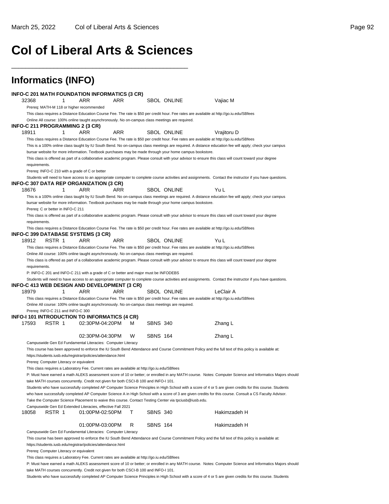# **Col of Liberal Arts & Sciences**

\_\_\_\_\_\_\_\_\_\_\_\_\_\_\_\_\_\_\_\_\_\_\_\_\_\_\_\_\_\_\_\_\_\_\_\_\_\_\_\_\_\_\_\_\_\_\_\_\_\_

|               |                                         | INFO-C 201 MATH FOUNDATION INFORMATICS (3 CR)                                                           |     |   |                 |                    |      |                                                                                                                                                           |  |
|---------------|-----------------------------------------|---------------------------------------------------------------------------------------------------------|-----|---|-----------------|--------------------|------|-----------------------------------------------------------------------------------------------------------------------------------------------------------|--|
| 32368         | 1                                       | ARR                                                                                                     | ARR |   |                 | <b>SBOL ONLINE</b> |      | Vajiac M                                                                                                                                                  |  |
|               |                                         | Prereq: MATH-M 118 or higher recommended                                                                |     |   |                 |                    |      |                                                                                                                                                           |  |
|               |                                         | Online All course: 100% online taught asynchronously. No on-campus class meetings are required.         |     |   |                 |                    |      | This class requires a Distance Education Course Fee. The rate is \$50 per credit hour. Fee rates are available at http://go.iu.edu/SBfees                 |  |
|               |                                         | INFO-C 211 PROGRAMMING 2 (3 CR)                                                                         |     |   |                 |                    |      |                                                                                                                                                           |  |
| 18911         | 1                                       | ARR                                                                                                     | ARR |   |                 | <b>SBOL ONLINE</b> |      | Vrajitoru D                                                                                                                                               |  |
|               |                                         |                                                                                                         |     |   |                 |                    |      | This class requires a Distance Education Course Fee. The rate is \$50 per credit hour. Fee rates are available at http://go.iu.edu/SBfees                 |  |
|               |                                         |                                                                                                         |     |   |                 |                    |      | This is a 100% online class taught by IU South Bend. No on-campus class meetings are required. A distance education fee will apply; check your campus     |  |
|               |                                         | bursar website for more information. Textbook purchases may be made through your home campus bookstore. |     |   |                 |                    |      | This class is offered as part of a collaborative academic program. Please consult with your advisor to ensure this class will count toward your degree    |  |
| requirements. |                                         |                                                                                                         |     |   |                 |                    |      |                                                                                                                                                           |  |
|               |                                         | Prereq: INFO-C 210 with a grade of C or better                                                          |     |   |                 |                    |      |                                                                                                                                                           |  |
|               |                                         | INFO-C 307 DATA REP ORGANIZATION (3 CR)                                                                 |     |   |                 |                    |      | Students will need to have access to an appropriate computer to complete course activities and assignments. Contact the instructor if you have questions. |  |
| 18676         | 1                                       | ARR                                                                                                     | ARR |   |                 | <b>SBOL ONLINE</b> | Yu L |                                                                                                                                                           |  |
|               |                                         |                                                                                                         |     |   |                 |                    |      | This is a 100% online class taught by IU South Bend. No on-campus class meetings are required. A distance education fee will apply; check your campus     |  |
|               |                                         | bursar website for more information. Textbook purchases may be made through your home campus bookstore. |     |   |                 |                    |      |                                                                                                                                                           |  |
|               | Prereq: C or better in INFO-C 211       |                                                                                                         |     |   |                 |                    |      |                                                                                                                                                           |  |
|               |                                         |                                                                                                         |     |   |                 |                    |      | This class is offered as part of a collaborative academic program. Please consult with your advisor to ensure this class will count toward your degree    |  |
| requirements. |                                         |                                                                                                         |     |   |                 |                    |      |                                                                                                                                                           |  |
|               |                                         |                                                                                                         |     |   |                 |                    |      | This class requires a Distance Education Course Fee. The rate is \$50 per credit hour. Fee rates are available at http://go.iu.edu/SBfees                 |  |
| 18912         | RSTR 1                                  | INFO-C 399 DATABASE SYSTEMS (3 CR)<br>ARR                                                               | ARR |   |                 | <b>SBOL ONLINE</b> | Yu L |                                                                                                                                                           |  |
|               |                                         |                                                                                                         |     |   |                 |                    |      | This class requires a Distance Education Course Fee. The rate is \$50 per credit hour. Fee rates are available at http://go.iu.edu/SBfees                 |  |
|               |                                         |                                                                                                         |     |   |                 |                    |      |                                                                                                                                                           |  |
|               |                                         |                                                                                                         |     |   |                 |                    |      |                                                                                                                                                           |  |
|               |                                         | Online All course: 100% online taught asynchronously. No on-campus class meetings are required.         |     |   |                 |                    |      |                                                                                                                                                           |  |
|               |                                         |                                                                                                         |     |   |                 |                    |      | This class is offered as part of a collaborative academic program. Please consult with your advisor to ensure this class will count toward your degree    |  |
| requirements. |                                         |                                                                                                         |     |   |                 |                    |      |                                                                                                                                                           |  |
|               |                                         | P: INFO-C 201 and INFO-C 211 with a grade of C or better and major must be INFODEBS                     |     |   |                 |                    |      |                                                                                                                                                           |  |
|               |                                         |                                                                                                         |     |   |                 |                    |      | Students will need to have access to an appropriate computer to complete course activities and assignments. Contact the instructor if you have questions. |  |
|               | 1                                       | INFO-C 413 WEB DESIGN AND DEVELOPMENT (3 CR)<br>ARR                                                     | ARR |   |                 |                    |      | LeClair A                                                                                                                                                 |  |
| 18979         |                                         |                                                                                                         |     |   |                 | <b>SBOL ONLINE</b> |      | This class requires a Distance Education Course Fee. The rate is \$50 per credit hour. Fee rates are available at http://go.iu.edu/SBfees                 |  |
|               |                                         | Online All course: 100% online taught asynchronously. No on-campus class meetings are required.         |     |   |                 |                    |      |                                                                                                                                                           |  |
|               | Prereq: INFO-C 211 and INFO-C 300       |                                                                                                         |     |   |                 |                    |      |                                                                                                                                                           |  |
|               |                                         | INFO-I 101 INTRODUCTION TO INFORMATICS (4 CR)                                                           |     |   |                 |                    |      |                                                                                                                                                           |  |
| 17593         | RSTR 1                                  | 02:30PM-04:20PM                                                                                         |     | м | <b>SBNS 340</b> |                    |      | Zhang L                                                                                                                                                   |  |
|               |                                         |                                                                                                         |     |   |                 |                    |      |                                                                                                                                                           |  |
|               |                                         | 02:30PM-04:30PM                                                                                         |     | W | <b>SBNS 164</b> |                    |      | Zhang L                                                                                                                                                   |  |
|               |                                         | Campuswide Gen Ed Fundamental Literacies: Computer Literacy                                             |     |   |                 |                    |      |                                                                                                                                                           |  |
|               |                                         | https://students.iusb.edu/registrar/policies/attendance.html                                            |     |   |                 |                    |      | This course has been approved to enforce the IU South Bend Attendance and Course Commitment Policy and the full text of this policy is available at:      |  |
|               | Prereq: Computer Literacy or equivalent |                                                                                                         |     |   |                 |                    |      |                                                                                                                                                           |  |
|               |                                         | This class requires a Laboratory Fee. Current rates are available at http://go.iu.edu/SBfees            |     |   |                 |                    |      |                                                                                                                                                           |  |
|               |                                         |                                                                                                         |     |   |                 |                    |      | P: Must have earned a math ALEKS assessment score of 10 or better; or enrolled in any MATH course. Notes: Computer Science and Informatics Majors should  |  |
|               |                                         | take MATH courses concurrently. Credit not given for both CSCI-B 100 and INFO-I 101.                    |     |   |                 |                    |      |                                                                                                                                                           |  |
|               |                                         |                                                                                                         |     |   |                 |                    |      | Students who have successfully completed AP Computer Science Principles in High School with a score of 4 or 5 are given credits for this course. Students |  |
|               |                                         | Take the Computer Science Placement to waive this course. Contact Testing Center via tpciusb@iusb.edu.  |     |   |                 |                    |      | who have successfully completed AP Computer Science A in High School with a score of 3 are given credits for this course. Consult a CS Faculty Advisor.   |  |
|               |                                         | Campuswide Gen Ed Extended Literacies, effective Fall 2021                                              |     |   |                 |                    |      |                                                                                                                                                           |  |
| 18058         | RSTR 1                                  | 01:00PM-02:50PM                                                                                         |     | T | <b>SBNS 340</b> |                    |      | Hakimzadeh H                                                                                                                                              |  |
|               |                                         |                                                                                                         |     |   |                 |                    |      |                                                                                                                                                           |  |
|               |                                         | 01:00PM-03:00PM                                                                                         |     | R | <b>SBNS 164</b> |                    |      | Hakimzadeh H                                                                                                                                              |  |
|               |                                         | Campuswide Gen Ed Fundamental Literacies: Computer Literacy                                             |     |   |                 |                    |      |                                                                                                                                                           |  |
|               |                                         |                                                                                                         |     |   |                 |                    |      | This course has been approved to enforce the IU South Bend Attendance and Course Commitment Policy and the full text of this policy is available at:      |  |
|               | Prereq: Computer Literacy or equivalent | https://students.iusb.edu/registrar/policies/attendance.html                                            |     |   |                 |                    |      |                                                                                                                                                           |  |

Students who have successfully completed AP Computer Science Principles in High School with a score of 4 or 5 are given credits for this course. Students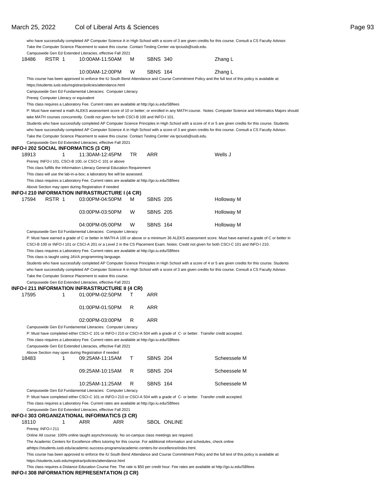|                |                                         | Take the Computer Science Placement to waive this course. Contact Testing Center via tpciusb@iusb.edu.                       |    |                 |                    | who have successfully completed AP Computer Science A in High School with a score of 3 are given credits for this course. Consult a CS Faculty Advisor.   |
|----------------|-----------------------------------------|------------------------------------------------------------------------------------------------------------------------------|----|-----------------|--------------------|-----------------------------------------------------------------------------------------------------------------------------------------------------------|
| 18486          | RSTR 1                                  | Campuswide Gen Ed Extended Literacies, effective Fall 2021<br>10:00AM-11:50AM                                                | м  | <b>SBNS 340</b> |                    | Zhang L                                                                                                                                                   |
|                |                                         | 10:00AM-12:00PM                                                                                                              | W  | <b>SBNS 164</b> |                    | Zhang L                                                                                                                                                   |
|                |                                         |                                                                                                                              |    |                 |                    | This course has been approved to enforce the IU South Bend Attendance and Course Commitment Policy and the full text of this policy is available at:      |
|                |                                         | https://students.iusb.edu/registrar/policies/attendance.html                                                                 |    |                 |                    |                                                                                                                                                           |
|                |                                         | Campuswide Gen Ed Fundamental Literacies: Computer Literacy                                                                  |    |                 |                    |                                                                                                                                                           |
|                | Prereq: Computer Literacy or equivalent |                                                                                                                              |    |                 |                    |                                                                                                                                                           |
|                |                                         | This class requires a Laboratory Fee. Current rates are available at http://go.iu.edu/SBfees                                 |    |                 |                    |                                                                                                                                                           |
|                |                                         | take MATH courses concurrently. Credit not given for both CSCI-B 100 and INFO-I 101.                                         |    |                 |                    | P: Must have earned a math ALEKS assessment score of 10 or better; or enrolled in any MATH course. Notes: Computer Science and Informatics Majors should  |
|                |                                         |                                                                                                                              |    |                 |                    | Students who have successfully completed AP Computer Science Principles in High School with a score of 4 or 5 are given credits for this course. Students |
|                |                                         |                                                                                                                              |    |                 |                    | who have successfully completed AP Computer Science A in High School with a score of 3 are given credits for this course. Consult a CS Faculty Advisor.   |
|                |                                         | Take the Computer Science Placement to waive this course. Contact Testing Center via tpciusb@iusb.edu.                       |    |                 |                    |                                                                                                                                                           |
|                |                                         | Campuswide Gen Ed Extended Literacies, effective Fall 2021                                                                   |    |                 |                    |                                                                                                                                                           |
|                |                                         | INFO-I 202 SOCIAL INFORMATICS (3 CR)                                                                                         |    |                 |                    |                                                                                                                                                           |
| 18913          | 1                                       | 11:30AM-12:45PM                                                                                                              | TR | ARR             |                    | Wells J                                                                                                                                                   |
|                |                                         | Prereq: INFO-I 101, CSCI-B 100, or CSCI-C 101 or above                                                                       |    |                 |                    |                                                                                                                                                           |
|                |                                         | This class fulfills the Information Literacy General Education Requirement                                                   |    |                 |                    |                                                                                                                                                           |
|                |                                         | This class will use the lab-in-a-box; a laboratory fee will be assessed.                                                     |    |                 |                    |                                                                                                                                                           |
|                |                                         | This class requires a Laboratory Fee. Current rates are available at http://go.iu.edu/SBfees                                 |    |                 |                    |                                                                                                                                                           |
|                |                                         | Above Section may open during Registration if needed                                                                         |    |                 |                    |                                                                                                                                                           |
|                |                                         | INFO-I 210 INFORMATION INFRASTRUCTURE I (4 CR)                                                                               |    |                 |                    |                                                                                                                                                           |
| 17594          | RSTR 1                                  | 03:00PM-04:50PM                                                                                                              | м  | <b>SBNS 205</b> |                    | Holloway M                                                                                                                                                |
|                |                                         |                                                                                                                              |    |                 |                    |                                                                                                                                                           |
|                |                                         | 03:00PM-03:50PM                                                                                                              | W  | <b>SBNS 205</b> |                    | Holloway M                                                                                                                                                |
|                |                                         | 04:00PM-05:00PM                                                                                                              | W  | <b>SBNS 164</b> |                    | Holloway M                                                                                                                                                |
|                |                                         |                                                                                                                              |    |                 |                    |                                                                                                                                                           |
|                |                                         | Campuswide Gen Ed Fundamental Literacies: Computer Literacy                                                                  |    |                 |                    |                                                                                                                                                           |
|                |                                         |                                                                                                                              |    |                 |                    |                                                                                                                                                           |
|                |                                         |                                                                                                                              |    |                 |                    | P: Must have earned a grade of C or better in MATH-A 100 or above or a minimum 36 ALEKS assessment score. Must have earned a grade of C or better in      |
|                |                                         |                                                                                                                              |    |                 |                    | CSCI-B 100 or INFO-I 101 or CSCI-A 201 or a Level 2 in the CS Placement Exam. Notes: Credit not given for both CSCI-C 101 and INFO-I 210.                 |
|                |                                         | This class requires a Laboratory Fee. Current rates are available at http://go.iu.edu/SBfees                                 |    |                 |                    |                                                                                                                                                           |
|                |                                         | This class is taught using JAVA programming language.                                                                        |    |                 |                    |                                                                                                                                                           |
|                |                                         |                                                                                                                              |    |                 |                    | Students who have successfully completed AP Computer Science Principles in High School with a score of 4 or 5 are given credits for this course. Students |
|                |                                         |                                                                                                                              |    |                 |                    | who have successfully completed AP Computer Science A in High School with a score of 3 are given credits for this course. Consult a CS Faculty Advisor.   |
|                |                                         | Take the Computer Science Placement to waive this course.                                                                    |    |                 |                    |                                                                                                                                                           |
|                |                                         | Campuswide Gen Ed Extended Literacies, effective Fall 2021<br>INFO-I 211 INFORMATION INFRASTRUCTURE II (4 CR)                |    |                 |                    |                                                                                                                                                           |
|                | 1                                       | 01:00PM-02:50PM                                                                                                              | T  | ARR             |                    |                                                                                                                                                           |
|                |                                         |                                                                                                                              |    |                 |                    |                                                                                                                                                           |
|                |                                         | 01:00PM-01:50PM                                                                                                              | R  | ARR             |                    |                                                                                                                                                           |
|                |                                         | 02:00PM-03:00PM                                                                                                              | R  | ARR             |                    |                                                                                                                                                           |
|                |                                         | Campuswide Gen Ed Fundamental Literacies: Computer Literacy                                                                  |    |                 |                    |                                                                                                                                                           |
|                |                                         |                                                                                                                              |    |                 |                    |                                                                                                                                                           |
|                |                                         | P: Must have completed either CSCI-C 101 or INFO-I 210 or CSCI-A 504 with a grade of C- or better. Transfer credit accepted. |    |                 |                    |                                                                                                                                                           |
|                |                                         | This class requires a Laboratory Fee. Current rates are available at http://go.iu.edu/SBfees                                 |    |                 |                    |                                                                                                                                                           |
| 17595          |                                         | Campuswide Gen Ed Extended Literacies, effective Fall 2021                                                                   |    |                 |                    |                                                                                                                                                           |
|                | 1                                       | Above Section may open during Registration if needed                                                                         | т  |                 |                    |                                                                                                                                                           |
|                |                                         | 09:25AM-11:15AM                                                                                                              |    | <b>SBNS 204</b> |                    | Scheessele M                                                                                                                                              |
|                |                                         | 09:25AM-10:15AM                                                                                                              | R  | <b>SBNS 204</b> |                    | Scheessele M                                                                                                                                              |
|                |                                         | 10:25AM-11:25AM                                                                                                              | R  | <b>SBNS 164</b> |                    | Scheessele M                                                                                                                                              |
|                |                                         | Campuswide Gen Ed Fundamental Literacies: Computer Literacy                                                                  |    |                 |                    |                                                                                                                                                           |
|                |                                         | P: Must have completed either CSCI-C 101 or INFO-I 210 or CSCI-A 504 with a grade of C- or better. Transfer credit accepted. |    |                 |                    |                                                                                                                                                           |
|                |                                         | This class requires a Laboratory Fee. Current rates are available at http://go.iu.edu/SBfees                                 |    |                 |                    |                                                                                                                                                           |
|                |                                         | Campuswide Gen Ed Extended Literacies, effective Fall 2021                                                                   |    |                 |                    |                                                                                                                                                           |
|                |                                         | INFO-I 303 ORGANIZATIONAL INFORMATICS (3 CR)                                                                                 |    |                 |                    |                                                                                                                                                           |
| 18483<br>18110 | 1                                       | ARR<br>ARR                                                                                                                   |    |                 | <b>SBOL ONLINE</b> |                                                                                                                                                           |
|                | Prereq: INFO-I 211                      |                                                                                                                              |    |                 |                    |                                                                                                                                                           |

at https://students.iusb.edu/academic-success-programs/academic-centers-for-excellence/index.html.

This course has been approved to enforce the IU South Bend Attendance and Course Commitment Policy and the full text of this policy is available at: https://students.iusb.edu/registrar/policies/attendance.html

This class requires a Distance Education Course Fee. The rate is \$50 per credit hour. Fee rates are available at http://go.iu.edu/SBfees

#### **INFO-I 308 INFORMATION REPRESENTATION (3 CR)**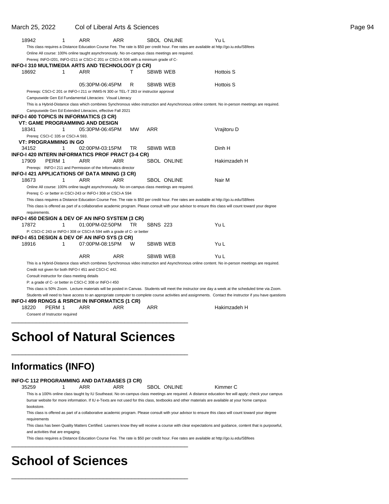| 18942                             |        | $\mathbf{1}$ | ARR                                                  | ARR                                                                                             |           |                 | SBOL ONLINE        | Yu L                                                                                                                                                     |  |
|-----------------------------------|--------|--------------|------------------------------------------------------|-------------------------------------------------------------------------------------------------|-----------|-----------------|--------------------|----------------------------------------------------------------------------------------------------------------------------------------------------------|--|
|                                   |        |              |                                                      |                                                                                                 |           |                 |                    | This class requires a Distance Education Course Fee. The rate is \$50 per credit hour. Fee rates are available at http://go.iu.edu/SBfees                |  |
|                                   |        |              |                                                      | Online All course: 100% online taught asynchronously. No on-campus class meetings are required. |           |                 |                    |                                                                                                                                                          |  |
|                                   |        |              |                                                      | Prereq: INFO-I201, INFO-I211 or CSCI-C 201 or CSCI-A 506 with a minimum grade of C-             |           |                 |                    |                                                                                                                                                          |  |
|                                   |        |              |                                                      | INFO-I 310 MULTIMEDIA ARTS AND TECHNOLOGY (3 CR)                                                |           |                 |                    |                                                                                                                                                          |  |
| 18692                             |        | 1            | ARR                                                  |                                                                                                 | т         | SBWB WEB        |                    | Hottois S                                                                                                                                                |  |
|                                   |        |              |                                                      |                                                                                                 |           |                 |                    |                                                                                                                                                          |  |
|                                   |        |              |                                                      | 05:30PM-06:45PM                                                                                 | R         | SBWB WEB        |                    | <b>Hottois S</b>                                                                                                                                         |  |
|                                   |        |              |                                                      | Prereqs: CSCI-C 201 or INFO-I 211 or INMS-N 300 or TEL-T 283 or instructor approval             |           |                 |                    |                                                                                                                                                          |  |
|                                   |        |              |                                                      | Campuswide Gen Ed Fundamental Literacies: Visual Literacy                                       |           |                 |                    |                                                                                                                                                          |  |
|                                   |        |              |                                                      |                                                                                                 |           |                 |                    | This is a Hybrid-Distance class which combines Synchronous video instruction and Asynchronous online content. No in-person meetings are required.        |  |
|                                   |        |              |                                                      | Campuswide Gen Ed Extended Literacies, effective Fall 2021                                      |           |                 |                    |                                                                                                                                                          |  |
|                                   |        |              | INFO-I 400 TOPICS IN INFORMATICS (3 CR)              |                                                                                                 |           |                 |                    |                                                                                                                                                          |  |
|                                   |        |              |                                                      | <b>VT: GAME PROGRAMMING AND DESIGN</b>                                                          |           |                 |                    |                                                                                                                                                          |  |
| 18341                             |        | 1            |                                                      | 05:30PM-06:45PM                                                                                 | <b>MW</b> | ARR             |                    | Vrajitoru D                                                                                                                                              |  |
| Prereq: CSCI-C 335 or CSCI-A 593. |        |              |                                                      |                                                                                                 |           |                 |                    |                                                                                                                                                          |  |
| <b>VT: PROGRAMMING IN GO</b>      |        |              |                                                      |                                                                                                 |           |                 |                    |                                                                                                                                                          |  |
| 34152                             |        | 1            |                                                      | 02:00PM-03:15PM                                                                                 | TR        | SBWB WEB        |                    | Dinh H                                                                                                                                                   |  |
|                                   |        |              |                                                      | INFO-I 420 INTERN INFORMATICS PROF PRACT (3-4 CR)                                               |           |                 |                    |                                                                                                                                                          |  |
| 17909                             | PERM 1 |              | ARR                                                  | ARR                                                                                             |           |                 | <b>SBOL ONLINE</b> | Hakimzadeh H                                                                                                                                             |  |
|                                   |        |              |                                                      | Prereqs: INFO-I 211 and Permission of the Informatics director                                  |           |                 |                    |                                                                                                                                                          |  |
|                                   |        |              |                                                      | INFO-I 421 APPLICATIONS OF DATA MINING (3 CR)                                                   |           |                 |                    |                                                                                                                                                          |  |
| 18673                             |        | 1            | ARR                                                  | ARR                                                                                             |           |                 | <b>SBOL ONLINE</b> | Nair M                                                                                                                                                   |  |
|                                   |        |              |                                                      | Online All course: 100% online taught asynchronously. No on-campus class meetings are required. |           |                 |                    |                                                                                                                                                          |  |
|                                   |        |              |                                                      | Prereq: C- or better in CSCI-243 or INFO-I 308 or CSCI-A 594                                    |           |                 |                    |                                                                                                                                                          |  |
|                                   |        |              |                                                      |                                                                                                 |           |                 |                    | This class requires a Distance Education Course Fee. The rate is \$50 per credit hour. Fee rates are available at http://go.iu.edu/SBfees                |  |
|                                   |        |              |                                                      |                                                                                                 |           |                 |                    | This class is offered as part of a collaborative academic program. Please consult with your advisor to ensure this class will count toward your degree   |  |
| requirements.                     |        |              |                                                      |                                                                                                 |           |                 |                    |                                                                                                                                                          |  |
|                                   |        |              |                                                      | INFO-I 450 DESIGN & DEV OF AN INFO SYSTEM (3 CR)                                                |           |                 |                    |                                                                                                                                                          |  |
| 17872                             |        | 1            |                                                      | 01:00PM-02:50PM                                                                                 | TR        | <b>SBNS 223</b> |                    | Yu L                                                                                                                                                     |  |
|                                   |        |              |                                                      | P: CSCI-C 243 or INFO-I 308 or CSCI-A 594 with a grade of C- or better                          |           |                 |                    |                                                                                                                                                          |  |
|                                   |        |              |                                                      | INFO-1451 DESIGN & DEV OF AN INFO SYS (3 CR)                                                    |           |                 |                    |                                                                                                                                                          |  |
| 18916                             |        | 1            |                                                      | 07:00PM-08:15PM                                                                                 | W         | SBWB WEB        |                    | Yu L                                                                                                                                                     |  |
|                                   |        |              | <b>ARR</b>                                           | <b>ARR</b>                                                                                      |           | SBWB WEB        |                    | Yu L                                                                                                                                                     |  |
|                                   |        |              |                                                      |                                                                                                 |           |                 |                    | This is a Hybrid-Distance class which combines Synchronous video instruction and Asynchronous online content. No in-person meetings are required.        |  |
|                                   |        |              | Credit not given for both INFO-I 451 and CSCI-C 442. |                                                                                                 |           |                 |                    |                                                                                                                                                          |  |
|                                   |        |              | Consult instructor for class meeting details         |                                                                                                 |           |                 |                    |                                                                                                                                                          |  |
|                                   |        |              |                                                      | P: a grade of C- or better in CSCI-C 308 or INFO-I 450                                          |           |                 |                    |                                                                                                                                                          |  |
|                                   |        |              |                                                      |                                                                                                 |           |                 |                    | This class is 50% Zoom. Lecture materials will be posted in Canvas. Students will meet the instructor one day a week at the scheduled time via Zoom.     |  |
|                                   |        |              |                                                      |                                                                                                 |           |                 |                    | Students will need to have access to an appropriate computer to complete course activities and assignments. Contact the instructor if you have questions |  |
|                                   |        |              |                                                      | INFO-I 499 RDNGS & RSRCH IN INFORMATICS (1 CR)                                                  |           |                 |                    |                                                                                                                                                          |  |
| 18220                             | PERM 1 |              | ARR                                                  | ARR                                                                                             |           | ARR             |                    | Hakimzadeh H                                                                                                                                             |  |
| Consent of Instructor required    |        |              |                                                      |                                                                                                 |           |                 |                    |                                                                                                                                                          |  |

# **School of Natural Sciences**

\_\_\_\_\_\_\_\_\_\_\_\_\_\_\_\_\_\_\_\_\_\_\_\_\_\_\_\_\_\_\_\_\_\_\_\_\_\_\_\_\_\_\_\_\_\_\_\_\_\_

\_\_\_\_\_\_\_\_\_\_\_\_\_\_\_\_\_\_\_\_\_\_\_\_\_\_\_\_\_\_\_\_\_\_\_\_\_\_\_\_\_\_\_\_\_\_\_\_\_\_

## **Informatics (INFO)**

| INFO-C 112 PROGRAMMING AND DATABASES (3 CR) |
|---------------------------------------------|
|---------------------------------------------|

35259 1 ARR ARR SBOL ONLINE Kimmer C

This is a 100% online class taught by IU Southeast. No on-campus class meetings are required. A distance education fee will apply; check your campus

\_\_\_\_\_\_\_\_\_\_\_\_\_\_\_\_\_\_\_\_\_\_\_\_\_\_\_\_\_\_\_\_\_\_\_\_\_\_\_\_\_\_\_\_\_\_\_\_\_\_

\_\_\_\_\_\_\_\_\_\_\_\_\_\_\_\_\_\_\_\_\_\_\_\_\_\_\_\_\_\_\_\_\_\_\_\_\_\_\_\_\_\_\_\_\_\_\_\_\_\_

bursar website for more information. If IU e-Texts are not used for this class, textbooks and other materials are available at your home campus bookstore.

This class is offered as part of a collaborative academic program. Please consult with your advisor to ensure this class will count toward your degree requirements

This class has been Quality Matters Certified. Learners know they will receive a course with clear expectations and guidance, content that is purposeful, and activities that are engaging.

This class requires a Distance Education Course Fee. The rate is \$50 per credit hour. Fee rates are available at http://go.iu.edu/SBfees

# **School of Sciences**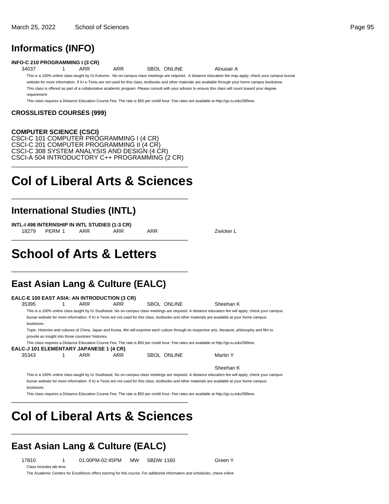## **Informatics (INFO)**

**INFO-C 210 PROGRAMMING I (3 CR)**

34037 1 ARR ARR SBOL ONLINE Alnusair A

This is a 100% online class taught by IU Kokomo. No on-campus class meetings are required. A distance education fee may apply; check your campus bursar

website for more information. If IU e-Texts are not used for this class, textbooks and other materials are available through your home campus bookstore. This class is offered as part of a collaborative academic program. Please consult with your advisor to ensure this class will count toward your degree requirement

This class requires a Distance Education Course Fee. The rate is \$50 per credit hour. Fee rates are available at http://go.iu.edu/SBfees

#### **CROSSLISTED COURSES (999)**

#### **COMPUTER SCIENCE (CSCI)**

CSCI-C 101 COMPUTER PROGRAMMING I (4 CR) CSCI-C 201 COMPUTER PROGRAMMING II (4 CR) CSCI-C 308 SYSTEM ANALYSIS AND DESIGN (4 CR) CSCI-A 504 INTRODUCTORY C++ PROGRAMMING (2 CR) \_\_\_\_\_\_\_\_\_\_\_\_\_\_\_\_\_\_\_\_\_\_\_\_\_\_\_\_\_\_\_\_\_\_\_\_\_\_\_\_\_\_\_\_\_\_\_\_\_\_

# **Col of Liberal Arts & Sciences**

\_\_\_\_\_\_\_\_\_\_\_\_\_\_\_\_\_\_\_\_\_\_\_\_\_\_\_\_\_\_\_\_\_\_\_\_\_\_\_\_\_\_\_\_\_\_\_\_\_\_

## **International Studies (INTL)**

**INTL-I 498 INTERNSHIP IN INTL STUDIES (1-3 CR)** 18279 PERM 1 ARR ARR ARR 2010 ARR Zwicker L \_\_\_\_\_\_\_\_\_\_\_\_\_\_\_\_\_\_\_\_\_\_\_\_\_\_\_\_\_\_\_\_\_\_\_\_\_\_\_\_\_\_\_\_\_\_\_\_\_\_

# **School of Arts & Letters**

## **East Asian Lang & Culture (EALC)**

\_\_\_\_\_\_\_\_\_\_\_\_\_\_\_\_\_\_\_\_\_\_\_\_\_\_\_\_\_\_\_\_\_\_\_\_\_\_\_\_\_\_\_\_\_\_\_\_\_\_

| 35395                                          | ARR                                                 | ARR        | SBOL ONLINE | Sheehan K                                                                                                                                             |  |
|------------------------------------------------|-----------------------------------------------------|------------|-------------|-------------------------------------------------------------------------------------------------------------------------------------------------------|--|
|                                                |                                                     |            |             | This is a 100% online class taught by IU Southeast. No on-campus class meetings are required. A distance education fee will apply; check your campus  |  |
|                                                |                                                     |            |             | bursar website for more information. If IU e-Texts are not used for this class, textbooks and other materials are available at your home campus       |  |
| bookstore.                                     |                                                     |            |             |                                                                                                                                                       |  |
|                                                |                                                     |            |             | Topic: Histories and cultures of China, Japan and Korea. We will examine each culture through its respective arts, literature, philosophy and film to |  |
|                                                | provide an insight into those countries' histories. |            |             |                                                                                                                                                       |  |
|                                                |                                                     |            |             | This class requires a Distance Education Course Fee. The rate is \$50 per credit hour. Fee rates are available at http://qo.iu.edu/SBfees             |  |
| <b>EALC-J 101 ELEMENTARY JAPANESE 1 (4 CR)</b> |                                                     |            |             |                                                                                                                                                       |  |
| 35343                                          | ARR                                                 | <b>ARR</b> | SBOL ONLINE | Martin Y                                                                                                                                              |  |
|                                                |                                                     |            |             | Sheehan K                                                                                                                                             |  |
|                                                |                                                     |            |             | This is a 100% online class taught by IU Southeast. No on-campus class meetings are required. A distance education fee will apply; check your campus  |  |
|                                                |                                                     |            |             | bursar website for more information. If IU e-Texts are not used for this class, textbooks and other materials are available at your home campus       |  |

This class requires a Distance Education Course Fee. The rate is \$50 per credit hour. Fee rates are available at http://go.iu.edu/SBfees

# **Col of Liberal Arts & Sciences**

\_\_\_\_\_\_\_\_\_\_\_\_\_\_\_\_\_\_\_\_\_\_\_\_\_\_\_\_\_\_\_\_\_\_\_\_\_\_\_\_\_\_\_\_\_\_\_\_\_\_

\_\_\_\_\_\_\_\_\_\_\_\_\_\_\_\_\_\_\_\_\_\_\_\_\_\_\_\_\_\_\_\_\_\_\_\_\_\_\_\_\_\_\_\_\_\_\_\_\_\_

## **East Asian Lang & Culture (EALC)**

Class includes lab time.

17810 1 01:00PM-02:45PM MW SBDW 1160 Green Y

The Academic Centers for Excellence offers tutoring for this course. For additional information and schedules, check online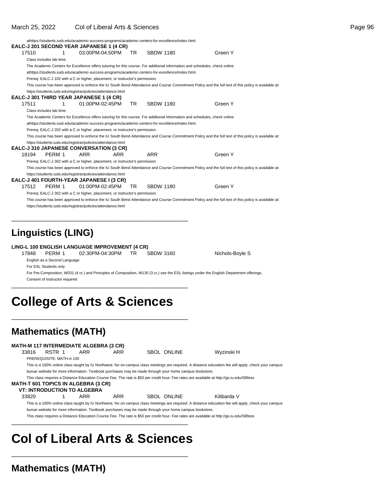|                           |                          |   | athttps://students.iusb.edu/academic-success-programs/academic-centers-for-excellence/index.html.                           |            |                  |                                                                                                                                                      |  |
|---------------------------|--------------------------|---|-----------------------------------------------------------------------------------------------------------------------------|------------|------------------|------------------------------------------------------------------------------------------------------------------------------------------------------|--|
|                           |                          |   | EALC-J 201 SECOND YEAR JAPANESE 1 (4 CR)                                                                                    |            |                  |                                                                                                                                                      |  |
| 17510                     |                          | 1 | 03:00PM-04:50PM                                                                                                             | TR.        | <b>SBDW 1180</b> | Green Y                                                                                                                                              |  |
|                           | Class includes lab time. |   |                                                                                                                             |            |                  |                                                                                                                                                      |  |
|                           |                          |   | The Academic Centers for Excellence offers tutoring for this course. For additional information and schedules, check online |            |                  |                                                                                                                                                      |  |
|                           |                          |   | athttps://students.iusb.edu/academic-success-programs/academic-centers-for-excellence/index.html.                           |            |                  |                                                                                                                                                      |  |
|                           |                          |   | Prereq: EALC-J 102 with a C or higher, placement, or instructor's permission.                                               |            |                  |                                                                                                                                                      |  |
|                           |                          |   |                                                                                                                             |            |                  | This course has been approved to enforce the IU South Bend Attendance and Course Commitment Policy and the full text of this policy is available at: |  |
|                           |                          |   | https://students.iusb.edu/registrar/policies/attendance.html                                                                |            |                  |                                                                                                                                                      |  |
|                           |                          |   | EALC-J 301 THIRD YEAR JAPANESE 1 (4 CR)                                                                                     |            |                  |                                                                                                                                                      |  |
| 17511                     |                          | 1 | 01:00PM-02:45PM                                                                                                             | <b>TR</b>  | <b>SBDW 1180</b> | Green Y                                                                                                                                              |  |
|                           | Class includes lab time. |   |                                                                                                                             |            |                  |                                                                                                                                                      |  |
|                           |                          |   | The Academic Centers for Excellence offers tutoring for this course. For additional information and schedules, check online |            |                  |                                                                                                                                                      |  |
|                           |                          |   | athttps://students.iusb.edu/academic-success-programs/academic-centers-for-excellence/index.html.                           |            |                  |                                                                                                                                                      |  |
|                           |                          |   | Prereq: EALC-J 202 with a C or higher, placement, or instructor's permission.                                               |            |                  |                                                                                                                                                      |  |
|                           |                          |   |                                                                                                                             |            |                  | This course has been approved to enforce the IU South Bend Attendance and Course Commitment Policy and the full text of this policy is available at: |  |
|                           |                          |   | https://students.iusb.edu/registrar/policies/attendance.html                                                                |            |                  |                                                                                                                                                      |  |
|                           |                          |   | EALC-J 310 JAPANESE CONVERSATION (3 CR)                                                                                     |            |                  |                                                                                                                                                      |  |
| 18194                     | PERM 1                   |   | <b>ARR</b>                                                                                                                  | <b>ARR</b> | <b>ARR</b>       | Green Y                                                                                                                                              |  |
|                           |                          |   | Prereq: EALC-J 302 with a C or higher, placement, or instructor's permission.                                               |            |                  |                                                                                                                                                      |  |
|                           |                          |   |                                                                                                                             |            |                  | This course has been approved to enforce the IU South Bend Attendance and Course Commitment Policy and the full text of this policy is available at: |  |
|                           |                          |   | https://students.iusb.edu/registrar/policies/attendance.html                                                                |            |                  |                                                                                                                                                      |  |
|                           |                          |   | EALC-J 401 FOURTH-YEAR JAPANESE I (3 CR)                                                                                    |            |                  |                                                                                                                                                      |  |
| 17512                     | PERM 1                   |   | 01:00PM-02:45PM                                                                                                             | TR.        | <b>SBDW 1180</b> | Green Y                                                                                                                                              |  |
|                           |                          |   | Prereq: EALC-J 302 with a C or higher, placement, or instructor's permission.                                               |            |                  |                                                                                                                                                      |  |
|                           |                          |   |                                                                                                                             |            |                  | This course has been approved to enforce the IU South Bend Attendance and Course Commitment Policy and the full text of this policy is available at: |  |
|                           |                          |   | https://students.iusb.edu/registrar/policies/attendance.html                                                                |            |                  |                                                                                                                                                      |  |
|                           |                          |   |                                                                                                                             |            |                  |                                                                                                                                                      |  |
|                           |                          |   |                                                                                                                             |            |                  |                                                                                                                                                      |  |
|                           |                          |   |                                                                                                                             |            |                  |                                                                                                                                                      |  |
| <b>Linguistics (LING)</b> |                          |   |                                                                                                                             |            |                  |                                                                                                                                                      |  |
|                           |                          |   |                                                                                                                             |            |                  |                                                                                                                                                      |  |
|                           |                          |   | LING-L 100 ENGLISH LANGUAGE IMPROVEMENT (4 CR)                                                                              |            |                  |                                                                                                                                                      |  |

17848 PERM 1 02:30PM-04:30PM TR SBDW 3160 Nichols-Boyle S English as a Second Language For ESL Students only For Pre-Composition, W031 (4 cr.) and Principles of Composition, W130 (3 cr.) see the ESL listings under the English Department offerings. Consent of Instructor required

# **College of Arts & Sciences**

\_\_\_\_\_\_\_\_\_\_\_\_\_\_\_\_\_\_\_\_\_\_\_\_\_\_\_\_\_\_\_\_\_\_\_\_\_\_\_\_\_\_\_\_\_\_\_\_\_\_

\_\_\_\_\_\_\_\_\_\_\_\_\_\_\_\_\_\_\_\_\_\_\_\_\_\_\_\_\_\_\_\_\_\_\_\_\_\_\_\_\_\_\_\_\_\_\_\_\_\_

### **Mathematics (MATH)**

**MATH-M 117 INTERMEDIATE ALGEBRA (3 CR)**

33816 RSTR 1 ARR ARR SBOL ONLINE Wyzinski H PREREQUISITE: MATH-A 100 This is a 100% online class taught by IU Northwest. No on-campus class meetings are required. A distance education fee will apply; check your campus bursar website for more information. Textbook purchases may be made through your home campus bookstore. This class requires a Distance Education Course Fee. The rate is \$50 per credit hour. Fee rates are available at http://go.iu.edu/SBfees **MATH-T 601 TOPICS IN ALGEBRA (3 CR) VT: INTRODUCTION TO ALGEBRA** 33820 1 ARR ARR SBOL ONLINE Kilibarda V

This is a 100% online class taught by IU Northwest. No on-campus class meetings are required. A distance education fee will apply; check your campus bursar website for more information. Textbook purchases may be made through your home campus bookstore. This class requires a Distance Education Course Fee. The rate is \$50 per credit hour. Fee rates are available at http://go.iu.edu/SBfees

# **Col of Liberal Arts & Sciences**

\_\_\_\_\_\_\_\_\_\_\_\_\_\_\_\_\_\_\_\_\_\_\_\_\_\_\_\_\_\_\_\_\_\_\_\_\_\_\_\_\_\_\_\_\_\_\_\_\_\_

\_\_\_\_\_\_\_\_\_\_\_\_\_\_\_\_\_\_\_\_\_\_\_\_\_\_\_\_\_\_\_\_\_\_\_\_\_\_\_\_\_\_\_\_\_\_\_\_\_\_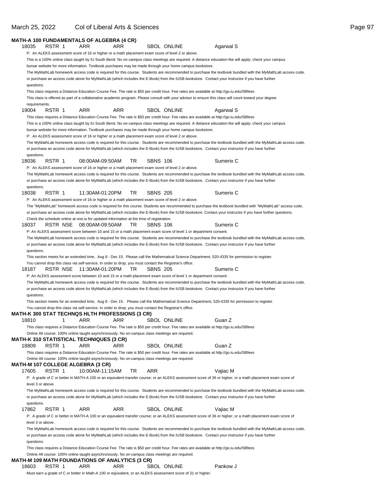|                        |          | MATH-A 100 FUNDAMENTALS OF ALGEBRA (4 CR)                                                               |     |                 |                                                                                                                 |                                                                                                                                                            |  |
|------------------------|----------|---------------------------------------------------------------------------------------------------------|-----|-----------------|-----------------------------------------------------------------------------------------------------------------|------------------------------------------------------------------------------------------------------------------------------------------------------------|--|
| 18035                  | RSTR 1   | ARR                                                                                                     | ARR |                 | <b>SBOL ONLINE</b>                                                                                              | Agarwal S                                                                                                                                                  |  |
|                        |          |                                                                                                         |     |                 | P: An ALEKS assessment score of 16 or higher or a math placement exam score of level 2 or above.                |                                                                                                                                                            |  |
|                        |          |                                                                                                         |     |                 |                                                                                                                 | This is a 100% online class taught by IU South Bend. No on-campus class meetings are required. A distance education fee will apply; check your campus      |  |
|                        |          |                                                                                                         |     |                 | bursar website for more information. Textbook purchases may be made through your home campus bookstore.         |                                                                                                                                                            |  |
|                        |          |                                                                                                         |     |                 |                                                                                                                 | The MyMathLab homework access code is required for this course. Students are recommended to purchase the textbook bundled with the MyMathLab access code,  |  |
|                        |          |                                                                                                         |     |                 |                                                                                                                 | or purchase an access code alone for MyMathLab (which includes the E-Book) from the IUSB bookstore. Contact your instructor if you have further            |  |
| questions.             |          |                                                                                                         |     |                 |                                                                                                                 |                                                                                                                                                            |  |
|                        |          |                                                                                                         |     |                 |                                                                                                                 | This class requires a Distance Education Course Fee. The rate is \$50 per credit hour. Fee rates are available at http://go.iu.edu/SBfees                  |  |
|                        |          |                                                                                                         |     |                 |                                                                                                                 | This class is offered as part of a collaborative academic program. Please consult with your advisor to ensure this class will count toward your degree     |  |
| requirements.<br>19004 | RSTR 1   | ARR                                                                                                     | ARR |                 | <b>SBOL ONLINE</b>                                                                                              | Agarwal S                                                                                                                                                  |  |
|                        |          |                                                                                                         |     |                 |                                                                                                                 | This class requires a Distance Education Course Fee. The rate is \$50 per credit hour. Fee rates are available at http://go.iu.edu/SBfees                  |  |
|                        |          |                                                                                                         |     |                 |                                                                                                                 | This is a 100% online class taught by IU South Bend. No on-campus class meetings are required. A distance education fee will apply; check your campus      |  |
|                        |          |                                                                                                         |     |                 | bursar website for more information. Textbook purchases may be made through your home campus bookstore.         |                                                                                                                                                            |  |
|                        |          |                                                                                                         |     |                 | P: An ALEKS assessment score of 16 or higher or a math placement exam score of level 2 or above.                |                                                                                                                                                            |  |
|                        |          |                                                                                                         |     |                 |                                                                                                                 | The MyMathLab homework access code is required for this course. Students are recommended to purchase the textbook bundled with the MyMathLab access code,  |  |
|                        |          |                                                                                                         |     |                 |                                                                                                                 | or purchase an access code alone for MyMathLab (which includes the E-Book) from the IUSB bookstore. Contact your instructor if you have further            |  |
| questions.             | RSTR 1   | 08:00AM-09:50AM                                                                                         |     |                 |                                                                                                                 |                                                                                                                                                            |  |
| 18036                  |          |                                                                                                         | TR  | <b>SBNS 106</b> | P: An ALEKS assessment score of 16 or higher or a math placement exam score of level 2 or above.                | Sumerix C                                                                                                                                                  |  |
|                        |          |                                                                                                         |     |                 |                                                                                                                 | The MyMathLab homework access code is required for this course. Students are recommended to purchase the textbook bundled with the MyMathLab access code,  |  |
|                        |          |                                                                                                         |     |                 |                                                                                                                 | or purchase an access code alone for MyMathLab (which includes the E-Book) from the IUSB bookstore. Contact your instructor if you have further            |  |
| questions.             |          |                                                                                                         |     |                 |                                                                                                                 |                                                                                                                                                            |  |
| 18038                  | RSTR 1   | 11:30AM-01:20PM                                                                                         | TR  | <b>SBNS 205</b> |                                                                                                                 | Sumerix C                                                                                                                                                  |  |
|                        |          |                                                                                                         |     |                 | P: An ALEKS assessment score of 16 or higher or a math placement exam score of level 2 or above.                |                                                                                                                                                            |  |
|                        |          |                                                                                                         |     |                 |                                                                                                                 | The "MyMathLab" homework access code is required for this course. Students are recommended to purchase the textbook bundled with "MyMathLab" access code,  |  |
|                        |          |                                                                                                         |     |                 |                                                                                                                 | or purchase an access code alone for MyMathLab (which includes the E-Book) from the IUSB bookstore. Contact your instructor if you have further questions. |  |
|                        |          | Check the schedule online at one.iu for updated information at the time of registration.                |     |                 |                                                                                                                 |                                                                                                                                                            |  |
| 18037                  |          |                                                                                                         | TR  | <b>SBNS 106</b> |                                                                                                                 | Sumerix C                                                                                                                                                  |  |
|                        |          |                                                                                                         |     |                 | P: An ALEKS assessment score between 10 and 15 or a math placement exam score of level 1 or department consent. | The MyMathLab homework access code is required for this course. Students are recommended to purchase the textbook bundled with the MyMathLab access code,  |  |
|                        |          |                                                                                                         |     |                 |                                                                                                                 | or purchase an access code alone for MyMathLab (which includes the E-Book) from the IUSB bookstore. Contact your instructor if you have further            |  |
| questions.             |          |                                                                                                         |     |                 |                                                                                                                 |                                                                                                                                                            |  |
|                        |          |                                                                                                         |     |                 |                                                                                                                 | This section meets for an extended time, Aug 8 - Dec 15. Please call the Mathematical Science Department, 520-4335 for permission to register.             |  |
|                        |          | You cannot drop this class via self-service. In order to drop, you must contact the Registrar's office. |     |                 |                                                                                                                 |                                                                                                                                                            |  |
| 18187                  | RSTR NSE | 11:30AM-01:20PM                                                                                         | TR  | <b>SBNS 205</b> |                                                                                                                 | Sumerix C                                                                                                                                                  |  |
|                        |          |                                                                                                         |     |                 | P: An ALEKS assessment score between 10 and 15 or a math placement exam score of level 1 or department consent. |                                                                                                                                                            |  |
|                        |          |                                                                                                         |     |                 |                                                                                                                 | The MyMathLab homework access code is required for this course. Students are recommended to purchase the textbook bundled with the MyMathLab access code,  |  |
| questions.             |          |                                                                                                         |     |                 |                                                                                                                 | or purchase an access code alone for MyMathLab (which includes the E-Book) from the IUSB bookstore. Contact your instructor if you have further            |  |
|                        |          |                                                                                                         |     |                 |                                                                                                                 | This section meets for an extended time, Aug 8 - Dec 15. Please call the Mathematical Science Department, 520-4335 for permission to register.             |  |
|                        |          | You cannot drop this class via self-service. In order to drop, you must contact the Registrar's office. |     |                 |                                                                                                                 |                                                                                                                                                            |  |
|                        |          | <b>MATH-K 300 STAT TECHNQS HLTH PROFESSIONS (3 CR)</b>                                                  |     |                 |                                                                                                                 |                                                                                                                                                            |  |
| 18810                  |          | ARR                                                                                                     | ARR |                 | SBOL ONLINE                                                                                                     | Guan Z                                                                                                                                                     |  |
|                        |          |                                                                                                         |     |                 |                                                                                                                 | This class requires a Distance Education Course Fee. The rate is \$50 per credit hour. Fee rates are available at http://go.iu.edu/SBfees                  |  |
|                        |          | Online All course: 100% online taught asynchronously. No on-campus class meetings are required.         |     |                 |                                                                                                                 |                                                                                                                                                            |  |
|                        |          | MATH-K 310 STATISTICAL TECHNIQUES (3 CR)                                                                |     |                 |                                                                                                                 |                                                                                                                                                            |  |
| 18809                  | RSTR 1   | ARR                                                                                                     | ARR |                 | SBOL ONLINE                                                                                                     | Guan Z                                                                                                                                                     |  |
|                        |          | Online All course: 100% online taught asynchronously. No on-campus class meetings are required.         |     |                 |                                                                                                                 | This class requires a Distance Education Course Fee. The rate is \$50 per credit hour. Fee rates are available at http://go.iu.edu/SBfees                  |  |
|                        |          | MATH-M 107 COLLEGE ALGEBRA (3 CR)                                                                       |     |                 |                                                                                                                 |                                                                                                                                                            |  |
| 17605                  | RSTR 1   | 10:00AM-11:15AM                                                                                         | TR  | ARR             |                                                                                                                 | Vajiac M                                                                                                                                                   |  |
|                        |          |                                                                                                         |     |                 |                                                                                                                 | P: A grade of C or better in MATH-A 100 or an equivalent transfer course; or an ALEKS assessment score of 36 or higher; or a math placement exam score of  |  |
| level 3 or above.      |          |                                                                                                         |     |                 |                                                                                                                 |                                                                                                                                                            |  |
|                        |          |                                                                                                         |     |                 |                                                                                                                 | The MyMathLab homework access code is required for this course. Students are recommended to purchase the textbook bundled with the MyMathLab access code,  |  |
|                        |          |                                                                                                         |     |                 |                                                                                                                 | or purchase an access code alone for MyMathLab (which includes the E-Book) from the IUSB bookstore. Contact your instructor if you have further            |  |
| questions.             |          |                                                                                                         |     |                 |                                                                                                                 |                                                                                                                                                            |  |
| 17862                  | RSTR 1   | ARR                                                                                                     | ARR |                 | SBOL ONLINE                                                                                                     | Vajiac M                                                                                                                                                   |  |
|                        |          |                                                                                                         |     |                 |                                                                                                                 | P: A grade of C or better in MATH-A 100 or an equivalent transfer course; or an ALEKS assessment score of 36 or higher; or a math placement exam score of  |  |
| level 3 or above.      |          |                                                                                                         |     |                 |                                                                                                                 |                                                                                                                                                            |  |
|                        |          |                                                                                                         |     |                 |                                                                                                                 | The MyMathLab homework access code is required for this course. Students are recommended to purchase the textbook bundled with the MyMathLab access code,  |  |
| questions.             |          |                                                                                                         |     |                 |                                                                                                                 | or purchase an access code alone for MyMathLab (which includes the E-Book) from the IUSB bookstore. Contact your instructor if you have further            |  |
|                        |          |                                                                                                         |     |                 |                                                                                                                 | This class requires a Distance Education Course Fee. The rate is \$50 per credit hour. Fee rates are available at http://go.iu.edu/SBfees                  |  |
|                        |          | Online All course: 100% online taught asynchronously. No on-campus class meetings are required.         |     |                 |                                                                                                                 |                                                                                                                                                            |  |
|                        |          | MATH-M 109 MATH FOUNDATIONS OF ANALYTICS (3 CR)                                                         |     |                 |                                                                                                                 |                                                                                                                                                            |  |
| 18603                  | RSTR 1   | ARR                                                                                                     | ARR |                 | <b>SBOL ONLINE</b>                                                                                              | Pankow J                                                                                                                                                   |  |
|                        |          |                                                                                                         |     |                 | Must earn a grade of C or better in Math-A 100 or equivalent, or an ALEKS assessment score of 31 or higher.     |                                                                                                                                                            |  |

### March 25, 2022 Col of Liberal Arts & Sciences **Page 97** Collection 25, 2022 Collection 27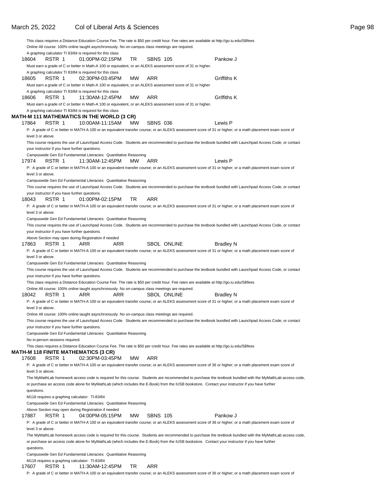|                   |                                                |                                                                                                             |           |                 |                    | This class requires a Distance Education Course Fee. The rate is \$50 per credit hour. Fee rates are available at http://go.iu.edu/SBfees                 |                                                                                                                                                           |
|-------------------|------------------------------------------------|-------------------------------------------------------------------------------------------------------------|-----------|-----------------|--------------------|-----------------------------------------------------------------------------------------------------------------------------------------------------------|-----------------------------------------------------------------------------------------------------------------------------------------------------------|
|                   |                                                | Online All course: 100% online taught asynchronously. No on-campus class meetings are required.             |           |                 |                    |                                                                                                                                                           |                                                                                                                                                           |
|                   |                                                | A graphing calculator TI 83/84 is required for this class                                                   |           |                 |                    |                                                                                                                                                           |                                                                                                                                                           |
| 18604             | RSTR 1                                         | 01:00PM-02:15PM                                                                                             | TR        | <b>SBNS 105</b> |                    | Pankow J                                                                                                                                                  |                                                                                                                                                           |
|                   |                                                | Must earn a grade of C or better in Math-A 100 or equivalent, or an ALEKS assessment score of 31 or higher. |           |                 |                    |                                                                                                                                                           |                                                                                                                                                           |
|                   |                                                | A graphing calculator TI 83/84 is required for this class                                                   |           |                 |                    |                                                                                                                                                           |                                                                                                                                                           |
| 18605             | RSTR 1                                         | 02:30PM-03:45PM                                                                                             | MW        | ARR             |                    | Griffiths K                                                                                                                                               |                                                                                                                                                           |
|                   |                                                | Must earn a grade of C or better in Math-A 100 or equivalent, or an ALEKS assessment score of 31 or higher  |           |                 |                    |                                                                                                                                                           |                                                                                                                                                           |
|                   |                                                | A graphing calculator TI 83/84 is required for this class                                                   |           |                 |                    |                                                                                                                                                           |                                                                                                                                                           |
| 18606             | RSTR 1                                         | 11:30AM-12:45PM                                                                                             | <b>MW</b> | ARR             |                    | Griffiths K                                                                                                                                               |                                                                                                                                                           |
|                   |                                                | Must earn a grade of C or better in Math-A 100 or equivalent, or an ALEKS assessment score of 31 or higher. |           |                 |                    |                                                                                                                                                           |                                                                                                                                                           |
|                   |                                                | A graphing calculator TI 83/84 is required for this class                                                   |           |                 |                    |                                                                                                                                                           |                                                                                                                                                           |
|                   |                                                | MATH-M 111 MATHEMATICS IN THE WORLD (3 CR)                                                                  |           |                 |                    |                                                                                                                                                           |                                                                                                                                                           |
| 17864             | RSTR 1                                         | 10:00AM-11:15AM                                                                                             | <b>MW</b> | <b>SBNS 036</b> |                    | Lewis P                                                                                                                                                   |                                                                                                                                                           |
|                   |                                                |                                                                                                             |           |                 |                    | P: A grade of C or better in MATH-A 100 or an equivalent transfer course; or an ALEKS assessment score of 31 or higher; or a math placement exam score of |                                                                                                                                                           |
| level 3 or above. |                                                |                                                                                                             |           |                 |                    |                                                                                                                                                           |                                                                                                                                                           |
|                   |                                                |                                                                                                             |           |                 |                    |                                                                                                                                                           | This course requires the use of Launchpad Access Code. Students are recommended to purchase the textbook bundled with Launchpad Access Code, or contact   |
|                   | your instructor if you have further questions. |                                                                                                             |           |                 |                    |                                                                                                                                                           |                                                                                                                                                           |
|                   |                                                | Campuswide Gen Ed Fundamental Literacies: Quantitative Reasoning                                            |           |                 |                    |                                                                                                                                                           |                                                                                                                                                           |
| 17974             | RSTR 1                                         | 11:30AM-12:45PM                                                                                             | <b>MW</b> | ARR             |                    | Lewis P                                                                                                                                                   |                                                                                                                                                           |
|                   |                                                |                                                                                                             |           |                 |                    |                                                                                                                                                           |                                                                                                                                                           |
|                   |                                                |                                                                                                             |           |                 |                    | P: A grade of C or better in MATH-A 100 or an equivalent transfer course; or an ALEKS assessment score of 31 or higher; or a math placement exam score of |                                                                                                                                                           |
| level 3 or above. |                                                |                                                                                                             |           |                 |                    |                                                                                                                                                           |                                                                                                                                                           |
|                   |                                                | Campuswide Gen Ed Fundamental Literacies: Quantitative Reasoning                                            |           |                 |                    |                                                                                                                                                           |                                                                                                                                                           |
|                   |                                                |                                                                                                             |           |                 |                    |                                                                                                                                                           | This course requires the use of Launchpad Access Code. Students are recommended to purchase the textbook bundled with Launchpad Access Code, or contact   |
|                   | your instructor if you have further questions. |                                                                                                             |           |                 |                    |                                                                                                                                                           |                                                                                                                                                           |
| 18043             | RSTR 1                                         | 01:00PM-02:15PM                                                                                             | TR        | ARR             |                    |                                                                                                                                                           |                                                                                                                                                           |
|                   |                                                |                                                                                                             |           |                 |                    | P: A grade of C or better in MATH-A 100 or an equivalent transfer course; or an ALEKS assessment score of 31 or higher; or a math placement exam score of |                                                                                                                                                           |
| level 3 or above. |                                                |                                                                                                             |           |                 |                    |                                                                                                                                                           |                                                                                                                                                           |
|                   |                                                | Campuswide Gen Ed Fundamental Literacies: Quantitative Reasoning                                            |           |                 |                    |                                                                                                                                                           |                                                                                                                                                           |
|                   |                                                |                                                                                                             |           |                 |                    |                                                                                                                                                           | This course requires the use of Launchpad Access Code. Students are recommended to purchase the textbook bundled with Launchpad Access Code, or contact   |
|                   | your instructor if you have further questions. |                                                                                                             |           |                 |                    |                                                                                                                                                           |                                                                                                                                                           |
|                   |                                                | Above Section may open during Registration if needed                                                        |           |                 |                    |                                                                                                                                                           |                                                                                                                                                           |
| 17863             | RSTR 1                                         | ARR                                                                                                         | ARR       |                 | <b>SBOL ONLINE</b> | <b>Bradley N</b>                                                                                                                                          |                                                                                                                                                           |
|                   |                                                |                                                                                                             |           |                 |                    | P: A grade of C or better in MATH-A 100 or an equivalent transfer course; or an ALEKS assessment score of 31 or higher; or a math placement exam score of |                                                                                                                                                           |
| level 3 or above. |                                                |                                                                                                             |           |                 |                    |                                                                                                                                                           |                                                                                                                                                           |
|                   |                                                | Campuswide Gen Ed Fundamental Literacies: Quantitative Reasoning                                            |           |                 |                    |                                                                                                                                                           |                                                                                                                                                           |
|                   |                                                |                                                                                                             |           |                 |                    |                                                                                                                                                           | This course requires the use of Launchpad Access Code. Students are recommended to purchase the textbook bundled with Launchpad Access Code, or contact   |
|                   | your instructor if you have further questions. |                                                                                                             |           |                 |                    |                                                                                                                                                           |                                                                                                                                                           |
|                   |                                                |                                                                                                             |           |                 |                    | This class requires a Distance Education Course Fee. The rate is \$50 per credit hour. Fee rates are available at http://go.iu.edu/SBfees                 |                                                                                                                                                           |
|                   |                                                | Online All course: 100% online taught asynchronously. No on-campus class meetings are required.             |           |                 |                    |                                                                                                                                                           |                                                                                                                                                           |
| 18042             | RSTR 1                                         | ARR                                                                                                         | ARR       |                 | <b>SBOL ONLINE</b> | <b>Bradley N</b>                                                                                                                                          |                                                                                                                                                           |
|                   |                                                |                                                                                                             |           |                 |                    | P: A grade of C or better in MATH-A 100 or an equivalent transfer course; or an ALEKS assessment score of 31 or higher; or a math placement exam score of |                                                                                                                                                           |
| level 3 or above. |                                                |                                                                                                             |           |                 |                    |                                                                                                                                                           |                                                                                                                                                           |
|                   |                                                | Online All course: 100% online taught asynchronously. No on-campus class meetings are required.             |           |                 |                    |                                                                                                                                                           |                                                                                                                                                           |
|                   |                                                |                                                                                                             |           |                 |                    |                                                                                                                                                           | This course requires the use of Launchpad Access Code. Students are recommended to purchase the textbook bundled with Launchpad Access Code, or contact   |
|                   | your instructor if you have further questions. |                                                                                                             |           |                 |                    |                                                                                                                                                           |                                                                                                                                                           |
|                   |                                                | Campuswide Gen Ed Fundamental Literacies: Quantitative Reasoning                                            |           |                 |                    |                                                                                                                                                           |                                                                                                                                                           |
|                   |                                                |                                                                                                             |           |                 |                    |                                                                                                                                                           |                                                                                                                                                           |
|                   | No in-person sessions required.                |                                                                                                             |           |                 |                    |                                                                                                                                                           |                                                                                                                                                           |
|                   |                                                |                                                                                                             |           |                 |                    | This class requires a Distance Education Course Fee. The rate is \$50 per credit hour. Fee rates are available at http://go.iu.edu/SBfees                 |                                                                                                                                                           |
|                   |                                                | MATH-M 118 FINITE MATHEMATICS (3 CR)<br>02:30PM-03:45PM                                                     |           | ARR             |                    |                                                                                                                                                           |                                                                                                                                                           |
| 17608             | RSTR 1                                         |                                                                                                             | МW        |                 |                    |                                                                                                                                                           |                                                                                                                                                           |
|                   |                                                |                                                                                                             |           |                 |                    | P: A grade of C or better in MATH-A 100 or an equivalent transfer course; or an ALEKS assessment score of 36 or higher; or a math placement exam score of |                                                                                                                                                           |
| level 3 or above. |                                                |                                                                                                             |           |                 |                    |                                                                                                                                                           |                                                                                                                                                           |
|                   |                                                |                                                                                                             |           |                 |                    |                                                                                                                                                           | The MyMathLab homework access code is required for this course. Students are recommended to purchase the textbook bundled with the MyMathLab access code, |
|                   |                                                |                                                                                                             |           |                 |                    | or purchase an access code alone for MyMathLab (which includes the E-Book) from the IUSB bookstore. Contact your instructor if you have further           |                                                                                                                                                           |
| questions.        |                                                |                                                                                                             |           |                 |                    |                                                                                                                                                           |                                                                                                                                                           |
|                   | M118 requires a graphing calculator: TI-83/84  |                                                                                                             |           |                 |                    |                                                                                                                                                           |                                                                                                                                                           |
|                   |                                                | Campuswide Gen Ed Fundamental Literacies: Quantitative Reasoning                                            |           |                 |                    |                                                                                                                                                           |                                                                                                                                                           |
|                   |                                                | Above Section may open during Registration if needed                                                        |           |                 |                    |                                                                                                                                                           |                                                                                                                                                           |
| 17887             | RSTR 1                                         | 04:00PM-05:15PM                                                                                             | MW.       | <b>SBNS 105</b> |                    | Pankow J                                                                                                                                                  |                                                                                                                                                           |
|                   |                                                |                                                                                                             |           |                 |                    | P: A grade of C or better in MATH-A 100 or an equivalent transfer course; or an ALEKS assessment score of 36 or higher; or a math placement exam score of |                                                                                                                                                           |
| level 3 or above. |                                                |                                                                                                             |           |                 |                    |                                                                                                                                                           |                                                                                                                                                           |
|                   |                                                |                                                                                                             |           |                 |                    |                                                                                                                                                           | The MyMathLab homework access code is required for this course. Students are recommended to purchase the textbook bundled with the MyMathLab access code, |
|                   |                                                |                                                                                                             |           |                 |                    | or purchase an access code alone for MyMathLab (which includes the E-Book) from the IUSB bookstore. Contact your instructor if you have further           |                                                                                                                                                           |
| questions.        |                                                |                                                                                                             |           |                 |                    |                                                                                                                                                           |                                                                                                                                                           |
|                   |                                                | Campuswide Gen Ed Fundamental Literacies: Quantitative Reasoning                                            |           |                 |                    |                                                                                                                                                           |                                                                                                                                                           |
|                   | M118 requires a graphing calculator: TI-83/84  |                                                                                                             |           |                 |                    |                                                                                                                                                           |                                                                                                                                                           |
|                   |                                                |                                                                                                             |           |                 |                    |                                                                                                                                                           |                                                                                                                                                           |

#### 17607 RSTR 1 11:30AM-12:45PM TR ARR

P: A grade of C or better in MATH-A 100 or an equivalent transfer course; or an ALEKS assessment score of 36 or higher; or a math placement exam score of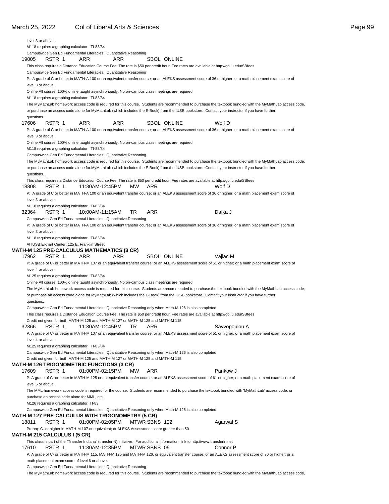|       | level 3 or above.                          |                                                                                                                                     |            |               |                    |                                                                                                                                                                                                                                                                                                              |  |
|-------|--------------------------------------------|-------------------------------------------------------------------------------------------------------------------------------------|------------|---------------|--------------------|--------------------------------------------------------------------------------------------------------------------------------------------------------------------------------------------------------------------------------------------------------------------------------------------------------------|--|
|       |                                            | M118 requires a graphing calculator: TI-83/84<br>Campuswide Gen Ed Fundamental Literacies: Quantitative Reasoning                   |            |               |                    |                                                                                                                                                                                                                                                                                                              |  |
| 19005 | RSTR 1                                     | ARR                                                                                                                                 | ARR        |               | <b>SBOL ONLINE</b> |                                                                                                                                                                                                                                                                                                              |  |
|       |                                            |                                                                                                                                     |            |               |                    | This class requires a Distance Education Course Fee. The rate is \$50 per credit hour. Fee rates are available at http://go.iu.edu/SBfees                                                                                                                                                                    |  |
|       |                                            | Campuswide Gen Ed Fundamental Literacies: Quantitative Reasoning                                                                    |            |               |                    |                                                                                                                                                                                                                                                                                                              |  |
|       | level 3 or above.                          |                                                                                                                                     |            |               |                    | P: A grade of C or better in MATH-A 100 or an equivalent transfer course; or an ALEKS assessment score of 36 or higher; or a math placement exam score of                                                                                                                                                    |  |
|       |                                            | Online All course: 100% online taught asynchronously. No on-campus class meetings are required.                                     |            |               |                    |                                                                                                                                                                                                                                                                                                              |  |
|       |                                            | M118 requires a graphing calculator: TI-83/84                                                                                       |            |               |                    |                                                                                                                                                                                                                                                                                                              |  |
|       |                                            |                                                                                                                                     |            |               |                    | The MyMathLab homework access code is required for this course. Students are recommended to purchase the textbook bundled with the MyMathLab access code,<br>or purchase an access code alone for MyMathLab (which includes the E-Book) from the IUSB bookstore. Contact your instructor if you have further |  |
| 17606 | questions.<br>RSTR 1                       | <b>ARR</b>                                                                                                                          | <b>ARR</b> |               | SBOL ONLINE        | Wolf D                                                                                                                                                                                                                                                                                                       |  |
|       | level 3 or above.                          |                                                                                                                                     |            |               |                    | P: A grade of C or better in MATH-A 100 or an equivalent transfer course; or an ALEKS assessment score of 36 or higher; or a math placement exam score of                                                                                                                                                    |  |
|       |                                            | Online All course: 100% online taught asynchronously. No on-campus class meetings are required.                                     |            |               |                    |                                                                                                                                                                                                                                                                                                              |  |
|       |                                            | M118 requires a graphing calculator: TI-83/84                                                                                       |            |               |                    |                                                                                                                                                                                                                                                                                                              |  |
|       |                                            | Campuswide Gen Ed Fundamental Literacies: Quantitative Reasoning                                                                    |            |               |                    |                                                                                                                                                                                                                                                                                                              |  |
|       |                                            |                                                                                                                                     |            |               |                    | The MyMathLab homework access code is required for this course. Students are recommended to purchase the textbook bundled with the MyMathLab access code,<br>or purchase an access code alone for MyMathLab (which includes the E-Book) from the IUSB bookstore. Contact your instructor if you have further |  |
|       | questions.                                 |                                                                                                                                     |            |               |                    | This class requires a Distance Education Course Fee. The rate is \$50 per credit hour. Fee rates are available at http://go.iu.edu/SBfees                                                                                                                                                                    |  |
| 18808 | RSTR 1                                     | 11:30AM-12:45PM                                                                                                                     | MW         | ARR           |                    | Wolf D                                                                                                                                                                                                                                                                                                       |  |
|       |                                            |                                                                                                                                     |            |               |                    | P: A grade of C or better in MATH-A 100 or an equivalent transfer course; or an ALEKS assessment score of 36 or higher; or a math placement exam score of                                                                                                                                                    |  |
|       | level 3 or above.                          |                                                                                                                                     |            |               |                    |                                                                                                                                                                                                                                                                                                              |  |
|       |                                            | M118 requires a graphing calculator: TI-83/84                                                                                       |            |               |                    |                                                                                                                                                                                                                                                                                                              |  |
| 32364 | RSTR 1                                     | 10:00AM-11:15AM<br>Campuswide Gen Ed Fundamental Literacies: Quantitative Reasoning                                                 | TR         | ARR           |                    | Dalka J                                                                                                                                                                                                                                                                                                      |  |
|       |                                            |                                                                                                                                     |            |               |                    | P: A grade of C or better in MATH-A 100 or an equivalent transfer course; or an ALEKS assessment score of 36 or higher; or a math placement exam score of                                                                                                                                                    |  |
|       | level 3 or above.                          |                                                                                                                                     |            |               |                    |                                                                                                                                                                                                                                                                                                              |  |
|       |                                            | M118 requires a graphing calculator: TI-83/84                                                                                       |            |               |                    |                                                                                                                                                                                                                                                                                                              |  |
|       |                                            | At IUSB Elkhart Center, 125 E. Franklin Street                                                                                      |            |               |                    |                                                                                                                                                                                                                                                                                                              |  |
|       |                                            | MATH-M 125 PRE-CALCULUS MATHEMATICS (3 CR)                                                                                          |            |               |                    |                                                                                                                                                                                                                                                                                                              |  |
| 17962 | RSTR 1                                     | ARR                                                                                                                                 | <b>ARR</b> |               | <b>SBOL ONLINE</b> | Vajiac M                                                                                                                                                                                                                                                                                                     |  |
|       | level 4 or above.                          |                                                                                                                                     |            |               |                    | P: A grade of C- or better in MATH-M 107 or an equivalent transfer course; or an ALEKS assessment score of 51 or higher; or a math placement exam score of                                                                                                                                                   |  |
|       |                                            | M125 requires a graphing calculator: TI-83/84                                                                                       |            |               |                    |                                                                                                                                                                                                                                                                                                              |  |
|       |                                            | Online All course: 100% online taught asynchronously. No on-campus class meetings are required.                                     |            |               |                    |                                                                                                                                                                                                                                                                                                              |  |
|       |                                            |                                                                                                                                     |            |               |                    | The MyMathLab homework access code is required for this course. Students are recommended to purchase the textbook bundled with the MyMathLab access code,<br>or purchase an access code alone for MyMathLab (which includes the E-Book) from the IUSB bookstore. Contact your instructor if you have further |  |
|       | questions.                                 |                                                                                                                                     |            |               |                    |                                                                                                                                                                                                                                                                                                              |  |
|       |                                            | Campuswide Gen Ed Fundamental Literacies: Quantitative Reasoning only when Math-M 126 is also completed                             |            |               |                    | This class requires a Distance Education Course Fee. The rate is \$50 per credit hour. Fee rates are available at http://go.iu.edu/SBfees                                                                                                                                                                    |  |
|       |                                            | Credit not given for both MATH-M 125 and MATH-M 127 or MATH-M 125 and MATH-M 115                                                    |            |               |                    |                                                                                                                                                                                                                                                                                                              |  |
| 32366 | RSTR 1                                     | 11:30AM-12:45PM                                                                                                                     | TR         | ARR           |                    | Savvopoulou A                                                                                                                                                                                                                                                                                                |  |
|       |                                            |                                                                                                                                     |            |               |                    | P: A grade of C- or better in MATH-M 107 or an equivalent transfer course; or an ALEKS assessment score of 51 or higher; or a math placement exam score of                                                                                                                                                   |  |
|       | level 4 or above.                          |                                                                                                                                     |            |               |                    |                                                                                                                                                                                                                                                                                                              |  |
|       |                                            | M125 requires a graphing calculator: TI-83/84                                                                                       |            |               |                    |                                                                                                                                                                                                                                                                                                              |  |
|       |                                            | Campuswide Gen Ed Fundamental Literacies: Quantitative Reasoning only when Math-M 126 is also completed                             |            |               |                    |                                                                                                                                                                                                                                                                                                              |  |
|       |                                            | Credit not given for both MATH-M 125 and MATH-M 127 or MATH-M 125 and MATH-M 115<br>MATH-M 126 TRIGONOMETRIC FUNCTIONS (3 CR)       |            |               |                    |                                                                                                                                                                                                                                                                                                              |  |
| 17609 | RSTR 1                                     | 01:00PM-02:15PM                                                                                                                     | МW         | ARR           |                    | Pankow J                                                                                                                                                                                                                                                                                                     |  |
|       |                                            |                                                                                                                                     |            |               |                    | P: A grade of C- or better in MATH-M 125 or an equivalent transfer course; or an ALEKS assessment score of 61 or higher; or a math placement exam score of                                                                                                                                                   |  |
|       | level 5 or above.                          |                                                                                                                                     |            |               |                    |                                                                                                                                                                                                                                                                                                              |  |
|       |                                            |                                                                                                                                     |            |               |                    | The MML homework access code is required for the course. Students are recommended to purchase the textbook bundled with 'MyMathLab' access code, or                                                                                                                                                          |  |
|       |                                            | purchase an access code alone for MML, etc.                                                                                         |            |               |                    |                                                                                                                                                                                                                                                                                                              |  |
|       | M126 requires a graphing calculator: TI-83 |                                                                                                                                     |            |               |                    |                                                                                                                                                                                                                                                                                                              |  |
|       |                                            | Campuswide Gen Ed Fundamental Literacies: Quantitative Reasoning only when Math-M 125 is also completed                             |            |               |                    |                                                                                                                                                                                                                                                                                                              |  |
|       |                                            | MATH-M 127 PRE-CALCULUS WITH TRIGONOMETRY (5 CR)                                                                                    |            |               |                    |                                                                                                                                                                                                                                                                                                              |  |
| 18811 | RSTR 1                                     | 01:00PM-02:05PM                                                                                                                     |            | MTWR SBNS 122 |                    | Agarwal S                                                                                                                                                                                                                                                                                                    |  |
|       | MATH-M 215 CALCULUS I (5 CR)               | Prereq: C- or higher in MATH-M 107 or equivalent; or ALEKS Assessment score greater than 50                                         |            |               |                    |                                                                                                                                                                                                                                                                                                              |  |
|       |                                            | This class is part of the "Transfer Indiana" (transferIN) initiative. For additional information, link to http://www.transferin.net |            |               |                    |                                                                                                                                                                                                                                                                                                              |  |
| 17610 | RSTR 1                                     | 11:30AM-12:35PM                                                                                                                     |            | MTWR SBNS 09  |                    | Connor P                                                                                                                                                                                                                                                                                                     |  |
|       |                                            |                                                                                                                                     |            |               |                    | P: A grade of C- or better in MATH-M 115, MATH-M 125 and MATH-M 126, or equivalent transfer course; or an ALEKS assessment score of 76 or higher; or a                                                                                                                                                       |  |
|       |                                            | math placement exam score of level 6 or above.                                                                                      |            |               |                    |                                                                                                                                                                                                                                                                                                              |  |
|       |                                            | Campuswide Gen Ed Fundamental Literacies: Quantitative Reasoning                                                                    |            |               |                    |                                                                                                                                                                                                                                                                                                              |  |
|       |                                            |                                                                                                                                     |            |               |                    | The MyMathLab homework access code is required for this course. Students are recommended to purchase the textbook bundled with the MyMathLab access code,                                                                                                                                                    |  |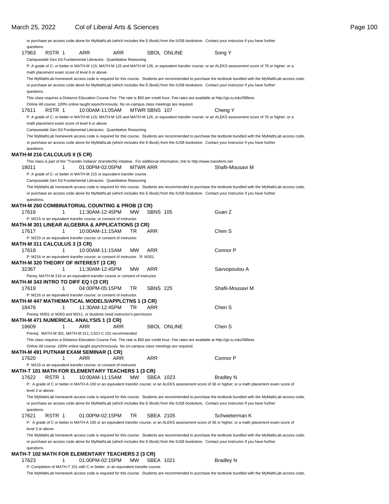| questions.        |                                                |                                                                                                                    |     |                 |                 |                                                                                                                                           |                                                                                                                                                           |
|-------------------|------------------------------------------------|--------------------------------------------------------------------------------------------------------------------|-----|-----------------|-----------------|-------------------------------------------------------------------------------------------------------------------------------------------|-----------------------------------------------------------------------------------------------------------------------------------------------------------|
| 17963             | RSTR 1                                         | ARR                                                                                                                | ARR |                 |                 | <b>SBOL ONLINE</b>                                                                                                                        | Song Y                                                                                                                                                    |
|                   |                                                | Campuswide Gen Ed Fundamental Literacies: Quantitative Reasoning                                                   |     |                 |                 |                                                                                                                                           |                                                                                                                                                           |
|                   | math placement exam score of level 6 or above. |                                                                                                                    |     |                 |                 |                                                                                                                                           | P: A grade of C- or better in MATH-M 115, MATH-M 125 and MATH-M 126, or equivalent transfer course; or an ALEKS assessment score of 76 or higher; or a    |
|                   |                                                |                                                                                                                    |     |                 |                 |                                                                                                                                           | The MyMathLab homework access code is required for this course. Students are recommended to purchase the textbook bundled with the MyMathLab access code, |
| questions.        |                                                |                                                                                                                    |     |                 |                 |                                                                                                                                           | or purchase an access code alone for MyMathLab (which includes the E-Book) from the IUSB bookstore. Contact your instructor if you have further           |
|                   |                                                |                                                                                                                    |     |                 |                 | This class requires a Distance Education Course Fee. The rate is \$50 per credit hour. Fee rates are available at http://go.iu.edu/SBfees |                                                                                                                                                           |
| 17611             | RSTR 1                                         | Online All course: 100% online taught asynchronously. No on-campus class meetings are required.<br>10:00AM-11:05AM |     |                 | MTWR SBNS 107   |                                                                                                                                           | Cheng Y                                                                                                                                                   |
|                   |                                                |                                                                                                                    |     |                 |                 |                                                                                                                                           | P: A grade of C- or better in MATH-M 115, MATH-M 125 and MATH-M 126, or equivalent transfer course; or an ALEKS assessment score of 76 or higher; or a    |
|                   | math placement exam score of level 6 or above. |                                                                                                                    |     |                 |                 |                                                                                                                                           |                                                                                                                                                           |
|                   |                                                | Campuswide Gen Ed Fundamental Literacies: Quantitative Reasoning                                                   |     |                 |                 |                                                                                                                                           |                                                                                                                                                           |
|                   |                                                |                                                                                                                    |     |                 |                 |                                                                                                                                           | The MyMathLab homework access code is required for this course. Students are recommended to purchase the textbook bundled with the MyMathLab access code, |
|                   |                                                |                                                                                                                    |     |                 |                 |                                                                                                                                           | or purchase an access code alone for MyMathLab (which includes the E-Book) from the IUSB bookstore. Contact your instructor if you have further           |
| questions.        |                                                |                                                                                                                    |     |                 |                 |                                                                                                                                           |                                                                                                                                                           |
|                   | <b>MATH-M 216 CALCULUS II (5 CR)</b>           |                                                                                                                    |     |                 |                 |                                                                                                                                           |                                                                                                                                                           |
| 18011             | 1                                              | 01:00PM-02:05PM                                                                                                    |     | <b>MTWR ARR</b> |                 | This class is part of the "Transfer Indiana" (transferIN) initiative. For additional information, link to http://www.transferin.net       | Shafii-Mousavi M                                                                                                                                          |
|                   |                                                | P: A grade of C- or better in MATH-M 215 or equivalent transfer course                                             |     |                 |                 |                                                                                                                                           |                                                                                                                                                           |
|                   |                                                | Campuswide Gen Ed Fundamental Literacies: Quantitative Reasoning                                                   |     |                 |                 |                                                                                                                                           |                                                                                                                                                           |
|                   |                                                |                                                                                                                    |     |                 |                 |                                                                                                                                           | The MyMathLab homework access code is required for this course. Students are recommended to purchase the textbook bundled with the MyMathLab access code, |
|                   |                                                |                                                                                                                    |     |                 |                 |                                                                                                                                           | or purchase an access code alone for MyMathLab (which includes the E-Book) from the IUSB bookstore. Contact your instructor if you have further           |
| questions.        |                                                |                                                                                                                    |     |                 |                 |                                                                                                                                           |                                                                                                                                                           |
|                   |                                                | MATH-M 260 COMBINATORIAL COUNTING & PROB (3 CR)                                                                    |     |                 |                 |                                                                                                                                           |                                                                                                                                                           |
| 17616             | 1                                              | 11:30AM-12:45PM                                                                                                    |     | MW.             | <b>SBNS 105</b> |                                                                                                                                           | Guan Z                                                                                                                                                    |
|                   |                                                | P: M215 or an equivalent transfer course; or consent of instructor.                                                |     |                 |                 |                                                                                                                                           |                                                                                                                                                           |
| 17617             |                                                | MATH-M 301 LINEAR ALGEBRA & APPLICATIONS (3 CR)                                                                    |     |                 | ARR             |                                                                                                                                           | Chen S                                                                                                                                                    |
|                   | 1.                                             | 10:00AM-11:15AM                                                                                                    |     | TR.             |                 |                                                                                                                                           |                                                                                                                                                           |
|                   | MATH-M 311 CALCULUS 3 (3 CR)                   | P: M215 or an equivalent transfer course; or consent of instructor.                                                |     |                 |                 |                                                                                                                                           |                                                                                                                                                           |
| 17618             | 1                                              | 10:00AM-11:15AM                                                                                                    |     | <b>MW</b>       | ARR             |                                                                                                                                           | Connor P                                                                                                                                                  |
|                   |                                                | P: M216 or an equivalent transfer course; or consent of instructor. R: M301                                        |     |                 |                 |                                                                                                                                           |                                                                                                                                                           |
|                   |                                                | <b>MATH-M 320 THEORY OF INTEREST (3 CR)</b>                                                                        |     |                 |                 |                                                                                                                                           |                                                                                                                                                           |
| 32367             | 1                                              | 11:30AM-12:45PM                                                                                                    |     | <b>MW</b>       | ARR             |                                                                                                                                           | Savvopoulou A                                                                                                                                             |
|                   |                                                | Pereq: MATH-M 216 or an equivalent transfer course or consent of instructor                                        |     |                 |                 |                                                                                                                                           |                                                                                                                                                           |
|                   | MATH-M 343 INTRO TO DIFF EQ I (3 CR)           |                                                                                                                    |     |                 |                 |                                                                                                                                           |                                                                                                                                                           |
| 17619             | 1                                              | 04:00PM-05:15PM                                                                                                    |     | TR.             | <b>SBNS 225</b> |                                                                                                                                           | Shafii-Mousavi M                                                                                                                                          |
|                   |                                                | P: M216 or an equivalent transfer course; or consent of instructor.                                                |     |                 |                 |                                                                                                                                           |                                                                                                                                                           |
|                   |                                                | MATH-M 447 MATHEMATICAL MODELS/APPLCTNS 1 (3 CR)                                                                   |     |                 |                 |                                                                                                                                           |                                                                                                                                                           |
| 18476             | 1                                              | 11:30AM-12:45PM                                                                                                    |     | TR              | ARR             |                                                                                                                                           | Chen S                                                                                                                                                    |
|                   |                                                | Prereq: M301 or M303 and M311, or students need instructor's permission                                            |     |                 |                 |                                                                                                                                           |                                                                                                                                                           |
| 18609             |                                                | MATH-M 471 NUMERICAL ANALYSIS 1 (3 CR)                                                                             |     |                 |                 | <b>SBOL ONLINE</b>                                                                                                                        | Chen S                                                                                                                                                    |
|                   | 1                                              | ARR                                                                                                                | ARR |                 |                 |                                                                                                                                           |                                                                                                                                                           |
|                   |                                                | Prereq: MATH-M 301, MATH-M 311; CSCI-C 101 recommended                                                             |     |                 |                 | This class requires a Distance Education Course Fee. The rate is \$50 per credit hour. Fee rates are available at http://go.iu.edu/SBfees |                                                                                                                                                           |
|                   |                                                | Online All course: 100% online taught asynchronously. No on-campus class meetings are required.                    |     |                 |                 |                                                                                                                                           |                                                                                                                                                           |
|                   |                                                | MATH-M 491 PUTNAM EXAM SEMINAR (1 CR)                                                                              |     |                 |                 |                                                                                                                                           |                                                                                                                                                           |
| 17620             | 1                                              | ARR                                                                                                                | ARR |                 | ARR             |                                                                                                                                           | Connor P                                                                                                                                                  |
|                   |                                                | P: M215 or an equivalent transfer course; or consent of instructor                                                 |     |                 |                 |                                                                                                                                           |                                                                                                                                                           |
|                   |                                                | MATH-T 101 MATH FOR ELEMENTARY TEACHERS 1 (3 CR)                                                                   |     |                 |                 |                                                                                                                                           |                                                                                                                                                           |
| 17622             | RSTR 1                                         | 10:00AM-11:15AM                                                                                                    |     | MW              | SBEA 1023       |                                                                                                                                           | <b>Bradley N</b>                                                                                                                                          |
|                   |                                                |                                                                                                                    |     |                 |                 |                                                                                                                                           | P: A grade of C or better in MATH-A 100 or an equivalent transfer course; or an ALEKS assessment score of 36 or higher; or a math placement exam score of |
| level 3 or above. |                                                |                                                                                                                    |     |                 |                 |                                                                                                                                           |                                                                                                                                                           |
|                   |                                                |                                                                                                                    |     |                 |                 |                                                                                                                                           | The MyMathLab homework access code is required for this course. Students are recommended to purchase the textbook bundled with the MyMathLab access code, |
|                   |                                                |                                                                                                                    |     |                 |                 |                                                                                                                                           | or purchase an access code alone for MyMathLab (which includes the E-Book) from the IUSB bookstore. Contact your instructor if you have further           |
| questions.        |                                                |                                                                                                                    |     |                 |                 |                                                                                                                                           |                                                                                                                                                           |
| 17621             | RSTR 1                                         | 01:00PM-02:15PM                                                                                                    |     | TR.             | SBEA 2105       |                                                                                                                                           | Schwieterman K                                                                                                                                            |
|                   |                                                |                                                                                                                    |     |                 |                 |                                                                                                                                           | P: A grade of C or better in MATH-A 100 or an equivalent transfer course; or an ALEKS assessment score of 36 or higher; or a math placement exam score of |
| level 3 or above. |                                                |                                                                                                                    |     |                 |                 |                                                                                                                                           | The MyMathLab homework access code is required for this course. Students are recommended to purchase the textbook bundled with the MyMathLab access code, |
|                   |                                                |                                                                                                                    |     |                 |                 |                                                                                                                                           | or purchase an access code alone for MyMathLab (which includes the E-Book) from the IUSB bookstore. Contact your instructor if you have further           |
| questions.        |                                                |                                                                                                                    |     |                 |                 |                                                                                                                                           |                                                                                                                                                           |
|                   |                                                | MATH-T 102 MATH FOR ELEMENTARY TEACHERS 2 (3 CR)                                                                   |     |                 |                 |                                                                                                                                           |                                                                                                                                                           |
| 17623             | 1                                              | 01:00PM-02:15PM                                                                                                    |     | <b>MW</b>       | SBEA 1021       |                                                                                                                                           | <b>Bradley N</b>                                                                                                                                          |
|                   |                                                | P: Completion of MATH-T 101 with C or better, or an equivalent transfer course.                                    |     |                 |                 |                                                                                                                                           |                                                                                                                                                           |
|                   |                                                |                                                                                                                    |     |                 |                 |                                                                                                                                           | The MyMathLab homework access code is required for this course. Students are recommended to purchase the textbook bundled with the MyMathLab access code, |
|                   |                                                |                                                                                                                    |     |                 |                 |                                                                                                                                           |                                                                                                                                                           |

or purchase an access code alone for MyMathLab (which includes the E-Book) from the IUSB bookstore. Contact your instructor if you have further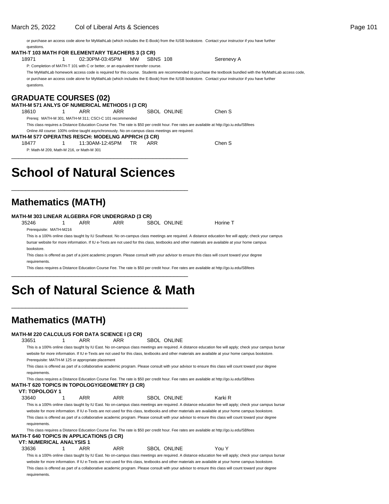or purchase an access code alone for MyMathLab (which includes the E-Book) from the IUSB bookstore. Contact your instructor if you have further questions.

#### **MATH-T 103 MATH FOR ELEMENTARY TEACHERS 3 (3 CR)** 18971 1 02:30PM-03:45PM MW SBNS 108 Serenevy A

P: Completion of MATH-T 101 with C or better, or an equivalent transfer course.

The MyMathLab homework access code is required for this course. Students are recommended to purchase the textbook bundled with the MyMathLab access code, or purchase an access code alone for MyMathLab (which includes the E-Book) from the IUSB bookstore. Contact your instructor if you have further questions.

### **GRADUATE COURSES (02)**

**MATH-M 571 ANLYS OF NUMERICAL METHODS I (3 CR)** 1 ARR ARR SBOL ONLINE Chen S Prereq: MATH-M 301, MATH-M 311; CSCI-C 101 recommended This class requires a Distance Education Course Fee. The rate is \$50 per credit hour. Fee rates are available at http://go.iu.edu/SBfees Online All course: 100% online taught asynchronously. No on-campus class meetings are required. **MATH-M 577 OPERATNS RESCH: MODELNG APPRCH (3 CR)**

18477 1 11:30AM-12:45PM TR ARR Chen S

P: Math-M 209, Math-M 216, or Math-M 301

# **School of Natural Sciences**

\_\_\_\_\_\_\_\_\_\_\_\_\_\_\_\_\_\_\_\_\_\_\_\_\_\_\_\_\_\_\_\_\_\_\_\_\_\_\_\_\_\_\_\_\_\_\_\_\_\_

\_\_\_\_\_\_\_\_\_\_\_\_\_\_\_\_\_\_\_\_\_\_\_\_\_\_\_\_\_\_\_\_\_\_\_\_\_\_\_\_\_\_\_\_\_\_\_\_\_\_

## **Mathematics (MATH)**

#### **MATH-M 303 LINEAR ALGEBRA FOR UNDERGRAD (3 CR)**

35246 1 ARR ARR SBOL ONLINE Horine T Prerequisite: MATH-M216

This is a 100% online class taught by IU Southeast. No on-campus class meetings are required. A distance education fee will apply; check your campus bursar website for more information. If IU e-Texts are not used for this class, textbooks and other materials are available at your home campus bookstore.

This class is offered as part of a joint academic program. Please consult with your advisor to ensure this class will count toward your degree requirements.

This class requires a Distance Education Course Fee. The rate is \$50 per credit hour. Fee rates are available at http://go.iu.edu/SBfees

# **Sch of Natural Science & Math**

\_\_\_\_\_\_\_\_\_\_\_\_\_\_\_\_\_\_\_\_\_\_\_\_\_\_\_\_\_\_\_\_\_\_\_\_\_\_\_\_\_\_\_\_\_\_\_\_\_\_

\_\_\_\_\_\_\_\_\_\_\_\_\_\_\_\_\_\_\_\_\_\_\_\_\_\_\_\_\_\_\_\_\_\_\_\_\_\_\_\_\_\_\_\_\_\_\_\_\_\_

## **Mathematics (MATH)**

#### **MATH-M 220 CALCULUS FOR DATA SCIENCE I (3 CR)**

33651 1 ARR ARR SBOL ONLINE

This is a 100% online class taught by IU East. No on-campus class meetings are required. A distance education fee will apply; check your campus bursar website for more information. If IU e-Texts are not used for this class, textbooks and other materials are available at your home campus bookstore. Prerequisite: MATH-M 125 or appropriate placement

This class is offered as part of a collaborative academic program. Please consult with your advisor to ensure this class will count toward your degree requirements

This class requires a Distance Education Course Fee. The rate is \$50 per credit hour. Fee rates are available at http://go.iu.edu/SBfees **MATH-T 620 TOPICS IN TOPOLOGY/GEOMETRY (3 CR)**

#### **VT: TOPOLOGY 1**

33640 1 ARR ARR SBOL ONLINE Karki R

This is a 100% online class taught by IU East. No on-campus class meetings are required. A distance education fee will apply; check your campus bursar website for more information. If IU e-Texts are not used for this class, textbooks and other materials are available at your home campus bookstore. This class is offered as part of a collaborative academic program. Please consult with your advisor to ensure this class will count toward your degree requirements.

#### This class requires a Distance Education Course Fee. The rate is \$50 per credit hour. Fee rates are available at http://go.iu.edu/SBfees **MATH-T 640 TOPICS IN APPLICATIONS (3 CR)**

### **VT: NUMERICAL ANALYSIS 1**

## 33636 1 ARR ARR SBOL ONLINE You Y

This is a 100% online class taught by IU East. No on-campus class meetings are required. A distance education fee will apply; check your campus bursar website for more information. If IU e-Texts are not used for this class, textbooks and other materials are available at your home campus bookstore. This class is offered as part of a collaborative academic program. Please consult with your advisor to ensure this class will count toward your degree requirements.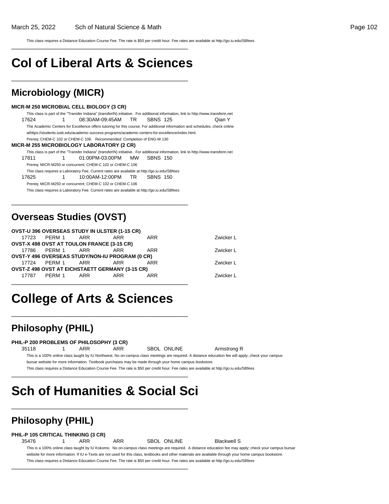This class requires a Distance Education Course Fee. The rate is \$50 per credit hour. Fee rates are available at http://go.iu.edu/SBfees

# **Col of Liberal Arts & Sciences**

\_\_\_\_\_\_\_\_\_\_\_\_\_\_\_\_\_\_\_\_\_\_\_\_\_\_\_\_\_\_\_\_\_\_\_\_\_\_\_\_\_\_\_\_\_\_\_\_\_\_

\_\_\_\_\_\_\_\_\_\_\_\_\_\_\_\_\_\_\_\_\_\_\_\_\_\_\_\_\_\_\_\_\_\_\_\_\_\_\_\_\_\_\_\_\_\_\_\_\_\_

### **Microbiology (MICR)**

#### **MICR-M 250 MICROBIAL CELL BIOLOGY (3 CR)**

This class is part of the "Transfer Indiana" (transferIN) initiative. For additional information, link to http://www.transferin.net 17624 1 08:30AM-09:45AM TR SBNS 125 Qian Y The Academic Centers for Excellence offers tutoring for this course. For additional information and schedules, check online at https://students.iusb.edu/academic-success-programs/academic-centers-for-excellence/index.html. Prereq: CHEM-C 102 or CHEM-C 106. Recommended: Completion of ENG-W 130 **MICR-M 255 MICROBIOLOGY LABORATORY (2 CR)** This class is part of the "Transfer Indiana" (transferIN) initiative. For additional information, link to http://www.transferin.net 17811 1 01:00PM-03:00PM MW SBNS 150 Prereq: MICR-M250 or concurrent; CHEM-C 102 or CHEM-C 106 This class requires a Laboratory Fee. Current rates are available at http://go.iu.edu/SBfees 17625 1 10:00AM-12:00PM TR SBNS 150 Prereq: MICR-M250 or concurrent; CHEM-C 102 or CHEM-C 106

This class requires a Laboratory Fee. Current rates are available at http://go.iu.edu/SBfees

\_\_\_\_\_\_\_\_\_\_\_\_\_\_\_\_\_\_\_\_\_\_\_\_\_\_\_\_\_\_\_\_\_\_\_\_\_\_\_\_\_\_\_\_\_\_\_\_\_\_

### **Overseas Studies (OVST)**

|                  | <b>OVST-U 396 OVERSEAS STUDY IN ULSTER (1-15 CR)</b>   |     |           |
|------------------|--------------------------------------------------------|-----|-----------|
|                  | 17723 PERM 1 ARR ARR                                   | ARR | Zwicker L |
|                  | <b>OVST-X 498 OVST AT TOULON FRANCE (3-15 CR)</b>      |     |           |
|                  | 17786 PERM 1 ARR ARR                                   | ARR | Zwicker L |
|                  | <b>OVST-Y 496 OVERSEAS STUDY/NON-IU PROGRAM (0 CR)</b> |     |           |
|                  | 17724 PERM 1 ARR ARR                                   | ARR | Zwicker L |
|                  | OVST-Z 498 OVST AT EICHSTAETT GERMANY (3-15 CR)        |     |           |
| 17787 PERM 1 ARR | ARR                                                    | ARR | Zwicker L |

# **College of Arts & Sciences**

\_\_\_\_\_\_\_\_\_\_\_\_\_\_\_\_\_\_\_\_\_\_\_\_\_\_\_\_\_\_\_\_\_\_\_\_\_\_\_\_\_\_\_\_\_\_\_\_\_\_

\_\_\_\_\_\_\_\_\_\_\_\_\_\_\_\_\_\_\_\_\_\_\_\_\_\_\_\_\_\_\_\_\_\_\_\_\_\_\_\_\_\_\_\_\_\_\_\_\_\_

### **Philosophy (PHIL)**

#### **PHIL-P 200 PROBLEMS OF PHILOSOPHY (3 CR)**

35118 1 ARR ARR SBOL ONLINE Armstrong R This is a 100% online class taught by IU Northwest. No on-campus class meetings are required. A distance education fee will apply; check your campus bursar website for more information. Textbook purchases may be made through your home campus bookstore. This class requires a Distance Education Course Fee. The rate is \$50 per credit hour. Fee rates are available at http://go.iu.edu/SBfees

\_\_\_\_\_\_\_\_\_\_\_\_\_\_\_\_\_\_\_\_\_\_\_\_\_\_\_\_\_\_\_\_\_\_\_\_\_\_\_\_\_\_\_\_\_\_\_\_\_\_

# **Sch of Humanities & Social Sci**

## **Philosophy (PHIL)**

#### **PHIL-P 105 CRITICAL THINKING (3 CR)**

35476 1 ARR ARR SBOL ONLINE Blackwell S

\_\_\_\_\_\_\_\_\_\_\_\_\_\_\_\_\_\_\_\_\_\_\_\_\_\_\_\_\_\_\_\_\_\_\_\_\_\_\_\_\_\_\_\_\_\_\_\_\_\_

\_\_\_\_\_\_\_\_\_\_\_\_\_\_\_\_\_\_\_\_\_\_\_\_\_\_\_\_\_\_\_\_\_\_\_\_\_\_\_\_\_\_\_\_\_\_\_\_\_\_

This is a 100% online class taught by IU Kokomo. No on-campus class meetings are required. A distance education fee may apply; check your campus bursar website for more information. If IU e-Texts are not used for this class, textbooks and other materials are available through your home campus bookstore This class requires a Distance Education Course Fee. The rate is \$50 per credit hour. Fee rates are available at http://go.iu.edu/SBfees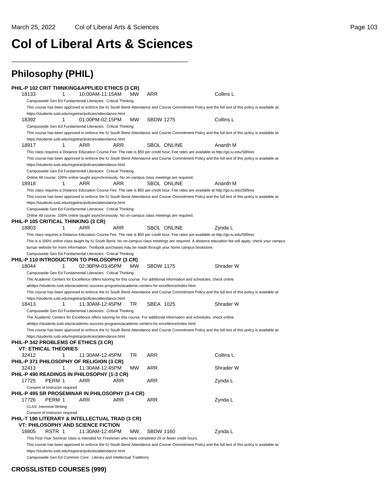# **Col of Liberal Arts & Sciences**

\_\_\_\_\_\_\_\_\_\_\_\_\_\_\_\_\_\_\_\_\_\_\_\_\_\_\_\_\_\_\_\_\_\_\_\_\_\_\_\_\_\_\_\_\_\_\_\_\_\_

| <b>Philosophy (PHIL)</b>                                                                                                                                                                                                         |                          |           |                  |                    |                                                                                                                                                       |
|----------------------------------------------------------------------------------------------------------------------------------------------------------------------------------------------------------------------------------|--------------------------|-----------|------------------|--------------------|-------------------------------------------------------------------------------------------------------------------------------------------------------|
| PHIL-P 102 CRIT THINKING&APPLIED ETHICS (3 CR)<br>18133<br>1<br>Campuswide Gen Ed Fundamental Literacies: Critical Thinking                                                                                                      | 10:00AM-11:15AM          | MW        | ARR              |                    | Collins L                                                                                                                                             |
|                                                                                                                                                                                                                                  |                          |           |                  |                    | This course has been approved to enforce the IU South Bend Attendance and Course Commitment Policy and the full text of this policy is available at:  |
| https://students.iusb.edu/registrar/policies/attendance.html<br>18392<br>1                                                                                                                                                       | 01:00PM-02:15PM          | <b>MW</b> | <b>SBDW 1275</b> |                    | Collins L                                                                                                                                             |
| Campuswide Gen Ed Fundamental Literacies: Critical Thinking                                                                                                                                                                      |                          |           |                  |                    |                                                                                                                                                       |
| https://students.iusb.edu/registrar/policies/attendance.html                                                                                                                                                                     |                          |           |                  |                    | This course has been approved to enforce the IU South Bend Attendance and Course Commitment Policy and the full text of this policy is available at:  |
| 18917<br>1                                                                                                                                                                                                                       | ARR<br>ARR               |           |                  | <b>SBOL ONLINE</b> | Ananth M                                                                                                                                              |
| This class requires a Distance Education Course Fee. The rate is \$50 per credit hour. Fee rates are available at http://go.iu.edu/SBfees                                                                                        |                          |           |                  |                    |                                                                                                                                                       |
|                                                                                                                                                                                                                                  |                          |           |                  |                    | This course has been approved to enforce the IU South Bend Attendance and Course Commitment Policy and the full text of this policy is available at:  |
| https://students.iusb.edu/registrar/policies/attendance.html                                                                                                                                                                     |                          |           |                  |                    |                                                                                                                                                       |
| Campuswide Gen Ed Fundamental Literacies: Critical Thinking                                                                                                                                                                      |                          |           |                  |                    |                                                                                                                                                       |
| Online All course: 100% online taught asynchronously. No on-campus class meetings are required.<br>18918<br>1                                                                                                                    | ARR<br>ARR               |           |                  | <b>SBOL ONLINE</b> | Ananth M                                                                                                                                              |
| This class requires a Distance Education Course Fee. The rate is \$50 per credit hour. Fee rates are available at http://qo.iu.edu/SBfees                                                                                        |                          |           |                  |                    |                                                                                                                                                       |
|                                                                                                                                                                                                                                  |                          |           |                  |                    | This course has been approved to enforce the IU South Bend Attendance and Course Commitment Policy and the full text of this policy is available at:  |
| https://students.iusb.edu/registrar/policies/attendance.html                                                                                                                                                                     |                          |           |                  |                    |                                                                                                                                                       |
| Campuswide Gen Ed Fundamental Literacies: Critical Thinking                                                                                                                                                                      |                          |           |                  |                    |                                                                                                                                                       |
| Online All course: 100% online taught asynchronously. No on-campus class meetings are required.                                                                                                                                  |                          |           |                  |                    |                                                                                                                                                       |
| PHIL-P 105 CRITICAL THINKING (3 CR)                                                                                                                                                                                              |                          |           |                  |                    |                                                                                                                                                       |
| 18803<br>1                                                                                                                                                                                                                       | <b>ARR</b><br><b>ARR</b> |           |                  | <b>SBOL ONLINE</b> | Zvnda L                                                                                                                                               |
| This class requires a Distance Education Course Fee. The rate is \$50 per credit hour. Fee rates are available at http://go.iu.edu/SBfees                                                                                        |                          |           |                  |                    |                                                                                                                                                       |
| bursar website for more information. Textbook purchases may be made through your home campus bookstore.                                                                                                                          |                          |           |                  |                    | This is a 100% online class taught by IU South Bend. No on-campus class meetings are required. A distance education fee will apply; check your campus |
| Campuswide Gen Ed Fundamental Literacies: Critical Thinking                                                                                                                                                                      |                          |           |                  |                    |                                                                                                                                                       |
| PHIL-P 110 INTRODUCTION TO PHILOSOPHY (3 CR)                                                                                                                                                                                     |                          |           |                  |                    |                                                                                                                                                       |
| 18044<br>1                                                                                                                                                                                                                       | 02:30PM-03:45PM          | <b>MW</b> | <b>SBDW 1175</b> |                    | Shrader W                                                                                                                                             |
| Campuswide Gen Ed Fundamental Literacies: Critical Thinking                                                                                                                                                                      |                          |           |                  |                    |                                                                                                                                                       |
| The Academic Centers for Excellence offers tutoring for this course. For additional information and schedules, check online                                                                                                      |                          |           |                  |                    |                                                                                                                                                       |
| athttps://students.iusb.edu/academic-success-programs/academic-centers-for-excellence/index.html.                                                                                                                                |                          |           |                  |                    |                                                                                                                                                       |
|                                                                                                                                                                                                                                  |                          |           |                  |                    | This course has been approved to enforce the IU South Bend Attendance and Course Commitment Policy and the full text of this policy is available at:  |
| https://students.iusb.edu/registrar/policies/attendance.html                                                                                                                                                                     |                          |           |                  |                    |                                                                                                                                                       |
| 18413<br>1                                                                                                                                                                                                                       | 11:30AM-12:45PM          | TR        | SBEA 1025        |                    | Shrader W                                                                                                                                             |
| Campuswide Gen Ed Fundamental Literacies: Critical Thinking                                                                                                                                                                      |                          |           |                  |                    |                                                                                                                                                       |
| The Academic Centers for Excellence offers tutoring for this course. For additional information and schedules, check online<br>athttps://students.iusb.edu/academic-success-programs/academic-centers-for-excellence/index.html. |                          |           |                  |                    |                                                                                                                                                       |
|                                                                                                                                                                                                                                  |                          |           |                  |                    | This course has been approved to enforce the IU South Bend Attendance and Course Commitment Policy and the full text of this policy is available at:  |
| https://students.iusb.edu/registrar/policies/attendance.html                                                                                                                                                                     |                          |           |                  |                    |                                                                                                                                                       |
| PHIL-P 342 PROBLEMS OF ETHICS (3 CR)                                                                                                                                                                                             |                          |           |                  |                    |                                                                                                                                                       |
| <b>VT: ETHICAL THEORIES</b>                                                                                                                                                                                                      |                          |           |                  |                    |                                                                                                                                                       |
| 1<br>32412                                                                                                                                                                                                                       | 11:30AM-12:45PM          | TR        | ARR              |                    | Collins L                                                                                                                                             |
| PHIL-P 371 PHILOSOPHY OF RELIGION (3 CR)                                                                                                                                                                                         |                          |           |                  |                    |                                                                                                                                                       |
| 32413<br>1                                                                                                                                                                                                                       | 11:30AM-12:45PM          | МW        | ARR              |                    | Shrader W                                                                                                                                             |
| PHIL-P 490 READINGS IN PHILOSOPHY (1-3 CR)                                                                                                                                                                                       |                          |           |                  |                    |                                                                                                                                                       |
| 17725<br>PERM 1                                                                                                                                                                                                                  | ARR<br>ARR               |           | ARR              |                    | Zynda L                                                                                                                                               |
| Consent of Instructor required<br>PHIL-P 495 SR PROSEMINAR IN PHILOSOPHY (3-4 CR)                                                                                                                                                |                          |           |                  |                    |                                                                                                                                                       |
| 17726<br>PERM 1                                                                                                                                                                                                                  | ARR<br><b>ARR</b>        |           | ARR              |                    | Zynda L                                                                                                                                               |
| <b>CLAS: Intensive Writing</b>                                                                                                                                                                                                   |                          |           |                  |                    |                                                                                                                                                       |
| Consent of Instructor required                                                                                                                                                                                                   |                          |           |                  |                    |                                                                                                                                                       |
| PHIL-T 190 LITERARY & INTELLECTUAL TRAD (3 CR)                                                                                                                                                                                   |                          |           |                  |                    |                                                                                                                                                       |
| VT: PHILOSOPHY AND SCIENCE FICTION                                                                                                                                                                                               |                          |           |                  |                    |                                                                                                                                                       |
| 18805<br>RSTR 1                                                                                                                                                                                                                  | 11:30AM-12:45PM          | MW.       | <b>SBDW 1160</b> |                    | Zynda L                                                                                                                                               |
| This First-Year Seminar class is intended for Freshmen who have completed 29 or fewer credit hours.                                                                                                                              |                          |           |                  |                    |                                                                                                                                                       |
|                                                                                                                                                                                                                                  |                          |           |                  |                    | This course has been approved to enforce the IU South Bend Attendance and Course Commitment Policy and the full text of this policy is available at:  |
| https://students.iusb.edu/registrar/policies/attendance.html                                                                                                                                                                     |                          |           |                  |                    |                                                                                                                                                       |

Campuswide Gen Ed Common Core: Literary and Intellectual Traditions

### **CROSSLISTED COURSES (999)**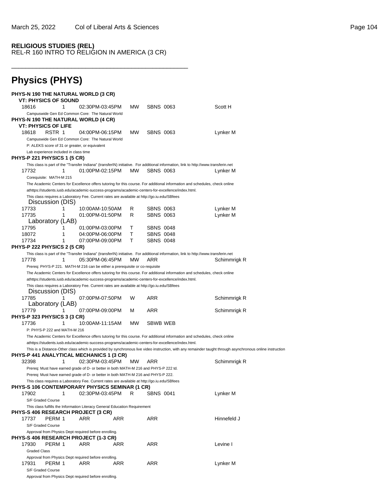### **RELIGIOUS STUDIES (REL)** REL-R 160 INTRO TO RELIGION IN AMERICA (3 CR)

\_\_\_\_\_\_\_\_\_\_\_\_\_\_\_\_\_\_\_\_\_\_\_\_\_\_\_\_\_\_\_\_\_\_\_\_\_\_\_\_\_\_\_\_\_\_\_\_\_\_

| <b>Physics (PHYS)</b>                                                                                                                                                                                                 |           |                  |                                                                                                                                                           |
|-----------------------------------------------------------------------------------------------------------------------------------------------------------------------------------------------------------------------|-----------|------------------|-----------------------------------------------------------------------------------------------------------------------------------------------------------|
| <b>PHYS-N 190 THE NATURAL WORLD (3 CR)</b><br><b>VT: PHYSICS OF SOUND</b>                                                                                                                                             |           |                  |                                                                                                                                                           |
| 18616<br>1<br>02:30PM-03:45PM                                                                                                                                                                                         | <b>MW</b> | <b>SBNS 0063</b> | Scott H                                                                                                                                                   |
| Campuswide Gen Ed Common Core: The Natural World<br>PHYS-N 190 THE NATURAL WORLD (4 CR)<br>VT: PHYSICS OF LIFE                                                                                                        |           |                  |                                                                                                                                                           |
| 18618<br>RSTR 1<br>04:00PM-06:15PM<br>Campuswide Gen Ed Common Core: The Natural World<br>P: ALEKS score of 31 or greater, or equivalent                                                                              | <b>MW</b> | <b>SBNS 0063</b> | Lynker M                                                                                                                                                  |
| Lab experience included in class time<br><b>PHYS-P 221 PHYSICS 1 (5 CR)</b>                                                                                                                                           |           |                  |                                                                                                                                                           |
| This class is part of the "Transfer Indiana" (transferIN) initiative. For additional information, link to http://www.transferin.net<br>17732<br>1<br>01:00PM-02:15PM<br>Corequisite: MATH-M 215                       | MW        | <b>SBNS 0063</b> | Lynker M                                                                                                                                                  |
| The Academic Centers for Excellence offers tutoring for this course. For additional information and schedules, check online                                                                                           |           |                  |                                                                                                                                                           |
| athttps://students.iusb.edu/academic-success-programs/academic-centers-for-excellence/index.html.<br>This class requires a Laboratory Fee. Current rates are available at http://go.iu.edu/SBfees<br>Discussion (DIS) |           |                  |                                                                                                                                                           |
| 17733<br>1<br>10:00AM-10:50AM                                                                                                                                                                                         | R         | <b>SBNS 0063</b> | Lynker M                                                                                                                                                  |
| 17735<br>01:00PM-01:50PM<br>1<br>Laboratory (LAB)                                                                                                                                                                     | R         | <b>SBNS 0063</b> | Lynker <sub>M</sub>                                                                                                                                       |
| 17795<br>1<br>01:00PM-03:00PM                                                                                                                                                                                         | т         | <b>SBNS 0048</b> |                                                                                                                                                           |
| 18072<br>1<br>04:00PM-06:00PM                                                                                                                                                                                         | т         | <b>SBNS 0048</b> |                                                                                                                                                           |
| 17734<br>1<br>07:00PM-09:00PM                                                                                                                                                                                         | т         | <b>SBNS 0048</b> |                                                                                                                                                           |
| <b>PHYS-P 222 PHYSICS 2 (5 CR)</b>                                                                                                                                                                                    |           |                  |                                                                                                                                                           |
| This class is part of the "Transfer Indiana" (transferIN) initiative. For additional information, link to http://www.transferin.net<br>1<br>05:30PM-06:45PM<br>17778                                                  | МW        | ARR              | Schimmrigk R                                                                                                                                              |
| Prereq: PHYS-P 221. MATH-M 216 can be either a prerequisite or co-requisite                                                                                                                                           |           |                  |                                                                                                                                                           |
| The Academic Centers for Excellence offers tutoring for this course. For additional information and schedules, check online                                                                                           |           |                  |                                                                                                                                                           |
| athttps://students.iusb.edu/academic-success-programs/academic-centers-for-excellence/index.html.                                                                                                                     |           |                  |                                                                                                                                                           |
| This class requires a Laboratory Fee. Current rates are available at http://go.iu.edu/SBfees<br>Discussion (DIS)                                                                                                      |           |                  |                                                                                                                                                           |
| 17785<br>07:00PM-07:50PM<br>1<br>Laboratory (LAB)                                                                                                                                                                     | W         | ARR              | Schimmrigk R                                                                                                                                              |
| 17779<br>07:00PM-09:00PM<br>PHYS-P 323 PHYSICS 3 (3 CR)                                                                                                                                                               | м         | ARR              | Schimmrigk R                                                                                                                                              |
| 10:00AM-11:15AM<br>17736<br>1                                                                                                                                                                                         | <b>MW</b> | <b>SBWB WEB</b>  |                                                                                                                                                           |
| P: PHYS-P 222 and MATH-M 216                                                                                                                                                                                          |           |                  |                                                                                                                                                           |
| The Academic Centers for Excellence offers tutoring for this course. For additional information and schedules, check online                                                                                           |           |                  |                                                                                                                                                           |
| athttps://students.iusb.edu/academic-success-programs/academic-centers-for-excellence/index.html.                                                                                                                     |           |                  |                                                                                                                                                           |
| PHYS-P 441 ANALYTICAL MECHANICS 1 (3 CR)                                                                                                                                                                              |           |                  | This is a Distance-Other class which is provided by synchronous live video instruction, with any remainder taught through asynchronous online instruction |
| 02:30PM-03:45PM<br>32398                                                                                                                                                                                              |           | MW ARR           | Schimmrigk R                                                                                                                                              |
| Prereq: Must have earned grade of D- or better in both MATH-M 216 and PHYS-P 222 td.                                                                                                                                  |           |                  |                                                                                                                                                           |
| Prereq: Must have earned grade of D- or better in both MATH-M 216 and PHYS-P 222.<br>This class requires a Laboratory Fee. Current rates are available at http://go.iu.edu/SBfees                                     |           |                  |                                                                                                                                                           |
| PHYS-S 106 CONTEMPORARY PHYSICS SEMINAR (1 CR)                                                                                                                                                                        |           |                  |                                                                                                                                                           |
| 17902<br>1<br>02:30PM-03:45PM                                                                                                                                                                                         | R         | <b>SBNS 0041</b> | Lynker M                                                                                                                                                  |
| S/F Graded Course                                                                                                                                                                                                     |           |                  |                                                                                                                                                           |
| This class fulfills the Information Literacy General Education Requirement<br><b>PHYS-S 406 RESEARCH PROJECT (3 CR)</b>                                                                                               |           |                  |                                                                                                                                                           |
| 17737<br>PERM 1<br>ARR<br>ARR                                                                                                                                                                                         |           | ARR              | Hinnefeld J                                                                                                                                               |
| S/F Graded Course                                                                                                                                                                                                     |           |                  |                                                                                                                                                           |
| Approval from Physics Dept required before enrolling.<br>PHYS-S 406 RESEARCH PROJECT (1-3 CR)                                                                                                                         |           |                  |                                                                                                                                                           |
| 17930<br>ARR<br>PERM 1<br>ARR                                                                                                                                                                                         |           | ARR              | Levine I                                                                                                                                                  |
| <b>Graded Class</b>                                                                                                                                                                                                   |           |                  |                                                                                                                                                           |
| Approval from Physics Dept required before enrolling.<br>ARR<br>17931<br>PERM 1<br>ARR                                                                                                                                |           | ARR              | Lynker M                                                                                                                                                  |
| S/F Graded Course                                                                                                                                                                                                     |           |                  |                                                                                                                                                           |
| Approval from Physics Dept required before enrolling.                                                                                                                                                                 |           |                  |                                                                                                                                                           |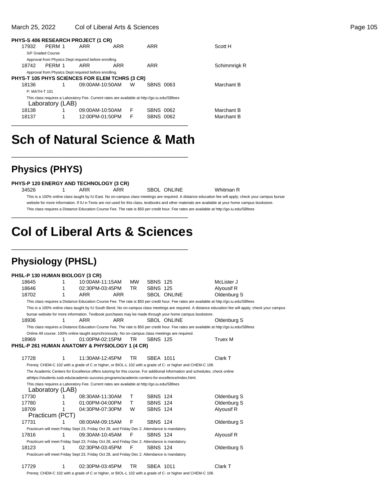#### March 25, 2022 Col of Liberal Arts & Sciences **Page 105** Collection 25, 2022 Collection 25, 2002 Collection 25, 200

| PHYS-S 406 RESEARCH PROJECT (1 CR)                    |                   |                                                                                              |     |           |              |
|-------------------------------------------------------|-------------------|----------------------------------------------------------------------------------------------|-----|-----------|--------------|
| 17932                                                 | PFRM 1            | ARR                                                                                          | ARR | ARR       | Scott H      |
|                                                       | S/F Graded Course |                                                                                              |     |           |              |
|                                                       |                   | Approval from Physics Dept required before enrolling.                                        |     |           |              |
| 18742                                                 | PFRM 1            | ARR                                                                                          | ARR | ARR       | Schimmrigk R |
|                                                       |                   | Approval from Physics Dept required before enrolling.                                        |     |           |              |
| <b>PHYS-T 105 PHYS SCIENCES FOR ELEM TCHRS (3 CR)</b> |                   |                                                                                              |     |           |              |
| 18136                                                 |                   | 09:00AM-10:50AM                                                                              | W   | SBNS 0063 | Marchant B   |
| P: MATH-T 101                                         |                   |                                                                                              |     |           |              |
|                                                       |                   | This class requires a Laboratory Fee. Current rates are available at http://go.iu.edu/SBfees |     |           |              |
|                                                       | Laboratory (LAB)  |                                                                                              |     |           |              |
| 18138                                                 |                   | 09:00AM-10:50AM                                                                              | F   | SBNS 0062 | Marchant B   |
| 18137                                                 | 1                 | 12:00PM-01:50PM                                                                              | F   | SBNS 0062 | Marchant B   |
|                                                       |                   |                                                                                              |     |           |              |

# **Sch of Natural Science & Math**

\_\_\_\_\_\_\_\_\_\_\_\_\_\_\_\_\_\_\_\_\_\_\_\_\_\_\_\_\_\_\_\_\_\_\_\_\_\_\_\_\_\_\_\_\_\_\_\_\_\_

## **Physics (PHYS)**

#### **PHYS-P 120 ENERGY AND TECHNOLOGY (3 CR)**

34526 1 ARR ARR SBOL ONLINE Whitman R This is a 100% online class taught by IU East. No on-campus class meetings are required. A distance education fee will apply; check your campus bursar website for more information. If IU e-Texts are not used for this class, textbooks and other materials are available at your home campus bookstore. This class requires a Distance Education Course Fee. The rate is \$50 per credit hour. Fee rates are available at http://go.iu.edu/SBfees

# **Col of Liberal Arts & Sciences**

\_\_\_\_\_\_\_\_\_\_\_\_\_\_\_\_\_\_\_\_\_\_\_\_\_\_\_\_\_\_\_\_\_\_\_\_\_\_\_\_\_\_\_\_\_\_\_\_\_\_

\_\_\_\_\_\_\_\_\_\_\_\_\_\_\_\_\_\_\_\_\_\_\_\_\_\_\_\_\_\_\_\_\_\_\_\_\_\_\_\_\_\_\_\_\_\_\_\_\_\_

## **Physiology (PHSL)**

#### **PHSL-P 130 HUMAN BIOLOGY (3 CR)**

| 18645                                                                                           | 1 | 10:00AM-11:15AM |            | <b>MW</b> | <b>SBNS 125</b> |                                                                                                                                           | McLister J                                                                                                                                            |
|-------------------------------------------------------------------------------------------------|---|-----------------|------------|-----------|-----------------|-------------------------------------------------------------------------------------------------------------------------------------------|-------------------------------------------------------------------------------------------------------------------------------------------------------|
| 18646                                                                                           | 1 | 02:30PM-03:45PM |            | TR        | <b>SBNS 125</b> |                                                                                                                                           | Alyousif R                                                                                                                                            |
| 18702                                                                                           | 1 | ARR             | <b>ARR</b> |           |                 | <b>SBOL ONLINE</b>                                                                                                                        | Oldenburg S                                                                                                                                           |
|                                                                                                 |   |                 |            |           |                 | This class requires a Distance Education Course Fee. The rate is \$50 per credit hour. Fee rates are available at http://go.iu.edu/SBfees |                                                                                                                                                       |
|                                                                                                 |   |                 |            |           |                 |                                                                                                                                           | This is a 100% online class taught by IU South Bend. No on-campus class meetings are required. A distance education fee will apply; check your campus |
|                                                                                                 |   |                 |            |           |                 | bursar website for more information. Textbook purchases may be made through your home campus bookstore.                                   |                                                                                                                                                       |
| 18936                                                                                           | 1 | <b>ARR</b>      | <b>ARR</b> |           |                 | <b>SBOL ONLINE</b>                                                                                                                        | Oldenburg S                                                                                                                                           |
|                                                                                                 |   |                 |            |           |                 | This class requires a Distance Education Course Fee. The rate is \$50 per credit hour. Fee rates are available at http://go.iu.edu/SBfees |                                                                                                                                                       |
| Online All course: 100% online taught asynchronously. No on-campus class meetings are required. |   |                 |            |           |                 |                                                                                                                                           |                                                                                                                                                       |
| 18969                                                                                           |   | 01:00PM-02:15PM |            | TR        | <b>SBNS 125</b> |                                                                                                                                           | Truex M                                                                                                                                               |
| PHSL-P 261 HUMAN ANATOMY & PHYSIOLOGY 1 (4 CR)                                                  |   |                 |            |           |                 |                                                                                                                                           |                                                                                                                                                       |
|                                                                                                 |   |                 |            |           |                 |                                                                                                                                           |                                                                                                                                                       |
| 17728                                                                                           | 1 | 11:30AM-12:45PM |            | TR        | SBEA 1011       |                                                                                                                                           | Clark T                                                                                                                                               |
|                                                                                                 |   |                 |            |           |                 | Prereq: CHEM-C 102 with a grade of C or higher, or BIOL-L 102 with a grade of C- or higher and CHEM-C 106                                 |                                                                                                                                                       |
|                                                                                                 |   |                 |            |           |                 | The Academic Centers for Excellence offers tutoring for this course. For additional information and schedules, check online               |                                                                                                                                                       |
|                                                                                                 |   |                 |            |           |                 | athttps://students.iusb.edu/academic-success-programs/academic-centers-for-excellence/index.html.                                         |                                                                                                                                                       |
| This class requires a Laboratory Fee. Current rates are available at http://go.iu.edu/SBfees    |   |                 |            |           |                 |                                                                                                                                           |                                                                                                                                                       |
| Laboratory (LAB)                                                                                |   |                 |            |           |                 |                                                                                                                                           |                                                                                                                                                       |
| 17730                                                                                           |   | 08:30AM-11:30AM |            | Τ         | <b>SBNS 124</b> |                                                                                                                                           | Oldenburg S                                                                                                                                           |
| 17780                                                                                           |   | 01:00PM-04:00PM |            | T         | <b>SBNS 124</b> |                                                                                                                                           | Oldenburg S                                                                                                                                           |
| 18709                                                                                           |   | 04:30PM-07:30PM |            | W         | <b>SBNS 124</b> |                                                                                                                                           | Alyousif R                                                                                                                                            |
| Practicum (PCT)                                                                                 |   |                 |            |           |                 |                                                                                                                                           |                                                                                                                                                       |
| 17731                                                                                           |   | 08:00AM-09:15AM |            | F         | <b>SBNS 124</b> |                                                                                                                                           | Oldenburg S                                                                                                                                           |
| Practicum will meet Friday Sept 23, Friday Oct 28, and Friday Dec 2. Attendance is mandatory.   |   |                 |            |           |                 |                                                                                                                                           |                                                                                                                                                       |
| 17816                                                                                           | 1 | 09:30AM-10:45AM |            | F         | <b>SBNS 124</b> |                                                                                                                                           | Alyousif R                                                                                                                                            |
| Practicum will meet Friday Sept 23, Friday Oct 28, and Friday Dec 2. Attendance is mandatory.   |   |                 |            |           |                 |                                                                                                                                           |                                                                                                                                                       |
| 18123                                                                                           | 1 | 02:30PM-03:45PM |            | F         | <b>SBNS 124</b> |                                                                                                                                           | Oldenburg S                                                                                                                                           |
| Practicum will meet Friday Sept 23, Friday Oct 28, and Friday Dec 2. Attendance is mandatory.   |   |                 |            |           |                 |                                                                                                                                           |                                                                                                                                                       |
|                                                                                                 |   |                 |            |           |                 |                                                                                                                                           |                                                                                                                                                       |
| 17729                                                                                           | 1 | 02:30PM-03:45PM |            | TR        | SBEA 1011       |                                                                                                                                           | Clark T                                                                                                                                               |

Prereq: CHEM-C 102 with a grade of C or higher, or BIOL-L 102 with a grade of C- or higher and CHEM-C 106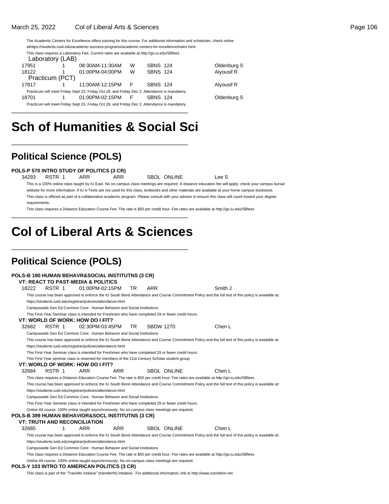#### March 25, 2022 Col of Liberal Arts & Sciences Page 106

The Academic Centers for Excellence offers tutoring for this course. For additional information and schedules, check online at https://students.iusb.edu/academic-success-programs/academic-centers-for-excellence/index.html. This class requires a Laboratory Fee. Current rates are available at http://go.iu.edu/SBfees Laboratory (LAB)<br>951 1 17951 1 08:30AM-11:30AM W SBNS 124 Oldenburg S 18122 1 01:00PM-04:00PM W SBNS 124 Alyousif R Practicum (PCT)<br>817 1 17817 1 1:00AM-12:15PM F SBNS 124 Alyousif R

Practicum will meet Friday Sept 23, Friday Oct 28, and Friday Dec 2. Attendance is mandatory. 18701 1 01:00PM-02:15PM F SBNS 124 Oldenburg S Practicum will meet Friday Sept 23, Friday Oct 28, and Friday Dec 2. Attendance is mandatory.

# **Sch of Humanities & Social Sci**

\_\_\_\_\_\_\_\_\_\_\_\_\_\_\_\_\_\_\_\_\_\_\_\_\_\_\_\_\_\_\_\_\_\_\_\_\_\_\_\_\_\_\_\_\_\_\_\_\_\_

\_\_\_\_\_\_\_\_\_\_\_\_\_\_\_\_\_\_\_\_\_\_\_\_\_\_\_\_\_\_\_\_\_\_\_\_\_\_\_\_\_\_\_\_\_\_\_\_\_\_

## **Political Science (POLS)**

**POLS-P 570 INTRO STUDY OF POLITICS (3 CR)**

34293 RSTR 1 ARR ARR SBOL ONLINE Lee S

This is a 100% online class taught by IU East. No on-campus class meetings are required. A distance education fee will apply; check your campus bursar website for more information. If IU e-Texts are not used for this class, textbooks and other materials are available at your home campus bookstore. This class is offered as part of a collaborative academic program. Please consult with your advisor to ensure this class will count toward your degree requirements.

This class requires a Distance Education Course Fee. The rate is \$50 per credit hour. Fee rates are available at http://go.iu.edu/SBfees \_\_\_\_\_\_\_\_\_\_\_\_\_\_\_\_\_\_\_\_\_\_\_\_\_\_\_\_\_\_\_\_\_\_\_\_\_\_\_\_\_\_\_\_\_\_\_\_\_\_

# **Col of Liberal Arts & Sciences**

\_\_\_\_\_\_\_\_\_\_\_\_\_\_\_\_\_\_\_\_\_\_\_\_\_\_\_\_\_\_\_\_\_\_\_\_\_\_\_\_\_\_\_\_\_\_\_\_\_\_

## **Political Science (POLS)**

|       |        |   | POLS-B 190 HUMAN BEHAVR&SOCIAL INSTITUTNS (3 CR)                                                    |     |                   |                  |                                                                                                                                                      |  |
|-------|--------|---|-----------------------------------------------------------------------------------------------------|-----|-------------------|------------------|------------------------------------------------------------------------------------------------------------------------------------------------------|--|
|       |        |   | <b>VT: REACT TO PAST-MEDIA &amp; POLITICS</b>                                                       |     |                   |                  |                                                                                                                                                      |  |
| 18222 | RSTR 1 |   | 01:00PM-02:15PM                                                                                     |     | TR.<br><b>ARR</b> |                  | Smith J                                                                                                                                              |  |
|       |        |   |                                                                                                     |     |                   |                  | This course has been approved to enforce the IU South Bend Attendance and Course Commitment Policy and the full text of this policy is available at: |  |
|       |        |   | https://students.iusb.edu/registrar/policies/attendance.html                                        |     |                   |                  |                                                                                                                                                      |  |
|       |        |   | Campuswide Gen Ed Common Core: Human Behavior and Social Institutions                               |     |                   |                  |                                                                                                                                                      |  |
|       |        |   | This First-Year Seminar class is intended for Freshmen who have completed 29 or fewer credit hours. |     |                   |                  |                                                                                                                                                      |  |
|       |        |   | VT: WORLD OF WORK: HOW DO I FIT?                                                                    |     |                   |                  |                                                                                                                                                      |  |
| 32682 | RSTR 1 |   | 02:30PM-03:45PM                                                                                     |     | TR.               | <b>SBDW 1270</b> | Chen L                                                                                                                                               |  |
|       |        |   | Campuswide Gen Ed Common Core: Human Behavior and Social Institutions                               |     |                   |                  |                                                                                                                                                      |  |
|       |        |   |                                                                                                     |     |                   |                  | This course has been approved to enforce the IU South Bend Attendance and Course Commitment Policy and the full text of this policy is available at: |  |
|       |        |   | https://students.iusb.edu/registrar/policies/attendance.html                                        |     |                   |                  |                                                                                                                                                      |  |
|       |        |   | This First-Year Seminar class is intended for Freshmen who have completed 29 or fewer credit hours. |     |                   |                  |                                                                                                                                                      |  |
|       |        |   | This First Year seminar class is reserved for members of the 21st Century Scholar student group     |     |                   |                  |                                                                                                                                                      |  |
|       |        |   | VT: WORLD OF WORK: HOW DO I FIT?                                                                    |     |                   |                  |                                                                                                                                                      |  |
| 32684 | RSTR 1 |   | ARR                                                                                                 | ARR |                   | SBOL ONLINE      | Chen L                                                                                                                                               |  |
|       |        |   |                                                                                                     |     |                   |                  |                                                                                                                                                      |  |
|       |        |   |                                                                                                     |     |                   |                  | This class requires a Distance Education Course Fee. The rate is \$50 per credit hour. Fee rates are available at http://go.iu.edu/SBfees            |  |
|       |        |   |                                                                                                     |     |                   |                  | This course has been approved to enforce the IU South Bend Attendance and Course Commitment Policy and the full text of this policy is available at: |  |
|       |        |   | https://students.iusb.edu/registrar/policies/attendance.html                                        |     |                   |                  |                                                                                                                                                      |  |
|       |        |   | Campuswide Gen Ed Common Core: Human Behavior and Social Institutions                               |     |                   |                  |                                                                                                                                                      |  |
|       |        |   | This First-Year Seminar class is intended for Freshmen who have completed 29 or fewer credit hours. |     |                   |                  |                                                                                                                                                      |  |
|       |        |   | Online All course: 100% online taught asynchronously. No on-campus class meetings are required.     |     |                   |                  |                                                                                                                                                      |  |
|       |        |   | POLS-B 399 HUMAN BEHAVIOR&SOCL INSTITUTNS (3 CR)                                                    |     |                   |                  |                                                                                                                                                      |  |
|       |        |   | <b>VT: TRUTH AND RECONCILIATION</b>                                                                 |     |                   |                  |                                                                                                                                                      |  |
| 32685 |        | 1 | ARR                                                                                                 | ARR |                   | SBOL ONLINE      | Chen I                                                                                                                                               |  |
|       |        |   |                                                                                                     |     |                   |                  | This course has been approved to enforce the IU South Bend Attendance and Course Commitment Policy and the full text of this policy is available at: |  |
|       |        |   | https://students.iusb.edu/registrar/policies/attendance.html                                        |     |                   |                  |                                                                                                                                                      |  |
|       |        |   | Campuswide Gen Ed Common Core: Human Behavior and Social Institutions                               |     |                   |                  |                                                                                                                                                      |  |
|       |        |   |                                                                                                     |     |                   |                  | This class requires a Distance Education Course Fee. The rate is \$50 per credit hour. Fee rates are available at http://qo.iu.edu/SBfees            |  |

#### **POLS-Y 103 INTRO TO AMERICAN POLITICS (3 CR)**

This class is part of the "Transfer Indiana" (transferIN) initiative. For additional information, link to http://www.transferin.net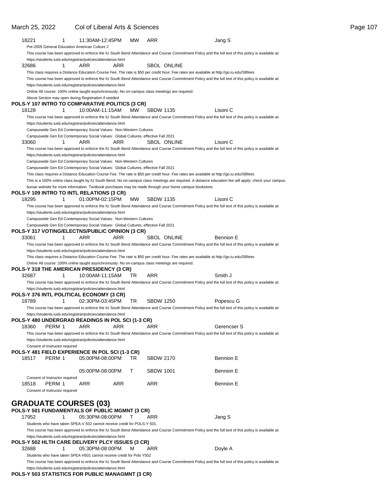| March 25, 2022                                    | Col of Liberal Arts & Sciences                                                                                                               |           |                    |                                                                                                                                                       | Page 107 |
|---------------------------------------------------|----------------------------------------------------------------------------------------------------------------------------------------------|-----------|--------------------|-------------------------------------------------------------------------------------------------------------------------------------------------------|----------|
| 18221                                             | 11:30AM-12:45PM<br>1<br>Pre-2005 General Education American Culture 2                                                                        | <b>MW</b> | ARR                | Jang S                                                                                                                                                |          |
|                                                   | https://students.iusb.edu/registrar/policies/attendance.html                                                                                 |           |                    | This course has been approved to enforce the IU South Bend Attendance and Course Commitment Policy and the full text of this policy is available at:  |          |
| 32686                                             | ARR<br>1<br>ARR                                                                                                                              |           | <b>SBOL ONLINE</b> |                                                                                                                                                       |          |
|                                                   | This class requires a Distance Education Course Fee. The rate is \$50 per credit hour. Fee rates are available at http://go.iu.edu/SBfees    |           |                    |                                                                                                                                                       |          |
|                                                   |                                                                                                                                              |           |                    | This course has been approved to enforce the IU South Bend Attendance and Course Commitment Policy and the full text of this policy is available at:  |          |
|                                                   | https://students.iusb.edu/registrar/policies/attendance.html                                                                                 |           |                    |                                                                                                                                                       |          |
|                                                   | Online All course: 100% online taught asynchronously. No on-campus class meetings are required.                                              |           |                    |                                                                                                                                                       |          |
|                                                   | Above Section may open during Registration if needed<br>POLS-Y 107 INTRO TO COMPARATIVE POLITICS (3 CR)                                      |           |                    |                                                                                                                                                       |          |
| 18128                                             | 10:00AM-11:15AM MW<br>-1                                                                                                                     |           | <b>SBDW 1135</b>   | Lisoni C                                                                                                                                              |          |
|                                                   |                                                                                                                                              |           |                    | This course has been approved to enforce the IU South Bend Attendance and Course Commitment Policy and the full text of this policy is available at:  |          |
|                                                   | https://students.iusb.edu/registrar/policies/attendance.html                                                                                 |           |                    |                                                                                                                                                       |          |
|                                                   | Campuswide Gen Ed Contemporary Social Values: Non-Western Cultures                                                                           |           |                    |                                                                                                                                                       |          |
|                                                   | Campuswide Gen Ed Contemporary Social Values: Global Cultures, effective Fall 2021                                                           |           |                    |                                                                                                                                                       |          |
| 33060                                             | ARR<br>ARR<br>1                                                                                                                              |           | <b>SBOL ONLINE</b> | Lisoni C                                                                                                                                              |          |
|                                                   | https://students.iusb.edu/registrar/policies/attendance.html                                                                                 |           |                    | This course has been approved to enforce the IU South Bend Attendance and Course Commitment Policy and the full text of this policy is available at:  |          |
|                                                   | Campuswide Gen Ed Contemporary Social Values: Non-Western Cultures                                                                           |           |                    |                                                                                                                                                       |          |
|                                                   | Campuswide Gen Ed Contemporary Social Values: Global Cultures, effective Fall 2021                                                           |           |                    |                                                                                                                                                       |          |
|                                                   | This class requires a Distance Education Course Fee. The rate is \$50 per credit hour. Fee rates are available at http://go.iu.edu/SBfees    |           |                    |                                                                                                                                                       |          |
|                                                   |                                                                                                                                              |           |                    | This is a 100% online class taught by IU South Bend. No on-campus class meetings are required. A distance education fee will apply; check your campus |          |
|                                                   | bursar website for more information. Textbook purchases may be made through your home campus bookstore.                                      |           |                    |                                                                                                                                                       |          |
|                                                   | POLS-Y 109 INTRO TO INTL RELATIONS (3 CR)                                                                                                    |           |                    |                                                                                                                                                       |          |
| 18295                                             | 01:00PM-02:15PM                                                                                                                              | MW        | <b>SBDW 1135</b>   | Lisoni C                                                                                                                                              |          |
|                                                   |                                                                                                                                              |           |                    | This course has been approved to enforce the IU South Bend Attendance and Course Commitment Policy and the full text of this policy is available at:  |          |
|                                                   | https://students.iusb.edu/registrar/policies/attendance.html<br>Campuswide Gen Ed Contemporary Social Values: Non-Western Cultures           |           |                    |                                                                                                                                                       |          |
|                                                   | Campuswide Gen Ed Contemporary Social Values: Global Cultures, effective Fall 2021                                                           |           |                    |                                                                                                                                                       |          |
|                                                   | POLS-Y 317 VOTING/ELECTNS/PUBLIC OPINION (3 CR)                                                                                              |           |                    |                                                                                                                                                       |          |
| 33061                                             | ARR<br>ARR<br>1                                                                                                                              |           | SBOL ONLINE        | Bennion E                                                                                                                                             |          |
|                                                   |                                                                                                                                              |           |                    | This course has been approved to enforce the IU South Bend Attendance and Course Commitment Policy and the full text of this policy is available at:  |          |
|                                                   | https://students.iusb.edu/registrar/policies/attendance.html                                                                                 |           |                    |                                                                                                                                                       |          |
|                                                   | This class requires a Distance Education Course Fee. The rate is \$50 per credit hour. Fee rates are available at http://go.iu.edu/SBfees    |           |                    |                                                                                                                                                       |          |
|                                                   | Online All course: 100% online taught asynchronously. No on-campus class meetings are required.<br>POLS-Y 318 THE AMERICAN PRESIDENCY (3 CR) |           |                    |                                                                                                                                                       |          |
| 32687                                             | 10:00AM-11:15AM<br>1.                                                                                                                        | -TR.      | ARR                | Smith J                                                                                                                                               |          |
|                                                   |                                                                                                                                              |           |                    | This course has been approved to enforce the IU South Bend Attendance and Course Commitment Policy and the full text of this policy is available at:  |          |
|                                                   | https://students.iusb.edu/registrar/policies/attendance.html                                                                                 |           |                    |                                                                                                                                                       |          |
|                                                   | POLS-Y 376 INTL POLITICAL ECONOMY (3 CR)                                                                                                     |           |                    |                                                                                                                                                       |          |
| 18789                                             | 02:30PM-03:45PM<br>$\sim$                                                                                                                    | TR.       | <b>SBDW 1250</b>   | Popescu G                                                                                                                                             |          |
|                                                   |                                                                                                                                              |           |                    | This course has been approved to enforce the IU South Bend Attendance and Course Commitment Policy and the full text of this policy is available at:  |          |
|                                                   | https://students.iusb.edu/registrar/policies/attendance.html<br>POLS-Y 480 UNDERGRAD READINGS IN POL SCI (1-3 CR)                            |           |                    |                                                                                                                                                       |          |
| PERM 1<br>18360                                   | ARR<br>ARR                                                                                                                                   |           | ARR                | Gerencser S                                                                                                                                           |          |
|                                                   |                                                                                                                                              |           |                    | This course has been approved to enforce the IU South Bend Attendance and Course Commitment Policy and the full text of this policy is available at:  |          |
|                                                   | https://students.iusb.edu/registrar/policies/attendance.html                                                                                 |           |                    |                                                                                                                                                       |          |
| Consent of Instructor required                    |                                                                                                                                              |           |                    |                                                                                                                                                       |          |
|                                                   | POLS-Y 481 FIELD EXPERIENCE IN POL SCI (1-3 CR)                                                                                              |           |                    |                                                                                                                                                       |          |
| 18517<br>PERM 1                                   | 05:00PM-08:00PM                                                                                                                              | -TR       | <b>SBDW 2170</b>   | <b>Bennion E</b>                                                                                                                                      |          |
|                                                   |                                                                                                                                              |           |                    |                                                                                                                                                       |          |
|                                                   | 05:00PM-08:00PM                                                                                                                              | T         | <b>SBDW 1001</b>   | <b>Bennion E</b>                                                                                                                                      |          |
| Consent of Instructor required<br>18518<br>PERM 1 | ARR<br>ARR                                                                                                                                   |           | <b>ARR</b>         | Bennion E                                                                                                                                             |          |
| Consent of Instructor required                    |                                                                                                                                              |           |                    |                                                                                                                                                       |          |
|                                                   |                                                                                                                                              |           |                    |                                                                                                                                                       |          |
| <b>GRADUATE COURSES (03)</b>                      |                                                                                                                                              |           |                    |                                                                                                                                                       |          |
|                                                   | POLS-Y 501 FUNDAMENTALS OF PUBLIC MGMNT (3 CR)                                                                                               |           |                    |                                                                                                                                                       |          |
| 17952                                             | 05:30PM-08:00PM<br>1                                                                                                                         | T         | ARR                | Jang S                                                                                                                                                |          |
|                                                   | Students who have taken SPEA-V 502 cannot receive credit for POLS-Y 501.                                                                     |           |                    |                                                                                                                                                       |          |
|                                                   |                                                                                                                                              |           |                    | This course has been approved to enforce the IU South Bend Attendance and Course Commitment Policy and the full text of this policy is available at:  |          |
|                                                   | https://students.iusb.edu/registrar/policies/attendance.html                                                                                 |           |                    |                                                                                                                                                       |          |
|                                                   | POLS-Y 502 HLTH CARE DELIVERY PLCY ISSUES (3 CR)                                                                                             |           |                    |                                                                                                                                                       |          |
| 32688                                             | 05:30PM-08:00PM<br>1                                                                                                                         | M         | ARR                | Doyle A                                                                                                                                               |          |
|                                                   | Students who have taken SPEA H501 cannot receive credit for Pols Y502                                                                        |           |                    | This course has been approved to enforce the IU South Bend Attendance and Course Commitment Policy and the full text of this policy is available at:  |          |
|                                                   | https://students.iusb.edu/registrar/policies/attendance.html                                                                                 |           |                    |                                                                                                                                                       |          |
|                                                   | POLS-Y 503 STATISTICS FOR PUBLIC MANAGMNT (3 CR)                                                                                             |           |                    |                                                                                                                                                       |          |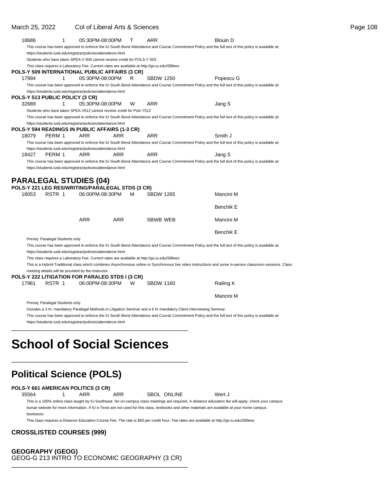| 18686 | 1                               | 05:30PM-08:00PM                                                                                        |            | т | ARR              | <b>Blouin D</b>                                                                                                                                      |                                                                                                                                                           |
|-------|---------------------------------|--------------------------------------------------------------------------------------------------------|------------|---|------------------|------------------------------------------------------------------------------------------------------------------------------------------------------|-----------------------------------------------------------------------------------------------------------------------------------------------------------|
|       |                                 |                                                                                                        |            |   |                  | This course has been approved to enforce the IU South Bend Attendance and Course Commitment Policy and the full text of this policy is available at: |                                                                                                                                                           |
|       |                                 | https://students.iusb.edu/registrar/policies/attendance.html                                           |            |   |                  |                                                                                                                                                      |                                                                                                                                                           |
|       |                                 | Students who have taken SPEA-V 506 cannot receive credit for POLS-Y 503.                               |            |   |                  |                                                                                                                                                      |                                                                                                                                                           |
|       |                                 | This class requires a Laboratory Fee. Current rates are available at http://go.iu.edu/SBfees           |            |   |                  |                                                                                                                                                      |                                                                                                                                                           |
|       |                                 | POLS-Y 509 INTERNATIONAL PUBLIC AFFAIRS (3 CR)                                                         |            |   |                  |                                                                                                                                                      |                                                                                                                                                           |
| 17994 | 1                               | 05:30PM-08:00PM                                                                                        |            | R | <b>SBDW 1250</b> | Popescu G                                                                                                                                            |                                                                                                                                                           |
|       |                                 |                                                                                                        |            |   |                  | This course has been approved to enforce the IU South Bend Attendance and Course Commitment Policy and the full text of this policy is available at: |                                                                                                                                                           |
|       |                                 | https://students.iusb.edu/registrar/policies/attendance.html                                           |            |   |                  |                                                                                                                                                      |                                                                                                                                                           |
|       |                                 | POLS-Y 513 PUBLIC POLICY (3 CR)                                                                        |            |   |                  |                                                                                                                                                      |                                                                                                                                                           |
| 32689 | 1                               | 05:30PM-08:00PM                                                                                        |            | W | ARR              | Jang S                                                                                                                                               |                                                                                                                                                           |
|       |                                 | Students who have taken SPEA V512 cannot receive credit for Pols Y513                                  |            |   |                  |                                                                                                                                                      |                                                                                                                                                           |
|       |                                 |                                                                                                        |            |   |                  | This course has been approved to enforce the IU South Bend Attendance and Course Commitment Policy and the full text of this policy is available at: |                                                                                                                                                           |
|       |                                 | https://students.iusb.edu/registrar/policies/attendance.html                                           |            |   |                  |                                                                                                                                                      |                                                                                                                                                           |
| 18079 | PERM 1                          | POLS-Y 594 READINGS IN PUBLIC AFFAIRS (1-3 CR)<br>ARR                                                  | <b>ARR</b> |   | ARR              | Smith J                                                                                                                                              |                                                                                                                                                           |
|       |                                 |                                                                                                        |            |   |                  | This course has been approved to enforce the IU South Bend Attendance and Course Commitment Policy and the full text of this policy is available at: |                                                                                                                                                           |
|       |                                 | https://students.iusb.edu/registrar/policies/attendance.html                                           |            |   |                  |                                                                                                                                                      |                                                                                                                                                           |
| 18427 | PERM 1                          | ARR                                                                                                    | <b>ARR</b> |   | ARR              | Jang S                                                                                                                                               |                                                                                                                                                           |
|       |                                 |                                                                                                        |            |   |                  | This course has been approved to enforce the IU South Bend Attendance and Course Commitment Policy and the full text of this policy is available at: |                                                                                                                                                           |
|       |                                 | https://students.iusb.edu/registrar/policies/attendance.html                                           |            |   |                  |                                                                                                                                                      |                                                                                                                                                           |
|       |                                 |                                                                                                        |            |   |                  |                                                                                                                                                      |                                                                                                                                                           |
|       |                                 | <b>PARALEGAL STUDIES (04)</b>                                                                          |            |   |                  |                                                                                                                                                      |                                                                                                                                                           |
|       |                                 | POLS-Y 221 LEG RES/WRITING/PARALEGAL STDS (3 CR)                                                       |            |   |                  |                                                                                                                                                      |                                                                                                                                                           |
| 18053 | RSTR 1                          | 06:00PM-08:30PM                                                                                        |            | м | <b>SBDW 1265</b> | Mancini M                                                                                                                                            |                                                                                                                                                           |
|       |                                 |                                                                                                        |            |   |                  |                                                                                                                                                      |                                                                                                                                                           |
|       |                                 |                                                                                                        |            |   |                  | Benchik E                                                                                                                                            |                                                                                                                                                           |
|       |                                 |                                                                                                        |            |   |                  |                                                                                                                                                      |                                                                                                                                                           |
|       |                                 | ARR                                                                                                    | <b>ARR</b> |   | <b>SBWB WEB</b>  | Mancini M                                                                                                                                            |                                                                                                                                                           |
|       |                                 |                                                                                                        |            |   |                  |                                                                                                                                                      |                                                                                                                                                           |
|       |                                 |                                                                                                        |            |   |                  | <b>Benchik E</b>                                                                                                                                     |                                                                                                                                                           |
|       | Prereq: Paralegal Students only |                                                                                                        |            |   |                  |                                                                                                                                                      |                                                                                                                                                           |
|       |                                 |                                                                                                        |            |   |                  | This course has been approved to enforce the IU South Bend Attendance and Course Commitment Policy and the full text of this policy is available at: |                                                                                                                                                           |
|       |                                 | https://students.iusb.edu/registrar/policies/attendance.html                                           |            |   |                  |                                                                                                                                                      |                                                                                                                                                           |
|       |                                 | This class requires a Laboratory Fee. Current rates are available at http://go.iu.edu/SBfees           |            |   |                  |                                                                                                                                                      |                                                                                                                                                           |
|       |                                 |                                                                                                        |            |   |                  |                                                                                                                                                      | This is a Hybrid-Traditional class which combines Asynchronous online or Synchronous live video instructions and some in-person classroom sessions. Class |
|       |                                 | meeting details will be provided by the instructor.<br>POLS-Y 222 LITIGATION FOR PARALEG STDS I (3 CR) |            |   |                  |                                                                                                                                                      |                                                                                                                                                           |
| 17961 | RSTR 1                          | 06:00PM-08:30PM                                                                                        |            | W | <b>SBDW 1160</b> | Railing K                                                                                                                                            |                                                                                                                                                           |
|       |                                 |                                                                                                        |            |   |                  |                                                                                                                                                      |                                                                                                                                                           |
|       |                                 |                                                                                                        |            |   |                  | Mancini M                                                                                                                                            |                                                                                                                                                           |
|       | Prereq: Paralegal Students only |                                                                                                        |            |   |                  |                                                                                                                                                      |                                                                                                                                                           |
|       |                                 |                                                                                                        |            |   |                  | Includes a 3 hr. mandatory Paralegal Methods in Litigation Seminar and a 6 hr mandatory Client Interviewing Seminar.                                 |                                                                                                                                                           |
|       |                                 |                                                                                                        |            |   |                  | This course has been approved to enforce the IU South Bend Attendance and Course Commitment Policy and the full text of this policy is available at: |                                                                                                                                                           |
|       |                                 | https://students.iusb.edu/registrar/policies/attendance.html                                           |            |   |                  |                                                                                                                                                      |                                                                                                                                                           |
|       |                                 |                                                                                                        |            |   |                  |                                                                                                                                                      |                                                                                                                                                           |
|       |                                 |                                                                                                        |            |   |                  |                                                                                                                                                      |                                                                                                                                                           |
|       |                                 |                                                                                                        |            |   |                  |                                                                                                                                                      |                                                                                                                                                           |
|       |                                 | <b>School of Social Sciences</b>                                                                       |            |   |                  |                                                                                                                                                      |                                                                                                                                                           |

## \_\_\_\_\_\_\_\_\_\_\_\_\_\_\_\_\_\_\_\_\_\_\_\_\_\_\_\_\_\_\_\_\_\_\_\_\_\_\_\_\_\_\_\_\_\_\_\_\_\_

# **Political Science (POLS)**

35564 1 ARR ARR SBOL ONLINE Wert J

This is a 100% online class taught by IU Southeast. No on-campus class meetings are required. A distance education fee will apply; check your campus bursar website for more information. If IU e-Texts are not used for this class, textbooks and other materials are available at your home campus bookstore.

This class requires a Distance Education Course Fee. The rate is \$50 per credit hour. Fee rates are available at http://go.iu.edu/SBfees

### **CROSSLISTED COURSES (999)**

**GEOGRAPHY (GEOG)** GEOG-G 213 INTRO TO ECONOMIC GEOGRAPHY (3 CR) \_\_\_\_\_\_\_\_\_\_\_\_\_\_\_\_\_\_\_\_\_\_\_\_\_\_\_\_\_\_\_\_\_\_\_\_\_\_\_\_\_\_\_\_\_\_\_\_\_\_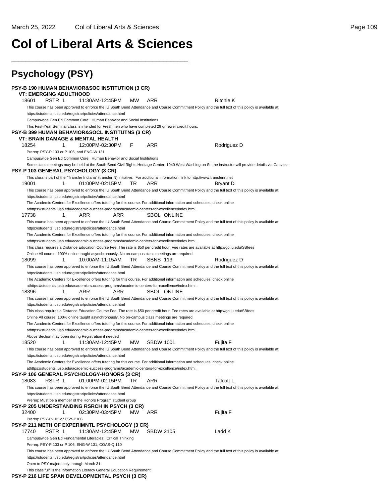## **Col of Liberal Arts & Sciences**

\_\_\_\_\_\_\_\_\_\_\_\_\_\_\_\_\_\_\_\_\_\_\_\_\_\_\_\_\_\_\_\_\_\_\_\_\_\_\_\_\_\_\_\_\_\_\_\_\_\_

| <b>Psychology (PSY)</b>                  |                                                                                                                                                                                                                                  |           |                  |                                                                                                                                                          |
|------------------------------------------|----------------------------------------------------------------------------------------------------------------------------------------------------------------------------------------------------------------------------------|-----------|------------------|----------------------------------------------------------------------------------------------------------------------------------------------------------|
| <b>VT: EMERGING ADULTHOOD</b>            | <b>PSY-B 190 HUMAN BEHAVIOR&amp;SOC INSTITUTION (3 CR)</b>                                                                                                                                                                       |           |                  |                                                                                                                                                          |
| 18601<br>RSTR 1                          | 11:30AM-12:45PM                                                                                                                                                                                                                  | <b>MW</b> | ARR              | <b>Ritchie K</b>                                                                                                                                         |
|                                          |                                                                                                                                                                                                                                  |           |                  | This course has been approved to enforce the IU South Bend Attendance and Course Commitment Policy and the full text of this policy is available at:     |
|                                          | https://students.iusb.edu/registrar/policies/attendance.html                                                                                                                                                                     |           |                  |                                                                                                                                                          |
|                                          | Campuswide Gen Ed Common Core: Human Behavior and Social Institutions<br>This First-Year Seminar class is intended for Freshmen who have completed 29 or fewer credit hours.                                                     |           |                  |                                                                                                                                                          |
|                                          | PSY-B 399 HUMAN BEHAVIOR&SOCL INSTITUTNS (3 CR)                                                                                                                                                                                  |           |                  |                                                                                                                                                          |
|                                          | VT: BRAIN DAMAGE & MENTAL HEALTH                                                                                                                                                                                                 |           |                  |                                                                                                                                                          |
| 18254<br>1                               | 12:00PM-02:30PM                                                                                                                                                                                                                  | F         | ARR              | Rodriguez D                                                                                                                                              |
|                                          | Prereq: PSY-P 103 or P 106, and ENG-W 131                                                                                                                                                                                        |           |                  |                                                                                                                                                          |
|                                          | Campuswide Gen Ed Common Core: Human Behavior and Social Institutions                                                                                                                                                            |           |                  |                                                                                                                                                          |
| PSY-P 103 GENERAL PSYCHOLOGY (3 CR)      |                                                                                                                                                                                                                                  |           |                  | Some class meetings may be held at the South Bend Civil Rights Heritage Center, 1040 West Washington St. the instructor will provide details via Canvas. |
|                                          | This class is part of the "Transfer Indiana" (transferIN) initiative. For additional information, link to http://www.transferin.net                                                                                              |           |                  |                                                                                                                                                          |
| 19001<br>1                               | 01:00PM-02:15PM                                                                                                                                                                                                                  | TR        | ARR              | Bryant D                                                                                                                                                 |
|                                          | https://students.iusb.edu/registrar/policies/attendance.html                                                                                                                                                                     |           |                  | This course has been approved to enforce the IU South Bend Attendance and Course Commitment Policy and the full text of this policy is available at:     |
|                                          | The Academic Centers for Excellence offers tutoring for this course. For additional information and schedules, check online<br>athttps://students.iusb.edu/academic-success-programs/academic-centers-for-excellence/index.html. |           |                  |                                                                                                                                                          |
| 17738<br>1                               | ARR<br>ARR                                                                                                                                                                                                                       |           | SBOL ONLINE      |                                                                                                                                                          |
|                                          |                                                                                                                                                                                                                                  |           |                  | This course has been approved to enforce the IU South Bend Attendance and Course Commitment Policy and the full text of this policy is available at:     |
|                                          | https://students.iusb.edu/registrar/policies/attendance.html                                                                                                                                                                     |           |                  |                                                                                                                                                          |
|                                          | The Academic Centers for Excellence offers tutoring for this course. For additional information and schedules, check online                                                                                                      |           |                  |                                                                                                                                                          |
|                                          | athttps://students.iusb.edu/academic-success-programs/academic-centers-for-excellence/index.html.                                                                                                                                |           |                  |                                                                                                                                                          |
|                                          |                                                                                                                                                                                                                                  |           |                  | This class requires a Distance Education Course Fee. The rate is \$50 per credit hour. Fee rates are available at http://go.iu.edu/SBfees                |
| 18099<br>1                               | Online All course: 100% online taught asynchronously. No on-campus class meetings are required.<br>10:00AM-11:15AM                                                                                                               | TR.       | <b>SBNS 113</b>  | Rodriguez D                                                                                                                                              |
|                                          |                                                                                                                                                                                                                                  |           |                  | This course has been approved to enforce the IU South Bend Attendance and Course Commitment Policy and the full text of this policy is available at:     |
|                                          | https://students.iusb.edu/registrar/policies/attendance.html                                                                                                                                                                     |           |                  |                                                                                                                                                          |
|                                          | The Academic Centers for Excellence offers tutoring for this course. For additional information and schedules, check online                                                                                                      |           |                  |                                                                                                                                                          |
|                                          | athttps://students.iusb.edu/academic-success-programs/academic-centers-for-excellence/index.html.                                                                                                                                |           |                  |                                                                                                                                                          |
| 18396<br>1                               | ARR<br>ARR                                                                                                                                                                                                                       |           | SBOL ONLINE      |                                                                                                                                                          |
|                                          |                                                                                                                                                                                                                                  |           |                  | This course has been approved to enforce the IU South Bend Attendance and Course Commitment Policy and the full text of this policy is available at:     |
|                                          | https://students.iusb.edu/registrar/policies/attendance.html                                                                                                                                                                     |           |                  |                                                                                                                                                          |
|                                          |                                                                                                                                                                                                                                  |           |                  | This class requires a Distance Education Course Fee. The rate is \$50 per credit hour. Fee rates are available at http://go.iu.edu/SBfees                |
|                                          | Online All course: 100% online taught asynchronously. No on-campus class meetings are required.<br>The Academic Centers for Excellence offers tutoring for this course. For additional information and schedules, check online   |           |                  |                                                                                                                                                          |
|                                          | athttps://students.iusb.edu/academic-success-programs/academic-centers-for-excellence/index.html.                                                                                                                                |           |                  |                                                                                                                                                          |
|                                          | Above Section may open during Registration if needed                                                                                                                                                                             |           |                  |                                                                                                                                                          |
| 1<br>18520                               | 11:30AM-12:45PM                                                                                                                                                                                                                  | <b>MW</b> | <b>SBDW 1001</b> | Fujita F                                                                                                                                                 |
|                                          |                                                                                                                                                                                                                                  |           |                  | This course has been approved to enforce the IU South Bend Attendance and Course Commitment Policy and the full text of this policy is available at:     |
|                                          | https://students.iusb.edu/registrar/policies/attendance.html                                                                                                                                                                     |           |                  |                                                                                                                                                          |
|                                          | The Academic Centers for Excellence offers tutoring for this course. For additional information and schedules, check online                                                                                                      |           |                  |                                                                                                                                                          |
|                                          | athttps://students.iusb.edu/academic-success-programs/academic-centers-for-excellence/index.html.                                                                                                                                |           |                  |                                                                                                                                                          |
| 18083<br>RSTR 1                          | PSY-P 106 GENERAL PSYCHOLOGY-HONORS (3 CR)<br>01:00PM-02:15PM                                                                                                                                                                    | TR        | ARR              | Talcott L                                                                                                                                                |
|                                          |                                                                                                                                                                                                                                  |           |                  | This course has been approved to enforce the IU South Bend Attendance and Course Commitment Policy and the full text of this policy is available at:     |
|                                          | https://students.iusb.edu/registrar/policies/attendance.html                                                                                                                                                                     |           |                  |                                                                                                                                                          |
|                                          | Prereg: Must be a member of the Honors Program student group                                                                                                                                                                     |           |                  |                                                                                                                                                          |
|                                          | <b>PSY-P 205 UNDERSTANDING RSRCH IN PSYCH (3 CR)</b>                                                                                                                                                                             |           |                  |                                                                                                                                                          |
| 32400<br>1                               | 02:30PM-03:45PM                                                                                                                                                                                                                  | МW        | ARR              | Fujita F                                                                                                                                                 |
| Prereq: PSY-P-103 or PSY-P106            |                                                                                                                                                                                                                                  |           |                  |                                                                                                                                                          |
|                                          | PSY-P 211 METH OF EXPERIMNTL PSYCHOLOGY (3 CR)                                                                                                                                                                                   |           |                  |                                                                                                                                                          |
| 17740<br>RSTR 1                          | 11:30AM-12:45PM                                                                                                                                                                                                                  | МW        | <b>SBDW 2105</b> | Ladd K                                                                                                                                                   |
|                                          | Campuswide Gen Ed Fundamental Literacies: Critical Thinking<br>Prereq: PSY-P 103 or P 106, ENG-W 131, COAS-Q 110                                                                                                                 |           |                  |                                                                                                                                                          |
|                                          |                                                                                                                                                                                                                                  |           |                  | This course has been approved to enforce the IU South Bend Attendance and Course Commitment Policy and the full text of this policy is available at:     |
|                                          | https://students.iusb.edu/registrar/policies/attendance.html                                                                                                                                                                     |           |                  |                                                                                                                                                          |
| Open to PSY majors only through March 31 | This class fulfills the Information Literacy General Education Requirement                                                                                                                                                       |           |                  |                                                                                                                                                          |
|                                          | PSY-P 216 LIFE SPAN DEVELOPMENTAL PSYCH (3 CR)                                                                                                                                                                                   |           |                  |                                                                                                                                                          |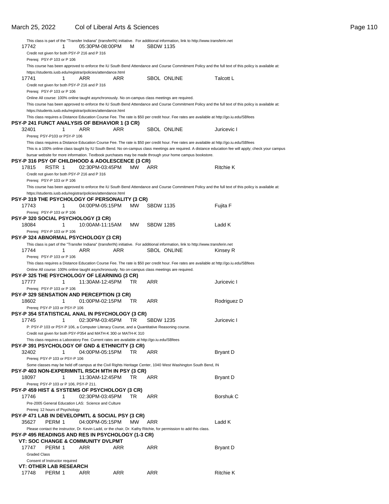|                     |                                               |                                                                                                                                                                 |     |     |                  | This class is part of the "Transfer Indiana" (transferIN) initiative. For additional information, link to http://www.transferin.net |                                                                                                                                                       |
|---------------------|-----------------------------------------------|-----------------------------------------------------------------------------------------------------------------------------------------------------------------|-----|-----|------------------|-------------------------------------------------------------------------------------------------------------------------------------|-------------------------------------------------------------------------------------------------------------------------------------------------------|
| 17742               | 1                                             | 05:30PM-08:00PM                                                                                                                                                 |     | м   | <b>SBDW 1135</b> |                                                                                                                                     |                                                                                                                                                       |
|                     | Credit not given for both PSY-P 216 and P 316 |                                                                                                                                                                 |     |     |                  |                                                                                                                                     |                                                                                                                                                       |
|                     | Prereq: PSY-P 103 or P 106                    |                                                                                                                                                                 |     |     |                  |                                                                                                                                     |                                                                                                                                                       |
|                     |                                               |                                                                                                                                                                 |     |     |                  |                                                                                                                                     | This course has been approved to enforce the IU South Bend Attendance and Course Commitment Policy and the full text of this policy is available at:  |
|                     |                                               | https://students.iusb.edu/registrar/policies/attendance.html                                                                                                    |     |     |                  |                                                                                                                                     |                                                                                                                                                       |
| 17741               | 1                                             | ARR                                                                                                                                                             | ARR |     |                  | <b>SBOL ONLINE</b>                                                                                                                  | Talcott L                                                                                                                                             |
|                     | Credit not given for both PSY-P 216 and P 316 |                                                                                                                                                                 |     |     |                  |                                                                                                                                     |                                                                                                                                                       |
|                     | Prereq: PSY-P 103 or P 106                    |                                                                                                                                                                 |     |     |                  |                                                                                                                                     |                                                                                                                                                       |
|                     |                                               | Online All course: 100% online taught asynchronously. No on-campus class meetings are required.                                                                 |     |     |                  |                                                                                                                                     |                                                                                                                                                       |
|                     |                                               |                                                                                                                                                                 |     |     |                  |                                                                                                                                     | This course has been approved to enforce the IU South Bend Attendance and Course Commitment Policy and the full text of this policy is available at:  |
|                     |                                               | https://students.iusb.edu/registrar/policies/attendance.html                                                                                                    |     |     |                  |                                                                                                                                     |                                                                                                                                                       |
|                     |                                               |                                                                                                                                                                 |     |     |                  |                                                                                                                                     | This class requires a Distance Education Course Fee. The rate is \$50 per credit hour. Fee rates are available at http://go.iu.edu/SBfees             |
|                     |                                               | PSY-P 241 FUNCT ANALYSIS OF BEHAVIOR 1 (3 CR)                                                                                                                   |     |     |                  |                                                                                                                                     |                                                                                                                                                       |
| 32401               | 1                                             | ARR                                                                                                                                                             | ARR |     |                  | <b>SBOL ONLINE</b>                                                                                                                  | Juricevic I                                                                                                                                           |
|                     | Prereq: PSY-P103 or PSY-P 106                 |                                                                                                                                                                 |     |     |                  |                                                                                                                                     |                                                                                                                                                       |
|                     |                                               |                                                                                                                                                                 |     |     |                  |                                                                                                                                     | This class requires a Distance Education Course Fee. The rate is \$50 per credit hour. Fee rates are available at http://go.iu.edu/SBfees             |
|                     |                                               |                                                                                                                                                                 |     |     |                  |                                                                                                                                     | This is a 100% online class taught by IU South Bend. No on-campus class meetings are required. A distance education fee will apply; check your campus |
|                     |                                               |                                                                                                                                                                 |     |     |                  | bursar website for more information. Textbook purchases may be made through your home campus bookstore.                             |                                                                                                                                                       |
|                     |                                               | <b>PSY-P 316 PSY OF CHILDHOOD &amp; ADOLESCENCE (3 CR)</b>                                                                                                      |     |     |                  |                                                                                                                                     |                                                                                                                                                       |
| 17815               | RSTR 1                                        | 02:30PM-03:45PM                                                                                                                                                 |     | MW. | ARR              |                                                                                                                                     | Ritchie K                                                                                                                                             |
|                     | Credit not given for both PSY-P 216 and P 316 |                                                                                                                                                                 |     |     |                  |                                                                                                                                     |                                                                                                                                                       |
|                     |                                               |                                                                                                                                                                 |     |     |                  |                                                                                                                                     |                                                                                                                                                       |
|                     | Prereq: PSY-P 103 or P 106                    |                                                                                                                                                                 |     |     |                  |                                                                                                                                     |                                                                                                                                                       |
|                     |                                               |                                                                                                                                                                 |     |     |                  |                                                                                                                                     | This course has been approved to enforce the IU South Bend Attendance and Course Commitment Policy and the full text of this policy is available at:  |
|                     |                                               | https://students.iusb.edu/registrar/policies/attendance.html                                                                                                    |     |     |                  |                                                                                                                                     |                                                                                                                                                       |
|                     |                                               | PSY-P 319 THE PSYCHOLOGY OF PERSONALITY (3 CR)                                                                                                                  |     |     |                  |                                                                                                                                     |                                                                                                                                                       |
| 17743               | 1                                             | 04:00PM-05:15PM                                                                                                                                                 |     | MW. | <b>SBDW 1135</b> |                                                                                                                                     | Fujita F                                                                                                                                              |
|                     | Prereq: PSY-P 103 or P 106                    |                                                                                                                                                                 |     |     |                  |                                                                                                                                     |                                                                                                                                                       |
|                     |                                               | <b>PSY-P 320 SOCIAL PSYCHOLOGY (3 CR)</b>                                                                                                                       |     |     |                  |                                                                                                                                     |                                                                                                                                                       |
| 18084               | 1                                             | 10:00AM-11:15AM                                                                                                                                                 |     | MW. | <b>SBDW 1285</b> |                                                                                                                                     | Ladd K                                                                                                                                                |
|                     | Prereq: PSY-P 103 or P 106                    |                                                                                                                                                                 |     |     |                  |                                                                                                                                     |                                                                                                                                                       |
|                     |                                               | <b>PSY-P 324 ABNORMAL PSYCHOLOGY (3 CR)</b>                                                                                                                     |     |     |                  |                                                                                                                                     |                                                                                                                                                       |
|                     |                                               |                                                                                                                                                                 |     |     |                  | This class is part of the "Transfer Indiana" (transferIN) initiative. For additional information, link to http://www.transferin.net |                                                                                                                                                       |
| 17744               | 1                                             | ARR                                                                                                                                                             | ARR |     |                  | SBOL ONLINE                                                                                                                         | Kinsey R                                                                                                                                              |
|                     | Prereq: PSY-P 103 or P 106                    |                                                                                                                                                                 |     |     |                  |                                                                                                                                     |                                                                                                                                                       |
|                     |                                               |                                                                                                                                                                 |     |     |                  |                                                                                                                                     | This class requires a Distance Education Course Fee. The rate is \$50 per credit hour. Fee rates are available at http://go.iu.edu/SBfees             |
|                     |                                               | Online All course: 100% online taught asynchronously. No on-campus class meetings are required.                                                                 |     |     |                  |                                                                                                                                     |                                                                                                                                                       |
|                     |                                               | PSY-P 325 THE PSYCHOLOGY OF LEARNING (3 CR)                                                                                                                     |     |     |                  |                                                                                                                                     |                                                                                                                                                       |
| 17777               | 1                                             | 11:30AM-12:45PM                                                                                                                                                 |     | TR. | ARR              |                                                                                                                                     | Juricevic I                                                                                                                                           |
|                     | Prereq: PSY-P 103 or P 106                    |                                                                                                                                                                 |     |     |                  |                                                                                                                                     |                                                                                                                                                       |
|                     |                                               | <b>PSY-P 329 SENSATION AND PERCEPTION (3 CR)</b>                                                                                                                |     |     |                  |                                                                                                                                     |                                                                                                                                                       |
| 18602               | 1                                             | 01:00PM-02:15PM                                                                                                                                                 |     | TR  | ARR              |                                                                                                                                     | Rodriguez D                                                                                                                                           |
|                     | Prereq: PSY-P 103 or PSY-P 106                |                                                                                                                                                                 |     |     |                  |                                                                                                                                     |                                                                                                                                                       |
|                     |                                               | PSY-P 354 STATISTICAL ANAL IN PSYCHOLOGY (3 CR)                                                                                                                 |     |     |                  |                                                                                                                                     |                                                                                                                                                       |
| 17745               | 1                                             | 02:30PM-03:45PM                                                                                                                                                 |     | TR  | <b>SBDW 1235</b> |                                                                                                                                     | Juricevic I                                                                                                                                           |
|                     |                                               |                                                                                                                                                                 |     |     |                  |                                                                                                                                     |                                                                                                                                                       |
|                     |                                               | P: PSY-P 103 or PSY-P 106, a Computer Literacy Course, and a Quantitative Reasoning course.                                                                     |     |     |                  |                                                                                                                                     |                                                                                                                                                       |
|                     |                                               | Credit not given for both PSY-P354 and MATH-K 300 or MATH-K 310<br>This class requires a Laboratory Fee. Current rates are available at http://go.iu.edu/SBfees |     |     |                  |                                                                                                                                     |                                                                                                                                                       |
|                     |                                               | <b>PSY-P 391 PSYCHOLOGY OF GND &amp; ETHNICITY (3 CR)</b>                                                                                                       |     |     |                  |                                                                                                                                     |                                                                                                                                                       |
|                     |                                               |                                                                                                                                                                 |     |     |                  |                                                                                                                                     |                                                                                                                                                       |
| 32402               | 1                                             | 04:00PM-05:15PM                                                                                                                                                 |     | TR  | ARR              |                                                                                                                                     | Bryant D                                                                                                                                              |
|                     | Prereq: PSY-P 103 or PSY-P 106                |                                                                                                                                                                 |     |     |                  |                                                                                                                                     |                                                                                                                                                       |
|                     |                                               |                                                                                                                                                                 |     |     |                  | Some classes may be held off campus at the Civil Rights Heritage Center, 1040 West Washington South Bend, IN                        |                                                                                                                                                       |
|                     |                                               | PSY-P 403 NON-EXPERIMNTL RSCH MTH IN PSY (3 CR)                                                                                                                 |     |     |                  |                                                                                                                                     |                                                                                                                                                       |
| 18097               | 1                                             | 11:30AM-12:45PM                                                                                                                                                 |     | TR  | ARR              |                                                                                                                                     | <b>Bryant D</b>                                                                                                                                       |
|                     | Prereq: PSY-P 103 or P 106, PSY-P 211.        |                                                                                                                                                                 |     |     |                  |                                                                                                                                     |                                                                                                                                                       |
|                     |                                               | <b>PSY-P 459 HIST &amp; SYSTEMS OF PSYCHOLOGY (3 CR)</b>                                                                                                        |     |     |                  |                                                                                                                                     |                                                                                                                                                       |
| 17746               | 1                                             | 02:30PM-03:45PM                                                                                                                                                 |     | TR  | ARR              |                                                                                                                                     | Borshuk C                                                                                                                                             |
|                     |                                               | Pre-2005 General Education LAS: Science and Culture                                                                                                             |     |     |                  |                                                                                                                                     |                                                                                                                                                       |
|                     | Prereq: 12 hours of Psychology                |                                                                                                                                                                 |     |     |                  |                                                                                                                                     |                                                                                                                                                       |
|                     |                                               | PSY-P 471 LAB IN DEVELOPMTL & SOCIAL PSY (3 CR)                                                                                                                 |     |     |                  |                                                                                                                                     |                                                                                                                                                       |
| 35627               | PERM 1                                        | 04:00PM-05:15PM                                                                                                                                                 |     | MW  | ARR              |                                                                                                                                     | Ladd K                                                                                                                                                |
|                     |                                               |                                                                                                                                                                 |     |     |                  | Please contact the instructor, Dr. Kevin Ladd, or the chair, Dr. Kathy Ritchie, for permission to add this class.                   |                                                                                                                                                       |
|                     |                                               | PSY-P 495 READINGS AND RES IN PSYCHOLOGY (1-3 CR)                                                                                                               |     |     |                  |                                                                                                                                     |                                                                                                                                                       |
|                     |                                               | <b>VT: SOC CHANGE &amp; COMMUNITY DVLPMT</b>                                                                                                                    |     |     |                  |                                                                                                                                     |                                                                                                                                                       |
| 17747               | PERM 1                                        | ARR                                                                                                                                                             | ARR |     | ARR              |                                                                                                                                     | <b>Bryant D</b>                                                                                                                                       |
| <b>Graded Class</b> |                                               |                                                                                                                                                                 |     |     |                  |                                                                                                                                     |                                                                                                                                                       |
|                     | Consent of Instructor required                |                                                                                                                                                                 |     |     |                  |                                                                                                                                     |                                                                                                                                                       |
|                     | <b>VT: OTHER LAB RESEARCH</b>                 |                                                                                                                                                                 |     |     |                  |                                                                                                                                     |                                                                                                                                                       |
| 17748               | PERM 1                                        | ARR                                                                                                                                                             | ARR |     | ARR              |                                                                                                                                     | <b>Ritchie K</b>                                                                                                                                      |
|                     |                                               |                                                                                                                                                                 |     |     |                  |                                                                                                                                     |                                                                                                                                                       |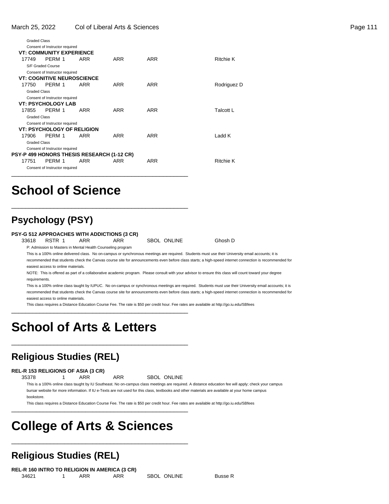| Page 111 |  |  |
|----------|--|--|
|          |  |  |

| <b>Graded Class</b> |                                   |            |                                            |            |                  |
|---------------------|-----------------------------------|------------|--------------------------------------------|------------|------------------|
|                     | Consent of Instructor required    |            |                                            |            |                  |
|                     | <b>VT: COMMUNITY EXPERIENCE</b>   |            |                                            |            |                  |
| 17749               | PERM 1                            | ARR        | ARR                                        | ARR        | Ritchie K        |
|                     | S/F Graded Course                 |            |                                            |            |                  |
|                     | Consent of Instructor required    |            |                                            |            |                  |
|                     | <b>VT: COGNITIVE NEUROSCIENCE</b> |            |                                            |            |                  |
| 17750               | PERM 1                            | ARR        | ARR                                        | ARR        | Rodriguez D      |
| <b>Graded Class</b> |                                   |            |                                            |            |                  |
|                     | Consent of Instructor required    |            |                                            |            |                  |
|                     | <b>VT: PSYCHOLOGY LAB</b>         |            |                                            |            |                  |
| 17855               | PERM 1                            | ARR        | ARR                                        | ARR        | <b>Talcott L</b> |
| <b>Graded Class</b> |                                   |            |                                            |            |                  |
|                     | Consent of Instructor required    |            |                                            |            |                  |
|                     | <b>VT: PSYCHOLOGY OF RELIGION</b> |            |                                            |            |                  |
| 17906               | PERM 1                            | <b>ARR</b> | <b>ARR</b>                                 | <b>ARR</b> | Ladd K           |
| <b>Graded Class</b> |                                   |            |                                            |            |                  |
|                     | Consent of Instructor required    |            |                                            |            |                  |
|                     |                                   |            | PSY-P 499 HONORS THESIS RESEARCH (1-12 CR) |            |                  |
| 17751               | PFRM 1                            | <b>ARR</b> | <b>ARR</b>                                 | ARR        | <b>Ritchie K</b> |
|                     | Consent of Instructor required    |            |                                            |            |                  |
|                     |                                   |            |                                            |            |                  |

## **School of Science**

### **Psychology (PSY)**

#### **PSY-G 512 APPROACHES WITH ADDICTIONS (3 CR)**

\_\_\_\_\_\_\_\_\_\_\_\_\_\_\_\_\_\_\_\_\_\_\_\_\_\_\_\_\_\_\_\_\_\_\_\_\_\_\_\_\_\_\_\_\_\_\_\_\_\_

33618 RSTR 1 ARR ARR SBOL ONLINE Ghosh D P: Admission to Masters in Mental Health Counseling program

This is a 100% online delivered class. No on-campus or synchronous meetings are required. Students must use their University email accounts; it is recommended that students check the Canvas course site for announcements even before class starts; a high-speed internet connection is recommended for easiest access to online materials.

NOTE: This is offered as part of a collaborative academic program. Please consult with your advisor to ensure this class will count toward your degree requirements.

This is a 100% online class taught by IUPUC. No on-campus or synchronous meetings are required. Students must use their University email accounts; it is recommended that students check the Canvas course site for announcements even before class starts; a high-speed internet connection is recommended for easiest access to online materials.

This class requires a Distance Education Course Fee. The rate is \$50 per credit hour. Fee rates are available at http://go.iu.edu/SBfees

## **School of Arts & Letters**

### **Religious Studies (REL)**

#### **REL-R 153 RELIGIONS OF ASIA (3 CR)**

35378 1 ARR ARR SBOL ONLINE

\_\_\_\_\_\_\_\_\_\_\_\_\_\_\_\_\_\_\_\_\_\_\_\_\_\_\_\_\_\_\_\_\_\_\_\_\_\_\_\_\_\_\_\_\_\_\_\_\_\_

\_\_\_\_\_\_\_\_\_\_\_\_\_\_\_\_\_\_\_\_\_\_\_\_\_\_\_\_\_\_\_\_\_\_\_\_\_\_\_\_\_\_\_\_\_\_\_\_\_\_

\_\_\_\_\_\_\_\_\_\_\_\_\_\_\_\_\_\_\_\_\_\_\_\_\_\_\_\_\_\_\_\_\_\_\_\_\_\_\_\_\_\_\_\_\_\_\_\_\_\_

\_\_\_\_\_\_\_\_\_\_\_\_\_\_\_\_\_\_\_\_\_\_\_\_\_\_\_\_\_\_\_\_\_\_\_\_\_\_\_\_\_\_\_\_\_\_\_\_\_\_

This is a 100% online class taught by IU Southeast. No on-campus class meetings are required. A distance education fee will apply; check your campus bursar website for more information. If IU e-Texts are not used for this class, textbooks and other materials are available at your home campus bookstore.

This class requires a Distance Education Course Fee. The rate is \$50 per credit hour. Fee rates are available at http://go.iu.edu/SBfees

## **College of Arts & Sciences**

### **Religious Studies (REL)**

**REL-R 160 INTRO TO RELIGION IN AMERICA (3 CR)** 34621 1 ARR ARR SBOL ONLINE Busse R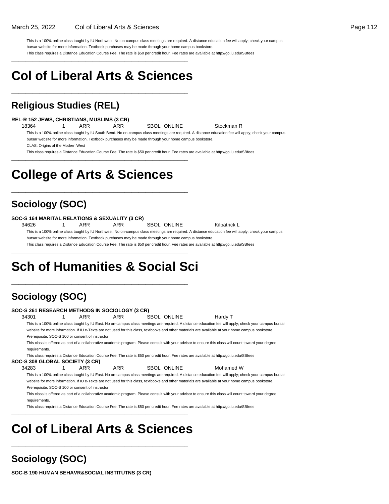This is a 100% online class taught by IU Northwest. No on-campus class meetings are required. A distance education fee will apply; check your campus bursar website for more information. Textbook purchases may be made through your home campus bookstore. This class requires a Distance Education Course Fee. The rate is \$50 per credit hour. Fee rates are available at http://go.iu.edu/SBfees

## **Col of Liberal Arts & Sciences**

\_\_\_\_\_\_\_\_\_\_\_\_\_\_\_\_\_\_\_\_\_\_\_\_\_\_\_\_\_\_\_\_\_\_\_\_\_\_\_\_\_\_\_\_\_\_\_\_\_\_

\_\_\_\_\_\_\_\_\_\_\_\_\_\_\_\_\_\_\_\_\_\_\_\_\_\_\_\_\_\_\_\_\_\_\_\_\_\_\_\_\_\_\_\_\_\_\_\_\_\_

### **Religious Studies (REL)**

#### **REL-R 152 JEWS, CHRISTIANS, MUSLIMS (3 CR)**

18364 1 ARR ARR SBOL ONLINE Stockman R

This is a 100% online class taught by IU South Bend. No on-campus class meetings are required. A distance education fee will apply; check your campus bursar website for more information. Textbook purchases may be made through your home campus bookstore.

CLAS: Origins of the Modern West

This class requires a Distance Education Course Fee. The rate is \$50 per credit hour. Fee rates are available at http://go.iu.edu/SBfees \_\_\_\_\_\_\_\_\_\_\_\_\_\_\_\_\_\_\_\_\_\_\_\_\_\_\_\_\_\_\_\_\_\_\_\_\_\_\_\_\_\_\_\_\_\_\_\_\_\_

## **College of Arts & Sciences**

\_\_\_\_\_\_\_\_\_\_\_\_\_\_\_\_\_\_\_\_\_\_\_\_\_\_\_\_\_\_\_\_\_\_\_\_\_\_\_\_\_\_\_\_\_\_\_\_\_\_

### **Sociology (SOC)**

#### **SOC-S 164 MARITAL RELATIONS & SEXUALITY (3 CR)**

34626 1 ARR ARR SBOL ONLINE Kilpatrick L

This is a 100% online class taught by IU Northwest. No on-campus class meetings are required. A distance education fee will apply; check your campus bursar website for more information. Textbook purchases may be made through your home campus bookstore.

This class requires a Distance Education Course Fee. The rate is \$50 per credit hour. Fee rates are available at http://go.iu.edu/SBfees

## **Sch of Humanities & Social Sci**

\_\_\_\_\_\_\_\_\_\_\_\_\_\_\_\_\_\_\_\_\_\_\_\_\_\_\_\_\_\_\_\_\_\_\_\_\_\_\_\_\_\_\_\_\_\_\_\_\_\_

\_\_\_\_\_\_\_\_\_\_\_\_\_\_\_\_\_\_\_\_\_\_\_\_\_\_\_\_\_\_\_\_\_\_\_\_\_\_\_\_\_\_\_\_\_\_\_\_\_\_

## **Sociology (SOC)**

| SOC-S 261 RESEARCH METHODS IN SOCIOLOGY (3 CR) |                                                  |     |             |                                                                                                                                                        |  |
|------------------------------------------------|--------------------------------------------------|-----|-------------|--------------------------------------------------------------------------------------------------------------------------------------------------------|--|
| 34301                                          | ARR                                              | ARR | SBOL ONLINE | Hardy T                                                                                                                                                |  |
|                                                |                                                  |     |             | This is a 100% online class taught by IU East. No on-campus class meetings are required. A distance education fee will apply; check your campus bursar |  |
|                                                |                                                  |     |             | website for more information. If IU e-Texts are not used for this class, textbooks and other materials are available at your home campus bookstore.    |  |
|                                                | Prerequisite: SOC-S 100 or consent of instructor |     |             |                                                                                                                                                        |  |
| requirements.                                  |                                                  |     |             | This class is offered as part of a collaborative academic program. Please consult with your advisor to ensure this class will count toward your degree |  |
|                                                |                                                  |     |             | This class requires a Distance Education Course Fee. The rate is \$50 per credit hour. Fee rates are available at http://qo.iu.edu/SBfees              |  |
| SOC-S 308 GLOBAL SOCIETY (3 CR)                |                                                  |     |             |                                                                                                                                                        |  |
| 34283                                          | ARR                                              | ARR | SBOL ONLINE | Mohamed W                                                                                                                                              |  |
|                                                |                                                  |     |             | This is a 100% online class taught by IU East. No on-campus class meetings are required. A distance education fee will apply; check your campus bursar |  |
|                                                |                                                  |     |             | website for more information. If IU e-Texts are not used for this class, textbooks and other materials are available at your home campus bookstore.    |  |
|                                                | Prerequisite: SOC-S 100 or consent of instructor |     |             |                                                                                                                                                        |  |
|                                                |                                                  |     |             | This class is offered as part of a collaborative academic program. Please consult with your advisor to ensure this class will count toward your degree |  |
| requirements.                                  |                                                  |     |             |                                                                                                                                                        |  |

This class requires a Distance Education Course Fee. The rate is \$50 per credit hour. Fee rates are available at http://go.iu.edu/SBfees

## **Col of Liberal Arts & Sciences**

\_\_\_\_\_\_\_\_\_\_\_\_\_\_\_\_\_\_\_\_\_\_\_\_\_\_\_\_\_\_\_\_\_\_\_\_\_\_\_\_\_\_\_\_\_\_\_\_\_\_

\_\_\_\_\_\_\_\_\_\_\_\_\_\_\_\_\_\_\_\_\_\_\_\_\_\_\_\_\_\_\_\_\_\_\_\_\_\_\_\_\_\_\_\_\_\_\_\_\_\_

### **Sociology (SOC)**

**SOC-B 190 HUMAN BEHAVR&SOCIAL INSTITUTNS (3 CR)**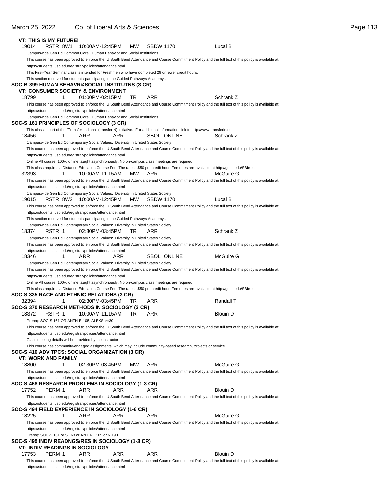### March 25, 2022 Col of Liberal Arts & Sciences **Page 113**

| <b>VT: THIS IS MY FUTURE!</b> |          |   |                                                                                                                                                                 |     |           |                  |             |                                                                                                                                                      |
|-------------------------------|----------|---|-----------------------------------------------------------------------------------------------------------------------------------------------------------------|-----|-----------|------------------|-------------|------------------------------------------------------------------------------------------------------------------------------------------------------|
| 19014                         | RSTR 8W1 |   | 10:00AM-12:45PM                                                                                                                                                 |     | MW        | <b>SBDW 1170</b> |             | Lucal B                                                                                                                                              |
|                               |          |   | Campuswide Gen Ed Common Core: Human Behavior and Social Institutions                                                                                           |     |           |                  |             |                                                                                                                                                      |
|                               |          |   |                                                                                                                                                                 |     |           |                  |             | This course has been approved to enforce the IU South Bend Attendance and Course Commitment Policy and the full text of this policy is available at: |
|                               |          |   | https://students.iusb.edu/registrar/policies/attendance.html                                                                                                    |     |           |                  |             |                                                                                                                                                      |
|                               |          |   | This First-Year Seminar class is intended for Freshmen who have completed 29 or fewer credit hours.                                                             |     |           |                  |             |                                                                                                                                                      |
|                               |          |   | This section reserved for students participating in the Guided Pathways Academy                                                                                 |     |           |                  |             |                                                                                                                                                      |
|                               |          |   | SOC-B 399 HUMAN BEHAVR&SOCIAL INSTITUTNS (3 CR)<br><b>VT: CONSUMER SOCIETY &amp; ENVIRONMENT</b>                                                                |     |           |                  |             |                                                                                                                                                      |
| 18799                         |          | 1 | 01:00PM-02:15PM                                                                                                                                                 |     | TR        | ARR              |             | Schrank Z                                                                                                                                            |
|                               |          |   |                                                                                                                                                                 |     |           |                  |             | This course has been approved to enforce the IU South Bend Attendance and Course Commitment Policy and the full text of this policy is available at: |
|                               |          |   | https://students.iusb.edu/registrar/policies/attendance.html                                                                                                    |     |           |                  |             |                                                                                                                                                      |
|                               |          |   | Campuswide Gen Ed Common Core: Human Behavior and Social Institutions                                                                                           |     |           |                  |             |                                                                                                                                                      |
|                               |          |   | SOC-S 161 PRINCIPLES OF SOCIOLOGY (3 CR)                                                                                                                        |     |           |                  |             |                                                                                                                                                      |
|                               |          |   | This class is part of the "Transfer Indiana" (transferIN) initiative. For additional information, link to http://www.transferin.net                             |     |           |                  |             |                                                                                                                                                      |
| 18456                         |          | 1 | ARR                                                                                                                                                             | ARR |           |                  | SBOL ONLINE | Schrank Z                                                                                                                                            |
|                               |          |   | Campuswide Gen Ed Contemporary Social Values: Diversity in United States Society                                                                                |     |           |                  |             |                                                                                                                                                      |
|                               |          |   |                                                                                                                                                                 |     |           |                  |             | This course has been approved to enforce the IU South Bend Attendance and Course Commitment Policy and the full text of this policy is available at: |
|                               |          |   | https://students.iusb.edu/registrar/policies/attendance.html<br>Online All course: 100% online taught asynchronously. No on-campus class meetings are required. |     |           |                  |             |                                                                                                                                                      |
|                               |          |   |                                                                                                                                                                 |     |           |                  |             | This class requires a Distance Education Course Fee. The rate is \$50 per credit hour. Fee rates are available at http://go.iu.edu/SBfees            |
| 32393                         |          | 1 | 10:00AM-11:15AM                                                                                                                                                 |     | <b>MW</b> | ARR              |             | McGuire G                                                                                                                                            |
|                               |          |   |                                                                                                                                                                 |     |           |                  |             | This course has been approved to enforce the IU South Bend Attendance and Course Commitment Policy and the full text of this policy is available at: |
|                               |          |   | https://students.iusb.edu/registrar/policies/attendance.html                                                                                                    |     |           |                  |             |                                                                                                                                                      |
|                               |          |   | Campuswide Gen Ed Contemporary Social Values: Diversity in United States Society                                                                                |     |           |                  |             |                                                                                                                                                      |
| 19015                         | RSTR 8W2 |   | 10:00AM-12:45PM                                                                                                                                                 |     | <b>MW</b> | <b>SBDW 1170</b> |             | Lucal B                                                                                                                                              |
|                               |          |   |                                                                                                                                                                 |     |           |                  |             | This course has been approved to enforce the IU South Bend Attendance and Course Commitment Policy and the full text of this policy is available at: |
|                               |          |   | https://students.iusb.edu/registrar/policies/attendance.html                                                                                                    |     |           |                  |             |                                                                                                                                                      |
|                               |          |   | This section reserved for students participating in the Guided Pathways Academy                                                                                 |     |           |                  |             |                                                                                                                                                      |
| 18374                         | RSTR 1   |   | Campuswide Gen Ed Contemporary Social Values: Diversity in United States Society<br>02:30PM-03:45PM                                                             |     | TR        | ARR              |             | Schrank Z                                                                                                                                            |
|                               |          |   | Campuswide Gen Ed Contemporary Social Values: Diversity in United States Society                                                                                |     |           |                  |             |                                                                                                                                                      |
|                               |          |   |                                                                                                                                                                 |     |           |                  |             | This course has been approved to enforce the IU South Bend Attendance and Course Commitment Policy and the full text of this policy is available at: |
|                               |          |   | https://students.iusb.edu/registrar/policies/attendance.html                                                                                                    |     |           |                  |             |                                                                                                                                                      |
| 18346                         |          | 1 | ARR                                                                                                                                                             | ARR |           |                  | SBOL ONLINE | McGuire G                                                                                                                                            |
|                               |          |   | Campuswide Gen Ed Contemporary Social Values: Diversity in United States Society                                                                                |     |           |                  |             |                                                                                                                                                      |
|                               |          |   |                                                                                                                                                                 |     |           |                  |             | This course has been approved to enforce the IU South Bend Attendance and Course Commitment Policy and the full text of this policy is available at: |
|                               |          |   | https://students.iusb.edu/registrar/policies/attendance.html                                                                                                    |     |           |                  |             |                                                                                                                                                      |
|                               |          |   | Online All course: 100% online taught asynchronously. No on-campus class meetings are required.                                                                 |     |           |                  |             |                                                                                                                                                      |
|                               |          |   |                                                                                                                                                                 |     |           |                  |             | This class requires a Distance Education Course Fee. The rate is \$50 per credit hour. Fee rates are available at http://go.iu.edu/SBfees            |
| 32394                         |          | 1 | SOC-S 335 RACE AND ETHNIC RELATIONS (3 CR)<br>02:30PM-03:45PM                                                                                                   |     | TR        | ARR              |             | Randall T                                                                                                                                            |
|                               |          |   | SOC-S 370 RESEARCH METHODS IN SOCIOLOGY (3 CR)                                                                                                                  |     |           |                  |             |                                                                                                                                                      |
| 18372                         | RSTR 1   |   | 10:00AM-11:15AM                                                                                                                                                 |     | TR.       | ARR              |             | <b>Blouin D</b>                                                                                                                                      |
|                               |          |   | Prereq: SOC-S 161 OR ANTH-E 105, ALEKS >=30                                                                                                                     |     |           |                  |             |                                                                                                                                                      |
|                               |          |   |                                                                                                                                                                 |     |           |                  |             | This course has been approved to enforce the IU South Bend Attendance and Course Commitment Policy and the full text of this policy is available at: |
|                               |          |   | https://students.iusb.edu/registrar/policies/attendance.html                                                                                                    |     |           |                  |             |                                                                                                                                                      |
|                               |          |   | Class meeting details will be provided by the instructor                                                                                                        |     |           |                  |             |                                                                                                                                                      |
|                               |          |   | This course has community-engaged assignments, which may include community-based research, projects or service.                                                 |     |           |                  |             |                                                                                                                                                      |
|                               |          |   | SOC-S 410 ADV TPCS: SOCIAL ORGANIZATION (3 CR)                                                                                                                  |     |           |                  |             |                                                                                                                                                      |
| <b>VT: WORK AND FAMILY</b>    |          |   |                                                                                                                                                                 |     |           |                  |             |                                                                                                                                                      |
| 18800                         |          | 1 | 02:30PM-03:45PM                                                                                                                                                 |     | MW        | ARR              |             | McGuire G                                                                                                                                            |
|                               |          |   |                                                                                                                                                                 |     |           |                  |             | This course has been approved to enforce the IU South Bend Attendance and Course Commitment Policy and the full text of this policy is available at: |
|                               |          |   | https://students.iusb.edu/registrar/policies/attendance.html<br>SOC-S 468 RESEARCH PROBLEMS IN SOCIOLOGY (1-3 CR)                                               |     |           |                  |             |                                                                                                                                                      |
| 17752                         | PERM 1   |   | <b>ARR</b>                                                                                                                                                      | ARR |           | ARR              |             | <b>Blouin D</b>                                                                                                                                      |
|                               |          |   |                                                                                                                                                                 |     |           |                  |             | This course has been approved to enforce the IU South Bend Attendance and Course Commitment Policy and the full text of this policy is available at: |
|                               |          |   | https://students.iusb.edu/registrar/policies/attendance.html                                                                                                    |     |           |                  |             |                                                                                                                                                      |
|                               |          |   | SOC-S 494 FIELD EXPERIENCE IN SOCIOLOGY (1-6 CR)                                                                                                                |     |           |                  |             |                                                                                                                                                      |
| 18225                         |          | 1 | ARR                                                                                                                                                             | ARR |           | ARR              |             | McGuire G                                                                                                                                            |
|                               |          |   |                                                                                                                                                                 |     |           |                  |             | This course has been approved to enforce the IU South Bend Attendance and Course Commitment Policy and the full text of this policy is available at: |
|                               |          |   | https://students.iusb.edu/registrar/policies/attendance.html                                                                                                    |     |           |                  |             |                                                                                                                                                      |
|                               |          |   | Prereq: SOC-S 161 or S 163 or ANTH-E 105 or N 190                                                                                                               |     |           |                  |             |                                                                                                                                                      |
|                               |          |   | SOC-S 495 INDIV READNGS/RES IN SOCIOLOGY (1-3 CR)                                                                                                               |     |           |                  |             |                                                                                                                                                      |
|                               |          |   | <b>VT: INDIV READINGS IN SOCIOLOGY</b>                                                                                                                          |     |           |                  |             |                                                                                                                                                      |
| 17753                         | PERM 1   |   | ARR                                                                                                                                                             | ARR |           | ARR              |             | <b>Blouin D</b>                                                                                                                                      |
|                               |          |   |                                                                                                                                                                 |     |           |                  |             | This course has been approved to enforce the IU South Bend Attendance and Course Commitment Policy and the full text of this policy is available at: |
|                               |          |   | https://students.iusb.edu/registrar/policies/attendance.html                                                                                                    |     |           |                  |             |                                                                                                                                                      |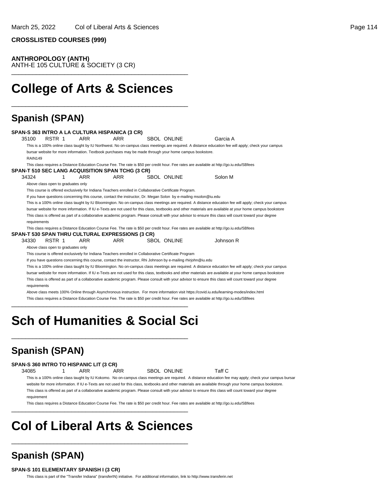**CROSSLISTED COURSES (999)**

#### **ANTHROPOLOGY (ANTH)**

ANTH-E 105 CULTURE & SOCIETY (3 CR) \_\_\_\_\_\_\_\_\_\_\_\_\_\_\_\_\_\_\_\_\_\_\_\_\_\_\_\_\_\_\_\_\_\_\_\_\_\_\_\_\_\_\_\_\_\_\_\_\_\_

## **College of Arts & Sciences**

\_\_\_\_\_\_\_\_\_\_\_\_\_\_\_\_\_\_\_\_\_\_\_\_\_\_\_\_\_\_\_\_\_\_\_\_\_\_\_\_\_\_\_\_\_\_\_\_\_\_

### **Spanish (SPAN)**

|                                    |        |            | SPAN-S 363 INTRO A LA CULTURA HISPANICA (3 CR)                                                                 |                    |                                                                                                                                                           |  |
|------------------------------------|--------|------------|----------------------------------------------------------------------------------------------------------------|--------------------|-----------------------------------------------------------------------------------------------------------------------------------------------------------|--|
| 35100                              | RSTR 1 | ARR        | <b>ARR</b>                                                                                                     | <b>SBOL ONLINE</b> | Garcia A                                                                                                                                                  |  |
|                                    |        |            |                                                                                                                |                    | This is a 100% online class taught by IU Northwest. No on-campus class meetings are required. A distance education fee will apply; check your campus      |  |
|                                    |        |            | bursar website for more information. Textbook purchases may be made through your home campus bookstore.        |                    |                                                                                                                                                           |  |
| <b>RAIN149</b>                     |        |            |                                                                                                                |                    |                                                                                                                                                           |  |
|                                    |        |            |                                                                                                                |                    | This class requires a Distance Education Course Fee. The rate is \$50 per credit hour. Fee rates are available at http://go.iu.edu/SBfees                 |  |
|                                    |        |            | <b>SPAN-T 510 SEC LANG ACQUISITION SPAN TCHG (3 CR)</b>                                                        |                    |                                                                                                                                                           |  |
| 34324                              |        | ARR        | ARR                                                                                                            | <b>SBOL ONLINE</b> | Solon M                                                                                                                                                   |  |
| Above class open to graduates only |        |            |                                                                                                                |                    |                                                                                                                                                           |  |
|                                    |        |            | This course is offered exclusively for Indiana Teachers enrolled in Collaborative Certificate Program.         |                    |                                                                                                                                                           |  |
|                                    |        |            |                                                                                                                |                    | If you have questions concerning this course, contact the instructor, Dr. Megan Solon by e-mailing msolon@iu.edu                                          |  |
|                                    |        |            |                                                                                                                |                    | This is a 100% online class taught by IU Bloomington. No on-campus class meetings are required. A distance education fee will apply; check your campus    |  |
|                                    |        |            |                                                                                                                |                    | bursar website for more information. If IU e-Texts are not used for this class, textbooks and other materials are available at your home campus bookstore |  |
|                                    |        |            |                                                                                                                |                    | This class is offered as part of a collaborative academic program. Please consult with your advisor to ensure this class will count toward your degree    |  |
| requirements                       |        |            |                                                                                                                |                    |                                                                                                                                                           |  |
|                                    |        |            |                                                                                                                |                    | This class requires a Distance Education Course Fee. The rate is \$50 per credit hour. Fee rates are available at http://go.iu.edu/SBfees                 |  |
|                                    |        |            | <b>SPAN-T 530 SPAN THRU CULTURAL EXPRESSIONS (3 CR)</b>                                                        |                    |                                                                                                                                                           |  |
| 34330                              | RSTR 1 | <b>ARR</b> | <b>ARR</b>                                                                                                     | SBOL ONLINE        | Johnson R                                                                                                                                                 |  |
| Above class open to graduates only |        |            |                                                                                                                |                    |                                                                                                                                                           |  |
|                                    |        |            | This course is offered exclusively for Indiana Teachers enrolled in Collaborative Certificate Program          |                    |                                                                                                                                                           |  |
|                                    |        |            | If you have questions concerning this course, contact the instructor, Rhi Johnson by e-mailing rhirjohn@iu.edu |                    |                                                                                                                                                           |  |
|                                    |        |            |                                                                                                                |                    | This is a 100% online class taught by IU Bloomington. No on-campus class meetings are required. A distance education fee will apply; check your campus    |  |
|                                    |        |            |                                                                                                                |                    | bursar website for more information. If IU e-Texts are not used for this class, textbooks and other materials are available at your home campus bookstore |  |
|                                    |        |            |                                                                                                                |                    | This class is offered as part of a collaborative academic program. Please consult with your advisor to ensure this class will count toward your degree    |  |
| requirements                       |        |            |                                                                                                                |                    |                                                                                                                                                           |  |
|                                    |        |            |                                                                                                                |                    | Above class meets 100% Online through Asynchronous instruction. For more information visit https://covid.iu.edu/learning-modes/index.html                 |  |
|                                    |        |            |                                                                                                                |                    | This class requires a Distance Education Course Fee. The rate is \$50 per credit hour. Fee rates are available at http://go.iu.edu/SBfees                 |  |
|                                    |        |            |                                                                                                                |                    |                                                                                                                                                           |  |

## **Sch of Humanities & Social Sci**

\_\_\_\_\_\_\_\_\_\_\_\_\_\_\_\_\_\_\_\_\_\_\_\_\_\_\_\_\_\_\_\_\_\_\_\_\_\_\_\_\_\_\_\_\_\_\_\_\_\_

### **Spanish (SPAN)**

#### **SPAN-S 360 INTRO TO HISPANIC LIT (3 CR)**

34085 1 ARR ARR SBOL ONLINE Taff C

This is a 100% online class taught by IU Kokomo. No on-campus class meetings are required. A distance education fee may apply; check your campus bursar website for more information. If IU e-Texts are not used for this class, textbooks and other materials are available through your home campus bookstore. This class is offered as part of a collaborative academic program. Please consult with your advisor to ensure this class will count toward your degree requirement

This class requires a Distance Education Course Fee. The rate is \$50 per credit hour. Fee rates are available at http://go.iu.edu/SBfees

## **Col of Liberal Arts & Sciences**

\_\_\_\_\_\_\_\_\_\_\_\_\_\_\_\_\_\_\_\_\_\_\_\_\_\_\_\_\_\_\_\_\_\_\_\_\_\_\_\_\_\_\_\_\_\_\_\_\_\_

\_\_\_\_\_\_\_\_\_\_\_\_\_\_\_\_\_\_\_\_\_\_\_\_\_\_\_\_\_\_\_\_\_\_\_\_\_\_\_\_\_\_\_\_\_\_\_\_\_\_

### **Spanish (SPAN)**

#### **SPAN-S 101 ELEMENTARY SPANISH I (3 CR)**

This class is part of the "Transfer Indiana" (transferIN) initiative. For additional information, link to http://www.transferin.net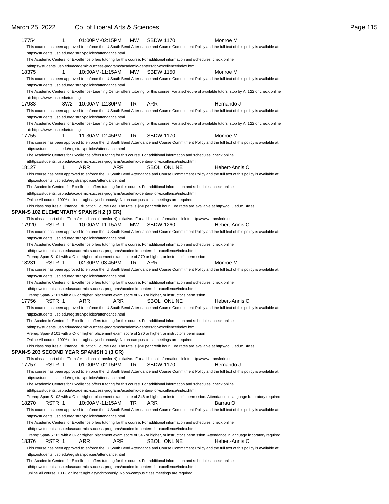#### 17754 1 01:00PM-02:15PM MW SBDW 1170 Monroe M This course has been approved to enforce the IU South Bend Attendance and Course Commitment Policy and the full text of this policy is available at: https://students.iusb.edu/registrar/policies/attendance.html The Academic Centers for Excellence offers tutoring for this course. For additional information and schedules, check online at https://students.iusb.edu/academic-success-programs/academic-centers-for-excellence/index.html. 18375 1 10:00AM-11:15AM MW SBDW 1150 Monroe M This course has been approved to enforce the IU South Bend Attendance and Course Commitment Policy and the full text of this policy is available at: https://students.iusb.edu/registrar/policies/attendance.html The Academic Centers for Excellence- Learning Center offers tutoring for this course. For a schedule of available tutors, stop by AI 122 or check online at: https://www.iusb.edu/tutoring 17983 8W2 10:00AM-12:30PM TR ARR **Hernando** J This course has been approved to enforce the IU South Bend Attendance and Course Commitment Policy and the full text of this policy is available at: https://students.iusb.edu/registrar/policies/attendance.html The Academic Centers for Excellence- Learning Center offers tutoring for this course. For a schedule of available tutors, stop by AI 122 or check online at: https://www.iusb.edu/tutoring 17755 1 11:30AM-12:45PM TR SBDW 1170 Monroe M This course has been approved to enforce the IU South Bend Attendance and Course Commitment Policy and the full text of this policy is available at: https://students.iusb.edu/registrar/policies/attendance.html The Academic Centers for Excellence offers tutoring for this course. For additional information and schedules, check online at https://students.iusb.edu/academic-success-programs/academic-centers-for-excellence/index.html. 18127 1 ARR ARR SBOL ONLINE Hebert-Annis C This course has been approved to enforce the IU South Bend Attendance and Course Commitment Policy and the full text of this policy is available at: https://students.iusb.edu/registrar/policies/attendance.html The Academic Centers for Excellence offers tutoring for this course. For additional information and schedules, check online at https://students.iusb.edu/academic-success-programs/academic-centers-for-excellence/index.html. Online All course: 100% online taught asynchronously. No on-campus class meetings are required. This class requires a Distance Education Course Fee. The rate is \$50 per credit hour. Fee rates are available at http://go.iu.edu/SBfees **SPAN-S 102 ELEMENTARY SPANISH 2 (3 CR)** This class is part of the "Transfer Indiana" (transferIN) initiative. For additional information, link to http://www.transferin.net 17920 RSTR 1 10:00AM-11:15AM MW SBDW 1260 Hebert-Annis C This course has been approved to enforce the IU South Bend Attendance and Course Commitment Policy and the full text of this policy is available at: https://students.iusb.edu/registrar/policies/attendance.html The Academic Centers for Excellence offers tutoring for this course. For additional information and schedules, check online at https://students.iusb.edu/academic-success-programs/academic-centers-for-excellence/index.html. Prereq: Span-S 101 with a C- or higher, placement exam score of 270 or higher, or instructor's permission 18231 RSTR 1 02:30PM-03:45PM TR ARR Monroe M This course has been approved to enforce the IU South Bend Attendance and Course Commitment Policy and the full text of this policy is available at: https://students.iusb.edu/registrar/policies/attendance.html The Academic Centers for Excellence offers tutoring for this course. For additional information and schedules, check online at https://students.iusb.edu/academic-success-programs/academic-centers-for-excellence/index.html. Prereq: Span-S 101 with a C- or higher, placement exam score of 270 or higher, or instructor's permission 17756 RSTR 1 ARR ARR SBOL ONLINE Hebert-Annis C This course has been approved to enforce the IU South Bend Attendance and Course Commitment Policy and the full text of this policy is available at: https://students.iusb.edu/registrar/policies/attendance.html The Academic Centers for Excellence offers tutoring for this course. For additional information and schedules, check online at https://students.iusb.edu/academic-success-programs/academic-centers-for-excellence/index.html. Prereq: Span-S 101 with a C- or higher, placement exam score of 270 or higher, or instructor's permission Online All course: 100% online taught asynchronously. No on-campus class meetings are required. This class requires a Distance Education Course Fee. The rate is \$50 per credit hour. Fee rates are available at http://go.iu.edu/SBfees **SPAN-S 203 SECOND YEAR SPANISH 1 (3 CR)** This class is part of the "Transfer Indiana" (transferIN) initiative. For additional information, link to http://www.transferin.net 17757 RSTR 1 01:00PM-02:15PM TR SBDW 1170 Hernando J This course has been approved to enforce the IU South Bend Attendance and Course Commitment Policy and the full text of this policy is available at: https://students.iusb.edu/registrar/policies/attendance.html The Academic Centers for Excellence offers tutoring for this course. For additional information and schedules, check online athttps://students.jusb.edu/academic-success-programs/academic-centers-for-excellence/index.html. Prereq: Span-S 102 with a C- or higher, placement exam score of 346 or higher, or instructor's permission. Attendance in language laboratory required 18270 RSTR 1 10:00AM-11:15AM TR ARR Barrau O This course has been approved to enforce the IU South Bend Attendance and Course Commitment Policy and the full text of this policy is available at: https://students.iusb.edu/registrar/policies/attendance.html The Academic Centers for Excellence offers tutoring for this course. For additional information and schedules, check online at https://students.iusb.edu/academic-success-programs/academic-centers-for-excellence/index.html. Prereq: Span-S 102 with a C- or higher, placement exam score of 346 or higher, or instructor's permission. Attendance in language laboratory required 18376 RSTR 1 ARR ARR SBOL ONLINE Hebert-Annis C This course has been approved to enforce the IU South Bend Attendance and Course Commitment Policy and the full text of this policy is available at: https://students.iusb.edu/registrar/policies/attendance.html The Academic Centers for Excellence offers tutoring for this course. For additional information and schedules, check online at https://students.iusb.edu/academic-success-programs/academic-centers-for-excellence/index.html.

March 25, 2022 Col of Liberal Arts & Sciences Page 115

Online All course: 100% online taught asynchronously. No on-campus class meetings are required.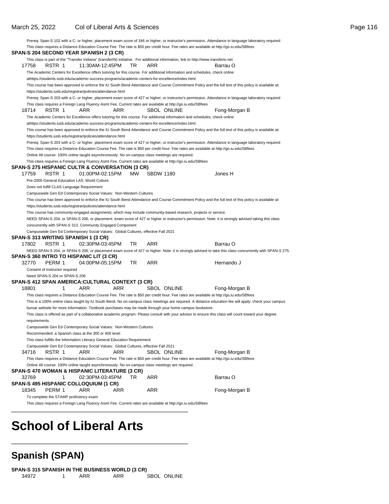March 25, 2022 Col of Liberal Arts & Sciences Page 116 Prereq: Span-S 102 with a C- or higher, placement exam score of 346 or higher, or instructor's permission. Attendance in language laboratory required This class requires a Distance Education Course Fee. The rate is \$50 per credit hour. Fee rates are available at http://go.iu.edu/SBfees **SPAN-S 204 SECOND YEAR SPANISH 2 (3 CR)** This class is part of the "Transfer Indiana" (transferIN) initiative. For additional information, link to http://www.transferin.net 17758 RSTR 1 11:30AM-12:45PM TR ARR Sarrau O The Academic Centers for Excellence offers tutoring for this course. For additional information and schedules, check online at https://students.iusb.edu/academic-success-programs/academic-centers-for-excellence/index.html. This course has been approved to enforce the IU South Bend Attendance and Course Commitment Policy and the full text of this policy is available at: https://students.iusb.edu/registrar/policies/attendance.html Prereq: Span-S 203 with a C- or higher, placement exam score of 427 or higher, or instructor's permission. Attendance in language laboratory required This class requires a Foreign Lang Fluency Asmt Fee. Current rates are available at http://go.iu.edu/SBfees 18714 RSTR 1 ARR ARR SBOL ONLINE Fong-Morgan B The Academic Centers for Excellence offers tutoring for this course. For additional information and schedules, check online athttps://students.jusb.edu/academic-success-programs/academic-centers-for-excellence/index.html. This course has been approved to enforce the IU South Bend Attendance and Course Commitment Policy and the full text of this policy is available at: https://students.iusb.edu/registrar/policies/attendance.html Prereq: Span-S 203 with a C- or higher, placement exam score of 427 or higher, or instructor's permission. Attendance in language laboratory required This class requires a Distance Education Course Fee. The rate is \$50 per credit hour. Fee rates are available at http://go.iu.edu/SBfees Online All course: 100% online taught asynchronously. No on-campus class meetings are required. This class requires a Foreign Lang Fluency Asmt Fee. Current rates are available at http://go.iu.edu/SBfees **SPAN-S 275 HISPANIC CULTR & CONVERSATION (3 CR)** 17759 RSTR 1 01:00PM-02:15PM MW SBDW 1180 Jones H Pre-2005 General Education LAS: World Culture Does not fulfill CLAS Language Requirement Campuswide Gen Ed Contemporary Social Values: Non-Western Cultures This course has been approved to enforce the IU South Bend Attendance and Course Commitment Policy and the full text of this policy is available at: https://students.iusb.edu/registrar/policies/attendance.html This course has community-engaged assignments, which may include community-based research, projects or service. NEED SPAN-S 204, or SPAN-S 206, or placement. exam score of 427 or higher or instructor's permission. Note: it is strongly advised taking this class concurrently with SPAN-S 313. Community Engaged Component Campuswide Gen Ed Contemporary Social Values: Global Cultures, effective Fall 2021 **SPAN-S 313 WRITING SPANISH 1 (3 CR)** 17802 RSTR 1 02:30PM-03:45PM TR ARR Barrau O NEED SPAN-S 204, or SPAN-S 206, or placement exam score of 427 or higher. Note: it is strongly advised to take this class concurrently with SPAN-S 275. **SPAN-S 360 INTRO TO HISPANIC LIT (3 CR)** 32770 PERM 1 04:00PM-05:15PM TR ARR **Hernando** J Consent of Instructor required Need SPAN-S 204 or SPAN-S 206 **SPAN-S 412 SPAN AMERICA:CULTURAL CONTEXT (3 CR)** 18801 1 ARR ARR SBOL ONLINE Fong-Morgan B This class requires a Distance Education Course Fee. The rate is \$50 per credit hour. Fee rates are available at http://go.iu.edu/SBfees This is a 100% online class taught by IU South Bend. No on-campus class meetings are required. A distance education fee will apply; check your campus bursar website for more information. Textbook purchases may be made through your home campus bookstore. This class is offered as part of a collaborative academic program. Please consult with your advisor to ensure this class will count toward your degree requirements. Campuswide Gen Ed Contemporary Social Values: Non-Western Cultures Recommended: a Spanish class at the 300 or 400 level. This class fulfills the Information Literacy General Education Requirement Campuswide Gen Ed Contemporary Social Values: Global Cultures, effective Fall 2021 34716 RSTR 1 ARR ARR SBOL ONLINE Fong-Morgan B This class requires a Distance Education Course Fee. The rate is \$50 per credit hour. Fee rates are available at http://go.iu.edu/SBfees Online All course: 100% online taught asynchronously. No on-campus class meetings are required. **SPAN-S 470 WOMAN & HISPANIC LITERATURE (3 CR)** 32769 1 02:30PM-03:45PM TR ARR Barrau O **SPAN-S 495 HISPANIC COLLOQUIUM (1 CR)** 18345 PERM 1 ARR ARR ARR Fong-Morgan B To complete the STAMP proficiency exam This class requires a Foreign Lang Fluency Asmt Fee. Current rates are available at http://go.iu.edu/SBfees \_\_\_\_\_\_\_\_\_\_\_\_\_\_\_\_\_\_\_\_\_\_\_\_\_\_\_\_\_\_\_\_\_\_\_\_\_\_\_\_\_\_\_\_\_\_\_\_\_\_

## **School of Liberal Arts**

### **Spanish (SPAN)**

\_\_\_\_\_\_\_\_\_\_\_\_\_\_\_\_\_\_\_\_\_\_\_\_\_\_\_\_\_\_\_\_\_\_\_\_\_\_\_\_\_\_\_\_\_\_\_\_\_\_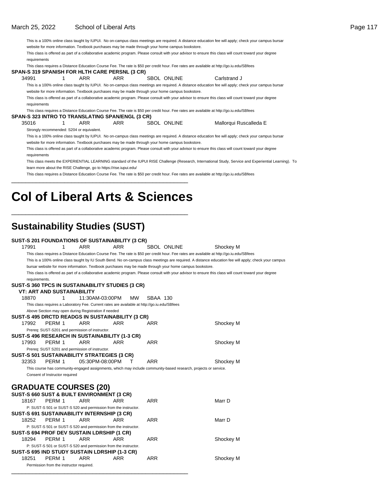This is a 100% online class taught by IUPUI. No on-campus class meetings are required. A distance education fee will apply; check your campus bursar

website for more information. Textbook purchases may be made through your home campus bookstore.

This class is offered as part of a collaborative academic program. Please consult with your advisor to ensure this class will count toward your degree requirements

This class requires a Distance Education Course Fee. The rate is \$50 per credit hour. Fee rates are available at http://go.iu.edu/SBfees

|                                                                    |     | SPAN-S 319 SPANISH FOR HLTH CARE PERSNL (3 CR)                                                   |             |                                                                                                                                                        |
|--------------------------------------------------------------------|-----|--------------------------------------------------------------------------------------------------|-------------|--------------------------------------------------------------------------------------------------------------------------------------------------------|
| 34991                                                              | ARR | ARR                                                                                              | SBOL ONLINE | Carlstrand J                                                                                                                                           |
|                                                                    |     |                                                                                                  |             | This is a 100% online class taught by IUPUI. No on-campus class meetings are required. A distance education fee will apply; check your campus bursar   |
|                                                                    |     | website for more information. Textbook purchases may be made through your home campus bookstore. |             |                                                                                                                                                        |
|                                                                    |     |                                                                                                  |             | This class is offered as part of a collaborative academic program. Please consult with your advisor to ensure this class will count toward your degree |
| requirements                                                       |     |                                                                                                  |             |                                                                                                                                                        |
|                                                                    |     |                                                                                                  |             | This class requires a Distance Education Course Fee. The rate is \$50 per credit hour. Fee rates are available at http://qo.iu.edu/SBfees              |
|                                                                    |     | SPAN-S 323 INTRO TO TRANSLATING SPAN/ENGL (3 CR)                                                 |             |                                                                                                                                                        |
| 35016                                                              | ARR | ARR                                                                                              | SBOL ONLINE | Mallorqui Ruscalleda E                                                                                                                                 |
| Strongly recommended: S204 or equivalent.                          |     |                                                                                                  |             |                                                                                                                                                        |
|                                                                    |     |                                                                                                  |             | This is a 100% online class taught by IUPUI. No on-campus class meetings are required. A distance education fee will apply; check your campus bursar   |
|                                                                    |     | website for more information. Textbook purchases may be made through your home campus bookstore. |             |                                                                                                                                                        |
|                                                                    |     |                                                                                                  |             | This class is offered as part of a collaborative academic program. Please consult with your advisor to ensure this class will count toward your degree |
| requirements                                                       |     |                                                                                                  |             |                                                                                                                                                        |
|                                                                    |     |                                                                                                  |             | This class meets the EXPERIENTIAL LEARNING standard of the IUPUI RISE Challenge (Research, International Study, Service and Experiential Learning). To |
| learn more about the RISE Challenge, go to https://rise.iupui.edu/ |     |                                                                                                  |             |                                                                                                                                                        |
|                                                                    |     |                                                                                                  |             | This class requires a Distance Education Course Fee. The rate is \$50 per credit hour. Fee rates are available at http://go.iu.edu/SBfees              |
|                                                                    |     |                                                                                                  |             |                                                                                                                                                        |

## **Col of Liberal Arts & Sciences**

\_\_\_\_\_\_\_\_\_\_\_\_\_\_\_\_\_\_\_\_\_\_\_\_\_\_\_\_\_\_\_\_\_\_\_\_\_\_\_\_\_\_\_\_\_\_\_\_\_\_

### **Sustainability Studies (SUST)**

#### **SUST-S 201 FOUNDATIONS OF SUSTAINABILITY (3 CR)** 17991 1 ARR ARR SBOL ONLINE Shockey M This class requires a Distance Education Course Fee. The rate is \$50 per credit hour. Fee rates are available at http://go.iu.edu/SBfees This is a 100% online class taught by IU South Bend. No on-campus class meetings are required. A distance education fee will apply; check your campus bursar website for more information. Textbook purchases may be made through your home campus bookstore. This class is offered as part of a collaborative academic program. Please consult with your advisor to ensure this class will count toward your degree requirements. **SUST-S 360 TPCS IN SUSTAINABILITY STUDIES (3 CR) VT: ART AND SUSTAINABILITY** 18870 1 11:30AM-03:00PM MW SBAA 130 This class requires a Laboratory Fee. Current rates are available at http://go.iu.edu/SBfees Above Section may open during Registration if needed **SUST-S 495 DRCTD READGS IN SUSTAINABILITY (3 CR)** 17992 PERM 1 ARR ARR ARR Shockey M Prereq: SUST-S201 and permission of instructor. **SUST-S 496 RESEARCH IN SUSTAINABILITY (1-3 CR)** 17993 PERM 1 ARR ARR ARR ARR Shockey M Prereq: SUST S201 and permission of instructor. **SUST-S 501 SUSTAINABILITY STRATEGIES (3 CR)** 32353 PERM 1 05:30PM-08:00PM T ARR Shockey M This course has community-engaged assignments, which may include community-based research, projects or service. Consent of Instructor required **GRADUATE COURSES (20) SUST-S 660 SUST & BUILT ENVIRONMENT (3 CR)** 18167 PERM 1 ARR ARR ARR Marr D P: SUST-S 501 or SUST-S 520 and permission from the instructor.

|       |                                          |     | P: SUST-S 501 or SUST-S 520 and permission from the instructor. |     |           |
|-------|------------------------------------------|-----|-----------------------------------------------------------------|-----|-----------|
|       |                                          |     | SUST-S 691 SUSTAINABILITY INTERNSHIP (3 CR)                     |     |           |
|       | 18252 PERM 1                             | ARR | ARR                                                             | ARR | Marr D    |
|       |                                          |     | P: SUST-S 501 or SUST-S 520 and permission from the instructor. |     |           |
|       |                                          |     | SUST-S 694 PROF DEV SUSTAIN LDRSHIP (1 CR)                      |     |           |
|       | 18294 PERM 1 ARR                         |     | ARR                                                             | ARR | Shockey M |
|       |                                          |     | P: SUST-S 501 or SUST-S 520 and permission from the instructor. |     |           |
|       |                                          |     | SUST-S 695 IND STUDY SUSTAIN LDRSHIP (1-3 CR)                   |     |           |
| 18251 | PERM 1                                   | ARR | ARR                                                             | ARR | Shockey M |
|       | Permission from the instructor required. |     |                                                                 |     |           |
|       |                                          |     |                                                                 |     |           |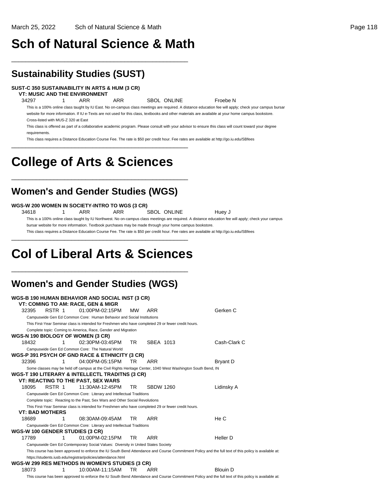## **Sch of Natural Science & Math**

\_\_\_\_\_\_\_\_\_\_\_\_\_\_\_\_\_\_\_\_\_\_\_\_\_\_\_\_\_\_\_\_\_\_\_\_\_\_\_\_\_\_\_\_\_\_\_\_\_\_

### **Sustainability Studies (SUST)**

#### **SUST-C 350 SUSTAINABILITY IN ARTS & HUM (3 CR)**

**VT: MUSIC AND THE ENVIRONMENT**

34297 1 ARR ARR SBOL ONLINE Froebe N

This is a 100% online class taught by IU East. No on-campus class meetings are required. A distance education fee will apply; check your campus bursar website for more information. If IU e-Texts are not used for this class, textbooks and other materials are available at your home campus bookstore. Cross-listed with MUS-Z 320 at East

This class is offered as part of a collaborative academic program. Please consult with your advisor to ensure this class will count toward your degree requirements.

This class requires a Distance Education Course Fee. The rate is \$50 per credit hour. Fee rates are available at http://go.iu.edu/SBfees \_\_\_\_\_\_\_\_\_\_\_\_\_\_\_\_\_\_\_\_\_\_\_\_\_\_\_\_\_\_\_\_\_\_\_\_\_\_\_\_\_\_\_\_\_\_\_\_\_\_

## **College of Arts & Sciences**

### **Women's and Gender Studies (WGS)**

\_\_\_\_\_\_\_\_\_\_\_\_\_\_\_\_\_\_\_\_\_\_\_\_\_\_\_\_\_\_\_\_\_\_\_\_\_\_\_\_\_\_\_\_\_\_\_\_\_\_

#### **WGS-W 200 WOMEN IN SOCIETY-INTRO TO WGS (3 CR)**

34618 1 ARR ARR SBOL ONLINE Huey J This is a 100% online class taught by IU Northwest. No on-campus class meetings are required. A distance education fee will apply; check your campus bursar website for more information. Textbook purchases may be made through your home campus bookstore.

This class requires a Distance Education Course Fee. The rate is \$50 per credit hour. Fee rates are available at http://go.iu.edu/SBfees \_\_\_\_\_\_\_\_\_\_\_\_\_\_\_\_\_\_\_\_\_\_\_\_\_\_\_\_\_\_\_\_\_\_\_\_\_\_\_\_\_\_\_\_\_\_\_\_\_\_

## **Col of Liberal Arts & Sciences**

\_\_\_\_\_\_\_\_\_\_\_\_\_\_\_\_\_\_\_\_\_\_\_\_\_\_\_\_\_\_\_\_\_\_\_\_\_\_\_\_\_\_\_\_\_\_\_\_\_\_

### **Women's and Gender Studies (WGS)**

|       |                        |   | WGS-B 190 HUMAN BEHAVIOR AND SOCIAL INST (3 CR)                                  |           |                                                                                                              |                                                                                                                                                      |
|-------|------------------------|---|----------------------------------------------------------------------------------|-----------|--------------------------------------------------------------------------------------------------------------|------------------------------------------------------------------------------------------------------------------------------------------------------|
|       |                        |   | <b>VT: COMING TO AM: RACE, GEN &amp; MIGR</b>                                    |           |                                                                                                              |                                                                                                                                                      |
| 32395 | RSTR 1                 |   | 01:00PM-02:15PM                                                                  | <b>MW</b> | <b>ARR</b>                                                                                                   | Gerken C                                                                                                                                             |
|       |                        |   | Campuswide Gen Ed Common Core: Human Behavior and Social Institutions            |           |                                                                                                              |                                                                                                                                                      |
|       |                        |   |                                                                                  |           | This First-Year Seminar class is intended for Freshmen who have completed 29 or fewer credit hours.          |                                                                                                                                                      |
|       |                        |   | Complete topic: Coming to America, Race, Gender and Migration                    |           |                                                                                                              |                                                                                                                                                      |
|       |                        |   | WGS-N 190 BIOLOGY OF WOMEN (3 CR)                                                |           |                                                                                                              |                                                                                                                                                      |
| 18432 |                        |   | 02:30PM-03:45PM                                                                  | TR.       | SBEA 1013                                                                                                    | Cash-Clark C                                                                                                                                         |
|       |                        |   | Campuswide Gen Ed Common Core: The Natural World                                 |           |                                                                                                              |                                                                                                                                                      |
|       |                        |   | WGS-P 391 PSYCH OF GND RACE & ETHNICITY (3 CR)                                   |           |                                                                                                              |                                                                                                                                                      |
| 32396 |                        | 1 | 04:00PM-05:15PM                                                                  | TR.       | ARR                                                                                                          | Bryant D                                                                                                                                             |
|       |                        |   |                                                                                  |           | Some classes may be held off campus at the Civil Rights Heritage Center, 1040 West Washington South Bend, IN |                                                                                                                                                      |
|       |                        |   | WGS-T 190 LITERARY & INTELLECTL TRADITNS (3 CR)                                  |           |                                                                                                              |                                                                                                                                                      |
|       |                        |   | <b>VT: REACTING TO THE PAST, SEX WARS</b>                                        |           |                                                                                                              |                                                                                                                                                      |
| 18095 | RSTR 1                 |   | 11:30AM-12:45PM                                                                  | TR.       | <b>SBDW 1260</b>                                                                                             | Lidinsky A                                                                                                                                           |
|       |                        |   | Campuswide Gen Ed Common Core: Literary and Intellectual Traditions              |           |                                                                                                              |                                                                                                                                                      |
|       |                        |   | Complete topic: Reacting to the Past, Sex Wars and Other Social Revolutions      |           |                                                                                                              |                                                                                                                                                      |
|       |                        |   |                                                                                  |           | This First-Year Seminar class is intended for Freshmen who have completed 29 or fewer credit hours.          |                                                                                                                                                      |
|       | <b>VT: BAD MOTHERS</b> |   |                                                                                  |           |                                                                                                              |                                                                                                                                                      |
| 18689 |                        |   | 08:30AM-09:45AM                                                                  | TR.       | <b>ARR</b>                                                                                                   | He C                                                                                                                                                 |
|       |                        |   | Campuswide Gen Ed Common Core: Literary and Intellectual Traditions              |           |                                                                                                              |                                                                                                                                                      |
|       |                        |   | WGS-W 100 GENDER STUDIES (3 CR)                                                  |           |                                                                                                              |                                                                                                                                                      |
| 17789 |                        | 1 | 01:00PM-02:15PM                                                                  | TR.       | <b>ARR</b>                                                                                                   | Heller D                                                                                                                                             |
|       |                        |   | Campuswide Gen Ed Contemporary Social Values: Diversity in United States Society |           |                                                                                                              |                                                                                                                                                      |
|       |                        |   |                                                                                  |           |                                                                                                              | This course has been approved to enforce the IU South Bend Attendance and Course Commitment Policy and the full text of this policy is available at: |
|       |                        |   | https://students.iusb.edu/registrar/policies/attendance.html                     |           |                                                                                                              |                                                                                                                                                      |
|       |                        |   | WGS-W 299 RES METHODS IN WOMEN'S STUDIES (3 CR)                                  |           |                                                                                                              |                                                                                                                                                      |
| 18073 |                        |   | 10:00AM-11:15AM                                                                  | TR.       | ARR                                                                                                          | Blouin D                                                                                                                                             |
|       |                        |   |                                                                                  |           |                                                                                                              | This course has been approved to enforce the IU South Bend Attendance and Course Commitment Policy and the full text of this policy is available at: |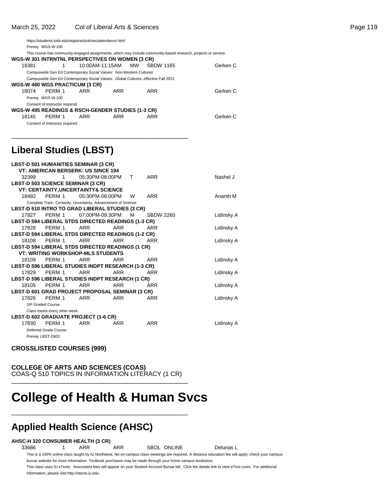\_\_\_\_\_\_\_\_\_\_\_\_\_\_\_\_\_\_\_\_\_\_\_\_\_\_\_\_\_\_\_\_\_\_\_\_\_\_\_\_\_\_\_\_\_\_\_\_\_\_

|                                                   | https://students.iusb.edu/registrar/policies/attendance.html                       |     |                    |  |                                                                                                                 |          |  |  |  |  |
|---------------------------------------------------|------------------------------------------------------------------------------------|-----|--------------------|--|-----------------------------------------------------------------------------------------------------------------|----------|--|--|--|--|
|                                                   | Prereq: WGS-W 100                                                                  |     |                    |  |                                                                                                                 |          |  |  |  |  |
|                                                   |                                                                                    |     |                    |  | This course has community-engaged assignments, which may include community-based research, projects or service. |          |  |  |  |  |
|                                                   | WGS-W 301 INTRNTNL PERSPECTIVES ON WOMEN (3 CR)                                    |     |                    |  |                                                                                                                 |          |  |  |  |  |
| 18381                                             |                                                                                    |     | 10:00AM-11:15AM MW |  | <b>SBDW 1165</b>                                                                                                | Gerken C |  |  |  |  |
|                                                   | Campuswide Gen Ed Contemporary Social Values: Non-Western Cultures                 |     |                    |  |                                                                                                                 |          |  |  |  |  |
|                                                   | Campuswide Gen Ed Contemporary Social Values: Global Cultures, effective Fall 2021 |     |                    |  |                                                                                                                 |          |  |  |  |  |
|                                                   | WGS-W 480 WGS PRACTICUM (3 CR)                                                     |     |                    |  |                                                                                                                 |          |  |  |  |  |
| 18074                                             | PFRM 1                                                                             | ARR | ARR                |  | ARR                                                                                                             | Gerken C |  |  |  |  |
|                                                   | Prereg: WGS-W 100                                                                  |     |                    |  |                                                                                                                 |          |  |  |  |  |
|                                                   | Consent of Instructor required                                                     |     |                    |  |                                                                                                                 |          |  |  |  |  |
| WGS-W 495 READINGS & RSCH-GENDER STUDIES (1-3 CR) |                                                                                    |     |                    |  |                                                                                                                 |          |  |  |  |  |
| 18145                                             | PFRM 1                                                                             | ARR | ARR                |  | ARR                                                                                                             | Gerken C |  |  |  |  |
|                                                   | Consent of Instructor required                                                     |     |                    |  |                                                                                                                 |          |  |  |  |  |

### **Liberal Studies (LBST)**

|       |       | <b>LBST-D 501 HUMANITIES SEMINAR (3 CR)</b>                    |                 |            |                  |            |
|-------|-------|----------------------------------------------------------------|-----------------|------------|------------------|------------|
|       |       | <b>VT: AMERICAN BERSERK: US SINCE 194</b>                      |                 |            |                  |            |
| 32399 |       | 1                                                              | 05:30PM-08:00PM | т          | <b>ARR</b>       | Nashel J   |
|       |       | LBST-D 503 SCIENCE SEMINAR (3 CR)                              |                 |            |                  |            |
|       |       | <b>VT: CERTAINTY, UNCERTAINTY&amp; SCIENCE</b>                 |                 |            |                  |            |
|       | 18492 | PERM 1                                                         | 05:30PM-08:00PM | W          | <b>ARR</b>       | Ananth M   |
|       |       | Complete Topic: Certainty, Uncertainty, Advancement of Science |                 |            |                  |            |
|       |       | LBST-D 510 INTRO TO GRAD LIBERAL STUDIES (3 CR)                |                 |            |                  |            |
|       | 17827 | PERM 1                                                         | 07:00PM-09:30PM | м          | <b>SBDW 2260</b> | Lidinsky A |
|       |       | LBST-D 594 LIBERAL STDS DIRECTED READINGS (1-3 CR)             |                 |            |                  |            |
|       |       | 17828 PERM 1                                                   | ARR             | <b>ARR</b> | <b>ARR</b>       | Lidinsky A |
|       |       | LBST-D 594 LIBERAL STDS DIRECTED READINGS (1-2 CR)             |                 |            |                  |            |
|       | 18108 | PERM 1                                                         | <b>ARR</b>      | <b>ARR</b> | <b>ARR</b>       | Lidinsky A |
|       |       | LBST-D 594 LIBERAL STDS DIRECTED READINGS (1 CR)               |                 |            |                  |            |
|       |       | <b>VT: WRITING WORKSHOP-MLS STUDENTS</b>                       |                 |            |                  |            |
|       | 18109 | PERM 1                                                         | ARR             | <b>ARR</b> | ARR              | Lidinsky A |
|       |       | LBST-D 596 LIBERAL STUDIES INDPT RESEARCH (1-3 CR)             |                 |            |                  |            |
|       | 17829 | PERM 1                                                         | ARR             | <b>ARR</b> | <b>ARR</b>       | Lidinsky A |
|       |       | LBST-D 596 LIBERAL STUDIES INDPT RESEARCH (1 CR)               |                 |            |                  |            |
|       |       | 18105 PERM 1                                                   | ARR             | <b>ARR</b> | <b>ARR</b>       | Lidinsky A |
|       |       | LBST-D 601 GRAD PROJECT PROPOSAL SEMINAR (3 CR)                |                 |            |                  |            |
|       | 17826 | PERM 1                                                         | ARR             | ARR        | ARR              | Lidinsky A |
|       |       | S/F Graded Course                                              |                 |            |                  |            |
|       |       | Class meets every other week.                                  |                 |            |                  |            |
|       |       | LBST-D 602 GRADUATE PROJECT (1-6 CR)                           |                 |            |                  |            |
| 17830 |       | PERM 1                                                         | ARR             | <b>ARR</b> | <b>ARR</b>       | Lidinsky A |
|       |       | Deferred Grade Course                                          |                 |            |                  |            |
|       |       | Prereq: LBST-D601                                              |                 |            |                  |            |

#### **CROSSLISTED COURSES (999)**

**COLLEGE OF ARTS AND SCIENCES (COAS)** COAS-Q 510 TOPICS IN INFORMATION LITERACY (1 CR) \_\_\_\_\_\_\_\_\_\_\_\_\_\_\_\_\_\_\_\_\_\_\_\_\_\_\_\_\_\_\_\_\_\_\_\_\_\_\_\_\_\_\_\_\_\_\_\_\_\_

\_\_\_\_\_\_\_\_\_\_\_\_\_\_\_\_\_\_\_\_\_\_\_\_\_\_\_\_\_\_\_\_\_\_\_\_\_\_\_\_\_\_\_\_\_\_\_\_\_\_

## **College of Health & Human Svcs**

### **Applied Health Science (AHSC)**

## **AHSC-H 320 CONSUMER HEALTH (3 CR)**

1 ARR ARR SBOL ONLINE Delunas L

This is a 100% online class taught by IU Northwest. No on-campus class meetings are required. A distance education fee will apply; check your campus bursar website for more information. Textbook purchases may be made through your home campus bookstore.

This class uses IU eTexts. Associated fees will appear on your Student Account Bursar bill. Click the details link to view eText costs. For additional information, please visit http://etexts.iu.edu.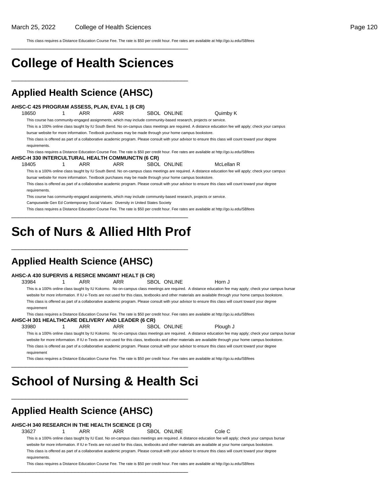This class requires a Distance Education Course Fee. The rate is \$50 per credit hour. Fee rates are available at http://go.iu.edu/SBfees

## **College of Health Sciences**

\_\_\_\_\_\_\_\_\_\_\_\_\_\_\_\_\_\_\_\_\_\_\_\_\_\_\_\_\_\_\_\_\_\_\_\_\_\_\_\_\_\_\_\_\_\_\_\_\_\_

\_\_\_\_\_\_\_\_\_\_\_\_\_\_\_\_\_\_\_\_\_\_\_\_\_\_\_\_\_\_\_\_\_\_\_\_\_\_\_\_\_\_\_\_\_\_\_\_\_\_

### **Applied Health Science (AHSC)**

#### **AHSC-C 425 PROGRAM ASSESS, PLAN, EVAL 1 (6 CR)**

18650 1 ARR ARR SBOL ONLINE Quimby K This course has community-engaged assignments, which may include community-based research, projects or service. This is a 100% online class taught by IU South Bend. No on-campus class meetings are required. A distance education fee will apply; check your campus bursar website for more information. Textbook purchases may be made through your home campus bookstore. This class is offered as part of a collaborative academic program. Please consult with your advisor to ensure this class will count toward your degree

requirements.

This class requires a Distance Education Course Fee. The rate is \$50 per credit hour. Fee rates are available at http://go.iu.edu/SBfees **AHSC-H 330 INTERCULTURAL HEALTH COMMUNCTN (6 CR)**

18405 1 ARR ARR SBOL ONLINE McLellan R This is a 100% online class taught by IU South Bend. No on-campus class meetings are required. A distance education fee will apply; check your campus

bursar website for more information. Textbook purchases may be made through your home campus bookstore.

This class is offered as part of a collaborative academic program. Please consult with your advisor to ensure this class will count toward your degree requirements.

This course has community-engaged assignments, which may include community-based research, projects or service.

Campuswide Gen Ed Contemporary Social Values: Diversity in United States Society

This class requires a Distance Education Course Fee. The rate is \$50 per credit hour. Fee rates are available at http://go.iu.edu/SBfees \_\_\_\_\_\_\_\_\_\_\_\_\_\_\_\_\_\_\_\_\_\_\_\_\_\_\_\_\_\_\_\_\_\_\_\_\_\_\_\_\_\_\_\_\_\_\_\_\_\_

## **Sch of Nurs & Allied Hlth Prof**

\_\_\_\_\_\_\_\_\_\_\_\_\_\_\_\_\_\_\_\_\_\_\_\_\_\_\_\_\_\_\_\_\_\_\_\_\_\_\_\_\_\_\_\_\_\_\_\_\_\_

### **Applied Health Science (AHSC)**

#### **AHSC-A 430 SUPERVIS & RESRCE MNGMNT HEALT (6 CR)**

33984 1 ARR ARR SBOL ONLINE Horn J This is a 100% online class taught by IU Kokomo. No on-campus class meetings are required. A distance education fee may apply; check your campus bursar website for more information. If IU e-Texts are not used for this class, textbooks and other materials are available through your home campus bookstore. This class is offered as part of a collaborative academic program. Please consult with your advisor to ensure this class will count toward your degree requirement

This class requires a Distance Education Course Fee. The rate is \$50 per credit hour. Fee rates are available at http://go.iu.edu/SBfees

#### **AHSC-H 301 HEALTHCARE DELIVERY AND LEADER (6 CR)**

33980 1 ARR ARR SBOL ONLINE Plough J This is a 100% online class taught by IU Kokomo. No on-campus class meetings are required. A distance education fee may apply; check your campus bursar website for more information. If IU e-Texts are not used for this class, textbooks and other materials are available through your home campus bookstore. This class is offered as part of a collaborative academic program. Please consult with your advisor to ensure this class will count toward your degree requirement

This class requires a Distance Education Course Fee. The rate is \$50 per credit hour. Fee rates are available at http://go.iu.edu/SBfees

## **School of Nursing & Health Sci**

\_\_\_\_\_\_\_\_\_\_\_\_\_\_\_\_\_\_\_\_\_\_\_\_\_\_\_\_\_\_\_\_\_\_\_\_\_\_\_\_\_\_\_\_\_\_\_\_\_\_

\_\_\_\_\_\_\_\_\_\_\_\_\_\_\_\_\_\_\_\_\_\_\_\_\_\_\_\_\_\_\_\_\_\_\_\_\_\_\_\_\_\_\_\_\_\_\_\_\_\_

### **Applied Health Science (AHSC)**

#### **AHSC-H 340 RESEARCH IN THE HEALTH SCIENCE (3 CR)**

33627 1 ARR ARR SBOL ONLINE Cole C

\_\_\_\_\_\_\_\_\_\_\_\_\_\_\_\_\_\_\_\_\_\_\_\_\_\_\_\_\_\_\_\_\_\_\_\_\_\_\_\_\_\_\_\_\_\_\_\_\_\_

This is a 100% online class taught by IU East. No on-campus class meetings are required. A distance education fee will apply; check your campus bursar website for more information. If IU e-Texts are not used for this class, textbooks and other materials are available at your home campus bookstore. This class is offered as part of a collaborative academic program. Please consult with your advisor to ensure this class will count toward your degree requirements.

This class requires a Distance Education Course Fee. The rate is \$50 per credit hour. Fee rates are available at http://go.iu.edu/SBfees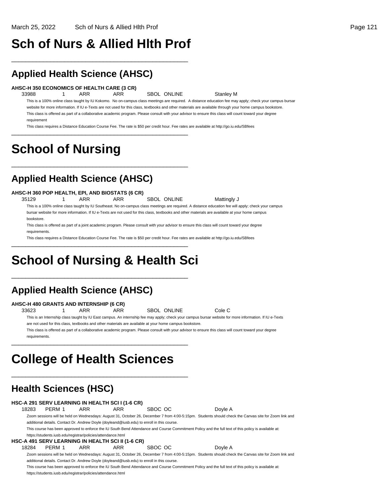## **Sch of Nurs & Allied Hlth Prof**

\_\_\_\_\_\_\_\_\_\_\_\_\_\_\_\_\_\_\_\_\_\_\_\_\_\_\_\_\_\_\_\_\_\_\_\_\_\_\_\_\_\_\_\_\_\_\_\_\_\_

### **Applied Health Science (AHSC)**

**AHSC-H 350 ECONOMICS OF HEALTH CARE (3 CR)**

33988 1 ARR ARR SBOL ONLINE Stanley M

\_\_\_\_\_\_\_\_\_\_\_\_\_\_\_\_\_\_\_\_\_\_\_\_\_\_\_\_\_\_\_\_\_\_\_\_\_\_\_\_\_\_\_\_\_\_\_\_\_\_

\_\_\_\_\_\_\_\_\_\_\_\_\_\_\_\_\_\_\_\_\_\_\_\_\_\_\_\_\_\_\_\_\_\_\_\_\_\_\_\_\_\_\_\_\_\_\_\_\_\_

This is a 100% online class taught by IU Kokomo. No on-campus class meetings are required. A distance education fee may apply; check your campus bursar website for more information. If IU e-Texts are not used for this class, textbooks and other materials are available through your home campus bookstore. This class is offered as part of a collaborative academic program. Please consult with your advisor to ensure this class will count toward your degree requirement

This class requires a Distance Education Course Fee. The rate is \$50 per credit hour. Fee rates are available at http://go.iu.edu/SBfees

## **School of Nursing**

### **Applied Health Science (AHSC)**

#### **AHSC-H 360 POP HEALTH, EPI, AND BIOSTATS (6 CR)**

35129 1 ARR ARR SBOL ONLINE Mattingly J This is a 100% online class taught by IU Southeast. No on-campus class meetings are required. A distance education fee will apply; check your campus bursar website for more information. If IU e-Texts are not used for this class, textbooks and other materials are available at your home campus bookstore.

This class is offered as part of a joint academic program. Please consult with your advisor to ensure this class will count toward your degree requirements

This class requires a Distance Education Course Fee. The rate is \$50 per credit hour. Fee rates are available at http://go.iu.edu/SBfees

## **School of Nursing & Health Sci**

\_\_\_\_\_\_\_\_\_\_\_\_\_\_\_\_\_\_\_\_\_\_\_\_\_\_\_\_\_\_\_\_\_\_\_\_\_\_\_\_\_\_\_\_\_\_\_\_\_\_

\_\_\_\_\_\_\_\_\_\_\_\_\_\_\_\_\_\_\_\_\_\_\_\_\_\_\_\_\_\_\_\_\_\_\_\_\_\_\_\_\_\_\_\_\_\_\_\_\_\_

### **Applied Health Science (AHSC)**

#### **AHSC-H 480 GRANTS AND INTERNSHIP (6 CR)**

33623 1 ARR ARR SBOL ONLINE Cole C

This is an Internship class taught by IU East campus. An internship fee may apply; check your campus bursar website for more information. If IU e-Texts are not used for this class, textbooks and other materials are available at your home campus bookstore.

This class is offered as part of a collaborative academic program. Please consult with your advisor to ensure this class will count toward your degree requirements.

## **College of Health Sciences**

\_\_\_\_\_\_\_\_\_\_\_\_\_\_\_\_\_\_\_\_\_\_\_\_\_\_\_\_\_\_\_\_\_\_\_\_\_\_\_\_\_\_\_\_\_\_\_\_\_\_

\_\_\_\_\_\_\_\_\_\_\_\_\_\_\_\_\_\_\_\_\_\_\_\_\_\_\_\_\_\_\_\_\_\_\_\_\_\_\_\_\_\_\_\_\_\_\_\_\_\_

### **Health Sciences (HSC)**

**HSC-A 291 SERV LEARNING IN HEALTH SCI I (1-6 CR)** 18283 PERM 1 ARR ARR SBOC OC Doyle A Zoom sessions will be held on Wednesdays: August 31, October 26, December 7 from 4:00-5:15pm. Students should check the Canvas site for Zoom link and additional details. Contact Dr. Andrew Doyle (doyleand@iusb.edu) to enroll in this course. This course has been approved to enforce the IU South Bend Attendance and Course Commitment Policy and the full text of this policy is available at: https://students.iusb.edu/registrar/policies/attendance.html **HSC-A 491 SERV LEARNING IN HEALTH SCI II (1-6 CR)** 18284 PERM 1 ARR ARR SBOC OC Doyle A Zoom sessions will be held on Wednesdays: August 31, October 26, December 7 from 4:00-5:15pm. Students should check the Canvas site for Zoom link and additional details. Contact Dr. Andrew Doyle (doyleand@iusb.edu) to enroll in this course.

This course has been approved to enforce the IU South Bend Attendance and Course Commitment Policy and the full text of this policy is available at: https://students.iusb.edu/registrar/policies/attendance.html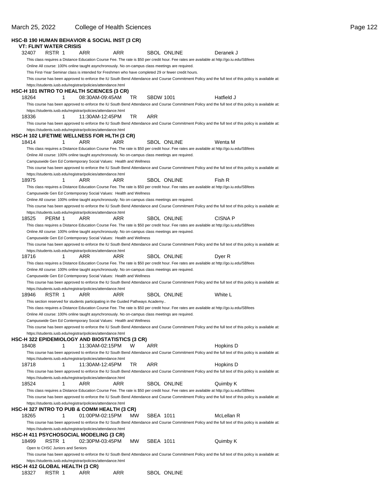|                                |                                  |   | <b>HSC-B 190 HUMAN BEHAVIOR &amp; SOCIAL INST (3 CR)</b>                                                                                                             |     |     |                  |                    |                                                                                                                                                      |
|--------------------------------|----------------------------------|---|----------------------------------------------------------------------------------------------------------------------------------------------------------------------|-----|-----|------------------|--------------------|------------------------------------------------------------------------------------------------------------------------------------------------------|
|                                | <b>VT: FLINT WATER CRISIS</b>    |   |                                                                                                                                                                      |     |     |                  |                    |                                                                                                                                                      |
| 32407                          | RSTR 1                           |   | ARR                                                                                                                                                                  | ARR |     |                  | <b>SBOL ONLINE</b> | Deranek J                                                                                                                                            |
|                                |                                  |   |                                                                                                                                                                      |     |     |                  |                    | This class requires a Distance Education Course Fee. The rate is \$50 per credit hour. Fee rates are available at http://go.iu.edu/SBfees            |
|                                |                                  |   | Online All course: 100% online taught asynchronously. No on-campus class meetings are required.                                                                      |     |     |                  |                    |                                                                                                                                                      |
|                                |                                  |   | This First-Year Seminar class is intended for Freshmen who have completed 29 or fewer credit hours.                                                                  |     |     |                  |                    |                                                                                                                                                      |
|                                |                                  |   |                                                                                                                                                                      |     |     |                  |                    | This course has been approved to enforce the IU South Bend Attendance and Course Commitment Policy and the full text of this policy is available at: |
|                                |                                  |   | https://students.iusb.edu/registrar/policies/attendance.html                                                                                                         |     |     |                  |                    |                                                                                                                                                      |
|                                |                                  |   | <b>HSC-H 101 INTRO TO HEALTH SCIENCES (3 CR)</b>                                                                                                                     |     |     |                  |                    |                                                                                                                                                      |
| 18264                          |                                  | 1 | 08:30AM-09:45AM                                                                                                                                                      |     | TR  | <b>SBDW 1001</b> |                    | Hatfield J                                                                                                                                           |
|                                |                                  |   |                                                                                                                                                                      |     |     |                  |                    | This course has been approved to enforce the IU South Bend Attendance and Course Commitment Policy and the full text of this policy is available at: |
|                                |                                  |   | https://students.iusb.edu/registrar/policies/attendance.html                                                                                                         |     |     |                  |                    |                                                                                                                                                      |
| 18336                          |                                  | 1 | 11:30AM-12:45PM                                                                                                                                                      |     | TR  | ARR              |                    |                                                                                                                                                      |
|                                |                                  |   |                                                                                                                                                                      |     |     |                  |                    | This course has been approved to enforce the IU South Bend Attendance and Course Commitment Policy and the full text of this policy is available at: |
|                                |                                  |   | https://students.iusb.edu/registrar/policies/attendance.html                                                                                                         |     |     |                  |                    |                                                                                                                                                      |
|                                |                                  |   | HSC-H 102 LIFETIME WELLNESS FOR HLTH (3 CR)                                                                                                                          |     |     |                  |                    |                                                                                                                                                      |
| 18414                          |                                  | 1 | ARR                                                                                                                                                                  | ARR |     |                  | <b>SBOL ONLINE</b> | Wenta M                                                                                                                                              |
|                                |                                  |   |                                                                                                                                                                      |     |     |                  |                    | This class requires a Distance Education Course Fee. The rate is \$50 per credit hour. Fee rates are available at http://go.iu.edu/SBfees            |
|                                |                                  |   | Online All course: 100% online taught asynchronously. No on-campus class meetings are required.                                                                      |     |     |                  |                    |                                                                                                                                                      |
|                                |                                  |   | Campuswide Gen Ed Contemporary Social Values: Health and Wellness                                                                                                    |     |     |                  |                    |                                                                                                                                                      |
|                                |                                  |   |                                                                                                                                                                      |     |     |                  |                    | This course has been approved to enforce the IU South Bend Attendance and Course Commitment Policy and the full text of this policy is available at: |
|                                |                                  |   | https://students.iusb.edu/registrar/policies/attendance.html                                                                                                         |     |     |                  |                    |                                                                                                                                                      |
| 18975                          |                                  | 1 | ARR                                                                                                                                                                  | ARR |     |                  | <b>SBOL ONLINE</b> | Fish R                                                                                                                                               |
|                                |                                  |   |                                                                                                                                                                      |     |     |                  |                    | This class requires a Distance Education Course Fee. The rate is \$50 per credit hour. Fee rates are available at http://go.iu.edu/SBfees            |
|                                |                                  |   | Campuswide Gen Ed Contemporary Social Values: Health and Wellness                                                                                                    |     |     |                  |                    |                                                                                                                                                      |
|                                |                                  |   | Online All course: 100% online taught asynchronously. No on-campus class meetings are required.                                                                      |     |     |                  |                    |                                                                                                                                                      |
|                                |                                  |   |                                                                                                                                                                      |     |     |                  |                    | This course has been approved to enforce the IU South Bend Attendance and Course Commitment Policy and the full text of this policy is available at: |
|                                |                                  |   | https://students.iusb.edu/registrar/policies/attendance.html                                                                                                         |     |     |                  | <b>SBOL ONLINE</b> | CISNA P                                                                                                                                              |
| 18525                          | PERM 1                           |   | ARR                                                                                                                                                                  | ARR |     |                  |                    |                                                                                                                                                      |
|                                |                                  |   |                                                                                                                                                                      |     |     |                  |                    | This class requires a Distance Education Course Fee. The rate is \$50 per credit hour. Fee rates are available at http://go.iu.edu/SBfees            |
|                                |                                  |   | Online All course: 100% online taught asynchronously. No on-campus class meetings are required.<br>Campuswide Gen Ed Contemporary Social Values: Health and Wellness |     |     |                  |                    |                                                                                                                                                      |
|                                |                                  |   |                                                                                                                                                                      |     |     |                  |                    | This course has been approved to enforce the IU South Bend Attendance and Course Commitment Policy and the full text of this policy is available at: |
|                                |                                  |   | https://students.iusb.edu/registrar/policies/attendance.html                                                                                                         |     |     |                  |                    |                                                                                                                                                      |
| 18716                          |                                  | 1 | ARR                                                                                                                                                                  | ARR |     |                  | <b>SBOL ONLINE</b> | Dyer R                                                                                                                                               |
|                                |                                  |   |                                                                                                                                                                      |     |     |                  |                    | This class requires a Distance Education Course Fee. The rate is \$50 per credit hour. Fee rates are available at http://go.iu.edu/SBfees            |
|                                |                                  |   | Online All course: 100% online taught asynchronously. No on-campus class meetings are required.                                                                      |     |     |                  |                    |                                                                                                                                                      |
|                                |                                  |   | Campuswide Gen Ed Contemporary Social Values: Health and Wellness                                                                                                    |     |     |                  |                    |                                                                                                                                                      |
|                                |                                  |   |                                                                                                                                                                      |     |     |                  |                    | This course has been approved to enforce the IU South Bend Attendance and Course Commitment Policy and the full text of this policy is available at: |
|                                |                                  |   | https://students.iusb.edu/registrar/policies/attendance.html                                                                                                         |     |     |                  |                    |                                                                                                                                                      |
| 18946                          | RSTR 1                           |   | ARR                                                                                                                                                                  | ARR |     |                  | <b>SBOL ONLINE</b> | White L                                                                                                                                              |
|                                |                                  |   | This section reserved for students participating in the Guided Pathways Academy                                                                                      |     |     |                  |                    |                                                                                                                                                      |
|                                |                                  |   |                                                                                                                                                                      |     |     |                  |                    | This class requires a Distance Education Course Fee. The rate is \$50 per credit hour. Fee rates are available at http://go.iu.edu/SBfees            |
|                                |                                  |   | Online All course: 100% online taught asynchronously. No on-campus class meetings are required.                                                                      |     |     |                  |                    |                                                                                                                                                      |
|                                |                                  |   | Campuswide Gen Ed Contemporary Social Values: Health and Wellness                                                                                                    |     |     |                  |                    |                                                                                                                                                      |
|                                |                                  |   |                                                                                                                                                                      |     |     |                  |                    | This course has been approved to enforce the IU South Bend Attendance and Course Commitment Policy and the full text of this policy is available at: |
|                                |                                  |   | https://students.iusb.edu/registrar/policies/attendance.html                                                                                                         |     |     |                  |                    |                                                                                                                                                      |
|                                |                                  |   | HSC-H 322 EPIDEMIOLOGY AND BIOSTATISTICS (3 CR)                                                                                                                      |     |     |                  |                    |                                                                                                                                                      |
| 18408                          |                                  | 1 | 11:30AM-02:15PM                                                                                                                                                      |     | W   | ARR              |                    | Hopkins D                                                                                                                                            |
|                                |                                  |   |                                                                                                                                                                      |     |     |                  |                    | This course has been approved to enforce the IU South Bend Attendance and Course Commitment Policy and the full text of this policy is available at: |
|                                |                                  |   | https://students.iusb.edu/registrar/policies/attendance.html                                                                                                         |     |     |                  |                    |                                                                                                                                                      |
| 18718                          |                                  | 1 | 11:30AM-12:45PM                                                                                                                                                      |     | TR  | ARR              |                    | Hopkins D                                                                                                                                            |
|                                |                                  |   |                                                                                                                                                                      |     |     |                  |                    | This course has been approved to enforce the IU South Bend Attendance and Course Commitment Policy and the full text of this policy is available at: |
|                                |                                  |   | https://students.iusb.edu/registrar/policies/attendance.html                                                                                                         |     |     |                  |                    |                                                                                                                                                      |
| 18524                          |                                  | 1 | ARR                                                                                                                                                                  | ARR |     |                  | <b>SBOL ONLINE</b> | Quimby K                                                                                                                                             |
|                                |                                  |   |                                                                                                                                                                      |     |     |                  |                    | This class requires a Distance Education Course Fee. The rate is \$50 per credit hour. Fee rates are available at http://go.iu.edu/SBfees            |
|                                |                                  |   |                                                                                                                                                                      |     |     |                  |                    | This course has been approved to enforce the IU South Bend Attendance and Course Commitment Policy and the full text of this policy is available at: |
|                                |                                  |   | https://students.iusb.edu/registrar/policies/attendance.html                                                                                                         |     |     |                  |                    |                                                                                                                                                      |
|                                |                                  |   | HSC-H 327 INTRO TO PUB & COMM HEALTH (3 CR)                                                                                                                          |     |     |                  |                    |                                                                                                                                                      |
| 18265                          |                                  | 1 | 01:00PM-02:15PM                                                                                                                                                      |     | МW  | SBEA 1011        |                    | McLellan R                                                                                                                                           |
|                                |                                  |   |                                                                                                                                                                      |     |     |                  |                    | This course has been approved to enforce the IU South Bend Attendance and Course Commitment Policy and the full text of this policy is available at: |
|                                |                                  |   | https://students.iusb.edu/registrar/policies/attendance.html                                                                                                         |     |     |                  |                    |                                                                                                                                                      |
|                                |                                  |   | HSC-H 411 PSYCHOSOCIAL MODELING (3 CR)                                                                                                                               |     |     |                  |                    |                                                                                                                                                      |
| 18499                          | RSTR 1                           |   | 02:30PM-03:45PM                                                                                                                                                      |     | MW. | SBEA 1011        |                    | Quimby K                                                                                                                                             |
|                                | Open to CHSC Juniors and Seniors |   |                                                                                                                                                                      |     |     |                  |                    |                                                                                                                                                      |
|                                |                                  |   |                                                                                                                                                                      |     |     |                  |                    | This course has been approved to enforce the IU South Bend Attendance and Course Commitment Policy and the full text of this policy is available at: |
|                                |                                  |   | https://students.iusb.edu/registrar/policies/attendance.html                                                                                                         |     |     |                  |                    |                                                                                                                                                      |
| HSC-H 412 GLOBAL HEALTH (3 CR) |                                  |   |                                                                                                                                                                      |     |     |                  |                    |                                                                                                                                                      |
| 18327                          | RSTR 1                           |   | ARR                                                                                                                                                                  | ARR |     |                  | SBOL ONLINE        |                                                                                                                                                      |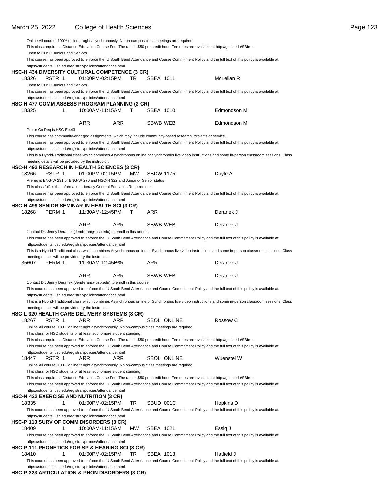#### March 25, 2022 College of Health Sciences **Page 123** Page 123

|       |                                  | Online All course: 100% online taught asynchronously. No on-campus class meetings are required. |            |     |                  |                    |                                                                                                                                                           |
|-------|----------------------------------|-------------------------------------------------------------------------------------------------|------------|-----|------------------|--------------------|-----------------------------------------------------------------------------------------------------------------------------------------------------------|
|       |                                  |                                                                                                 |            |     |                  |                    | This class requires a Distance Education Course Fee. The rate is \$50 per credit hour. Fee rates are available at http://go.iu.edu/SBfees                 |
|       | Open to CHSC Juniors and Seniors |                                                                                                 |            |     |                  |                    |                                                                                                                                                           |
|       |                                  |                                                                                                 |            |     |                  |                    | This course has been approved to enforce the IU South Bend Attendance and Course Commitment Policy and the full text of this policy is available at:      |
|       |                                  | https://students.iusb.edu/registrar/policies/attendance.html                                    |            |     |                  |                    |                                                                                                                                                           |
|       |                                  | HSC-H 434 DIVERSITY CULTURAL COMPETENCE (3 CR)                                                  |            |     |                  |                    | McLellan R                                                                                                                                                |
| 18326 | RSTR 1                           | 01:00PM-02:15PM                                                                                 |            | TR  | SBEA 1011        |                    |                                                                                                                                                           |
|       | Open to CHSC Juniors and Seniors |                                                                                                 |            |     |                  |                    | This course has been approved to enforce the IU South Bend Attendance and Course Commitment Policy and the full text of this policy is available at:      |
|       |                                  | https://students.iusb.edu/registrar/policies/attendance.html                                    |            |     |                  |                    |                                                                                                                                                           |
|       |                                  | HSC-H 477 COMM ASSESS PROGRAM PLANNING (3 CR)                                                   |            |     |                  |                    |                                                                                                                                                           |
| 18325 | 1                                | 10:00AM-11:15AM                                                                                 |            | T.  | SBEA 1010        |                    | Edmondson M                                                                                                                                               |
|       |                                  |                                                                                                 |            |     |                  |                    |                                                                                                                                                           |
|       |                                  | <b>ARR</b>                                                                                      | ARR        |     | <b>SBWB WEB</b>  |                    | Edmondson M                                                                                                                                               |
|       | Pre or Co Req is HSC-E 443       |                                                                                                 |            |     |                  |                    |                                                                                                                                                           |
|       |                                  |                                                                                                 |            |     |                  |                    | This course has community-engaged assignments, which may include community-based research, projects or service.                                           |
|       |                                  |                                                                                                 |            |     |                  |                    | This course has been approved to enforce the IU South Bend Attendance and Course Commitment Policy and the full text of this policy is available at:      |
|       |                                  | https://students.iusb.edu/registrar/policies/attendance.html                                    |            |     |                  |                    |                                                                                                                                                           |
|       |                                  |                                                                                                 |            |     |                  |                    | This is a Hybrid-Traditional class which combines Asynchronous online or Synchronous live video instructions and some in-person classroom sessions. Class |
|       |                                  | meeting details will be provided by the instructor.                                             |            |     |                  |                    |                                                                                                                                                           |
|       |                                  | HSC-H 492 RESEARCH IN HEALTH SCIENCES (3 CR).                                                   |            |     |                  |                    |                                                                                                                                                           |
| 18266 | RSTR 1                           | 01:00PM-02:15PM                                                                                 |            | MW. | <b>SBDW 1175</b> |                    | Doyle A                                                                                                                                                   |
|       |                                  | Prereq is ENG-W 231 or ENG-W 270 and HSC-H 322 and Junior or Senior status                      |            |     |                  |                    |                                                                                                                                                           |
|       |                                  | This class fulfills the Information Literacy General Education Requirement                      |            |     |                  |                    |                                                                                                                                                           |
|       |                                  | https://students.iusb.edu/registrar/policies/attendance.html                                    |            |     |                  |                    | This course has been approved to enforce the IU South Bend Attendance and Course Commitment Policy and the full text of this policy is available at:      |
|       |                                  | HSC-H 499 SENIOR SEMINAR IN HEALTH SCI (3 CR)                                                   |            |     |                  |                    |                                                                                                                                                           |
| 18268 | PERM 1                           | 11:30AM-12:45PM                                                                                 |            | т   | ARR              |                    | Deranek J                                                                                                                                                 |
|       |                                  |                                                                                                 |            |     |                  |                    |                                                                                                                                                           |
|       |                                  | <b>ARR</b>                                                                                      | <b>ARR</b> |     | SBWB WEB         |                    | Deranek J                                                                                                                                                 |
|       |                                  | Contact Dr. Jenny Deranek (Jenderan@iusb.edu) to enroll in this course                          |            |     |                  |                    |                                                                                                                                                           |
|       |                                  |                                                                                                 |            |     |                  |                    | This course has been approved to enforce the IU South Bend Attendance and Course Commitment Policy and the full text of this policy is available at:      |
|       |                                  | https://students.iusb.edu/registrar/policies/attendance.html                                    |            |     |                  |                    |                                                                                                                                                           |
|       |                                  |                                                                                                 |            |     |                  |                    | This is a Hybrid-Traditional class which combines Asynchronous online or Synchronous live video instructions and some in-person classroom sessions. Class |
|       |                                  | meeting details will be provided by the instructor.                                             |            |     |                  |                    |                                                                                                                                                           |
| 35607 | PERM 1                           | 11:30 AM - 12:45 AT R R                                                                         |            |     | ARR              |                    | Deranek J                                                                                                                                                 |
|       |                                  |                                                                                                 |            |     |                  |                    |                                                                                                                                                           |
|       |                                  | ARR                                                                                             | ARR        |     | SBWB WEB         |                    | Deranek J                                                                                                                                                 |
|       |                                  | Contact Dr. Jenny Deranek (Jenderan@iusb.edu) to enroll in this course                          |            |     |                  |                    |                                                                                                                                                           |
|       |                                  |                                                                                                 |            |     |                  |                    | This course has been approved to enforce the IU South Bend Attendance and Course Commitment Policy and the full text of this policy is available at:      |
|       |                                  | https://students.iusb.edu/registrar/policies/attendance.html                                    |            |     |                  |                    | This is a Hybrid-Traditional class which combines Asynchronous online or Synchronous live video instructions and some in-person classroom sessions. Class |
|       |                                  | meeting details will be provided by the instructor.                                             |            |     |                  |                    |                                                                                                                                                           |
|       |                                  | HSC-L 320 HEALTH CARE DELIVERY SYSTEMS (3 CR)                                                   |            |     |                  |                    |                                                                                                                                                           |
| 18267 | RSTR 1                           | ARR                                                                                             | ARR        |     |                  | <b>SBOL ONLINE</b> | Rossow C                                                                                                                                                  |
|       |                                  | Online All course: 100% online taught asynchronously. No on-campus class meetings are required. |            |     |                  |                    |                                                                                                                                                           |
|       |                                  | This class for HSC students of at least sophomore student standing                              |            |     |                  |                    |                                                                                                                                                           |
|       |                                  |                                                                                                 |            |     |                  |                    | This class requires a Distance Education Course Fee. The rate is \$50 per credit hour. Fee rates are available at http://go.iu.edu/SBfees                 |
|       |                                  |                                                                                                 |            |     |                  |                    | This course has been approved to enforce the IU South Bend Attendance and Course Commitment Policy and the full text of this policy is available at:      |
|       |                                  | https://students.iusb.edu/registrar/policies/attendance.html                                    |            |     |                  |                    |                                                                                                                                                           |
| 18447 | RSTR 1                           | ARR                                                                                             | ARR        |     |                  | SBOL ONLINE        | Wuenstel W                                                                                                                                                |
|       |                                  | Online All course: 100% online taught asynchronously. No on-campus class meetings are required. |            |     |                  |                    |                                                                                                                                                           |
|       |                                  | This class for HSC students of at least sophomore student standing                              |            |     |                  |                    |                                                                                                                                                           |
|       |                                  |                                                                                                 |            |     |                  |                    | This class requires a Distance Education Course Fee. The rate is \$50 per credit hour. Fee rates are available at http://go.iu.edu/SBfees                 |
|       |                                  |                                                                                                 |            |     |                  |                    | This course has been approved to enforce the IU South Bend Attendance and Course Commitment Policy and the full text of this policy is available at:      |
|       |                                  | https://students.iusb.edu/registrar/policies/attendance.html                                    |            |     |                  |                    |                                                                                                                                                           |
|       |                                  | HSC-N 422 EXERCISE AND NUTRITION (3 CR)                                                         |            |     |                  |                    |                                                                                                                                                           |
| 18335 | 1                                | 01:00PM-02:15PM                                                                                 |            | TR  | SBUD 001C        |                    | Hopkins D                                                                                                                                                 |
|       |                                  | https://students.iusb.edu/registrar/policies/attendance.html                                    |            |     |                  |                    | This course has been approved to enforce the IU South Bend Attendance and Course Commitment Policy and the full text of this policy is available at:      |
|       |                                  | HSC-P 110 SURV OF COMM DISORDERS (3 CR)                                                         |            |     |                  |                    |                                                                                                                                                           |
| 18409 | 1                                | 10:00AM-11:15AM                                                                                 |            | МW  | SBEA 1021        |                    | Essig J                                                                                                                                                   |
|       |                                  |                                                                                                 |            |     |                  |                    | This course has been approved to enforce the IU South Bend Attendance and Course Commitment Policy and the full text of this policy is available at:      |
|       |                                  | https://students.iusb.edu/registrar/policies/attendance.html                                    |            |     |                  |                    |                                                                                                                                                           |
|       |                                  | HSC-P 111 PHONETICS FOR SP & HEARING SCI (3 CR)                                                 |            |     |                  |                    |                                                                                                                                                           |
| 18410 | 1                                | 01:00PM-02:15PM                                                                                 |            | TR  | SBEA 1013        |                    | Hatfield J                                                                                                                                                |
|       |                                  |                                                                                                 |            |     |                  |                    | This course has been approved to enforce the IU South Bend Attendance and Course Commitment Policy and the full text of this policy is available at:      |
|       |                                  | https://students.iusb.edu/registrar/policies/attendance.html                                    |            |     |                  |                    |                                                                                                                                                           |

#### **HSC-P 323 ARTICULATION & PHON DISORDERS (3 CR)**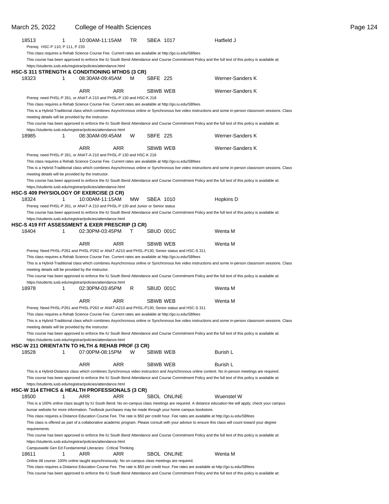#### March 25, 2022 College of Health Sciences **Page 124** College of Health Sciences Page 124 18513 1 10:00AM-11:15AM TR SBEA 1017 Hatfield J Prereq: HSC-P 110, P 111, P 233 This class requires a Rehab Science Course Fee. Current rates are available at http://go.iu.edu/SBfees This course has been approved to enforce the IU South Bend Attendance and Course Commitment Policy and the full text of this policy is available at: https://students.iusb.edu/registrar/policies/attendance.html **HSC-S 311 STRENGTH & CONDITIONING MTHDS (3 CR)** 18323 1 08:30AM-09:45AM M SBFE 225 Werner-Sanders K ARR ARR SBWB WEB Werner-Sanders K Prereq: need PHSL-P 261, or ANAT-A 210 and PHSL-P 130 and HSC-K 218 This class requires a Rehab Science Course Fee. Current rates are available at http://go.iu.edu/SBfees This is a Hybrid-Traditional class which combines Asynchronous online or Synchronous live video instructions and some in-person classroom sessions. Class meeting details will be provided by the instructor. This course has been approved to enforce the IU South Bend Attendance and Course Commitment Policy and the full text of this policy is available at: https://students.iusb.edu/registrar/policies/attendance.html 18985 1 08:30AM-09:45AM W SBFE 225 Werner-Sanders K ARR ARR SBWB WEB Werner-Sanders K Prereq: need PHSL-P 261, or ANAT-A 210 and PHSL-P 130 and HSC-K 218 This class requires a Rehab Science Course Fee. Current rates are available at http://go.iu.edu/SBfees This is a Hybrid-Traditional class which combines Asynchronous online or Synchronous live video instructions and some in-person classroom sessions. Class meeting details will be provided by the instructor. This course has been approved to enforce the IU South Bend Attendance and Course Commitment Policy and the full text of this policy is available at: https://students.iusb.edu/registrar/policies/attendance.html **HSC-S 409 PHYSIOLOGY OF EXERCISE (3 CR)** 18324 1 10:00AM-11:15AM MW SBEA 1010 Hopkins D Prereq: need PHSL-P 261, or ANAT-A 210 and PHSL-P 130 and Junior or Senior status This course has been approved to enforce the IU South Bend Attendance and Course Commitment Policy and the full text of this policy is available at: https://students.iusb.edu/registrar/policies/attendance.html **HSC-S 419 FIT ASSESSMENT & EXER PRESCRIP (3 CR)** 18404 1 02:30PM-03:45PM T SBUD 001C Wenta M ARR ARR SBWB WEB Wenta M Prereq: Need PHSL-P261 and PHSL-P262 or ANAT-A210 and PHSL-P130; Senior status and HSC-S 311 This class requires a Rehab Science Course Fee. Current rates are available at http://go.iu.edu/SBfees This is a Hybrid-Traditional class which combines Asynchronous online or Synchronous live video instructions and some in-person classroom sessions. Class meeting details will be provided by the instructor. This course has been approved to enforce the IU South Bend Attendance and Course Commitment Policy and the full text of this policy is available at: https://students.iusb.edu/registrar/policies/attendance.html 18978 1 02:30PM-03:45PM R SBUD 001C Wenta M ARR ARR SBWB WEB Wenta M Prereq: Need PHSL-P261 and PHSL-P262 or ANAT-A210 and PHSL-P130; Senior status and HSC-S 311 This class requires a Rehab Science Course Fee. Current rates are available at http://go.iu.edu/SBfees This is a Hybrid-Traditional class which combines Asynchronous online or Synchronous live video instructions and some in-person classroom sessions. Class meeting details will be provided by the instructor. This course has been approved to enforce the IU South Bend Attendance and Course Commitment Policy and the full text of this policy is available at: https://students.iusb.edu/registrar/policies/attendance.html **HSC-W 211 ORIENTATN TO HLTH & REHAB PROF (3 CR)** 18528 1 07:00PM-08:15PM W SBWB WEB Burish L ARR ARR SBWB WEB Burish L This is a Hybrid-Distance class which combines Synchronous video instruction and Asynchronous online content. No in-person meetings are required. This course has been approved to enforce the IU South Bend Attendance and Course Commitment Policy and the full text of this policy is available at: https://students.iusb.edu/registrar/policies/attendance.html **HSC-W 314 ETHICS & HEALTH PROFESSIONALS (3 CR)** 18500 1 ARR ARR SBOL ONLINE Wuenstel W This is a 100% online class taught by IU South Bend. No on-campus class meetings are required. A distance education fee will apply; check your campus bursar website for more information. Textbook purchases may be made through your home campus bookstore. This class requires a Distance Education Course Fee. The rate is \$50 per credit hour. Fee rates are available at http://go.iu.edu/SBfees This class is offered as part of a collaborative academic program. Please consult with your advisor to ensure this class will count toward your degree requirements. This course has been approved to enforce the IU South Bend Attendance and Course Commitment Policy and the full text of this policy is available at: https://students.iusb.edu/registrar/policies/attendance.html Campuswide Gen Ed Fundamental Literacies: Critical Thinking 18611 1 ARR ARR SBOL ONLINE Wenta M Online All course: 100% online taught asynchronously. No on-campus class meetings are required. This class requires a Distance Education Course Fee. The rate is \$50 per credit hour. Fee rates are available at http://go.iu.edu/SBfees

This course has been approved to enforce the IU South Bend Attendance and Course Commitment Policy and the full text of this policy is available at: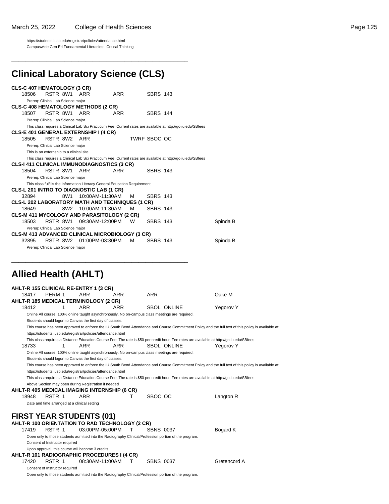https://students.iusb.edu/registrar/policies/attendance.html Campuswide Gen Ed Fundamental Literacies: Critical Thinking

### **Clinical Laboratory Science (CLS)**

\_\_\_\_\_\_\_\_\_\_\_\_\_\_\_\_\_\_\_\_\_\_\_\_\_\_\_\_\_\_\_\_\_\_\_\_\_\_\_\_\_\_\_\_\_\_\_\_\_\_

\_\_\_\_\_\_\_\_\_\_\_\_\_\_\_\_\_\_\_\_\_\_\_\_\_\_\_\_\_\_\_\_\_\_\_\_\_\_\_\_\_\_\_\_\_\_\_\_\_\_

|       | <b>CLS-C 407 HEMATOLOGY (3 CR)</b>                                         |     |                 |                      |                                                                                                              |          |
|-------|----------------------------------------------------------------------------|-----|-----------------|----------------------|--------------------------------------------------------------------------------------------------------------|----------|
| 18506 | RSTR 8W1 ARR                                                               |     | ARR             | <b>SBRS 143</b>      |                                                                                                              |          |
|       | Prereg: Clinical Lab Science major                                         |     |                 |                      |                                                                                                              |          |
|       | <b>CLS-C 408 HEMATOLOGY METHODS (2 CR)</b>                                 |     |                 |                      |                                                                                                              |          |
| 18507 | RSTR 8W1                                                                   | ARR | ARR             | <b>SBRS 144</b>      |                                                                                                              |          |
|       | Prereg: Clinical Lab Science major                                         |     |                 |                      |                                                                                                              |          |
|       |                                                                            |     |                 |                      | This class requires a Clinical Lab Sci Practicum Fee. Current rates are available at http://go.iu.edu/SBfees |          |
|       | <b>CLS-E 401 GENERAL EXTERNSHIP I (4 CR)</b>                               |     |                 |                      |                                                                                                              |          |
| 18505 | RSTR 8W2 ARR                                                               |     |                 | TWRF SBOC OC         |                                                                                                              |          |
|       | Prereg: Clinical Lab Science major                                         |     |                 |                      |                                                                                                              |          |
|       | This is an externship to a clinical site                                   |     |                 |                      |                                                                                                              |          |
|       |                                                                            |     |                 |                      | This class requires a Clinical Lab Sci Practicum Fee. Current rates are available at http://go.iu.edu/SBfees |          |
|       | CLS-I 411 CLINICAL IMMUNODIAGNOSTICS (3 CR)                                |     |                 |                      |                                                                                                              |          |
| 18504 | RSTR 8W1                                                                   | ARR | ARR             | <b>SBRS 143</b>      |                                                                                                              |          |
|       | Prereq: Clinical Lab Science major                                         |     |                 |                      |                                                                                                              |          |
|       | This class fulfills the Information Literacy General Education Requirement |     |                 |                      |                                                                                                              |          |
|       | CLS-L 201 INTRO TO DIAGNOSTIC LAB (1 CR)                                   |     |                 |                      |                                                                                                              |          |
| 32894 | 8W1                                                                        |     | 10:00AM-11:30AM | <b>SBRS 143</b><br>м |                                                                                                              |          |
|       | <b>CLS-L 202 LABORATORY MATH AND TECHNIQUES (1 CR)</b>                     |     |                 |                      |                                                                                                              |          |
| 18649 | 8W2                                                                        |     | 10:00AM-11:30AM | м<br><b>SBRS 143</b> |                                                                                                              |          |
|       | <b>CLS-M 411 MYCOLOGY AND PARASITOLOGY (2 CR)</b>                          |     |                 |                      |                                                                                                              |          |
| 18503 | RSTR 8W1 09:30AM-12:00PM                                                   |     |                 | W<br><b>SBRS 143</b> |                                                                                                              | Spinda B |
|       | Prereg: Clinical Lab Science major                                         |     |                 |                      |                                                                                                              |          |
|       | <b>CLS-M 413 ADVANCED CLINICAL MICROBIOLOGY (3 CR)</b>                     |     |                 |                      |                                                                                                              |          |
| 32895 | RSTR 8W2 01:00PM-03:30PM                                                   |     |                 | м<br><b>SBRS 143</b> |                                                                                                              | Spinda B |
|       | Prereq: Clinical Lab Science major                                         |     |                 |                      |                                                                                                              |          |

### **Allied Health (AHLT)**

|       |                                              | AHLT-R 155 CLINICAL RE-ENTRY 1 (3 CR)                                                                 |            |                  |                    |                                                                                                                                                      |
|-------|----------------------------------------------|-------------------------------------------------------------------------------------------------------|------------|------------------|--------------------|------------------------------------------------------------------------------------------------------------------------------------------------------|
| 18417 | PERM 1                                       | ARR                                                                                                   | ARR        | <b>ARR</b>       |                    | Oake M                                                                                                                                               |
|       |                                              | AHLT-R 185 MEDICAL TERMINOLOGY (2 CR)                                                                 |            |                  |                    |                                                                                                                                                      |
| 18412 | 1                                            | <b>ARR</b>                                                                                            | <b>ARR</b> |                  | <b>SBOL ONLINE</b> | Yegorov Y                                                                                                                                            |
|       |                                              | Online All course: 100% online taught asynchronously. No on-campus class meetings are required.       |            |                  |                    |                                                                                                                                                      |
|       |                                              | Students should logon to Canvas the first day of classes.                                             |            |                  |                    |                                                                                                                                                      |
|       |                                              |                                                                                                       |            |                  |                    | This course has been approved to enforce the IU South Bend Attendance and Course Commitment Policy and the full text of this policy is available at: |
|       |                                              | https://students.iusb.edu/registrar/policies/attendance.html                                          |            |                  |                    |                                                                                                                                                      |
|       |                                              |                                                                                                       |            |                  |                    | This class requires a Distance Education Course Fee. The rate is \$50 per credit hour. Fee rates are available at http://go.iu.edu/SBfees            |
| 18733 | 1                                            | <b>ARR</b>                                                                                            | <b>ARR</b> |                  | SBOL ONLINE        | Yegorov Y                                                                                                                                            |
|       |                                              | Online All course: 100% online taught asynchronously. No on-campus class meetings are required.       |            |                  |                    |                                                                                                                                                      |
|       |                                              | Students should logon to Canvas the first day of classes.                                             |            |                  |                    |                                                                                                                                                      |
|       |                                              |                                                                                                       |            |                  |                    | This course has been approved to enforce the IU South Bend Attendance and Course Commitment Policy and the full text of this policy is available at: |
|       |                                              | https://students.iusb.edu/registrar/policies/attendance.html                                          |            |                  |                    |                                                                                                                                                      |
|       |                                              |                                                                                                       |            |                  |                    | This class requires a Distance Education Course Fee. The rate is \$50 per credit hour. Fee rates are available at http://go.iu.edu/SBfees            |
|       |                                              | Above Section may open during Registration if needed                                                  |            |                  |                    |                                                                                                                                                      |
|       |                                              | AHLT-R 495 MEDICAL IMAGING INTERNSHIP (6 CR)                                                          |            |                  |                    |                                                                                                                                                      |
| 18948 | RSTR 1                                       | <b>ARR</b>                                                                                            | т          | SBOC OC          |                    | Langton R                                                                                                                                            |
|       | Date and time arranged at a clinical setting |                                                                                                       |            |                  |                    |                                                                                                                                                      |
|       |                                              |                                                                                                       |            |                  |                    |                                                                                                                                                      |
|       |                                              | <b>FIRST YEAR STUDENTS (01)</b>                                                                       |            |                  |                    |                                                                                                                                                      |
|       |                                              | AHLT-R 100 ORIENTATION TO RAD TECHNOLOGY (2 CR)                                                       |            |                  |                    |                                                                                                                                                      |
| 17419 | RSTR 1                                       | 03:00PM-05:00PM                                                                                       | т          | <b>SBNS 0037</b> |                    | Bogard K                                                                                                                                             |
|       |                                              | Open only to those students admitted into the Radiography Clinical/Profession portion of the program. |            |                  |                    |                                                                                                                                                      |
|       | Consent of Instructor required               |                                                                                                       |            |                  |                    |                                                                                                                                                      |
|       |                                              | Upon approval, this course will become 3 credits                                                      |            |                  |                    |                                                                                                                                                      |
|       |                                              | AHLT-R 101 RADIOGRAPHIC PROCEDURES I (4 CR)                                                           |            |                  |                    |                                                                                                                                                      |
| 17420 | RSTR 1                                       | 08:30AM-11:00AM                                                                                       | т          |                  | <b>SBNS 0037</b>   | Gretencord A                                                                                                                                         |
|       | Consent of Instructor required               |                                                                                                       |            |                  |                    |                                                                                                                                                      |
|       |                                              | Open only to those students admitted into the Radiography Clinical/Profession portion of the program. |            |                  |                    |                                                                                                                                                      |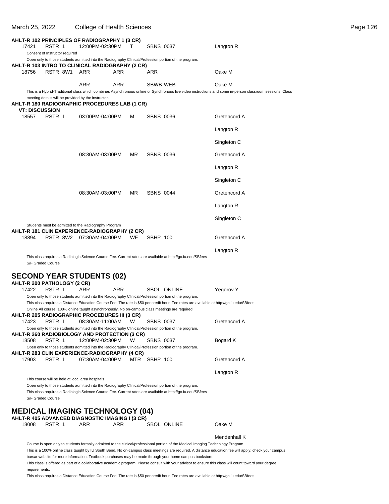| March 25, 2022        |                                                                       | <b>College of Health Sciences</b>                                                                                                 |            |        |                  |                                                                                                                                                                                                                                                    |                                                                                                                                                                                                                                                                                                                 | Page 126 |
|-----------------------|-----------------------------------------------------------------------|-----------------------------------------------------------------------------------------------------------------------------------|------------|--------|------------------|----------------------------------------------------------------------------------------------------------------------------------------------------------------------------------------------------------------------------------------------------|-----------------------------------------------------------------------------------------------------------------------------------------------------------------------------------------------------------------------------------------------------------------------------------------------------------------|----------|
| 17421                 | RSTR 1<br>Consent of Instructor required                              | AHLT-R 102 PRINCIPLES OF RADIOGRAPHY 1 (3 CR)<br>12:00PM-02:30PM                                                                  |            | $\top$ | <b>SBNS 0037</b> |                                                                                                                                                                                                                                                    | Langton R                                                                                                                                                                                                                                                                                                       |          |
|                       |                                                                       | AHLT-R 103 INTRO TO CLINICAL RADIOGRAPHY (2 CR)                                                                                   |            |        |                  | Open only to those students admitted into the Radiography Clinical/Profession portion of the program.                                                                                                                                              |                                                                                                                                                                                                                                                                                                                 |          |
| 18756                 | RSTR 8W1 ARR                                                          |                                                                                                                                   | ARR        |        | ARR              |                                                                                                                                                                                                                                                    | Oake M                                                                                                                                                                                                                                                                                                          |          |
|                       |                                                                       | <b>ARR</b><br>meeting details will be provided by the instructor.                                                                 | <b>ARR</b> |        | SBWB WEB         |                                                                                                                                                                                                                                                    | Oake M<br>This is a Hybrid-Traditional class which combines Asynchronous online or Synchronous live video instructions and some in-person classroom sessions. Class                                                                                                                                             |          |
| <b>VT: DISCUSSION</b> |                                                                       | AHLT-R 180 RADIOGRAPHIC PROCEDURES LAB (1 CR)                                                                                     |            |        |                  |                                                                                                                                                                                                                                                    |                                                                                                                                                                                                                                                                                                                 |          |
| 18557                 | RSTR 1                                                                | 03:00PM-04:00PM                                                                                                                   |            | м      | <b>SBNS 0036</b> |                                                                                                                                                                                                                                                    | Gretencord A                                                                                                                                                                                                                                                                                                    |          |
|                       |                                                                       |                                                                                                                                   |            |        |                  |                                                                                                                                                                                                                                                    | Langton R                                                                                                                                                                                                                                                                                                       |          |
|                       |                                                                       |                                                                                                                                   |            |        |                  |                                                                                                                                                                                                                                                    | Singleton C                                                                                                                                                                                                                                                                                                     |          |
|                       |                                                                       | 08:30AM-03:00PM                                                                                                                   |            | MR     | <b>SBNS 0036</b> |                                                                                                                                                                                                                                                    | Gretencord A                                                                                                                                                                                                                                                                                                    |          |
|                       |                                                                       |                                                                                                                                   |            |        |                  |                                                                                                                                                                                                                                                    | Langton R                                                                                                                                                                                                                                                                                                       |          |
|                       |                                                                       |                                                                                                                                   |            |        |                  |                                                                                                                                                                                                                                                    | Singleton C                                                                                                                                                                                                                                                                                                     |          |
|                       |                                                                       | 08:30AM-03:00PM                                                                                                                   |            | MR     | <b>SBNS 0044</b> |                                                                                                                                                                                                                                                    | Gretencord A                                                                                                                                                                                                                                                                                                    |          |
|                       |                                                                       |                                                                                                                                   |            |        |                  |                                                                                                                                                                                                                                                    | Langton R                                                                                                                                                                                                                                                                                                       |          |
|                       |                                                                       |                                                                                                                                   |            |        |                  |                                                                                                                                                                                                                                                    | Singleton C                                                                                                                                                                                                                                                                                                     |          |
| 18894                 |                                                                       | Students must be admitted to the Radiography Program<br>AHLT-R 181 CLIN EXPERIENCE-RADIOGRAPHY (2 CR)<br>RSTR 8W2 07:30AM-04:00PM |            | WF     | SBHP 100         |                                                                                                                                                                                                                                                    | Gretencord A                                                                                                                                                                                                                                                                                                    |          |
|                       |                                                                       |                                                                                                                                   |            |        |                  |                                                                                                                                                                                                                                                    | Langton R                                                                                                                                                                                                                                                                                                       |          |
|                       | S/F Graded Course                                                     |                                                                                                                                   |            |        |                  | This class requires a Radiologic Science Course Fee. Current rates are available at http://go.iu.edu/SBfees                                                                                                                                        |                                                                                                                                                                                                                                                                                                                 |          |
|                       |                                                                       | <b>SECOND YEAR STUDENTS (02)</b>                                                                                                  |            |        |                  |                                                                                                                                                                                                                                                    |                                                                                                                                                                                                                                                                                                                 |          |
| 17422                 | AHLT-R 200 PATHOLOGY (2 CR)<br>RSTR 1                                 | <b>ARR</b>                                                                                                                        | <b>ARR</b> |        |                  | <b>SBOL ONLINE</b>                                                                                                                                                                                                                                 | Yegorov Y                                                                                                                                                                                                                                                                                                       |          |
|                       |                                                                       | Online All course: 100% online taught asynchronously. No on-campus class meetings are required.                                   |            |        |                  | Open only to those students admitted into the Radiography Clinical/Profession portion of the program.<br>This class requires a Distance Education Course Fee. The rate is \$50 per credit hour. Fee rates are available at http://go.iu.edu/SBfees |                                                                                                                                                                                                                                                                                                                 |          |
| 17423                 | RSTR 1                                                                | AHLT-R 205 RADIOGRAPHIC PROCEDURES III (3 CR)<br>08:30AM-11:00AM                                                                  |            | W      | <b>SBNS 0037</b> | Open only to those students admitted into the Radiography Clinical/Profession portion of the program.                                                                                                                                              | Gretencord A                                                                                                                                                                                                                                                                                                    |          |
| 18508                 | RSTR 1                                                                | AHLT-R 260 RADIOBIOLOGY AND PROTECTION (3 CR)<br>12:00PM-02:30PM                                                                  |            | W      | <b>SBNS 0037</b> | Open only to those students admitted into the Radiography Clinical/Profession portion of the program.                                                                                                                                              | Bogard K                                                                                                                                                                                                                                                                                                        |          |
| 17903                 | RSTR 1                                                                | AHLT-R 283 CLIN EXPERIENCE-RADIOGRAPHY (4 CR)<br>07:30AM-04:00PM                                                                  |            |        | MTR SBHP 100     |                                                                                                                                                                                                                                                    | Gretencord A                                                                                                                                                                                                                                                                                                    |          |
|                       |                                                                       |                                                                                                                                   |            |        |                  |                                                                                                                                                                                                                                                    | Langton R                                                                                                                                                                                                                                                                                                       |          |
|                       | This course will be held at local area hospitals<br>S/F Graded Course |                                                                                                                                   |            |        |                  | Open only to those students admitted into the Radiography Clinical/Profession portion of the program.<br>This class requires a Radiologic Science Course Fee. Current rates are available at http://go.iu.edu/SBfees                               |                                                                                                                                                                                                                                                                                                                 |          |
|                       |                                                                       | <b>MEDICAL IMAGING TECHNOLOGY (04)</b><br>AHLT-R 405 ADVANCED DIAGNOSTIC IMAGING I (3 CR)                                         |            |        |                  |                                                                                                                                                                                                                                                    |                                                                                                                                                                                                                                                                                                                 |          |
| 18008                 | RSTR 1                                                                | ARR                                                                                                                               | ARR        |        |                  | <b>SBOL ONLINE</b>                                                                                                                                                                                                                                 | Oake M                                                                                                                                                                                                                                                                                                          |          |
|                       |                                                                       |                                                                                                                                   |            |        |                  | Course is open only to students formally admitted to the clinical/professional portion of the Medical Imaging Technology Program.                                                                                                                  | Mendenhall K                                                                                                                                                                                                                                                                                                    |          |
| requirements.         |                                                                       |                                                                                                                                   |            |        |                  | bursar website for more information. Textbook purchases may be made through your home campus bookstore.                                                                                                                                            | This is a 100% online class taught by IU South Bend. No on-campus class meetings are required. A distance education fee will apply; check your campus<br>This class is offered as part of a collaborative academic program. Please consult with your advisor to ensure this class will count toward your degree |          |

This class requires a Distance Education Course Fee. The rate is \$50 per credit hour. Fee rates are available at http://go.iu.edu/SBfees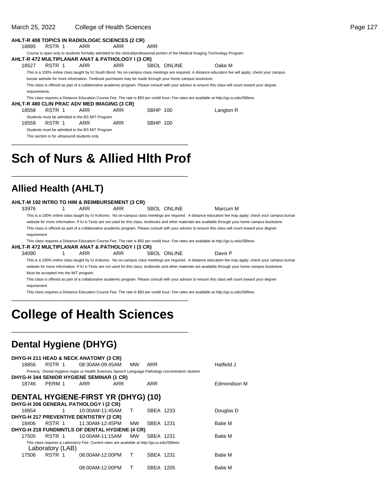| March 25, 2022 |        |                                                 | College of Health Sciences                                                                              |                 |             |                                                                                                                                                        | Page 127 |
|----------------|--------|-------------------------------------------------|---------------------------------------------------------------------------------------------------------|-----------------|-------------|--------------------------------------------------------------------------------------------------------------------------------------------------------|----------|
|                |        |                                                 | AHLT-R 408 TOPICS IN RADIOLOGIC SCIENCES (2 CR)                                                         |                 |             |                                                                                                                                                        |          |
| 18895          | RSTR 1 | ARR                                             | ARR                                                                                                     | ARR             |             |                                                                                                                                                        |          |
|                |        |                                                 |                                                                                                         |                 |             | Course is open only to students formally admitted to the clinical/professional portion of the Medical Imaging Technology Program.                      |          |
|                |        |                                                 | AHLT-R 472 MULTIPLANAR ANAT & PATHOLOGY I (3 CR)                                                        |                 |             |                                                                                                                                                        |          |
| 18527          | RSTR 1 | ARR                                             | ARR                                                                                                     |                 | SBOL ONLINE | Oake M                                                                                                                                                 |          |
|                |        |                                                 |                                                                                                         |                 |             | This is a 100% online class taught by IU South Bend. No on-campus class meetings are required. A distance education fee will apply; check your campus  |          |
|                |        |                                                 | bursar website for more information. Textbook purchases may be made through your home campus bookstore. |                 |             |                                                                                                                                                        |          |
| requirements.  |        |                                                 |                                                                                                         |                 |             | This class is offered as part of a collaborative academic program. Please consult with your advisor to ensure this class will count toward your degree |          |
|                |        |                                                 |                                                                                                         |                 |             | This class requires a Distance Education Course Fee. The rate is \$50 per credit hour. Fee rates are available at http://go.iu.edu/SBfees              |          |
|                |        |                                                 | AHLT-R 480 CLIN PRAC ADV MED IMAGING (3 CR)                                                             |                 |             |                                                                                                                                                        |          |
| 18558          | RSTR 1 | ARR                                             | ARR                                                                                                     | SBHP 100        |             | Langton R                                                                                                                                              |          |
|                |        | Students must be admitted to the BS MIT Program |                                                                                                         |                 |             |                                                                                                                                                        |          |
| 18559          | RSTR 1 | ARR                                             | ARR                                                                                                     | <b>SBHP 100</b> |             |                                                                                                                                                        |          |
|                |        | Students must be admitted to the BS MIT Program |                                                                                                         |                 |             |                                                                                                                                                        |          |

This section is for ultrasound students only

# **Sch of Nurs & Allied Hlth Prof**

\_\_\_\_\_\_\_\_\_\_\_\_\_\_\_\_\_\_\_\_\_\_\_\_\_\_\_\_\_\_\_\_\_\_\_\_\_\_\_\_\_\_\_\_\_\_\_\_\_\_

\_\_\_\_\_\_\_\_\_\_\_\_\_\_\_\_\_\_\_\_\_\_\_\_\_\_\_\_\_\_\_\_\_\_\_\_\_\_\_\_\_\_\_\_\_\_\_\_\_\_

### **Allied Health (AHLT)**

| AHLT-M 192 INTRO TO HIM & REIMBURSEMENT (3 CR) |     |     |             |          |
|------------------------------------------------|-----|-----|-------------|----------|
| 33976                                          | ARR | ARR | SBOL ONLINE | Marcum M |

This is a 100% online class taught by IU Kokomo. No on-campus class meetings are required. A distance education fee may apply; check your campus bursar website for more information. If IU e-Texts are not used for this class, textbooks and other materials are available through your home campus bookstore. This class is offered as part of a collaborative academic program. Please consult with your advisor to ensure this class will count toward your degree requirement

This class requires a Distance Education Course Fee. The rate is \$50 per credit hour. Fee rates are available at http://go.iu.edu/SBfees

**AHLT-R 472 MULTIPLANAR ANAT & PATHOLOGY I (3 CR)**

34090 1 ARR ARR SBOL ONLINE Davis P This is a 100% online class taught by IU Kokomo. No on-campus class meetings are required. A distance education fee may apply; check your campus bursar website for more information. If IU e-Texts are not used for this class, textbooks and other materials are available through your home campus bookstore. Must be accepted into the MIT program.

This class is offered as part of a collaborative academic program. Please consult with your advisor to ensure this class will count toward your degree requirement

This class requires a Distance Education Course Fee. The rate is \$50 per credit hour. Fee rates are available at http://go.iu.edu/SBfees

# **College of Health Sciences**

\_\_\_\_\_\_\_\_\_\_\_\_\_\_\_\_\_\_\_\_\_\_\_\_\_\_\_\_\_\_\_\_\_\_\_\_\_\_\_\_\_\_\_\_\_\_\_\_\_\_

\_\_\_\_\_\_\_\_\_\_\_\_\_\_\_\_\_\_\_\_\_\_\_\_\_\_\_\_\_\_\_\_\_\_\_\_\_\_\_\_\_\_\_\_\_\_\_\_\_\_

### **Dental Hygiene (DHYG)**

|       |                  | DHYG-H 211 HEAD & NECK ANATOMY (3 CR)                                                            |           |           |                    |
|-------|------------------|--------------------------------------------------------------------------------------------------|-----------|-----------|--------------------|
| 18856 | RSTR 1           | 08:30AM-09:45AM                                                                                  | <b>MW</b> | ARR       | Hatfield J         |
|       |                  | Prererq: Dental Hygiene major or Health Sciences Speech Language Pathology concentration student |           |           |                    |
|       |                  | DHYG-H 344 SENIOR HYGIENE SEMINAR (1 CR)                                                         |           |           |                    |
| 18746 | PERM 1           | ARR<br>ARR                                                                                       |           | ARR       | <b>Edmondson M</b> |
|       |                  | <b>DENTAL HYGIENE-FIRST YR (DHYG) (10)</b>                                                       |           |           |                    |
|       |                  | DHYG-H 206 GENERAL PATHOLOGY I (2 CR)                                                            |           |           |                    |
| 18854 | 1                | 10:00AM-11:45AM                                                                                  | т         | SBEA 1233 | Douglas D          |
|       |                  | DHYG-H 217 PREVENTIVE DENTISTRY (3 CR)                                                           |           |           |                    |
| 18406 | RSTR 1           | 11:30AM-12:45PM                                                                                  | <b>MW</b> | SBEA 1231 | <b>Batie M</b>     |
|       |                  | DHYG-H 218 FUNDMNTLS OF DENTAL HYGIENE (4 CR)                                                    |           |           |                    |
| 17505 | RSTR 1           | 10:00AM-11:15AM                                                                                  | <b>MW</b> | SBFA 1231 | <b>Batie M</b>     |
|       | Laboratory (LAB) | This class requires a Laboratory Fee. Current rates are available at http://go.iu.edu/SBfees     |           |           |                    |
| 17506 | RSTR 1           | 08:00AM-12:00PM                                                                                  | т         | SBEA 1231 | <b>Batie M</b>     |
|       |                  | 08:00AM-12:00PM                                                                                  | т         | SBEA 1205 | <b>Batie M</b>     |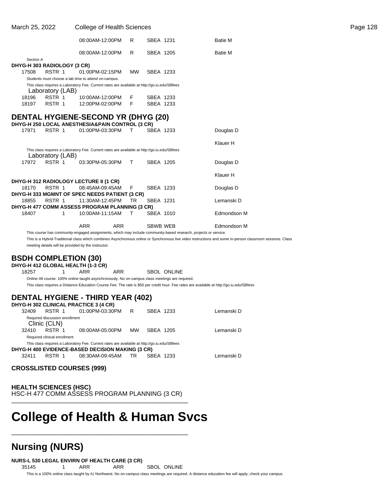| March 25, 2022 |                               |                                                                     |                                                                                                                                                                                                                                                                                                            |                                                                                                                                                                                                                                                                           |                                            | Page 128                                                                                                                                                                                                                                                                                                                                                       |
|----------------|-------------------------------|---------------------------------------------------------------------|------------------------------------------------------------------------------------------------------------------------------------------------------------------------------------------------------------------------------------------------------------------------------------------------------------|---------------------------------------------------------------------------------------------------------------------------------------------------------------------------------------------------------------------------------------------------------------------------|--------------------------------------------|----------------------------------------------------------------------------------------------------------------------------------------------------------------------------------------------------------------------------------------------------------------------------------------------------------------------------------------------------------------|
|                |                               |                                                                     |                                                                                                                                                                                                                                                                                                            |                                                                                                                                                                                                                                                                           | <b>Batie M</b>                             |                                                                                                                                                                                                                                                                                                                                                                |
|                |                               |                                                                     |                                                                                                                                                                                                                                                                                                            |                                                                                                                                                                                                                                                                           | <b>Batie M</b>                             |                                                                                                                                                                                                                                                                                                                                                                |
|                |                               |                                                                     |                                                                                                                                                                                                                                                                                                            |                                                                                                                                                                                                                                                                           |                                            |                                                                                                                                                                                                                                                                                                                                                                |
|                |                               |                                                                     |                                                                                                                                                                                                                                                                                                            |                                                                                                                                                                                                                                                                           |                                            |                                                                                                                                                                                                                                                                                                                                                                |
|                |                               |                                                                     |                                                                                                                                                                                                                                                                                                            |                                                                                                                                                                                                                                                                           |                                            |                                                                                                                                                                                                                                                                                                                                                                |
|                |                               |                                                                     |                                                                                                                                                                                                                                                                                                            |                                                                                                                                                                                                                                                                           |                                            |                                                                                                                                                                                                                                                                                                                                                                |
|                |                               |                                                                     |                                                                                                                                                                                                                                                                                                            |                                                                                                                                                                                                                                                                           |                                            |                                                                                                                                                                                                                                                                                                                                                                |
| RSTR 1         |                               |                                                                     |                                                                                                                                                                                                                                                                                                            |                                                                                                                                                                                                                                                                           |                                            |                                                                                                                                                                                                                                                                                                                                                                |
| RSTR 1         |                               |                                                                     |                                                                                                                                                                                                                                                                                                            |                                                                                                                                                                                                                                                                           |                                            |                                                                                                                                                                                                                                                                                                                                                                |
|                |                               |                                                                     |                                                                                                                                                                                                                                                                                                            |                                                                                                                                                                                                                                                                           |                                            |                                                                                                                                                                                                                                                                                                                                                                |
|                |                               |                                                                     |                                                                                                                                                                                                                                                                                                            |                                                                                                                                                                                                                                                                           |                                            |                                                                                                                                                                                                                                                                                                                                                                |
|                |                               |                                                                     |                                                                                                                                                                                                                                                                                                            |                                                                                                                                                                                                                                                                           |                                            |                                                                                                                                                                                                                                                                                                                                                                |
|                |                               |                                                                     |                                                                                                                                                                                                                                                                                                            |                                                                                                                                                                                                                                                                           |                                            |                                                                                                                                                                                                                                                                                                                                                                |
|                |                               |                                                                     |                                                                                                                                                                                                                                                                                                            |                                                                                                                                                                                                                                                                           | Klauer H                                   |                                                                                                                                                                                                                                                                                                                                                                |
|                |                               |                                                                     |                                                                                                                                                                                                                                                                                                            |                                                                                                                                                                                                                                                                           |                                            |                                                                                                                                                                                                                                                                                                                                                                |
| RSTR 1         |                               |                                                                     |                                                                                                                                                                                                                                                                                                            |                                                                                                                                                                                                                                                                           | Douglas D                                  |                                                                                                                                                                                                                                                                                                                                                                |
|                |                               |                                                                     |                                                                                                                                                                                                                                                                                                            |                                                                                                                                                                                                                                                                           | Klauer H                                   |                                                                                                                                                                                                                                                                                                                                                                |
|                |                               |                                                                     |                                                                                                                                                                                                                                                                                                            |                                                                                                                                                                                                                                                                           |                                            |                                                                                                                                                                                                                                                                                                                                                                |
| RSTR 1         |                               |                                                                     |                                                                                                                                                                                                                                                                                                            |                                                                                                                                                                                                                                                                           | Douglas D                                  |                                                                                                                                                                                                                                                                                                                                                                |
|                |                               |                                                                     |                                                                                                                                                                                                                                                                                                            |                                                                                                                                                                                                                                                                           |                                            |                                                                                                                                                                                                                                                                                                                                                                |
| RSTR 1         |                               |                                                                     |                                                                                                                                                                                                                                                                                                            |                                                                                                                                                                                                                                                                           | Lemanski D                                 |                                                                                                                                                                                                                                                                                                                                                                |
|                |                               |                                                                     |                                                                                                                                                                                                                                                                                                            |                                                                                                                                                                                                                                                                           |                                            |                                                                                                                                                                                                                                                                                                                                                                |
| 1              |                               |                                                                     |                                                                                                                                                                                                                                                                                                            |                                                                                                                                                                                                                                                                           | Edmondson M                                |                                                                                                                                                                                                                                                                                                                                                                |
|                | <b>ARR</b>                    |                                                                     |                                                                                                                                                                                                                                                                                                            |                                                                                                                                                                                                                                                                           | Edmondson M                                |                                                                                                                                                                                                                                                                                                                                                                |
|                | Section A<br>RSTR 1<br>RSTR 1 | DHYG-H 303 RADIOLOGY (3 CR)<br>Laboratory (LAB)<br>Laboratory (LAB) | 08:00AM-12:00PM<br>08:00AM-12:00PM<br>01:00PM-02:15PM<br>Students must choose a lab time to attend on-campus.<br>10:00AM-12:00PM<br>12:00PM-02:00PM<br>01:00PM-03:30PM<br>03:30PM-05:30PM<br>DHYG-H 312 RADIOLOGY LECTURE II (1 CR)<br>08:45AM-09:45AM<br>11:30AM-12:45PM<br>10:00AM-11:15AM<br><b>ARR</b> | <b>College of Health Sciences</b><br>R<br>R<br><b>MW</b><br>F<br>F<br>DHYG-H 250 LOCAL ANESTHESIA&PAIN CONTROL (3 CR)<br>$\mathsf T$<br>T<br>F.<br>DHYG-H 333 MGMNT OF SPEC NEEDS PATIENT (3 CR)<br><b>TR</b><br>DHYG-H 477 COMM ASSESS PROGRAM PLANNING (3 CR)<br>$\top$ | <b>DENTAL HYGIENE-SECOND YR (DHYG (20)</b> | SBEA 1231<br>SBEA 1205<br>SBEA 1233<br>This class requires a Laboratory Fee. Current rates are available at http://go.iu.edu/SBfees<br>SBEA 1233<br>SBEA 1233<br>SBEA 1233<br>Douglas D<br>This class requires a Laboratory Fee. Current rates are available at http://go.iu.edu/SBfees<br>SBEA 1205<br>SBEA 1233<br>SBEA 1231<br>SBEA 1010<br><b>SBWB WEB</b> |

This course has community-engaged assignments, which may include community-based research, projects or service.

This is a Hybrid-Traditional class which combines Asynchronous online or Synchronous live video instructions and some in-person classroom sessions. Class meeting details will be provided by the instructor.

### **BSDH COMPLETION (30)**

**DHYG-H 412 GLOBAL HEALTH (1-3 CR)**

18257 1 ARR ARR SBOL ONLINE

Online All course: 100% online taught asynchronously. No on-campus class meetings are required. This class requires a Distance Education Course Fee. The rate is \$50 per credit hour. Fee rates are available at http://go.iu.edu/SBfees

### **DENTAL HYGIENE - THIRD YEAR (402)**

|                                                  |                                                | DHYG-H 302 CLINICAL PRACTICE 3 (4 CR)                                                        |           |           |  |            |  |  |  |  |  |
|--------------------------------------------------|------------------------------------------------|----------------------------------------------------------------------------------------------|-----------|-----------|--|------------|--|--|--|--|--|
| 32409                                            | RSTR 1                                         | 01:00PM-03:30PM                                                                              | R         | SBEA 1233 |  | Lemanski D |  |  |  |  |  |
|                                                  | Required discussion enrollment<br>Clinic (CLN) |                                                                                              |           |           |  |            |  |  |  |  |  |
| 32410                                            | RSTR 1                                         | 08:00AM-05:00PM                                                                              | <b>MW</b> | SBEA 1205 |  | Lemanski D |  |  |  |  |  |
|                                                  | Required clinical enrollment                   |                                                                                              |           |           |  |            |  |  |  |  |  |
|                                                  |                                                | This class requires a Laboratory Fee. Current rates are available at http://go.iu.edu/SBfees |           |           |  |            |  |  |  |  |  |
| DHYG-H 400 EVIDENCE-BASED DECISION MAKING (3 CR) |                                                |                                                                                              |           |           |  |            |  |  |  |  |  |
| 32411                                            | RSTR 1                                         | 08:30AM-09:45AM TR                                                                           |           | SBFA 1233 |  | Lemanski D |  |  |  |  |  |

#### **CROSSLISTED COURSES (999)**

**HEALTH SCIENCES (HSC)** HSC-H 477 COMM ASSESS PROGRAM PLANNING (3 CR) \_\_\_\_\_\_\_\_\_\_\_\_\_\_\_\_\_\_\_\_\_\_\_\_\_\_\_\_\_\_\_\_\_\_\_\_\_\_\_\_\_\_\_\_\_\_\_\_\_\_

\_\_\_\_\_\_\_\_\_\_\_\_\_\_\_\_\_\_\_\_\_\_\_\_\_\_\_\_\_\_\_\_\_\_\_\_\_\_\_\_\_\_\_\_\_\_\_\_\_\_

## **College of Health & Human Svcs**

### **Nursing (NURS)**

**NURS-L 530 LEGAL ENVIRN OF HEALTH CARE (3 CR)**

35145 1 ARR ARR SBOL ONLINE

This is a 100% online class taught by IU Northwest. No on-campus class meetings are required. A distance education fee will apply; check your campus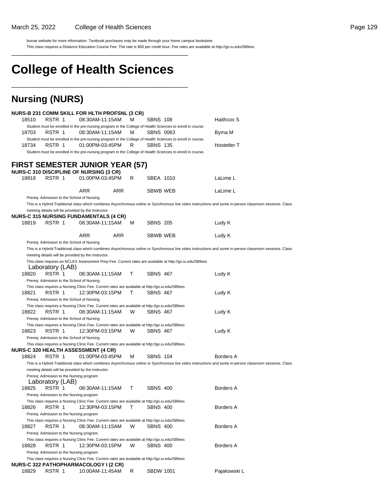bursar website for more information. Textbook purchases may be made through your home campus bookstore.

This class requires a Distance Education Course Fee. The rate is \$50 per credit hour. Fee rates are available at http://go.iu.edu/SBfees \_\_\_\_\_\_\_\_\_\_\_\_\_\_\_\_\_\_\_\_\_\_\_\_\_\_\_\_\_\_\_\_\_\_\_\_\_\_\_\_\_\_\_\_\_\_\_\_\_\_

# **College of Health Sciences**

\_\_\_\_\_\_\_\_\_\_\_\_\_\_\_\_\_\_\_\_\_\_\_\_\_\_\_\_\_\_\_\_\_\_\_\_\_\_\_\_\_\_\_\_\_\_\_\_\_\_

### **Nursing (NURS)**

|       |                                            | NURS-B 231 COMM SKILL FOR HLTH PROFSNL (3 CR)                                                                                                                   |            |   |                  |                                                                                                                                                           |
|-------|--------------------------------------------|-----------------------------------------------------------------------------------------------------------------------------------------------------------------|------------|---|------------------|-----------------------------------------------------------------------------------------------------------------------------------------------------------|
| 18510 | RSTR 1                                     | 08:30AM-11:15AM<br>Student must be enrolled in the pre-nursing program in the College of Health Sciences to enroll in course.                                   |            | M | <b>SBNS 108</b>  | Haithcox S                                                                                                                                                |
| 18703 | RSTR 1                                     | 08:30AM-11:15AM                                                                                                                                                 |            | м | <b>SBNS 0063</b> | Byma M                                                                                                                                                    |
|       |                                            | Student must be enrolled in the pre-nursing program in the College of Health Sciences to enroll in course.                                                      |            |   |                  |                                                                                                                                                           |
| 18734 | RSTR 1                                     | 01:00PM-03:45PM<br>Student must be enrolled in the pre-nursing program in the College of Health Sciences to enroll in course.                                   |            | R | <b>SBNS 135</b>  | Hostetler T                                                                                                                                               |
|       |                                            |                                                                                                                                                                 |            |   |                  |                                                                                                                                                           |
|       |                                            | <b>FIRST SEMESTER JUNIOR YEAR (57)</b>                                                                                                                          |            |   |                  |                                                                                                                                                           |
| 18818 | RSTR 1                                     | <b>NURS-C 310 DISCIPLINE OF NURSING (3 CR)</b><br>01:00PM-03:45PM                                                                                               |            | R | SBEA 1010        | LaLime L                                                                                                                                                  |
|       |                                            |                                                                                                                                                                 |            |   |                  |                                                                                                                                                           |
|       |                                            | ARR                                                                                                                                                             | <b>ARR</b> |   | SBWB WEB         | LaLime L                                                                                                                                                  |
|       | Prereq: Admission to the School of Nursing |                                                                                                                                                                 |            |   |                  |                                                                                                                                                           |
|       |                                            |                                                                                                                                                                 |            |   |                  | This is a Hybrid-Traditional class which combines Asynchronous online or Synchronous live video instructions and some in-person classroom sessions. Class |
|       |                                            | meeting details will be provided by the instructor.                                                                                                             |            |   |                  |                                                                                                                                                           |
| 18819 | RSTR 1                                     | <b>NURS-C 315 NURSING FUNDAMENTALS (4 CR)</b><br>08:30AM-11:15AM                                                                                                |            | M | <b>SBNS 205</b>  | Ludy K                                                                                                                                                    |
|       |                                            |                                                                                                                                                                 |            |   |                  |                                                                                                                                                           |
|       |                                            | ARR                                                                                                                                                             | <b>ARR</b> |   | SBWB WEB         | Ludy K                                                                                                                                                    |
|       | Prereq: Admission to the School of Nursing |                                                                                                                                                                 |            |   |                  |                                                                                                                                                           |
|       |                                            |                                                                                                                                                                 |            |   |                  | This is a Hybrid-Traditional class which combines Asynchronous online or Synchronous live video instructions and some in-person classroom sessions. Class |
|       |                                            | meeting details will be provided by the instructor.<br>This class requires an NCLEX Assessment Prep Fee. Current rates are available at http://go.iu.edu/SBfees |            |   |                  |                                                                                                                                                           |
|       | Laboratory (LAB)                           |                                                                                                                                                                 |            |   |                  |                                                                                                                                                           |
| 18820 | RSTR 1                                     | 08:30AM-11:15AM                                                                                                                                                 |            | т | <b>SBNS 467</b>  | Ludy K                                                                                                                                                    |
|       | Prereq: Admission to the School of Nursing |                                                                                                                                                                 |            |   |                  |                                                                                                                                                           |
|       |                                            | This class requires a Nursing Clinic Fee. Current rates are available at http://go.iu.edu/SBfees                                                                |            |   |                  |                                                                                                                                                           |
| 18821 | RSTR 1                                     | 12:30PM-03:15PM                                                                                                                                                 |            | т | <b>SBNS 467</b>  | Ludy K                                                                                                                                                    |
|       | Prereq: Admission to the School of Nursing |                                                                                                                                                                 |            |   |                  |                                                                                                                                                           |
|       |                                            | This class requires a Nursing Clinic Fee. Current rates are available at http://go.iu.edu/SBfees                                                                |            |   |                  |                                                                                                                                                           |
| 18822 | RSTR 1                                     | 08:30AM-11:15AM                                                                                                                                                 |            | W | <b>SBNS 467</b>  | Ludy K                                                                                                                                                    |
|       | Prereq: Admission to the School of Nursing |                                                                                                                                                                 |            |   |                  |                                                                                                                                                           |
|       |                                            | This class requires a Nursing Clinic Fee. Current rates are available at http://go.iu.edu/SBfees                                                                |            |   |                  |                                                                                                                                                           |
| 18823 | RSTR 1                                     | 12:30PM-03:15PM                                                                                                                                                 |            | W | <b>SBNS 467</b>  | Ludy K                                                                                                                                                    |
|       | Prereq: Admission to the School of Nursing |                                                                                                                                                                 |            |   |                  |                                                                                                                                                           |
|       |                                            | This class requires a Nursing Clinic Fee. Current rates are available at http://go.iu.edu/SBfees<br><b>NURS-C 320 HEALTH ASSESSMENT (4 CR)</b>                  |            |   |                  |                                                                                                                                                           |
| 18824 | RSTR 1                                     | 01:00PM-03:45PM                                                                                                                                                 |            | M | <b>SBNS 104</b>  | <b>Borders A</b>                                                                                                                                          |
|       |                                            |                                                                                                                                                                 |            |   |                  | This is a Hybrid-Traditional class which combines Asynchronous online or Synchronous live video instructions and some in-person classroom sessions. Class |
|       |                                            | meeting details will be provided by the instructor.                                                                                                             |            |   |                  |                                                                                                                                                           |
|       | Prereq: Admission to the Nursing program   |                                                                                                                                                                 |            |   |                  |                                                                                                                                                           |
|       | Laboratory (LAB)                           |                                                                                                                                                                 |            |   |                  |                                                                                                                                                           |
| 18825 | RSTR 1                                     | 08:30AM-11:15AM                                                                                                                                                 |            | т | <b>SBNS 400</b>  | <b>Borders A</b>                                                                                                                                          |
|       | Prereq: Admission to the Nursing program   |                                                                                                                                                                 |            |   |                  |                                                                                                                                                           |
|       |                                            | This class requires a Nursing Clinic Fee. Current rates are available at http://go.iu.edu/SBfees                                                                |            |   |                  |                                                                                                                                                           |
| 18826 | RSTR 1                                     | 12:30PM-03:15PM                                                                                                                                                 |            | т | <b>SBNS 400</b>  | <b>Borders A</b>                                                                                                                                          |
|       | Prereq: Admission to the Nursing program   |                                                                                                                                                                 |            |   |                  |                                                                                                                                                           |
|       |                                            | This class requires a Nursing Clinic Fee. Current rates are available at http://go.iu.edu/SBfees                                                                |            |   |                  |                                                                                                                                                           |
| 18827 | RSTR 1                                     | 08:30AM-11:15AM                                                                                                                                                 |            | W | <b>SBNS 400</b>  | <b>Borders A</b>                                                                                                                                          |
|       | Prereq: Admission to the Nursing program   |                                                                                                                                                                 |            |   |                  |                                                                                                                                                           |
| 18828 | RSTR 1                                     | This class requires a Nursing Clinic Fee. Current rates are available at http://go.iu.edu/SBfees<br>12:30PM-03:15PM                                             |            | W | <b>SBNS 400</b>  | <b>Borders A</b>                                                                                                                                          |
|       | Prereq: Admission to the Nursing program   |                                                                                                                                                                 |            |   |                  |                                                                                                                                                           |
|       |                                            | This class requires a Nursing Clinic Fee. Current rates are available at http://go.iu.edu/SBfees                                                                |            |   |                  |                                                                                                                                                           |
|       |                                            | <b>NURS-C 322 PATHOPHARMACOLOGY I (2 CR)</b>                                                                                                                    |            |   |                  |                                                                                                                                                           |
| 18829 | RSTR 1                                     | 10:00AM-11:45AM                                                                                                                                                 |            | R | <b>SBDW 1001</b> | Pajakowski L                                                                                                                                              |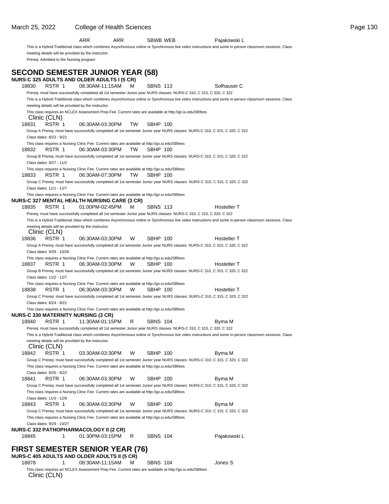meeting details will be provided by the instructor. Prereq: Admitted to the Nursing program **SECOND SEMESTER JUNIOR YEAR (58) NURS-C 325 ADULTS AND OLDER ADULTS I (5 CR)** 18830 RSTR 1 08:30AM-11:15AM M SBNS 113 Sofhauser C Prereq: must have successfully completed all 1st semester Junior year NURS classes: NURS-C 310, C 315, C 320, C 322 This is a Hybrid-Traditional class which combines Asynchronous online or Synchronous live video instructions and some in-person classroom sessions. Class meeting details will be provided by the instructor. This class requires an NCLEX Assessment Prep Fee. Current rates are available at http://go.iu.edu/SBfees Clinic (CLN) 18831 RSTR 1 06:30AM-03:30PM TW SBHP 100 Group A Prereq: must have successfully completed all 1st semester Junior year NURS classes: NURS-C 310, C 315, C 320, C 322 Class dates: 8/23 - 9/21 This class requires a Nursing Clinic Fee. Current rates are available at http://go.iu.edu/SBfees 18832 RSTR 1 06:30AM-03:30PM TW SBHP 100 Group B Prereq: must have successfully completed all 1st semester Junior year NURS classes: NURS-C 310, C 315, C 320, C 322 Class dates: 9/27 - 11/2 This class requires a Nursing Clinic Fee. Current rates are available at http://go.iu.edu/SBfees 18833 RSTR 1 06:30AM-07:30PM TW SBHP 100 Group C Prereq: must have successfully completed all 1st semester Junior year NURS classes: NURS-C 310, C 315, C 320, C 322 Class dates: 11/1 - 12/7 This class requires a Nursing Clinic Fee. Current rates are available at http://go.iu.edu/SBfees **NURS-C 327 MENTAL HEALTH NURSING CARE (3 CR)** 18835 RSTR 1 01:00PM-02:45PM M SBNS 113 Hostetler T Prereq: must have successfully completed all 1st semester Junior year NURS classes: NURS-C 310, C 315, C 320, C 322 This is a Hybrid-Traditional class which combines Asynchronous online or Synchronous live video instructions and some in-person classroom sessions. Class meeting details will be provided by the instructor. Clinic (CLN) 18836 RSTR 1 06:30AM-03:30PM W SBHP 100 Hostetler T Group A Prereq: must have successfully completed all 1st semester Junior year NURS classes: NURS-C 310, C 315, C 320, C 322 Class dates: 9/28 - 10/26 This class requires a Nursing Clinic Fee. Current rates are available at http://go.iu.edu/SBfees 18837 RSTR 1 06:30AM-03:30PM W SBHP 100 Hostetler T Group B Prereq: must have successfully completed all 1st semester Junior year NURS classes: NURS-C 310, C 315, C 320, C 322 Class dates: 11/2 - 12/7 This class requires a Nursing Clinic Fee. Current rates are available at http://go.iu.edu/SBfees 18838 RSTR 1 06:30AM-03:30PM W SBHP 100 Hostetler T Group C Prereq: must have successfully completed all 1st semester Junior year NURS classes: NURS-C 310, C 315, C 320, C 322 Class dates: 8/24 - 9/21 This class requires a Nursing Clinic Fee. Current rates are available at http://go.iu.edu/SBfees **NURS-C 330 MATERNITY NURSING (3 CR)** 18840 RSTR 1 11:30AM-01:15PM R SBNS 104 Byma M Prereq: must have successfully completed all 1st semester Junior year NURS classes: NURS-C 310, C 315, C 320, C 322 This is a Hybrid-Traditional class which combines Asynchronous online or Synchronous live video instructions and some in-person classroom sessions. Class meeting details will be provided by the instructor. Clinic (CLN) 18842 RSTR 1 03:30AM-03:30PM W SBHP 100 Byma M Group C Prereq: must have successfully completed all 1st semester Junior year NURS classes: NURS-C 310, C 315, C 320, C 322 This class requires a Nursing Clinic Fee. Current rates are available at http://go.iu.edu/SBfees Class dates: 8/25 - 9/22 18841 RSTR 1 06:30AM-03:30PM W SBHP 100 Byma M Group C Prereq: must have successfully completed all 1st semester Junior year NURS classes: NURS-C 310, C 315, C 320, C 322 This class requires a Nursing Clinic Fee. Current rates are available at http://go.iu.edu/SBfees Class dates: 11/3 - 12/8 18843 RSTR 1 06:30AM-03:30PM W SBHP 100 Byma M Group C Prereq: must have successfully completed all 1st semester Junior year NURS classes: NURS-C 310, C 315, C 320, C 322 This class requires a Nursing Clinic Fee. Current rates are available at http://go.iu.edu/SBfees Class dates: 9/29 - 10/27 **NURS-C 332 PATHOPHARMACOLOGY II (2 CR)** 18845 1 01:30PM-03:15PM R SBNS 104 Pajakowski L **FIRST SEMESTER SENIOR YEAR (76) NURS-C 405 ADULTS AND OLDER ADULTS II (5 CR)**

ARR ARR SBWB WEB Pajakowski L

This is a Hybrid-Traditional class which combines Asynchronous online or Synchronous live video instructions and some in-person classroom sessions. Class

<sup>18878</sup> 1 08:30AM-11:15AM M SBNS 104 Jones S This class requires an NCLEX Assessment Prep Fee. Current rates are available at http://go.iu.edu/SBfees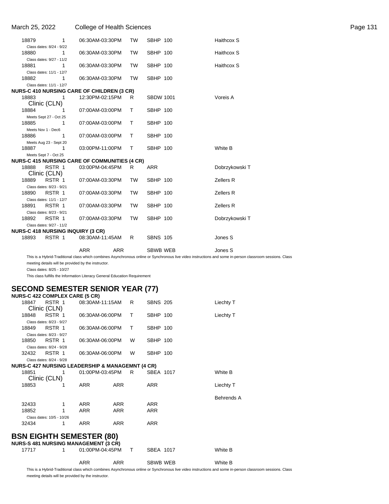| March 25, 2022                           |                | College of Health Sciences                           |              |                  |                | Page 131 |
|------------------------------------------|----------------|------------------------------------------------------|--------------|------------------|----------------|----------|
| 18879                                    | 1              | 06:30AM-03:30PM                                      | <b>TW</b>    | <b>SBHP 100</b>  | Haithcox S     |          |
| Class dates: 8/24 - 9/22                 |                |                                                      |              |                  |                |          |
| 18880                                    | 1              | 06:30AM-03:30PM                                      | <b>TW</b>    | <b>SBHP 100</b>  | Haithcox S     |          |
| Class dates: 9/27 - 11/2                 |                |                                                      |              |                  |                |          |
| 18881                                    | 1              | 06:30AM-03:30PM                                      | <b>TW</b>    | <b>SBHP 100</b>  | Haithcox S     |          |
| Class dates: 11/1 - 12/7                 |                |                                                      |              |                  |                |          |
| 18882                                    | 1              | 06:30AM-03:30PM                                      | TW           | <b>SBHP 100</b>  |                |          |
| Class dates: 11/1 - 12/7                 |                |                                                      |              |                  |                |          |
|                                          |                | <b>NURS-C 410 NURSING CARE OF CHILDREN (3 CR)</b>    |              |                  |                |          |
| 18883                                    | $\overline{1}$ | 12:30PM-02:15PM                                      | - R          | <b>SBDW 1001</b> | Voreis A       |          |
| Clinic (CLN)                             |                |                                                      |              |                  |                |          |
| 18884                                    | -1             | 07:00AM-03:00PM                                      | $\mathsf{T}$ | <b>SBHP 100</b>  |                |          |
| Meets Sept 27 - Oct 25                   |                |                                                      |              |                  |                |          |
| 18885                                    | $\mathbf{1}$   | 07:00AM-03:00PM                                      | T            | <b>SBHP 100</b>  |                |          |
| Meets Nov 1 - Dec6                       |                |                                                      |              |                  |                |          |
| 18886                                    | $\mathbf 1$    | 07:00AM-03:00PM                                      | $\top$       | <b>SBHP 100</b>  |                |          |
| Meets Aug 23 - Sept 20                   |                |                                                      |              |                  |                |          |
| 18887                                    | $\mathbf{1}$   | 03:00PM-11:00PM                                      | $\top$       | <b>SBHP 100</b>  | White B        |          |
| Meets Sept 7 - Oct 25                    |                |                                                      |              |                  |                |          |
|                                          |                | <b>NURS-C 415 NURSING CARE OF COMMUNITIES (4 CR)</b> |              |                  |                |          |
| RSTR 1<br>18888                          |                | 03:00PM-04:45PM                                      | R            | <b>ARR</b>       | Dobrzykowski T |          |
| Clinic (CLN)                             |                |                                                      |              |                  |                |          |
| RSTR 1<br>18889                          |                | 07:00AM-03:30PM                                      | <b>TW</b>    | <b>SBHP 100</b>  | Zellers R      |          |
| Class dates: 8/23 - 9/21                 |                |                                                      |              |                  |                |          |
| RSTR 1<br>18890                          |                | 07:00AM-03:30PM                                      | <b>TW</b>    | <b>SBHP 100</b>  | Zellers R      |          |
| Class dates: 11/1 - 12/7                 |                |                                                      |              |                  |                |          |
| RSTR 1<br>18891                          |                | 07:00AM-03:30PM                                      | <b>TW</b>    | <b>SBHP 100</b>  | Zellers R      |          |
| Class dates: 8/23 - 9/21                 |                |                                                      |              |                  |                |          |
| 18892<br>RSTR 1                          |                | 07:00AM-03:30PM                                      | TW           | <b>SBHP 100</b>  | Dobrzykowski T |          |
| Class dates: 9/27 - 11/2                 |                |                                                      |              |                  |                |          |
| <b>NURS-C 418 NURSING INQUIRY (3 CR)</b> |                |                                                      |              |                  |                |          |
| 18893                                    | RSTR 1         | 08:30AM-11:45AM                                      | R.           | <b>SBNS 105</b>  | Jones S        |          |
|                                          |                |                                                      |              |                  |                |          |
|                                          |                | <b>ARR</b><br><b>ARR</b>                             |              | <b>SBWB WEB</b>  | Jones S        |          |
|                                          |                |                                                      |              |                  |                |          |

This is a Hybrid-Traditional class which combines Asynchronous online or Synchronous live video instructions and some in-person classroom sessions. Class meeting details will be provided by the instructor.

Class dates: 8/25 - 10/27

This class fulfills the Information Literacy General Education Requirement

#### **SECOND SEMESTER SENIOR YEAR (77)**

|       | <b>NURS-C 422 COMPLEX CARE (5 CR)</b>                       |                 |            |              |                 |                   |
|-------|-------------------------------------------------------------|-----------------|------------|--------------|-----------------|-------------------|
| 18847 | RSTR 1<br>Clinic (CLN)                                      | 08:30AM-11:15AM |            | R            | <b>SBNS 205</b> | Liechty T         |
|       |                                                             |                 |            |              |                 |                   |
| 18848 | RSTR 1                                                      | 06:30AM-06:00PM |            | т            | SBHP 100        | Liechty T         |
|       | Class dates: 8/23 - 9/27                                    |                 |            |              |                 |                   |
|       | 18849 RSTR 1                                                | 06:30AM-06:00PM |            | т            | <b>SBHP 100</b> |                   |
|       | Class dates: 8/23 - 9/27                                    |                 |            |              |                 |                   |
| 18850 | RSTR 1                                                      | 06:30AM-06:00PM |            | W            | <b>SBHP 100</b> |                   |
|       | Class dates: 8/24 - 9/28                                    |                 |            |              |                 |                   |
| 32432 | RSTR 1                                                      | 06:30AM-06:00PM |            | W            | <b>SBHP 100</b> |                   |
|       | Class dates: 8/24 - 9/28                                    |                 |            |              |                 |                   |
|       | <b>NURS-C 427 NURSING LEADERSHIP &amp; MANAGEMNT (4 CR)</b> |                 |            |              |                 |                   |
| 18851 | - 1                                                         | 01:00PM-03:45PM |            | R.           | SBEA 1017       | White B           |
|       | Clinic (CLN)                                                |                 |            |              |                 |                   |
| 18853 |                                                             | <b>ARR</b>      | <b>ARR</b> |              | <b>ARR</b>      | Liechty T         |
|       |                                                             |                 |            |              |                 |                   |
|       |                                                             |                 |            |              |                 | <b>Behrends A</b> |
| 32433 | $\mathbf{1}$                                                | ARR             | <b>ARR</b> |              | <b>ARR</b>      |                   |
| 18852 | 1                                                           | <b>ARR</b>      | <b>ARR</b> |              | <b>ARR</b>      |                   |
|       | Class dates: 10/5 - 10/26                                   |                 |            |              |                 |                   |
| 32434 | 1                                                           | <b>ARR</b>      | <b>ARR</b> |              | <b>ARR</b>      |                   |
|       |                                                             |                 |            |              |                 |                   |
|       | <b>BSN EIGHTH SEMESTER (80)</b>                             |                 |            |              |                 |                   |
|       | <b>NURS-S 481 NURSING MANAGEMENT (3 CR)</b>                 |                 |            |              |                 |                   |
| 17717 | 1.                                                          | 01:00PM-04:45PM |            | $\mathsf{T}$ | SBEA 1017       | White B           |
|       |                                                             |                 |            |              |                 |                   |
|       |                                                             | <b>ARR</b>      | <b>ARR</b> |              | <b>SBWB WEB</b> | White B           |
|       |                                                             |                 |            |              |                 |                   |

This is a Hybrid-Traditional class which combines Asynchronous online or Synchronous live video instructions and some in-person classroom sessions. Class meeting details will be provided by the instructor.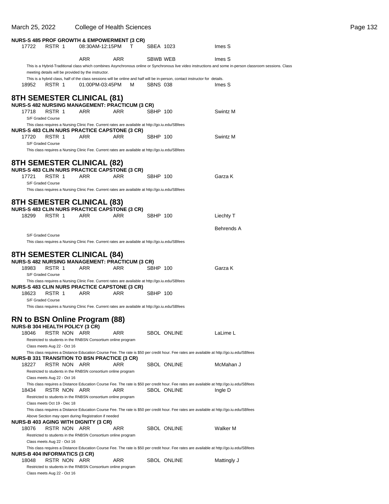| March 25, 2022                                                                                                        | <b>College of Health Sciences</b> |            |                 |                                                                                                                                           |                                                                                                                                                           | Page 132 |
|-----------------------------------------------------------------------------------------------------------------------|-----------------------------------|------------|-----------------|-------------------------------------------------------------------------------------------------------------------------------------------|-----------------------------------------------------------------------------------------------------------------------------------------------------------|----------|
| <b>NURS-S 485 PROF GROWTH &amp; EMPOWERMENT (3 CR)</b>                                                                |                                   |            |                 |                                                                                                                                           |                                                                                                                                                           |          |
| RSTR 1<br>17722                                                                                                       | 08:30AM-12:15PM                   | T          | SBEA 1023       |                                                                                                                                           | Imes S                                                                                                                                                    |          |
|                                                                                                                       | <b>ARR</b>                        | <b>ARR</b> | SBWB WEB        |                                                                                                                                           | Imes S                                                                                                                                                    |          |
| meeting details will be provided by the instructor.                                                                   |                                   |            |                 |                                                                                                                                           | This is a Hybrid-Traditional class which combines Asynchronous online or Synchronous live video instructions and some in-person classroom sessions. Class |          |
|                                                                                                                       |                                   |            |                 | This is a hybrid class, half of the class sessions will be online and half will be in-person, contact instructor for details.             |                                                                                                                                                           |          |
| RSTR 1<br>18952                                                                                                       | 01:00PM-03:45PM                   | M          | <b>SBNS 038</b> |                                                                                                                                           | Imes S                                                                                                                                                    |          |
| 8TH SEMESTER CLINICAL (81)                                                                                            |                                   |            |                 |                                                                                                                                           |                                                                                                                                                           |          |
| <b>NURS-S 482 NURSING MANAGEMENT: PRACTICUM (3 CR)</b><br>RSTR 1<br>17718                                             | ARR                               | <b>ARR</b> | SBHP 100        |                                                                                                                                           | Swintz M                                                                                                                                                  |          |
| S/F Graded Course                                                                                                     |                                   |            |                 |                                                                                                                                           |                                                                                                                                                           |          |
| This class requires a Nursing Clinic Fee. Current rates are available at http://go.iu.edu/SBfees                      |                                   |            |                 |                                                                                                                                           |                                                                                                                                                           |          |
| <b>NURS-S 483 CLIN NURS PRACTICE CAPSTONE (3 CR)</b><br>17720<br>RSTR 1                                               | ARR                               | ARR        | SBHP 100        |                                                                                                                                           | Swintz M                                                                                                                                                  |          |
| S/F Graded Course                                                                                                     |                                   |            |                 |                                                                                                                                           |                                                                                                                                                           |          |
| This class requires a Nursing Clinic Fee. Current rates are available at http://go.iu.edu/SBfees                      |                                   |            |                 |                                                                                                                                           |                                                                                                                                                           |          |
| <b>8TH SEMESTER CLINICAL (82)</b>                                                                                     |                                   |            |                 |                                                                                                                                           |                                                                                                                                                           |          |
| <b>NURS-S 483 CLIN NURS PRACTICE CAPSTONE (3 CR)</b><br>RSTR 1<br>17721                                               | ARR                               | ARR        | SBHP 100        |                                                                                                                                           | Garza K                                                                                                                                                   |          |
| S/F Graded Course                                                                                                     |                                   |            |                 |                                                                                                                                           |                                                                                                                                                           |          |
| This class requires a Nursing Clinic Fee. Current rates are available at http://go.iu.edu/SBfees                      |                                   |            |                 |                                                                                                                                           |                                                                                                                                                           |          |
| <b>8TH SEMESTER CLINICAL (83)</b>                                                                                     |                                   |            |                 |                                                                                                                                           |                                                                                                                                                           |          |
| <b>NURS-S 483 CLIN NURS PRACTICE CAPSTONE (3 CR)</b><br>18299<br>RSTR 1                                               | <b>ARR</b>                        | <b>ARR</b> | SBHP 100        |                                                                                                                                           |                                                                                                                                                           |          |
|                                                                                                                       |                                   |            |                 |                                                                                                                                           | Liechty T                                                                                                                                                 |          |
|                                                                                                                       |                                   |            |                 |                                                                                                                                           | <b>Behrends A</b>                                                                                                                                         |          |
| S/F Graded Course<br>This class requires a Nursing Clinic Fee. Current rates are available at http://go.iu.edu/SBfees |                                   |            |                 |                                                                                                                                           |                                                                                                                                                           |          |
| <b>8TH SEMESTER CLINICAL (84)</b>                                                                                     |                                   |            |                 |                                                                                                                                           |                                                                                                                                                           |          |
| <b>NURS-S 482 NURSING MANAGEMENT: PRACTICUM (3 CR)</b>                                                                |                                   |            |                 |                                                                                                                                           |                                                                                                                                                           |          |
| RSTR 1<br>18983                                                                                                       | ARR                               | ARR        | SBHP 100        |                                                                                                                                           | Garza K                                                                                                                                                   |          |
| S/F Graded Course<br>This class requires a Nursing Clinic Fee. Current rates are available at http://go.iu.edu/SBfees |                                   |            |                 |                                                                                                                                           |                                                                                                                                                           |          |
| <b>NURS-S 483 CLIN NURS PRACTICE CAPSTONE (3 CR)</b>                                                                  |                                   |            |                 |                                                                                                                                           |                                                                                                                                                           |          |
| RSTR 1<br>18623<br>S/F Graded Course                                                                                  | ARR                               | ARR        | SBHP 100        |                                                                                                                                           |                                                                                                                                                           |          |
| This class requires a Nursing Clinic Fee. Current rates are available at http://go.iu.edu/SBfees                      |                                   |            |                 |                                                                                                                                           |                                                                                                                                                           |          |
| RN to BSN Online Program (88)                                                                                         |                                   |            |                 |                                                                                                                                           |                                                                                                                                                           |          |
| <b>NURS-B 304 HEALTH POLICY (3 CR)</b>                                                                                |                                   |            |                 |                                                                                                                                           |                                                                                                                                                           |          |
| 18046<br>RSTR NON ARR                                                                                                 |                                   | ARR        |                 | SBOL ONLINE                                                                                                                               | LaLime L                                                                                                                                                  |          |
| Restricted to students in the RNBSN Consortium online program<br>Class meets Aug 22 - Oct 16                          |                                   |            |                 |                                                                                                                                           |                                                                                                                                                           |          |
| <b>NURS-B 331 TRANSITION TO BSN PRACTICE (3 CR)</b>                                                                   |                                   |            |                 | This class requires a Distance Education Course Fee. The rate is \$50 per credit hour. Fee rates are available at http://go.iu.edu/SBfees |                                                                                                                                                           |          |
| 18227<br>RSTR NON ARR                                                                                                 |                                   | ARR        |                 | SBOL ONLINE                                                                                                                               | McMahan J                                                                                                                                                 |          |
| Restricted to students in the RNBSN consortium online program                                                         |                                   |            |                 |                                                                                                                                           |                                                                                                                                                           |          |
| Class meets Aug 22 - Oct 16                                                                                           |                                   |            |                 | This class requires a Distance Education Course Fee. The rate is \$50 per credit hour. Fee rates are available at http://go.iu.edu/SBfees |                                                                                                                                                           |          |
| 18434<br>RSTR NON ARR                                                                                                 |                                   | ARR        |                 | SBOL ONLINE                                                                                                                               | Ingle D                                                                                                                                                   |          |
| Restricted to students in the RNBSN consortium online program<br>Class meets Oct 19 - Dec 18                          |                                   |            |                 |                                                                                                                                           |                                                                                                                                                           |          |
|                                                                                                                       |                                   |            |                 | This class requires a Distance Education Course Fee. The rate is \$50 per credit hour. Fee rates are available at http://go.iu.edu/SBfees |                                                                                                                                                           |          |
| Above Section may open during Registration if needed<br>NURS-B 403 AGING WITH DIGNITY (3 CR)                          |                                   |            |                 |                                                                                                                                           |                                                                                                                                                           |          |
| 18076<br>RSTR NON ARR                                                                                                 |                                   | ARR        |                 | <b>SBOL ONLINE</b>                                                                                                                        | Walker M                                                                                                                                                  |          |
| Restricted to students in the RNBSN Consortium online program<br>Class meets Aug 22 - Oct 16                          |                                   |            |                 |                                                                                                                                           |                                                                                                                                                           |          |
|                                                                                                                       |                                   |            |                 | This class requires a Distance Education Course Fee. The rate is \$50 per credit hour. Fee rates are available at http://go.iu.edu/SBfees |                                                                                                                                                           |          |
| <b>NURS-B 404 INFORMATICS (3 CR)</b><br>18048<br>RSTR NON ARR                                                         |                                   | ARR        |                 | <b>SBOL ONLINE</b>                                                                                                                        | Mattingly J                                                                                                                                               |          |
| Restricted to students in the RNBSN Consortium online program                                                         |                                   |            |                 |                                                                                                                                           |                                                                                                                                                           |          |
| Class meets Aug 22 - Oct 16                                                                                           |                                   |            |                 |                                                                                                                                           |                                                                                                                                                           |          |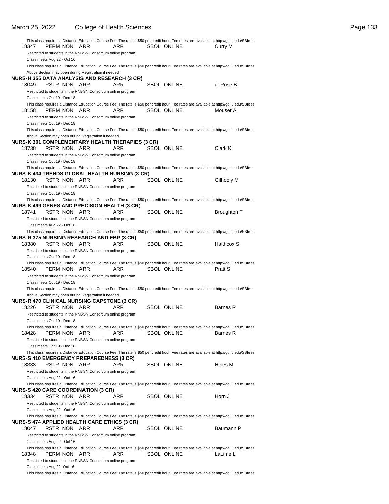|       |                             |                                                               |                                                         | This class requires a Distance Education Course Fee. The rate is \$50 per credit hour. Fee rates are available at http://go.iu.edu/SBfees |                    |
|-------|-----------------------------|---------------------------------------------------------------|---------------------------------------------------------|-------------------------------------------------------------------------------------------------------------------------------------------|--------------------|
| 18347 | PERM NON                    | ARR                                                           | ARR                                                     | <b>SBOL ONLINE</b>                                                                                                                        | Curry M            |
|       | Class meets Aug 22 - Oct 16 | Restricted to students in the RNBSN Consortium online program |                                                         |                                                                                                                                           |                    |
|       |                             |                                                               |                                                         | This class requires a Distance Education Course Fee. The rate is \$50 per credit hour. Fee rates are available at http://go.iu.edu/SBfees |                    |
|       |                             | Above Section may open during Registration if needed          |                                                         |                                                                                                                                           |                    |
|       |                             | NURS-H 355 DATA ANALYSIS AND RESEARCH (3 CR)                  |                                                         |                                                                                                                                           |                    |
| 18049 | RSTR NON                    | ARR                                                           | ARR                                                     | <b>SBOL ONLINE</b>                                                                                                                        | deRose B           |
|       |                             | Restricted to students in the RNBSN Consortium online program |                                                         |                                                                                                                                           |                    |
|       | Class meets Oct 19 - Dec 18 |                                                               |                                                         | This class requires a Distance Education Course Fee. The rate is \$50 per credit hour. Fee rates are available at http://go.iu.edu/SBfees |                    |
| 18158 | PERM NON                    | ARR                                                           | ARR                                                     | <b>SBOL ONLINE</b>                                                                                                                        | Mouser A           |
|       |                             | Restricted to students in the RNBSN Consortium online program |                                                         |                                                                                                                                           |                    |
|       | Class meets Oct 19 - Dec 18 |                                                               |                                                         |                                                                                                                                           |                    |
|       |                             |                                                               |                                                         | This class requires a Distance Education Course Fee. The rate is \$50 per credit hour. Fee rates are available at http://go.iu.edu/SBfees |                    |
|       |                             | Above Section may open during Registration if needed          |                                                         |                                                                                                                                           |                    |
| 18738 | RSTR NON ARR                |                                                               | NURS-K 301 COMPLEMENTARY HEALTH THERAPIES (3 CR)<br>ARR | <b>SBOL ONLINE</b>                                                                                                                        | Clark K            |
|       |                             | Restricted to students in the RNBSN Consortium online program |                                                         |                                                                                                                                           |                    |
|       | Class meets Oct 19 - Dec 18 |                                                               |                                                         |                                                                                                                                           |                    |
|       |                             |                                                               |                                                         | This class requires a Distance Education Course Fee. The rate is \$50 per credit hour. Fee rates are available at http://go.iu.edu/SBfees |                    |
|       |                             |                                                               | NURS-K 434 TRENDS GLOBAL HEALTH NURSING (3 CR)          |                                                                                                                                           |                    |
| 18130 | RSTR NON                    | ARR                                                           | ARR                                                     | SBOL ONLINE                                                                                                                               | Gilhooly M         |
|       | Class meets Oct 19 - Dec 18 | Restricted to students in the RNBSN Consortium online program |                                                         |                                                                                                                                           |                    |
|       |                             |                                                               |                                                         | This class requires a Distance Education Course Fee. The rate is \$50 per credit hour. Fee rates are available at http://go.iu.edu/SBfees |                    |
|       |                             | <b>NURS-K 499 GENES AND PRECISION HEALTH (3 CR)</b>           |                                                         |                                                                                                                                           |                    |
| 18741 | RSTR NON ARR                |                                                               | ARR                                                     | <b>SBOL ONLINE</b>                                                                                                                        | <b>Broughton T</b> |
|       |                             | Restricted to students in the RNBSN Consortium online program |                                                         |                                                                                                                                           |                    |
|       | Class meets Aug 22 - Oct 16 |                                                               |                                                         |                                                                                                                                           |                    |
|       |                             |                                                               |                                                         | This class requires a Distance Education Course Fee. The rate is \$50 per credit hour. Fee rates are available at http://go.iu.edu/SBfees |                    |
| 18380 | RSTR NON ARR                | <b>NURS-R 375 NURSING RESEARCH AND EBP (3 CR)</b>             | ARR                                                     | <b>SBOL ONLINE</b>                                                                                                                        | Haithcox S         |
|       |                             | Restricted to students in the RNBSN Consortium online program |                                                         |                                                                                                                                           |                    |
|       | Class meets Oct 19 - Dec 18 |                                                               |                                                         |                                                                                                                                           |                    |
|       |                             |                                                               |                                                         | This class requires a Distance Education Course Fee. The rate is \$50 per credit hour. Fee rates are available at http://go.iu.edu/SBfees |                    |
| 18540 | PERM NON                    | ARR                                                           | ARR                                                     | SBOL ONLINE                                                                                                                               | <b>Pratt S</b>     |
|       |                             | Restricted to students in the RNBSN Consortium online program |                                                         |                                                                                                                                           |                    |
|       | Class meets Oct 19 - Dec 18 |                                                               |                                                         | This class requires a Distance Education Course Fee. The rate is \$50 per credit hour. Fee rates are available at http://go.iu.edu/SBfees |                    |
|       |                             | Above Section may open during Registration if needed          |                                                         |                                                                                                                                           |                    |
|       |                             |                                                               |                                                         |                                                                                                                                           |                    |
| 18226 |                             |                                                               | NURS-R 470 CLINICAL NURSING CAPSTONE (3 CR)             |                                                                                                                                           |                    |
|       | RSTR NON ARR                |                                                               | ARR                                                     | SBOL ONLINE                                                                                                                               | <b>Barnes R</b>    |
|       |                             | Restricted to students in the RNBSN Consortium online program |                                                         |                                                                                                                                           |                    |
|       | Class meets Oct 19 - Dec 18 |                                                               |                                                         |                                                                                                                                           |                    |
|       |                             |                                                               |                                                         | This class requires a Distance Education Course Fee. The rate is \$50 per credit hour. Fee rates are available at http://go.iu.edu/SBfees |                    |
| 18428 | PERM NON                    | ARR                                                           | ARR                                                     | <b>SBOL ONLINE</b>                                                                                                                        | Barnes R           |
|       | Class meets Oct 19 - Dec 18 | Restricted to students in the RNBSN Consortium online program |                                                         |                                                                                                                                           |                    |
|       |                             |                                                               |                                                         | This class requires a Distance Education Course Fee. The rate is \$50 per credit hour. Fee rates are available at http://go.iu.edu/SBfees |                    |
|       |                             | <b>NURS-S 410 EMERGENCY PREPAREDNESS (3 CR)</b>               |                                                         |                                                                                                                                           |                    |
| 18333 | RSTR NON                    | ARR                                                           | ARR                                                     | SBOL ONLINE                                                                                                                               | Hines M            |
|       |                             | Restricted to students in the RNBSN Consortium online program |                                                         |                                                                                                                                           |                    |
|       | Class meets Aug 22 - Oct 16 |                                                               |                                                         |                                                                                                                                           |                    |
|       |                             |                                                               |                                                         | This class requires a Distance Education Course Fee. The rate is \$50 per credit hour. Fee rates are available at http://go.iu.edu/SBfees |                    |
| 18334 | RSTR NON ARR                | <b>NURS-S 420 CARE COORDINATION (3 CR)</b>                    | ARR                                                     | <b>SBOL ONLINE</b>                                                                                                                        | Horn J             |
|       |                             | Restricted to students in the RNBSN Consortium online program |                                                         |                                                                                                                                           |                    |
|       | Class meets Aug 22 - Oct 16 |                                                               |                                                         |                                                                                                                                           |                    |
|       |                             |                                                               |                                                         | This class requires a Distance Education Course Fee. The rate is \$50 per credit hour. Fee rates are available at http://go.iu.edu/SBfees |                    |
|       |                             | NURS-S 474 APPLIED HEALTH CARE ETHICS (3 CR)                  |                                                         |                                                                                                                                           |                    |
| 18047 | RSTR NON                    | ARR                                                           | ARR                                                     | SBOL ONLINE                                                                                                                               | Baumann P          |
|       | Class meets Aug 22 - Oct 16 | Restricted to students in the RNBSN Consortium online program |                                                         |                                                                                                                                           |                    |
|       |                             |                                                               |                                                         | This class requires a Distance Education Course Fee. The rate is \$50 per credit hour. Fee rates are available at http://go.iu.edu/SBfees |                    |
| 18348 | PERM NON                    | ARR                                                           | ARR                                                     | <b>SBOL ONLINE</b>                                                                                                                        | LaLime L           |
|       |                             | Restricted to students in the RNBSN Consortium online program |                                                         |                                                                                                                                           |                    |
|       | Class meets Aug 22- Oct 16  |                                                               |                                                         | This class requires a Distance Education Course Fee. The rate is \$50 per credit hour. Fee rates are available at http://go.iu.edu/SBfees |                    |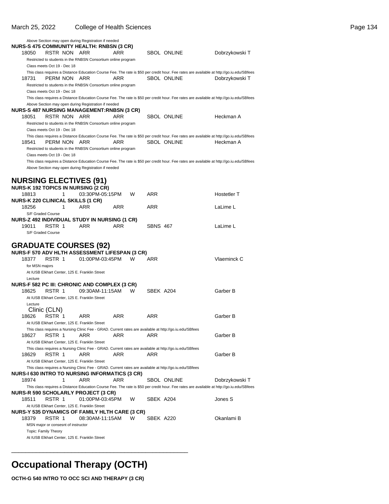| 18050                      | RSTR NON ARR                                                |   | Above Section may open during Registration if needed<br><b>NURS-S 475 COMMUNITY HEALTH: RNBSN (3 CR)</b> | ARR |   |                 | SBOL ONLINE                                                                                                                                                     | Dobrzykowski T |
|----------------------------|-------------------------------------------------------------|---|----------------------------------------------------------------------------------------------------------|-----|---|-----------------|-----------------------------------------------------------------------------------------------------------------------------------------------------------------|----------------|
|                            | Class meets Oct 19 - Dec 18                                 |   | Restricted to students in the RNBSN Consortium online program                                            |     |   |                 |                                                                                                                                                                 |                |
| 18731                      | PERM NON                                                    |   | ARR<br>Restricted to students in the RNBSN Consortium online program                                     | ARR |   |                 | This class requires a Distance Education Course Fee. The rate is \$50 per credit hour. Fee rates are available at http://go.iu.edu/SBfees<br>SBOL ONLINE        | Dobrzykowski T |
|                            | Class meets Oct 19 - Dec 18                                 |   |                                                                                                          |     |   |                 |                                                                                                                                                                 |                |
|                            |                                                             |   | Above Section may open during Registration if needed                                                     |     |   |                 | This class requires a Distance Education Course Fee. The rate is \$50 per credit hour. Fee rates are available at http://go.iu.edu/SBfees                       |                |
|                            |                                                             |   | <b>NURS-S 487 NURSING MANAGEMENT:RNBSN (3 CR)</b>                                                        |     |   |                 |                                                                                                                                                                 |                |
| 18051                      | RSTR NON ARR                                                |   |                                                                                                          | ARR |   |                 | SBOL ONLINE                                                                                                                                                     | Heckman A      |
|                            | Class meets Oct 19 - Dec 18                                 |   | Restricted to students in the RNBSN Consortium online program                                            |     |   |                 |                                                                                                                                                                 |                |
| 18541                      | PERM NON ARR                                                |   |                                                                                                          | ARR |   |                 | This class requires a Distance Education Course Fee. The rate is \$50 per credit hour. Fee rates are available at http://go.iu.edu/SBfees<br><b>SBOL ONLINE</b> | Heckman A      |
|                            | Class meets Oct 19 - Dec 18                                 |   | Restricted to students in the RNBSN Consortium online program                                            |     |   |                 |                                                                                                                                                                 |                |
|                            |                                                             |   | Above Section may open during Registration if needed                                                     |     |   |                 | This class requires a Distance Education Course Fee. The rate is \$50 per credit hour. Fee rates are available at http://go.iu.edu/SBfees                       |                |
|                            |                                                             |   | <b>NURSING ELECTIVES (91)</b><br><b>NURS-K 192 TOPICS IN NURSING (2 CR)</b>                              |     |   |                 |                                                                                                                                                                 |                |
| 18813                      |                                                             | 1 | 03:30PM-05:15PM                                                                                          |     | W | ARR             |                                                                                                                                                                 | Hostetler T    |
| 18256<br>S/F Graded Course |                                                             | 1 | <b>NURS-K 220 CLINICAL SKILLS (1 CR)</b><br>ARR                                                          | ARR |   | ARR             |                                                                                                                                                                 | LaLime L       |
|                            |                                                             |   | <b>NURS-Z 492 INDIVIDUAL STUDY IN NURSING (1 CR)</b>                                                     |     |   |                 |                                                                                                                                                                 |                |
| 19011<br>S/F Graded Course | RSTR 1                                                      |   | <b>ARR</b>                                                                                               | ARR |   | <b>SBNS 467</b> |                                                                                                                                                                 | LaLime L       |
|                            |                                                             |   | <b>GRADUATE COURSES (92)</b>                                                                             |     |   |                 |                                                                                                                                                                 |                |
|                            |                                                             |   | <b>NURS-F 570 ADV HLTH ASSESSMENT LIFESPAN (3 CR)</b>                                                    |     |   |                 |                                                                                                                                                                 |                |
| 18377                      | RSTR 1                                                      |   | 01:00PM-03:45PM                                                                                          |     | W | ARR             |                                                                                                                                                                 | Vlaeminck C    |
| for MSN majors<br>Lecture  |                                                             |   | At IUSB Elkhart Center, 125 E. Franklin Street                                                           |     |   |                 |                                                                                                                                                                 |                |
|                            |                                                             |   | NURS-F 582 PC III: CHRONIC AND COMPLEX (3 CR)                                                            |     |   |                 |                                                                                                                                                                 |                |
| 18625                      | RSTR 1                                                      |   | 09:30AM-11:15AM<br>At IUSB Elkhart Center, 125 E. Franklin Street                                        |     | W | SBEK A204       |                                                                                                                                                                 | Garber B       |
| Lecture                    | Clinic (CLN)                                                |   |                                                                                                          |     |   |                 |                                                                                                                                                                 |                |
| 18626                      | RSTR 1                                                      |   | ARR<br>At IUSB Elkhart Center, 125 E. Franklin Street                                                    | ARR |   | ARR             |                                                                                                                                                                 | Garber B       |
|                            |                                                             |   |                                                                                                          |     |   |                 | This class requires a Nursing Clinic Fee - GRAD. Current rates are available at http://go.iu.edu/SBfees                                                         |                |
| 18627                      | RSTR 1                                                      |   | ARR<br>At IUSB Elkhart Center, 125 E. Franklin Street                                                    | ARR |   | ARR             |                                                                                                                                                                 | Garber B       |
| 18629                      | RSTR 1                                                      |   | ARR<br>At IUSB Elkhart Center, 125 E. Franklin Street                                                    | ARR |   | ARR             | This class requires a Nursing Clinic Fee - GRAD. Current rates are available at http://go.iu.edu/SBfees                                                         | Garber B       |
|                            |                                                             |   | <b>NURS-I 630 INTRO TO NURSING INFORMATICS (3 CR)</b>                                                    |     |   |                 | This class requires a Nursing Clinic Fee - GRAD. Current rates are available at http://go.iu.edu/SBfees                                                         |                |
| 18974                      |                                                             | 1 | ARR                                                                                                      | ARR |   |                 | SBOL ONLINE                                                                                                                                                     | Dobrzykowski T |
|                            |                                                             |   | <b>NURS-R 590 SCHOLARLY PROJECT (3 CR)</b>                                                               |     |   |                 | This class requires a Distance Education Course Fee. The rate is \$50 per credit hour. Fee rates are available at http://go.iu.edu/SBfees                       |                |
| 18511                      | RSTR 1                                                      |   | 01:00PM-03:45PM                                                                                          |     | W | SBEK A204       |                                                                                                                                                                 | Jones S        |
|                            |                                                             |   | At IUSB Elkhart Center, 125 E. Franklin Street<br>NURS-Y 535 DYNAMICS OF FAMILY HLTH CARE (3 CR)         |     |   |                 |                                                                                                                                                                 |                |
| 18379                      | RSTR 1                                                      |   | 08:30AM-11:15AM                                                                                          |     | W | SBEK A220       |                                                                                                                                                                 | Okanlami B     |
|                            | MSN major or consesnt of instructor<br>Topic: Family Theory |   |                                                                                                          |     |   |                 |                                                                                                                                                                 |                |
|                            |                                                             |   | At IUSB Elkhart Center, 125 E. Franklin Street                                                           |     |   |                 |                                                                                                                                                                 |                |

### **Occupational Therapy (OCTH)**

\_\_\_\_\_\_\_\_\_\_\_\_\_\_\_\_\_\_\_\_\_\_\_\_\_\_\_\_\_\_\_\_\_\_\_\_\_\_\_\_\_\_\_\_\_\_\_\_\_\_

**OCTH-G 540 INTRO TO OCC SCI AND THERAPY (3 CR)**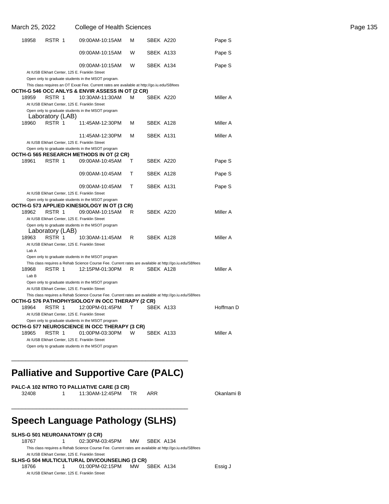| March 25, 2022 |                                                | <b>College of Health Sciences</b>                                                                                                                          |              |           |           | Page 135 |
|----------------|------------------------------------------------|------------------------------------------------------------------------------------------------------------------------------------------------------------|--------------|-----------|-----------|----------|
| 18958          | RSTR 1                                         | 09:00AM-10:15AM                                                                                                                                            | м            | SBEK A220 | Pape S    |          |
|                |                                                | 09:00AM-10:15AM                                                                                                                                            | W            | SBEK A133 | Pape S    |          |
|                |                                                | 09:00AM-10:15AM                                                                                                                                            | W            | SBEK A134 | Pape S    |          |
|                | At IUSB Elkhart Center, 125 E. Franklin Street |                                                                                                                                                            |              |           |           |          |
|                |                                                | Open only to graduate students in the MSOT program.<br>This class requires an OT Exxat Fee. Current rates are available at http://go.iu.edu/SBfees         |              |           |           |          |
|                |                                                | OCTH-G 546 OCC ANLYS & ENVIR ASSESS IN OT (2 CR)                                                                                                           |              |           |           |          |
| 18959          | RSTR 1                                         | 10:30AM-11:30AM                                                                                                                                            | м            | SBEK A220 | Miller A  |          |
|                | At IUSB Elkhart Center, 125 E. Franklin Street |                                                                                                                                                            |              |           |           |          |
|                |                                                | Open only to graduate students in the MSOT program                                                                                                         |              |           |           |          |
|                | Laboratory (LAB)                               |                                                                                                                                                            |              |           |           |          |
| 18960          | RSTR 1                                         | 11:45AM-12:30PM                                                                                                                                            | м            | SBEK A128 | Miller A  |          |
|                |                                                | 11:45AM-12:30PM                                                                                                                                            | M            | SBEK A131 | Miller A  |          |
|                | At IUSB Elkhart Center, 125 E. Franklin Street |                                                                                                                                                            |              |           |           |          |
|                |                                                | Open only to graduate students in the MSOT program                                                                                                         |              |           |           |          |
|                |                                                | OCTH-G 565 RESEARCH METHODS IN OT (2 CR)                                                                                                                   |              |           |           |          |
| 18961          | RSTR 1                                         | 09:00AM-10:45AM                                                                                                                                            | Т            | SBEK A220 | Pape S    |          |
|                |                                                | 09:00AM-10:45AM                                                                                                                                            | Т            | SBEK A128 | Pape S    |          |
|                |                                                | 09:00AM-10:45AM                                                                                                                                            | T            | SBEK A131 | Pape S    |          |
|                | At IUSB Elkhart Center, 125 E. Franklin Street |                                                                                                                                                            |              |           |           |          |
|                |                                                | Open only to graduate students in the MSOT program                                                                                                         |              |           |           |          |
|                |                                                | OCTH-G 573 APPLIED KINESIOLOGY IN OT (3 CR)                                                                                                                |              |           |           |          |
| 18962          | RSTR 1                                         | 09:00AM-10:15AM                                                                                                                                            | R            | SBEK A220 | Miller A  |          |
|                | At IUSB Elkhart Center, 125 E. Franklin Street |                                                                                                                                                            |              |           |           |          |
|                | Laboratory (LAB)                               | Open only to graduate students in the MSOT program                                                                                                         |              |           |           |          |
| 18963          | RSTR 1                                         | 10:30AM-11:45AM                                                                                                                                            | R            | SBEK A128 | Miller A  |          |
|                | At IUSB Elkhart Center, 125 E. Franklin Street |                                                                                                                                                            |              |           |           |          |
| Lab A          |                                                |                                                                                                                                                            |              |           |           |          |
|                |                                                | Open only to graduate students in the MSOT program                                                                                                         |              |           |           |          |
|                |                                                | This class requires a Rehab Science Course Fee. Current rates are available at http://go.iu.edu/SBfees                                                     |              |           |           |          |
| 18968          | RSTR 1                                         | 12:15PM-01:30PM                                                                                                                                            | R            | SBEK A128 | Miller A  |          |
| Lab B          |                                                |                                                                                                                                                            |              |           |           |          |
|                |                                                | Open only to graduate students in the MSOT program                                                                                                         |              |           |           |          |
|                | At IUSB Elkhart Center, 125 E. Franklin Street |                                                                                                                                                            |              |           |           |          |
|                |                                                | This class requires a Rehab Science Course Fee. Current rates are available at http://go.iu.edu/SBfees<br>OCTH-G 576 PATHOPHYSIOLOGY IN OCC THERAPY (2 CR) |              |           |           |          |
| 18964          | RSTR 1                                         | 12:00PM-01:45PM                                                                                                                                            | $\mathsf{T}$ | SBEK A133 | Hoffman D |          |
|                | At IUSB Elkhart Center, 125 E. Franklin Street |                                                                                                                                                            |              |           |           |          |
|                |                                                | Open only to graduate students in the MSOT program                                                                                                         |              |           |           |          |
|                |                                                | OCTH-G 577 NEUROSCIENCE IN OCC THERAPY (3 CR)                                                                                                              |              |           |           |          |
| 18965          | RSTR 1                                         | 01:00PM-03:30PM                                                                                                                                            | W            | SBEK A133 | Miller A  |          |
|                | At IUSB Elkhart Center, 125 E. Franklin Street |                                                                                                                                                            |              |           |           |          |
|                |                                                | Open only to graduate students in the MSOT program                                                                                                         |              |           |           |          |

### **Palliative and Supportive Care (PALC)**

\_\_\_\_\_\_\_\_\_\_\_\_\_\_\_\_\_\_\_\_\_\_\_\_\_\_\_\_\_\_\_\_\_\_\_\_\_\_\_\_\_\_\_\_\_\_\_\_\_\_

|       | PALC-A 102 INTRO TO PALLIATIVE CARE (3 CR) |     |     |
|-------|--------------------------------------------|-----|-----|
| 32408 | 11:30AM-12:45PM                            | TR. | ARR |

### **Speech Language Pathology (SLHS)**

\_\_\_\_\_\_\_\_\_\_\_\_\_\_\_\_\_\_\_\_\_\_\_\_\_\_\_\_\_\_\_\_\_\_\_\_\_\_\_\_\_\_\_\_\_\_\_\_\_\_

**SLHS-G 501 NEUROANATOMY (3 CR)**<br>18767 1 02:30PM-0 1 02:30PM-03:45PM MW SBEK A134 This class requires a Rehab Science Course Fee. Current rates are available at http://go.iu.edu/SBfees At IUSB Elkhart Center, 125 E. Franklin Street **SLHS-G 504 MULTICULTURAL DIV/COUNSELING (3 CR)** 18766 1 01:00PM-02:15PM MW SBEK A134 Essig J At IUSB Elkhart Center, 125 E. Franklin Street

Okanlami B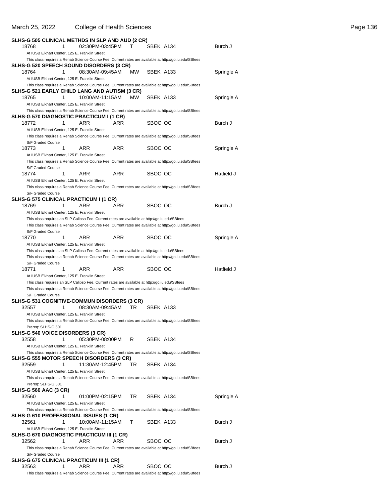### March 25, 2022 College of Health Sciences **Page 136** College of Health Sciences Page 136

| SLHS-G 505 CLINICAL METHDS IN SLP AND AUD (2 CR)                                                                                                                                                         |                 |      |           |           |            |
|----------------------------------------------------------------------------------------------------------------------------------------------------------------------------------------------------------|-----------------|------|-----------|-----------|------------|
| 18768<br>1                                                                                                                                                                                               | 02:30PM-03:45PM |      | т         | SBEK A134 | Burch J    |
| At IUSB Elkhart Center, 125 E. Franklin Street<br>This class requires a Rehab Science Course Fee. Current rates are available at http://go.iu.edu/SBfees                                                 |                 |      |           |           |            |
| SLHS-G 520 SPEECH SOUND DISORDERS (3 CR)                                                                                                                                                                 |                 |      |           |           |            |
| 1<br>18764<br>At IUSB Elkhart Center, 125 E. Franklin Street                                                                                                                                             | 08:30AM-09:45AM |      | <b>MW</b> | SBEK A133 | Springle A |
| This class requires a Rehab Science Course Fee. Current rates are available at http://go.iu.edu/SBfees                                                                                                   |                 |      |           |           |            |
| SLHS-G 521 EARLY CHILD LANG AND AUTISM (3 CR)                                                                                                                                                            |                 |      |           |           |            |
| 18765<br>1                                                                                                                                                                                               | 10:00AM-11:15AM |      | MW.       | SBEK A133 | Springle A |
| At IUSB Elkhart Center, 125 E. Franklin Street<br>This class requires a Rehab Science Course Fee. Current rates are available at http://go.iu.edu/SBfees                                                 |                 |      |           |           |            |
| SLHS-G 570 DIAGNOSTIC PRACTICUM I (1 CR)                                                                                                                                                                 |                 |      |           |           |            |
| 18772<br>1                                                                                                                                                                                               | ARR             | ARR  |           | SBOC OC   | Burch J    |
| At IUSB Elkhart Center, 125 E. Franklin Street                                                                                                                                                           |                 |      |           |           |            |
| This class requires a Rehab Science Course Fee. Current rates are available at http://go.iu.edu/SBfees                                                                                                   |                 |      |           |           |            |
| S/F Graded Course<br>1<br>18773                                                                                                                                                                          | ARR             | ARR. |           | SBOC OC   | Springle A |
| At IUSB Elkhart Center, 125 E. Franklin Street                                                                                                                                                           |                 |      |           |           |            |
| This class requires a Rehab Science Course Fee. Current rates are available at http://go.iu.edu/SBfees                                                                                                   |                 |      |           |           |            |
| S/F Graded Course                                                                                                                                                                                        |                 |      |           |           |            |
| 18774<br>1<br>At IUSB Elkhart Center, 125 E. Franklin Street                                                                                                                                             | ARR             | ARR  |           | SBOC OC   | Hatfield J |
| This class requires a Rehab Science Course Fee. Current rates are available at http://go.iu.edu/SBfees                                                                                                   |                 |      |           |           |            |
| S/F Graded Course                                                                                                                                                                                        |                 |      |           |           |            |
| SLHS-G 575 CLINICAL PRACTICUM I (1 CR)                                                                                                                                                                   |                 |      |           |           |            |
| 18769<br>1                                                                                                                                                                                               | ARR             | ARR  |           | SBOC OC   | Burch J    |
| At IUSB Elkhart Center, 125 E. Franklin Street<br>This class requires an SLP Calipso Fee. Current rates are available at http://go.iu.edu/SBfees                                                         |                 |      |           |           |            |
| This class requires a Rehab Science Course Fee. Current rates are available at http://go.iu.edu/SBfees                                                                                                   |                 |      |           |           |            |
| S/F Graded Course                                                                                                                                                                                        |                 |      |           |           |            |
| 18770<br>1                                                                                                                                                                                               | ARR             | ARR  |           | SBOC OC   | Springle A |
| At IUSB Elkhart Center, 125 E. Franklin Street                                                                                                                                                           |                 |      |           |           |            |
| This class requires an SLP Calipso Fee. Current rates are available at http://go.iu.edu/SBfees<br>This class requires a Rehab Science Course Fee. Current rates are available at http://go.iu.edu/SBfees |                 |      |           |           |            |
| S/F Graded Course                                                                                                                                                                                        |                 |      |           |           |            |
| 18771<br>1                                                                                                                                                                                               | ARR             | ARR  |           | SBOC OC   | Hatfield J |
| At IUSB Elkhart Center, 125 E. Franklin Street                                                                                                                                                           |                 |      |           |           |            |
| This class requires an SLP Calipso Fee. Current rates are available at http://go.iu.edu/SBfees<br>This class requires a Rehab Science Course Fee. Current rates are available at http://go.iu.edu/SBfees |                 |      |           |           |            |
| S/F Graded Course                                                                                                                                                                                        |                 |      |           |           |            |
| SLHS-G 531 COGNITIVE-COMMUN DISORDERS (3 CR)                                                                                                                                                             |                 |      |           |           |            |
| 32557<br>1                                                                                                                                                                                               | 08:30AM-09:45AM |      | TR.       | SBEK A133 |            |
| At IUSB Elkhart Center, 125 E. Franklin Street                                                                                                                                                           |                 |      |           |           |            |
| This class requires a Rehab Science Course Fee. Current rates are available at http://go.iu.edu/SBfees<br>Prereg: SLHS-G 501                                                                             |                 |      |           |           |            |
| <b>SLHS-G 540 VOICE DISORDERS (3 CR)</b>                                                                                                                                                                 |                 |      |           |           |            |
| 32558<br>1                                                                                                                                                                                               | 05:30PM-08:00PM |      | R         | SBEK A134 |            |
| At IUSB Elkhart Center, 125 E. Franklin Street                                                                                                                                                           |                 |      |           |           |            |
| This class requires a Rehab Science Course Fee. Current rates are available at http://go.iu.edu/SBfees<br>SLHS-G 555 MOTOR SPEECH DISORDERS (3 CR)                                                       |                 |      |           |           |            |
| 32559<br>1                                                                                                                                                                                               | 11:30AM-12:45PM |      | TR        | SBEK A134 |            |
| At IUSB Elkhart Center, 125 E. Franklin Street                                                                                                                                                           |                 |      |           |           |            |
| This class requires a Rehab Science Course Fee. Current rates are available at http://go.iu.edu/SBfees                                                                                                   |                 |      |           |           |            |
| Prereq: SLHS-G 501                                                                                                                                                                                       |                 |      |           |           |            |
| <b>SLHS-G 560 AAC (3 CR)</b><br>32560<br>1                                                                                                                                                               | 01:00PM-02:15PM |      | TR.       | SBEK A134 | Springle A |
| At IUSB Elkhart Center, 125 E. Franklin Street                                                                                                                                                           |                 |      |           |           |            |
| This class requires a Rehab Science Course Fee. Current rates are available at http://go.iu.edu/SBfees                                                                                                   |                 |      |           |           |            |
| <b>SLHS-G 610 PROFESSIONAL ISSUES (1 CR)</b>                                                                                                                                                             |                 |      |           |           |            |
| 32561<br>1                                                                                                                                                                                               | 10:00AM-11:15AM |      | т         | SBEK A133 | Burch J    |
| At IUSB Elkhart Center, 125 E. Franklin Street<br>SLHS-G 670 DIAGNOSTIC PRACTICUM III (1 CR)                                                                                                             |                 |      |           |           |            |
| 32562<br>1                                                                                                                                                                                               | ARR             | ARR  |           | SBOC OC   | Burch J    |
| This class requires a Rehab Science Course Fee. Current rates are available at http://go.iu.edu/SBfees                                                                                                   |                 |      |           |           |            |
| S/F Graded Course                                                                                                                                                                                        |                 |      |           |           |            |
| SLHS-G 675 CLINICAL PRACTICUM III (1 CR)<br>1                                                                                                                                                            | ARR             | ARR  |           |           |            |
| 32563<br>This class requires a Rehab Science Course Fee. Current rates are available at http://go.iu.edu/SBfees                                                                                          |                 |      |           | SBOC OC   | Burch J    |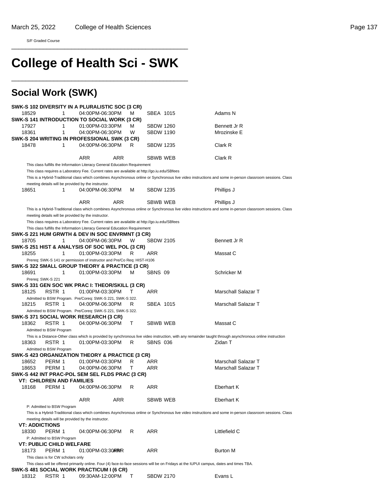S/F Graded Course

# **College of Health Sci - SWK**

\_\_\_\_\_\_\_\_\_\_\_\_\_\_\_\_\_\_\_\_\_\_\_\_\_\_\_\_\_\_\_\_\_\_\_\_\_\_\_\_\_\_\_\_\_\_\_\_\_\_

\_\_\_\_\_\_\_\_\_\_\_\_\_\_\_\_\_\_\_\_\_\_\_\_\_\_\_\_\_\_\_\_\_\_\_\_\_\_\_\_\_\_\_\_\_\_\_\_\_\_

### **Social Work (SWK)**

|                       |                                    | SWK-S 102 DIVERSITY IN A PLURALISTIC SOC (3 CR)                                              |            |   |                  |                                                                                                                                                           |
|-----------------------|------------------------------------|----------------------------------------------------------------------------------------------|------------|---|------------------|-----------------------------------------------------------------------------------------------------------------------------------------------------------|
| 18529                 | 1                                  | 04:00PM-06:30PM                                                                              |            | м | SBEA 1015        | Adams N                                                                                                                                                   |
|                       |                                    | SWK-S 141 INTRODUCTION TO SOCIAL WORK (3 CR)                                                 |            |   |                  |                                                                                                                                                           |
| 17927                 | 1                                  | 01:00PM-03:30PM                                                                              |            | м | <b>SBDW 1260</b> | Bennett Jr R                                                                                                                                              |
| 18361                 | 1                                  | 04:00PM-06:30PM                                                                              |            | W | <b>SBDW 1190</b> | Mrozinske E                                                                                                                                               |
|                       |                                    | SWK-S 204 WRITING IN PROFESSIONAL SWK (3 CR)                                                 |            |   |                  |                                                                                                                                                           |
| 18478                 | 1                                  | 04:00PM-06:30PM                                                                              |            | R | <b>SBDW 1235</b> | Clark R                                                                                                                                                   |
|                       |                                    |                                                                                              |            |   |                  |                                                                                                                                                           |
|                       |                                    |                                                                                              |            |   |                  |                                                                                                                                                           |
|                       |                                    | ARR                                                                                          | ARR        |   | SBWB WEB         | Clark R                                                                                                                                                   |
|                       |                                    | This class fulfills the Information Literacy General Education Requirement                   |            |   |                  |                                                                                                                                                           |
|                       |                                    | This class requires a Laboratory Fee. Current rates are available at http://go.iu.edu/SBfees |            |   |                  |                                                                                                                                                           |
|                       |                                    |                                                                                              |            |   |                  | This is a Hybrid-Traditional class which combines Asynchronous online or Synchronous live video instructions and some in-person classroom sessions. Class |
|                       |                                    | meeting details will be provided by the instructor.                                          |            |   |                  |                                                                                                                                                           |
| 18651                 | 1                                  | 04:00PM-06:30PM                                                                              |            | м | <b>SBDW 1235</b> | Phillips J                                                                                                                                                |
|                       |                                    |                                                                                              |            |   |                  |                                                                                                                                                           |
|                       |                                    | <b>ARR</b>                                                                                   | <b>ARR</b> |   | SBWB WEB         | Phillips J                                                                                                                                                |
|                       |                                    |                                                                                              |            |   |                  | This is a Hybrid-Traditional class which combines Asynchronous online or Synchronous live video instructions and some in-person classroom sessions. Class |
|                       |                                    | meeting details will be provided by the instructor.                                          |            |   |                  |                                                                                                                                                           |
|                       |                                    | This class requires a Laboratory Fee. Current rates are available at http://go.iu.edu/SBfees |            |   |                  |                                                                                                                                                           |
|                       |                                    | This class fulfills the Information Literacy General Education Requirement                   |            |   |                  |                                                                                                                                                           |
|                       |                                    | SWK-S 221 HUM GRWTH & DEV IN SOC ENVRMNT (3 CR)                                              |            |   |                  |                                                                                                                                                           |
| 18705                 | 1                                  | 04:00PM-06:30PM                                                                              |            | W | <b>SBDW 2105</b> | Bennett Jr R                                                                                                                                              |
|                       |                                    |                                                                                              |            |   |                  |                                                                                                                                                           |
| 18255                 | 1                                  | SWK-S 251 HIST & ANALYSIS OF SOC WEL POL (3 CR)<br>01:00PM-03:30PM                           |            |   | ARR              |                                                                                                                                                           |
|                       |                                    |                                                                                              |            | R |                  | Massat C                                                                                                                                                  |
|                       |                                    | Prereq: SWK-S 141 or permission of instructor and Pre/Co Req: HIST-H106                      |            |   |                  |                                                                                                                                                           |
|                       |                                    | SWK-S 322 SMALL GROUP THEORY & PRACTICE (3 CR)                                               |            |   |                  |                                                                                                                                                           |
| 18691                 | 1                                  | 01:00PM-03:30PM                                                                              |            | м | SBNS 09          | Schricker M                                                                                                                                               |
|                       | Prereq: SWK-S 221                  |                                                                                              |            |   |                  |                                                                                                                                                           |
|                       |                                    | SWK-S 331 GEN SOC WK PRAC I: THEOR/SKILL (3 CR)                                              |            |   |                  |                                                                                                                                                           |
| 18125                 | RSTR 1                             | 01:00PM-03:30PM                                                                              |            | т | ARR              | Marschall Salazar T                                                                                                                                       |
|                       |                                    | Admitted to BSW Program. Pre/Coreq: SWK-S 221, SWK-S 322.                                    |            |   |                  |                                                                                                                                                           |
| 18215                 | RSTR 1                             | 04:00PM-06:30PM                                                                              |            | R | SBEA 1015        | Marschall Salazar T                                                                                                                                       |
|                       |                                    | Admitted to BSW Program. Pre/Coreq: SWK-S 221, SWK-S 322.                                    |            |   |                  |                                                                                                                                                           |
|                       |                                    | SWK-S 371 SOCIAL WORK RESEARCH (3 CR)                                                        |            |   |                  |                                                                                                                                                           |
| 18362                 | RSTR 1                             | 04:00PM-06:30PM                                                                              |            | т | SBWB WEB         | Massat C                                                                                                                                                  |
|                       | Admitted to BSW Program            |                                                                                              |            |   |                  |                                                                                                                                                           |
|                       |                                    |                                                                                              |            |   |                  | This is a Distance-Other class which is provided by synchronous live video instruction, with any remainder taught through asynchronous online instruction |
| 18363                 | RSTR 1                             | 01:00PM-03:30PM                                                                              |            | R | <b>SBNS 036</b>  | Zidan T                                                                                                                                                   |
|                       |                                    |                                                                                              |            |   |                  |                                                                                                                                                           |
|                       | Admitted to BSW Program            |                                                                                              |            |   |                  |                                                                                                                                                           |
|                       |                                    | SWK-S 423 ORGANIZATION THEORY & PRACTICE (3 CR)                                              |            |   |                  |                                                                                                                                                           |
| 18652                 | PERM 1                             | 01:00PM-03:30PM                                                                              |            | R | ARR              | Marschall Salazar T                                                                                                                                       |
| 18653                 | PERM 1                             | 04:00PM-06:30PM                                                                              |            | т | ARR              | Marschall Salazar T                                                                                                                                       |
|                       |                                    | SWK-S 442 INT PRAC-POL SEM SEL FLDS PRAC (3 CR)                                              |            |   |                  |                                                                                                                                                           |
|                       | <b>VT: CHILDREN AND FAMILIES</b>   |                                                                                              |            |   |                  |                                                                                                                                                           |
| 18168                 | PERM 1                             | 04:00PM-06:30PM                                                                              |            | R | ARR              | Eberhart K                                                                                                                                                |
|                       |                                    |                                                                                              |            |   |                  |                                                                                                                                                           |
|                       |                                    | ARR                                                                                          | ARR        |   | SBWB WEB         | <b>Eberhart K</b>                                                                                                                                         |
|                       | P: Admitted to BSW Program         |                                                                                              |            |   |                  |                                                                                                                                                           |
|                       |                                    |                                                                                              |            |   |                  | This is a Hybrid-Traditional class which combines Asynchronous online or Synchronous live video instructions and some in-person classroom sessions. Class |
|                       |                                    | meeting details will be provided by the instructor.                                          |            |   |                  |                                                                                                                                                           |
| <b>VT: ADDICTIONS</b> |                                    |                                                                                              |            |   |                  |                                                                                                                                                           |
|                       |                                    |                                                                                              |            |   |                  |                                                                                                                                                           |
| 18330                 | PERM 1                             | 04:00PM-06:30PM                                                                              |            | R | ARR              | Littlefield C                                                                                                                                             |
|                       | P: Admitted to BSW Program         |                                                                                              |            |   |                  |                                                                                                                                                           |
|                       | <b>VT: PUBLIC CHILD WELFARE</b>    |                                                                                              |            |   |                  |                                                                                                                                                           |
| 18173                 | PERM 1                             | 01:00 PM-03:30 RRR                                                                           |            |   | ARR              | Burton M                                                                                                                                                  |
|                       | This class is for CW scholars only |                                                                                              |            |   |                  |                                                                                                                                                           |
|                       |                                    |                                                                                              |            |   |                  | This class will be offered primarily online. Four (4) face-to-face sessions will be on Fridays at the IUPUI campus, dates and times TBA.                  |
|                       |                                    | SWK-S 481 SOCIAL WORK PRACTICUM I (6 CR)                                                     |            |   |                  |                                                                                                                                                           |
| 18312                 | RSTR 1                             | 09:30AM-12:00PM                                                                              |            | Т | <b>SBDW 2170</b> | Evans L                                                                                                                                                   |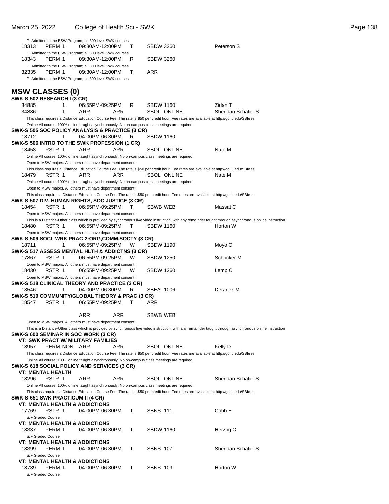S/F Graded Course

|       |                                   | P: Admitted to the BSW Program; all 300 level SWK courses                                                                                 |   |                  |                    |                                                                                                                                                           |
|-------|-----------------------------------|-------------------------------------------------------------------------------------------------------------------------------------------|---|------------------|--------------------|-----------------------------------------------------------------------------------------------------------------------------------------------------------|
| 18313 | PERM 1                            | 09:30AM-12:00PM                                                                                                                           | т | <b>SBDW 3260</b> |                    | Peterson S                                                                                                                                                |
|       |                                   | P: Admitted to the BSW Program; all 300 level SWK courses                                                                                 |   |                  |                    |                                                                                                                                                           |
| 18343 | PERM 1                            | 09:30AM-12:00PM                                                                                                                           | R | <b>SBDW 3260</b> |                    |                                                                                                                                                           |
|       |                                   | P: Admitted to the BSW Program; all 300 level SWK courses                                                                                 |   |                  |                    |                                                                                                                                                           |
| 32335 | PERM 1                            | 09:30AM-12:00PM                                                                                                                           | т | ARR              |                    |                                                                                                                                                           |
|       |                                   | P: Admitted to the BSW Program; all 300 level SWK courses                                                                                 |   |                  |                    |                                                                                                                                                           |
|       | <b>MSW CLASSES (0)</b>            |                                                                                                                                           |   |                  |                    |                                                                                                                                                           |
|       | SWK-S 502 RESEARCH I (3 CR)       |                                                                                                                                           |   |                  |                    |                                                                                                                                                           |
| 34885 | 1                                 | 06:55PM-09:25PM                                                                                                                           | R | <b>SBDW 1160</b> |                    | Zidan T                                                                                                                                                   |
| 34886 | 1                                 | ARR<br>ARR                                                                                                                                |   |                  | <b>SBOL ONLINE</b> | Sheridan Schafer S                                                                                                                                        |
|       |                                   | This class requires a Distance Education Course Fee. The rate is \$50 per credit hour. Fee rates are available at http://go.iu.edu/SBfees |   |                  |                    |                                                                                                                                                           |
|       |                                   | Online All course: 100% online taught asynchronously. No on-campus class meetings are required.                                           |   |                  |                    |                                                                                                                                                           |
|       |                                   | SWK-S 505 SOC POLICY ANALYSIS & PRACTICE (3 CR)                                                                                           |   |                  |                    |                                                                                                                                                           |
| 18712 | 1                                 | 04:00PM-06:30PM                                                                                                                           | R | <b>SBDW 1160</b> |                    |                                                                                                                                                           |
| 18453 | RSTR 1                            | SWK-S 506 INTRO TO THE SWK PROFESSION (1 CR)<br>ARR<br>ARR                                                                                |   |                  | <b>SBOL ONLINE</b> | Nate M                                                                                                                                                    |
|       |                                   | Online All course: 100% online taught asynchronously. No on-campus class meetings are required.                                           |   |                  |                    |                                                                                                                                                           |
|       |                                   | Open to MSW majors. All others must have department consent.                                                                              |   |                  |                    |                                                                                                                                                           |
|       |                                   | This class requires a Distance Education Course Fee. The rate is \$50 per credit hour. Fee rates are available at http://go.iu.edu/SBfees |   |                  |                    |                                                                                                                                                           |
| 18479 | RSTR 1                            | ARR<br>ARR                                                                                                                                |   |                  | SBOL ONLINE        | Nate M                                                                                                                                                    |
|       |                                   | Online All course: 100% online taught asynchronously. No on-campus class meetings are required.                                           |   |                  |                    |                                                                                                                                                           |
|       |                                   | Open to MSW majors. All others must have department consent.                                                                              |   |                  |                    |                                                                                                                                                           |
|       |                                   | This class requires a Distance Education Course Fee. The rate is \$50 per credit hour. Fee rates are available at http://go.iu.edu/SBfees |   |                  |                    |                                                                                                                                                           |
|       |                                   | SWK-S 507 DIV, HUMAN RIGHTS, SOC JUSTICE (3 CR)                                                                                           |   |                  |                    |                                                                                                                                                           |
| 18454 | RSTR 1                            | 06:55PM-09:25PM                                                                                                                           | т | <b>SBWB WEB</b>  |                    | Massat C                                                                                                                                                  |
|       |                                   | Open to MSW majors. All others must have department consent.                                                                              |   |                  |                    |                                                                                                                                                           |
|       |                                   |                                                                                                                                           |   |                  |                    | This is a Distance-Other class which is provided by synchronous live video instruction, with any remainder taught through asynchronous online instruction |
| 18480 | RSTR 1                            | 06:55PM-09:25PM                                                                                                                           | т | <b>SBDW 1160</b> |                    | Horton W                                                                                                                                                  |
|       |                                   | Open to MSW majors. All others must have department consent.                                                                              |   |                  |                    |                                                                                                                                                           |
|       |                                   | SWK-S 509 SOCL WRK PRAC 2:ORG,COMM,SOCTY (3 CR)                                                                                           |   |                  |                    |                                                                                                                                                           |
| 18711 | 1                                 | 06:55PM-09:25PM<br>SWK-S 517 ASSESS MENTAL HLTH & ADDICTNS (3 CR)                                                                         | w | <b>SBDW 1190</b> |                    | Moyo O                                                                                                                                                    |
| 17867 | RSTR 1                            | 06:55PM-09:25PM                                                                                                                           | W | <b>SBDW 1250</b> |                    | Schricker M                                                                                                                                               |
|       |                                   | Open to MSW majors. All others must have department consent.                                                                              |   |                  |                    |                                                                                                                                                           |
| 18430 | RSTR 1                            | 06:55PM-09:25PM                                                                                                                           | W | <b>SBDW 1260</b> |                    | Lemp C                                                                                                                                                    |
|       |                                   | Open to MSW majors. All others must have department consent.                                                                              |   |                  |                    |                                                                                                                                                           |
|       |                                   | SWK-S 518 CLINICAL THEORY AND PRACTICE (3 CR)                                                                                             |   |                  |                    |                                                                                                                                                           |
| 18546 | 1                                 | 04:00PM-06:30PM                                                                                                                           | R | SBEA 1006        |                    | Deranek M                                                                                                                                                 |
|       |                                   | SWK-S 519 COMMUNITY/GLOBAL THEORY & PRAC (3 CR)                                                                                           |   |                  |                    |                                                                                                                                                           |
| 18547 | RSTR 1                            | 06:55PM-09:25PM                                                                                                                           | т | ARR              |                    |                                                                                                                                                           |
|       |                                   |                                                                                                                                           |   |                  |                    |                                                                                                                                                           |
|       |                                   | <b>ARR</b><br><b>ARR</b>                                                                                                                  |   | SBWB WEB         |                    |                                                                                                                                                           |
|       |                                   | Open to MSW maiors. All others must have department consent.                                                                              |   |                  |                    |                                                                                                                                                           |
|       |                                   |                                                                                                                                           |   |                  |                    | This is a Distance-Other class which is provided by synchronous live video instruction, with any remainder taught through asynchronous online instruction |
|       |                                   | SWK-S 600 SEMINAR IN SOC WORK (3 CR)<br>VT: SWK PRACT W/ MILITARY FAMILIES                                                                |   |                  |                    |                                                                                                                                                           |
| 18957 | PERM NON ARR                      | ARR                                                                                                                                       |   |                  | SBOL ONLINE        | Kelly D                                                                                                                                                   |
|       |                                   | This class requires a Distance Education Course Fee. The rate is \$50 per credit hour. Fee rates are available at http://go.iu.edu/SBfees |   |                  |                    |                                                                                                                                                           |
|       |                                   | Online All course: 100% online taught asynchronously. No on-campus class meetings are required.                                           |   |                  |                    |                                                                                                                                                           |
|       |                                   | SWK-S 618 SOCIAL POLICY AND SERVICES (3 CR)                                                                                               |   |                  |                    |                                                                                                                                                           |
|       | <b>VT: MENTAL HEALTH</b>          |                                                                                                                                           |   |                  |                    |                                                                                                                                                           |
| 18296 | RSTR 1                            | ARR<br>ARR                                                                                                                                |   |                  | <b>SBOL ONLINE</b> | Sheridan Schafer S                                                                                                                                        |
|       |                                   | Online All course: 100% online taught asynchronously. No on-campus class meetings are required.                                           |   |                  |                    |                                                                                                                                                           |
|       |                                   | This class requires a Distance Education Course Fee. The rate is \$50 per credit hour. Fee rates are available at http://go.iu.edu/SBfees |   |                  |                    |                                                                                                                                                           |
|       | SWK-S 651 SWK PRACTICUM II (4 CR) |                                                                                                                                           |   |                  |                    |                                                                                                                                                           |
|       |                                   | <b>VT: MENTAL HEALTH &amp; ADDICTIONS</b>                                                                                                 |   |                  |                    |                                                                                                                                                           |
| 17769 | RSTR 1                            | 04:00PM-06:30PM                                                                                                                           | т | <b>SBNS 111</b>  |                    | Cobb E                                                                                                                                                    |
|       | S/F Graded Course                 |                                                                                                                                           |   |                  |                    |                                                                                                                                                           |
|       |                                   | <b>VT: MENTAL HEALTH &amp; ADDICTIONS</b>                                                                                                 |   |                  |                    |                                                                                                                                                           |
| 18337 | PERM 1                            | 04:00PM-06:30PM                                                                                                                           | Т | <b>SBDW 1160</b> |                    | Herzog C                                                                                                                                                  |
|       | S/F Graded Course                 | <b>VT: MENTAL HEALTH &amp; ADDICTIONS</b>                                                                                                 |   |                  |                    |                                                                                                                                                           |
| 18399 | PERM 1                            | 04:00PM-06:30PM                                                                                                                           | т | <b>SBNS 107</b>  |                    | Sheridan Schafer S                                                                                                                                        |
|       | S/F Graded Course                 |                                                                                                                                           |   |                  |                    |                                                                                                                                                           |
|       |                                   | <b>VT: MENTAL HEALTH &amp; ADDICTIONS</b>                                                                                                 |   |                  |                    |                                                                                                                                                           |
| 18739 | PERM 1                            | 04:00PM-06:30PM                                                                                                                           | т | <b>SBNS 109</b>  |                    | Horton W                                                                                                                                                  |
|       |                                   |                                                                                                                                           |   |                  |                    |                                                                                                                                                           |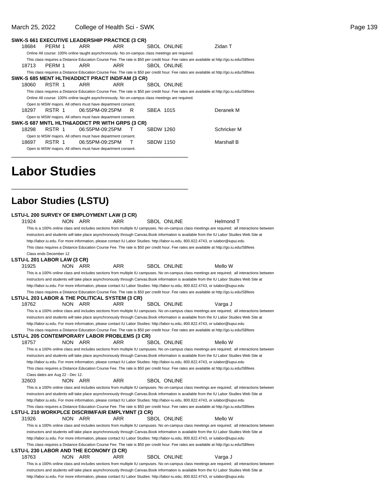#### March 25, 2022 College of Health Sci - SWK **Page 139**

|       | SWK-S 661 EXECUTIVE LEADERSHIP PRACTICE (3 CR)                                                  |     |                 |   |                  |                    |                                                                                                                                           |
|-------|-------------------------------------------------------------------------------------------------|-----|-----------------|---|------------------|--------------------|-------------------------------------------------------------------------------------------------------------------------------------------|
| 18684 | PERM 1                                                                                          | ARR | ARR             |   |                  | SBOL ONLINE        | Zidan T                                                                                                                                   |
|       | Online All course: 100% online taught asynchronously. No on-campus class meetings are required. |     |                 |   |                  |                    |                                                                                                                                           |
|       |                                                                                                 |     |                 |   |                  |                    | This class requires a Distance Education Course Fee. The rate is \$50 per credit hour. Fee rates are available at http://qo.iu.edu/SBfees |
| 18713 | PERM 1                                                                                          | ARR | ARR             |   |                  | <b>SBOL ONLINE</b> |                                                                                                                                           |
|       |                                                                                                 |     |                 |   |                  |                    | This class requires a Distance Education Course Fee. The rate is \$50 per credit hour. Fee rates are available at http://qo.iu.edu/SBfees |
|       | SWK-S 685 MENT HLTH/ADDICT PRACT IND/FAM (3 CR)                                                 |     |                 |   |                  |                    |                                                                                                                                           |
| 18060 | RSTR 1                                                                                          | ARR | ARR             |   |                  | SBOL ONLINE        |                                                                                                                                           |
|       |                                                                                                 |     |                 |   |                  |                    | This class requires a Distance Education Course Fee. The rate is \$50 per credit hour. Fee rates are available at http://qo.iu.edu/SBfees |
|       | Online All course: 100% online taught asynchronously. No on-campus class meetings are required. |     |                 |   |                  |                    |                                                                                                                                           |
|       | Open to MSW majors. All others must have department consent.                                    |     |                 |   |                  |                    |                                                                                                                                           |
| 18297 | RSTR 1                                                                                          |     | 06:55PM-09:25PM | R | SBEA 1015        |                    | Deranek M                                                                                                                                 |
|       | Open to MSW majors. All others must have department consent.                                    |     |                 |   |                  |                    |                                                                                                                                           |
|       | SWK-S 687 MNTL HLTH&ADDICT PR WITH GRPS (3 CR)                                                  |     |                 |   |                  |                    |                                                                                                                                           |
| 18298 | RSTR 1                                                                                          |     | 06:55PM-09:25PM |   | <b>SBDW 1260</b> |                    | Schricker M                                                                                                                               |
|       | Open to MSW majors. All others must have department consent.                                    |     |                 |   |                  |                    |                                                                                                                                           |
| 18697 | RSTR 1                                                                                          |     | 06:55PM-09:25PM |   | <b>SBDW 1150</b> |                    | Marshall B                                                                                                                                |
|       | Open to MSW majors. All others must have department consent.                                    |     |                 |   |                  |                    |                                                                                                                                           |
|       |                                                                                                 |     |                 |   |                  |                    |                                                                                                                                           |

## **Labor Studies**

### **Labor Studies (LSTU)**

\_\_\_\_\_\_\_\_\_\_\_\_\_\_\_\_\_\_\_\_\_\_\_\_\_\_\_\_\_\_\_\_\_\_\_\_\_\_\_\_\_\_\_\_\_\_\_\_\_\_

| LSTU-L 200 SURVEY OF EMPLOYMENT LAW (3 CR)                                                                                                      |  |
|-------------------------------------------------------------------------------------------------------------------------------------------------|--|
| 31924<br>NON ARR<br>ARR<br><b>SBOL ONLINE</b><br>Helmond T                                                                                      |  |
| This is a 100% online class and includes sections from multiple IU campuses. No on-campus class meetings are required; all interactions between |  |
| instructors and students will take place asynchronously through Canvas. Book information is available from the IU Labor Studies Web Site at     |  |
| http://labor.iu.edu. For more information, please contact IU Labor Studies: http://labor-iu.edu, 800.822.4743, or iulabor@iupui.edu             |  |
| This class requires a Distance Education Course Fee. The rate is \$50 per credit hour. Fee rates are available at http://go.iu.edu/SBfees       |  |
| Class ends December 12                                                                                                                          |  |
| LSTU-L 201 LABOR LAW (3 CR)                                                                                                                     |  |
| <b>ARR</b><br>Mello W<br>31925<br>NON ARR<br><b>SBOL ONLINE</b>                                                                                 |  |
| This is a 100% online class and includes sections from multiple IU campuses. No on-campus class meetings are required; all interactions between |  |
| instructors and students will take place asynchronously through Canvas. Book information is available from the IU Labor Studies Web Site at     |  |
| http://labor.iu.edu. For more information, please contact IU Labor Studies: http://labor-iu.edu, 800.822.4743, or iulabor@iupui.edu             |  |
| This class requires a Distance Education Course Fee. The rate is \$50 per credit hour. Fee rates are available at http://go.iu.edu/SBfees       |  |
| LSTU-L 203 LABOR & THE POLITICAL SYSTEM (3 CR)                                                                                                  |  |
| 18762<br>NON ARR<br>ARR<br><b>SBOL ONLINE</b><br>Varga J                                                                                        |  |
| This is a 100% online class and includes sections from multiple IU campuses. No on-campus class meetings are required; all interactions between |  |
| instructors and students will take place asynchronously through Canvas.Book information is available from the IU Labor Studies Web Site at      |  |
| http://labor.iu.edu. For more information, please contact IU Labor Studies: http://labor-iu.edu, 800.822.4743, or iulabor@iupui.edu             |  |
| This class requires a Distance Education Course Fee. The rate is \$50 per credit hour. Fee rates are available at http://go.iu.edu/SBfees       |  |
| LSTU-L 205 CONTEMPORARY LABOR PROBLEMS (3 CR)                                                                                                   |  |
| 18757<br><b>ARR</b><br>Mello W<br>NON ARR<br><b>SBOL ONLINE</b>                                                                                 |  |
| This is a 100% online class and includes sections from multiple IU campuses. No on-campus class meetings are required; all interactions between |  |
| instructors and students will take place asynchronously through Canvas. Book information is available from the IU Labor Studies Web Site at     |  |
| http://labor.iu.edu. For more information, please contact IU Labor Studies: http://labor-iu.edu, 800.822.4743, or iulabor@iupui.edu             |  |
| This class requires a Distance Education Course Fee. The rate is \$50 per credit hour. Fee rates are available at http://go.iu.edu/SBfees       |  |
| Class dates are Aug 22 - Dec 12.                                                                                                                |  |
| <b>ARR</b><br>32603<br>NON ARR<br><b>SBOL ONLINE</b>                                                                                            |  |
| This is a 100% online class and includes sections from multiple IU campuses. No on-campus class meetings are required; all interactions between |  |
| instructors and students will take place asynchronously through Canvas. Book information is available from the IU Labor Studies Web Site at     |  |
| http://labor.iu.edu. For more information, please contact IU Labor Studies: http://labor-iu.edu, 800.822.4743, or iulabor@iupui.edu             |  |
| This class requires a Distance Education Course Fee. The rate is \$50 per credit hour. Fee rates are available at http://go.iu.edu/SBfees       |  |
| LSTU-L 210 WORKPLCE DISCRIM/FAIR EMPLYMNT (3 CR)                                                                                                |  |
| 31926<br>NON ARR<br>ARR<br>Mello W<br>SBOL ONLINE                                                                                               |  |
| This is a 100% online class and includes sections from multiple IU campuses. No on-campus class meetings are required; all interactions between |  |
| instructors and students will take place asynchronously through Canvas. Book information is available from the IU Labor Studies Web Site at     |  |
| http://labor.iu.edu. For more information, please contact IU Labor Studies: http://labor-iu.edu, 800.822.4743, or iulabor@iupui.edu             |  |
| This class requires a Distance Education Course Fee. The rate is \$50 per credit hour. Fee rates are available at http://go.iu.edu/SBfees       |  |
| LSTU-L 230 LABOR AND THE ECONOMY (3 CR)                                                                                                         |  |
| 18763<br>NON ARR<br><b>ARR</b><br>SBOL ONLINE<br>Varga J                                                                                        |  |
| This is a 100% online class and includes sections from multiple IU campuses. No on-campus class meetings are required; all interactions between |  |
| instructors and students will take place asynchronously through Canvas. Book information is available from the IU Labor Studies Web Site at     |  |
| http://labor.iu.edu. For more information, please contact IU Labor Studies: http://labor-iu.edu, 800.822.4743, or iulabor@iupui.edu             |  |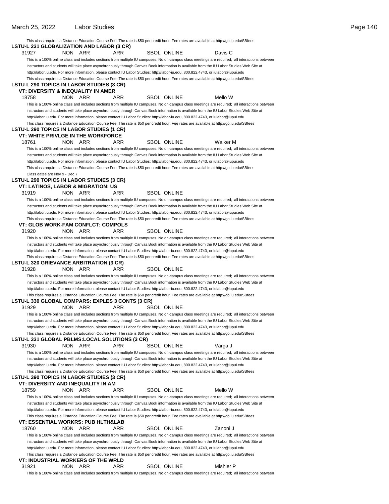|                                                |                   |                                                  |                    | This class requires a Distance Education Course Fee. The rate is \$50 per credit hour. Fee rates are available at http://go.iu.edu/SBfees       |  |
|------------------------------------------------|-------------------|--------------------------------------------------|--------------------|-------------------------------------------------------------------------------------------------------------------------------------------------|--|
|                                                |                   | LSTU-L 231 GLOBALIZATION AND LABOR (3 CR)        |                    |                                                                                                                                                 |  |
| 31927                                          | <b>NON</b><br>ARR | ARR                                              | <b>SBOL ONLINE</b> | Davis C                                                                                                                                         |  |
|                                                |                   |                                                  |                    | This is a 100% online class and includes sections from multiple IU campuses. No on-campus class meetings are required; all interactions between |  |
|                                                |                   |                                                  |                    | instructors and students will take place asynchronously through Canvas. Book information is available from the IU Labor Studies Web Site at     |  |
|                                                |                   |                                                  |                    | http://labor.iu.edu. For more information, please contact IU Labor Studies: http://labor-iu.edu, 800.822.4743, or iulabor@iupui.edu             |  |
|                                                |                   |                                                  |                    | This class requires a Distance Education Course Fee. The rate is \$50 per credit hour. Fee rates are available at http://go.iu.edu/SBfees       |  |
| LSTU-L 290 TOPICS IN LABOR STUDIES (3 CR)      |                   |                                                  |                    |                                                                                                                                                 |  |
| VT: DIVERSITY & INEQUALITY IN AMER             |                   |                                                  |                    |                                                                                                                                                 |  |
| 18758                                          | NON ARR           | ARR                                              | SBOL ONLINE        | Mello W                                                                                                                                         |  |
|                                                |                   |                                                  |                    | This is a 100% online class and includes sections from multiple IU campuses. No on-campus class meetings are required; all interactions between |  |
|                                                |                   |                                                  |                    | instructors and students will take place asynchronously through Canvas.Book information is available from the IU Labor Studies Web Site at      |  |
|                                                |                   |                                                  |                    | http://labor.iu.edu. For more information, please contact IU Labor Studies: http://labor-iu.edu, 800.822.4743, or iulabor@iupui.edu             |  |
|                                                |                   |                                                  |                    | This class requires a Distance Education Course Fee. The rate is \$50 per credit hour. Fee rates are available at http://go.iu.edu/SBfees       |  |
| LSTU-L 290 TOPICS IN LABOR STUDIES (1 CR)      |                   |                                                  |                    |                                                                                                                                                 |  |
|                                                |                   | <b>VT: WHITE PRIVLGE IN THE WORKFORCE</b>        |                    |                                                                                                                                                 |  |
| 18761                                          | NON ARR           | ARR                                              | <b>SBOL ONLINE</b> | Walker M                                                                                                                                        |  |
|                                                |                   |                                                  |                    | This is a 100% online class and includes sections from multiple IU campuses. No on-campus class meetings are required; all interactions between |  |
|                                                |                   |                                                  |                    | instructors and students will take place asynchronously through Canvas. Book information is available from the IU Labor Studies Web Site at     |  |
|                                                |                   |                                                  |                    | http://labor.iu.edu. For more information, please contact IU Labor Studies: http://labor-iu.edu, 800.822.4743, or iulabor@iupui.edu             |  |
|                                                |                   |                                                  |                    | This class requires a Distance Education Course Fee. The rate is \$50 per credit hour. Fee rates are available at http://go.iu.edu/SBfees       |  |
| Class dates are Nov 9 - Dec 7                  |                   |                                                  |                    |                                                                                                                                                 |  |
| LSTU-L 290 TOPICS IN LABOR STUDIES (3 CR)      |                   |                                                  |                    |                                                                                                                                                 |  |
| VT: LATINOS, LABOR & MIGRATION: US             |                   |                                                  |                    |                                                                                                                                                 |  |
| 31919                                          | NON ARR           | ARR                                              | <b>SBOL ONLINE</b> |                                                                                                                                                 |  |
|                                                |                   |                                                  |                    | This is a 100% online class and includes sections from multiple IU campuses. No on-campus class meetings are required; all interactions between |  |
|                                                |                   |                                                  |                    | instructors and students will take place asynchronously through Canvas.Book information is available from the IU Labor Studies Web Site at      |  |
|                                                |                   |                                                  |                    | http://labor.iu.edu. For more information, please contact IU Labor Studies: http://labor-iu.edu, 800.822.4743, or iulabor@iupui.edu             |  |
|                                                |                   |                                                  |                    | This class requires a Distance Education Course Fee. The rate is \$50 per credit hour. Fee rates are available at http://go.iu.edu/SBfees       |  |
|                                                |                   | VT: GLOB WORK-FAM CONFLCT: COMPOLS               |                    |                                                                                                                                                 |  |
| 31920                                          | NON ARR           | ARR                                              | <b>SBOL ONLINE</b> |                                                                                                                                                 |  |
|                                                |                   |                                                  |                    | This is a 100% online class and includes sections from multiple IU campuses. No on-campus class meetings are required; all interactions between |  |
|                                                |                   |                                                  |                    | instructors and students will take place asynchronously through Canvas.Book information is available from the IU Labor Studies Web Site at      |  |
|                                                |                   |                                                  |                    |                                                                                                                                                 |  |
|                                                |                   |                                                  |                    | http://labor.iu.edu. For more information, please contact IU Labor Studies: http://labor-iu.edu, 800.822.4743, or iulabor@iupui.edu             |  |
| <b>LSTU-L 320 GRIEVANCE ARBITRATION (3 CR)</b> |                   |                                                  |                    | This class requires a Distance Education Course Fee. The rate is \$50 per credit hour. Fee rates are available at http://go.iu.edu/SBfees       |  |
| 31928                                          | NON.<br>ARR       | ARR                                              | <b>SBOL ONLINE</b> |                                                                                                                                                 |  |
|                                                |                   |                                                  |                    |                                                                                                                                                 |  |
|                                                |                   |                                                  |                    | This is a 100% online class and includes sections from multiple IU campuses. No on-campus class meetings are required; all interactions between |  |
|                                                |                   |                                                  |                    | instructors and students will take place asynchronously through Canvas.Book information is available from the IU Labor Studies Web Site at      |  |
|                                                |                   |                                                  |                    | http://labor.iu.edu. For more information, please contact IU Labor Studies: http://labor-iu.edu, 800.822.4743, or iulabor@iupui.edu             |  |
|                                                |                   |                                                  |                    | This class requires a Distance Education Course Fee. The rate is \$50 per credit hour. Fee rates are available at http://go.iu.edu/SBfees       |  |
|                                                |                   | LSTU-L 330 GLOBAL COMPARS: EXPLES 3 CONTS (3 CR) |                    |                                                                                                                                                 |  |
| 31929                                          | <b>NON</b><br>ARR | ARR                                              | <b>SBOL ONLINE</b> |                                                                                                                                                 |  |
|                                                |                   |                                                  |                    | This is a 100% online class and includes sections from multiple IU campuses. No on-campus class meetings are required; all interactions between |  |
|                                                |                   |                                                  |                    | instructors and students will take place asynchronously through Canvas.Book information is available from the IU Labor Studies Web Site at      |  |
|                                                |                   |                                                  |                    | http://labor.iu.edu. For more information, please contact IU Labor Studies: http://labor-iu.edu, 800.822.4743, or iulabor@iupui.edu             |  |
|                                                |                   |                                                  |                    | This class requires a Distance Education Course Fee. The rate is \$50 per credit hour. Fee rates are available at http://go.iu.edu/SBfees       |  |
|                                                |                   | LSTU-L 331 GLOBAL PBLMS:LOCAL SOLUTIONS (3 CR)   |                    |                                                                                                                                                 |  |
| 31930                                          | <b>NON</b><br>ARR | ARR                                              | <b>SBOL ONLINE</b> | Varga J                                                                                                                                         |  |
|                                                |                   |                                                  |                    | This is a 100% online class and includes sections from multiple IU campuses. No on-campus class meetings are required; all interactions between |  |
|                                                |                   |                                                  |                    | instructors and students will take place asynchronously through Canvas.Book information is available from the IU Labor Studies Web Site at      |  |
|                                                |                   |                                                  |                    | http://labor.iu.edu. For more information, please contact IU Labor Studies: http://labor-iu.edu, 800.822.4743, or iulabor@iupui.edu             |  |
|                                                |                   |                                                  |                    | This class requires a Distance Education Course Fee. The rate is \$50 per credit hour. Fee rates are available at http://go.iu.edu/SBfees       |  |
| LSTU-L 390 TOPICS IN LABOR STUDIES (3 CR)      |                   |                                                  |                    |                                                                                                                                                 |  |
| VT: DIVERSITY AND INEQUALITY IN AM             |                   |                                                  |                    |                                                                                                                                                 |  |
| 18759                                          | <b>NON</b><br>ARR | ARR                                              | <b>SBOL ONLINE</b> | Mello W                                                                                                                                         |  |
|                                                |                   |                                                  |                    | This is a 100% online class and includes sections from multiple IU campuses. No on-campus class meetings are required; all interactions between |  |
|                                                |                   |                                                  |                    | instructors and students will take place asynchronously through Canvas. Book information is available from the IU Labor Studies Web Site at     |  |
|                                                |                   |                                                  |                    | http://labor.iu.edu. For more information, please contact IU Labor Studies: http://labor-iu.edu, 800.822.4743, or iulabor@iupui.edu             |  |
|                                                |                   |                                                  |                    | This class requires a Distance Education Course Fee. The rate is \$50 per credit hour. Fee rates are available at http://go.iu.edu/SBfees       |  |
|                                                |                   | VT: ESSENTIAL WORKRS: PUB HLTH&LAB               |                    |                                                                                                                                                 |  |
| 18760                                          | <b>NON</b><br>ARR | ARR                                              | SBOL ONLINE        | Zanoni J                                                                                                                                        |  |
|                                                |                   |                                                  |                    | This is a 100% online class and includes sections from multiple IU campuses. No on-campus class meetings are required; all interactions between |  |
|                                                |                   |                                                  |                    | instructors and students will take place asynchronously through Canvas. Book information is available from the IU Labor Studies Web Site at     |  |
|                                                |                   |                                                  |                    | http://labor.iu.edu. For more information, please contact IU Labor Studies: http://labor-iu.edu, 800.822.4743, or iulabor@iupui.edu             |  |
|                                                |                   |                                                  |                    | This class requires a Distance Education Course Fee. The rate is \$50 per credit hour. Fee rates are available at http://go.iu.edu/SBfees       |  |
|                                                |                   | VT: INDUSTRIAL WORKERS OF THE WRLD               |                    |                                                                                                                                                 |  |
| 31921                                          | NON ARR           | ARR                                              | SBOL ONLINE        | Mishler P                                                                                                                                       |  |

This is a 100% online class and includes sections from multiple IU campuses. No on-campus class meetings are required; all interactions between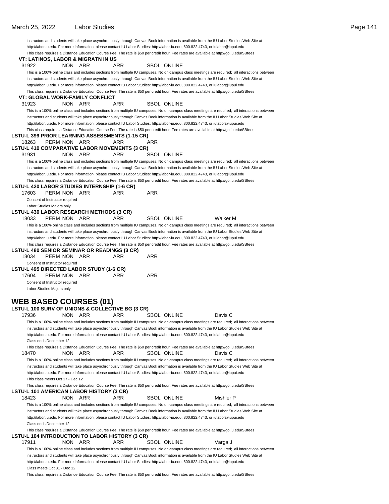|       |                                  |                                          |                                                  |     |                    | instructors and students will take place asynchronously through Canvas. Book information is available from the IU Labor Studies Web Site at     |
|-------|----------------------------------|------------------------------------------|--------------------------------------------------|-----|--------------------|-------------------------------------------------------------------------------------------------------------------------------------------------|
|       |                                  |                                          |                                                  |     |                    | http://labor.iu.edu. For more information, please contact IU Labor Studies: http://labor-iu.edu, 800.822.4743, or iulabor@iupui.edu             |
|       |                                  |                                          |                                                  |     |                    | This class requires a Distance Education Course Fee. The rate is \$50 per credit hour. Fee rates are available at http://go.iu.edu/SBfees       |
|       |                                  | VT: LATINOS, LABOR & MIGRATN IN US       |                                                  |     |                    |                                                                                                                                                 |
| 31922 |                                  | NON ARR                                  | ARR                                              |     | <b>SBOL ONLINE</b> |                                                                                                                                                 |
|       |                                  |                                          |                                                  |     |                    | This is a 100% online class and includes sections from multiple IU campuses. No on-campus class meetings are required; all interactions between |
|       |                                  |                                          |                                                  |     |                    | instructors and students will take place asynchronously through Canvas. Book information is available from the IU Labor Studies Web Site at     |
|       |                                  |                                          |                                                  |     |                    |                                                                                                                                                 |
|       |                                  |                                          |                                                  |     |                    | http://labor.iu.edu. For more information, please contact IU Labor Studies: http://labor-iu.edu, 800.822.4743, or iulabor@iupui.edu             |
|       |                                  |                                          |                                                  |     |                    | This class requires a Distance Education Course Fee. The rate is \$50 per credit hour. Fee rates are available at http://go.iu.edu/SBfees       |
|       |                                  | VT: GLOBAL WORK-FAMILY CONFLICT          |                                                  |     |                    |                                                                                                                                                 |
| 31923 |                                  | NON ARR                                  | ARR                                              |     | <b>SBOL ONLINE</b> |                                                                                                                                                 |
|       |                                  |                                          |                                                  |     |                    | This is a 100% online class and includes sections from multiple IU campuses. No on-campus class meetings are required; all interactions between |
|       |                                  |                                          |                                                  |     |                    | instructors and students will take place asynchronously through Canvas. Book information is available from the IU Labor Studies Web Site at     |
|       |                                  |                                          |                                                  |     |                    | http://labor.iu.edu. For more information, please contact IU Labor Studies: http://labor-iu.edu, 800.822.4743, or iulabor@iupui.edu             |
|       |                                  |                                          |                                                  |     |                    | This class requires a Distance Education Course Fee. The rate is \$50 per credit hour. Fee rates are available at http://go.iu.edu/SBfees       |
|       |                                  |                                          | LSTU-L 399 PRIOR LEARNING ASSESSMENTS (1-15 CR)  |     |                    |                                                                                                                                                 |
| 18263 | PERM NON ARR                     |                                          | ARR                                              | ARR |                    |                                                                                                                                                 |
|       |                                  |                                          | LSTU-L 410 COMPARATIVE LABOR MOVEMENTS (3 CR)    |     |                    |                                                                                                                                                 |
| 31931 | NON.                             | ARR                                      | ARR                                              |     | SBOL ONLINE        |                                                                                                                                                 |
|       |                                  |                                          |                                                  |     |                    |                                                                                                                                                 |
|       |                                  |                                          |                                                  |     |                    | This is a 100% online class and includes sections from multiple IU campuses. No on-campus class meetings are required; all interactions between |
|       |                                  |                                          |                                                  |     |                    | instructors and students will take place asynchronously through Canvas.Book information is available from the IU Labor Studies Web Site at      |
|       |                                  |                                          |                                                  |     |                    | http://labor.iu.edu. For more information, please contact IU Labor Studies: http://labor-iu.edu, 800.822.4743, or iulabor@iupui.edu             |
|       |                                  |                                          |                                                  |     |                    | This class requires a Distance Education Course Fee. The rate is \$50 per credit hour. Fee rates are available at http://go.iu.edu/SBfees       |
|       |                                  |                                          | LSTU-L 420 LABOR STUDIES INTERNSHIP (1-6 CR)     |     |                    |                                                                                                                                                 |
| 17603 | PERM NON ARR                     |                                          | ARR                                              | ARR |                    |                                                                                                                                                 |
|       | Consent of Instructor required   |                                          |                                                  |     |                    |                                                                                                                                                 |
|       | Labor Studies Majors only        |                                          |                                                  |     |                    |                                                                                                                                                 |
|       |                                  |                                          | LSTU-L 430 LABOR RESEARCH METHODS (3 CR)         |     |                    |                                                                                                                                                 |
| 18033 | PERM NON ARR                     |                                          | ARR                                              |     | <b>SBOL ONLINE</b> | <b>Walker M</b>                                                                                                                                 |
|       |                                  |                                          |                                                  |     |                    | This is a 100% online class and includes sections from multiple IU campuses. No on-campus class meetings are required; all interactions between |
|       |                                  |                                          |                                                  |     |                    |                                                                                                                                                 |
|       |                                  |                                          |                                                  |     |                    | instructors and students will take place asynchronously through Canvas. Book information is available from the IU Labor Studies Web Site at     |
|       |                                  |                                          |                                                  |     |                    | http://labor.iu.edu. For more information, please contact IU Labor Studies: http://labor-iu.edu, 800.822.4743, or iulabor@iupui.edu             |
|       |                                  |                                          |                                                  |     |                    | This class requires a Distance Education Course Fee. The rate is \$50 per credit hour. Fee rates are available at http://go.iu.edu/SBfees       |
|       |                                  |                                          | LSTU-L 480 SENIOR SEMINAR OR READINGS (3 CR)     |     |                    |                                                                                                                                                 |
| 18034 | PERM NON ARR                     |                                          | ARR                                              | ARR |                    |                                                                                                                                                 |
|       | Consent of Instructor required   |                                          |                                                  |     |                    |                                                                                                                                                 |
|       |                                  | LSTU-L 495 DIRECTED LABOR STUDY (1-6 CR) |                                                  |     |                    |                                                                                                                                                 |
| 17604 | PERM NON ARR                     |                                          | ARR                                              | ARR |                    |                                                                                                                                                 |
|       | Consent of Instructor required   |                                          |                                                  |     |                    |                                                                                                                                                 |
|       | Labor Studies Majors only        |                                          |                                                  |     |                    |                                                                                                                                                 |
|       |                                  |                                          |                                                  |     |                    |                                                                                                                                                 |
|       |                                  | <b>WEB BASED COURSES (01)</b>            |                                                  |     |                    |                                                                                                                                                 |
|       |                                  |                                          |                                                  |     |                    |                                                                                                                                                 |
|       |                                  |                                          | LSTU-L 100 SURV OF UNIONS & COLLECTIVE BG (3 CR) |     |                    |                                                                                                                                                 |
| 17936 |                                  | NON ARR                                  | <b>ARR</b>                                       |     | <b>SBOL ONLINE</b> | Davis C                                                                                                                                         |
|       |                                  |                                          |                                                  |     |                    | This is a 100% online class and includes sections from multiple IU campuses. No on-campus class meetings are required; all interactions between |
|       |                                  |                                          |                                                  |     |                    | instructors and students will take place asynchronously through Canvas.Book information is available from the IU Labor Studies Web Site at      |
|       |                                  |                                          |                                                  |     |                    | http://labor.iu.edu. For more information, please contact IU Labor Studies: http://labor-iu.edu, 800.822.4743, or iulabor@iupui.edu             |
|       | Class ends December 12           |                                          |                                                  |     |                    |                                                                                                                                                 |
|       |                                  |                                          |                                                  |     |                    | This class requires a Distance Education Course Fee. The rate is \$50 per credit hour. Fee rates are available at http://go.iu.edu/SBfees       |
| 18470 | <b>NON</b>                       | ARR                                      | ARR.                                             |     | <b>SBOL ONLINE</b> | Davis C                                                                                                                                         |
|       |                                  |                                          |                                                  |     |                    |                                                                                                                                                 |
|       |                                  |                                          |                                                  |     |                    | This is a 100% online class and includes sections from multiple IU campuses. No on-campus class meetings are required; all interactions between |
|       |                                  |                                          |                                                  |     |                    | instructors and students will take place asynchronously through Canvas.Book information is available from the IU Labor Studies Web Site at      |
|       |                                  |                                          |                                                  |     |                    | http://labor.iu.edu. For more information, please contact IU Labor Studies: http://labor-iu.edu, 800.822.4743, or iulabor@iupui.edu             |
|       | This class meets Oct 17 - Dec 12 |                                          |                                                  |     |                    |                                                                                                                                                 |
|       |                                  |                                          |                                                  |     |                    | This class requires a Distance Education Course Fee. The rate is \$50 per credit hour. Fee rates are available at http://go.iu.edu/SBfees       |
|       |                                  | LSTU-L 101 AMERICAN LABOR HISTORY (3 CR) |                                                  |     |                    |                                                                                                                                                 |
| 18423 | NON.                             | ARR                                      | ARR                                              |     | <b>SBOL ONLINE</b> | Mishler P                                                                                                                                       |
|       |                                  |                                          |                                                  |     |                    |                                                                                                                                                 |
|       |                                  |                                          |                                                  |     |                    | This is a 100% online class and includes sections from multiple IU campuses. No on-campus class meetings are required; all interactions between |
|       |                                  |                                          |                                                  |     |                    | instructors and students will take place asynchronously through Canvas. Book information is available from the IU Labor Studies Web Site at     |
|       |                                  |                                          |                                                  |     |                    | http://labor.iu.edu. For more information, please contact IU Labor Studies: http://labor-iu.edu, 800.822.4743, or iulabor@iupui.edu             |
|       | Class ends December 12           |                                          |                                                  |     |                    |                                                                                                                                                 |
|       |                                  |                                          |                                                  |     |                    | This class requires a Distance Education Course Fee. The rate is \$50 per credit hour. Fee rates are available at http://go.iu.edu/SBfees       |
|       |                                  |                                          | LSTU-L 104 INTRODUCTION TO LABOR HISTORY (3 CR)  |     |                    |                                                                                                                                                 |
| 17911 | NON.                             | ARR                                      | ARR                                              |     | <b>SBOL ONLINE</b> | Varga J                                                                                                                                         |
|       |                                  |                                          |                                                  |     |                    | This is a 100% online class and includes sections from multiple IU campuses. No on-campus class meetings are required; all interactions between |
|       |                                  |                                          |                                                  |     |                    | instructors and students will take place asynchronously through Canvas. Book information is available from the IU Labor Studies Web Site at     |
|       |                                  |                                          |                                                  |     |                    |                                                                                                                                                 |
|       |                                  |                                          |                                                  |     |                    | http://labor.iu.edu. For more information, please contact IU Labor Studies: http://labor-iu.edu, 800.822.4743, or iulabor@iupui.edu             |
|       | Class meets Oct 31 - Dec 12      |                                          |                                                  |     |                    |                                                                                                                                                 |
|       |                                  |                                          |                                                  |     |                    | This class requires a Distance Education Course Fee. The rate is \$50 per credit hour. Fee rates are available at http://go.iu.edu/SBfees       |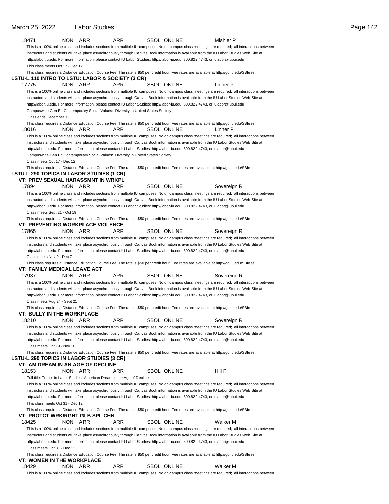| 18471                                            | NON ARR                                                                          | ARR | SBOL ONLINE        | Mishler P                                                                                                                                       |
|--------------------------------------------------|----------------------------------------------------------------------------------|-----|--------------------|-------------------------------------------------------------------------------------------------------------------------------------------------|
|                                                  |                                                                                  |     |                    | This is a 100% online class and includes sections from multiple IU campuses. No on-campus class meetings are required; all interactions between |
|                                                  |                                                                                  |     |                    | instructors and students will take place asynchronously through Canvas.Book information is available from the IU Labor Studies Web Site at      |
|                                                  |                                                                                  |     |                    | http://labor.iu.edu. For more information, please contact IU Labor Studies: http://labor-iu.edu, 800.822.4743, or iulabor@iupui.edu             |
| This class meets Oct 17 - Dec 12                 |                                                                                  |     |                    |                                                                                                                                                 |
|                                                  |                                                                                  |     |                    | This class requires a Distance Education Course Fee. The rate is \$50 per credit hour. Fee rates are available at http://go.iu.edu/SBfees       |
| LSTU-L 110 INTRO TO LSTU: LABOR & SOCIETY (3 CR) |                                                                                  |     |                    |                                                                                                                                                 |
| 17775                                            | NON ARR                                                                          | ARR | <b>SBOL ONLINE</b> | Linner P                                                                                                                                        |
|                                                  |                                                                                  |     |                    | This is a 100% online class and includes sections from multiple IU campuses. No on-campus class meetings are required; all interactions between |
|                                                  |                                                                                  |     |                    | instructors and students will take place asynchronously through Canvas. Book information is available from the IU Labor Studies Web Site at     |
|                                                  |                                                                                  |     |                    | http://labor.iu.edu. For more information, please contact IU Labor Studies: http://labor-iu.edu, 800.822.4743, or iulabor@iupui.edu             |
|                                                  | Campuswide Gen Ed Contemporary Social Values: Diversity in United States Society |     |                    |                                                                                                                                                 |
| Class ends December 12                           |                                                                                  |     |                    |                                                                                                                                                 |
|                                                  |                                                                                  |     |                    | This class requires a Distance Education Course Fee. The rate is \$50 per credit hour. Fee rates are available at http://go.iu.edu/SBfees       |
| 18016                                            | NON ARR                                                                          | ARR | <b>SBOL ONLINE</b> | Linner P                                                                                                                                        |
|                                                  |                                                                                  |     |                    | This is a 100% online class and includes sections from multiple IU campuses. No on-campus class meetings are required; all interactions between |
|                                                  |                                                                                  |     |                    | instructors and students will take place asynchronously through Canvas.Book information is available from the IU Labor Studies Web Site at      |
|                                                  |                                                                                  |     |                    | http://labor.iu.edu. For more information, please contact IU Labor Studies: http://labor-iu.edu, 800.822.4743, or iulabor@iupui.edu             |
|                                                  | Campuswide Gen Ed Contemporary Social Values: Diversity in United States Society |     |                    |                                                                                                                                                 |
| Class meets Oct 17 - Dec 12                      |                                                                                  |     |                    |                                                                                                                                                 |
| LSTU-L 290 TOPICS IN LABOR STUDIES (1 CR)        |                                                                                  |     |                    | This class requires a Distance Education Course Fee. The rate is \$50 per credit hour. Fee rates are available at http://go.iu.edu/SBfees       |
| VT: PREV SEXUAL HARASSMNT IN WRKPL               |                                                                                  |     |                    |                                                                                                                                                 |
| 17894                                            | NON ARR                                                                          | ARR | <b>SBOL ONLINE</b> | Sovereign R                                                                                                                                     |
|                                                  |                                                                                  |     |                    | This is a 100% online class and includes sections from multiple IU campuses. No on-campus class meetings are required; all interactions between |
|                                                  |                                                                                  |     |                    | instructors and students will take place asynchronously through Canvas. Book information is available from the IU Labor Studies Web Site at     |
|                                                  |                                                                                  |     |                    | http://labor.iu.edu. For more information, please contact IU Labor Studies: http://labor-iu.edu, 800.822.4743, or iulabor@iupui.edu             |
| Class meets Sept 21 - Oct 19                     |                                                                                  |     |                    |                                                                                                                                                 |
|                                                  |                                                                                  |     |                    | This class requires a Distance Education Course Fee. The rate is \$50 per credit hour. Fee rates are available at http://go.iu.edu/SBfees       |
| <b>VT: PREVENTING WORKPLACE VIOLENCE</b>         |                                                                                  |     |                    |                                                                                                                                                 |
| 17865                                            | NON ARR                                                                          | ARR | <b>SBOL ONLINE</b> | Sovereign R                                                                                                                                     |
|                                                  |                                                                                  |     |                    | This is a 100% online class and includes sections from multiple IU campuses. No on-campus class meetings are required; all interactions between |
|                                                  |                                                                                  |     |                    | instructors and students will take place asynchronously through Canvas.Book information is available from the IU Labor Studies Web Site at      |
|                                                  |                                                                                  |     |                    | http://labor.iu.edu. For more information, please contact IU Labor Studies: http://labor-iu.edu, 800.822.4743, or iulabor@iupui.edu             |
| Class meets Nov 9 - Dec 7                        |                                                                                  |     |                    |                                                                                                                                                 |
|                                                  |                                                                                  |     |                    | This class requires a Distance Education Course Fee. The rate is \$50 per credit hour. Fee rates are available at http://go.iu.edu/SBfees       |
| VT: FAMILY MEDICAL LEAVE ACT                     |                                                                                  |     |                    |                                                                                                                                                 |
| 17937                                            | NON ARR                                                                          | ARR | <b>SBOL ONLINE</b> | Sovereign R                                                                                                                                     |
|                                                  |                                                                                  |     |                    | This is a 100% online class and includes sections from multiple IU campuses. No on-campus class meetings are required; all interactions between |
|                                                  |                                                                                  |     |                    | instructors and students will take place asynchronously through Canvas.Book information is available from the IU Labor Studies Web Site at      |
|                                                  |                                                                                  |     |                    | http://labor.iu.edu. For more information, please contact IU Labor Studies: http://labor-iu.edu, 800.822.4743, or iulabor@iupui.edu             |
| Class meets Aug 24 - Sept 21                     |                                                                                  |     |                    |                                                                                                                                                 |
|                                                  |                                                                                  |     |                    | This class requires a Distance Education Course Fee. The rate is \$50 per credit hour. Fee rates are available at http://go.iu.edu/SBfees       |
| VT: BULLY IN THE WORKPLACE                       |                                                                                  |     |                    |                                                                                                                                                 |
| 18210                                            | NON ARR                                                                          | ARR | <b>SBOL ONLINE</b> | Sovereign R                                                                                                                                     |
|                                                  |                                                                                  |     |                    | This is a 100% online class and includes sections from multiple IU campuses. No on-campus class meetings are required; all interactions between |
|                                                  |                                                                                  |     |                    | instructors and students will take place asynchronously through Canvas. Book information is available from the IU Labor Studies Web Site at     |
|                                                  |                                                                                  |     |                    | http://labor.iu.edu. For more information, please contact IU Labor Studies: http://labor-iu.edu, 800.822.4743, or iulabor@iupui.edu             |
| Class meets Oct 19 - Nov 16                      |                                                                                  |     |                    |                                                                                                                                                 |
|                                                  |                                                                                  |     |                    | This class requires a Distance Education Course Fee. The rate is \$50 per credit hour. Fee rates are available at http://qo.iu.edu/SBfees       |
| LSTU-L 290 TOPICS IN LABOR STUDIES (3 CR)        |                                                                                  |     |                    |                                                                                                                                                 |
| <b>VT: AM DREAM IN AN AGE OF DECLINE</b>         |                                                                                  |     |                    |                                                                                                                                                 |
| 18153                                            | NON ARR                                                                          | ARR | SBOL ONLINE        | Hill P                                                                                                                                          |
|                                                  | Full title: Topics in Labor Studies: American Dream in the Age of Decline        |     |                    |                                                                                                                                                 |
|                                                  |                                                                                  |     |                    | This is a 100% online class and includes sections from multiple IU campuses. No on-campus class meetings are required; all interactions between |
|                                                  |                                                                                  |     |                    | instructors and students will take place asynchronously through Canvas. Book information is available from the IU Labor Studies Web Site at     |
|                                                  |                                                                                  |     |                    | http://labor.iu.edu. For more information, please contact IU Labor Studies: http://labor-iu.edu, 800.822.4743, or iulabor@iupui.edu             |
| This class meets Oct 31 - Dec 12                 |                                                                                  |     |                    |                                                                                                                                                 |
|                                                  |                                                                                  |     |                    | This class requires a Distance Education Course Fee. The rate is \$50 per credit hour. Fee rates are available at http://go.iu.edu/SBfees       |
| VT: PROTCT WRK/RGHT GLB SPL CHN                  |                                                                                  |     |                    |                                                                                                                                                 |
| 18425                                            | NON ARR                                                                          | ARR | <b>SBOL ONLINE</b> | Walker M                                                                                                                                        |
|                                                  |                                                                                  |     |                    | This is a 100% online class and includes sections from multiple IU campuses. No on-campus class meetings are required; all interactions between |
|                                                  |                                                                                  |     |                    | instructors and students will take place asynchronously through Canvas.Book information is available from the IU Labor Studies Web Site at      |
|                                                  |                                                                                  |     |                    | http://labor.iu.edu. For more information, please contact IU Labor Studies: http://labor-iu.edu, 800.822.4743, or iulabor@iupui.edu             |
| Class meets Oct 31 - Dec 12                      |                                                                                  |     |                    |                                                                                                                                                 |
|                                                  |                                                                                  |     |                    | This class requires a Distance Education Course Fee. The rate is \$50 per credit hour. Fee rates are available at http://go.iu.edu/SBfees       |
| VT: WOMEN IN THE WORKPLACE                       |                                                                                  |     |                    |                                                                                                                                                 |
| 18429                                            | NON ARR                                                                          | ARR | SBOL ONLINE        | Walker M                                                                                                                                        |

This is a 100% online class and includes sections from multiple IU campuses. No on-campus class meetings are required; all interactions between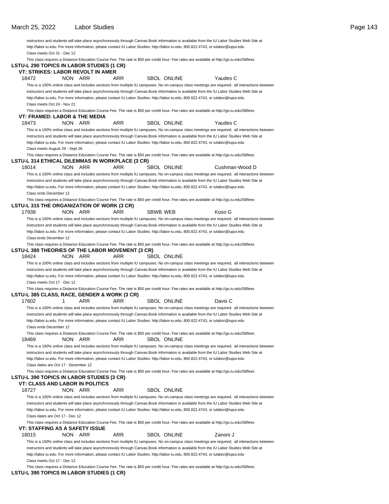instructors and students will take place asynchronously through Canvas. Book information is available from the IU Labor Studies Web Site at http://labor.iu.edu. For more information, please contact IU Labor Studies: http://labor-iu.edu, 800.822.4743, or iulabor@iupui.edu Class meets Oct 31 - Dec 12 This class requires a Distance Education Course Fee. The rate is \$50 per credit hour. Fee rates are available at http://go.iu.edu/SBfees

| LSTU-L 290 TOPICS IN LABOR STUDIES (1 CR)<br>VT: STRIKES: LABOR REVOLT IN AMER      |         |     | This bidge required a Diotation Laubation Obdree Fed. The rate is you por prodit hour. Fed rated are available at hit |                 |                    |                                                                                                                                                                                                                                                                                                                                                                                                                                                                                                                                                                                    |  |
|-------------------------------------------------------------------------------------|---------|-----|-----------------------------------------------------------------------------------------------------------------------|-----------------|--------------------|------------------------------------------------------------------------------------------------------------------------------------------------------------------------------------------------------------------------------------------------------------------------------------------------------------------------------------------------------------------------------------------------------------------------------------------------------------------------------------------------------------------------------------------------------------------------------------|--|
| 18472                                                                               | NON ARR |     | <b>ARR</b>                                                                                                            |                 | <b>SBOL ONLINE</b> | Yaudes C                                                                                                                                                                                                                                                                                                                                                                                                                                                                                                                                                                           |  |
|                                                                                     |         |     |                                                                                                                       |                 |                    | This is a 100% online class and includes sections from multiple IU campuses. No on-campus class meetings are required; all interactions between                                                                                                                                                                                                                                                                                                                                                                                                                                    |  |
|                                                                                     |         |     |                                                                                                                       |                 |                    | instructors and students will take place asynchronously through Canvas.Book information is available from the IU Labor Studies Web Site at                                                                                                                                                                                                                                                                                                                                                                                                                                         |  |
|                                                                                     |         |     |                                                                                                                       |                 |                    | http://labor.iu.edu. For more information, please contact IU Labor Studies: http://labor-iu.edu, 800.822.4743, or iulabor@iupui.edu                                                                                                                                                                                                                                                                                                                                                                                                                                                |  |
| Class meets Oct 24 - Nov 21                                                         |         |     |                                                                                                                       |                 |                    |                                                                                                                                                                                                                                                                                                                                                                                                                                                                                                                                                                                    |  |
|                                                                                     |         |     |                                                                                                                       |                 |                    | This class requires a Distance Education Course Fee. The rate is \$50 per credit hour. Fee rates are available at http://go.iu.edu/SBfees                                                                                                                                                                                                                                                                                                                                                                                                                                          |  |
| VT: FRAMED: LABOR & THE MEDIA                                                       |         |     |                                                                                                                       |                 |                    |                                                                                                                                                                                                                                                                                                                                                                                                                                                                                                                                                                                    |  |
| 18473                                                                               | NON ARR |     | ARR                                                                                                                   |                 | <b>SBOL ONLINE</b> | Yaudes C                                                                                                                                                                                                                                                                                                                                                                                                                                                                                                                                                                           |  |
|                                                                                     |         |     |                                                                                                                       |                 |                    | This is a 100% online class and includes sections from multiple IU campuses. No on-campus class meetings are required; all interactions between<br>instructors and students will take place asynchronously through Canvas.Book information is available from the IU Labor Studies Web Site at                                                                                                                                                                                                                                                                                      |  |
|                                                                                     |         |     |                                                                                                                       |                 |                    | http://labor.iu.edu. For more information, please contact IU Labor Studies: http://labor-iu.edu, 800.822.4743, or iulabor@iupui.edu                                                                                                                                                                                                                                                                                                                                                                                                                                                |  |
| Class meets August 29 - Sept 26                                                     |         |     |                                                                                                                       |                 |                    |                                                                                                                                                                                                                                                                                                                                                                                                                                                                                                                                                                                    |  |
|                                                                                     |         |     |                                                                                                                       |                 |                    | This class requires a Distance Education Course Fee. The rate is \$50 per credit hour. Fee rates are available at http://go.iu.edu/SBfees                                                                                                                                                                                                                                                                                                                                                                                                                                          |  |
| LSTU-L 314 ETHICAL DILEMMAS IN WORKPLACE (3 CR)                                     |         |     |                                                                                                                       |                 |                    |                                                                                                                                                                                                                                                                                                                                                                                                                                                                                                                                                                                    |  |
| 18014                                                                               | NON ARR |     | ARR                                                                                                                   |                 | <b>SBOL ONLINE</b> | Cushman-Wood D                                                                                                                                                                                                                                                                                                                                                                                                                                                                                                                                                                     |  |
| Class ends December 12                                                              |         |     |                                                                                                                       |                 |                    | This is a 100% online class and includes sections from multiple IU campuses. No on-campus class meetings are required; all interactions between<br>instructors and students will take place asynchronously through Canvas.Book information is available from the IU Labor Studies Web Site at<br>http://labor.iu.edu. For more information, please contact IU Labor Studies: http://labor-iu.edu, 800.822.4743, or iulabor@iupui.edu                                                                                                                                               |  |
| LSTU-L 315 THE ORGANIZATION OF WORK (3 CR)                                          |         |     |                                                                                                                       |                 |                    | This class requires a Distance Education Course Fee. The rate is \$50 per credit hour. Fee rates are available at http://go.iu.edu/SBfees                                                                                                                                                                                                                                                                                                                                                                                                                                          |  |
| 17938                                                                               | NON ARR |     | ARR                                                                                                                   | <b>SBWB WEB</b> |                    | Koso G                                                                                                                                                                                                                                                                                                                                                                                                                                                                                                                                                                             |  |
|                                                                                     |         |     |                                                                                                                       |                 |                    | This is a 100% online class and includes sections from multiple IU campuses. No on-campus class meetings are required; all interactions between                                                                                                                                                                                                                                                                                                                                                                                                                                    |  |
|                                                                                     |         |     |                                                                                                                       |                 |                    | instructors and students will take place asynchronously through Canvas.Book information is available from the IU Labor Studies Web Site at                                                                                                                                                                                                                                                                                                                                                                                                                                         |  |
| Class ends December 12                                                              |         |     |                                                                                                                       |                 |                    | http://labor.iu.edu. For more information, please contact IU Labor Studies: http://labor-iu.edu, 800.822.4743, or iulabor@iupui.edu                                                                                                                                                                                                                                                                                                                                                                                                                                                |  |
|                                                                                     |         |     |                                                                                                                       |                 |                    | This class requires a Distance Education Course Fee. The rate is \$50 per credit hour. Fee rates are available at http://go.iu.edu/SBfees                                                                                                                                                                                                                                                                                                                                                                                                                                          |  |
| LSTU-L 380 THEORIES OF THE LABOR MOVEMENT (3 CR)<br>18424                           | NON ARR |     | ARR                                                                                                                   |                 | SBOL ONLINE        |                                                                                                                                                                                                                                                                                                                                                                                                                                                                                                                                                                                    |  |
|                                                                                     |         |     |                                                                                                                       |                 |                    | This is a 100% online class and includes sections from multiple IU campuses. No on-campus class meetings are required; all interactions between                                                                                                                                                                                                                                                                                                                                                                                                                                    |  |
| Class meets Oct 17 - Dec 12                                                         |         |     |                                                                                                                       |                 |                    | instructors and students will take place asynchronously through Canvas.Book information is available from the IU Labor Studies Web Site at<br>http://labor.iu.edu. For more information, please contact IU Labor Studies: http://labor-iu.edu, 800.822.4743, or iulabor@iupui.edu                                                                                                                                                                                                                                                                                                  |  |
| LSTU-L 385 CLASS, RACE, GENDER & WORK (3 CR)<br>17602                               | 1       | ARR | ARR                                                                                                                   |                 | <b>SBOL ONLINE</b> | This class requires a Distance Education Course Fee. The rate is \$50 per credit hour. Fee rates are available at http://go.iu.edu/SBfees<br>Davis C                                                                                                                                                                                                                                                                                                                                                                                                                               |  |
|                                                                                     |         |     |                                                                                                                       |                 |                    | This is a 100% online class and includes sections from multiple IU campuses. No on-campus class meetings are required; all interactions between                                                                                                                                                                                                                                                                                                                                                                                                                                    |  |
|                                                                                     |         |     |                                                                                                                       |                 |                    | instructors and students will take place asynchronously through Canvas.Book information is available from the IU Labor Studies Web Site at                                                                                                                                                                                                                                                                                                                                                                                                                                         |  |
| Class ends December 12                                                              |         |     |                                                                                                                       |                 |                    | http://labor.iu.edu. For more information, please contact IU Labor Studies: http://labor-iu.edu, 800.822.4743, or iulabor@iupui.edu                                                                                                                                                                                                                                                                                                                                                                                                                                                |  |
| 18469                                                                               | NON ARR |     | ARR                                                                                                                   |                 | <b>SBOL ONLINE</b> | This class requires a Distance Education Course Fee. The rate is \$50 per credit hour. Fee rates are available at http://go.iu.edu/SBfees                                                                                                                                                                                                                                                                                                                                                                                                                                          |  |
|                                                                                     |         |     |                                                                                                                       |                 |                    | This is a 100% online class and includes sections from multiple IU campuses. No on-campus class meetings are required; all interactions between                                                                                                                                                                                                                                                                                                                                                                                                                                    |  |
|                                                                                     |         |     |                                                                                                                       |                 |                    | instructors and students will take place asynchronously through Canvas. Book information is available from the IU Labor Studies Web Site at<br>http://labor.iu.edu. For more information, please contact IU Labor Studies: http://labor-iu.edu, 800.822.4743, or iulabor@iupui.edu                                                                                                                                                                                                                                                                                                 |  |
| Class dates are Oct 17 - December 12                                                |         |     |                                                                                                                       |                 |                    | This class requires a Distance Education Course Fee. The rate is \$50 per credit hour. Fee rates are available at http://go.iu.edu/SBfees                                                                                                                                                                                                                                                                                                                                                                                                                                          |  |
| LSTU-L 390 TOPICS IN LABOR STUDIES (3 CR)<br><b>VT: CLASS AND LABOR IN POLITICS</b> |         |     |                                                                                                                       |                 |                    |                                                                                                                                                                                                                                                                                                                                                                                                                                                                                                                                                                                    |  |
| 18727                                                                               | NON ARR |     | ARR                                                                                                                   |                 | <b>SBOL ONLINE</b> |                                                                                                                                                                                                                                                                                                                                                                                                                                                                                                                                                                                    |  |
|                                                                                     |         |     |                                                                                                                       |                 |                    | This is a 100% online class and includes sections from multiple IU campuses. No on-campus class meetings are required; all interactions between                                                                                                                                                                                                                                                                                                                                                                                                                                    |  |
| Class dates are Oct 17 - Dec 12                                                     |         |     |                                                                                                                       |                 |                    | instructors and students will take place asynchronously through Canvas.Book information is available from the IU Labor Studies Web Site at<br>http://labor.iu.edu. For more information, please contact IU Labor Studies: http://labor-iu.edu, 800.822.4743, or iulabor@iupui.edu                                                                                                                                                                                                                                                                                                  |  |
|                                                                                     |         |     |                                                                                                                       |                 |                    | This class requires a Distance Education Course Fee. The rate is \$50 per credit hour. Fee rates are available at http://go.iu.edu/SBfees                                                                                                                                                                                                                                                                                                                                                                                                                                          |  |
| VT: STAFFING AS A SAFETY ISSUE<br>18015                                             | NON ARR |     | ARR                                                                                                                   |                 | SBOL ONLINE        | Zanoni J                                                                                                                                                                                                                                                                                                                                                                                                                                                                                                                                                                           |  |
| Class meets Oct 17 - Dec 12                                                         |         |     |                                                                                                                       |                 |                    | This is a 100% online class and includes sections from multiple IU campuses. No on-campus class meetings are required; all interactions between<br>instructors and students will take place asynchronously through Canvas. Book information is available from the IU Labor Studies Web Site at<br>http://labor.iu.edu. For more information, please contact IU Labor Studies: http://labor-iu.edu, 800.822.4743, or iulabor@iupui.edu<br>This class requires a Distance Education Course Fee. The rate is \$50 per credit hour. Fee rates are available at http://go.iu.edu/SBfees |  |

**LSTU-L 390 TOPICS IN LABOR STUDIES (1 CR)**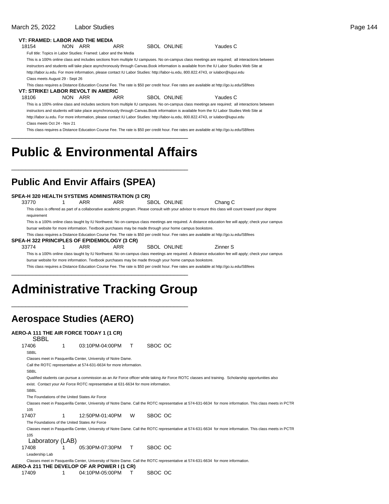#### March 25, 2022 Labor Studies **Page 144**

| 18154                              |                                 | NON ARR    | <b>ARR</b>                                                                                              | <b>SBOL ONLINE</b> | Yaudes C                                                                                                                                               |
|------------------------------------|---------------------------------|------------|---------------------------------------------------------------------------------------------------------|--------------------|--------------------------------------------------------------------------------------------------------------------------------------------------------|
|                                    |                                 |            | Full title: Topics in Labor Studies: Framed: Labor and the Media                                        |                    |                                                                                                                                                        |
|                                    |                                 |            |                                                                                                         |                    | This is a 100% online class and includes sections from multiple IU campuses. No on-campus class meetings are required; all interactions between        |
|                                    |                                 |            |                                                                                                         |                    | instructors and students will take place asynchronously through Canvas.Book information is available from the IU Labor Studies Web Site at             |
|                                    |                                 |            |                                                                                                         |                    | http://labor.iu.edu. For more information, please contact IU Labor Studies: http://labor-iu.edu, 800.822.4743, or iulabor@iupui.edu                    |
|                                    | Class meets August 29 - Sept 26 |            |                                                                                                         |                    |                                                                                                                                                        |
|                                    |                                 |            |                                                                                                         |                    | This class requires a Distance Education Course Fee. The rate is \$50 per credit hour. Fee rates are available at http://go.iu.edu/SBfees              |
| VT: STRIKE! LABOR REVOLT IN AMERIC |                                 |            |                                                                                                         |                    |                                                                                                                                                        |
| 18106                              |                                 | NON ARR    | <b>ARR</b>                                                                                              | <b>SBOL ONLINE</b> | Yaudes C                                                                                                                                               |
|                                    |                                 |            |                                                                                                         |                    | This is a 100% online class and includes sections from multiple IU campuses. No on-campus class meetings are required; all interactions between        |
|                                    |                                 |            |                                                                                                         |                    | instructors and students will take place asynchronously through Canvas. Book information is available from the IU Labor Studies Web Site at            |
|                                    |                                 |            |                                                                                                         |                    | http://labor.iu.edu. For more information, please contact IU Labor Studies: http://labor-iu.edu, 800.822.4743, or iulabor@iupui.edu                    |
|                                    | Class meets Oct 24 - Nov 21     |            |                                                                                                         |                    |                                                                                                                                                        |
|                                    |                                 |            |                                                                                                         |                    |                                                                                                                                                        |
|                                    |                                 |            | <b>Public &amp; Environmental Affairs</b>                                                               |                    | This class requires a Distance Education Course Fee. The rate is \$50 per credit hour. Fee rates are available at http://qo.iu.edu/SBfees              |
|                                    |                                 |            | <b>Public And Envir Affairs (SPEA)</b>                                                                  |                    |                                                                                                                                                        |
|                                    |                                 |            | SPEA-H 320 HEALTH SYSTEMS ADMINISTRATION (3 CR)                                                         |                    |                                                                                                                                                        |
| 33770                              | 1                               | <b>ARR</b> | <b>ARR</b>                                                                                              | <b>SBOL ONLINE</b> | Chang C                                                                                                                                                |
| requirement                        |                                 |            |                                                                                                         |                    | This class is offered as part of a collaborative academic program. Please consult with your advisor to ensure this class will count toward your degree |
|                                    |                                 |            |                                                                                                         |                    | This is a 100% online class taught by IU Northwest. No on-campus class meetings are required. A distance education fee will apply; check your campus   |
|                                    |                                 |            | bursar website for more information. Textbook purchases may be made through your home campus bookstore. |                    |                                                                                                                                                        |
|                                    |                                 |            |                                                                                                         |                    | This class requires a Distance Education Course Fee. The rate is \$50 per credit hour. Fee rates are available at http://go.iu.edu/SBfees              |
|                                    |                                 |            | SPEA-H 322 PRINCIPLES OF EPIDEMIOLOGY (3 CR)                                                            |                    |                                                                                                                                                        |

bursar website for more information. Textbook purchases may be made through your home campus bookstore. This class requires a Distance Education Course Fee. The rate is \$50 per credit hour. Fee rates are available at http://go.iu.edu/SBfees \_\_\_\_\_\_\_\_\_\_\_\_\_\_\_\_\_\_\_\_\_\_\_\_\_\_\_\_\_\_\_\_\_\_\_\_\_\_\_\_\_\_\_\_\_\_\_\_\_\_

This is a 100% online class taught by IU Northwest. No on-campus class meetings are required. A distance education fee will apply; check your campus

## **Administrative Tracking Group**

\_\_\_\_\_\_\_\_\_\_\_\_\_\_\_\_\_\_\_\_\_\_\_\_\_\_\_\_\_\_\_\_\_\_\_\_\_\_\_\_\_\_\_\_\_\_\_\_\_\_

### **Aerospace Studies (AERO)**

#### **AERO-A 111 THE AIR FORCE TODAY 1 (1 CR)**

| SBBL                                           |   |                                                                                     |    |                                                                                                                                                           |
|------------------------------------------------|---|-------------------------------------------------------------------------------------|----|-----------------------------------------------------------------------------------------------------------------------------------------------------------|
| 17406                                          | 1 | 03:10PM-04:00PM                                                                     | т  | SBOC OC                                                                                                                                                   |
| SBBL                                           |   |                                                                                     |    |                                                                                                                                                           |
|                                                |   | Classes meet in Pasquerilla Center, University of Notre Dame.                       |    |                                                                                                                                                           |
|                                                |   | Call the ROTC representative at 574-631-6634 for more information.                  |    |                                                                                                                                                           |
| <b>SBBL</b>                                    |   |                                                                                     |    |                                                                                                                                                           |
|                                                |   |                                                                                     |    | Qualified students can pursue a commission as an Air Force officer while taking Air Force ROTC classes and training. Scholarship opportunities also       |
|                                                |   | exist. Contact your Air Force ROTC representative at 631-6634 for more information. |    |                                                                                                                                                           |
| <b>SBBL</b>                                    |   |                                                                                     |    |                                                                                                                                                           |
| The Foundations of the United States Air Force |   |                                                                                     |    |                                                                                                                                                           |
|                                                |   |                                                                                     |    | Classes meet in Pasquerilla Center, University of Notre Dame. Call the ROTC representative at 574-631-6634 for more information. This class meets in PCTR |
| 105                                            |   |                                                                                     |    |                                                                                                                                                           |
| 17407                                          |   | 12:50PM-01:40PM                                                                     | W  | SBOC OC                                                                                                                                                   |
| The Foundations of the United States Air Force |   |                                                                                     |    |                                                                                                                                                           |
|                                                |   |                                                                                     |    | Classes meet in Pasquerilla Center, University of Notre Dame. Call the ROTC representative at 574-631-6634 for more information. This class meets in PCTR |
| 105                                            |   |                                                                                     |    |                                                                                                                                                           |
| Laboratory (LAB)                               |   |                                                                                     |    |                                                                                                                                                           |
| 17408                                          |   | 05:30PM-07:30PM                                                                     | T. | SBOC OC                                                                                                                                                   |
| Leadership Lab                                 |   |                                                                                     |    |                                                                                                                                                           |
|                                                |   |                                                                                     |    | Classes meet in Pasquerilla Center, University of Notre Dame. Call the ROTC representative at 574-631-6634 for more information.                          |
|                                                |   | <b>AERO-A 211 THE DEVELOP OF AR POWER I (1 CR)</b>                                  |    |                                                                                                                                                           |
| 17409                                          |   | 04:10PM-05:00PM                                                                     |    | SBOC OC                                                                                                                                                   |
|                                                |   |                                                                                     |    |                                                                                                                                                           |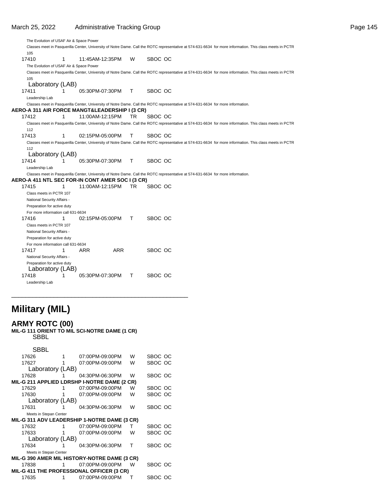The Evolution of USAF Air & Space Power Classes meet in Pasquerilla Center, University of Notre Dame. Call the ROTC representative at 574-631-6634 for more information. This class meets in PCTR 105 17410 11:45AM-12:35PM W SBOC OC The Evolution of USAF Air & Space Power Classes meet in Pasquerilla Center, University of Notre Dame. Call the ROTC representative at 574-631-6634 for more information. This class meets in PCTR 105 Laboratory (LAB) 17411 1 05:30PM-07:30PM T SBOC OC Leadership Lab Classes meet in Pasquerilla Center, University of Notre Dame. Call the ROTC representative at 574-631-6634 for more information. **AERO-A 311 AIR FORCE MANGT&LEADERSHIP I (3 CR)** 17412 11:00AM-12:15PM TR SBOC OC Classes meet in Pasquerilla Center, University of Notre Dame. Call the ROTC representative at 574-631-6634 for more information. This class meets in PCTR 112 17413 1 02:15PM-05:00PM T SBOC OC Classes meet in Pasquerilla Center, University of Notre Dame. Call the ROTC representative at 574-631-6634 for more information. This class meets in PCTR 112 Laboratory (LAB) 17414 17414 1 05:30PM-07:30PM T SBOC OC Leadership Lab Classes meet in Pasquerilla Center, University of Notre Dame. Call the ROTC representative at 574-631-6634 for more information. **AERO-A 411 NTL SEC FOR-IN CONT AMER SOC I (3 CR)** 17415 11:00AM-12:15PM TR SBOC OC Class meets in PCTR 107 National Security Affairs - Preparation for active duty For more information call 631-6634 17416 1 02:15PM-05:00PM T SBOC OC Class meets in PCTR 107 National Security Affairs - Preparation for active duty For more information call 631-6634 17417 1 ARR ARR SBOC OC National Security Affairs - Preparation for active duty Laboratory (LAB) 17418 1 05:30 PM-07:30 PM T SBOC OC Leadership Lab

## **Military (MIL)**

#### **ARMY ROTC (00)**

**MIL-G 111 ORIENT TO MIL SCI-NOTRE DAME (1 CR) SBBL** 

| uppl        |  |
|-------------|--|
|             |  |
| <b>CDDI</b> |  |

| חססט                                             |                  |                                                     |   |         |
|--------------------------------------------------|------------------|-----------------------------------------------------|---|---------|
| 17626                                            |                  | 07:00PM-09:00PM                                     | W | SBOC OC |
| 17627                                            |                  | 07:00PM-09:00PM                                     | W | SBOC OC |
|                                                  | Laboratory (LAB) |                                                     |   |         |
| 17628                                            |                  | 04:30PM-06:30PM                                     | W | SBOC OC |
|                                                  |                  | MIL-G 211 APPLIED LDRSHP I-NOTRE DAME (2 CR)        |   |         |
| 17629                                            |                  | 07:00PM-09:00PM                                     | W | SBOC OC |
| 17630                                            |                  | 07:00PM-09:00PM                                     | W | SBOC OC |
|                                                  | Laboratory (LAB) |                                                     |   |         |
| 17631                                            |                  | 04:30PM-06:30PM                                     | W | SBOC OC |
| Meets in Stepan Center                           |                  |                                                     |   |         |
|                                                  |                  | <b>MIL-G 311 ADV LEADERSHIP 1-NOTRE DAME (3 CR)</b> |   |         |
| 17632                                            |                  | 07:00PM-09:00PM                                     | т | SBOC OC |
| 17633                                            |                  | 07:00PM-09:00PM                                     | W | SBOC OC |
|                                                  | Laboratory (LAB) |                                                     |   |         |
| 17634                                            |                  | 04:30PM-06:30PM                                     | т | SBOC OC |
| Meets in Stepan Center                           |                  |                                                     |   |         |
|                                                  |                  | MIL-G 390 AMER MIL HISTORY-NOTRE DAME (3 CR)        |   |         |
| 17838                                            | 1                | 07:00PM-09:00PM                                     | W | SBOC OC |
| <b>MIL-G 411 THE PROFESSIONAL OFFICER (3 CR)</b> |                  |                                                     |   |         |
| 17635                                            | 1                | 07:00PM-09:00PM                                     | т | SBOC OC |
|                                                  |                  |                                                     |   |         |

\_\_\_\_\_\_\_\_\_\_\_\_\_\_\_\_\_\_\_\_\_\_\_\_\_\_\_\_\_\_\_\_\_\_\_\_\_\_\_\_\_\_\_\_\_\_\_\_\_\_